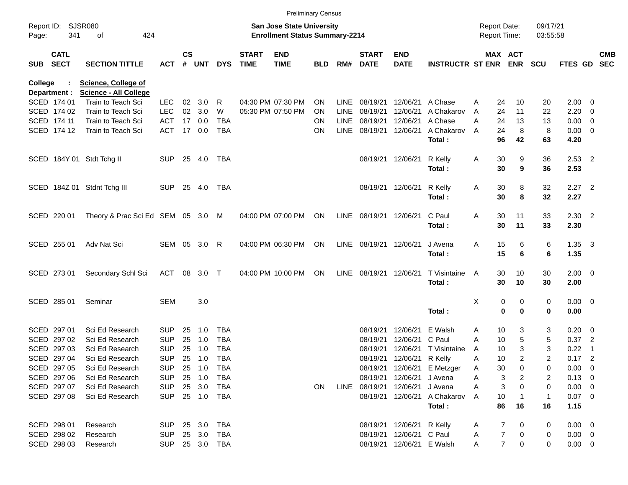|            |                            |                                          |                    |               |            |            |                             |                                                                           | <b>Preliminary Census</b> |                            |                             |                           |                              |                                     |                         |                      |                |                                                    |                          |
|------------|----------------------------|------------------------------------------|--------------------|---------------|------------|------------|-----------------------------|---------------------------------------------------------------------------|---------------------------|----------------------------|-----------------------------|---------------------------|------------------------------|-------------------------------------|-------------------------|----------------------|----------------|----------------------------------------------------|--------------------------|
| Page:      | Report ID: SJSR080<br>341  | of<br>424                                |                    |               |            |            |                             | <b>San Jose State University</b><br><b>Enrollment Status Summary-2214</b> |                           |                            |                             |                           |                              | <b>Report Date:</b><br>Report Time: |                         | 09/17/21<br>03:55:58 |                |                                                    |                          |
| <b>SUB</b> | <b>CATL</b><br><b>SECT</b> | <b>SECTION TITTLE</b>                    | <b>ACT</b>         | $\mathsf{cs}$ | # UNT      | <b>DYS</b> | <b>START</b><br><b>TIME</b> | <b>END</b><br><b>TIME</b>                                                 | <b>BLD</b>                | RM#                        | <b>START</b><br><b>DATE</b> | <b>END</b><br><b>DATE</b> | <b>INSTRUCTR ST ENR</b>      |                                     | MAX ACT<br><b>ENR</b>   | <b>SCU</b>           | FTES GD        |                                                    | <b>CMB</b><br><b>SEC</b> |
| College    |                            | <b>Science, College of</b>               |                    |               |            |            |                             |                                                                           |                           |                            |                             |                           |                              |                                     |                         |                      |                |                                                    |                          |
|            | Department :               | <b>Science - All College</b>             |                    |               |            |            |                             |                                                                           |                           |                            |                             |                           |                              |                                     |                         |                      |                |                                                    |                          |
|            | SCED 174 01<br>SCED 174 02 | Train to Teach Sci<br>Train to Teach Sci | LEC.<br><b>LEC</b> | 02<br>02      | 3.0<br>3.0 | R<br>W     |                             | 04:30 PM 07:30 PM<br>05:30 PM 07:50 PM                                    | <b>ON</b><br><b>ON</b>    | <b>LINE</b><br><b>LINE</b> | 08/19/21<br>08/19/21        | 12/06/21<br>12/06/21      | A Chase<br>A Chakarov        | A<br>A                              | 10<br>24<br>24<br>11    | 20<br>22             | 2.00<br>2.20   | $\overline{\mathbf{0}}$<br>$\overline{\mathbf{0}}$ |                          |
|            | SCED 174 11                | Train to Teach Sci                       | <b>ACT</b>         | 17            | 0.0        | <b>TBA</b> |                             |                                                                           | <b>ON</b>                 | <b>LINE</b>                | 08/19/21                    | 12/06/21                  | A Chase                      | A                                   | 24<br>13                | 13                   | 0.00           | $\overline{\mathbf{0}}$                            |                          |
|            | SCED 174 12                | Train to Teach Sci                       | <b>ACT</b>         |               | 17 0.0     | <b>TBA</b> |                             |                                                                           | ON                        | <b>LINE</b>                | 08/19/21                    | 12/06/21                  | A Chakarov                   | A                                   | 8<br>24                 | 8                    | $0.00 \t 0$    |                                                    |                          |
|            |                            |                                          |                    |               |            |            |                             |                                                                           |                           |                            |                             |                           | Total:                       |                                     | 96<br>42                | 63                   | 4.20           |                                                    |                          |
|            |                            | SCED 184Y 01 Stdt Tchg II                | <b>SUP</b>         | 25            | 4.0        | TBA        |                             |                                                                           |                           |                            | 08/19/21                    | 12/06/21                  | R Kelly                      | A                                   | 9<br>30                 | 36                   | $2.53$ 2       |                                                    |                          |
|            |                            |                                          |                    |               |            |            |                             |                                                                           |                           |                            |                             |                           | Total:                       |                                     | 30<br>9                 | 36                   | 2.53           |                                                    |                          |
|            |                            | SCED 184Z 01 Stdnt Tchg III              | <b>SUP</b>         | 25            | 4.0        | TBA        |                             |                                                                           |                           |                            |                             | 08/19/21 12/06/21         | R Kelly                      | A                                   | 8<br>30                 | 32                   | $2.27$ 2       |                                                    |                          |
|            |                            |                                          |                    |               |            |            |                             |                                                                           |                           |                            |                             |                           | Total:                       |                                     | 30<br>8                 | 32                   | 2.27           |                                                    |                          |
|            | SCED 220 01                | Theory & Prac Sci Ed SEM 05 3.0          |                    |               |            | M          |                             | 04:00 PM 07:00 PM                                                         | ON                        |                            | LINE 08/19/21               | 12/06/21                  | C Paul                       | Α                                   | 30<br>11                | 33                   | $2.30$ 2       |                                                    |                          |
|            |                            |                                          |                    |               |            |            |                             |                                                                           |                           |                            |                             |                           | Total:                       |                                     | 30<br>11                | 33                   | 2.30           |                                                    |                          |
|            | SCED 255 01                | Adv Nat Sci                              | SEM 05             |               | 3.0        | R          |                             | 04:00 PM 06:30 PM                                                         | ON                        |                            | LINE 08/19/21               | 12/06/21                  | J Avena                      | Α                                   | 15<br>6                 | 6                    | $1.35 \quad 3$ |                                                    |                          |
|            |                            |                                          |                    |               |            |            |                             |                                                                           |                           |                            |                             |                           | Total:                       |                                     | 15<br>6                 | 6                    | 1.35           |                                                    |                          |
|            | SCED 273 01                | Secondary Schl Sci                       | <b>ACT</b>         | 08            | 3.0        | $\top$     |                             | 04:00 PM 10:00 PM                                                         | <b>ON</b>                 | LINE                       | 08/19/21                    | 12/06/21                  | T Visintaine                 | A                                   | 30<br>10                | 30                   | $2.00 \t 0$    |                                                    |                          |
|            |                            |                                          |                    |               |            |            |                             |                                                                           |                           |                            |                             |                           | Total:                       |                                     | 30<br>10                | 30                   | 2.00           |                                                    |                          |
|            | SCED 285 01                | Seminar                                  | <b>SEM</b>         |               | 3.0        |            |                             |                                                                           |                           |                            |                             |                           |                              | Х                                   | 0<br>0                  | 0                    | $0.00 \quad 0$ |                                                    |                          |
|            |                            |                                          |                    |               |            |            |                             |                                                                           |                           |                            |                             |                           | Total:                       |                                     | $\mathbf 0$<br>$\bf{0}$ | 0                    | 0.00           |                                                    |                          |
|            | SCED 297 01                | Sci Ed Research                          | <b>SUP</b>         | 25            | 1.0        | <b>TBA</b> |                             |                                                                           |                           |                            | 08/19/21                    | 12/06/21                  | E Walsh                      | Α                                   | 10<br>3                 | 3                    | 0.20           | $\overline{\phantom{0}}$                           |                          |
|            | SCED 297 02                | Sci Ed Research                          | <b>SUP</b>         | 25            | 1.0        | <b>TBA</b> |                             |                                                                           |                           |                            | 08/19/21                    | 12/06/21                  | C Paul                       | A                                   | 5<br>10                 | 5                    | 0.37           | $\overline{\phantom{0}}$                           |                          |
|            | SCED 297 03                | Sci Ed Research                          | SUP                | 25            | 1.0        | <b>TBA</b> |                             |                                                                           |                           |                            | 08/19/21                    | 12/06/21                  | T Visintaine                 | A                                   | 3<br>10                 | 3                    | 0.22           | $\overline{1}$                                     |                          |
|            | SCED 297 04                | Sci Ed Research                          | <b>SUP</b>         | 25            | 1.0        | <b>TBA</b> |                             |                                                                           |                           |                            | 08/19/21                    | 12/06/21 R Kelly          |                              | A                                   | 10<br>2                 | 2                    | 0.17           | $\overline{\phantom{0}}$                           |                          |
|            | SCED 297 05                | Sci Ed Research                          | <b>SUP</b>         |               | 25 1.0     | TBA        |                             |                                                                           |                           |                            |                             |                           | 08/19/21 12/06/21 E Metzger  | A                                   | 30<br>0                 | 0                    | $0.00 \t 0$    |                                                    |                          |
|            | SCED 297 06                | Sci Ed Research                          | <b>SUP</b>         |               | 25 1.0     | TBA        |                             |                                                                           |                           |                            |                             | 08/19/21 12/06/21 J Avena |                              | A                                   | 3<br>2                  | 2                    | $0.13 \ 0$     |                                                    |                          |
|            | SCED 297 07                | Sci Ed Research                          | <b>SUP</b>         |               | 25 3.0     | TBA        |                             |                                                                           | ON                        |                            | LINE 08/19/21 12/06/21      |                           | J Avena                      | Α                                   | 3<br>0                  | 0                    | $0.00 \t 0$    |                                                    |                          |
|            | SCED 297 08                | Sci Ed Research                          | <b>SUP</b>         |               |            | 25 1.0 TBA |                             |                                                                           |                           |                            |                             |                           | 08/19/21 12/06/21 A Chakarov | A                                   | 10                      | $\mathbf{1}$         | $0.07$ 0       |                                                    |                          |
|            |                            |                                          |                    |               |            |            |                             |                                                                           |                           |                            |                             |                           | Total:                       |                                     | 86<br>16                | 16                   | 1.15           |                                                    |                          |
|            | SCED 298 01                | Research                                 | <b>SUP</b>         |               | 25 3.0     | TBA        |                             |                                                                           |                           |                            |                             | 08/19/21 12/06/21 R Kelly |                              | A                                   | 0<br>7                  | 0                    | $0.00 \t 0$    |                                                    |                          |
|            | SCED 298 02                | Research                                 | <b>SUP</b>         |               | 25 3.0     | TBA        |                             |                                                                           |                           |                            |                             | 08/19/21 12/06/21 C Paul  |                              | A                                   | 7<br>0                  | 0                    | $0.00 \t 0$    |                                                    |                          |
|            | SCED 298 03                | Research                                 | <b>SUP</b>         |               |            | 25 3.0 TBA |                             |                                                                           |                           |                            |                             | 08/19/21 12/06/21 E Walsh |                              | A                                   | $\overline{7}$<br>0     | 0                    | $0.00 \t 0$    |                                                    |                          |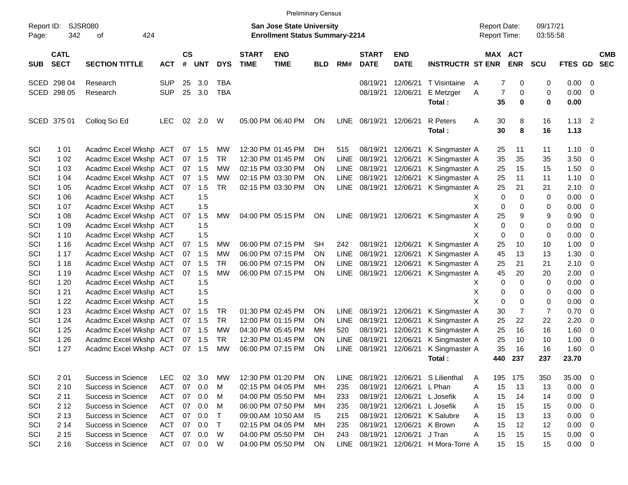|                     |                            |                           |            |                    |            |             |                             |                                                                           | <b>Preliminary Census</b> |             |                             |                           |                         |                                     |                       |                      |             |                          |                          |
|---------------------|----------------------------|---------------------------|------------|--------------------|------------|-------------|-----------------------------|---------------------------------------------------------------------------|---------------------------|-------------|-----------------------------|---------------------------|-------------------------|-------------------------------------|-----------------------|----------------------|-------------|--------------------------|--------------------------|
| Report ID:<br>Page: | 342                        | SJSR080<br>424<br>οf      |            |                    |            |             |                             | <b>San Jose State University</b><br><b>Enrollment Status Summary-2214</b> |                           |             |                             |                           |                         | <b>Report Date:</b><br>Report Time: |                       | 09/17/21<br>03:55:58 |             |                          |                          |
| <b>SUB</b>          | <b>CATL</b><br><b>SECT</b> | <b>SECTION TITTLE</b>     | <b>ACT</b> | $\mathsf{cs}$<br># | <b>UNT</b> | <b>DYS</b>  | <b>START</b><br><b>TIME</b> | <b>END</b><br><b>TIME</b>                                                 | <b>BLD</b>                | RM#         | <b>START</b><br><b>DATE</b> | <b>END</b><br><b>DATE</b> | <b>INSTRUCTR ST ENR</b> |                                     | MAX ACT<br><b>ENR</b> | <b>SCU</b>           | FTES GD     |                          | <b>CMB</b><br><b>SEC</b> |
|                     | SCED 298 04                | Research                  | <b>SUP</b> | 25                 | 3.0        | <b>TBA</b>  |                             |                                                                           |                           |             | 08/19/21                    | 12/06/21                  | T Visintaine            | $\overline{7}$<br>A                 | 0                     | 0                    | 0.00        | $\overline{\mathbf{0}}$  |                          |
|                     | SCED 298 05                | Research                  | <b>SUP</b> | 25                 | 3.0        | <b>TBA</b>  |                             |                                                                           |                           |             | 08/19/21                    | 12/06/21                  | E Metzger               | 7<br>Α                              | 0                     | 0                    | 0.00        | $\overline{0}$           |                          |
|                     |                            |                           |            |                    |            |             |                             |                                                                           |                           |             |                             |                           | Total:                  | 35                                  | 0                     | 0                    | 0.00        |                          |                          |
|                     | SCED 375 01                | Colloq Sci Ed             | <b>LEC</b> | 02                 | 2.0        | W           |                             | 05:00 PM 06:40 PM                                                         | ON                        | <b>LINE</b> | 08/19/21                    | 12/06/21                  | <b>R</b> Peters         | Α<br>30                             | 8                     | 16                   | $1.13$ 2    |                          |                          |
|                     |                            |                           |            |                    |            |             |                             |                                                                           |                           |             |                             |                           | Total:                  | 30                                  | 8                     | 16                   | 1.13        |                          |                          |
| SCI                 | 1 0 1                      | Acadmc Excel Wkshp ACT    |            |                    | 07 1.5     | MW          |                             | 12:30 PM 01:45 PM                                                         | DH.                       | 515         | 08/19/21                    | 12/06/21                  | K Singmaster A          | 25                                  | 11                    | 11                   | $1.10 \ 0$  |                          |                          |
| SCI                 | 1 0 2                      | Acadmc Excel Wkshp ACT    |            |                    | 07 1.5     | TR          |                             | 12:30 PM 01:45 PM                                                         | <b>ON</b>                 | <b>LINE</b> | 08/19/21                    | 12/06/21                  | K Singmaster A          | 35                                  | 35                    | 35                   | 3.50        | $\overline{\phantom{0}}$ |                          |
| SCI                 | 1 0 3                      | Acadmc Excel Wkshp ACT    |            |                    | 07 1.5     | МW          |                             | 02:15 PM 03:30 PM                                                         | <b>ON</b>                 | <b>LINE</b> | 08/19/21                    | 12/06/21                  | K Singmaster A          | 25                                  | 15                    | 15                   | 1.50        | - 0                      |                          |
| SCI                 | 1 04                       | Acadmc Excel Wkshp ACT    |            |                    | 07 1.5     | МW          |                             | 02:15 PM 03:30 PM                                                         | OΝ                        | <b>LINE</b> | 08/19/21                    | 12/06/21                  | K Singmaster A          | 25                                  | 11                    | 11                   | 1.10        | $\overline{\mathbf{0}}$  |                          |
| SCI                 | 1 0 5                      | Acadmc Excel Wkshp ACT    |            | 07                 | 1.5        | <b>TR</b>   |                             | 02:15 PM 03:30 PM                                                         | ON                        | LINE        | 08/19/21                    | 12/06/21                  | K Singmaster A          | 25                                  | 21                    | 21                   | 2.10        | $\overline{0}$           |                          |
| SCI                 | 1 0 6                      | Acadmc Excel Wkshp ACT    |            |                    | 1.5        |             |                             |                                                                           |                           |             |                             |                           |                         | 0<br>X                              | $\mathbf 0$           | 0                    | 0.00        | $\overline{0}$           |                          |
| SCI                 | 1 0 7                      | Acadmc Excel Wkshp ACT    |            |                    | 1.5        |             |                             |                                                                           |                           |             |                             |                           |                         | X<br>$\mathbf 0$                    | $\Omega$              | 0                    | 0.00        | 0                        |                          |
| SCI                 | 1 0 8                      | Acadmc Excel Wkshp ACT    |            | 07                 | 1.5        | <b>MW</b>   |                             | 04:00 PM 05:15 PM                                                         | ON                        | <b>LINE</b> |                             | 08/19/21 12/06/21         | K Singmaster A          | 25                                  | 9                     | 9                    | 0.90        | 0                        |                          |
| SCI                 | 1 0 9                      | Acadmc Excel Wkshp ACT    |            |                    | 1.5        |             |                             |                                                                           |                           |             |                             |                           |                         | 0<br>X                              | $\Omega$              | 0                    | 0.00        | 0                        |                          |
| SCI                 | 1 10                       | Acadmc Excel Wkshp ACT    |            |                    | 1.5        |             |                             |                                                                           |                           |             |                             |                           |                         | X<br>$\mathbf 0$                    | $\Omega$              | 0                    | 0.00        | 0                        |                          |
| SCI                 | 1 1 6                      | Acadmc Excel Wkshp ACT    |            | 07                 | 1.5        | MW          |                             | 06:00 PM 07:15 PM                                                         | SН                        | 242         | 08/19/21                    | 12/06/21                  | K Singmaster A          | 25                                  | 10                    | 10                   | 1.00        | 0                        |                          |
| SCI                 | 1 1 7                      | Acadmc Excel Wkshp ACT    |            |                    | 07 1.5     | МW          |                             | 06:00 PM 07:15 PM                                                         | <b>ON</b>                 | <b>LINE</b> | 08/19/21                    | 12/06/21                  | K Singmaster A          | 45                                  | 13                    | 13                   | 1.30        | 0                        |                          |
| SCI                 | 1 18                       | Acadmc Excel Wkshp ACT    |            |                    | 07 1.5     | <b>TR</b>   |                             | 06:00 PM 07:15 PM                                                         | OΝ                        | <b>LINE</b> | 08/19/21                    | 12/06/21                  | K Singmaster A          | 25                                  | 21                    | 21                   | 2.10        | - 0                      |                          |
| SCI                 | 1 1 9                      | Acadmc Excel Wkshp ACT    |            | 07                 | 1.5        | <b>MW</b>   |                             | 06:00 PM 07:15 PM                                                         | ON                        | LINE        | 08/19/21                    | 12/06/21                  | K Singmaster A          | 45                                  | 20                    | 20                   | 2.00        | 0                        |                          |
| SCI                 | 1 2 0                      | Acadmc Excel Wkshp ACT    |            |                    | 1.5        |             |                             |                                                                           |                           |             |                             |                           |                         | 0<br>X                              | $\Omega$              | 0                    | 0.00        | 0                        |                          |
| SCI                 | 1 2 1                      | Acadmc Excel Wkshp ACT    |            |                    | 1.5        |             |                             |                                                                           |                           |             |                             |                           |                         | Χ<br>0                              | 0                     | 0                    | 0.00        | 0                        |                          |
| SCI                 | 1 2 2                      | Acadmc Excel Wkshp ACT    |            |                    | 1.5        |             |                             |                                                                           |                           |             |                             |                           |                         | X<br>$\mathbf 0$                    | $\Omega$              | 0                    | 0.00        | 0                        |                          |
| SCI                 | 1 2 3                      | Acadmc Excel Wkshp ACT    |            | 07                 | 1.5        | TR          |                             | 01:30 PM 02:45 PM                                                         | <b>ON</b>                 | <b>LINE</b> | 08/19/21                    | 12/06/21                  | K Singmaster A          | 30                                  | $\overline{7}$        | $\overline{7}$       | 0.70        | 0                        |                          |
| SCI                 | 1 2 4                      | Acadmc Excel Wkshp ACT    |            |                    | 07 1.5     | <b>TR</b>   |                             | 12:00 PM 01:15 PM                                                         | <b>ON</b>                 | <b>LINE</b> | 08/19/21                    | 12/06/21                  | K Singmaster A          | 25                                  | 22                    | 22                   | 2.20        | 0                        |                          |
| SCI                 | 1 2 5                      | Acadmc Excel Wkshp ACT    |            |                    | 07 1.5     | МW          |                             | 04:30 PM 05:45 PM                                                         | MН                        | 520         | 08/19/21                    | 12/06/21                  | K Singmaster A          | 25                                  | 16                    | 16                   | 1.60        | $\overline{0}$           |                          |
| SCI                 | 1 2 6                      | Acadmc Excel Wkshp ACT    |            |                    | 07 1.5     | TR.         |                             | 12:30 PM 01:45 PM                                                         | <b>ON</b>                 | <b>LINE</b> | 08/19/21                    | 12/06/21                  | K Singmaster A          | 25                                  | 10                    | 10                   | 1.00        | 0                        |                          |
| SCI                 | 1 27                       | Acadmc Excel Wkshp ACT    |            |                    | 07 1.5     | <b>MW</b>   |                             | 06:00 PM 07:15 PM                                                         | ON                        | <b>LINE</b> | 08/19/21                    | 12/06/21                  | K Singmaster A          | 35                                  | 16                    | 16                   | 1.60        | - 0                      |                          |
|                     |                            |                           |            |                    |            |             |                             |                                                                           |                           |             |                             |                           | Total:                  | 440                                 | 237                   | 237                  | 23.70       |                          |                          |
| SCI                 | 2 0 1                      | Success in Science        | LEC.       | 02                 | 3.0        | МW          |                             | 12:30 PM 01:20 PM                                                         | <b>ON</b>                 | LINE        | 08/19/21                    |                           | 12/06/21 S Lilienthal   | 195<br>A                            | 175                   | 350                  | 35.00       | - 0                      |                          |
| SCI                 | 2 10                       | Success in Science        | <b>ACT</b> | 07                 | 0.0        | M           |                             | 02:15 PM 04:05 PM                                                         | МH                        | 235         | 08/19/21                    | 12/06/21                  | L Phan                  | 15<br>Α                             | 13                    | 13                   | 0.00        | 0                        |                          |
| SCI                 | 2 11                       | Success in Science        | ACT        | 07                 | 0.0        | М           |                             | 04:00 PM 05:50 PM                                                         | МH                        | 233         | 08/19/21                    | 12/06/21                  | L Josefik               | 15<br>A                             | 14                    | 14                   | 0.00        | 0                        |                          |
| SCI                 | 2 1 2                      | <b>Success in Science</b> | ACT        | 07                 | 0.0        | M           |                             | 06:00 PM 07:50 PM                                                         | МH                        | 235         | 08/19/21                    | 12/06/21                  | L Josefik               | 15<br>A                             | 15                    | 15                   | 0.00        | 0                        |                          |
| SCI                 | 2 1 3                      | Success in Science        | ACT        | 07                 | 0.0        | $\mathsf T$ |                             | 09:00 AM 10:50 AM                                                         | IS.                       | 215         | 08/19/21                    | 12/06/21                  | K Salubre               | 15<br>A                             | 13                    | 13                   | 0.00        | 0                        |                          |
| SCI                 | 2 14                       | Success in Science        | ACT        | 07                 | 0.0        | T           |                             | 02:15 PM 04:05 PM                                                         | МH                        | 235         | 08/19/21                    | 12/06/21                  | K Brown                 | 15<br>Α                             | 12                    | 12                   | 0.00        | 0                        |                          |
| SCI                 | 2 1 5                      | Success in Science        | ACT        | 07                 | 0.0        | W           |                             | 04:00 PM 05:50 PM                                                         | DH                        | 243         | 08/19/21                    | 12/06/21                  | J Tran                  | 15<br>Α                             | 15                    | 15                   | 0.00        | $\overline{\phantom{0}}$ |                          |
| SCI                 | 2 1 6                      | Success in Science        | ACT        |                    | 07 0.0     | W           |                             | 04:00 PM 05:50 PM                                                         | ON                        | <b>LINE</b> | 08/19/21                    |                           | 12/06/21 H Mora-Torre A | 15                                  | 15                    | 15                   | $0.00 \t 0$ |                          |                          |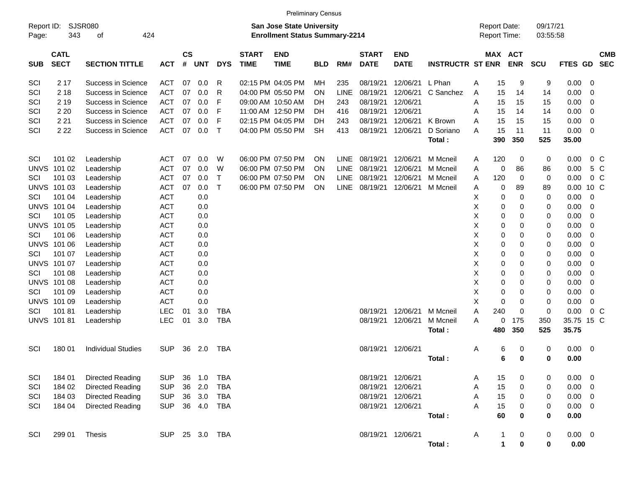|                     |                            |                           |            |                    |            |            |                             | <b>Preliminary Census</b>                                                 |            |             |                             |                           |                         |   |                                     |                  |                      |             |                |                          |
|---------------------|----------------------------|---------------------------|------------|--------------------|------------|------------|-----------------------------|---------------------------------------------------------------------------|------------|-------------|-----------------------------|---------------------------|-------------------------|---|-------------------------------------|------------------|----------------------|-------------|----------------|--------------------------|
| Report ID:<br>Page: | 343                        | SJSR080<br>424<br>οf      |            |                    |            |            |                             | <b>San Jose State University</b><br><b>Enrollment Status Summary-2214</b> |            |             |                             |                           |                         |   | <b>Report Date:</b><br>Report Time: |                  | 09/17/21<br>03:55:58 |             |                |                          |
| <b>SUB</b>          | <b>CATL</b><br><b>SECT</b> | <b>SECTION TITTLE</b>     | <b>ACT</b> | $\mathsf{cs}$<br># | <b>UNT</b> | <b>DYS</b> | <b>START</b><br><b>TIME</b> | <b>END</b><br><b>TIME</b>                                                 | <b>BLD</b> | RM#         | <b>START</b><br><b>DATE</b> | <b>END</b><br><b>DATE</b> | <b>INSTRUCTR ST ENR</b> |   | MAX ACT                             | <b>ENR</b>       | <b>SCU</b>           | <b>FTES</b> | <b>GD</b>      | <b>CMB</b><br><b>SEC</b> |
| SCI                 | 2 1 7                      | Success in Science        | <b>ACT</b> | 07                 | 0.0        | R          |                             | 02:15 PM 04:05 PM                                                         | MН         | 235         | 08/19/21                    | 12/06/21                  | L Phan                  | A | 15                                  | 9                | 9                    | 0.00        | 0              |                          |
| SCI                 | 2 1 8                      | Success in Science        | <b>ACT</b> | 07                 | 0.0        | R          |                             | 04:00 PM 05:50 PM                                                         | <b>ON</b>  | LINE        | 08/19/21                    | 12/06/21                  | C Sanchez               | A | 15                                  | 14               | 14                   | 0.00        | 0              |                          |
| SCI                 | 2 1 9                      | Success in Science        | <b>ACT</b> | 07                 | 0.0        | F          |                             | 09:00 AM 10:50 AM                                                         | DН         | 243         | 08/19/21                    | 12/06/21                  |                         | A | 15                                  | 15               | 15                   | 0.00        | 0              |                          |
| SCI                 | 2 2 0                      | Success in Science        | <b>ACT</b> | 07                 | 0.0        | F          |                             | 11:00 AM 12:50 PM                                                         | DН         | 416         | 08/19/21                    | 12/06/21                  |                         | A | 15                                  | 14               | 14                   | 0.00        | 0              |                          |
| SCI                 | 2 2 1                      | Success in Science        | <b>ACT</b> | 07                 | 0.0        | F          |                             | 02:15 PM 04:05 PM                                                         | DН         | 243         | 08/19/21                    | 12/06/21                  | K Brown                 | A | 15                                  | 15               | 15                   | 0.00        | 0              |                          |
| SCI                 | 2 2 2                      | Success in Science        | <b>ACT</b> | 07                 | 0.0        | Т          |                             | 04:00 PM 05:50 PM                                                         | <b>SH</b>  | 413         | 08/19/21                    | 12/06/21                  | D Soriano               | A | 15                                  | 11               | 11                   | 0.00        | 0              |                          |
|                     |                            |                           |            |                    |            |            |                             |                                                                           |            |             |                             |                           | Total:                  |   | 390                                 | 350              | 525                  | 35.00       |                |                          |
| SCI                 | 101 02                     | Leadership                | <b>ACT</b> | 07                 | 0.0        | W          |                             | 06:00 PM 07:50 PM                                                         | <b>ON</b>  | <b>LINE</b> | 08/19/21                    | 12/06/21                  | M Mcneil                | A | 120                                 | 0                | 0                    | 0.00        | 0 <sup>o</sup> |                          |
| <b>UNVS</b>         | 101 02                     | Leadership                | <b>ACT</b> | 07                 | 0.0        | W          |                             | 06:00 PM 07:50 PM                                                         | <b>ON</b>  | <b>LINE</b> | 08/19/21                    | 12/06/21                  | M Mcneil                | A | 0                                   | 86               | 86                   | 0.00        | 5 C            |                          |
| SCI                 | 101 03                     | Leadership                | <b>ACT</b> | 07                 | 0.0        | Т          |                             | 06:00 PM 07:50 PM                                                         | <b>ON</b>  | <b>LINE</b> | 08/19/21                    | 12/06/21                  | M Mcneil                | A | 120                                 | 0                | 0                    | 0.00        | 0 <sup>o</sup> |                          |
| <b>UNVS</b>         | 101 03                     | Leadership                | <b>ACT</b> | 07                 | 0.0        | Т          |                             | 06:00 PM 07:50 PM                                                         | ON         | <b>LINE</b> | 08/19/21                    | 12/06/21                  | M Mcneil                | A | 0                                   | 89               | 89                   | 0.00        | 10 C           |                          |
| SCI                 | 101 04                     | Leadership                | <b>ACT</b> |                    | 0.0        |            |                             |                                                                           |            |             |                             |                           |                         | X | 0                                   | 0                | 0                    | 0.00        | $\mathbf 0$    |                          |
| <b>UNVS</b>         | 101 04                     | Leadership                | <b>ACT</b> |                    | 0.0        |            |                             |                                                                           |            |             |                             |                           |                         | X | 0                                   | 0                | 0                    | 0.00        | 0              |                          |
| SCI                 | 101 05                     | Leadership                | <b>ACT</b> |                    | 0.0        |            |                             |                                                                           |            |             |                             |                           |                         | X | 0                                   | 0                | 0                    | 0.00        | 0              |                          |
| <b>UNVS</b>         | 101 05                     | Leadership                | <b>ACT</b> |                    | 0.0        |            |                             |                                                                           |            |             |                             |                           |                         | X | 0                                   | 0                | 0                    | 0.00        | 0              |                          |
| SCI                 | 101 06                     | Leadership                | <b>ACT</b> |                    | 0.0        |            |                             |                                                                           |            |             |                             |                           |                         | X | 0                                   | 0                | 0                    | 0.00        | 0              |                          |
| <b>UNVS</b>         | 101 06                     | Leadership                | <b>ACT</b> |                    | 0.0        |            |                             |                                                                           |            |             |                             |                           |                         | X | 0                                   | 0                | 0                    | 0.00        | 0              |                          |
| SCI                 | 101 07                     | Leadership                | <b>ACT</b> |                    | 0.0        |            |                             |                                                                           |            |             |                             |                           |                         | X | 0                                   | 0                | 0                    | 0.00        | 0              |                          |
| <b>UNVS</b>         | 101 07                     | Leadership                | <b>ACT</b> |                    | 0.0        |            |                             |                                                                           |            |             |                             |                           |                         | X | 0                                   | 0                | 0                    | 0.00        | 0              |                          |
| SCI                 | 101 08                     | Leadership                | <b>ACT</b> |                    | 0.0        |            |                             |                                                                           |            |             |                             |                           |                         | X | 0                                   | 0                | 0                    | 0.00        | 0              |                          |
| <b>UNVS</b>         | 101 08                     | Leadership                | <b>ACT</b> |                    | 0.0        |            |                             |                                                                           |            |             |                             |                           |                         | X | 0                                   | 0                | 0                    | 0.00        | 0              |                          |
| SCI                 | 101 09                     | Leadership                | <b>ACT</b> |                    | 0.0        |            |                             |                                                                           |            |             |                             |                           |                         | X | 0                                   | 0                | 0                    | 0.00        | 0              |                          |
| <b>UNVS</b>         | 101 09                     | Leadership                | <b>ACT</b> |                    | 0.0        |            |                             |                                                                           |            |             |                             |                           |                         | X | 0                                   | 0                | 0                    | 0.00        | 0              |                          |
| SCI                 | 10181                      | Leadership                | <b>LEC</b> | 01                 | 3.0        | <b>TBA</b> |                             |                                                                           |            |             | 08/19/21                    | 12/06/21                  | M Mcneil                | A | 240                                 | 0                | 0                    | 0.00        | $0\,C$         |                          |
| <b>UNVS</b>         | 10181                      | Leadership                | LEC        | 01                 | 3.0        | <b>TBA</b> |                             |                                                                           |            |             | 08/19/21                    | 12/06/21                  | M Mcneil                | A | 0                                   | 175              | 350                  | 35.75 15 C  |                |                          |
|                     |                            |                           |            |                    |            |            |                             |                                                                           |            |             |                             |                           | Total:                  |   | 480                                 | 350              | 525                  | 35.75       |                |                          |
| SCI                 | 180 01                     | <b>Individual Studies</b> | <b>SUP</b> | 36                 | 2.0        | <b>TBA</b> |                             |                                                                           |            |             | 08/19/21                    | 12/06/21                  |                         | Α | 6                                   | 0                | 0                    | 0.00        | 0              |                          |
|                     |                            |                           |            |                    |            |            |                             |                                                                           |            |             |                             |                           | Total:                  |   | 6                                   | $\bf{0}$         | 0                    | 0.00        |                |                          |
| SCI                 | 184 01                     | Directed Reading          | <b>SUP</b> | 36                 | 1.0        | <b>TBA</b> |                             |                                                                           |            |             | 08/19/21 12/06/21           |                           |                         | A | 15                                  | $\boldsymbol{0}$ | 0                    | 0.00        | 0              |                          |
| SCI                 | 184 02                     | Directed Reading          | <b>SUP</b> | 36                 | 2.0        | <b>TBA</b> |                             |                                                                           |            |             | 08/19/21                    | 12/06/21                  |                         | A | 15                                  | $\pmb{0}$        | 0                    | 0.00        | 0              |                          |
| SCI                 | 184 03                     | Directed Reading          | <b>SUP</b> |                    | 36 3.0     | <b>TBA</b> |                             |                                                                           |            |             | 08/19/21 12/06/21           |                           |                         | A | 15                                  | 0                | 0                    | 0.00        | - 0            |                          |
| SCI                 | 184 04                     | Directed Reading          | <b>SUP</b> |                    | 36 4.0     | <b>TBA</b> |                             |                                                                           |            |             | 08/19/21 12/06/21           |                           |                         | А | 15                                  | $\boldsymbol{0}$ | 0                    | 0.00        | - 0            |                          |
|                     |                            |                           |            |                    |            |            |                             |                                                                           |            |             |                             |                           | Total:                  |   | 60                                  | $\bf{0}$         | 0                    | 0.00        |                |                          |
| SCI                 | 299 01                     | Thesis                    | <b>SUP</b> |                    | 25 3.0     | TBA        |                             |                                                                           |            |             | 08/19/21 12/06/21           |                           |                         | Α | 1                                   | 0                | 0                    | $0.00 \t 0$ |                |                          |
|                     |                            |                           |            |                    |            |            |                             |                                                                           |            |             |                             |                           | Total:                  |   | $\mathbf 1$                         | $\pmb{0}$        | $\bf{0}$             | 0.00        |                |                          |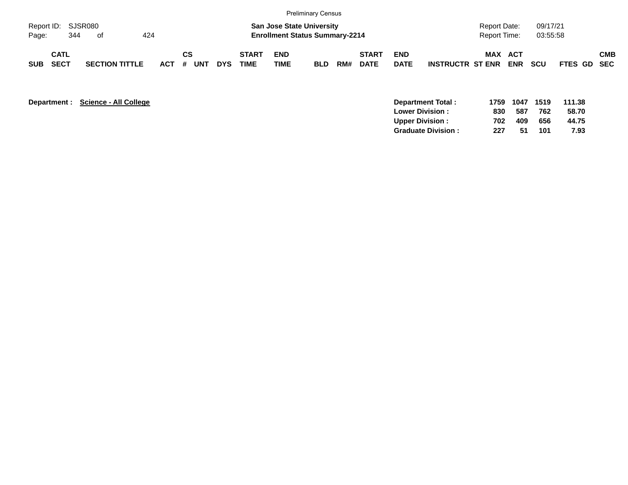|                             |                            |     |                       |     |         |    |     |            |                             |                           | Preliminary Census                                                        |     |                             |                           |                         |                              |            |                      |             |            |
|-----------------------------|----------------------------|-----|-----------------------|-----|---------|----|-----|------------|-----------------------------|---------------------------|---------------------------------------------------------------------------|-----|-----------------------------|---------------------------|-------------------------|------------------------------|------------|----------------------|-------------|------------|
| Report ID: SJSR080<br>Page: |                            | 344 | of                    | 424 |         |    |     |            |                             |                           | <b>San Jose State University</b><br><b>Enrollment Status Summary-2214</b> |     |                             |                           |                         | Report Date:<br>Report Time: |            | 09/17/21<br>03:55:58 |             |            |
| <b>SUB</b>                  | <b>CATL</b><br><b>SECT</b> |     | <b>SECTION TITTLE</b> |     | $ACT$ # | СS | UNT | <b>DYS</b> | <b>START</b><br><b>TIME</b> | <b>END</b><br><b>TIME</b> | <b>BLD</b>                                                                | RM# | <b>START</b><br><b>DATE</b> | <b>END</b><br><b>DATE</b> | <b>INSTRUCTR ST ENR</b> | MAX ACT                      | <b>ENR</b> | <b>SCU</b>           | FTES GD SEC | <b>CMB</b> |

| Department : | Science - All College<br>Department Total: | 1759 | 1047 | 1519 | 111.38 |
|--------------|--------------------------------------------|------|------|------|--------|
|              | <b>Lower Division:</b>                     | 830  | 587  | 762  | 58.70  |
|              | <b>Upper Division:</b>                     | 702  | 409  | 656  | 44.75  |
|              | <b>Graduate Division:</b>                  | 227  | 51   | 101  | 7.93   |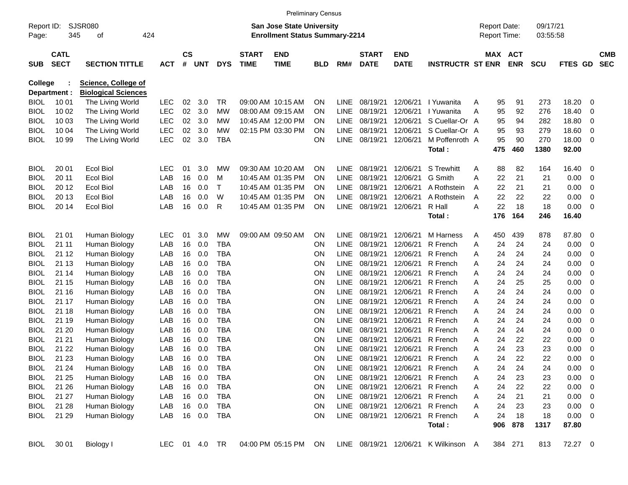|                     |                            |                             |               |                |            |            |                             | <b>Preliminary Census</b>                                                 |            |             |                             |                           |                         |   |                                     |            |                      |         |     |                          |
|---------------------|----------------------------|-----------------------------|---------------|----------------|------------|------------|-----------------------------|---------------------------------------------------------------------------|------------|-------------|-----------------------------|---------------------------|-------------------------|---|-------------------------------------|------------|----------------------|---------|-----|--------------------------|
| Report ID:<br>Page: | 345                        | <b>SJSR080</b><br>οf<br>424 |               |                |            |            |                             | <b>San Jose State University</b><br><b>Enrollment Status Summary-2214</b> |            |             |                             |                           |                         |   | <b>Report Date:</b><br>Report Time: |            | 09/17/21<br>03:55:58 |         |     |                          |
| <b>SUB</b>          | <b>CATL</b><br><b>SECT</b> | <b>SECTION TITTLE</b>       | <b>ACT</b>    | <b>CS</b><br># | <b>UNT</b> | <b>DYS</b> | <b>START</b><br><b>TIME</b> | <b>END</b><br><b>TIME</b>                                                 | <b>BLD</b> | RM#         | <b>START</b><br><b>DATE</b> | <b>END</b><br><b>DATE</b> | <b>INSTRUCTR ST ENR</b> |   | MAX ACT                             | <b>ENR</b> | <b>SCU</b>           | FTES GD |     | <b>CMB</b><br><b>SEC</b> |
| <b>College</b>      |                            | <b>Science, College of</b>  |               |                |            |            |                             |                                                                           |            |             |                             |                           |                         |   |                                     |            |                      |         |     |                          |
|                     | Department :               | <b>Biological Sciences</b>  |               |                |            |            |                             |                                                                           |            |             |                             |                           |                         |   |                                     |            |                      |         |     |                          |
| <b>BIOL</b>         | 10 01                      | The Living World            | <b>LEC</b>    | 02             | 3.0        | TR         | 09:00 AM 10:15 AM           |                                                                           | ΟN         | LINE.       | 08/19/21                    | 12/06/21                  | I Yuwanita              | Α | 95                                  | 91         | 273                  | 18.20   | 0   |                          |
| BIOL                | 10 02                      | The Living World            | <b>LEC</b>    | 02             | 3.0        | МW         | 08:00 AM 09:15 AM           |                                                                           | ΟN         | LINE        | 08/19/21                    | 12/06/21                  | I Yuwanita              | A | 95                                  | 92         | 276                  | 18.40   | 0   |                          |
| BIOL                | 10 03                      | The Living World            | <b>LEC</b>    | 02             | 3.0        | МW         | 10:45 AM 12:00 PM           |                                                                           | ON         | <b>LINE</b> | 08/19/21                    | 12/06/21                  | S Cuellar-Or A          |   | 95                                  | 94         | 282                  | 18.80   | 0   |                          |
| BIOL                | 10 04                      | The Living World            | <b>LEC</b>    | 02             | 3.0        | МW         | 02:15 PM 03:30 PM           |                                                                           | ΟN         | <b>LINE</b> | 08/19/21                    | 12/06/21                  | S Cuellar-Or A          |   | 95                                  | 93         | 279                  | 18.60   | 0   |                          |
| BIOL                | 10 99                      | The Living World            | <b>LEC</b>    | 02             | 3.0        | <b>TBA</b> |                             |                                                                           | ON         | LINE        | 08/19/21                    | 12/06/21                  | M Poffenroth A          |   | 95                                  | 90         | 270                  | 18.00   | 0   |                          |
|                     |                            |                             |               |                |            |            |                             |                                                                           |            |             |                             |                           | Total:                  |   | 475                                 | 460        | 1380                 | 92.00   |     |                          |
| <b>BIOL</b>         | 20 01                      | <b>Ecol Biol</b>            | LEC           | 01             | 3.0        | МW         | 09:30 AM 10:20 AM           |                                                                           | ΟN         | LINE.       | 08/19/21                    | 12/06/21                  | S Trewhitt              | A | 88                                  | 82         | 164                  | 16.40   | 0   |                          |
| <b>BIOL</b>         | 20 11                      | <b>Ecol Biol</b>            | LAB           | 16             | 0.0        | м          | 10:45 AM 01:35 PM           |                                                                           | ΟN         | LINE        | 08/19/21                    | 12/06/21                  | G Smith                 | A | 22                                  | 21         | 21                   | 0.00    | 0   |                          |
| <b>BIOL</b>         | 20 12                      | <b>Ecol Biol</b>            | LAB           | 16             | 0.0        | Т          | 10:45 AM 01:35 PM           |                                                                           | ON         | <b>LINE</b> | 08/19/21                    | 12/06/21                  | A Rothstein             | A | 22                                  | 21         | 21                   | 0.00    | 0   |                          |
| BIOL                | 20 13                      | <b>Ecol Biol</b>            | LAB           | 16             | 0.0        | W          | 10:45 AM 01:35 PM           |                                                                           | ON         | <b>LINE</b> | 08/19/21                    | 12/06/21                  | A Rothstein             | A | 22                                  | 22         | 22                   | 0.00    | 0   |                          |
| BIOL                | 20 14                      | <b>Ecol Biol</b>            | LAB           | 16             | 0.0        | R          |                             | 10:45 AM 01:35 PM                                                         | ON         | LINE        | 08/19/21                    | 12/06/21                  | R Hall                  | Α | 22                                  | 18         | 18                   | 0.00    | 0   |                          |
|                     |                            |                             |               |                |            |            |                             |                                                                           |            |             |                             |                           | Total:                  |   | 176                                 | 164        | 246                  | 16.40   |     |                          |
| <b>BIOL</b>         | 21 01                      | Human Biology               | <b>LEC</b>    | 01             | 3.0        | МW         | 09:00 AM 09:50 AM           |                                                                           | ON         | LINE.       | 08/19/21                    | 12/06/21                  | M Harness               | A | 450                                 | 439        | 878                  | 87.80   | 0   |                          |
| <b>BIOL</b>         | 21 11                      | Human Biology               | LAB           | 16             | 0.0        | <b>TBA</b> |                             |                                                                           | ΟN         | <b>LINE</b> | 08/19/21                    | 12/06/21                  | R French                | A | 24                                  | 24         | 24                   | 0.00    | 0   |                          |
| BIOL                | 21 12                      | Human Biology               | LAB           | 16             | 0.0        | <b>TBA</b> |                             |                                                                           | ΟN         | <b>LINE</b> | 08/19/21                    | 12/06/21                  | R French                | Α | 24                                  | 24         | 24                   | 0.00    | 0   |                          |
| BIOL                | 21 13                      | Human Biology               | LAB           | 16             | 0.0        | <b>TBA</b> |                             |                                                                           | ON         | <b>LINE</b> | 08/19/21                    | 12/06/21                  | R French                | Α | 24                                  | 24         | 24                   | 0.00    | 0   |                          |
| <b>BIOL</b>         | 21 14                      | Human Biology               | LAB           | 16             | 0.0        | <b>TBA</b> |                             |                                                                           | ON         | <b>LINE</b> | 08/19/21                    | 12/06/21                  | R French                | Α | 24                                  | 24         | 24                   | 0.00    | 0   |                          |
| BIOL                | 21 15                      | Human Biology               | LAB           | 16             | 0.0        | <b>TBA</b> |                             |                                                                           | ON         | <b>LINE</b> | 08/19/21                    | 12/06/21                  | R French                | Α | 24                                  | 25         | 25                   | 0.00    | 0   |                          |
| BIOL                | 21 16                      | Human Biology               | LAB           | 16             | 0.0        | <b>TBA</b> |                             |                                                                           | ON         | <b>LINE</b> | 08/19/21                    | 12/06/21                  | R French                | Α | 24                                  | 24         | 24                   | 0.00    | 0   |                          |
| <b>BIOL</b>         | 21 17                      | Human Biology               | LAB           | 16             | 0.0        | <b>TBA</b> |                             |                                                                           | ON         | <b>LINE</b> | 08/19/21                    | 12/06/21                  | R French                | Α | 24                                  | 24         | 24                   | 0.00    | 0   |                          |
| <b>BIOL</b>         | 21 18                      | Human Biology               | LAB           | 16             | 0.0        | <b>TBA</b> |                             |                                                                           | ON         | <b>LINE</b> | 08/19/21                    | 12/06/21                  | R French                | Α | 24                                  | 24         | 24                   | 0.00    | 0   |                          |
| BIOL                | 21 19                      | Human Biology               | LAB           | 16             | 0.0        | <b>TBA</b> |                             |                                                                           | ON         | <b>LINE</b> | 08/19/21                    | 12/06/21                  | R French                | Α | 24                                  | 24         | 24                   | 0.00    | 0   |                          |
| <b>BIOL</b>         | 21 20                      | Human Biology               | LAB           | 16             | 0.0        | <b>TBA</b> |                             |                                                                           | ON         | <b>LINE</b> | 08/19/21                    | 12/06/21                  | R French                | Α | 24                                  | 24         | 24                   | 0.00    | 0   |                          |
| <b>BIOL</b>         | 21 21                      | Human Biology               | LAB           | 16             | 0.0        | <b>TBA</b> |                             |                                                                           | ON         | <b>LINE</b> | 08/19/21                    | 12/06/21                  | R French                | Α | 24                                  | 22         | 22                   | 0.00    | 0   |                          |
| BIOL                | 21 22                      | Human Biology               | LAB           | 16             | 0.0        | <b>TBA</b> |                             |                                                                           | ON         | LINE        | 08/19/21                    | 12/06/21                  | R French                | Α | 24                                  | 23         | 23                   | 0.00    | 0   |                          |
| BIOL                | 21 23                      | Human Biology               | LAB           | 16             | 0.0        | <b>TBA</b> |                             |                                                                           | ΟN         | LINE        | 08/19/21                    | 12/06/21                  | R French                | Α | 24                                  | 22         | 22                   | 0.00    | 0   |                          |
| <b>BIOL</b>         | 21 24                      | Human Biology               | LAB           | 16             | 0.0        | <b>TBA</b> |                             |                                                                           | ON         | LINE        | 08/19/21                    |                           | 12/06/21 R French       | A | 24                                  | 24         | 24                   | 0.00    | 0   |                          |
| <b>BIOL</b>         | 21 25                      | Human Biology               | LAB           | 16             | 0.0        | <b>TBA</b> |                             |                                                                           | ON         | LINE        | 08/19/21                    | 12/06/21                  | R French                | A | 24                                  | 23         | 23                   | 0.00    | 0   |                          |
| <b>BIOL</b>         | 21 26                      | Human Biology               | LAB           |                | 16 0.0     | <b>TBA</b> |                             |                                                                           | <b>ON</b>  | LINE        | 08/19/21                    | 12/06/21                  | R French                | A | 24                                  | 22         | 22                   | 0.00    | 0   |                          |
| <b>BIOL</b>         | 21 27                      | Human Biology               | LAB           |                | 16 0.0     | <b>TBA</b> |                             |                                                                           | ON         | LINE        | 08/19/21                    | 12/06/21                  | R French                | A | 24                                  | 21         | 21                   | 0.00    | - 0 |                          |
| <b>BIOL</b>         | 21 28                      | Human Biology               | LAB           |                | 16 0.0     | <b>TBA</b> |                             |                                                                           | ON         | LINE        | 08/19/21                    | 12/06/21                  | R French                | A | 24                                  | 23         | 23                   | 0.00    | - 0 |                          |
| <b>BIOL</b>         | 21 29                      | Human Biology               | LAB           |                | 16 0.0     | TBA        |                             |                                                                           | ON         |             | LINE 08/19/21               | 12/06/21                  | R French                | A | 24                                  | 18         | 18                   | 0.00    | - 0 |                          |
|                     |                            |                             |               |                |            |            |                             |                                                                           |            |             |                             |                           | Total:                  |   | 906                                 | 878        | 1317                 | 87.80   |     |                          |
| <b>BIOL</b>         | 30 01                      | Biology I                   | LEC 01 4.0 TR |                |            |            |                             | 04:00 PM 05:15 PM                                                         | ON         |             |                             | LINE 08/19/21 12/06/21    | K Wilkinson A           |   |                                     | 384 271    | 813                  | 72.27 0 |     |                          |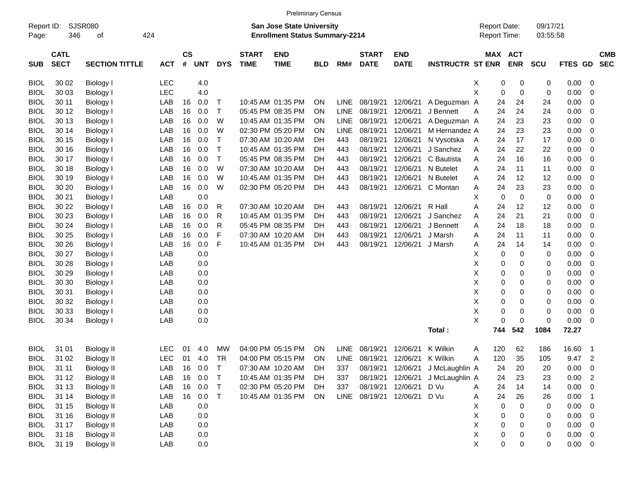|                     |                            |                       |            |                    |            |              |                             | <b>Preliminary Census</b>                                                 |            |             |                             |                           |                         |                                            |                            |                      |             |                |                          |
|---------------------|----------------------------|-----------------------|------------|--------------------|------------|--------------|-----------------------------|---------------------------------------------------------------------------|------------|-------------|-----------------------------|---------------------------|-------------------------|--------------------------------------------|----------------------------|----------------------|-------------|----------------|--------------------------|
| Report ID:<br>Page: | 346                        | SJSR080<br>424<br>οf  |            |                    |            |              |                             | <b>San Jose State University</b><br><b>Enrollment Status Summary-2214</b> |            |             |                             |                           |                         | <b>Report Date:</b><br><b>Report Time:</b> |                            | 09/17/21<br>03:55:58 |             |                |                          |
| <b>SUB</b>          | <b>CATL</b><br><b>SECT</b> | <b>SECTION TITTLE</b> | <b>ACT</b> | $\mathsf{cs}$<br># | <b>UNT</b> | <b>DYS</b>   | <b>START</b><br><b>TIME</b> | <b>END</b><br><b>TIME</b>                                                 | <b>BLD</b> | RM#         | <b>START</b><br><b>DATE</b> | <b>END</b><br><b>DATE</b> | <b>INSTRUCTR ST ENR</b> |                                            | MAX ACT<br><b>ENR</b>      | <b>SCU</b>           | FTES GD     |                | <b>CMB</b><br><b>SEC</b> |
| <b>BIOL</b>         | 30 02                      | Biology I             | <b>LEC</b> |                    | 4.0        |              |                             |                                                                           |            |             |                             |                           |                         | х                                          | 0<br>0                     | 0                    | 0.00        | - 0            |                          |
| <b>BIOL</b>         | 30 03                      | Biology I             | LEC        |                    | 4.0        |              |                             |                                                                           |            |             |                             |                           |                         | X                                          | 0<br>0                     | 0                    | 0.00        | $\mathbf 0$    |                          |
| <b>BIOL</b>         | 30 11                      | Biology I             | LAB        | 16                 | 0.0        | $\top$       |                             | 10:45 AM 01:35 PM                                                         | ON         | <b>LINE</b> | 08/19/21                    | 12/06/21                  | A Deguzman A            | 24                                         | 24                         | 24                   | 0.00        | 0              |                          |
| <b>BIOL</b>         | 30 12                      | Biology I             | LAB        | 16                 | 0.0        | $\top$       |                             | 05:45 PM 08:35 PM                                                         | <b>ON</b>  | <b>LINE</b> | 08/19/21                    | 12/06/21                  | J Bennett               | 24<br>Α                                    | 24                         | 24                   | 0.00        | 0              |                          |
| <b>BIOL</b>         | 30 13                      | Biology I             | LAB        | 16                 | 0.0        | W            |                             | 10:45 AM 01:35 PM                                                         | <b>ON</b>  | <b>LINE</b> | 08/19/21                    | 12/06/21                  | A Deguzman A            | 24                                         | 23                         | 23                   | 0.00        | 0              |                          |
| <b>BIOL</b>         | 30 14                      | Biology I             | LAB        | 16                 | 0.0        | W            |                             | 02:30 PM 05:20 PM                                                         | <b>ON</b>  | <b>LINE</b> | 08/19/21                    | 12/06/21                  | M Hernandez A           | 24                                         | 23                         | 23                   | 0.00        | 0              |                          |
| <b>BIOL</b>         | 30 15                      | Biology I             | LAB        | 16                 | 0.0        | $\top$       |                             | 07:30 AM 10:20 AM                                                         | DH         | 443         | 08/19/21                    | 12/06/21                  | N Vysotska              | 24<br>A                                    | 17                         | 17                   | 0.00        | $\mathbf 0$    |                          |
| <b>BIOL</b>         | 30 16                      | Biology I             | LAB        | 16                 | 0.0        | $\top$       |                             | 10:45 AM 01:35 PM                                                         | DH         | 443         | 08/19/21                    | 12/06/21                  | J Sanchez               | 24<br>Α                                    | 22                         | 22                   | 0.00        | 0              |                          |
| <b>BIOL</b>         | 30 17                      | Biology I             | LAB        | 16                 | 0.0        | $\top$       |                             | 05:45 PM 08:35 PM                                                         | DH         | 443         | 08/19/21                    | 12/06/21                  | C Bautista              | 24<br>Α                                    | 16                         | 16                   | 0.00        | 0              |                          |
| <b>BIOL</b>         | 30 18                      | Biology I             | LAB        | 16                 | 0.0        | W            |                             | 07:30 AM 10:20 AM                                                         | DH         | 443         | 08/19/21                    | 12/06/21                  | N Butelet               | 24<br>Α                                    | 11                         | 11                   | 0.00        | $\mathbf 0$    |                          |
| <b>BIOL</b>         | 30 19                      | Biology I             | LAB        | 16                 | 0.0        | W            |                             | 10:45 AM 01:35 PM                                                         | DH         | 443         | 08/19/21                    | 12/06/21                  | N Butelet               | Α<br>24                                    | 12                         | 12                   | 0.00        | $\mathbf 0$    |                          |
| <b>BIOL</b>         | 30 20                      | Biology I             | LAB        | 16                 | 0.0        | W            |                             | 02:30 PM 05:20 PM                                                         | DH         | 443         | 08/19/21                    | 12/06/21                  | C Montan                | 24<br>Α                                    | 23                         | 23                   | 0.00        | 0              |                          |
| <b>BIOL</b>         | 30 21                      | Biology I             | LAB        |                    | 0.0        |              |                             |                                                                           |            |             |                             |                           |                         | X                                          | $\mathbf 0$<br>$\mathbf 0$ | $\mathbf 0$          | 0.00        | $\mathbf 0$    |                          |
| <b>BIOL</b>         | 30 22                      | Biology I             | LAB        | 16                 | 0.0        | R            |                             | 07:30 AM 10:20 AM                                                         | DH         | 443         | 08/19/21                    | 12/06/21                  | R Hall                  | Α<br>24                                    | 12                         | 12                   | 0.00        | $\mathbf 0$    |                          |
| <b>BIOL</b>         | 30 23                      | Biology I             | LAB        | 16                 | 0.0        | R            |                             | 10:45 AM 01:35 PM                                                         | DH         | 443         | 08/19/21                    | 12/06/21                  | J Sanchez               | 24<br>Α                                    | 21                         | 21                   | 0.00        | $\mathbf 0$    |                          |
| <b>BIOL</b>         | 30 24                      | Biology I             | LAB        | 16                 | 0.0        | $\mathsf{R}$ |                             | 05:45 PM 08:35 PM                                                         | DH         | 443         | 08/19/21                    | 12/06/21                  | J Bennett               | Α<br>24                                    | 18                         | 18                   | 0.00        | 0              |                          |
| <b>BIOL</b>         | 30 25                      | Biology I             | LAB        | 16                 | 0.0        | F            |                             | 07:30 AM 10:20 AM                                                         | DH         | 443         | 08/19/21                    | 12/06/21                  | J Marsh                 | Α<br>24                                    | 11                         | 11                   | 0.00        | $\mathbf 0$    |                          |
| <b>BIOL</b>         | 30 26                      | Biology I             | LAB        | 16                 | 0.0        | F            |                             | 10:45 AM 01:35 PM                                                         | DH         | 443         | 08/19/21                    | 12/06/21                  | J Marsh                 | Α<br>24                                    | 14                         | 14                   | 0.00        | $\mathbf 0$    |                          |
| <b>BIOL</b>         | 30 27                      | Biology I             | LAB        |                    | 0.0        |              |                             |                                                                           |            |             |                             |                           |                         | X                                          | 0<br>0                     | 0                    | 0.00        | 0              |                          |
| <b>BIOL</b>         | 30 28                      | Biology I             | LAB        |                    | 0.0        |              |                             |                                                                           |            |             |                             |                           |                         | X                                          | 0<br>0                     | 0                    | 0.00        | 0              |                          |
| <b>BIOL</b>         | 30 29                      | Biology I             | LAB        |                    | 0.0        |              |                             |                                                                           |            |             |                             |                           |                         | X                                          | 0<br>0                     | 0                    | 0.00        | $\mathbf 0$    |                          |
| <b>BIOL</b>         | 30 30                      | Biology I             | LAB        |                    | 0.0        |              |                             |                                                                           |            |             |                             |                           |                         | X                                          | 0<br>0                     | 0                    | 0.00        | $\mathbf 0$    |                          |
| <b>BIOL</b>         | 30 31                      | Biology I             | LAB        |                    | 0.0        |              |                             |                                                                           |            |             |                             |                           |                         | X                                          | 0<br>0                     | 0                    | 0.00        | 0              |                          |
| <b>BIOL</b>         | 30 32                      | Biology I             | LAB        |                    | 0.0        |              |                             |                                                                           |            |             |                             |                           |                         | X                                          | 0<br>0                     | 0                    | 0.00        | $\mathbf 0$    |                          |
| <b>BIOL</b>         | 30 33                      | Biology I             | LAB        |                    | 0.0        |              |                             |                                                                           |            |             |                             |                           |                         | X                                          | 0<br>0                     | $\mathbf 0$          | 0.00        | $\mathbf 0$    |                          |
| <b>BIOL</b>         | 30 34                      | <b>Biology I</b>      | LAB        |                    | 0.0        |              |                             |                                                                           |            |             |                             |                           |                         | X                                          | 0<br>$\mathbf 0$           | $\mathbf 0$          | 0.00        | - 0            |                          |
|                     |                            |                       |            |                    |            |              |                             |                                                                           |            |             |                             |                           | Total:                  | 744                                        | 542                        | 1084                 | 72.27       |                |                          |
| <b>BIOL</b>         | 31 01                      | <b>Biology II</b>     | <b>LEC</b> | 01                 | 4.0        | МW           |                             | 04:00 PM 05:15 PM                                                         | <b>ON</b>  | <b>LINE</b> | 08/19/21                    | 12/06/21                  | K Wilkin                | Α<br>120                                   | 62                         | 186                  | 16.60       | - 1            |                          |
| <b>BIOL</b>         | 31 02                      | <b>Biology II</b>     | <b>LEC</b> | 01                 | 4.0        | <b>TR</b>    |                             | 04:00 PM 05:15 PM                                                         | <b>ON</b>  | <b>LINE</b> | 08/19/21                    | 12/06/21                  | K Wilkin                | A<br>120                                   | 35                         | 105                  | 9.47        | $\overline{2}$ |                          |
| <b>BIOL</b>         | 31 11                      | <b>Biology II</b>     | LAB        | 16                 | 0.0        | $\top$       |                             | 07:30 AM 10:20 AM                                                         | DH         | 337         |                             | 08/19/21 12/06/21         | J McLaughlin A          | 24                                         | 20                         | 20                   | $0.00 \t 0$ |                |                          |
| <b>BIOL</b>         | 31 12                      | <b>Biology II</b>     | LAB        | 16                 | 0.0        | $\top$       |                             | 10:45 AM 01:35 PM                                                         | DH         | 337         | 08/19/21                    | 12/06/21                  | J McLaughlin A          | 24                                         | 23                         | 23                   | 0.00 2      |                |                          |
| <b>BIOL</b>         | 31 13                      | <b>Biology II</b>     | LAB        | 16                 | 0.0        | $\top$       |                             | 02:30 PM 05:20 PM                                                         | DH         | 337         | 08/19/21                    | 12/06/21                  | D Vu                    | 24<br>Α                                    | 14                         | 14                   | $0.00 \t 0$ |                |                          |
| <b>BIOL</b>         | 31 14                      | <b>Biology II</b>     | LAB        | 16                 | 0.0        | $\top$       |                             | 10:45 AM 01:35 PM                                                         | ON         |             | LINE 08/19/21               | 12/06/21                  | D Vu                    | 24<br>Α                                    | 26                         | 26                   | $0.00$ 1    |                |                          |
| <b>BIOL</b>         | 31 15                      | <b>Biology II</b>     | LAB        |                    | 0.0        |              |                             |                                                                           |            |             |                             |                           |                         | Χ                                          | $\pmb{0}$<br>0             | 0                    | $0.00 \t 0$ |                |                          |
| <b>BIOL</b>         | 31 16                      | <b>Biology II</b>     | LAB        |                    | 0.0        |              |                             |                                                                           |            |             |                             |                           |                         | Χ                                          | 0<br>0                     | 0                    | $0.00 \t 0$ |                |                          |
| <b>BIOL</b>         | 31 17                      | <b>Biology II</b>     | LAB        |                    | 0.0        |              |                             |                                                                           |            |             |                             |                           |                         | Χ                                          | 0<br>0                     | 0                    | $0.00 \t 0$ |                |                          |
| <b>BIOL</b>         | 31 18                      | <b>Biology II</b>     | LAB        |                    | 0.0        |              |                             |                                                                           |            |             |                             |                           |                         | Χ                                          | 0<br>0                     | 0                    | $0.00 \t 0$ |                |                          |
| <b>BIOL</b>         | 31 19                      | <b>Biology II</b>     | LAB        |                    | 0.0        |              |                             |                                                                           |            |             |                             |                           |                         | X                                          | 0<br>$\mathbf 0$           | $\mathbf 0$          | $0.00 \t 0$ |                |                          |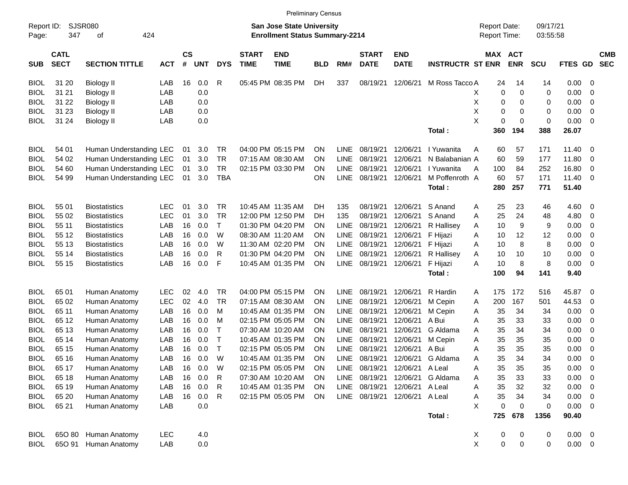|                     |                            |                             |            |                |            |              |                             | <b>Preliminary Census</b>                                                 |            |             |                             |                           |                         |                                     |            |                      |             |                          |                          |
|---------------------|----------------------------|-----------------------------|------------|----------------|------------|--------------|-----------------------------|---------------------------------------------------------------------------|------------|-------------|-----------------------------|---------------------------|-------------------------|-------------------------------------|------------|----------------------|-------------|--------------------------|--------------------------|
| Report ID:<br>Page: | 347                        | <b>SJSR080</b><br>424<br>οf |            |                |            |              |                             | <b>San Jose State University</b><br><b>Enrollment Status Summary-2214</b> |            |             |                             |                           |                         | <b>Report Date:</b><br>Report Time: |            | 09/17/21<br>03:55:58 |             |                          |                          |
| <b>SUB</b>          | <b>CATL</b><br><b>SECT</b> | <b>SECTION TITTLE</b>       | <b>ACT</b> | <b>CS</b><br># | <b>UNT</b> | <b>DYS</b>   | <b>START</b><br><b>TIME</b> | <b>END</b><br><b>TIME</b>                                                 | <b>BLD</b> | RM#         | <b>START</b><br><b>DATE</b> | <b>END</b><br><b>DATE</b> | <b>INSTRUCTR ST ENR</b> | <b>MAX ACT</b>                      | <b>ENR</b> | <b>SCU</b>           | FTES GD     |                          | <b>CMB</b><br><b>SEC</b> |
| <b>BIOL</b>         | 31 20                      | <b>Biology II</b>           | LAB        | 16             | 0.0        | R            |                             | 05:45 PM 08:35 PM                                                         | DH         | 337         | 08/19/21                    | 12/06/21                  | M Ross Tacco A          | 24                                  | 14         | 14                   | 0.00        | - 0                      |                          |
| <b>BIOL</b>         | 31 21                      | <b>Biology II</b>           | LAB        |                | 0.0        |              |                             |                                                                           |            |             |                             |                           |                         | X<br>0                              | 0          | 0                    | 0.00        | 0                        |                          |
| <b>BIOL</b>         | 31 22                      | Biology II                  | LAB        |                | 0.0        |              |                             |                                                                           |            |             |                             |                           |                         | Х<br>0                              | 0          | 0                    | 0.00        | 0                        |                          |
| <b>BIOL</b>         | 31 23                      | <b>Biology II</b>           | LAB        |                | 0.0        |              |                             |                                                                           |            |             |                             |                           |                         | Х<br>0                              | 0          | 0                    | 0.00        | 0                        |                          |
| <b>BIOL</b>         | 31 24                      | <b>Biology II</b>           | LAB        |                | 0.0        |              |                             |                                                                           |            |             |                             |                           |                         | X<br>0                              | 0          | 0                    | 0.00        | 0                        |                          |
|                     |                            |                             |            |                |            |              |                             |                                                                           |            |             |                             |                           | Total:                  | 360                                 | 194        | 388                  | 26.07       |                          |                          |
| <b>BIOL</b>         | 54 01                      | Human Understanding LEC     |            | 01             | 3.0        | TR           |                             | 04:00 PM 05:15 PM                                                         | <b>ON</b>  | <b>LINE</b> | 08/19/21                    | 12/06/21                  | I Yuwanita              | A<br>60                             | 57         | 171                  | 11.40       | - 0                      |                          |
| <b>BIOL</b>         | 54 02                      | Human Understanding LEC     |            | 01             | 3.0        | <b>TR</b>    |                             | 07:15 AM 08:30 AM                                                         | <b>ON</b>  | <b>LINE</b> | 08/19/21                    | 12/06/21                  | N Balabanian A          | 60                                  | 59         | 177                  | 11.80       | 0                        |                          |
| <b>BIOL</b>         | 54 60                      | Human Understanding LEC     |            | 01             | 3.0        | <b>TR</b>    |                             | 02:15 PM 03:30 PM                                                         | <b>ON</b>  | <b>LINE</b> | 08/19/21                    | 12/06/21                  | I Yuwanita              | Α<br>100                            | 84         | 252                  | 16.80       | 0                        |                          |
| <b>BIOL</b>         | 54 99                      | Human Understanding LEC     |            | 01             | 3.0        | <b>TBA</b>   |                             |                                                                           | ON         | <b>LINE</b> | 08/19/21                    | 12/06/21                  | M Poffenroth A          | 60                                  | 57         | 171                  | 11.40       | 0                        |                          |
|                     |                            |                             |            |                |            |              |                             |                                                                           |            |             |                             |                           | Total:                  | 280                                 | 257        | 771                  | 51.40       |                          |                          |
| <b>BIOL</b>         | 55 01                      | <b>Biostatistics</b>        | <b>LEC</b> | 01             | 3.0        | TR           |                             | 10:45 AM 11:35 AM                                                         | DН         | 135         | 08/19/21                    | 12/06/21                  | S Anand                 | 25<br>A                             | 23         | 46                   | 4.60        | 0                        |                          |
| <b>BIOL</b>         | 55 02                      | <b>Biostatistics</b>        | LEC        | 01             | 3.0        | <b>TR</b>    |                             | 12:00 PM 12:50 PM                                                         | DН         | 135         | 08/19/21                    | 12/06/21                  | S Anand                 | 25<br>Α                             | 24         | 48                   | 4.80        | 0                        |                          |
| <b>BIOL</b>         | 55 11                      | <b>Biostatistics</b>        | LAB        | 16             | 0.0        | $\top$       |                             | 01:30 PM 04:20 PM                                                         | <b>ON</b>  | <b>LINE</b> | 08/19/21                    | 12/06/21                  | R Hallisey              | 10<br>A                             | 9          | 9                    | 0.00        | 0                        |                          |
| <b>BIOL</b>         | 55 12                      | <b>Biostatistics</b>        | LAB        | 16             | 0.0        | W            |                             | 08:30 AM 11:20 AM                                                         | <b>ON</b>  | <b>LINE</b> | 08/19/21                    | 12/06/21                  | F Hijazi                | Α<br>10                             | 12         | 12                   | 0.00        | 0                        |                          |
| <b>BIOL</b>         | 55 13                      | <b>Biostatistics</b>        | LAB        | 16             | 0.0        | W            |                             | 11:30 AM 02:20 PM                                                         | <b>ON</b>  | LINE        | 08/19/21                    | 12/06/21                  | F Hijazi                | Α<br>10                             | 8          | 8                    | 0.00        | 0                        |                          |
| <b>BIOL</b>         | 55 14                      | <b>Biostatistics</b>        | LAB        | 16             | 0.0        | R            |                             | 01:30 PM 04:20 PM                                                         | <b>ON</b>  | LINE        | 08/19/21                    | 12/06/21                  | R Hallisey              | 10<br>A                             | 10         | 10                   | 0.00        | $\mathbf 0$              |                          |
| <b>BIOL</b>         | 55 15                      | <b>Biostatistics</b>        | LAB        | 16             | 0.0        | F            |                             | 10:45 AM 01:35 PM                                                         | ON         | <b>LINE</b> | 08/19/21                    | 12/06/21                  | F Hijazi                | A<br>10                             | 8          | 8                    | 0.00        | $\mathbf 0$              |                          |
|                     |                            |                             |            |                |            |              |                             |                                                                           |            |             |                             |                           | Total:                  | 100                                 | 94         | 141                  | 9.40        |                          |                          |
| <b>BIOL</b>         | 65 01                      | Human Anatomy               | <b>LEC</b> | 02             | 4.0        | TR           |                             | 04:00 PM 05:15 PM                                                         | <b>ON</b>  | <b>LINE</b> | 08/19/21                    | 12/06/21                  | R Hardin                | 175<br>A                            | 172        | 516                  | 45.87       | - 0                      |                          |
| <b>BIOL</b>         | 65 02                      | Human Anatomy               | <b>LEC</b> | 02             | 4.0        | <b>TR</b>    |                             | 07:15 AM 08:30 AM                                                         | <b>ON</b>  | <b>LINE</b> | 08/19/21                    | 12/06/21                  | M Cepin                 | Α<br>200                            | 167        | 501                  | 44.53       | 0                        |                          |
| <b>BIOL</b>         | 65 11                      | Human Anatomy               | LAB        | 16             | 0.0        | М            |                             | 10:45 AM 01:35 PM                                                         | <b>ON</b>  | <b>LINE</b> | 08/19/21                    | 12/06/21                  | M Cepin                 | Α<br>35                             | 34         | 34                   | 0.00        | 0                        |                          |
| <b>BIOL</b>         | 65 12                      | Human Anatomy               | LAB        | 16             | 0.0        | М            |                             | 02:15 PM 05:05 PM                                                         | <b>ON</b>  | <b>LINE</b> | 08/19/21                    | 12/06/21                  | A Bui                   | Α<br>35                             | 33         | 33                   | 0.00        | 0                        |                          |
| <b>BIOL</b>         | 65 13                      | Human Anatomy               | LAB        | 16             | 0.0        | Т            |                             | 07:30 AM 10:20 AM                                                         | <b>ON</b>  | <b>LINE</b> | 08/19/21                    | 12/06/21                  | G Aldama                | 35<br>Α                             | 34         | 34                   | 0.00        | 0                        |                          |
| <b>BIOL</b>         | 65 14                      | Human Anatomy               | LAB        | 16             | 0.0        | $\top$       |                             | 10:45 AM 01:35 PM                                                         | <b>ON</b>  | LINE        | 08/19/21                    | 12/06/21                  | M Cepin                 | Α<br>35                             | 35         | 35                   | 0.00        | 0                        |                          |
| <b>BIOL</b>         | 65 15                      | Human Anatomy               | LAB        | 16             | 0.0        | $\top$       |                             | 02:15 PM 05:05 PM                                                         | <b>ON</b>  | <b>LINE</b> | 08/19/21                    | 12/06/21                  | A Bui                   | Α<br>35                             | 35         | 35                   | 0.00        | 0                        |                          |
| <b>BIOL</b>         | 65 16                      | Human Anatomy               | LAB        | 16             | 0.0        | W            |                             | 10:45 AM 01:35 PM                                                         | ON         | <b>LINE</b> | 08/19/21                    | 12/06/21                  | G Aldama                | 35<br>A                             | 34         | 34                   | 0.00        | $\mathbf 0$              |                          |
| <b>BIOL</b>         | 65 17                      | Human Anatomy               | LAB        | 16             | 0.0        | W            |                             | 02:15 PM 05:05 PM                                                         | <b>ON</b>  | LINE        | 08/19/21                    | 12/06/21                  | A Leal                  | 35<br>A                             | 35         | 35                   | 0.00        | $\overline{\phantom{0}}$ |                          |
| <b>BIOL</b>         | 65 18                      | Human Anatomy               | LAB        | 16             | 0.0        | R            |                             | 07:30 AM 10:20 AM                                                         | <b>ON</b>  | LINE        | 08/19/21                    | 12/06/21                  | G Aldama                | 35<br>A                             | 33         | 33                   | 0.00        | $\overline{\phantom{0}}$ |                          |
| <b>BIOL</b>         | 65 19                      | Human Anatomy               | LAB        |                | 16 0.0     | $\mathsf{R}$ |                             | 10:45 AM 01:35 PM                                                         | <b>ON</b>  |             | LINE 08/19/21               | 12/06/21                  | A Leal                  | 35<br>Α                             | 32         | 32                   | 0.00        | $\overline{\phantom{0}}$ |                          |
| <b>BIOL</b>         | 65 20                      | Human Anatomy               | LAB        | 16             | 0.0        | $\mathsf{R}$ |                             | 02:15 PM 05:05 PM                                                         | <b>ON</b>  |             | LINE 08/19/21               | 12/06/21                  | A Leal                  | 35<br>Α                             | 34         | 34                   | 0.00        | $\overline{\phantom{0}}$ |                          |
| <b>BIOL</b>         | 65 21                      | Human Anatomy               | LAB        |                | 0.0        |              |                             |                                                                           |            |             |                             |                           |                         | X<br>0                              | 0          | 0                    | $0.00 \t 0$ |                          |                          |
|                     |                            |                             |            |                |            |              |                             |                                                                           |            |             |                             |                           | Total:                  | 725                                 | 678        | 1356                 | 90.40       |                          |                          |
| <b>BIOL</b>         | 65O 80                     | Human Anatomy               | <b>LEC</b> |                | 4.0        |              |                             |                                                                           |            |             |                             |                           |                         | X<br>$\mathbf 0$                    | 0          | 0                    | $0.00 \t 0$ |                          |                          |
| <b>BIOL</b>         |                            | 65O 91 Human Anatomy        | LAB        |                | 0.0        |              |                             |                                                                           |            |             |                             |                           |                         | X<br>$\pmb{0}$                      | 0          | 0                    | $0.00 \t 0$ |                          |                          |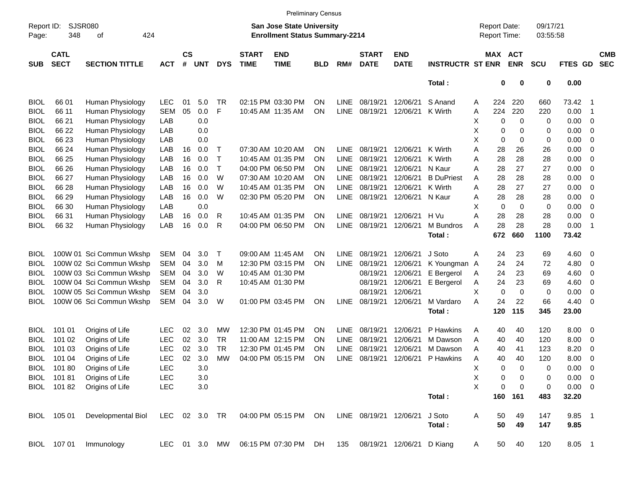|                     |                            |                          |            |                    |            |            |                             | <b>Preliminary Census</b>                                                 |            |             |                             |                           |                         |   |                                     |             |                      |             |                          |                          |
|---------------------|----------------------------|--------------------------|------------|--------------------|------------|------------|-----------------------------|---------------------------------------------------------------------------|------------|-------------|-----------------------------|---------------------------|-------------------------|---|-------------------------------------|-------------|----------------------|-------------|--------------------------|--------------------------|
| Report ID:<br>Page: | SJSR080<br>348             | 424<br>οf                |            |                    |            |            |                             | <b>San Jose State University</b><br><b>Enrollment Status Summary-2214</b> |            |             |                             |                           |                         |   | <b>Report Date:</b><br>Report Time: |             | 09/17/21<br>03:55:58 |             |                          |                          |
| <b>SUB</b>          | <b>CATL</b><br><b>SECT</b> | <b>SECTION TITTLE</b>    | <b>ACT</b> | $\mathsf{cs}$<br># | <b>UNT</b> | <b>DYS</b> | <b>START</b><br><b>TIME</b> | <b>END</b><br><b>TIME</b>                                                 | <b>BLD</b> | RM#         | <b>START</b><br><b>DATE</b> | <b>END</b><br><b>DATE</b> | <b>INSTRUCTR ST ENR</b> |   | MAX ACT                             | <b>ENR</b>  | <b>SCU</b>           | FTES GD     |                          | <b>CMB</b><br><b>SEC</b> |
|                     |                            |                          |            |                    |            |            |                             |                                                                           |            |             |                             |                           | Total:                  |   | $\bf{0}$                            | 0           | 0                    | 0.00        |                          |                          |
| <b>BIOL</b>         | 66 01                      | Human Physiology         | <b>LEC</b> | 01                 | 5.0        | <b>TR</b>  |                             | 02:15 PM 03:30 PM                                                         | <b>ON</b>  | <b>LINE</b> | 08/19/21                    | 12/06/21                  | S Anand                 | A | 224                                 | 220         | 660                  | 73.42       | - 1                      |                          |
| <b>BIOL</b>         | 66 11                      | Human Physiology         | <b>SEM</b> | 05                 | 0.0        | F          |                             | 10:45 AM 11:35 AM                                                         | <b>ON</b>  | <b>LINE</b> | 08/19/21                    | 12/06/21                  | K Wirth                 | A | 224                                 | 220         | 220                  | 0.00        | $\overline{\mathbf{1}}$  |                          |
| <b>BIOL</b>         | 66 21                      | Human Physiology         | LAB        |                    | 0.0        |            |                             |                                                                           |            |             |                             |                           |                         | Χ | 0                                   | 0           | 0                    | 0.00        | $\mathbf 0$              |                          |
| <b>BIOL</b>         | 66 22                      | Human Physiology         | LAB        |                    | 0.0        |            |                             |                                                                           |            |             |                             |                           |                         | X | 0                                   | 0           | 0                    | 0.00        | 0                        |                          |
| <b>BIOL</b>         | 66 23                      | Human Physiology         | LAB        |                    | 0.0        |            |                             |                                                                           |            |             |                             |                           |                         | X | $\mathbf 0$                         | 0           | 0                    | 0.00        | 0                        |                          |
| <b>BIOL</b>         | 66 24                      | Human Physiology         | LAB        | 16                 | 0.0        | Т          |                             | 07:30 AM 10:20 AM                                                         | <b>ON</b>  | LINE.       | 08/19/21                    | 12/06/21                  | K Wirth                 | Α | 28                                  | 26          | 26                   | 0.00        | $\mathbf 0$              |                          |
| <b>BIOL</b>         | 66 25                      | Human Physiology         | LAB        | 16                 | 0.0        | Т          |                             | 10:45 AM 01:35 PM                                                         | <b>ON</b>  | <b>LINE</b> | 08/19/21                    | 12/06/21                  | K Wirth                 | Α | 28                                  | 28          | 28                   | 0.00        | 0                        |                          |
| <b>BIOL</b>         | 66 26                      | Human Physiology         | LAB        | 16                 | 0.0        | Т          |                             | 04:00 PM 06:50 PM                                                         | <b>ON</b>  | <b>LINE</b> | 08/19/21                    | 12/06/21                  | N Kaur                  | Α | 28                                  | 27          | 27                   | 0.00        | 0                        |                          |
| <b>BIOL</b>         | 66 27                      | Human Physiology         | LAB        | 16                 | 0.0        | W          |                             | 07:30 AM 10:20 AM                                                         | <b>ON</b>  | <b>LINE</b> | 08/19/21                    | 12/06/21                  | <b>B</b> DuPriest       | Α | 28                                  | 28          | 28                   | 0.00        | 0                        |                          |
| <b>BIOL</b>         | 66 28                      | Human Physiology         | LAB        | 16                 | 0.0        | W          |                             | 10:45 AM 01:35 PM                                                         | <b>ON</b>  | <b>LINE</b> | 08/19/21                    | 12/06/21                  | K Wirth                 | Α | 28                                  | 27          | 27                   | 0.00        | 0                        |                          |
| <b>BIOL</b>         | 66 29                      | Human Physiology         | LAB        | 16                 | 0.0        | W          |                             | 02:30 PM 05:20 PM                                                         | <b>ON</b>  | <b>LINE</b> | 08/19/21                    | 12/06/21                  | N Kaur                  | Α | 28                                  | 28          | 28                   | 0.00        | 0                        |                          |
| <b>BIOL</b>         | 66 30                      | Human Physiology         | LAB        |                    | 0.0        |            |                             |                                                                           |            |             |                             |                           |                         | X | $\mathbf 0$                         | $\mathbf 0$ | 0                    | 0.00        | 0                        |                          |
| <b>BIOL</b>         | 66 31                      | Human Physiology         | LAB        | 16                 | 0.0        | R          |                             | 10:45 AM 01:35 PM                                                         | <b>ON</b>  | <b>LINE</b> | 08/19/21                    | 12/06/21                  | H Vu                    | A | 28                                  | 28          | 28                   | 0.00        | 0                        |                          |
| BIOL                | 66 32                      | Human Physiology         | LAB        | 16                 | 0.0        | R          |                             | 04:00 PM 06:50 PM                                                         | <b>ON</b>  | <b>LINE</b> | 08/19/21                    | 12/06/21                  | M Bundros               | A | 28                                  | 28          | 28                   | 0.00        | $\overline{\mathbf{1}}$  |                          |
|                     |                            |                          |            |                    |            |            |                             |                                                                           |            |             |                             |                           | Total:                  |   | 672                                 | 660         | 1100                 | 73.42       |                          |                          |
| <b>BIOL</b>         |                            | 100W 01 Sci Commun Wkshp | SEM        | 04                 | 3.0        | Т          |                             | 09:00 AM 11:45 AM                                                         | <b>ON</b>  | LINE.       | 08/19/21                    | 12/06/21                  | J Soto                  | Α | 24                                  | 23          | 69                   | 4.60        | 0                        |                          |
| <b>BIOL</b>         |                            | 100W 02 Sci Commun Wkshp | <b>SEM</b> | 04                 | 3.0        | M          |                             | 12:30 PM 03:15 PM                                                         | <b>ON</b>  | <b>LINE</b> | 08/19/21                    | 12/06/21                  | K Youngman A            |   | 24                                  | 24          | 72                   | 4.80        | 0                        |                          |
| <b>BIOL</b>         |                            | 100W 03 Sci Commun Wkshp | SEM        | 04                 | 3.0        | W          |                             | 10:45 AM 01:30 PM                                                         |            |             | 08/19/21                    | 12/06/21                  | E Bergerol              | A | 24                                  | 23          | 69                   | 4.60        | 0                        |                          |
| <b>BIOL</b>         |                            | 100W 04 Sci Commun Wkshp | SEM        | 04                 | 3.0        | R          |                             | 10:45 AM 01:30 PM                                                         |            |             | 08/19/21                    | 12/06/21                  | E Bergerol              | Α | 24                                  | 23          | 69                   | 4.60        | 0                        |                          |
| <b>BIOL</b>         |                            | 100W 05 Sci Commun Wkshp | SEM        | 04                 | 3.0        |            |                             |                                                                           |            |             | 08/19/21                    | 12/06/21                  |                         | X | $\mathbf 0$                         | $\mathbf 0$ | 0                    | 0.00        | 0                        |                          |
| <b>BIOL</b>         |                            | 100W 06 Sci Commun Wkshp | SEM        | 04                 | 3.0        | W          |                             | 01:00 PM 03:45 PM                                                         | <b>ON</b>  | <b>LINE</b> | 08/19/21                    | 12/06/21                  | M Vardaro               | Α | 24                                  | 22          | 66                   | 4.40        | 0                        |                          |
|                     |                            |                          |            |                    |            |            |                             |                                                                           |            |             |                             |                           | Total:                  |   | 120                                 | 115         | 345                  | 23.00       |                          |                          |
| <b>BIOL</b>         | 101 01                     | Origins of Life          | <b>LEC</b> | 02                 | 3.0        | МW         |                             | 12:30 PM 01:45 PM                                                         | <b>ON</b>  | LINE.       | 08/19/21                    | 12/06/21                  | P Hawkins               | Α | 40                                  | 40          | 120                  | 8.00        | $\mathbf 0$              |                          |
| <b>BIOL</b>         | 101 02                     | Origins of Life          | <b>LEC</b> | 02                 | 3.0        | <b>TR</b>  |                             | 11:00 AM 12:15 PM                                                         | <b>ON</b>  | <b>LINE</b> | 08/19/21                    | 12/06/21                  | M Dawson                | A | 40                                  | 40          | 120                  | 8.00        | 0                        |                          |
| <b>BIOL</b>         | 101 03                     | Origins of Life          | <b>LEC</b> | 02                 | 3.0        | <b>TR</b>  |                             | 12:30 PM 01:45 PM                                                         | <b>ON</b>  | <b>LINE</b> | 08/19/21                    | 12/06/21                  | M Dawson                | A | 40                                  | 41          | 123                  | 8.20        | 0                        |                          |
| <b>BIOL</b>         | 101 04                     | Origins of Life          | <b>LEC</b> | 02                 | 3.0        | <b>MW</b>  |                             | 04:00 PM 05:15 PM                                                         | <b>ON</b>  | <b>LINE</b> | 08/19/21                    | 12/06/21                  | P Hawkins               | Α | 40                                  | 40          | 120                  | 8.00        | 0                        |                          |
|                     | BIOL 101 80                | Origins of Life          | LEC        |                    | 3.0        |            |                             |                                                                           |            |             |                             |                           |                         | Χ | 0                                   | 0           | 0                    | 0.00        | $\overline{\phantom{0}}$ |                          |
| BIOL                | 10181                      | Origins of Life          | LEC        |                    | 3.0        |            |                             |                                                                           |            |             |                             |                           |                         | Χ | 0                                   | 0           | 0                    | $0.00 \t 0$ |                          |                          |
|                     | BIOL 101 82                | Origins of Life          | LEC        |                    | 3.0        |            |                             |                                                                           |            |             |                             |                           |                         | X | 0                                   | $\mathbf 0$ | 0                    | $0.00 \t 0$ |                          |                          |
|                     |                            |                          |            |                    |            |            |                             |                                                                           |            |             |                             |                           | Total:                  |   | 160                                 | 161         | 483                  | 32.20       |                          |                          |
| BIOL                | 105 01                     | Developmental Biol       | <b>LEC</b> |                    | 02 3.0     | <b>TR</b>  |                             | 04:00 PM 05:15 PM                                                         | ON         |             | LINE 08/19/21 12/06/21      |                           | J Soto                  | A | 50                                  | 49          | 147                  | 9.85 1      |                          |                          |
|                     |                            |                          |            |                    |            |            |                             |                                                                           |            |             |                             |                           | Total:                  |   | 50                                  | 49          | 147                  | 9.85        |                          |                          |
|                     | BIOL 107 01                | Immunology               | LEC.       |                    | 01 3.0     | MW         |                             | 06:15 PM 07:30 PM                                                         | DH         | 135         |                             | 08/19/21 12/06/21         | D Kiang                 | A | 50                                  | 40          | 120                  | 8.05 1      |                          |                          |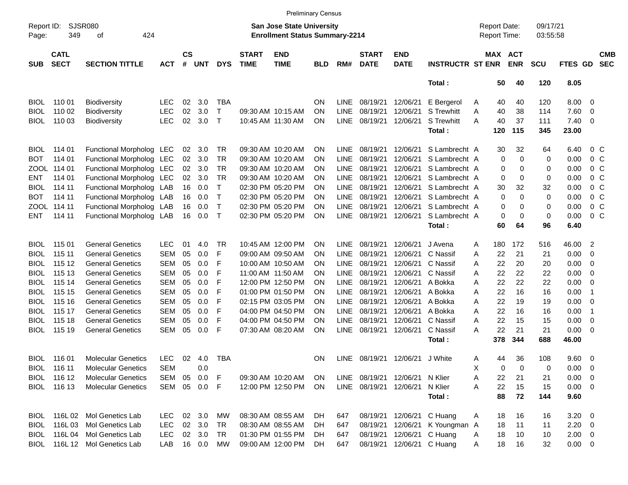|                     |                            |                              |            |                |            |            |                             |                                                                    | <b>Preliminary Census</b> |             |                             |                           |                         |   |                                     |            |                      |             |                          |                          |
|---------------------|----------------------------|------------------------------|------------|----------------|------------|------------|-----------------------------|--------------------------------------------------------------------|---------------------------|-------------|-----------------------------|---------------------------|-------------------------|---|-------------------------------------|------------|----------------------|-------------|--------------------------|--------------------------|
| Report ID:<br>Page: | 349                        | SJSR080<br>424<br>оf         |            |                |            |            |                             | San Jose State University<br><b>Enrollment Status Summary-2214</b> |                           |             |                             |                           |                         |   | <b>Report Date:</b><br>Report Time: |            | 09/17/21<br>03:55:58 |             |                          |                          |
| <b>SUB</b>          | <b>CATL</b><br><b>SECT</b> | <b>SECTION TITTLE</b>        | <b>ACT</b> | <b>CS</b><br># | <b>UNT</b> | <b>DYS</b> | <b>START</b><br><b>TIME</b> | <b>END</b><br><b>TIME</b>                                          | <b>BLD</b>                | RM#         | <b>START</b><br><b>DATE</b> | <b>END</b><br><b>DATE</b> | <b>INSTRUCTR ST ENR</b> |   | MAX ACT                             | <b>ENR</b> | <b>SCU</b>           | FTES GD     |                          | <b>CMB</b><br><b>SEC</b> |
|                     |                            |                              |            |                |            |            |                             |                                                                    |                           |             |                             |                           | Total:                  |   | 50                                  | 40         | 120                  | 8.05        |                          |                          |
| BIOL.               | 110 01                     | Biodiversity                 | LEC        | 02             | 3.0        | <b>TBA</b> |                             |                                                                    | <b>ON</b>                 | <b>LINE</b> | 08/19/21                    | 12/06/21                  | E Bergerol              | A | 40                                  | 40         | 120                  | 8.00        | $\overline{\mathbf{0}}$  |                          |
| <b>BIOL</b>         | 110 02                     | <b>Biodiversity</b>          | <b>LEC</b> | 02             | 3.0        | т          |                             | 09:30 AM 10:15 AM                                                  | ON                        | <b>LINE</b> | 08/19/21                    | 12/06/21                  | <b>S</b> Trewhitt       | Α | 40                                  | 38         | 114                  | 7.60        | 0                        |                          |
| <b>BIOL</b>         | 110 03                     | <b>Biodiversity</b>          | <b>LEC</b> | 02             | 3.0        | $\top$     |                             | 10:45 AM 11:30 AM                                                  | ΟN                        | <b>LINE</b> | 08/19/21                    | 12/06/21                  | S Trewhitt              | A | 40                                  | 37         | 111                  | 7.40        | 0                        |                          |
|                     |                            |                              |            |                |            |            |                             |                                                                    |                           |             |                             |                           | Total:                  |   | 120                                 | 115        | 345                  | 23.00       |                          |                          |
| <b>BIOL</b>         | 114 01                     | Functional Morpholog LEC     |            | 02             | 3.0        | TR         |                             | 09:30 AM 10:20 AM                                                  | ΟN                        | LINE        | 08/19/21                    | 12/06/21                  | S Lambrecht A           |   | 30                                  | 32         | 64                   | 6.40        | $0\,$ C                  |                          |
| BOT                 | 114 01                     | Functional Morpholog LEC     |            | 02             | 3.0        | TR         |                             | 09:30 AM 10:20 AM                                                  | ON                        | <b>LINE</b> | 08/19/21                    | 12/06/21                  | S Lambrecht A           |   | 0                                   | 0          | 0                    | 0.00        | 0 <sup>o</sup>           |                          |
|                     | ZOOL 114 01                | Functional Morpholog LEC     |            | 02             | 3.0        | TR         |                             | 09:30 AM 10:20 AM                                                  | ON                        | <b>LINE</b> | 08/19/21                    | 12/06/21                  | S Lambrecht A           |   | 0                                   | 0          | 0                    | 0.00        | 0 <sup>o</sup>           |                          |
| <b>ENT</b>          | 114 01                     | Functional Morpholog LEC     |            | 02             | 3.0        | TR         |                             | 09:30 AM 10:20 AM                                                  | ON                        | LINE        | 08/19/21                    | 12/06/21                  | S Lambrecht A           |   | 0                                   | 0          | 0                    | 0.00        | 0 <sup>o</sup>           |                          |
| <b>BIOL</b>         | 114 11                     | Functional Morpholog LAB     |            | 16             | 0.0        | т          |                             | 02:30 PM 05:20 PM                                                  | ON                        | LINE        | 08/19/21                    | 12/06/21                  | S Lambrecht A           |   | 30                                  | 32         | 32                   | 0.00        | 0 <sup>o</sup>           |                          |
| BOT                 | 114 11                     | Functional Morpholog LAB     |            | 16             | 0.0        | Τ          |                             | 02:30 PM 05:20 PM                                                  | ON                        | LINE        | 08/19/21                    | 12/06/21                  | S Lambrecht A           |   | 0                                   | $\Omega$   | 0                    | 0.00        | 0 <sup>o</sup>           |                          |
|                     | ZOOL 114 11                | Functional Morpholog LAB     |            | 16             | 0.0        | Τ          |                             | 02:30 PM 05:20 PM                                                  | ON                        | LINE        | 08/19/21                    | 12/06/21                  | S Lambrecht A           |   | 0                                   | 0          | 0                    | 0.00        | 0 <sup>o</sup>           |                          |
| <b>ENT</b>          | 114 11                     | Functional Morpholog LAB     |            | 16             | 0.0        | $\top$     |                             | 02:30 PM 05:20 PM                                                  | ON                        | <b>LINE</b> | 08/19/21                    | 12/06/21                  | S Lambrecht A           |   | 0                                   | 0          | 0                    | 0.00        | $0\,C$                   |                          |
|                     |                            |                              |            |                |            |            |                             |                                                                    |                           |             |                             |                           | Total:                  |   | 60                                  | 64         | 96                   | 6.40        |                          |                          |
| <b>BIOL</b>         | 115 01                     | <b>General Genetics</b>      | <b>LEC</b> | 01             | 4.0        | TR         |                             | 10:45 AM 12:00 PM                                                  | ΟN                        | LINE        | 08/19/21                    | 12/06/21                  | J Avena                 | A | 180                                 | 172        | 516                  | 46.00       | 2                        |                          |
| <b>BIOL</b>         | 115 11                     | <b>General Genetics</b>      | <b>SEM</b> | 05             | 0.0        | F          |                             | 09:00 AM 09:50 AM                                                  | ON                        | <b>LINE</b> | 08/19/21                    | 12/06/21                  | C Nassif                | Α | 22                                  | 21         | 21                   | 0.00        | 0                        |                          |
| <b>BIOL</b>         | 115 12                     | <b>General Genetics</b>      | <b>SEM</b> | 05             | 0.0        | F          |                             | 10:00 AM 10:50 AM                                                  | ON                        | <b>LINE</b> | 08/19/21                    | 12/06/21                  | C Nassif                | Α | 22                                  | 20         | 20                   | 0.00        | 0                        |                          |
| <b>BIOL</b>         | 115 13                     | <b>General Genetics</b>      | <b>SEM</b> | 05             | 0.0        | F          |                             | 11:00 AM 11:50 AM                                                  | ON                        | LINE        | 08/19/21                    | 12/06/21                  | C Nassif                | Α | 22                                  | 22         | 22                   | 0.00        | 0                        |                          |
| <b>BIOL</b>         | 115 14                     | <b>General Genetics</b>      | <b>SEM</b> | 05             | 0.0        | F          |                             | 12:00 PM 12:50 PM                                                  | ON                        | LINE        | 08/19/21                    | 12/06/21                  | A Bokka                 | A | 22                                  | 22         | 22                   | 0.00        | 0                        |                          |
| <b>BIOL</b>         | 115 15                     | <b>General Genetics</b>      | <b>SEM</b> | 05             | 0.0        | F          |                             | 01:00 PM 01:50 PM                                                  | ON                        | <b>LINE</b> | 08/19/21                    | 12/06/21                  | A Bokka                 | Α | 22                                  | 16         | 16                   | 0.00        | $\overline{\mathbf{1}}$  |                          |
| <b>BIOL</b>         | 115 16                     | <b>General Genetics</b>      | <b>SEM</b> | 05             | 0.0        | F          |                             | 02:15 PM 03:05 PM                                                  | ON                        | LINE        | 08/19/21                    | 12/06/21                  | A Bokka                 | Α | 22                                  | 19         | 19                   | 0.00        | 0                        |                          |
| <b>BIOL</b>         | 115 17                     | <b>General Genetics</b>      | <b>SEM</b> | 05             | 0.0        | F          |                             | 04:00 PM 04:50 PM                                                  | ON                        | <b>LINE</b> | 08/19/21                    | 12/06/21                  | A Bokka                 | A | 22                                  | 16         | 16                   | 0.00        | $\overline{\mathbf{1}}$  |                          |
| <b>BIOL</b>         | 115 18                     | <b>General Genetics</b>      | <b>SEM</b> | 05             | 0.0        | F          |                             | 04:00 PM 04:50 PM                                                  | ON                        | LINE        | 08/19/21                    | 12/06/21                  | C Nassif                | A | 22                                  | 15         | 15                   | 0.00        | 0                        |                          |
| BIOL                | 115 19                     | <b>General Genetics</b>      | <b>SEM</b> | 05             | 0.0        | F          |                             | 07:30 AM 08:20 AM                                                  | ON                        | <b>LINE</b> | 08/19/21                    | 12/06/21                  | C Nassif                | A | 22                                  | 21         | 21                   | 0.00        | 0                        |                          |
|                     |                            |                              |            |                |            |            |                             |                                                                    |                           |             |                             |                           | Total:                  |   | 378                                 | 344        | 688                  | 46.00       |                          |                          |
| <b>BIOL</b>         | 116 01                     | <b>Molecular Genetics</b>    | <b>LEC</b> | 02             | -4.0       | TBA        |                             |                                                                    | <b>ON</b>                 | <b>LINE</b> | 08/19/21 12/06/21           |                           | J White                 | Α | 44                                  | 36         | 108                  | 9.60        | $\overline{\phantom{0}}$ |                          |
|                     | BIOL 116 11                | <b>Molecular Genetics</b>    | <b>SEM</b> |                | 0.0        |            |                             |                                                                    |                           |             |                             |                           |                         | Х | 0                                   | 0          | 0                    | 0.00        | $\overline{\phantom{0}}$ |                          |
|                     | BIOL 116 12                | <b>Molecular Genetics</b>    | SEM        | 05             | 0.0        | F          |                             | 09:30 AM 10:20 AM                                                  | <b>ON</b>                 | LINE        | 08/19/21 12/06/21           |                           | N Klier                 | A | 22                                  | 21         | 21                   | $0.00 \t 0$ |                          |                          |
|                     | BIOL 116 13                | <b>Molecular Genetics</b>    | SEM        |                | 05 0.0     | F          |                             | 12:00 PM 12:50 PM                                                  | ON                        |             | LINE 08/19/21 12/06/21      |                           | N Klier                 | Α | 22                                  | 15         | 15                   | $0.00 \t 0$ |                          |                          |
|                     |                            |                              |            |                |            |            |                             |                                                                    |                           |             |                             |                           | Total:                  |   | 88                                  | 72         | 144                  | 9.60        |                          |                          |
|                     |                            | BIOL 116L02 Mol Genetics Lab | LEC.       |                | 02 3.0     | МW         |                             | 08:30 AM 08:55 AM                                                  | DH                        | 647         |                             | 08/19/21 12/06/21         | C Huang                 | A | 18                                  | 16         | 16                   | $3.20 \ 0$  |                          |                          |
| <b>BIOL</b>         |                            | 116L 03 Mol Genetics Lab     | <b>LEC</b> |                | 02 3.0     | TR         |                             | 08:30 AM 08:55 AM                                                  | DH.                       | 647         |                             | 08/19/21 12/06/21         | K Youngman A            |   | 18                                  | 11         | 11                   | $2.20 \t 0$ |                          |                          |
| BIOL                |                            | 116L 04 Mol Genetics Lab     | <b>LEC</b> |                | 02 3.0     | TR         |                             | 01:30 PM 01:55 PM                                                  | DH.                       | 647         |                             | 08/19/21 12/06/21         | C Huang                 | Α | 18                                  | 10         | 10                   | $2.00 \t 0$ |                          |                          |
| BIOL                |                            | 116L 12 Mol Genetics Lab     | LAB        |                | 16  0.0    | MW         |                             | 09:00 AM 12:00 PM                                                  | DH                        | 647         |                             | 08/19/21 12/06/21         | C Huang                 | A | 18                                  | 16         | 32                   | $0.00 \t 0$ |                          |                          |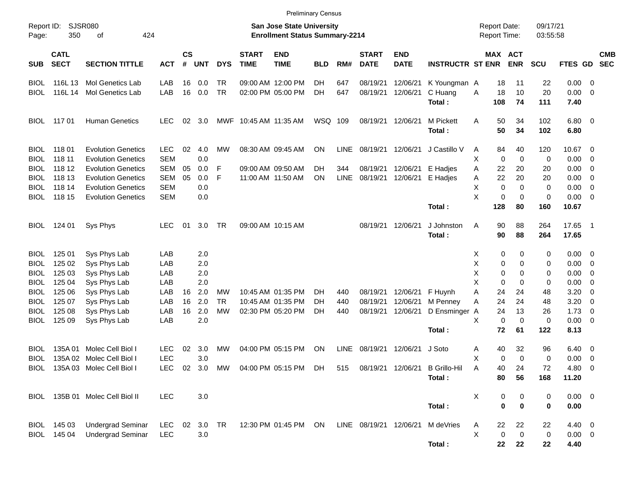|                     |                            |                                 |            |                |            |            |                             | <b>Preliminary Census</b>                                                 |            |             |                             |                           |                         |                                            |                       |                      |             |                          |                          |
|---------------------|----------------------------|---------------------------------|------------|----------------|------------|------------|-----------------------------|---------------------------------------------------------------------------|------------|-------------|-----------------------------|---------------------------|-------------------------|--------------------------------------------|-----------------------|----------------------|-------------|--------------------------|--------------------------|
| Report ID:<br>Page: | 350                        | SJSR080<br>424<br>οf            |            |                |            |            |                             | <b>San Jose State University</b><br><b>Enrollment Status Summary-2214</b> |            |             |                             |                           |                         | <b>Report Date:</b><br><b>Report Time:</b> |                       | 09/17/21<br>03:55:58 |             |                          |                          |
| <b>SUB</b>          | <b>CATL</b><br><b>SECT</b> | <b>SECTION TITTLE</b>           | <b>ACT</b> | <b>CS</b><br># | <b>UNT</b> | <b>DYS</b> | <b>START</b><br><b>TIME</b> | <b>END</b><br><b>TIME</b>                                                 | <b>BLD</b> | RM#         | <b>START</b><br><b>DATE</b> | <b>END</b><br><b>DATE</b> | <b>INSTRUCTR ST ENR</b> |                                            | MAX ACT<br><b>ENR</b> | <b>SCU</b>           | FTES GD     |                          | <b>CMB</b><br><b>SEC</b> |
| <b>BIOL</b>         | 116L 13                    | Mol Genetics Lab                | LAB        | 16             | 0.0        | TR         |                             | 09:00 AM 12:00 PM                                                         | DH         | 647         | 08/19/21                    | 12/06/21                  | K Youngman A            | 18                                         | 11                    | 22                   | $0.00 \t 0$ |                          |                          |
| <b>BIOL</b>         | 116L 14                    | Mol Genetics Lab                | LAB        | 16             | 0.0        | <b>TR</b>  |                             | 02:00 PM 05:00 PM                                                         | DH         | 647         | 08/19/21                    | 12/06/21                  | C Huang                 | 18<br>A                                    | 10                    | 20                   | 0.00        | $\overline{\phantom{0}}$ |                          |
|                     |                            |                                 |            |                |            |            |                             |                                                                           |            |             |                             |                           | Total:                  | 108                                        | 74                    | 111                  | 7.40        |                          |                          |
| <b>BIOL</b>         | 117 01                     | <b>Human Genetics</b>           | <b>LEC</b> | 02             | 3.0        |            | MWF 10:45 AM 11:35 AM       |                                                                           | WSQ 109    |             | 08/19/21                    | 12/06/21                  | M Pickett               | Α<br>50                                    | 34                    | 102                  | $6.80$ 0    |                          |                          |
|                     |                            |                                 |            |                |            |            |                             |                                                                           |            |             |                             |                           | Total:                  | 50                                         | 34                    | 102                  | 6.80        |                          |                          |
| <b>BIOL</b>         | 11801                      | <b>Evolution Genetics</b>       | <b>LEC</b> | 02             | 4.0        | МW         |                             | 08:30 AM 09:45 AM                                                         | ON         | LINE        | 08/19/21                    | 12/06/21                  | J Castillo V            | 84<br>Α                                    | 40                    | 120                  | 10.67 0     |                          |                          |
| <b>BIOL</b>         | 118 11                     | <b>Evolution Genetics</b>       | <b>SEM</b> |                | 0.0        |            |                             |                                                                           |            |             |                             |                           |                         | Χ<br>0                                     | $\mathbf 0$           | 0                    | 0.00        | $\overline{\mathbf{0}}$  |                          |
| <b>BIOL</b>         | 118 12                     | <b>Evolution Genetics</b>       | <b>SEM</b> | 05             | 0.0        | F          |                             | 09:00 AM 09:50 AM                                                         | DH         | 344         | 08/19/21                    | 12/06/21                  | E Hadjes                | 22<br>Α                                    | 20                    | 20                   | 0.00        | $\overline{\mathbf{0}}$  |                          |
| <b>BIOL</b>         | 118 13                     | <b>Evolution Genetics</b>       | <b>SEM</b> | 05             | 0.0        | F          |                             | 11:00 AM 11:50 AM                                                         | ΟN         | LINE        | 08/19/21                    | 12/06/21                  | E Hadjes                | 22<br>Α                                    | 20                    | 20                   | 0.00        | $\overline{\mathbf{0}}$  |                          |
| <b>BIOL</b>         | 118 14                     | <b>Evolution Genetics</b>       | <b>SEM</b> |                | 0.0        |            |                             |                                                                           |            |             |                             |                           |                         | х                                          | 0<br>0                | 0                    | 0.00        | $\overline{\mathbf{0}}$  |                          |
| <b>BIOL</b>         | 118 15                     | <b>Evolution Genetics</b>       | <b>SEM</b> |                | 0.0        |            |                             |                                                                           |            |             |                             |                           |                         | X                                          | 0<br>0                | 0                    | 0.00        | $\overline{\phantom{0}}$ |                          |
|                     |                            |                                 |            |                |            |            |                             |                                                                           |            |             |                             |                           | Total:                  | 128                                        | 80                    | 160                  | 10.67       |                          |                          |
| <b>BIOL</b>         | 124 01                     | Sys Phys                        | <b>LEC</b> | 01             | 3.0        | TR         |                             | 09:00 AM 10:15 AM                                                         |            |             | 08/19/21 12/06/21           |                           | J Johnston              | A<br>90                                    | 88                    | 264                  | 17.65 1     |                          |                          |
|                     |                            |                                 |            |                |            |            |                             |                                                                           |            |             |                             |                           | Total:                  | 90                                         | 88                    | 264                  | 17.65       |                          |                          |
| <b>BIOL</b>         | 125 01                     | Sys Phys Lab                    | LAB        |                | 2.0        |            |                             |                                                                           |            |             |                             |                           |                         | X                                          | 0<br>0                | 0                    | $0.00 \t 0$ |                          |                          |
| <b>BIOL</b>         | 125 02                     | Sys Phys Lab                    | LAB        |                | 2.0        |            |                             |                                                                           |            |             |                             |                           |                         | Χ                                          | 0<br>0                | 0                    | 0.00        | $\overline{\phantom{0}}$ |                          |
| <b>BIOL</b>         | 125 03                     | Sys Phys Lab                    | LAB        |                | 2.0        |            |                             |                                                                           |            |             |                             |                           |                         | Χ                                          | 0<br>0                | 0                    | 0.00        | $\overline{\mathbf{0}}$  |                          |
| <b>BIOL</b>         | 125 04                     | Sys Phys Lab                    | LAB        |                | 2.0        |            |                             |                                                                           |            |             |                             |                           |                         | X                                          | 0<br>0                | 0                    | 0.00        | $\overline{\mathbf{0}}$  |                          |
| <b>BIOL</b>         | 125 06                     | Sys Phys Lab                    | LAB        | 16             | 2.0        | МW         |                             | 10:45 AM 01:35 PM                                                         | DH.        | 440         | 08/19/21                    | 12/06/21                  | F Huynh                 | Α<br>24                                    | 24                    | 48                   | 3.20        | 0                        |                          |
| <b>BIOL</b>         | 125 07                     | Sys Phys Lab                    | LAB        | 16             | 2.0        | <b>TR</b>  |                             | 10:45 AM 01:35 PM                                                         | DH         | 440         | 08/19/21                    | 12/06/21                  | M Penney                | 24<br>Α                                    | 24                    | 48                   | 3.20        | 0                        |                          |
| <b>BIOL</b>         | 125 08                     | Sys Phys Lab                    | LAB        | 16             | 2.0        | <b>MW</b>  |                             | 02:30 PM 05:20 PM                                                         | DH         | 440         | 08/19/21                    | 12/06/21                  | D Ensminger A           | 24                                         | 13                    | 26                   | 1.73        | - 0                      |                          |
| <b>BIOL</b>         | 125 09                     | Sys Phys Lab                    | LAB        |                | 2.0        |            |                             |                                                                           |            |             |                             |                           |                         | X                                          | 0<br>0                | 0                    | 0.00        | $\overline{\phantom{0}}$ |                          |
|                     |                            |                                 |            |                |            |            |                             |                                                                           |            |             |                             |                           | Total:                  | 72                                         | 61                    | 122                  | 8.13        |                          |                          |
| <b>BIOL</b>         | 135A 01                    | Molec Cell Biol I               | <b>LEC</b> | 02             | 3.0        | MW         |                             | 04:00 PM 05:15 PM                                                         | ON         | <b>LINE</b> | 08/19/21                    | 12/06/21                  | J Soto                  | 40<br>Α                                    | 32                    | 96                   | 6.40        | $\overline{\phantom{0}}$ |                          |
| <b>BIOL</b>         |                            | 135A 02 Molec Cell Biol I       | <b>LEC</b> |                | 3.0        |            |                             |                                                                           |            |             |                             |                           |                         | Χ                                          | 0<br>$\Omega$         | 0                    | 0.00        | $\overline{\mathbf{0}}$  |                          |
|                     |                            | BIOL 135A 03 Molec Cell Biol I  |            |                |            |            |                             | LEC 02 3.0 MW 04:00 PM 05:15 PM DH                                        |            |             | 515 08/19/21 12/06/21       |                           | <b>B</b> Grillo-Hil     | Α<br>40                                    | 24                    | 72                   | 4.80 0      |                          |                          |
|                     |                            |                                 |            |                |            |            |                             |                                                                           |            |             |                             |                           | Total:                  | 80                                         | 56                    | 168                  | 11.20       |                          |                          |
|                     |                            | BIOL 135B 01 Molec Cell Biol II | <b>LEC</b> |                | 3.0        |            |                             |                                                                           |            |             |                             |                           |                         | Х                                          | 0<br>0                | 0                    | $0.00 \t 0$ |                          |                          |
|                     |                            |                                 |            |                |            |            |                             |                                                                           |            |             |                             |                           | Total:                  |                                            | $\bf{0}$<br>0         | 0                    | 0.00        |                          |                          |
|                     | BIOL 145 03                | <b>Undergrad Seminar</b>        | LEC        |                | 02 3.0 TR  |            |                             | 12:30 PM 01:45 PM ON                                                      |            |             | LINE 08/19/21 12/06/21      |                           | M deVries               | 22<br>A                                    | 22                    | 22                   | 4.40 0      |                          |                          |
|                     | BIOL 145 04                | <b>Undergrad Seminar</b>        | <b>LEC</b> |                | 3.0        |            |                             |                                                                           |            |             |                             |                           |                         | X                                          | $\pmb{0}$<br>0        | 0                    | $0.00 \t 0$ |                          |                          |
|                     |                            |                                 |            |                |            |            |                             |                                                                           |            |             |                             |                           | Total:                  | 22                                         | 22                    | 22                   | 4.40        |                          |                          |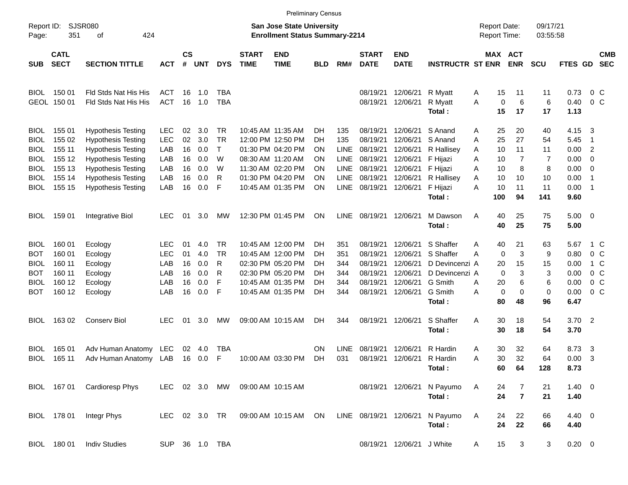|                     |                            |                             |               |                |            |                |                             |                                                                           | <b>Preliminary Census</b> |             |                             |                           |                         |   |                     |                       |                      |                     |                |                          |
|---------------------|----------------------------|-----------------------------|---------------|----------------|------------|----------------|-----------------------------|---------------------------------------------------------------------------|---------------------------|-------------|-----------------------------|---------------------------|-------------------------|---|---------------------|-----------------------|----------------------|---------------------|----------------|--------------------------|
| Report ID:<br>Page: | 351                        | SJSR080<br>424<br>οf        |               |                |            |                |                             | <b>San Jose State University</b><br><b>Enrollment Status Summary-2214</b> |                           |             |                             |                           |                         |   | <b>Report Date:</b> | <b>Report Time:</b>   | 09/17/21<br>03:55:58 |                     |                |                          |
| <b>SUB</b>          | <b>CATL</b><br><b>SECT</b> | <b>SECTION TITTLE</b>       | <b>ACT</b>    | <b>CS</b><br># | <b>UNT</b> | <b>DYS</b>     | <b>START</b><br><b>TIME</b> | <b>END</b><br><b>TIME</b>                                                 | <b>BLD</b>                | RM#         | <b>START</b><br><b>DATE</b> | <b>END</b><br><b>DATE</b> | <b>INSTRUCTR ST ENR</b> |   |                     | MAX ACT<br><b>ENR</b> | <b>SCU</b>           | FTES GD             |                | <b>CMB</b><br><b>SEC</b> |
| <b>BIOL</b>         | 150 01                     | Fld Stds Nat His His        | ACT           | 16             | 1.0        | <b>TBA</b>     |                             |                                                                           |                           |             | 08/19/21                    | 12/06/21                  | R Myatt                 | A | 15                  | 11                    | 11                   | 0.73                | $0\,$ C        |                          |
|                     | GEOL 150 01                | Fld Stds Nat His His        | <b>ACT</b>    | 16             | 1.0        | <b>TBA</b>     |                             |                                                                           |                           |             | 08/19/21                    | 12/06/21                  | R Myatt<br>Total:       | A | 0<br>15             | 6<br>17               | 6<br>17              | 0.40<br>1.13        |                | 0 <sup>o</sup>           |
| <b>BIOL</b>         | 155 01                     | <b>Hypothesis Testing</b>   | <b>LEC</b>    | 02             | 3.0        | TR             |                             | 10:45 AM 11:35 AM                                                         | DH                        | 135         | 08/19/21                    | 12/06/21                  | S Anand                 | Α | 25                  | 20                    | 40                   | 4.15                | - 3            |                          |
| <b>BIOL</b>         | 155 02                     | <b>Hypothesis Testing</b>   | <b>LEC</b>    | 02             | 3.0        | <b>TR</b>      |                             | 12:00 PM 12:50 PM                                                         | DH                        | 135         | 08/19/21                    | 12/06/21                  | S Anand                 | A | 25                  | 27                    | 54                   | 5.45                | $\overline{1}$ |                          |
| <b>BIOL</b>         | 155 11                     | <b>Hypothesis Testing</b>   | LAB           | 16             | 0.0        | $\mathsf{T}$   |                             | 01:30 PM 04:20 PM                                                         | ΟN                        | LINE        | 08/19/21                    | 12/06/21                  | R Hallisey              | A | 10                  | 11                    | 11                   | 0.00                | $\overline{c}$ |                          |
| <b>BIOL</b>         | 155 12                     | <b>Hypothesis Testing</b>   | LAB           | 16             | 0.0        | W              |                             | 08:30 AM 11:20 AM                                                         | ΟN                        | LINE        | 08/19/21                    | 12/06/21                  | F Hijazi                | Α | 10                  | 7                     | 7                    | 0.00                | $\overline{0}$ |                          |
| <b>BIOL</b>         | 155 13                     | <b>Hypothesis Testing</b>   | LAB           | 16             | 0.0        | W              |                             | 11:30 AM 02:20 PM                                                         | ΟN                        | LINE        | 08/19/21                    | 12/06/21                  | F Hijazi                | Α | 10                  | 8                     | 8                    | 0.00                | $\overline{0}$ |                          |
| <b>BIOL</b>         | 155 14                     | <b>Hypothesis Testing</b>   | LAB           | 16             | 0.0        | R              |                             | 01:30 PM 04:20 PM                                                         | ΟN                        | LINE        | 08/19/21                    | 12/06/21                  | R Hallisey              | Α | 10                  | 10                    | 10                   | 0.00                | $\overline{1}$ |                          |
| <b>BIOL</b>         | 155 15                     | <b>Hypothesis Testing</b>   | LAB           | 16             | 0.0        | F              |                             | 10:45 AM 01:35 PM                                                         | ΟN                        | <b>LINE</b> | 08/19/21                    | 12/06/21                  | F Hijazi                | Α | 10                  | 11                    | 11                   | 0.00                | $\overline{1}$ |                          |
|                     |                            |                             |               |                |            |                |                             |                                                                           |                           |             |                             |                           | Total:                  |   | 100                 | 94                    | 141                  | 9.60                |                |                          |
| <b>BIOL</b>         | 159 01                     | Integrative Biol            | <b>LEC</b>    | 01             | 3.0        | MW             |                             | 12:30 PM 01:45 PM                                                         | ΟN                        | LINE        | 08/19/21 12/06/21           |                           | M Dawson<br>Total:      | A | 40<br>40            | 25<br>25              | 75<br>75             | $5.00 \t 0$<br>5.00 |                |                          |
| <b>BIOL</b>         | 160 01                     | Ecology                     | LEC.          | 01             | 4.0        | TR             |                             | 10:45 AM 12:00 PM                                                         | DH                        | 351         | 08/19/21                    | 12/06/21                  | S Shaffer               | Α | 40                  | 21                    | 63                   | 5.67                |                | 1 C                      |
| <b>BOT</b>          | 160 01                     | Ecology                     | <b>LEC</b>    | 01             | 4.0        | <b>TR</b>      |                             | 10:45 AM 12:00 PM                                                         | DH                        | 351         | 08/19/21                    | 12/06/21                  | S Shaffer               | Α | 0                   | 3                     | 9                    | 0.80                |                | 0 <sup>o</sup>           |
| BIOL                | 160 11                     | Ecology                     | LAB           | 16             | 0.0        | R              |                             | 02:30 PM 05:20 PM                                                         | DH                        | 344         | 08/19/21                    | 12/06/21                  | D Devincenzi A          |   | 20                  | 15                    | 15                   | 0.00                |                | 1 C                      |
| <b>BOT</b>          | 160 11                     | Ecology                     | LAB           | 16             | 0.0        | R              |                             | 02:30 PM 05:20 PM                                                         | DH                        | 344         | 08/19/21                    | 12/06/21                  | D Devincenzi A          |   | 0                   | 3                     | 3                    | 0.00                |                | 0 <sup>o</sup>           |
| <b>BIOL</b>         | 160 12                     | Ecology                     | LAB           | 16             | 0.0        | F              |                             | 10:45 AM 01:35 PM                                                         | DH                        | 344         | 08/19/21                    | 12/06/21                  | G Smith                 | A | 20                  | 6                     | 6                    | 0.00                |                | 0 <sup>o</sup>           |
| <b>BOT</b>          | 160 12                     | Ecology                     | LAB           | 16             | 0.0        | F              |                             | 10:45 AM 01:35 PM                                                         | DH                        | 344         | 08/19/21                    | 12/06/21                  | G Smith                 | Α | 0                   | 0                     | 0                    | 0.00                | 0 <sup>o</sup> |                          |
|                     |                            |                             |               |                |            |                |                             |                                                                           |                           |             |                             |                           | Total:                  |   | 80                  | 48                    | 96                   | 6.47                |                |                          |
| <b>BIOL</b>         | 163 02                     | <b>Conserv Biol</b>         | <b>LEC</b>    | 01             | 3.0        | <b>MW</b>      |                             | 09:00 AM 10:15 AM                                                         | DH                        | 344         | 08/19/21 12/06/21           |                           | S Shaffer               | Α | 30                  | 18                    | 54                   | 3.70                | $\overline{2}$ |                          |
|                     |                            |                             |               |                |            |                |                             |                                                                           |                           |             |                             |                           | Total:                  |   | 30                  | 18                    | 54                   | 3.70                |                |                          |
| BIOL                | 165 01                     | Adv Human Anatomy           | <b>LEC</b>    | 02             | 4.0        | TBA            |                             |                                                                           | ΟN                        | <b>LINE</b> | 08/19/21                    | 12/06/21                  | R Hardin                | Α | 30                  | 32                    | 64                   | 8.73                | -3             |                          |
| <b>BIOL</b>         | 165 11                     | Adv Human Anatomy LAB       |               | 16             | 0.0        | F              |                             | 10:00 AM 03:30 PM                                                         | DH                        | 031         | 08/19/21                    | 12/06/21                  | R Hardin                | Α | 30                  | 32                    | 64                   | 0.00                | 3              |                          |
|                     |                            |                             |               |                |            |                |                             |                                                                           |                           |             |                             |                           | Total:                  |   | 60                  | 64                    | 128                  | 8.73                |                |                          |
|                     |                            | BIOL 167 01 Cardioresp Phys | LEC 02 3.0 MW |                |            |                |                             | 09:00 AM 10:15 AM                                                         |                           |             |                             | 08/19/21 12/06/21         | N Payumo                | A | 24                  | 7                     | 21                   | $1.40 \ 0$          |                |                          |
|                     |                            |                             |               |                |            |                |                             |                                                                           |                           |             |                             |                           | Total:                  |   | 24                  | $\overline{7}$        | 21                   | 1.40                |                |                          |
|                     |                            |                             |               |                |            |                |                             |                                                                           |                           |             |                             |                           |                         |   |                     |                       |                      |                     |                |                          |
|                     | BIOL 178 01                | Integr Phys                 | LEC 02 3.0 TR |                |            |                |                             | 09:00 AM 10:15 AM ON                                                      |                           |             | LINE 08/19/21 12/06/21      |                           | N Payumo<br>Total:      | A | 24<br>24            | 22<br>22              | 66<br>66             | $4.40 \ 0$<br>4.40  |                |                          |
|                     | BIOL 180 01                | <b>Indiv Studies</b>        |               |                |            | SUP 36 1.0 TBA |                             |                                                                           |                           |             |                             | 08/19/21 12/06/21 J White |                         | A | 15                  | 3                     | 3                    | $0.20 \ 0$          |                |                          |
|                     |                            |                             |               |                |            |                |                             |                                                                           |                           |             |                             |                           |                         |   |                     |                       |                      |                     |                |                          |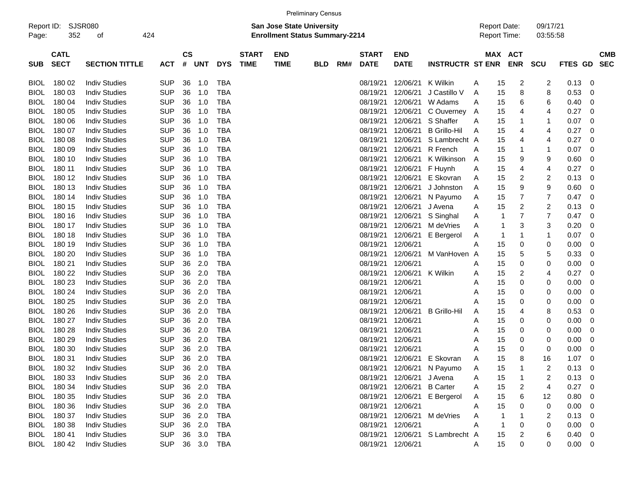| Report ID:<br>Page: | <b>SJSR080</b><br>352      | 424                   |            |    |                             |            |                             | <b>San Jose State University</b><br><b>Enrollment Status Summary-2214</b> |            |     |                             |                           |                         | <b>Report Date:</b><br><b>Report Time:</b> | 09/17/21              | 03:55:58                     |             |                         |                          |
|---------------------|----------------------------|-----------------------|------------|----|-----------------------------|------------|-----------------------------|---------------------------------------------------------------------------|------------|-----|-----------------------------|---------------------------|-------------------------|--------------------------------------------|-----------------------|------------------------------|-------------|-------------------------|--------------------------|
| <b>SUB</b>          | <b>CATL</b><br><b>SECT</b> | <b>SECTION TITTLE</b> | <b>ACT</b> | #  | $\mathsf{cs}$<br><b>UNT</b> | <b>DYS</b> | <b>START</b><br><b>TIME</b> | <b>END</b><br><b>TIME</b>                                                 | <b>BLD</b> | RM# | <b>START</b><br><b>DATE</b> | <b>END</b><br><b>DATE</b> | <b>INSTRUCTR ST ENR</b> |                                            | MAX ACT<br><b>ENR</b> | <b>SCU</b>                   | FTES GD     |                         | <b>CMB</b><br><b>SEC</b> |
| <b>BIOL</b>         | 180 02                     | <b>Indiv Studies</b>  | <b>SUP</b> | 36 | 1.0                         | TBA        |                             |                                                                           |            |     | 08/19/21                    | 12/06/21                  | K Wilkin                | A                                          | 15                    | 2<br>2                       | 0.13        | - 0                     |                          |
| <b>BIOL</b>         | 180 03                     | <b>Indiv Studies</b>  | <b>SUP</b> | 36 | 1.0                         | <b>TBA</b> |                             |                                                                           |            |     | 08/19/21                    | 12/06/21                  | J Castillo V            | Α                                          | 15                    | 8<br>8                       | 0.53        | 0                       |                          |
| <b>BIOL</b>         | 180 04                     | <b>Indiv Studies</b>  | <b>SUP</b> | 36 | 1.0                         | <b>TBA</b> |                             |                                                                           |            |     | 08/19/21                    | 12/06/21                  | W Adams                 | Α                                          | 15                    | 6<br>6                       | 0.40        | 0                       |                          |
| <b>BIOL</b>         | 180 05                     | <b>Indiv Studies</b>  | <b>SUP</b> | 36 | 1.0                         | <b>TBA</b> |                             |                                                                           |            |     | 08/19/21                    | 12/06/21                  | C Ouverney              | A                                          | 15<br>4               | 4                            | 0.27        | 0                       |                          |
| <b>BIOL</b>         | 180 06                     | <b>Indiv Studies</b>  | <b>SUP</b> | 36 | 1.0                         | <b>TBA</b> |                             |                                                                           |            |     | 08/19/21                    | 12/06/21                  | S Shaffer               | Α                                          | 15<br>-1              | 1                            | 0.07        | 0                       |                          |
| <b>BIOL</b>         | 180 07                     | <b>Indiv Studies</b>  | <b>SUP</b> | 36 | 1.0                         | <b>TBA</b> |                             |                                                                           |            |     | 08/19/21                    | 12/06/21                  | <b>B</b> Grillo-Hil     | A                                          | 15<br>4               | 4                            | 0.27        | 0                       |                          |
| <b>BIOL</b>         | 180 08                     | <b>Indiv Studies</b>  | <b>SUP</b> | 36 | 1.0                         | <b>TBA</b> |                             |                                                                           |            |     | 08/19/21                    | 12/06/21                  | S Lambrecht A           |                                            | 15<br>4               | 4                            | 0.27        | 0                       |                          |
| <b>BIOL</b>         | 180 09                     | <b>Indiv Studies</b>  | <b>SUP</b> | 36 | 1.0                         | <b>TBA</b> |                             |                                                                           |            |     | 08/19/21                    | 12/06/21                  | R French                | Α                                          | 15<br>-1              | 1                            | 0.07        | 0                       |                          |
| <b>BIOL</b>         | 180 10                     | <b>Indiv Studies</b>  | <b>SUP</b> | 36 | 1.0                         | <b>TBA</b> |                             |                                                                           |            |     | 08/19/21                    | 12/06/21                  | K Wilkinson             | A                                          | 15                    | 9<br>9                       | 0.60        | 0                       |                          |
| <b>BIOL</b>         | 180 11                     | <b>Indiv Studies</b>  | <b>SUP</b> | 36 | 1.0                         | <b>TBA</b> |                             |                                                                           |            |     | 08/19/21                    | 12/06/21                  | F Huynh                 | Α                                          | 15<br>4               | 4                            | 0.27        | 0                       |                          |
| <b>BIOL</b>         | 180 12                     | <b>Indiv Studies</b>  | <b>SUP</b> | 36 | 1.0                         | <b>TBA</b> |                             |                                                                           |            |     | 08/19/21                    | 12/06/21                  | E Skovran               | Α                                          | 15                    | 2<br>2                       | 0.13        | 0                       |                          |
| <b>BIOL</b>         | 180 13                     | <b>Indiv Studies</b>  | <b>SUP</b> | 36 | 1.0                         | <b>TBA</b> |                             |                                                                           |            |     | 08/19/21                    | 12/06/21                  | J Johnston              | Α                                          | 15                    | 9<br>9                       | 0.60        | 0                       |                          |
| <b>BIOL</b>         | 180 14                     | <b>Indiv Studies</b>  | <b>SUP</b> | 36 | 1.0                         | <b>TBA</b> |                             |                                                                           |            |     | 08/19/21                    | 12/06/21                  | N Payumo                | Α                                          | 15                    | $\overline{7}$<br>7          | 0.47        | 0                       |                          |
| <b>BIOL</b>         | 180 15                     | <b>Indiv Studies</b>  | <b>SUP</b> | 36 | 1.0                         | <b>TBA</b> |                             |                                                                           |            |     | 08/19/21                    | 12/06/21                  | J Avena                 | Α                                          | 15                    | 2<br>2                       | 0.13        | 0                       |                          |
| <b>BIOL</b>         | 180 16                     | <b>Indiv Studies</b>  | <b>SUP</b> | 36 | 1.0                         | <b>TBA</b> |                             |                                                                           |            |     | 08/19/21                    | 12/06/21                  | S Singhal               | Α                                          | 7<br>1                | 7                            | 0.47        | 0                       |                          |
| <b>BIOL</b>         | 180 17                     | <b>Indiv Studies</b>  | <b>SUP</b> | 36 | 1.0                         | <b>TBA</b> |                             |                                                                           |            |     | 08/19/21                    | 12/06/21                  | M deVries               | Α                                          | -1                    | 3<br>3                       | 0.20        | 0                       |                          |
| <b>BIOL</b>         | 180 18                     | <b>Indiv Studies</b>  | <b>SUP</b> | 36 | 1.0                         | <b>TBA</b> |                             |                                                                           |            |     | 08/19/21                    | 12/06/21                  | E Bergerol              | Α                                          | 1<br>-1               | 1                            | 0.07        | 0                       |                          |
| <b>BIOL</b>         | 180 19                     | <b>Indiv Studies</b>  | <b>SUP</b> | 36 | 1.0                         | <b>TBA</b> |                             |                                                                           |            |     | 08/19/21                    | 12/06/21                  |                         | Α                                          | 15                    | 0<br>0                       | 0.00        | 0                       |                          |
| <b>BIOL</b>         | 180 20                     | <b>Indiv Studies</b>  | <b>SUP</b> | 36 | 1.0                         | <b>TBA</b> |                             |                                                                           |            |     | 08/19/21                    | 12/06/21                  | M VanHoven A            |                                            | 5<br>15               | 5                            | 0.33        | 0                       |                          |
| <b>BIOL</b>         | 180 21                     | <b>Indiv Studies</b>  | <b>SUP</b> | 36 | 2.0                         | <b>TBA</b> |                             |                                                                           |            |     | 08/19/21                    | 12/06/21                  |                         | Α                                          | 15                    | 0<br>0                       | 0.00        | 0                       |                          |
| <b>BIOL</b>         | 180 22                     | <b>Indiv Studies</b>  | <b>SUP</b> | 36 | 2.0                         | <b>TBA</b> |                             |                                                                           |            |     | 08/19/21                    | 12/06/21                  | K Wilkin                | Α                                          | 15                    | 2<br>4                       | 0.27        | 0                       |                          |
| <b>BIOL</b>         | 180 23                     | <b>Indiv Studies</b>  | <b>SUP</b> | 36 | 2.0                         | <b>TBA</b> |                             |                                                                           |            |     | 08/19/21                    | 12/06/21                  |                         | Α                                          | 15                    | 0<br>0                       | 0.00        | 0                       |                          |
| <b>BIOL</b>         | 180 24                     | <b>Indiv Studies</b>  | <b>SUP</b> | 36 | 2.0                         | <b>TBA</b> |                             |                                                                           |            |     | 08/19/21                    | 12/06/21                  |                         | Α                                          | 15                    | 0<br>0                       | 0.00        | 0                       |                          |
| <b>BIOL</b>         | 180 25                     | <b>Indiv Studies</b>  | <b>SUP</b> | 36 | 2.0                         | <b>TBA</b> |                             |                                                                           |            |     | 08/19/21                    | 12/06/21                  |                         | A                                          | 15                    | 0<br>0                       | 0.00        | 0                       |                          |
| <b>BIOL</b>         | 180 26                     | <b>Indiv Studies</b>  | <b>SUP</b> | 36 | 2.0                         | <b>TBA</b> |                             |                                                                           |            |     | 08/19/21                    | 12/06/21                  | <b>B</b> Grillo-Hil     | Α                                          | 15<br>4               | 8                            | 0.53        | 0                       |                          |
| <b>BIOL</b>         | 180 27                     | <b>Indiv Studies</b>  | <b>SUP</b> | 36 | 2.0                         | <b>TBA</b> |                             |                                                                           |            |     | 08/19/21                    | 12/06/21                  |                         | Α                                          | 15                    | 0<br>0                       | 0.00        | 0                       |                          |
| <b>BIOL</b>         | 180 28                     | <b>Indiv Studies</b>  | <b>SUP</b> | 36 | 2.0                         | <b>TBA</b> |                             |                                                                           |            |     | 08/19/21                    | 12/06/21                  |                         | Α                                          | 15                    | 0<br>0                       | 0.00        | 0                       |                          |
| <b>BIOL</b>         | 180 29                     | <b>Indiv Studies</b>  | <b>SUP</b> | 36 | 2.0                         | <b>TBA</b> |                             |                                                                           |            |     | 08/19/21                    | 12/06/21                  |                         | Α                                          | 15                    | 0<br>0                       | 0.00        | 0                       |                          |
| <b>BIOL</b>         | 180 30                     | <b>Indiv Studies</b>  | <b>SUP</b> | 36 | 2.0                         | TBA        |                             |                                                                           |            |     | 08/19/21                    | 12/06/21                  |                         | A                                          | 15                    | 0<br>0                       | 0.00        | $\mathbf 0$             |                          |
| <b>BIOL</b>         | 180 31                     | <b>Indiv Studies</b>  | <b>SUP</b> | 36 | 2.0                         | <b>TBA</b> |                             |                                                                           |            |     | 08/19/21                    | 12/06/21                  | E Skovran               | A                                          | 15<br>8               | 16                           | 1.07        | 0                       |                          |
| <b>BIOL</b>         | 180 32                     | <b>Indiv Studies</b>  | <b>SUP</b> | 36 | 2.0                         | <b>TBA</b> |                             |                                                                           |            |     | 08/19/21                    | 12/06/21                  | N Payumo                | Α                                          | 15<br>-1              | 2                            | 0.13        | $\mathbf 0$             |                          |
| <b>BIOL</b>         | 180 33                     | <b>Indiv Studies</b>  | <b>SUP</b> | 36 | 2.0                         | <b>TBA</b> |                             |                                                                           |            |     | 08/19/21                    | 12/06/21                  | J Avena                 | Α                                          | 15<br>-1              | 2                            | 0.13        | $\overline{\mathbf{0}}$ |                          |
| <b>BIOL</b>         | 180 34                     | <b>Indiv Studies</b>  | <b>SUP</b> |    | 36 2.0                      | <b>TBA</b> |                             |                                                                           |            |     | 08/19/21                    | 12/06/21                  | <b>B</b> Carter         | A                                          | 15                    | $\overline{\mathbf{c}}$<br>4 | 0.27        | - 0                     |                          |
| <b>BIOL</b>         | 180 35                     | <b>Indiv Studies</b>  | <b>SUP</b> |    | 36 2.0                      | <b>TBA</b> |                             |                                                                           |            |     | 08/19/21                    | 12/06/21                  | E Bergerol              | A                                          | 15                    | 6<br>12                      | 0.80        | - 0                     |                          |
| <b>BIOL</b>         | 180 36                     | <b>Indiv Studies</b>  | <b>SUP</b> |    | 36 2.0                      | TBA        |                             |                                                                           |            |     | 08/19/21                    | 12/06/21                  |                         | Α                                          | 15<br>0               | 0                            | 0.00        | 0                       |                          |
| <b>BIOL</b>         | 180 37                     | <b>Indiv Studies</b>  | <b>SUP</b> |    | 36 2.0                      | TBA        |                             |                                                                           |            |     | 08/19/21                    | 12/06/21                  | M deVries               | Α                                          | 1                     | 2                            | 0.13        | 0                       |                          |
| <b>BIOL</b>         | 180 38                     | <b>Indiv Studies</b>  | <b>SUP</b> |    | 36 2.0                      | TBA        |                             |                                                                           |            |     | 08/19/21                    | 12/06/21                  |                         | Α                                          | 0<br>1                | 0                            | 0.00        | 0                       |                          |
| <b>BIOL</b>         | 180 41                     | <b>Indiv Studies</b>  | <b>SUP</b> |    | 36 3.0                      | TBA        |                             |                                                                           |            |     |                             | 08/19/21 12/06/21         | S Lambrecht A           |                                            | 15                    | 6<br>2                       | 0.40        | $\overline{0}$          |                          |
| <b>BIOL</b>         | 180 42                     | <b>Indiv Studies</b>  | <b>SUP</b> |    | 36 3.0                      | TBA        |                             |                                                                           |            |     | 08/19/21 12/06/21           |                           |                         | A                                          | 15                    | 0<br>0                       | $0.00 \t 0$ |                         |                          |

Preliminary Census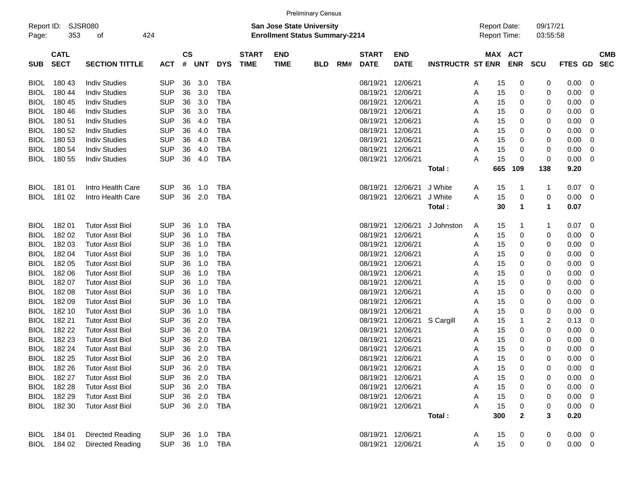|                     |                            |                         |            |                |            |            |                             |                                                                           | <b>Preliminary Census</b> |     |                             |                           |                         |                                     |           |                       |                         |              |                         |            |
|---------------------|----------------------------|-------------------------|------------|----------------|------------|------------|-----------------------------|---------------------------------------------------------------------------|---------------------------|-----|-----------------------------|---------------------------|-------------------------|-------------------------------------|-----------|-----------------------|-------------------------|--------------|-------------------------|------------|
| Report ID:<br>Page: | 353                        | SJSR080<br>οf           | 424        |                |            |            |                             | <b>San Jose State University</b><br><b>Enrollment Status Summary-2214</b> |                           |     |                             |                           |                         | <b>Report Date:</b><br>Report Time: |           |                       | 09/17/21<br>03:55:58    |              |                         |            |
| <b>SUB</b>          | <b>CATL</b><br><b>SECT</b> | <b>SECTION TITTLE</b>   | <b>ACT</b> | <b>CS</b><br># | <b>UNT</b> | <b>DYS</b> | <b>START</b><br><b>TIME</b> | <b>END</b><br><b>TIME</b>                                                 | <b>BLD</b>                | RM# | <b>START</b><br><b>DATE</b> | <b>END</b><br><b>DATE</b> | <b>INSTRUCTR ST ENR</b> |                                     |           | MAX ACT<br><b>ENR</b> | <b>SCU</b>              | FTES GD SEC  |                         | <b>CMB</b> |
| <b>BIOL</b>         | 180 43                     | <b>Indiv Studies</b>    | <b>SUP</b> | 36             | 3.0        | TBA        |                             |                                                                           |                           |     | 08/19/21                    | 12/06/21                  |                         | A                                   | 15        | 0                     | 0                       | 0.00         | 0                       |            |
| <b>BIOL</b>         | 180 44                     | <b>Indiv Studies</b>    | <b>SUP</b> | 36             | 3.0        | <b>TBA</b> |                             |                                                                           |                           |     | 08/19/21                    | 12/06/21                  |                         | Α                                   | 15        | 0                     | 0                       | 0.00         | 0                       |            |
| <b>BIOL</b>         | 180 45                     | <b>Indiv Studies</b>    | <b>SUP</b> | 36             | 3.0        | <b>TBA</b> |                             |                                                                           |                           |     | 08/19/21                    | 12/06/21                  |                         | A                                   | 15        | 0                     | 0                       | 0.00         | 0                       |            |
| <b>BIOL</b>         | 180 46                     | <b>Indiv Studies</b>    | <b>SUP</b> | 36             | 3.0        | <b>TBA</b> |                             |                                                                           |                           |     | 08/19/21                    | 12/06/21                  |                         | A                                   | 15        | 0                     | 0                       | 0.00         | 0                       |            |
| <b>BIOL</b>         | 180 51                     | <b>Indiv Studies</b>    | <b>SUP</b> | 36             | 4.0        | <b>TBA</b> |                             |                                                                           |                           |     | 08/19/21                    | 12/06/21                  |                         | Α                                   | 15        | 0                     | 0                       | 0.00         | 0                       |            |
| <b>BIOL</b>         | 180 52                     | <b>Indiv Studies</b>    | <b>SUP</b> | 36             | 4.0        | <b>TBA</b> |                             |                                                                           |                           |     | 08/19/21                    | 12/06/21                  |                         | Α                                   | 15        | 0                     | 0                       | 0.00         | 0                       |            |
| <b>BIOL</b>         | 180 53                     | <b>Indiv Studies</b>    | <b>SUP</b> | 36             | 4.0        | <b>TBA</b> |                             |                                                                           |                           |     | 08/19/21                    | 12/06/21                  |                         | Α                                   | 15        | 0                     | 0                       | 0.00         | 0                       |            |
| <b>BIOL</b>         | 180 54                     | <b>Indiv Studies</b>    | <b>SUP</b> | 36             | 4.0        | <b>TBA</b> |                             |                                                                           |                           |     | 08/19/21                    | 12/06/21                  |                         | Α                                   | 15        | 0                     | 0                       | 0.00         | 0                       |            |
| BIOL                | 180 55                     | <b>Indiv Studies</b>    | <b>SUP</b> | 36             | 4.0        | <b>TBA</b> |                             |                                                                           |                           |     | 08/19/21                    | 12/06/21                  |                         | Α                                   | 15        | 0                     | 0                       | 0.00         | 0                       |            |
|                     |                            |                         |            |                |            |            |                             |                                                                           |                           |     |                             |                           | Total:                  |                                     | 665       | 109                   | 138                     | 9.20         |                         |            |
| <b>BIOL</b>         | 181 01                     | Intro Health Care       | <b>SUP</b> | 36             | 1.0        | TBA        |                             |                                                                           |                           |     | 08/19/21                    | 12/06/21                  | J White                 | Α                                   | 15        | 1                     | $\mathbf 1$             | 0.07         | 0                       |            |
| BIOL                | 181 02                     | Intro Health Care       | <b>SUP</b> | 36             | 2.0        | <b>TBA</b> |                             |                                                                           |                           |     | 08/19/21                    | 12/06/21                  | J White                 | Α                                   | 15        | 0                     | 0                       | 0.00         | 0                       |            |
|                     |                            |                         |            |                |            |            |                             |                                                                           |                           |     |                             |                           | Total:                  |                                     | 30        | $\mathbf 1$           | $\mathbf 1$             | 0.07         |                         |            |
| <b>BIOL</b>         | 18201                      | <b>Tutor Asst Biol</b>  | <b>SUP</b> | 36             | 1.0        | TBA        |                             |                                                                           |                           |     | 08/19/21                    | 12/06/21                  | J Johnston              | A                                   | 15        | 1                     | -1                      | 0.07         | 0                       |            |
| <b>BIOL</b>         | 182 02                     | <b>Tutor Asst Biol</b>  | <b>SUP</b> | 36             | 1.0        | <b>TBA</b> |                             |                                                                           |                           |     | 08/19/21                    | 12/06/21                  |                         | Α                                   | 15        | 0                     | 0                       | 0.00         | 0                       |            |
| <b>BIOL</b>         | 182 03                     | <b>Tutor Asst Biol</b>  | <b>SUP</b> | 36             | 1.0        | <b>TBA</b> |                             |                                                                           |                           |     | 08/19/21                    | 12/06/21                  |                         | A                                   | 15        | 0                     | 0                       | 0.00         | 0                       |            |
| <b>BIOL</b>         | 182 04                     | <b>Tutor Asst Biol</b>  | <b>SUP</b> | 36             | 1.0        | <b>TBA</b> |                             |                                                                           |                           |     | 08/19/21                    | 12/06/21                  |                         | Α                                   | 15        | 0                     | 0                       | 0.00         | 0                       |            |
| <b>BIOL</b>         | 182 05                     | <b>Tutor Asst Biol</b>  | <b>SUP</b> | 36             | 1.0        | <b>TBA</b> |                             |                                                                           |                           |     | 08/19/21                    | 12/06/21                  |                         | Α                                   | 15        | 0                     | 0                       | 0.00         | 0                       |            |
| <b>BIOL</b>         | 182 06                     | <b>Tutor Asst Biol</b>  | <b>SUP</b> | 36             | 1.0        | <b>TBA</b> |                             |                                                                           |                           |     | 08/19/21                    | 12/06/21                  |                         | A                                   | 15        | 0                     | 0                       | 0.00         | 0                       |            |
| <b>BIOL</b>         | 18207                      | <b>Tutor Asst Biol</b>  | <b>SUP</b> | 36             | 1.0        | <b>TBA</b> |                             |                                                                           |                           |     | 08/19/21                    | 12/06/21                  |                         | A                                   | 15        | 0                     | 0                       | 0.00         | 0                       |            |
| <b>BIOL</b>         | 182 08                     | <b>Tutor Asst Biol</b>  | <b>SUP</b> | 36             | 1.0        | <b>TBA</b> |                             |                                                                           |                           |     | 08/19/21                    | 12/06/21                  |                         | Α                                   | 15        | 0                     | 0                       | 0.00         | 0                       |            |
| <b>BIOL</b>         | 182 09                     | <b>Tutor Asst Biol</b>  | <b>SUP</b> | 36             | 1.0        | <b>TBA</b> |                             |                                                                           |                           |     | 08/19/21                    | 12/06/21                  |                         | Α                                   | 15        | 0                     | 0                       | 0.00         | 0                       |            |
| <b>BIOL</b>         | 182 10                     | <b>Tutor Asst Biol</b>  | <b>SUP</b> | 36             | 1.0        | <b>TBA</b> |                             |                                                                           |                           |     | 08/19/21                    | 12/06/21                  |                         | Α                                   | 15        | 0                     | 0                       | 0.00         | 0                       |            |
| <b>BIOL</b>         | 182 21                     | <b>Tutor Asst Biol</b>  | <b>SUP</b> | 36             | 2.0        | <b>TBA</b> |                             |                                                                           |                           |     | 08/19/21                    | 12/06/21                  | S Cargill               | A                                   | 15        | 1                     | $\overline{\mathbf{c}}$ | 0.13         | 0                       |            |
| <b>BIOL</b>         | 182 22                     | <b>Tutor Asst Biol</b>  | <b>SUP</b> | 36             | 2.0        | <b>TBA</b> |                             |                                                                           |                           |     | 08/19/21                    | 12/06/21                  |                         | A                                   | 15        | 0                     | 0                       | 0.00         | 0                       |            |
| <b>BIOL</b>         | 182 23                     | <b>Tutor Asst Biol</b>  | <b>SUP</b> | 36             | 2.0        | <b>TBA</b> |                             |                                                                           |                           |     | 08/19/21                    | 12/06/21                  |                         | A                                   | 15        | 0                     | 0                       | 0.00         | 0                       |            |
| <b>BIOL</b>         | 182 24                     | <b>Tutor Asst Biol</b>  | <b>SUP</b> | 36             | 2.0        | <b>TBA</b> |                             |                                                                           |                           |     | 08/19/21                    | 12/06/21                  |                         | Α                                   | 15        | 0                     | 0                       | 0.00         | 0                       |            |
| <b>BIOL</b>         | 182 25                     | <b>Tutor Asst Biol</b>  | <b>SUP</b> | 36             | 2.0        | <b>TBA</b> |                             |                                                                           |                           |     | 08/19/21 12/06/21           |                           |                         | Α                                   | 15        | 0                     | 0                       | 0.00         | 0                       |            |
|                     | BIOL 182 26                | <b>Tutor Asst Biol</b>  | <b>SUP</b> |                | 36 2.0     | TBA        |                             |                                                                           |                           |     |                             | 08/19/21 12/06/21         |                         | A                                   | 15        | 0                     | 0                       | 0.00         | $\overline{\mathbf{0}}$ |            |
|                     | BIOL 182 27                | <b>Tutor Asst Biol</b>  | <b>SUP</b> |                | 36 2.0     | <b>TBA</b> |                             |                                                                           |                           |     | 08/19/21 12/06/21           |                           |                         | Α                                   | 15        | 0                     |                         | 0.00         | 0                       |            |
|                     | BIOL 182 28                | <b>Tutor Asst Biol</b>  | <b>SUP</b> |                | 36 2.0     | <b>TBA</b> |                             |                                                                           |                           |     | 08/19/21 12/06/21           |                           |                         | A                                   | 15        | 0                     | 0                       | 0.00         | 0                       |            |
|                     | BIOL 182 29                | <b>Tutor Asst Biol</b>  | <b>SUP</b> |                | 36 2.0     | <b>TBA</b> |                             |                                                                           |                           |     | 08/19/21 12/06/21           |                           |                         | Α                                   | 15        | 0                     | 0                       | 0.00         | 0                       |            |
|                     | BIOL 182 30                | <b>Tutor Asst Biol</b>  | <b>SUP</b> |                | 36 2.0     | <b>TBA</b> |                             |                                                                           |                           |     | 08/19/21 12/06/21           |                           | Total:                  | Α                                   | 15<br>300 | 0<br>$\mathbf{2}$     | 0<br>3                  | 0.00<br>0.20 | 0                       |            |
|                     |                            |                         |            |                |            |            |                             |                                                                           |                           |     |                             |                           |                         |                                     |           |                       |                         |              |                         |            |
|                     | BIOL 184 01                | Directed Reading        | SUP        |                | 36 1.0     | TBA        |                             |                                                                           |                           |     |                             | 08/19/21 12/06/21         |                         | A                                   | 15        | 0                     | 0                       | $0.00 \t 0$  |                         |            |
|                     | BIOL 184 02                | <b>Directed Reading</b> | SUP 36 1.0 |                |            | <b>TBA</b> |                             |                                                                           |                           |     | 08/19/21 12/06/21           |                           |                         | Α                                   | 15        | 0                     | 0                       | $0.00 \t 0$  |                         |            |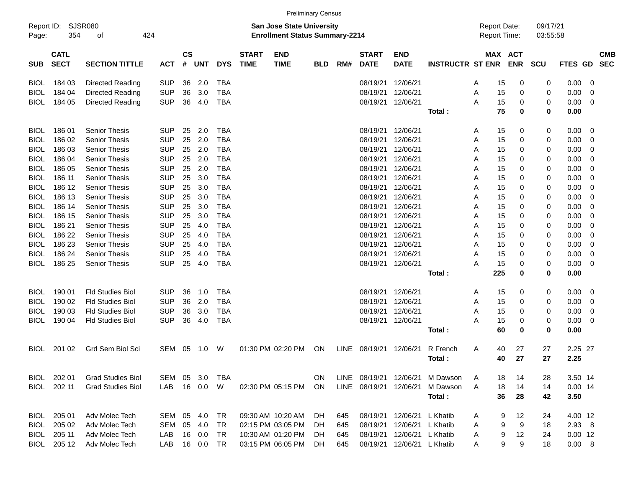|                     |                            |                          |            |                    |             |            |                             |                                                                    | <b>Preliminary Census</b> |      |                             |                           |                         |                                            |                       |                      |                 |   |                          |
|---------------------|----------------------------|--------------------------|------------|--------------------|-------------|------------|-----------------------------|--------------------------------------------------------------------|---------------------------|------|-----------------------------|---------------------------|-------------------------|--------------------------------------------|-----------------------|----------------------|-----------------|---|--------------------------|
| Report ID:<br>Page: | 354                        | SJSR080<br>of            | 424        |                    |             |            |                             | San Jose State University<br><b>Enrollment Status Summary-2214</b> |                           |      |                             |                           |                         | <b>Report Date:</b><br><b>Report Time:</b> |                       | 09/17/21<br>03:55:58 |                 |   |                          |
| <b>SUB</b>          | <b>CATL</b><br><b>SECT</b> | <b>SECTION TITTLE</b>    | <b>ACT</b> | $\mathsf{cs}$<br># | <b>UNT</b>  | <b>DYS</b> | <b>START</b><br><b>TIME</b> | <b>END</b><br><b>TIME</b>                                          | <b>BLD</b>                | RM#  | <b>START</b><br><b>DATE</b> | <b>END</b><br><b>DATE</b> | <b>INSTRUCTR ST ENR</b> |                                            | MAX ACT<br><b>ENR</b> | <b>SCU</b>           | FTES GD         |   | <b>CMB</b><br><b>SEC</b> |
| <b>BIOL</b>         | 184 03                     | Directed Reading         | <b>SUP</b> | 36                 | 2.0         | <b>TBA</b> |                             |                                                                    |                           |      | 08/19/21                    | 12/06/21                  |                         | 15<br>A                                    | 0                     | 0                    | 0.00            | 0 |                          |
| <b>BIOL</b>         | 184 04                     | Directed Reading         | <b>SUP</b> | 36                 | 3.0         | <b>TBA</b> |                             |                                                                    |                           |      | 08/19/21                    | 12/06/21                  |                         | A<br>15                                    | 0                     | 0                    | 0.00            | 0 |                          |
| BIOL                | 184 05                     | Directed Reading         | <b>SUP</b> | 36                 | 4.0         | <b>TBA</b> |                             |                                                                    |                           |      | 08/19/21                    | 12/06/21                  |                         | Α<br>15                                    | 0                     | 0                    | 0.00            | 0 |                          |
|                     |                            |                          |            |                    |             |            |                             |                                                                    |                           |      |                             |                           | Total:                  | 75                                         | 0                     | 0                    | 0.00            |   |                          |
|                     |                            |                          |            |                    |             |            |                             |                                                                    |                           |      |                             |                           |                         |                                            |                       |                      |                 |   |                          |
| <b>BIOL</b>         | 18601                      | Senior Thesis            | <b>SUP</b> | 25                 | 2.0         | <b>TBA</b> |                             |                                                                    |                           |      | 08/19/21                    | 12/06/21                  |                         | A<br>15                                    | 0                     | 0                    | 0.00            | 0 |                          |
| BIOL                | 186 02                     | <b>Senior Thesis</b>     | <b>SUP</b> | 25                 | 2.0         | <b>TBA</b> |                             |                                                                    |                           |      | 08/19/21                    | 12/06/21                  |                         | A<br>15                                    | 0                     | 0                    | 0.00            | 0 |                          |
| BIOL                | 186 03                     | <b>Senior Thesis</b>     | <b>SUP</b> | 25                 | 2.0         | <b>TBA</b> |                             |                                                                    |                           |      | 08/19/21                    | 12/06/21                  |                         | 15<br>A                                    | 0                     | 0                    | 0.00            | 0 |                          |
| BIOL                | 186 04                     | <b>Senior Thesis</b>     | <b>SUP</b> | 25                 | 2.0         | <b>TBA</b> |                             |                                                                    |                           |      | 08/19/21                    | 12/06/21                  |                         | 15<br>A                                    | 0                     | 0                    | 0.00            | 0 |                          |
| BIOL                | 186 05                     | <b>Senior Thesis</b>     | <b>SUP</b> | 25                 | 2.0         | <b>TBA</b> |                             |                                                                    |                           |      | 08/19/21                    | 12/06/21                  |                         | 15<br>A                                    | 0                     | 0                    | 0.00            | 0 |                          |
| BIOL                | 186 11                     | <b>Senior Thesis</b>     | <b>SUP</b> | 25                 | 3.0         | <b>TBA</b> |                             |                                                                    |                           |      | 08/19/21                    | 12/06/21                  |                         | 15<br>A                                    | 0                     | 0                    | 0.00            | 0 |                          |
| BIOL                | 186 12                     | <b>Senior Thesis</b>     | <b>SUP</b> | 25                 | 3.0         | <b>TBA</b> |                             |                                                                    |                           |      | 08/19/21                    | 12/06/21                  |                         | 15<br>A                                    | 0                     | 0                    | 0.00            | 0 |                          |
| BIOL                | 186 13                     | <b>Senior Thesis</b>     | <b>SUP</b> | 25                 | 3.0         | <b>TBA</b> |                             |                                                                    |                           |      | 08/19/21                    | 12/06/21                  |                         | 15<br>A                                    | 0                     | 0                    | 0.00            | 0 |                          |
| BIOL                | 186 14                     | Senior Thesis            | <b>SUP</b> | 25                 | 3.0         | <b>TBA</b> |                             |                                                                    |                           |      | 08/19/21                    | 12/06/21                  |                         | 15<br>A                                    | 0                     | 0                    | 0.00            | 0 |                          |
| BIOL                | 186 15                     | <b>Senior Thesis</b>     | <b>SUP</b> | 25                 | 3.0         | <b>TBA</b> |                             |                                                                    |                           |      | 08/19/21                    | 12/06/21                  |                         | 15<br>A                                    | 0                     | 0                    | 0.00            | 0 |                          |
| BIOL                | 186 21                     | <b>Senior Thesis</b>     | <b>SUP</b> | 25                 | 4.0         | <b>TBA</b> |                             |                                                                    |                           |      | 08/19/21                    | 12/06/21                  |                         | 15<br>A                                    | 0                     | 0                    | 0.00            | 0 |                          |
| BIOL                | 186 22                     | <b>Senior Thesis</b>     | <b>SUP</b> | 25                 | 4.0         | <b>TBA</b> |                             |                                                                    |                           |      | 08/19/21                    | 12/06/21                  |                         | 15<br>A                                    | 0                     | 0                    | 0.00            | 0 |                          |
| <b>BIOL</b>         | 186 23                     | <b>Senior Thesis</b>     | <b>SUP</b> | 25                 | 4.0         | <b>TBA</b> |                             |                                                                    |                           |      | 08/19/21                    | 12/06/21                  |                         | A<br>15                                    | 0                     | 0                    | 0.00            | 0 |                          |
| BIOL                | 186 24                     | <b>Senior Thesis</b>     | <b>SUP</b> | 25                 | 4.0         | <b>TBA</b> |                             |                                                                    |                           |      | 08/19/21                    | 12/06/21                  |                         | A<br>15                                    | 0                     | 0                    | 0.00            | 0 |                          |
| BIOL                | 186 25                     | <b>Senior Thesis</b>     | <b>SUP</b> | 25                 | 4.0         | <b>TBA</b> |                             |                                                                    |                           |      | 08/19/21                    | 12/06/21                  |                         | 15<br>Α                                    | 0                     | 0                    | 0.00            | 0 |                          |
|                     |                            |                          |            |                    |             |            |                             |                                                                    |                           |      |                             |                           | Total:                  | 225                                        | 0                     | 0                    | 0.00            |   |                          |
|                     |                            |                          |            |                    |             |            |                             |                                                                    |                           |      |                             |                           |                         |                                            |                       |                      |                 |   |                          |
| <b>BIOL</b>         | 190 01                     | <b>Fld Studies Biol</b>  | <b>SUP</b> | 36                 | 1.0         | <b>TBA</b> |                             |                                                                    |                           |      | 08/19/21                    | 12/06/21                  |                         | A<br>15                                    | 0                     | 0                    | 0.00            | 0 |                          |
| BIOL                | 190 02                     | <b>Fld Studies Biol</b>  | <b>SUP</b> | 36                 | 2.0         | <b>TBA</b> |                             |                                                                    |                           |      | 08/19/21                    | 12/06/21                  |                         | A<br>15                                    | 0                     | 0                    | 0.00            | 0 |                          |
| <b>BIOL</b>         | 190 03                     | <b>Fld Studies Biol</b>  | <b>SUP</b> | 36                 | 3.0         | <b>TBA</b> |                             |                                                                    |                           |      | 08/19/21                    | 12/06/21                  |                         | A<br>15                                    | 0                     | 0                    | 0.00            | 0 |                          |
| BIOL                | 190 04                     | <b>Fld Studies Biol</b>  | <b>SUP</b> | 36                 | 4.0         | <b>TBA</b> |                             |                                                                    |                           |      | 08/19/21                    | 12/06/21                  |                         | Α<br>15                                    | 0                     | 0                    | 0.00            | 0 |                          |
|                     |                            |                          |            |                    |             |            |                             |                                                                    |                           |      |                             |                           | Total:                  | 60                                         | 0                     | 0                    | 0.00            |   |                          |
|                     |                            |                          |            |                    |             |            |                             |                                                                    |                           |      | 08/19/21                    |                           |                         |                                            |                       |                      |                 |   |                          |
| <b>BIOL</b>         | 201 02                     | Grd Sem Biol Sci         | SEM        | 05                 | 1.0         | W          |                             | 01:30 PM 02:20 PM                                                  | ON                        | LINE |                             | 12/06/21                  | R French<br>Total:      | 40<br>A<br>40                              | 27<br>27              | 27<br>27             | 2.25 27<br>2.25 |   |                          |
|                     |                            |                          |            |                    |             |            |                             |                                                                    |                           |      |                             |                           |                         |                                            |                       |                      |                 |   |                          |
|                     | BIOL 202 01                | <b>Grad Studies Biol</b> | SEM 05     |                    | 3.0         | TBA        |                             |                                                                    | ON.                       |      | LINE 08/19/21               |                           | 12/06/21 M Dawson       | 18<br>A                                    | 14                    | 28                   | 3.50 14         |   |                          |
|                     | BIOL 202 11                | <b>Grad Studies Biol</b> | LAB 16 0.0 |                    |             | W          |                             | 02:30 PM 05:15 PM                                                  | ON                        |      | LINE 08/19/21               | 12/06/21                  | M Dawson                | 18<br>A                                    | 14                    | 14                   | $0.00$ 14       |   |                          |
|                     |                            |                          |            |                    |             |            |                             |                                                                    |                           |      |                             |                           | Total:                  | 36                                         | 28                    | 42                   | 3.50            |   |                          |
|                     |                            |                          |            |                    |             |            |                             |                                                                    |                           |      |                             |                           |                         |                                            |                       |                      |                 |   |                          |
| <b>BIOL</b>         | 205 01                     | Adv Molec Tech           | SEM 05 4.0 |                    |             | TR         |                             | 09:30 AM 10:20 AM                                                  | -DH                       | 645  | 08/19/21                    | 12/06/21 L Khatib         |                         | 9<br>A                                     | 12                    | 24                   | 4.00 12         |   |                          |
| BIOL                | 205 02                     | Adv Molec Tech           | SEM        |                    | 05 4.0      | TR         |                             | 02:15 PM 03:05 PM                                                  | <b>DH</b>                 | 645  | 08/19/21                    | 12/06/21 L Khatib         |                         | 9<br>A                                     | 9                     | 18                   | $2.93$ 8        |   |                          |
|                     | BIOL 205 11                | Adv Molec Tech           | LAB        |                    | 16  0.0     | TR         |                             | 10:30 AM 01:20 PM                                                  | -DH                       | 645  | 08/19/21                    | 12/06/21 L Khatib         |                         | 9<br>A                                     | 12                    | 24                   | $0.00$ 12       |   |                          |
|                     | BIOL 205 12                | Adv Molec Tech           | LAB        |                    | 16  0.0  TR |            |                             | 03:15 PM 06:05 PM DH                                               |                           | 645  | 08/19/21                    | 12/06/21 L Khatib         |                         | A                                          | 9<br>9                | 18                   | 0.00 8          |   |                          |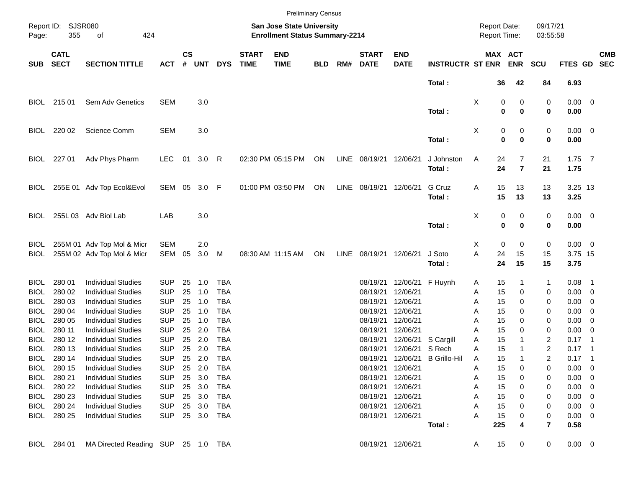|             |                            |                                    |            |                    |            |            |                             |                                                                           | <b>Preliminary Census</b> |      |                             |                           |                         |                                     |                              |                |                      |             |                          |                          |
|-------------|----------------------------|------------------------------------|------------|--------------------|------------|------------|-----------------------------|---------------------------------------------------------------------------|---------------------------|------|-----------------------------|---------------------------|-------------------------|-------------------------------------|------------------------------|----------------|----------------------|-------------|--------------------------|--------------------------|
| Page:       | Report ID: SJSR080<br>355  | 424<br>of                          |            |                    |            |            |                             | <b>San Jose State University</b><br><b>Enrollment Status Summary-2214</b> |                           |      |                             |                           |                         | <b>Report Date:</b><br>Report Time: |                              |                | 09/17/21<br>03:55:58 |             |                          |                          |
| <b>SUB</b>  | <b>CATL</b><br><b>SECT</b> | <b>SECTION TITTLE</b>              | <b>ACT</b> | $\mathsf{cs}$<br># | <b>UNT</b> | <b>DYS</b> | <b>START</b><br><b>TIME</b> | <b>END</b><br><b>TIME</b>                                                 | <b>BLD</b>                | RM#  | <b>START</b><br><b>DATE</b> | <b>END</b><br><b>DATE</b> | <b>INSTRUCTR ST ENR</b> |                                     | <b>MAX ACT</b><br><b>ENR</b> | <b>SCU</b>     |                      | FTES GD     |                          | <b>CMB</b><br><b>SEC</b> |
|             |                            |                                    |            |                    |            |            |                             |                                                                           |                           |      |                             |                           | Total:                  |                                     | 36                           | 42             | 84                   | 6.93        |                          |                          |
| BIOL        | 215 01                     | Sem Adv Genetics                   | <b>SEM</b> |                    | 3.0        |            |                             |                                                                           |                           |      |                             |                           |                         | X                                   | 0                            | 0              | 0                    | $0.00 \t 0$ |                          |                          |
|             |                            |                                    |            |                    |            |            |                             |                                                                           |                           |      |                             |                           | Total:                  |                                     | 0                            | $\bf{0}$       | 0                    | 0.00        |                          |                          |
| <b>BIOL</b> | 220 02                     | Science Comm                       | <b>SEM</b> |                    | 3.0        |            |                             |                                                                           |                           |      |                             |                           |                         | X                                   | 0                            | 0              | 0                    | $0.00 \t 0$ |                          |                          |
|             |                            |                                    |            |                    |            |            |                             |                                                                           |                           |      |                             |                           | Total:                  |                                     | $\mathbf 0$                  | $\bf{0}$       | 0                    | 0.00        |                          |                          |
| <b>BIOL</b> | 227 01                     | Adv Phys Pharm                     | <b>LEC</b> | 01                 | 3.0        | R          |                             | 02:30 PM 05:15 PM                                                         | ON                        | LINE | 08/19/21 12/06/21           |                           | J Johnston              | Α                                   | 24                           | 7              | 21                   | $1.75$ 7    |                          |                          |
|             |                            |                                    |            |                    |            |            |                             |                                                                           |                           |      |                             |                           | Total:                  |                                     | 24                           | $\overline{7}$ | 21                   | 1.75        |                          |                          |
| BIOL        |                            | 255E 01 Adv Top Ecol&Evol          | SEM 05     |                    | 3.0        | F          |                             | 01:00 PM 03:50 PM                                                         | ON                        | LINE | 08/19/21                    | 12/06/21                  | G Cruz                  | Α                                   | 15                           | 13             | 13                   | 3.25 13     |                          |                          |
|             |                            |                                    |            |                    |            |            |                             |                                                                           |                           |      |                             |                           | Total:                  |                                     | 15                           | 13             | 13                   | 3.25        |                          |                          |
| <b>BIOL</b> |                            | 255L 03 Adv Biol Lab               | LAB        |                    | 3.0        |            |                             |                                                                           |                           |      |                             |                           |                         | х                                   | 0                            | 0              | 0                    | $0.00 \t 0$ |                          |                          |
|             |                            |                                    |            |                    |            |            |                             |                                                                           |                           |      |                             |                           | Total:                  |                                     | $\mathbf 0$                  | $\bf{0}$       | 0                    | 0.00        |                          |                          |
| <b>BIOL</b> |                            | 255M 01 Adv Top Mol & Micr         | <b>SEM</b> |                    | 2.0        |            |                             |                                                                           |                           |      |                             |                           |                         | X                                   | 0                            | 0              | 0                    | $0.00 \t 0$ |                          |                          |
| BIOL        |                            | 255M 02 Adv Top Mol & Micr         | SEM        | 05                 | 3.0        | M          |                             | 08:30 AM 11:15 AM                                                         | ON                        | LINE | 08/19/21                    | 12/06/21                  | J Soto                  | A                                   | 24                           | 15             | 15                   | 3.75 15     |                          |                          |
|             |                            |                                    |            |                    |            |            |                             |                                                                           |                           |      |                             |                           | Total:                  |                                     | 24<br>15                     |                | 15                   | 3.75        |                          |                          |
| <b>BIOL</b> | 280 01                     | <b>Individual Studies</b>          | <b>SUP</b> | 25                 | 1.0        | <b>TBA</b> |                             |                                                                           |                           |      | 08/19/21                    | 12/06/21 F Huynh          |                         | Α                                   | 15                           |                | 1                    | $0.08$ 1    |                          |                          |
| <b>BIOL</b> | 280 02                     | <b>Individual Studies</b>          | <b>SUP</b> | 25                 | 1.0        | <b>TBA</b> |                             |                                                                           |                           |      | 08/19/21                    | 12/06/21                  |                         | Α                                   | 15                           | 0              | 0                    | $0.00 \t 0$ |                          |                          |
| <b>BIOL</b> | 280 03                     | <b>Individual Studies</b>          | <b>SUP</b> | 25                 | 1.0        | <b>TBA</b> |                             |                                                                           |                           |      | 08/19/21                    | 12/06/21                  |                         | Α                                   | 15                           | 0              | 0                    | $0.00 \t 0$ |                          |                          |
| <b>BIOL</b> | 280 04                     | <b>Individual Studies</b>          | <b>SUP</b> | 25                 | 1.0        | <b>TBA</b> |                             |                                                                           |                           |      | 08/19/21                    | 12/06/21                  |                         | Α                                   | 15                           | 0              | 0                    | 0.00        | $\overline{\phantom{0}}$ |                          |
| <b>BIOL</b> | 280 05                     | <b>Individual Studies</b>          | <b>SUP</b> | 25                 | 1.0        | <b>TBA</b> |                             |                                                                           |                           |      | 08/19/21                    | 12/06/21                  |                         | A                                   | 15                           | 0              | 0                    | 0.00        | $\overline{\phantom{0}}$ |                          |
| <b>BIOL</b> | 280 11                     | <b>Individual Studies</b>          | <b>SUP</b> | 25                 | 2.0        | <b>TBA</b> |                             |                                                                           |                           |      | 08/19/21                    | 12/06/21                  |                         | A                                   | 15                           | 0              | 0                    | $0.00 \t 0$ |                          |                          |
| BIOL        | 280 12                     | <b>Individual Studies</b>          | <b>SUP</b> | 25                 | 2.0        | <b>TBA</b> |                             |                                                                           |                           |      | 08/19/21                    | 12/06/21                  | S Cargill               | Α                                   | 15                           |                | 2                    | 0.17        | - 1                      |                          |
| BIOL        | 280 13                     | <b>Individual Studies</b>          | <b>SUP</b> | 25                 | 2.0        | <b>TBA</b> |                             |                                                                           |                           |      | 08/19/21                    | 12/06/21                  | S Rech                  | Α                                   | 15                           |                | 2                    | 0.17        | - 1                      |                          |
| BIOL.       | 280 14                     | <b>Individual Studies</b>          | <b>SUP</b> | 25                 | 2.0        | TBA        |                             |                                                                           |                           |      | 08/19/21                    |                           | 12/06/21 B Grillo-Hil   | Α                                   | 15                           |                | 2                    | 0.17        | - 1                      |                          |
|             | BIOL 280 15                | <b>Individual Studies</b>          | <b>SUP</b> |                    | 25 2.0     | TBA        |                             |                                                                           |                           |      |                             | 08/19/21 12/06/21         |                         | A                                   | 15                           | 0              | 0                    | $0.00 \t 0$ |                          |                          |
|             | BIOL 280 21                | <b>Individual Studies</b>          | <b>SUP</b> |                    | 25 3.0     | TBA        |                             |                                                                           |                           |      |                             | 08/19/21 12/06/21         |                         | Α                                   | 15                           | 0              | 0                    | $0.00 \t 0$ |                          |                          |
|             | BIOL 280 22                | <b>Individual Studies</b>          | <b>SUP</b> |                    | 25 3.0     | TBA        |                             |                                                                           |                           |      |                             | 08/19/21 12/06/21         |                         | Α                                   | 15                           | 0              | 0                    | $0.00 \t 0$ |                          |                          |
|             | BIOL 280 23                | <b>Individual Studies</b>          | <b>SUP</b> |                    | 25 3.0     | TBA        |                             |                                                                           |                           |      |                             | 08/19/21 12/06/21         |                         | Α                                   | 15                           | 0              | 0                    | $0.00 \t 0$ |                          |                          |
|             | BIOL 280 24                | <b>Individual Studies</b>          | <b>SUP</b> |                    | 25 3.0     | TBA        |                             |                                                                           |                           |      |                             | 08/19/21 12/06/21         |                         | Α                                   | 15                           | 0              | 0                    | $0.00 \t 0$ |                          |                          |
| BIOL        | 280 25                     | <b>Individual Studies</b>          | <b>SUP</b> |                    | 25 3.0     | TBA        |                             |                                                                           |                           |      |                             | 08/19/21 12/06/21         |                         | Α                                   | 15                           | 0              | 0                    | $0.00 \t 0$ |                          |                          |
|             |                            |                                    |            |                    |            |            |                             |                                                                           |                           |      |                             |                           | Total:                  | 225                                 |                              | 4              | 7                    | 0.58        |                          |                          |
|             | BIOL 284 01                | MA Directed Reading SUP 25 1.0 TBA |            |                    |            |            |                             |                                                                           |                           |      |                             | 08/19/21 12/06/21         |                         | A                                   | 15                           | $\mathbf 0$    | 0                    | $0.00 \t 0$ |                          |                          |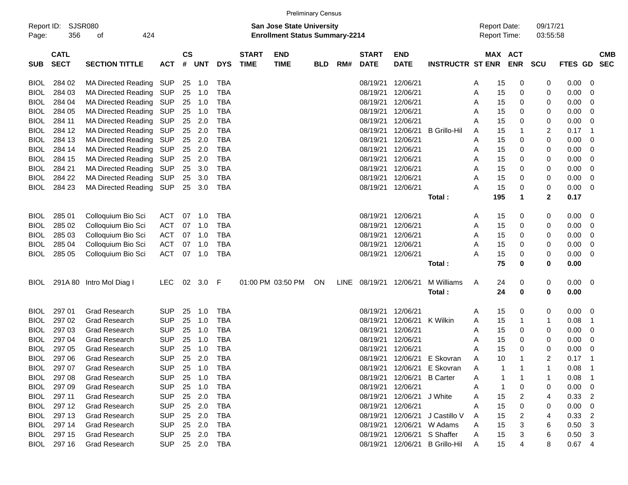|                     |                            |                            |            |                |            |            |                             |                                                                           | <b>Preliminary Census</b> |      |                             |                           |                         |   |                                            |            |                      |         |                          |
|---------------------|----------------------------|----------------------------|------------|----------------|------------|------------|-----------------------------|---------------------------------------------------------------------------|---------------------------|------|-----------------------------|---------------------------|-------------------------|---|--------------------------------------------|------------|----------------------|---------|--------------------------|
| Report ID:<br>Page: | SJSR080<br>356             | 424<br>οf                  |            |                |            |            |                             | <b>San Jose State University</b><br><b>Enrollment Status Summary-2214</b> |                           |      |                             |                           |                         |   | <b>Report Date:</b><br><b>Report Time:</b> |            | 09/17/21<br>03:55:58 |         |                          |
| <b>SUB</b>          | <b>CATL</b><br><b>SECT</b> | <b>SECTION TITTLE</b>      | <b>ACT</b> | <b>CS</b><br># | <b>UNT</b> | <b>DYS</b> | <b>START</b><br><b>TIME</b> | <b>END</b><br><b>TIME</b>                                                 | <b>BLD</b>                | RM#  | <b>START</b><br><b>DATE</b> | <b>END</b><br><b>DATE</b> | <b>INSTRUCTR ST ENR</b> |   | MAX ACT                                    | <b>ENR</b> | <b>SCU</b>           | FTES GD | <b>CMB</b><br><b>SEC</b> |
| <b>BIOL</b>         | 284 02                     | <b>MA Directed Reading</b> | SUP        | 25             | 1.0        | TBA        |                             |                                                                           |                           |      | 08/19/21                    | 12/06/21                  |                         | A | 15                                         | 0          | 0                    | 0.00    | 0                        |
| <b>BIOL</b>         | 284 03                     | <b>MA Directed Reading</b> | <b>SUP</b> | 25             | 1.0        | <b>TBA</b> |                             |                                                                           |                           |      | 08/19/21                    | 12/06/21                  |                         | A | 15                                         | 0          | 0                    | 0.00    | 0                        |
| <b>BIOL</b>         | 284 04                     | <b>MA Directed Reading</b> | <b>SUP</b> | 25             | 1.0        | <b>TBA</b> |                             |                                                                           |                           |      | 08/19/21                    | 12/06/21                  |                         | A | 15                                         | 0          | 0                    | 0.00    | 0                        |
| <b>BIOL</b>         | 284 05                     | MA Directed Reading        | <b>SUP</b> | 25             | 1.0        | <b>TBA</b> |                             |                                                                           |                           |      | 08/19/21                    | 12/06/21                  |                         | A | 15                                         | 0          | 0                    | 0.00    | 0                        |
| <b>BIOL</b>         | 284 11                     | <b>MA Directed Reading</b> | <b>SUP</b> | 25             | 2.0        | <b>TBA</b> |                             |                                                                           |                           |      | 08/19/21                    | 12/06/21                  |                         | A | 15                                         | 0          | 0                    | 0.00    | 0                        |
| <b>BIOL</b>         | 284 12                     | <b>MA Directed Reading</b> | <b>SUP</b> | 25             | 2.0        | <b>TBA</b> |                             |                                                                           |                           |      | 08/19/21                    | 12/06/21                  | <b>B</b> Grillo-Hil     | A | 15                                         | 1          | $\overline{c}$       | 0.17    | 1                        |
| <b>BIOL</b>         | 284 13                     | <b>MA Directed Reading</b> | <b>SUP</b> | 25             | 2.0        | <b>TBA</b> |                             |                                                                           |                           |      | 08/19/21                    | 12/06/21                  |                         | A | 15                                         | 0          | 0                    | 0.00    | 0                        |
| <b>BIOL</b>         | 284 14                     | <b>MA Directed Reading</b> | <b>SUP</b> | 25             | 2.0        | <b>TBA</b> |                             |                                                                           |                           |      | 08/19/21                    | 12/06/21                  |                         | A | 15                                         | 0          | 0                    | 0.00    | 0                        |
| <b>BIOL</b>         | 284 15                     | MA Directed Reading        | SUP        | 25             | 2.0        | <b>TBA</b> |                             |                                                                           |                           |      | 08/19/21                    | 12/06/21                  |                         | A | 15                                         | 0          | 0                    | 0.00    | 0                        |
| <b>BIOL</b>         | 284 21                     | <b>MA Directed Reading</b> | SUP        | 25             | 3.0        | <b>TBA</b> |                             |                                                                           |                           |      | 08/19/21                    | 12/06/21                  |                         | A | 15                                         | 0          | 0                    | 0.00    | 0                        |
| <b>BIOL</b>         | 284 22                     | <b>MA Directed Reading</b> | SUP        | 25             | 3.0        | <b>TBA</b> |                             |                                                                           |                           |      | 08/19/21                    | 12/06/21                  |                         | A | 15                                         | 0          | 0                    | 0.00    | 0                        |
| <b>BIOL</b>         | 284 23                     | <b>MA Directed Reading</b> | SUP        | 25             | 3.0        | <b>TBA</b> |                             |                                                                           |                           |      |                             | 08/19/21 12/06/21         |                         | A | 15                                         | 0          | 0                    | 0.00    | 0                        |
|                     |                            |                            |            |                |            |            |                             |                                                                           |                           |      |                             |                           | Total:                  |   | 195                                        | 1          | $\overline{2}$       | 0.17    |                          |
|                     |                            |                            |            |                |            |            |                             |                                                                           |                           |      |                             |                           |                         |   |                                            |            |                      |         |                          |
| <b>BIOL</b>         | 285 01                     | Colloquium Bio Sci         | <b>ACT</b> | 07             | 1.0        | TBA        |                             |                                                                           |                           |      | 08/19/21                    | 12/06/21                  |                         | A | 15                                         | 0          | 0                    | 0.00    | 0                        |
| <b>BIOL</b>         | 285 02                     | Colloquium Bio Sci         | <b>ACT</b> | 07             | 1.0        | <b>TBA</b> |                             |                                                                           |                           |      | 08/19/21                    | 12/06/21                  |                         | A | 15                                         | 0          | 0                    | 0.00    | 0                        |
| <b>BIOL</b>         | 285 03                     | Colloquium Bio Sci         | <b>ACT</b> | 07             | 1.0        | <b>TBA</b> |                             |                                                                           |                           |      | 08/19/21                    | 12/06/21                  |                         | A | 15                                         | 0          | 0                    | 0.00    | 0                        |
| <b>BIOL</b>         | 285 04                     | Colloquium Bio Sci         | <b>ACT</b> | 07             | 1.0        | <b>TBA</b> |                             |                                                                           |                           |      | 08/19/21                    | 12/06/21                  |                         | A | 15                                         | 0          | 0                    | 0.00    | 0                        |
| BIOL                | 285 05                     | Colloquium Bio Sci         | <b>ACT</b> | 07             | 1.0        | <b>TBA</b> |                             |                                                                           |                           |      |                             | 08/19/21 12/06/21         |                         | A | 15                                         | 0          | 0                    | 0.00    | 0                        |
|                     |                            |                            |            |                |            |            |                             |                                                                           |                           |      |                             |                           | Total:                  |   | 75                                         | 0          | 0                    | 0.00    |                          |
| <b>BIOL</b>         |                            | 291A 80 Intro Mol Diag I   | <b>LEC</b> |                | 02 3.0     | F          |                             | 01:00 PM 03:50 PM                                                         | ON                        | LINE | 08/19/21                    | 12/06/21                  | M Williams              | A | 24                                         | 0          | 0                    | 0.00    | 0                        |
|                     |                            |                            |            |                |            |            |                             |                                                                           |                           |      |                             |                           | Total:                  |   | 24                                         | 0          | 0                    | 0.00    |                          |
| <b>BIOL</b>         | 297 01                     | <b>Grad Research</b>       | <b>SUP</b> | 25             | 1.0        | <b>TBA</b> |                             |                                                                           |                           |      | 08/19/21                    | 12/06/21                  |                         | A | 15                                         | 0          | 0                    | 0.00    | 0                        |
| <b>BIOL</b>         | 297 02                     | <b>Grad Research</b>       | <b>SUP</b> | 25             | 1.0        | <b>TBA</b> |                             |                                                                           |                           |      | 08/19/21                    | 12/06/21                  | K Wilkin                | A | 15                                         | 1          | 1                    | 0.08    | 1                        |
| <b>BIOL</b>         | 297 03                     | <b>Grad Research</b>       | <b>SUP</b> | 25             | 1.0        | <b>TBA</b> |                             |                                                                           |                           |      | 08/19/21                    | 12/06/21                  |                         | A | 15                                         | 0          | 0                    | 0.00    | 0                        |
| <b>BIOL</b>         | 297 04                     | <b>Grad Research</b>       | <b>SUP</b> | 25             | 1.0        | <b>TBA</b> |                             |                                                                           |                           |      | 08/19/21                    | 12/06/21                  |                         | A | 15                                         | 0          | 0                    | 0.00    | 0                        |
| <b>BIOL</b>         | 297 05                     | <b>Grad Research</b>       | <b>SUP</b> | 25             | 1.0        | <b>TBA</b> |                             |                                                                           |                           |      | 08/19/21                    | 12/06/21                  |                         | A | 15                                         | 0          | 0                    | 0.00    | 0                        |
| BIOL                | 297 06                     | <b>Grad Research</b>       | <b>SUP</b> | 25             | 2.0        | <b>TBA</b> |                             |                                                                           |                           |      | 08/19/21                    | 12/06/21                  | E Skovran               | A | 10                                         | 1          | $\overline{2}$       | 0.17    | -1                       |
| <b>BIOL</b>         | 297 07                     | Grad Research              | <b>SUP</b> | 25             | 1.0        | <b>TBA</b> |                             |                                                                           |                           |      | 08/19/21                    | 12/06/21                  | E Skovran               | Α |                                            |            |                      | 0.08    |                          |
| <b>BIOL</b>         | 297 08                     | <b>Grad Research</b>       | <b>SUP</b> | 25             | 1.0        | <b>TBA</b> |                             |                                                                           |                           |      | 08/19/21                    | 12/06/21                  | <b>B</b> Carter         | A |                                            |            |                      | 0.08    |                          |
| <b>BIOL</b>         | 297 09                     | <b>Grad Research</b>       | <b>SUP</b> | 25             | 1.0        | <b>TBA</b> |                             |                                                                           |                           |      | 08/19/21                    | 12/06/21                  |                         | A |                                            | 0          | 0                    | 0.00    | 0                        |
| <b>BIOL</b>         | 297 11                     | <b>Grad Research</b>       | <b>SUP</b> | 25             | 2.0        | <b>TBA</b> |                             |                                                                           |                           |      | 08/19/21                    | 12/06/21                  | J White                 | A | 15                                         | 2          | 4                    | 0.33    | 2                        |
| <b>BIOL</b>         | 297 12                     | <b>Grad Research</b>       | <b>SUP</b> | 25             | 2.0        | <b>TBA</b> |                             |                                                                           |                           |      | 08/19/21                    | 12/06/21                  |                         | A | 15                                         | 0          | 0                    | 0.00    | 0                        |
| <b>BIOL</b>         | 297 13                     | <b>Grad Research</b>       | <b>SUP</b> | 25             | 2.0        | <b>TBA</b> |                             |                                                                           |                           |      | 08/19/21                    | 12/06/21                  | J Castillo V            | A | 15                                         | 2          | 4                    | 0.33    | 2                        |
| <b>BIOL</b>         | 297 14                     | <b>Grad Research</b>       | <b>SUP</b> | 25             | 2.0        | <b>TBA</b> |                             |                                                                           |                           |      | 08/19/21                    | 12/06/21                  | W Adams                 | A | 15                                         | 3          | 6                    | 0.50    | 3                        |
| <b>BIOL</b>         | 297 15                     | <b>Grad Research</b>       | <b>SUP</b> | 25             | 2.0        | TBA        |                             |                                                                           |                           |      | 08/19/21                    | 12/06/21                  | S Shaffer               | A | 15                                         | 3          | 6                    | 0.50    | 3                        |
| <b>BIOL</b>         | 297 16                     | <b>Grad Research</b>       | <b>SUP</b> |                | 25 2.0     | <b>TBA</b> |                             |                                                                           |                           |      | 08/19/21                    | 12/06/21                  | <b>B</b> Grillo-Hil     | Α | 15                                         | 4          | 8                    | 0.67    | 4                        |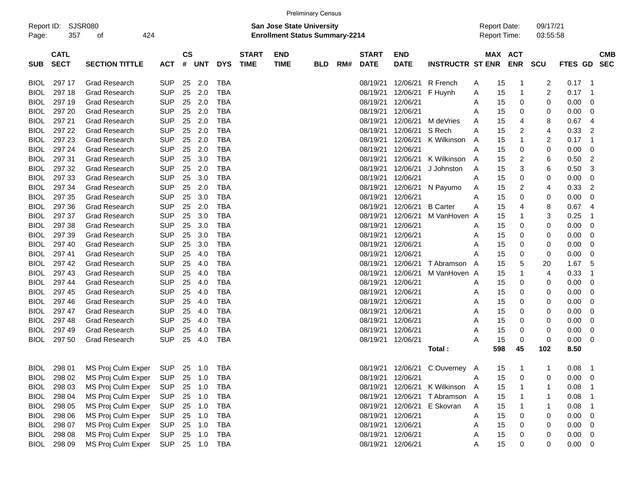| Report ID:<br>Page: | <b>SJSR080</b><br>357      | οf                    | 424        |   |                         |            |                             |                           | <b>San Jose State University</b><br><b>Enrollment Status Summary-2214</b> |     |                             |                           |                         |   | <b>Report Date:</b><br><b>Report Time:</b> |            | 09/17/21<br>03:55:58 |         |                |                          |
|---------------------|----------------------------|-----------------------|------------|---|-------------------------|------------|-----------------------------|---------------------------|---------------------------------------------------------------------------|-----|-----------------------------|---------------------------|-------------------------|---|--------------------------------------------|------------|----------------------|---------|----------------|--------------------------|
| <b>SUB</b>          | <b>CATL</b><br><b>SECT</b> | <b>SECTION TITTLE</b> | <b>ACT</b> | # | <b>CS</b><br><b>UNT</b> | <b>DYS</b> | <b>START</b><br><b>TIME</b> | <b>END</b><br><b>TIME</b> | <b>BLD</b>                                                                | RM# | <b>START</b><br><b>DATE</b> | <b>END</b><br><b>DATE</b> | <b>INSTRUCTR ST ENR</b> |   | MAX ACT                                    | <b>ENR</b> | <b>SCU</b>           | FTES GD |                | <b>CMB</b><br><b>SEC</b> |
| <b>BIOL</b>         | 297 17                     | <b>Grad Research</b>  | <b>SUP</b> |   | 2.0<br>25               | <b>TBA</b> |                             |                           |                                                                           |     | 08/19/21                    | 12/06/21                  | R French                | A | 15                                         | 1          | 2                    | 0.17    | -1             |                          |
| <b>BIOL</b>         | 297 18                     | <b>Grad Research</b>  | <b>SUP</b> |   | 25<br>2.0               | <b>TBA</b> |                             |                           |                                                                           |     | 08/19/21                    | 12/06/21                  | F Huynh                 | A | 15                                         | -1         | 2                    | 0.17    | -1             |                          |
| <b>BIOL</b>         | 297 19                     | <b>Grad Research</b>  | <b>SUP</b> |   | 25<br>2.0               | <b>TBA</b> |                             |                           |                                                                           |     | 08/19/21                    | 12/06/21                  |                         | A | 15                                         | 0          | 0                    | 0.00    | 0              |                          |
| <b>BIOL</b>         | 297 20                     | <b>Grad Research</b>  | <b>SUP</b> |   | 25<br>2.0               | <b>TBA</b> |                             |                           |                                                                           |     | 08/19/21                    | 12/06/21                  |                         | Α | 15                                         | 0          | 0                    | 0.00    | 0              |                          |
| BIOL                | 297 21                     | <b>Grad Research</b>  | <b>SUP</b> |   | 25<br>2.0               | <b>TBA</b> |                             |                           |                                                                           |     | 08/19/21                    | 12/06/21                  | M deVries               | A | 15                                         | 4          | 8                    | 0.67    | 4              |                          |
| <b>BIOL</b>         | 297 22                     | <b>Grad Research</b>  | <b>SUP</b> |   | 25<br>2.0               | <b>TBA</b> |                             |                           |                                                                           |     | 08/19/21                    | 12/06/21                  | S Rech                  | A | 15                                         | 2          | 4                    | 0.33    | $\overline{c}$ |                          |
| <b>BIOL</b>         | 297 23                     | <b>Grad Research</b>  | <b>SUP</b> |   | 25<br>2.0               | <b>TBA</b> |                             |                           |                                                                           |     | 08/19/21                    | 12/06/21                  | K Wilkinson             | A | 15                                         | 1          | 2                    | 0.17    | -1             |                          |
| <b>BIOL</b>         | 297 24                     | <b>Grad Research</b>  | <b>SUP</b> |   | 25<br>2.0               | <b>TBA</b> |                             |                           |                                                                           |     | 08/19/21                    | 12/06/21                  |                         | Α | 15                                         | 0          | 0                    | 0.00    | 0              |                          |
| <b>BIOL</b>         | 297 31                     | <b>Grad Research</b>  | <b>SUP</b> |   | 25<br>3.0               | <b>TBA</b> |                             |                           |                                                                           |     | 08/19/21                    | 12/06/21                  | K Wilkinson             | A | 15                                         | 2          | 6                    | 0.50    | $\overline{c}$ |                          |
| <b>BIOL</b>         | 297 32                     | <b>Grad Research</b>  | <b>SUP</b> |   | 25<br>2.0               | <b>TBA</b> |                             |                           |                                                                           |     | 08/19/21                    | 12/06/21                  | J Johnston              | A | 15                                         | 3          | 6                    | 0.50    | 3              |                          |
| <b>BIOL</b>         | 297 33                     | <b>Grad Research</b>  | <b>SUP</b> |   | 25<br>3.0               | <b>TBA</b> |                             |                           |                                                                           |     | 08/19/21                    | 12/06/21                  |                         | A | 15                                         | 0          | 0                    | 0.00    | 0              |                          |
| <b>BIOL</b>         | 297 34                     | <b>Grad Research</b>  | <b>SUP</b> |   | 25<br>2.0               | <b>TBA</b> |                             |                           |                                                                           |     | 08/19/21                    | 12/06/21                  | N Payumo                | A | 15                                         | 2          | 4                    | 0.33    | $\overline{c}$ |                          |
| <b>BIOL</b>         | 297 35                     | <b>Grad Research</b>  | <b>SUP</b> |   | 25<br>3.0               | <b>TBA</b> |                             |                           |                                                                           |     | 08/19/21                    | 12/06/21                  |                         | A | 15                                         | 0          | 0                    | 0.00    | 0              |                          |
| <b>BIOL</b>         | 297 36                     | <b>Grad Research</b>  | <b>SUP</b> |   | 25<br>2.0               | <b>TBA</b> |                             |                           |                                                                           |     | 08/19/21                    | 12/06/21                  | <b>B</b> Carter         | A | 15                                         | 4          | 8                    | 0.67    | 4              |                          |
| <b>BIOL</b>         | 297 37                     | <b>Grad Research</b>  | <b>SUP</b> |   | 25<br>3.0               | <b>TBA</b> |                             |                           |                                                                           |     | 08/19/21                    | 12/06/21                  | M VanHoven A            |   | 15                                         | 1          | 3                    | 0.25    | -1             |                          |
| <b>BIOL</b>         | 297 38                     | <b>Grad Research</b>  | <b>SUP</b> |   | 25<br>3.0               | <b>TBA</b> |                             |                           |                                                                           |     | 08/19/21                    | 12/06/21                  |                         | A | 15                                         | 0          | 0                    | 0.00    | 0              |                          |
| <b>BIOL</b>         | 297 39                     | <b>Grad Research</b>  | <b>SUP</b> |   | 25<br>3.0               | <b>TBA</b> |                             |                           |                                                                           |     | 08/19/21                    | 12/06/21                  |                         | A | 15                                         | 0          | 0                    | 0.00    | 0              |                          |
| BIOL                | 297 40                     | <b>Grad Research</b>  | <b>SUP</b> |   | 25<br>3.0               | <b>TBA</b> |                             |                           |                                                                           |     | 08/19/21                    | 12/06/21                  |                         | Α | 15                                         | 0          | 0                    | 0.00    | 0              |                          |
| BIOL                | 297 41                     | <b>Grad Research</b>  | <b>SUP</b> |   | 25<br>4.0               | <b>TBA</b> |                             |                           |                                                                           |     | 08/19/21                    | 12/06/21                  |                         | A | 15                                         | 0          | 0                    | 0.00    | 0              |                          |
| <b>BIOL</b>         | 297 42                     | <b>Grad Research</b>  | <b>SUP</b> |   | 25<br>4.0               | <b>TBA</b> |                             |                           |                                                                           |     | 08/19/21                    | 12/06/21                  | T Abramson              | A | 15                                         | 5          | 20                   | 1.67    | 5              |                          |
| <b>BIOL</b>         | 297 43                     | <b>Grad Research</b>  | <b>SUP</b> |   | 25<br>4.0               | <b>TBA</b> |                             |                           |                                                                           |     | 08/19/21                    | 12/06/21                  | M VanHoven A            |   | 15                                         | 1          | 4                    | 0.33    | -1             |                          |
| BIOL                | 297 44                     | <b>Grad Research</b>  | <b>SUP</b> |   | 25<br>4.0               | <b>TBA</b> |                             |                           |                                                                           |     | 08/19/21                    | 12/06/21                  |                         | A | 15                                         | 0          | 0                    | 0.00    | 0              |                          |
| BIOL                | 297 45                     | <b>Grad Research</b>  | <b>SUP</b> |   | 25<br>4.0               | <b>TBA</b> |                             |                           |                                                                           |     | 08/19/21                    | 12/06/21                  |                         | A | 15                                         | 0          | 0                    | 0.00    | 0              |                          |
| BIOL                | 297 46                     | <b>Grad Research</b>  | <b>SUP</b> |   | 25<br>4.0               | <b>TBA</b> |                             |                           |                                                                           |     | 08/19/21                    | 12/06/21                  |                         | Α | 15                                         | 0          | 0                    | 0.00    | 0              |                          |
| BIOL                | 297 47                     | <b>Grad Research</b>  | <b>SUP</b> |   | 25<br>4.0               | <b>TBA</b> |                             |                           |                                                                           |     | 08/19/21                    | 12/06/21                  |                         | Α | 15                                         | 0          | 0                    | 0.00    | 0              |                          |
| BIOL                | 297 48                     | <b>Grad Research</b>  | <b>SUP</b> |   | 25<br>4.0               | <b>TBA</b> |                             |                           |                                                                           |     | 08/19/21                    | 12/06/21                  |                         | A | 15                                         | 0          | 0                    | 0.00    | 0              |                          |
| BIOL                | 297 49                     | <b>Grad Research</b>  | <b>SUP</b> |   | 25<br>4.0               | <b>TBA</b> |                             |                           |                                                                           |     | 08/19/21                    | 12/06/21                  |                         | A | 15                                         | 0          | 0                    | 0.00    | 0              |                          |
| BIOL                | 297 50                     | <b>Grad Research</b>  | <b>SUP</b> |   | 25<br>4.0               | <b>TBA</b> |                             |                           |                                                                           |     | 08/19/21                    | 12/06/21                  |                         | Α | 15                                         | 0          | 0                    | 0.00    | 0              |                          |
|                     |                            |                       |            |   |                         |            |                             |                           |                                                                           |     |                             |                           | Total:                  |   | 598                                        | 45         | 102                  | 8.50    |                |                          |
| BIOL                | 298 01                     | MS Proj Culm Exper    | <b>SUP</b> |   | 25<br>$-1.0$            | TBA        |                             |                           |                                                                           |     | 08/19/21                    | 12/06/21                  | C Ouverney A            |   | 15                                         | -1         | -1                   | 0.08    | -1             |                          |
| <b>BIOL</b>         | 298 02                     | MS Proj Culm Exper    | <b>SUP</b> |   | 25<br>1.0               | <b>TBA</b> |                             |                           |                                                                           |     | 08/19/21                    | 12/06/21                  |                         | A | 15                                         | 0          | 0                    | 0.00    | 0              |                          |
| <b>BIOL</b>         | 298 03                     | MS Proj Culm Exper    | <b>SUP</b> |   | 25<br>1.0               | <b>TBA</b> |                             |                           |                                                                           |     | 08/19/21                    | 12/06/21                  | K Wilkinson             | A | 15                                         |            |                      | 0.08    |                |                          |
| <b>BIOL</b>         | 298 04                     | MS Proj Culm Exper    | <b>SUP</b> |   | 25 1.0                  | <b>TBA</b> |                             |                           |                                                                           |     | 08/19/21                    | 12/06/21                  | T Abramson A            |   | 15                                         |            |                      | 0.08    | -1             |                          |
| <b>BIOL</b>         | 298 05                     | MS Proj Culm Exper    | <b>SUP</b> |   | 25 1.0                  | <b>TBA</b> |                             |                           |                                                                           |     | 08/19/21                    | 12/06/21                  | E Skovran               | Α | 15                                         |            |                      | 0.08    | -1             |                          |
| <b>BIOL</b>         | 298 06                     | MS Proj Culm Exper    | <b>SUP</b> |   | 25 1.0                  | <b>TBA</b> |                             |                           |                                                                           |     | 08/19/21                    | 12/06/21                  |                         | A | 15                                         | 0          | 0                    | 0.00    | 0              |                          |
| <b>BIOL</b>         | 298 07                     | MS Proj Culm Exper    | <b>SUP</b> |   | 25 1.0                  | <b>TBA</b> |                             |                           |                                                                           |     | 08/19/21                    | 12/06/21                  |                         | A | 15                                         | 0          | 0                    | 0.00    | 0              |                          |
| <b>BIOL</b>         | 298 08                     | MS Proj Culm Exper    | <b>SUP</b> |   | 25 1.0                  | <b>TBA</b> |                             |                           |                                                                           |     | 08/19/21                    | 12/06/21                  |                         | A | 15                                         | 0          | 0                    | 0.00    | 0              |                          |
| <b>BIOL</b>         | 298 09                     | MS Proj Culm Exper    | <b>SUP</b> |   | 25 1.0                  | <b>TBA</b> |                             |                           |                                                                           |     |                             | 08/19/21 12/06/21         |                         | Α | 15                                         | 0          | 0                    | 0.00    | 0              |                          |

Preliminary Census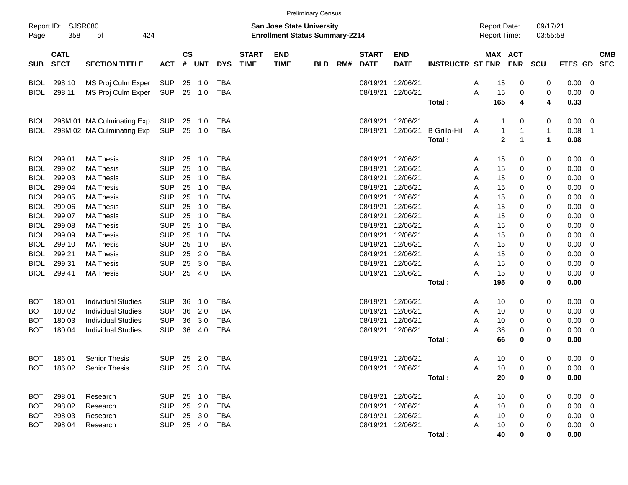|                                                          |                                        |                                                                                                                  |                                                      |                      |                          |                                                      |                             |                                                                    | <b>Preliminary Census</b> |     |                                              |                                                             |                               |                  |                                            |                        |                                  |                                                          |                                                |
|----------------------------------------------------------|----------------------------------------|------------------------------------------------------------------------------------------------------------------|------------------------------------------------------|----------------------|--------------------------|------------------------------------------------------|-----------------------------|--------------------------------------------------------------------|---------------------------|-----|----------------------------------------------|-------------------------------------------------------------|-------------------------------|------------------|--------------------------------------------|------------------------|----------------------------------|----------------------------------------------------------|------------------------------------------------|
| Report ID:<br>Page:                                      | <b>SJSR080</b><br>358                  | 424<br>of                                                                                                        |                                                      |                      |                          |                                                      |                             | San Jose State University<br><b>Enrollment Status Summary-2214</b> |                           |     |                                              |                                                             |                               |                  | <b>Report Date:</b><br><b>Report Time:</b> |                        | 09/17/21<br>03:55:58             |                                                          |                                                |
| <b>SUB</b>                                               | <b>CATL</b><br><b>SECT</b>             | <b>SECTION TITTLE</b>                                                                                            | <b>ACT</b>                                           | $\mathsf{cs}$<br>#   | <b>UNT</b>               | <b>DYS</b>                                           | <b>START</b><br><b>TIME</b> | <b>END</b><br><b>TIME</b>                                          | <b>BLD</b>                | RM# | <b>START</b><br><b>DATE</b>                  | <b>END</b><br><b>DATE</b>                                   | <b>INSTRUCTR ST ENR</b>       |                  | MAX ACT                                    | <b>ENR</b>             | SCU                              | FTES GD                                                  | <b>CMB</b><br><b>SEC</b>                       |
| <b>BIOL</b><br><b>BIOL</b>                               | 298 10<br>298 11                       | MS Proj Culm Exper<br>MS Proj Culm Exper                                                                         | SUP<br><b>SUP</b>                                    | 25<br>25             | 1.0<br>1.0               | TBA<br><b>TBA</b>                                    |                             |                                                                    |                           |     | 08/19/21<br>08/19/21                         | 12/06/21<br>12/06/21                                        | Total:                        | A<br>A           | 15<br>15<br>165                            | 0<br>0<br>4            | 0<br>0<br>4                      | 0.00<br>0.00<br>0.33                                     | 0<br>0                                         |
| <b>BIOL</b><br>BIOL                                      |                                        | 298M 01 MA Culminating Exp<br>298M 02 MA Culminating Exp                                                         | <b>SUP</b><br><b>SUP</b>                             | 25<br>25             | 1.0<br>1.0               | <b>TBA</b><br><b>TBA</b>                             |                             |                                                                    |                           |     | 08/19/21<br>08/19/21                         | 12/06/21<br>12/06/21                                        | <b>B</b> Grillo-Hil<br>Total: | Α<br>A           | 1<br>1<br>$\overline{2}$                   | 0<br>$\mathbf{1}$<br>1 | 0<br>$\mathbf{1}$<br>$\mathbf 1$ | 0.00<br>0.08<br>0.08                                     | 0<br>1                                         |
| <b>BIOL</b><br><b>BIOL</b><br><b>BIOL</b>                | 299 01<br>299 02<br>299 03             | <b>MA Thesis</b><br><b>MA Thesis</b><br><b>MA Thesis</b>                                                         | <b>SUP</b><br><b>SUP</b><br><b>SUP</b>               | 25<br>25<br>25       | 1.0<br>1.0<br>1.0        | <b>TBA</b><br><b>TBA</b><br><b>TBA</b>               |                             |                                                                    |                           |     | 08/19/21<br>08/19/21<br>08/19/21             | 12/06/21<br>12/06/21<br>12/06/21                            |                               | A<br>Α<br>Α      | 15<br>15<br>15                             | 0<br>0<br>0            | 0<br>0<br>0                      | 0.00<br>0.00<br>0.00                                     | $\mathbf 0$<br>$\mathbf 0$<br>0                |
| <b>BIOL</b><br><b>BIOL</b><br><b>BIOL</b><br><b>BIOL</b> | 299 04<br>299 05<br>299 06<br>299 07   | <b>MA Thesis</b><br><b>MA Thesis</b><br><b>MA Thesis</b><br><b>MA Thesis</b>                                     | <b>SUP</b><br><b>SUP</b><br><b>SUP</b><br><b>SUP</b> | 25<br>25<br>25<br>25 | 1.0<br>1.0<br>1.0<br>1.0 | <b>TBA</b><br><b>TBA</b><br><b>TBA</b><br><b>TBA</b> |                             |                                                                    |                           |     | 08/19/21<br>08/19/21<br>08/19/21<br>08/19/21 | 12/06/21<br>12/06/21<br>12/06/21<br>12/06/21                |                               | A<br>Α<br>A<br>Α | 15<br>15<br>15<br>15                       | 0<br>0<br>0<br>0       | 0<br>0<br>0<br>0                 | 0.00<br>0.00<br>0.00<br>0.00                             | 0<br>0<br>0<br>0                               |
| <b>BIOL</b><br><b>BIOL</b><br><b>BIOL</b><br><b>BIOL</b> | 299 08<br>299 09<br>299 10<br>299 21   | <b>MA Thesis</b><br><b>MA Thesis</b><br><b>MA Thesis</b><br><b>MA Thesis</b>                                     | <b>SUP</b><br><b>SUP</b><br><b>SUP</b><br><b>SUP</b> | 25<br>25<br>25<br>25 | 1.0<br>1.0<br>1.0<br>2.0 | <b>TBA</b><br><b>TBA</b><br><b>TBA</b><br><b>TBA</b> |                             |                                                                    |                           |     | 08/19/21<br>08/19/21<br>08/19/21<br>08/19/21 | 12/06/21<br>12/06/21<br>12/06/21<br>12/06/21                |                               | Α<br>Α<br>Α<br>Α | 15<br>15<br>15<br>15                       | 0<br>0<br>0<br>0       | 0<br>0<br>0<br>0                 | 0.00<br>0.00<br>0.00<br>0.00                             | 0<br>0<br>0<br>0                               |
| <b>BIOL</b><br><b>BIOL</b>                               | 299 31<br>299 41                       | <b>MA Thesis</b><br><b>MA Thesis</b>                                                                             | <b>SUP</b><br><b>SUP</b>                             | 25<br>25             | 3.0<br>4.0               | <b>TBA</b><br><b>TBA</b>                             |                             |                                                                    |                           |     | 08/19/21<br>08/19/21                         | 12/06/21<br>12/06/21                                        | Total:                        | Α<br>A           | 15<br>15<br>195                            | 0<br>0<br>0            | 0<br>0<br>0                      | 0.00<br>0.00<br>0.00                                     | 0<br>0                                         |
| BOT<br>BOT<br>вот<br>BOT                                 | 180 01<br>180 02<br>180 03<br>180 04   | <b>Individual Studies</b><br><b>Individual Studies</b><br><b>Individual Studies</b><br><b>Individual Studies</b> | <b>SUP</b><br><b>SUP</b><br><b>SUP</b><br><b>SUP</b> | 36<br>36<br>36<br>36 | 1.0<br>2.0<br>3.0<br>4.0 | <b>TBA</b><br><b>TBA</b><br><b>TBA</b><br><b>TBA</b> |                             |                                                                    |                           |     | 08/19/21<br>08/19/21<br>08/19/21<br>08/19/21 | 12/06/21<br>12/06/21<br>12/06/21<br>12/06/21                |                               | A<br>Α<br>Α<br>A | 10<br>10<br>10<br>36                       | 0<br>0<br>0<br>0       | 0<br>0<br>0<br>0                 | 0.00<br>0.00<br>0.00<br>0.00                             | $\mathbf 0$<br>$\mathbf 0$<br>$\mathbf 0$<br>0 |
| <b>BOT</b>                                               | 186 01                                 | <b>Senior Thesis</b>                                                                                             | <b>SUP</b>                                           | 25                   | 2.0                      | <b>TBA</b>                                           |                             |                                                                    |                           |     | 08/19/21 12/06/21                            |                                                             | Total:                        | Α                | 66<br>10                                   | 0<br>0                 | 0<br>0                           | 0.00<br>0.00                                             | - 0                                            |
|                                                          |                                        | BOT 186 02 Senior Thesis                                                                                         | SUP 25 3.0 TBA                                       |                      |                          |                                                      |                             |                                                                    |                           |     | 08/19/21 12/06/21                            |                                                             | Total:                        | A                | 10<br>20                                   | 0<br>0                 | 0<br>0                           | $0.00 \t 0$<br>0.00                                      |                                                |
| BOT                                                      | BOT 298 02<br>BOT 298 03<br>BOT 298 04 | 298 01 Research<br>Research<br>Research<br>Research                                                              | SUP 25 1.0 TBA<br>SUP 25 2.0 TBA<br>SUP 25 3.0       |                      | SUP 25 4.0 TBA           | TBA                                                  |                             |                                                                    |                           |     | 08/19/21 12/06/21                            | 08/19/21 12/06/21<br>08/19/21 12/06/21<br>08/19/21 12/06/21 |                               | A<br>A<br>A<br>A | 10<br>10<br>10<br>10                       | 0<br>0<br>0<br>0       | 0<br>0<br>0                      | $0.00 \t 0$<br>$0.00 \t 0$<br>$0.00 \t 0$<br>$0.00 \t 0$ |                                                |
|                                                          |                                        |                                                                                                                  |                                                      |                      |                          |                                                      |                             |                                                                    |                           |     |                                              |                                                             | Total:                        |                  | 40                                         | 0                      | 0                                | 0.00                                                     |                                                |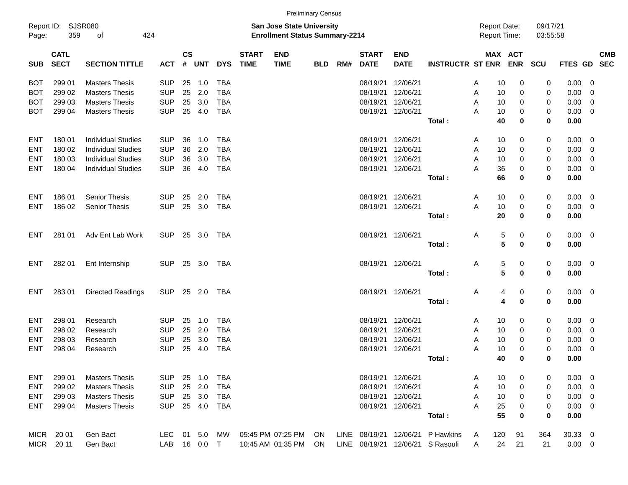|                     |                            |                           |            |                    |            |            |                             |                                                                           | <b>Preliminary Census</b> |     |                             |                           |                         |                                     |     |             |                      |             |                          |            |
|---------------------|----------------------------|---------------------------|------------|--------------------|------------|------------|-----------------------------|---------------------------------------------------------------------------|---------------------------|-----|-----------------------------|---------------------------|-------------------------|-------------------------------------|-----|-------------|----------------------|-------------|--------------------------|------------|
| Report ID:<br>Page: | 359                        | SJSR080<br>οf             | 424        |                    |            |            |                             | <b>San Jose State University</b><br><b>Enrollment Status Summary-2214</b> |                           |     |                             |                           |                         | <b>Report Date:</b><br>Report Time: |     |             | 09/17/21<br>03:55:58 |             |                          |            |
| <b>SUB</b>          | <b>CATL</b><br><b>SECT</b> | <b>SECTION TITTLE</b>     | <b>ACT</b> | $\mathsf{cs}$<br># | <b>UNT</b> | <b>DYS</b> | <b>START</b><br><b>TIME</b> | <b>END</b><br><b>TIME</b>                                                 | <b>BLD</b>                | RM# | <b>START</b><br><b>DATE</b> | <b>END</b><br><b>DATE</b> | <b>INSTRUCTR ST ENR</b> | MAX ACT                             |     | <b>ENR</b>  | <b>SCU</b>           | FTES GD SEC |                          | <b>CMB</b> |
| BOT                 | 299 01                     | <b>Masters Thesis</b>     | <b>SUP</b> | 25                 | 1.0        | <b>TBA</b> |                             |                                                                           |                           |     | 08/19/21                    | 12/06/21                  |                         | Α                                   | 10  | 0           | 0                    | 0.00        | - 0                      |            |
| BOT                 | 299 02                     | <b>Masters Thesis</b>     | <b>SUP</b> | 25                 | 2.0        | <b>TBA</b> |                             |                                                                           |                           |     | 08/19/21                    | 12/06/21                  |                         | A                                   | 10  | 0           | 0                    | 0.00        | - 0                      |            |
| BOT                 | 299 03                     | <b>Masters Thesis</b>     | <b>SUP</b> | 25                 | 3.0        | <b>TBA</b> |                             |                                                                           |                           |     | 08/19/21                    | 12/06/21                  |                         | A                                   | 10  | 0           | 0                    | 0.00        | 0                        |            |
| BOT                 | 299 04                     | <b>Masters Thesis</b>     | <b>SUP</b> | 25                 | 4.0        | <b>TBA</b> |                             |                                                                           |                           |     | 08/19/21                    | 12/06/21                  |                         | A                                   | 10  | 0           | 0                    | 0.00        | $\overline{\mathbf{0}}$  |            |
|                     |                            |                           |            |                    |            |            |                             |                                                                           |                           |     |                             |                           | Total:                  |                                     | 40  | 0           | 0                    | 0.00        |                          |            |
| ENT                 | 180 01                     | <b>Individual Studies</b> | <b>SUP</b> | 36                 | 1.0        | <b>TBA</b> |                             |                                                                           |                           |     | 08/19/21                    | 12/06/21                  |                         | Α                                   | 10  | 0           | 0                    | 0.00        | - 0                      |            |
| ENT                 | 180 02                     | <b>Individual Studies</b> | <b>SUP</b> | 36                 | 2.0        | <b>TBA</b> |                             |                                                                           |                           |     | 08/19/21                    | 12/06/21                  |                         | A                                   | 10  | 0           | 0                    | 0.00        | - 0                      |            |
| ENT                 | 180 03                     | <b>Individual Studies</b> | <b>SUP</b> | 36                 | 3.0        | <b>TBA</b> |                             |                                                                           |                           |     | 08/19/21                    | 12/06/21                  |                         | A                                   | 10  | 0           | 0                    | 0.00        | 0                        |            |
| ENT                 | 180 04                     | <b>Individual Studies</b> | <b>SUP</b> | 36                 | 4.0        | <b>TBA</b> |                             |                                                                           |                           |     | 08/19/21                    | 12/06/21                  |                         | A                                   | 36  | 0           | 0                    | 0.00        | $\overline{\mathbf{0}}$  |            |
|                     |                            |                           |            |                    |            |            |                             |                                                                           |                           |     |                             |                           | Total:                  |                                     | 66  | 0           | 0                    | 0.00        |                          |            |
| ENT                 | 18601                      | <b>Senior Thesis</b>      | <b>SUP</b> | 25                 | 2.0        | <b>TBA</b> |                             |                                                                           |                           |     | 08/19/21                    | 12/06/21                  |                         | A                                   | 10  | 0           | 0                    | 0.00        | $\overline{\mathbf{0}}$  |            |
| <b>ENT</b>          | 186 02                     | <b>Senior Thesis</b>      | <b>SUP</b> | 25                 | 3.0        | <b>TBA</b> |                             |                                                                           |                           |     | 08/19/21                    | 12/06/21                  |                         | A                                   | 10  | 0           | 0                    | 0.00        | $\overline{\phantom{0}}$ |            |
|                     |                            |                           |            |                    |            |            |                             |                                                                           |                           |     |                             |                           | Total:                  |                                     | 20  | $\bf{0}$    | 0                    | 0.00        |                          |            |
| ENT                 | 281 01                     | Adv Ent Lab Work          | <b>SUP</b> | 25                 | 3.0        | TBA        |                             |                                                                           |                           |     | 08/19/21                    | 12/06/21                  |                         | Α                                   | 5   | 0           | 0                    | $0.00 \ 0$  |                          |            |
|                     |                            |                           |            |                    |            |            |                             |                                                                           |                           |     |                             |                           | Total:                  |                                     | 5   | $\mathbf 0$ | 0                    | 0.00        |                          |            |
| ENT                 | 282 01                     | Ent Internship            | <b>SUP</b> | 25                 | 3.0        | TBA        |                             |                                                                           |                           |     | 08/19/21                    | 12/06/21                  |                         | Α                                   | 5   | 0           | 0                    | $0.00 \t 0$ |                          |            |
|                     |                            |                           |            |                    |            |            |                             |                                                                           |                           |     |                             |                           | Total:                  |                                     | 5   | $\mathbf 0$ | 0                    | 0.00        |                          |            |
| ENT                 | 28301                      | <b>Directed Readings</b>  | <b>SUP</b> | 25                 | 2.0        | TBA        |                             |                                                                           |                           |     | 08/19/21                    | 12/06/21                  |                         | Α                                   | 4   | 0           | 0                    | $0.00 \t 0$ |                          |            |
|                     |                            |                           |            |                    |            |            |                             |                                                                           |                           |     |                             |                           | Total:                  |                                     | 4   | $\mathbf 0$ | 0                    | 0.00        |                          |            |
| ENT                 | 298 01                     | Research                  | <b>SUP</b> | 25                 | 1.0        | <b>TBA</b> |                             |                                                                           |                           |     | 08/19/21                    | 12/06/21                  |                         | Α                                   | 10  | 0           | 0                    | 0.00        | - 0                      |            |
| ENT                 | 298 02                     | Research                  | <b>SUP</b> | 25                 | 2.0        | <b>TBA</b> |                             |                                                                           |                           |     | 08/19/21                    | 12/06/21                  |                         | A                                   | 10  | 0           | 0                    | 0.00        | $\overline{0}$           |            |
| ENT                 | 298 03                     | Research                  | <b>SUP</b> | 25                 | 3.0        | <b>TBA</b> |                             |                                                                           |                           |     | 08/19/21                    | 12/06/21                  |                         | A                                   | 10  | 0           | 0                    | 0.00        | 0                        |            |
| ENT                 | 298 04                     | Research                  | <b>SUP</b> | 25                 | 4.0        | <b>TBA</b> |                             |                                                                           |                           |     | 08/19/21                    | 12/06/21                  |                         | A                                   | 10  | 0           | 0                    | 0.00        | 0                        |            |
|                     |                            |                           |            |                    |            |            |                             |                                                                           |                           |     |                             |                           | Total:                  |                                     | 40  | 0           | 0                    | 0.00        |                          |            |
| ENT                 | 299 01                     | <b>Masters Thesis</b>     | <b>SUP</b> | 25                 | 1.0        | TBA        |                             |                                                                           |                           |     |                             | 08/19/21 12/06/21         |                         | Α                                   | 10  | 0           | 0                    | $0.00 \ 0$  |                          |            |
| ENT                 | 299 02                     | <b>Masters Thesis</b>     | <b>SUP</b> | 25                 | 2.0        | <b>TBA</b> |                             |                                                                           |                           |     | 08/19/21                    | 12/06/21                  |                         | A                                   | 10  | 0           | 0                    | $0.00 \t 0$ |                          |            |
| ENT                 | 299 03                     | <b>Masters Thesis</b>     | <b>SUP</b> | 25                 | 3.0        | TBA        |                             |                                                                           |                           |     | 08/19/21                    | 12/06/21                  |                         | Α                                   | 10  | 0           | 0                    | $0.00 \t 0$ |                          |            |
| <b>ENT</b>          | 299 04                     | <b>Masters Thesis</b>     | <b>SUP</b> |                    | 25 4.0     | <b>TBA</b> |                             |                                                                           |                           |     | 08/19/21                    | 12/06/21                  |                         | A                                   | 25  | 0           | 0                    | $0.00 \t 0$ |                          |            |
|                     |                            |                           |            |                    |            |            |                             |                                                                           |                           |     |                             |                           | Total:                  |                                     | 55  | $\mathbf 0$ | 0                    | 0.00        |                          |            |
| MICR                | 20 01                      | Gen Bact                  | LEC.       |                    | 01 5.0     | MW         |                             | 05:45 PM 07:25 PM                                                         | ON                        |     | LINE 08/19/21               | 12/06/21                  | P Hawkins               | A                                   | 120 | 91          | 364                  | 30.33 0     |                          |            |
| <b>MICR</b>         | 20 11                      | Gen Bact                  | LAB        |                    | 16  0.0  T |            |                             | 10:45 AM 01:35 PM                                                         | ON                        |     | LINE 08/19/21               |                           | 12/06/21 S Rasouli      | A                                   | 24  | 21          | 21                   | $0.00 \t 0$ |                          |            |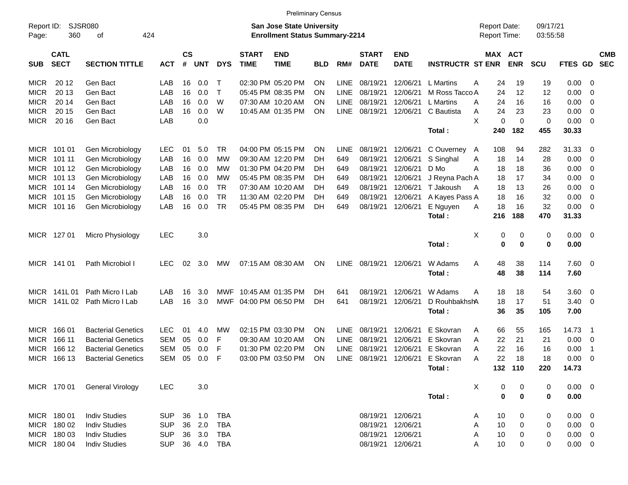|                     |                            |                           |            |                    |            |              |                             | <b>Preliminary Census</b>                                                 |            |             |                             |                           |                         |   |                                     |             |                      |             |                         |                          |
|---------------------|----------------------------|---------------------------|------------|--------------------|------------|--------------|-----------------------------|---------------------------------------------------------------------------|------------|-------------|-----------------------------|---------------------------|-------------------------|---|-------------------------------------|-------------|----------------------|-------------|-------------------------|--------------------------|
| Report ID:<br>Page: | 360                        | SJSR080<br>424<br>οf      |            |                    |            |              |                             | <b>San Jose State University</b><br><b>Enrollment Status Summary-2214</b> |            |             |                             |                           |                         |   | <b>Report Date:</b><br>Report Time: |             | 09/17/21<br>03:55:58 |             |                         |                          |
| <b>SUB</b>          | <b>CATL</b><br><b>SECT</b> | <b>SECTION TITTLE</b>     | <b>ACT</b> | $\mathsf{cs}$<br># | <b>UNT</b> | <b>DYS</b>   | <b>START</b><br><b>TIME</b> | <b>END</b><br><b>TIME</b>                                                 | <b>BLD</b> | RM#         | <b>START</b><br><b>DATE</b> | <b>END</b><br><b>DATE</b> | <b>INSTRUCTR ST ENR</b> |   | MAX ACT                             | <b>ENR</b>  | <b>SCU</b>           | FTES GD     |                         | <b>CMB</b><br><b>SEC</b> |
| <b>MICR</b>         | 20 12                      | Gen Bact                  | LAB        | 16                 | 0.0        | $\top$       |                             | 02:30 PM 05:20 PM                                                         | ON         | <b>LINE</b> | 08/19/21                    | 12/06/21                  | L Martins               | Α | 24                                  | 19          | 19                   | 0.00        | - 0                     |                          |
| <b>MICR</b>         | 20 13                      | Gen Bact                  | LAB        | 16                 | 0.0        | $\mathsf{T}$ |                             | 05:45 PM 08:35 PM                                                         | ΟN         | <b>LINE</b> | 08/19/21                    | 12/06/21                  | M Ross Tacco A          |   | 24                                  | 12          | 12                   | 0.00        | 0                       |                          |
| <b>MICR</b>         | 20 14                      | Gen Bact                  | LAB        | 16                 | 0.0        | W            |                             | 07:30 AM 10:20 AM                                                         | ΟN         | <b>LINE</b> | 08/19/21                    | 12/06/21                  | L Martins               | A | 24                                  | 16          | 16                   | 0.00        | 0                       |                          |
| <b>MICR</b>         | 20 15                      | Gen Bact                  | LAB        | 16                 | 0.0        | W            |                             | 10:45 AM 01:35 PM                                                         | ΟN         | <b>LINE</b> | 08/19/21                    | 12/06/21                  | C Bautista              | A | 24                                  | 23          | 23                   | 0.00        | $\overline{0}$          |                          |
| <b>MICR</b>         | 20 16                      | Gen Bact                  | LAB        |                    | 0.0        |              |                             |                                                                           |            |             |                             |                           |                         | X | 0                                   | $\mathbf 0$ | 0                    | 0.00        | 0                       |                          |
|                     |                            |                           |            |                    |            |              |                             |                                                                           |            |             |                             |                           | Total:                  |   | 240                                 | 182         | 455                  | 30.33       |                         |                          |
| MICR                | 101 01                     | Gen Microbiology          | <b>LEC</b> | 01                 | 5.0        | <b>TR</b>    |                             | 04:00 PM 05:15 PM                                                         | ΟN         | <b>LINE</b> | 08/19/21                    | 12/06/21                  | C Ouverney              | A | 108                                 | 94          | 282                  | 31.33       | $\overline{\mathbf{0}}$ |                          |
| <b>MICR</b>         | 101 11                     | Gen Microbiology          | LAB        | 16                 | 0.0        | MW           |                             | 09:30 AM 12:20 PM                                                         | DН         | 649         | 08/19/21                    | 12/06/21                  | S Singhal               | A | 18                                  | 14          | 28                   | 0.00        | - 0                     |                          |
| <b>MICR</b>         | 101 12                     | Gen Microbiology          | LAB        | 16                 | 0.0        | МW           |                             | 01:30 PM 04:20 PM                                                         | DН         | 649         | 08/19/21                    | 12/06/21                  | D Mo                    | A | 18                                  | 18          | 36                   | 0.00        | - 0                     |                          |
| <b>MICR</b>         | 101 13                     | Gen Microbiology          | LAB        | 16                 | 0.0        | МW           |                             | 05:45 PM 08:35 PM                                                         | DН         | 649         | 08/19/21                    | 12/06/21                  | J Reyna Pach A          |   | 18                                  | 17          | 34                   | 0.00        | $\overline{0}$          |                          |
| <b>MICR</b>         | 101 14                     | Gen Microbiology          | LAB        | 16                 | 0.0        | <b>TR</b>    |                             | 07:30 AM 10:20 AM                                                         | DН         | 649         | 08/19/21                    | 12/06/21                  | T Jakoush               | A | 18                                  | 13          | 26                   | 0.00        | $\mathbf 0$             |                          |
| <b>MICR</b>         | 101 15                     | Gen Microbiology          | LAB        | 16                 | 0.0        | <b>TR</b>    |                             | 11:30 AM 02:20 PM                                                         | DН         | 649         | 08/19/21                    | 12/06/21                  | A Kayes Pass A          |   | 18                                  | 16          | 32                   | 0.00        | $\mathbf 0$             |                          |
| <b>MICR</b>         | 101 16                     | Gen Microbiology          | LAB        | 16                 | 0.0        | <b>TR</b>    |                             | 05:45 PM 08:35 PM                                                         | DН         | 649         | 08/19/21                    | 12/06/21                  | E Nguyen                | Α | 18                                  | 16          | 32                   | 0.00        | 0                       |                          |
|                     |                            |                           |            |                    |            |              |                             |                                                                           |            |             |                             |                           | Total:                  |   | 216                                 | 188         | 470                  | 31.33       |                         |                          |
|                     | MICR 127 01                | Micro Physiology          | <b>LEC</b> |                    | 3.0        |              |                             |                                                                           |            |             |                             |                           |                         | X | 0                                   | 0           | 0                    | 0.00        | $\overline{\mathbf{0}}$ |                          |
|                     |                            |                           |            |                    |            |              |                             |                                                                           |            |             |                             |                           | Total:                  |   | 0                                   | 0           | $\mathbf 0$          | 0.00        |                         |                          |
|                     | MICR 141 01                | Path Microbiol I          | <b>LEC</b> | 02                 | 3.0        | МW           |                             | 07:15 AM 08:30 AM                                                         | ON         | LINE        | 08/19/21                    | 12/06/21                  | W Adams                 | Α | 48                                  | 38          | 114                  | 7.60        | $\overline{\mathbf{0}}$ |                          |
|                     |                            |                           |            |                    |            |              |                             |                                                                           |            |             |                             |                           | Total:                  |   | 48                                  | 38          | 114                  | 7.60        |                         |                          |
|                     | MICR 141L01                | Path Micro I Lab          | LAB        | 16                 | 3.0        | MWF          |                             | 10:45 AM 01:35 PM                                                         | DН         | 641         | 08/19/21                    | 12/06/21                  | W Adams                 | A | 18                                  | 18          | 54                   | 3.60        | $\overline{\mathbf{0}}$ |                          |
| <b>MICR</b>         | 141L 02                    | Path Micro I Lab          | LAB        | 16                 | 3.0        | MWF          |                             | 04:00 PM 06:50 PM                                                         | DН         | 641         | 08/19/21                    | 12/06/21                  | D RouhbakhshA           |   | 18                                  | 17          | 51                   | 3.40        | $\overline{0}$          |                          |
|                     |                            |                           |            |                    |            |              |                             |                                                                           |            |             |                             |                           | Total:                  |   | 36                                  | 35          | 105                  | 7.00        |                         |                          |
| <b>MICR</b>         | 166 01                     | <b>Bacterial Genetics</b> | <b>LEC</b> | 01                 | 4.0        | МW           |                             | 02:15 PM 03:30 PM                                                         | ΟN         | <b>LINE</b> | 08/19/21                    | 12/06/21                  | E Skovran               | A | 66                                  | 55          | 165                  | 14.73       | - 1                     |                          |
| <b>MICR</b>         | 166 11                     | <b>Bacterial Genetics</b> | <b>SEM</b> | 05                 | 0.0        | F            |                             | 09:30 AM 10:20 AM                                                         | ON         | <b>LINE</b> | 08/19/21                    | 12/06/21                  | E Skovran               | A | 22                                  | 21          | 21                   | 0.00        | $\overline{\mathbf{0}}$ |                          |
| <b>MICR</b>         | 166 12                     | <b>Bacterial Genetics</b> | <b>SEM</b> | 05                 | 0.0        | F            |                             | 01:30 PM 02:20 PM                                                         | ΟN         | LINE        | 08/19/21                    | 12/06/21                  | E Skovran               | A | 22                                  | 16          | 16                   | 0.00        | $\overline{1}$          |                          |
| <b>MICR</b>         | 166 13                     | <b>Bacterial Genetics</b> | SEM        | 05                 | 0.0        | F            |                             | 03:00 PM 03:50 PM                                                         | ON         | <b>LINE</b> | 08/19/21                    | 12/06/21                  | E Skovran               | A | 22                                  | 18          | 18                   | 0.00        | $\overline{0}$          |                          |
|                     |                            |                           |            |                    |            |              |                             |                                                                           |            |             |                             |                           | Total:                  |   |                                     | 132 110     | 220                  | 14.73       |                         |                          |
|                     | MICR 170 01                | <b>General Virology</b>   | <b>LEC</b> |                    | 3.0        |              |                             |                                                                           |            |             |                             |                           |                         | X | 0                                   | $\mathbf 0$ | 0                    | $0.00 \t 0$ |                         |                          |
|                     |                            |                           |            |                    |            |              |                             |                                                                           |            |             |                             |                           | Total:                  |   | $\bf{0}$                            | $\bf{0}$    | $\bf{0}$             | 0.00        |                         |                          |
|                     | MICR 180 01                | <b>Indiv Studies</b>      | <b>SUP</b> | 36                 | 1.0        | <b>TBA</b>   |                             |                                                                           |            |             |                             | 08/19/21 12/06/21         |                         | A | 10                                  | 0           | 0                    | $0.00 \t 0$ |                         |                          |
|                     | MICR 180 02                | <b>Indiv Studies</b>      | <b>SUP</b> | 36                 | 2.0        | <b>TBA</b>   |                             |                                                                           |            |             | 08/19/21 12/06/21           |                           |                         | Α | 10                                  | $\pmb{0}$   | 0                    | $0.00 \t 0$ |                         |                          |
|                     | MICR 180 03                | <b>Indiv Studies</b>      | <b>SUP</b> |                    | 36 3.0     | <b>TBA</b>   |                             |                                                                           |            |             | 08/19/21 12/06/21           |                           |                         | Α | 10                                  | 0           | 0                    | $0.00 \t 0$ |                         |                          |
|                     | MICR 180 04                | <b>Indiv Studies</b>      | <b>SUP</b> |                    | 36 4.0     | <b>TBA</b>   |                             |                                                                           |            |             |                             | 08/19/21 12/06/21         |                         | Α | 10                                  | 0           | 0                    | $0.00 \t 0$ |                         |                          |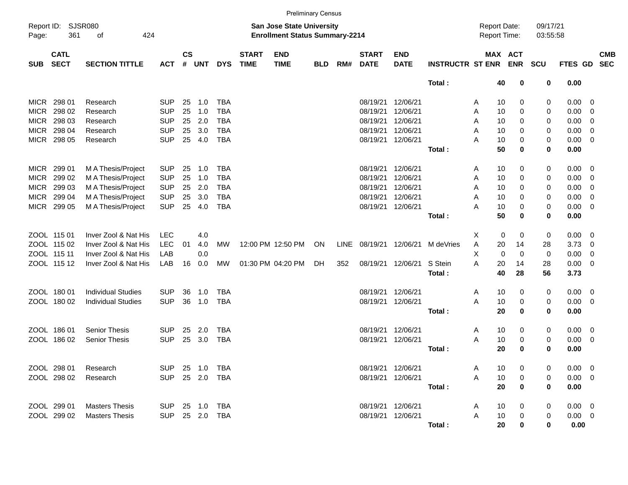|                     |                            |                            |                |                |                |            |                             |                                                                           | <b>Preliminary Census</b> |             |                             |                           |                         |                                            |                       |                      |                |                         |                          |
|---------------------|----------------------------|----------------------------|----------------|----------------|----------------|------------|-----------------------------|---------------------------------------------------------------------------|---------------------------|-------------|-----------------------------|---------------------------|-------------------------|--------------------------------------------|-----------------------|----------------------|----------------|-------------------------|--------------------------|
| Report ID:<br>Page: | SJSR080<br>361             | 424<br>οf                  |                |                |                |            |                             | <b>San Jose State University</b><br><b>Enrollment Status Summary-2214</b> |                           |             |                             |                           |                         | <b>Report Date:</b><br><b>Report Time:</b> |                       | 09/17/21<br>03:55:58 |                |                         |                          |
| <b>SUB</b>          | <b>CATL</b><br><b>SECT</b> | <b>SECTION TITTLE</b>      | <b>ACT</b>     | <b>CS</b><br># | <b>UNT</b>     | <b>DYS</b> | <b>START</b><br><b>TIME</b> | <b>END</b><br><b>TIME</b>                                                 | <b>BLD</b>                | RM#         | <b>START</b><br><b>DATE</b> | <b>END</b><br><b>DATE</b> | <b>INSTRUCTR ST ENR</b> |                                            | MAX ACT<br><b>ENR</b> | SCU                  | FTES GD        |                         | <b>CMB</b><br><b>SEC</b> |
|                     |                            |                            |                |                |                |            |                             |                                                                           |                           |             |                             |                           | Total:                  | 40                                         | 0                     | 0                    | 0.00           |                         |                          |
| <b>MICR</b>         | 298 01                     | Research                   | <b>SUP</b>     | 25             | 1.0            | <b>TBA</b> |                             |                                                                           |                           |             | 08/19/21                    | 12/06/21                  |                         | 10<br>A                                    | 0                     | 0                    | 0.00           | $\overline{0}$          |                          |
| <b>MICR</b>         | 298 02                     | Research                   | <b>SUP</b>     | 25             | 1.0            | <b>TBA</b> |                             |                                                                           |                           |             | 08/19/21                    | 12/06/21                  |                         | A<br>10                                    | 0                     | 0                    | 0.00           | $\overline{0}$          |                          |
| <b>MICR</b>         | 298 03                     | Research                   | <b>SUP</b>     | 25             | 2.0            | <b>TBA</b> |                             |                                                                           |                           |             | 08/19/21                    | 12/06/21                  |                         | 10<br>A                                    | 0                     | 0                    | 0.00           | $\overline{0}$          |                          |
| <b>MICR</b>         | 298 04                     | Research                   | <b>SUP</b>     | 25             | 3.0            | <b>TBA</b> |                             |                                                                           |                           |             | 08/19/21                    | 12/06/21                  |                         | 10<br>A                                    | 0                     | 0                    | 0.00           | $\overline{0}$          |                          |
| <b>MICR</b>         | 298 05                     | Research                   | <b>SUP</b>     | 25             | 4.0            | <b>TBA</b> |                             |                                                                           |                           |             |                             | 08/19/21 12/06/21         |                         | A<br>10                                    | 0                     | 0                    | 0.00           | $\overline{0}$          |                          |
|                     |                            |                            |                |                |                |            |                             |                                                                           |                           |             |                             |                           | Total:                  | 50                                         | 0                     | $\mathbf 0$          | 0.00           |                         |                          |
| <b>MICR</b>         | 299 01                     | M A Thesis/Project         | <b>SUP</b>     | 25             | 1.0            | <b>TBA</b> |                             |                                                                           |                           |             | 08/19/21                    | 12/06/21                  |                         | Α<br>10                                    | 0                     | 0                    | 0.00           | - 0                     |                          |
| <b>MICR</b>         | 299 02                     | M A Thesis/Project         | <b>SUP</b>     | 25             | 1.0            | <b>TBA</b> |                             |                                                                           |                           |             | 08/19/21                    | 12/06/21                  |                         | A<br>10                                    | 0                     | 0                    | 0.00           | $\overline{0}$          |                          |
| <b>MICR</b>         | 299 03                     | M A Thesis/Project         | <b>SUP</b>     | 25             | 2.0            | <b>TBA</b> |                             |                                                                           |                           |             | 08/19/21                    | 12/06/21                  |                         | 10<br>A                                    | 0                     | 0                    | 0.00           | $\overline{0}$          |                          |
| <b>MICR</b>         | 299 04                     | M A Thesis/Project         | <b>SUP</b>     | 25             | 3.0            | <b>TBA</b> |                             |                                                                           |                           |             | 08/19/21                    | 12/06/21                  |                         | 10<br>A                                    | 0                     | 0                    | 0.00           | $\overline{0}$          |                          |
| <b>MICR</b>         | 299 05                     | M A Thesis/Project         | <b>SUP</b>     | 25             | 4.0            | <b>TBA</b> |                             |                                                                           |                           |             |                             | 08/19/21 12/06/21         |                         | A<br>10                                    | 0                     | 0                    | 0.00           | $\overline{0}$          |                          |
|                     |                            |                            |                |                |                |            |                             |                                                                           |                           |             |                             |                           | Total:                  | 50                                         | 0                     | $\mathbf 0$          | 0.00           |                         |                          |
|                     | ZOOL 115 01                | Inver Zool & Nat His       | <b>LEC</b>     |                | 4.0            |            |                             |                                                                           |                           |             |                             |                           |                         | X                                          | 0<br>0                | 0                    | 0.00           | - 0                     |                          |
|                     | ZOOL 115 02                | Inver Zool & Nat His       | <b>LEC</b>     | 01             | 4.0            | <b>MW</b>  |                             | 12:00 PM 12:50 PM                                                         | ON                        | <b>LINE</b> | 08/19/21 12/06/21           |                           | M deVries               | 20<br>A                                    | 14                    | 28                   | 3.73           | $\overline{0}$          |                          |
|                     | ZOOL 115 11                | Inver Zool & Nat His       | LAB            |                | 0.0            |            |                             |                                                                           |                           |             |                             |                           |                         | X                                          | $\mathbf 0$<br>0      | 0                    | 0.00           | $\overline{0}$          |                          |
|                     | ZOOL 115 12                | Inver Zool & Nat His       | LAB            | 16             | 0.0            | <b>MW</b>  |                             | 01:30 PM 04:20 PM                                                         | DH                        | 352         |                             | 08/19/21 12/06/21         | S Stein                 | A<br>20                                    | 14                    | 28                   | 0.00           | $\overline{\mathbf{0}}$ |                          |
|                     |                            |                            |                |                |                |            |                             |                                                                           |                           |             |                             |                           | Total:                  | 40                                         | 28                    | 56                   | 3.73           |                         |                          |
|                     | ZOOL 180 01                | <b>Individual Studies</b>  | <b>SUP</b>     | 36             | 1.0            | <b>TBA</b> |                             |                                                                           |                           |             |                             | 08/19/21 12/06/21         |                         | Α<br>10                                    | 0                     | 0                    | 0.00           | $\overline{\mathbf{0}}$ |                          |
|                     | ZOOL 180 02                | <b>Individual Studies</b>  | <b>SUP</b>     | 36             | 1.0            | <b>TBA</b> |                             |                                                                           |                           |             | 08/19/21 12/06/21           |                           |                         | A<br>10                                    | 0                     | 0                    | 0.00           | $\overline{0}$          |                          |
|                     |                            |                            |                |                |                |            |                             |                                                                           |                           |             |                             |                           | Total:                  | 20                                         | 0                     | $\mathbf 0$          | 0.00           |                         |                          |
|                     | ZOOL 186 01                | <b>Senior Thesis</b>       | <b>SUP</b>     | 25             | 2.0            | <b>TBA</b> |                             |                                                                           |                           |             |                             | 08/19/21 12/06/21         |                         | A<br>10                                    | 0                     | 0                    | 0.00           | $\overline{0}$          |                          |
|                     | ZOOL 186 02                | <b>Senior Thesis</b>       | <b>SUP</b>     | 25             | 3.0            | <b>TBA</b> |                             |                                                                           |                           |             | 08/19/21 12/06/21           |                           |                         | A<br>10                                    | 0                     | 0                    | 0.00           | $\overline{0}$          |                          |
|                     |                            |                            |                |                |                |            |                             |                                                                           |                           |             |                             |                           | Total:                  | 20                                         | 0                     | $\mathbf 0$          | 0.00           |                         |                          |
|                     | ZOOL 298 01                | Research                   |                |                | SUP 25 1.0 TBA |            |                             |                                                                           |                           |             |                             | 08/19/21 12/06/21         |                         | Α<br>10                                    | 0                     | 0                    | $0.00 \t 0$    |                         |                          |
|                     | ZOOL 298 02                | Research                   |                |                | SUP 25 2.0 TBA |            |                             |                                                                           |                           |             |                             | 08/19/21 12/06/21         |                         | 10<br>A                                    | 0                     | 0                    | $0.00 \t 0$    |                         |                          |
|                     |                            |                            |                |                |                |            |                             |                                                                           |                           |             |                             |                           | Total:                  | 20                                         | 0                     | 0                    | 0.00           |                         |                          |
|                     | ZOOL 299 01                | <b>Masters Thesis</b>      | SUP 25 1.0 TBA |                |                |            |                             |                                                                           |                           |             |                             | 08/19/21 12/06/21         |                         | 10<br>A                                    | 0                     | 0                    | $0.00 \quad 0$ |                         |                          |
|                     |                            | ZOOL 299 02 Masters Thesis |                |                | SUP 25 2.0 TBA |            |                             |                                                                           |                           |             |                             | 08/19/21 12/06/21         |                         | A<br>10                                    | 0                     | 0                    | $0.00 \t 0$    |                         |                          |
|                     |                            |                            |                |                |                |            |                             |                                                                           |                           |             |                             |                           | Total:                  | 20                                         | 0                     | $\mathbf 0$          | 0.00           |                         |                          |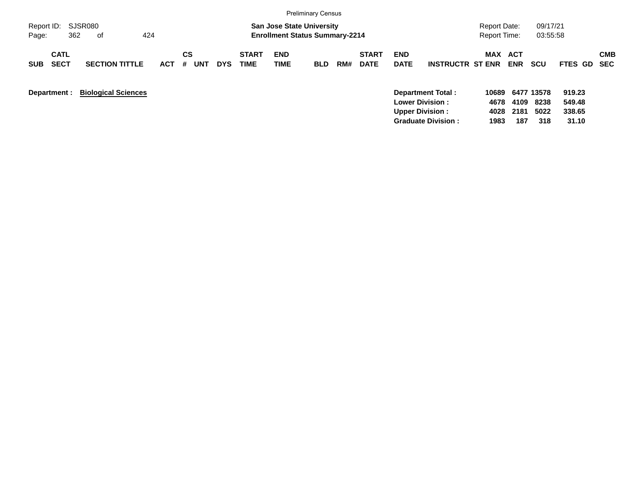|                                          |                            |            |                |            |                      |                                                                           | <b>Preliminary Census</b> |     |                             |                           |                         |                                            |                   |                      |                  |            |
|------------------------------------------|----------------------------|------------|----------------|------------|----------------------|---------------------------------------------------------------------------|---------------------------|-----|-----------------------------|---------------------------|-------------------------|--------------------------------------------|-------------------|----------------------|------------------|------------|
| Report ID: SJSR080<br>362<br>Page:       | 424<br>of                  |            |                |            |                      | <b>San Jose State University</b><br><b>Enrollment Status Summary-2214</b> |                           |     |                             |                           |                         | <b>Report Date:</b><br><b>Report Time:</b> |                   | 09/17/21<br>03:55:58 |                  |            |
| <b>CATL</b><br><b>SECT</b><br><b>SUB</b> | <b>SECTION TITTLE</b>      | <b>ACT</b> | CS<br>#<br>UNT | <b>DYS</b> | <b>START</b><br>TIME | <b>END</b><br><b>TIME</b>                                                 | <b>BLD</b>                | RM# | <b>START</b><br><b>DATE</b> | <b>END</b><br><b>DATE</b> | <b>INSTRUCTR ST ENR</b> | MAX                                        | ACT<br><b>ENR</b> | <b>SCU</b>           | FTES GD SEC      | <b>CMB</b> |
| Department :                             | <b>Biological Sciences</b> |            |                |            |                      |                                                                           |                           |     |                             | <b>Lower Division:</b>    | Department Total:       | 10689<br>4678                              | 4109              | 6477 13578<br>8238   | 919.23<br>549.48 |            |

**Upper Division : 4028 2181 5022 338.65 Graduate Division : 1983 187 318 31.10**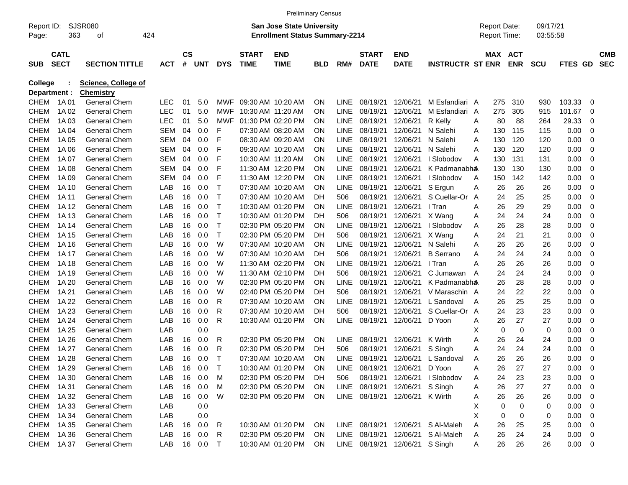|                     |                            |                            |            |                |            |             |                             |                                                                    | <b>Preliminary Census</b> |             |                             |                                |                         |   |                                            |            |                      |             |    |                          |
|---------------------|----------------------------|----------------------------|------------|----------------|------------|-------------|-----------------------------|--------------------------------------------------------------------|---------------------------|-------------|-----------------------------|--------------------------------|-------------------------|---|--------------------------------------------|------------|----------------------|-------------|----|--------------------------|
| Report ID:<br>Page: | 363                        | <b>SJSR080</b><br>οf       | 424        |                |            |             |                             | San Jose State University<br><b>Enrollment Status Summary-2214</b> |                           |             |                             |                                |                         |   | <b>Report Date:</b><br><b>Report Time:</b> |            | 09/17/21<br>03:55:58 |             |    |                          |
|                     |                            |                            |            |                |            |             |                             |                                                                    |                           |             |                             |                                |                         |   |                                            |            |                      |             |    |                          |
| <b>SUB</b>          | <b>CATL</b><br><b>SECT</b> | <b>SECTION TITTLE</b>      | <b>ACT</b> | <b>CS</b><br># | <b>UNT</b> | <b>DYS</b>  | <b>START</b><br><b>TIME</b> | <b>END</b><br><b>TIME</b>                                          | BLD                       | RM#         | <b>START</b><br><b>DATE</b> | <b>END</b><br><b>DATE</b>      | <b>INSTRUCTR ST ENR</b> |   | MAX ACT                                    | <b>ENR</b> | <b>SCU</b>           | <b>FTES</b> | GD | <b>CMB</b><br><b>SEC</b> |
| <b>College</b>      |                            | <b>Science, College of</b> |            |                |            |             |                             |                                                                    |                           |             |                             |                                |                         |   |                                            |            |                      |             |    |                          |
| Department :        |                            | <b>Chemistry</b>           |            |                |            |             |                             |                                                                    |                           |             |                             |                                |                         |   |                                            |            |                      |             |    |                          |
| CHEM                | 1A 01                      | <b>General Chem</b>        | LEC.       | 01             | 5.0        | MWF         |                             | 09:30 AM 10:20 AM                                                  | ON                        | LINE        | 08/19/21                    | 12/06/21                       | M Esfandiari A          |   | 275                                        | 310        | 930                  | 103.33      | 0  |                          |
| <b>CHEM</b>         | 1A 02                      | <b>General Chem</b>        | <b>LEC</b> | 01             | 5.0        | MWF         | 10:30 AM 11:20 AM           |                                                                    | ΟN                        | LINE        | 08/19/21                    | 12/06/21                       | M Esfandiari A          |   | 275                                        | 305        | 915                  | 101.67      | 0  |                          |
| <b>CHEM</b>         | 1A 03                      | <b>General Chem</b>        | <b>LEC</b> | 01             | 5.0        | <b>MWF</b>  |                             | 01:30 PM 02:20 PM                                                  | ΟN                        | <b>LINE</b> | 08/19/21                    | 12/06/21                       | R Kelly                 | A | 80                                         | 88         | 264                  | 29.33       | 0  |                          |
| <b>CHEM</b>         | 1A 04                      | <b>General Chem</b>        | SEM        | 04             | 0.0        | F           |                             | 07:30 AM 08:20 AM                                                  | ΟN                        | <b>LINE</b> | 08/19/21                    | 12/06/21                       | N Salehi                | A | 130                                        | 115        | 115                  | 0.00        | 0  |                          |
| <b>CHEM</b>         | 1A 05                      | <b>General Chem</b>        | SEM        | 04             | 0.0        | F           |                             | 08:30 AM 09:20 AM                                                  | ΟN                        | <b>LINE</b> | 08/19/21                    | 12/06/21                       | N Salehi                | A | 130                                        | 120        | 120                  | 0.00        | 0  |                          |
| <b>CHEM</b>         | 1A 06                      | <b>General Chem</b>        | SEM        | 04             | 0.0        | F           |                             | 09:30 AM 10:20 AM                                                  | ΟN                        | <b>LINE</b> | 08/19/21                    | 12/06/21                       | N Salehi                | A | 130                                        | 120        | 120                  | 0.00        | 0  |                          |
| <b>CHEM</b>         | 1A 07                      | <b>General Chem</b>        | SEM        | 04             | 0.0        | F           |                             | 10:30 AM 11:20 AM                                                  | ΟN                        | <b>LINE</b> | 08/19/21                    | 12/06/21                       | I Slobodov              | A | 130                                        | 131        | 131                  | 0.00        | 0  |                          |
| <b>CHEM</b>         | 1A 08                      | <b>General Chem</b>        | SEM        | 04             | 0.0        | F           |                             | 11:30 AM 12:20 PM                                                  | ΟN                        | <b>LINE</b> | 08/19/21                    | 12/06/21                       | K Padmanabha            |   | 130                                        | 130        | 130                  | 0.00        | 0  |                          |
| <b>CHEM</b>         | 1A 09                      | <b>General Chem</b>        | SEM        | 04             | 0.0        | F           |                             | 11:30 AM 12:20 PM                                                  | ΟN                        | <b>LINE</b> | 08/19/21                    | 12/06/21                       | I Slobodov              | A | 150                                        | 142        | 142                  | 0.00        | 0  |                          |
| <b>CHEM</b>         | 1A 10                      | <b>General Chem</b>        | LAB        | 16             | 0.0        | T           |                             | 07:30 AM 10:20 AM                                                  | ΟN                        | LINE        | 08/19/21                    | 12/06/21                       | S Ergun                 | Α | 26                                         | 26         | 26                   | 0.00        | 0  |                          |
| <b>CHEM</b>         | 1A 11                      | <b>General Chem</b>        | LAB        | 16             | 0.0        | $\mathsf T$ |                             | 07:30 AM 10:20 AM                                                  | DН                        | 506         | 08/19/21                    | 12/06/21                       | S Cuellar-Or            | A | 24                                         | 25         | 25                   | 0.00        | 0  |                          |
| <b>CHEM</b>         | 1A 12                      | <b>General Chem</b>        | LAB        | 16             | 0.0        | T           |                             | 10:30 AM 01:20 PM                                                  | ΟN                        | LINE        | 08/19/21                    | 12/06/21                       | I Tran                  | Α | 26                                         | 29         | 29                   | 0.00        | 0  |                          |
| <b>CHEM</b>         | 1A 13                      | <b>General Chem</b>        | LAB        | 16             | 0.0        | T           |                             | 10:30 AM 01:20 PM                                                  | DН                        | 506         | 08/19/21                    | 12/06/21                       | X Wang                  | Α | 24                                         | 24         | 24                   | 0.00        | 0  |                          |
| <b>CHEM</b>         | 1A 14                      | <b>General Chem</b>        | LAB        | 16             | 0.0        | Т           |                             | 02:30 PM 05:20 PM                                                  | ΟN                        | LINE        | 08/19/21                    | 12/06/21                       | I Slobodov              | Α | 26                                         | 28         | 28                   | 0.00        | 0  |                          |
| <b>CHEM</b>         | 1A 15                      | <b>General Chem</b>        | LAB        | 16             | 0.0        | Τ           |                             | 02:30 PM 05:20 PM                                                  | DН                        | 506         | 08/19/21                    | 12/06/21                       | X Wang                  | Α | 24                                         | 21         | 21                   | 0.00        | 0  |                          |
| <b>CHEM</b>         | 1A 16                      | <b>General Chem</b>        | LAB        | 16             | 0.0        | W           |                             | 07:30 AM 10:20 AM                                                  | ΟN                        | LINE        | 08/19/21                    | 12/06/21                       | N Salehi                | Α | 26                                         | 26         | 26                   | 0.00        | 0  |                          |
| <b>CHEM</b>         | 1A 17                      | <b>General Chem</b>        | LAB        | 16             | 0.0        | W           |                             | 07:30 AM 10:20 AM                                                  | DН                        | 506         | 08/19/21                    | 12/06/21                       | <b>B</b> Serrano        | Α | 24                                         | 24         | 24                   | 0.00        | 0  |                          |
| <b>CHEM</b>         | 1A 18                      | <b>General Chem</b>        | LAB        | 16             | 0.0        | W           |                             | 11:30 AM 02:20 PM                                                  | ΟN                        | LINE        | 08/19/21                    | 12/06/21                       | I Tran                  | Α | 26                                         | 26         | 26                   | 0.00        | 0  |                          |
| <b>CHEM</b>         | 1A 19                      | <b>General Chem</b>        | LAB        | 16             | 0.0        | W           |                             | 11:30 AM 02:10 PM                                                  | DН                        | 506         | 08/19/21                    | 12/06/21                       | C Jumawan               | A | 24                                         | 24         | 24                   | 0.00        | 0  |                          |
| <b>CHEM</b>         | 1A 20                      | <b>General Chem</b>        | LAB        | 16             | 0.0        | W           |                             | 02:30 PM 05:20 PM                                                  | ΟN                        | LINE        | 08/19/21                    | 12/06/21                       | K Padmanabha            |   | 26                                         | 28         | 28                   | 0.00        | 0  |                          |
| <b>CHEM</b>         | 1A 21                      | <b>General Chem</b>        | LAB        | 16             | 0.0        | W           |                             | 02:40 PM 05:20 PM                                                  | DН                        | 506         | 08/19/21                    | 12/06/21                       | V Maraschin A           |   | 24                                         | 22         | 22                   | 0.00        | 0  |                          |
| <b>CHEM</b>         | 1A 22                      | <b>General Chem</b>        | LAB        | 16             | 0.0        | R           |                             | 07:30 AM 10:20 AM                                                  | ΟN                        | LINE        | 08/19/21                    | 12/06/21                       | L Sandoval              | A | 26                                         | 25         | 25                   | 0.00        | 0  |                          |
| <b>CHEM</b>         | 1A 23                      | <b>General Chem</b>        | LAB        | 16             | 0.0        | R           |                             | 07:30 AM 10:20 AM                                                  | DН                        | 506         | 08/19/21                    | 12/06/21                       | S Cuellar-Or A          |   | 24                                         | 23         | 23                   | 0.00        | 0  |                          |
| <b>CHEM</b>         | 1A 24                      | <b>General Chem</b>        | LAB        | 16             | 0.0        | R           |                             | 10:30 AM 01:20 PM                                                  | ON                        | <b>LINE</b> | 08/19/21                    | 12/06/21                       | D Yoon                  | Α | 26                                         | 27         | 27                   | 0.00        | 0  |                          |
| <b>CHEM</b>         | 1A 25                      | <b>General Chem</b>        | LAB        |                | 0.0        |             |                             |                                                                    |                           |             |                             |                                |                         | х | 0                                          | 0          | 0                    | 0.00        | 0  |                          |
| <b>CHEM</b>         | 1A 26                      | <b>General Chem</b>        | LAB        | 16             | 0.0        | R           |                             | 02:30 PM 05:20 PM                                                  | ON                        | LINE.       | 08/19/21                    | 12/06/21                       | K Wirth                 | Α | 26                                         | 24         | 24                   | 0.00        | 0  |                          |
| <b>CHEM</b>         | 1A 27                      | <b>General Chem</b>        | LAB        | 16             | 0.0        | R           |                             | 02:30 PM 05:20 PM                                                  | DН                        | 506         | 08/19/21                    | 12/06/21                       | S Singh                 | Α | 24                                         | 24         | 24                   | 0.00        | 0  |                          |
| CHEM                | 1A 28                      | <b>General Chem</b>        | LAB        | 16             | 0.0        | Т           |                             | 07:30 AM 10:20 AM                                                  | ΟN                        | LINE        | 08/19/21                    | 12/06/21                       | L Sandoval              | A | 26                                         | 26         | 26                   | 0.00        | 0  |                          |
|                     | CHEM 1A29                  | General Chem               | LAB        | 16             | 0.0        | $\top$      |                             | 10:30 AM 01:20 PM                                                  | ON                        | <b>LINE</b> | 08/19/21                    | 12/06/21                       | D Yoon                  | A | 26                                         | 27         | 27                   | 0.00        | 0  |                          |
| CHEM                | 1A 30                      | General Chem               | LAB        | 16             | 0.0        | M           |                             | 02:30 PM 05:20 PM                                                  | <b>DH</b>                 | 506         | 08/19/21                    | 12/06/21                       | I Slobodov              | A | 24                                         | 23         | 23                   | 0.00        | 0  |                          |
| CHEM                | 1A 31                      | General Chem               | LAB        |                | 16 0.0     | M           |                             | 02:30 PM 05:20 PM                                                  | <b>ON</b>                 | LINE        | 08/19/21                    | 12/06/21                       | S Singh                 | A | 26                                         | 27         | 27                   | 0.00        | 0  |                          |
| CHEM                | 1A 32                      | General Chem               | LAB        |                | 16 0.0     | W           |                             | 02:30 PM 05:20 PM                                                  | ON                        |             | LINE 08/19/21               | 12/06/21 K Wirth               |                         | A | 26                                         | 26         | 26                   | 0.00        | 0  |                          |
| CHEM                | 1A 33                      | General Chem               | LAB        |                | 0.0        |             |                             |                                                                    |                           |             |                             |                                |                         | Х | 0                                          | 0          | 0                    | 0.00        | 0  |                          |
| CHEM                | 1A 34                      | General Chem               | LAB        |                | 0.0        |             |                             |                                                                    |                           |             |                             |                                |                         | Χ | 0                                          | 0          | 0                    | 0.00        | 0  |                          |
| CHEM                | 1A 35                      | General Chem               | LAB        |                | 16 0.0     | R           |                             | 10:30 AM 01:20 PM                                                  | <b>ON</b>                 |             | LINE 08/19/21               |                                | 12/06/21 S Al-Maleh     | A | 26                                         | 25         | 25                   | 0.00        | 0  |                          |
| <b>CHEM</b>         | 1A 36                      | General Chem               | LAB        |                | 16 0.0     | R           |                             | 02:30 PM 05:20 PM                                                  | <b>ON</b>                 |             | LINE 08/19/21               |                                | 12/06/21 S Al-Maleh     | A | 26                                         | 24         | 24                   | 0.00        | 0  |                          |
|                     | CHEM 1A37                  | <b>General Chem</b>        | LAB        |                | 16 0.0     | $\top$      |                             | 10:30 AM 01:20 PM                                                  | ON                        |             |                             | LINE 08/19/21 12/06/21 S Singh |                         | A | 26                                         | 26         | 26                   | 0.00        | 0  |                          |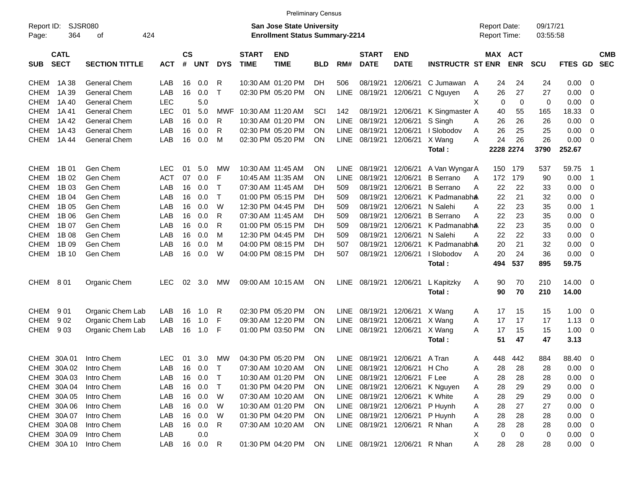|                           |                                      |            |           |            |              |              |                                       | <b>Preliminary Census</b> |             |                               |                           |                            |                     |            |            |                |                          |
|---------------------------|--------------------------------------|------------|-----------|------------|--------------|--------------|---------------------------------------|---------------------------|-------------|-------------------------------|---------------------------|----------------------------|---------------------|------------|------------|----------------|--------------------------|
| Report ID:                | SJSR080<br>San Jose State University |            |           |            |              |              |                                       |                           |             |                               |                           |                            | <b>Report Date:</b> |            | 09/17/21   |                |                          |
| 364<br>Page:              | 424<br>οf                            |            |           |            |              |              | <b>Enrollment Status Summary-2214</b> |                           |             |                               |                           |                            | Report Time:        |            | 03:55:58   |                |                          |
| <b>CATL</b>               |                                      |            | <b>CS</b> |            |              | <b>START</b> | <b>END</b>                            |                           |             | <b>START</b>                  | <b>END</b>                |                            | MAX ACT             |            |            |                | <b>CMB</b>               |
| <b>SECT</b><br><b>SUB</b> | <b>SECTION TITTLE</b>                | <b>ACT</b> | #         | <b>UNT</b> | <b>DYS</b>   | <b>TIME</b>  | <b>TIME</b>                           | <b>BLD</b>                | RM#         | <b>DATE</b>                   | <b>DATE</b>               | <b>INSTRUCTR ST ENR</b>    |                     | <b>ENR</b> | <b>SCU</b> | <b>FTES GD</b> | <b>SEC</b>               |
| CHEM<br>1A 38             | General Chem                         | LAB        | 16        | 0.0        | R            |              | 10:30 AM 01:20 PM                     | <b>DH</b>                 | 506         | 08/19/21                      | 12/06/21                  | C Jumawan                  | 24<br>$\mathsf{A}$  | 24         | 24         | 0.00           | 0                        |
| <b>CHEM</b><br>1A 39      | General Chem                         | LAB        | 16        | 0.0        | $\mathsf{T}$ |              | 02:30 PM 05:20 PM                     | ON.                       | LINE        | 08/19/21                      | 12/06/21                  | C Nguyen                   | 26<br>Α             | 27         | 27         | 0.00           | 0                        |
| <b>CHEM</b><br>1A 40      | <b>General Chem</b>                  | <b>LEC</b> |           | 5.0        |              |              |                                       |                           |             |                               |                           |                            | X<br>$\mathbf 0$    | 0          | 0          | 0.00           | 0                        |
| <b>CHEM</b><br>1A 41      | <b>General Chem</b>                  | <b>LEC</b> | 01        | 5.0        | MWF          |              | 10:30 AM 11:20 AM                     | SCI                       | 142         | 08/19/21                      | 12/06/21                  | K Singmaster A             | 40                  | 55         | 165        | 18.33          | 0                        |
| <b>CHEM</b><br>1A 42      | <b>General Chem</b>                  | LAB        | 16        | 0.0        | R            |              | 10:30 AM 01:20 PM                     | ON.                       | <b>LINE</b> | 08/19/21                      | 12/06/21                  | S Singh                    | 26<br>Α             | 26         | 26         | 0.00           | 0                        |
| <b>CHEM</b><br>1A43       | <b>General Chem</b>                  | LAB        | 16        | 0.0        | R            |              | 02:30 PM 05:20 PM                     | ON.                       | <b>LINE</b> | 08/19/21                      | 12/06/21                  | I Slobodov                 | 26<br>A             | 25         | 25         | 0.00           | 0                        |
| <b>CHEM</b><br>1A 44      | <b>General Chem</b>                  | LAB        | 16        | 0.0        | м            |              | 02:30 PM 05:20 PM                     | ON.                       | <b>LINE</b> | 08/19/21                      | 12/06/21                  | X Wang                     | 24<br>A             | 26         | 26         | 0.00           | - 0                      |
|                           |                                      |            |           |            |              |              |                                       |                           |             |                               |                           | Total:                     |                     | 2228 2274  | 3790       | 252.67         |                          |
|                           |                                      |            |           |            |              |              |                                       |                           |             |                               |                           |                            |                     |            |            |                |                          |
| 1B 01<br>CHEM             | Gen Chem                             | LEC        | 01        | 5.0        | МW           |              | 10:30 AM 11:45 AM                     | ON.                       | LINE        | 08/19/21                      | 12/06/21                  | A Van WyngarA              | 150                 | 179        | 537        | 59.75          | - 1                      |
| 1B 02<br><b>CHEM</b>      | Gen Chem                             | <b>ACT</b> | 07        | 0.0        | F            |              | 10:45 AM 11:35 AM                     | ON.                       | <b>LINE</b> | 08/19/21                      | 12/06/21                  | <b>B</b> Serrano           | 172<br>A            | 179        | 90         | 0.00           | -1                       |
| <b>CHEM</b><br>1B 03      | Gen Chem                             | LAB        | 16        | 0.0        | $\top$       |              | 07:30 AM 11:45 AM                     | DH                        | 509         | 08/19/21                      | 12/06/21                  | <b>B</b> Serrano           | 22<br>A             | 22         | 33         | 0.00           | - 0                      |
| <b>CHEM</b><br>1B 04      | Gen Chem                             | LAB        | 16        | 0.0        | $\top$       |              | 01:00 PM 05:15 PM                     | DH                        | 509         | 08/19/21                      | 12/06/21                  | K Padmanabh <b>a</b>       | 22                  | 21         | 32         | 0.00           | - 0                      |
| <b>CHEM</b><br>1B 05      | Gen Chem                             | LAB        | 16        | 0.0        | W            |              | 12:30 PM 04:45 PM                     | DН                        | 509         | 08/19/21                      | 12/06/21                  | N Salehi                   | 22<br>A             | 23         | 35         | 0.00           | -1                       |
| <b>CHEM</b><br>1B 06      | Gen Chem                             | LAB        | 16        | 0.0        | R            |              | 07:30 AM 11:45 AM                     | DН                        | 509         | 08/19/21                      | 12/06/21                  | <b>B</b> Serrano           | 22<br>A             | 23         | 35         | 0.00           | 0                        |
| <b>CHEM</b><br>1B 07      | Gen Chem                             | LAB        | 16        | 0.0        | R            |              | 01:00 PM 05:15 PM                     | DН                        | 509         | 08/19/21                      | 12/06/21                  | K Padmanabh <b>a</b>       | 22                  | 23         | 35         | 0.00           | 0                        |
| <b>CHEM</b><br>1B 08      | Gen Chem                             | LAB        | 16        | 0.0        | м            |              | 12:30 PM 04:45 PM                     | DН                        | 509         | 08/19/21                      | 12/06/21                  | N Salehi                   | 22<br>Α             | 22         | 33         | 0.00           | 0                        |
| <b>CHEM</b><br>1B 09      | Gen Chem                             | LAB        | 16        | 0.0        | м            |              | 04:00 PM 08:15 PM                     | DН                        | 507         | 08/19/21                      | 12/06/21                  | K Padmanabh <b>a</b>       | 20                  | 21         | 32         | 0.00           | 0                        |
| <b>CHEM</b><br>1B 10      | Gen Chem                             | LAB        | 16        | 0.0        | W            |              | 04:00 PM 08:15 PM                     | DН                        | 507         | 08/19/21                      | 12/06/21                  | I Slobodov                 | 20<br>A             | 24         | 36         | 0.00           | - 0                      |
|                           |                                      |            |           |            |              |              |                                       |                           |             |                               |                           | Total:                     | 494                 | 537        | 895        | 59.75          |                          |
| CHEM<br>801               | Organic Chem                         | <b>LEC</b> | 02        | 3.0        | MW           |              | 09:00 AM 10:15 AM                     | ON.                       | <b>LINE</b> | 08/19/21                      | 12/06/21                  | L Kapitzky                 | 90<br>Α             | 70         | 210        | 14.00 0        |                          |
|                           |                                      |            |           |            |              |              |                                       |                           |             |                               |                           | Total:                     | 90                  | 70         | 210        | 14.00          |                          |
| CHEM<br>901               | Organic Chem Lab                     | LAB.       | 16        | 1.0        | R            |              | 02:30 PM 05:20 PM                     | <b>ON</b>                 | <b>LINE</b> | 08/19/21                      | 12/06/21                  | X Wang                     | 17<br>A             | 15         | 15         | 1.00           | - 0                      |
| CHEM<br>902               | Organic Chem Lab                     | LAB        | 16        | 1.0        | F            |              | 09:30 AM 12:20 PM                     | ON.                       | <b>LINE</b> | 08/19/21                      | 12/06/21                  | X Wang                     | 17<br>A             | 17         | 17         | 1.13           | - 0                      |
| CHEM<br>903               | Organic Chem Lab                     | LAB        | 16        | 1.0        | F            |              | 01:00 PM 03:50 PM                     | ON.                       | <b>LINE</b> | 08/19/21                      | 12/06/21                  | X Wang                     | 17<br>A             | 15         | 15         | 1.00           | - 0                      |
|                           |                                      |            |           |            |              |              |                                       |                           |             |                               |                           | Total:                     | 51                  | 47         | 47         | 3.13           |                          |
| CHEM 30A 01               | Intro Chem                           | <b>LEC</b> | 01        | 3.0        | MW           |              | 04:30 PM 05:20 PM                     | <b>ON</b>                 | <b>LINE</b> |                               | 08/19/21 12/06/21         | A Tran                     | 448<br>Α            | 442        | 884        | 88.40          | $\overline{\mathbf{0}}$  |
| CHEM 30A 02               | Intro Chem                           | LAB        |           | 16 0.0     | $\top$       |              | 07:30 AM 10:20 AM                     | <b>ON</b>                 | LINE        |                               | 08/19/21 12/06/21 H Cho   |                            | 28<br>A             | 28         | 28         | 0.00           | $\overline{\phantom{0}}$ |
| CHEM 30A 03               | Intro Chem                           | LAB        |           | 16  0.0  T |              |              | 10:30 AM 01:20 PM                     | <b>ON</b>                 | <b>LINE</b> |                               | 08/19/21 12/06/21 F Lee   |                            | 28<br>Α             | 28         | 28         | $0.00 \t 0$    |                          |
| CHEM 30A 04               | Intro Chem                           | LAB        |           | 16  0.0  T |              |              | 01:30 PM 04:20 PM                     | <b>ON</b>                 | LINE        |                               |                           | 08/19/21 12/06/21 K Nguyen | 28<br>Α             | 29         | 29         | $0.00 \t 0$    |                          |
| CHEM 30A 05               | Intro Chem                           | LAB        |           | 16  0.0  W |              |              | 07:30 AM 10:20 AM                     | <b>ON</b>                 | <b>LINE</b> |                               | 08/19/21 12/06/21 K White |                            | 28<br>Α             | 29         | 29         | $0.00 \t 0$    |                          |
| CHEM 30A 06               | Intro Chem                           | LAB        |           | 16 0.0     | W            |              | 10:30 AM 01:20 PM                     | <b>ON</b>                 | LINE        |                               | 08/19/21 12/06/21 P Huynh |                            | 28<br>Α             | 27         | 27         | $0.00 \t 0$    |                          |
| CHEM 30A 07               | Intro Chem                           | LAB        |           | 16 0.0     | W            |              | 01:30 PM 04:20 PM                     | <b>ON</b>                 | LINE        |                               | 08/19/21 12/06/21 P Huynh |                            | 28<br>Α             | 28         | 28         | $0.00 \t 0$    |                          |
| CHEM 30A 08               | Intro Chem                           | LAB        |           | 16 0.0     | R            |              | 07:30 AM 10:20 AM                     | ON                        |             | LINE 08/19/21 12/06/21 R Nhan |                           |                            | 28<br>Α             | 28         | 28         | $0.00 \t 0$    |                          |
| CHEM 30A 09               | Intro Chem                           | LAB        |           | 0.0        |              |              |                                       |                           |             |                               |                           |                            | 0<br>X              | 0          | 0          | $0.00 \t 0$    |                          |
| CHEM 30A 10               | Intro Chem                           | LAB        |           | 16  0.0  R |              |              | 01:30 PM 04:20 PM                     | ON                        |             | LINE 08/19/21 12/06/21 R Nhan |                           |                            | Α<br>28             | 28         | 28         | $0.00 \t 0$    |                          |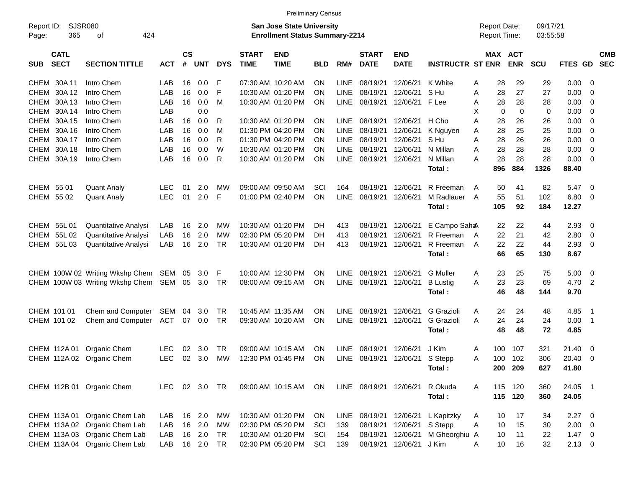|                                          |                                                                |            |                    |                     |            |                             | <b>Preliminary Census</b>                                                 |            |             |                             |                                        |                          |        |                                            |             |                      |                           |                                 |                          |
|------------------------------------------|----------------------------------------------------------------|------------|--------------------|---------------------|------------|-----------------------------|---------------------------------------------------------------------------|------------|-------------|-----------------------------|----------------------------------------|--------------------------|--------|--------------------------------------------|-------------|----------------------|---------------------------|---------------------------------|--------------------------|
| Report ID:<br>365<br>Page:               | SJSR080<br>424<br>οf                                           |            |                    |                     |            |                             | <b>San Jose State University</b><br><b>Enrollment Status Summary-2214</b> |            |             |                             |                                        |                          |        | <b>Report Date:</b><br><b>Report Time:</b> |             | 09/17/21<br>03:55:58 |                           |                                 |                          |
| <b>CATL</b><br><b>SECT</b><br><b>SUB</b> | <b>SECTION TITTLE</b>                                          | <b>ACT</b> | $\mathsf{cs}$<br># | <b>UNT</b>          | <b>DYS</b> | <b>START</b><br><b>TIME</b> | <b>END</b><br><b>TIME</b>                                                 | <b>BLD</b> | RM#         | <b>START</b><br><b>DATE</b> | <b>END</b><br><b>DATE</b>              | <b>INSTRUCTR ST ENR</b>  |        | MAX ACT                                    | <b>ENR</b>  | <b>SCU</b>           | <b>FTES GD</b>            |                                 | <b>CMB</b><br><b>SEC</b> |
| CHEM 30A 11                              | Intro Chem                                                     | LAB        | 16                 | 0.0                 | F          |                             | 07:30 AM 10:20 AM                                                         | ΟN         | <b>LINE</b> | 08/19/21                    | 12/06/21                               | K White                  | A      | 28                                         | 29          | 29                   | 0.00                      | - 0                             |                          |
| 30A 12<br><b>CHEM</b>                    | Intro Chem                                                     | LAB        | 16                 | 0.0                 | F          |                             | 10:30 AM 01:20 PM                                                         | ΟN         | <b>LINE</b> | 08/19/21                    | 12/06/21                               | S Hu                     | A      | 28                                         | 27          | 27                   | 0.00                      | 0                               |                          |
| 30A 13<br><b>CHEM</b>                    | Intro Chem                                                     | LAB        | 16                 | 0.0                 | м          |                             | 10:30 AM 01:20 PM                                                         | OΝ         | LINE        | 08/19/21                    | 12/06/21                               | F Lee                    | A      | 28                                         | 28          | 28                   | 0.00                      | - 0                             |                          |
| 30A 14<br><b>CHEM</b>                    | Intro Chem                                                     | LAB        |                    | 0.0                 |            |                             |                                                                           |            |             |                             |                                        |                          | X      | $\mathbf 0$                                | $\mathbf 0$ | 0                    | 0.00                      | - 0                             |                          |
| 30A 15<br><b>CHEM</b>                    | Intro Chem                                                     | LAB        | 16                 | 0.0                 | R          |                             | 10:30 AM 01:20 PM                                                         | ΟN         | LINE        | 08/19/21                    | 12/06/21 H Cho                         |                          | A      | 28                                         | 26          | 26                   | 0.00                      | - 0                             |                          |
| 30A 16<br><b>CHEM</b>                    | Intro Chem                                                     | LAB        | 16                 | 0.0                 | м          |                             | 01:30 PM 04:20 PM                                                         | ΟN         | <b>LINE</b> | 08/19/21                    | 12/06/21                               | K Nguyen                 | A      | 28                                         | 25          | 25                   | 0.00                      | 0                               |                          |
| 30A 17<br><b>CHEM</b>                    | Intro Chem                                                     | LAB        | 16                 | 0.0                 | R          |                             | 01:30 PM 04:20 PM                                                         | OΝ         | <b>LINE</b> | 08/19/21                    | 12/06/21                               | S Hu                     | A      | 28                                         | 26          | 26                   | 0.00                      | - 0                             |                          |
| 30A 18<br><b>CHEM</b>                    | Intro Chem                                                     | LAB        | 16                 | 0.0                 | W          |                             | 10:30 AM 01:20 PM                                                         | ΟN         | <b>LINE</b> | 08/19/21                    | 12/06/21                               | N Millan                 | A      | 28                                         | 28          | 28                   | 0.00                      | - 0                             |                          |
| 30A 19<br><b>CHEM</b>                    | Intro Chem                                                     | LAB        | 16                 | 0.0                 | R          |                             | 10:30 AM 01:20 PM                                                         | ΟN         | LINE        | 08/19/21                    | 12/06/21                               | N Millan                 | A      | 28                                         | 28          | 28                   | 0.00                      | - 0                             |                          |
|                                          |                                                                |            |                    |                     |            |                             |                                                                           |            |             |                             |                                        | Total:                   |        | 896                                        | 884         | 1326                 | 88.40                     |                                 |                          |
| CHEM 55 01                               | <b>Quant Analy</b>                                             | <b>LEC</b> | 01                 | 2.0                 | МW         |                             | 09:00 AM 09:50 AM                                                         | SCI        | 164         |                             | 08/19/21 12/06/21                      | R Freeman                | A      | 50                                         | 41          | 82                   | 5.47                      | - 0                             |                          |
| CHEM 55 02                               | <b>Quant Analy</b>                                             | <b>LEC</b> | 01                 | 2.0                 | F          |                             | 01:00 PM 02:40 PM                                                         | ΟN         | <b>LINE</b> | 08/19/21 12/06/21           |                                        | M Radlauer               | A      | 55                                         | 51          | 102                  | 6.80                      | - 0                             |                          |
|                                          |                                                                |            |                    |                     |            |                             |                                                                           |            |             |                             |                                        | Total:                   |        | 105                                        | 92          | 184                  | 12.27                     |                                 |                          |
| 55L 01<br>CHEM                           | Quantitative Analysi                                           | LAB        | 16                 | 2.0                 | МW         |                             | 10:30 AM 01:20 PM                                                         | DH.        | 413         | 08/19/21                    | 12/06/21                               | E Campo Saha             |        | 22                                         | 22          | 44                   | 2.93                      | - 0                             |                          |
| <b>CHEM</b><br>55L02                     | Quantitative Analysi                                           | LAB        | 16                 | 2.0                 | МW         |                             | 02:30 PM 05:20 PM                                                         | DH         | 413         | 08/19/21                    | 12/06/21                               | R Freeman                | A      | 22                                         | 21          | 42                   | 2.80                      | 0                               |                          |
| 55L 03<br>CHEM                           | Quantitative Analysi                                           | LAB        | 16                 | 2.0                 | TR         |                             | 10:30 AM 01:20 PM                                                         | DH.        | 413         | 08/19/21                    | 12/06/21                               | R Freeman                | A      | 22                                         | 22          | 44                   | 2.93                      | - 0                             |                          |
|                                          |                                                                |            |                    |                     |            |                             |                                                                           |            |             |                             |                                        | Total:                   |        | 66                                         | 65          | 130                  | 8.67                      |                                 |                          |
|                                          | CHEM 100W 02 Writing Wkshp Chem                                | SEM        | 05                 | 3.0                 | F          |                             | 10:00 AM 12:30 PM                                                         | OΝ         | <b>LINE</b> | 08/19/21                    | 12/06/21                               | <b>G</b> Muller          | A      | 23                                         | 25          | 75                   | 5.00                      | - 0                             |                          |
|                                          | CHEM 100W 03 Writing Wkshp Chem                                | SEM        |                    | 05 3.0              | TR         |                             | 08:00 AM 09:15 AM                                                         | ON         | LINE        | 08/19/21 12/06/21           |                                        | <b>B</b> Lustig          | A      | 23                                         | 23          | 69                   | 4.70                      | $\overline{\phantom{a}}$        |                          |
|                                          |                                                                |            |                    |                     |            |                             |                                                                           |            |             |                             |                                        | Total:                   |        | 46                                         | 48          | 144                  | 9.70                      |                                 |                          |
| CHEM 101 01                              |                                                                |            |                    |                     | TR         |                             | 10:45 AM 11:35 AM                                                         |            | <b>LINE</b> | 08/19/21                    | 12/06/21                               | G Grazioli               |        | 24                                         | 24          | 48                   | 4.85                      |                                 |                          |
| CHEM 101 02                              | Chem and Computer<br>Chem and Computer                         | SEM<br>ACT | 04<br>07           | 3.0<br>0.0          | TR         |                             | 09:30 AM 10:20 AM                                                         | OΝ<br>ΟN   | <b>LINE</b> | 08/19/21 12/06/21           |                                        | G Grazioli               | A<br>A | 24                                         | 24          | 24                   | 0.00                      | $\overline{\phantom{1}}$<br>- 1 |                          |
|                                          |                                                                |            |                    |                     |            |                             |                                                                           |            |             |                             |                                        | Total:                   |        | 48                                         | 48          | 72                   | 4.85                      |                                 |                          |
|                                          |                                                                |            |                    |                     |            |                             |                                                                           |            |             |                             |                                        |                          |        |                                            |             |                      |                           |                                 |                          |
| CHEM 112A 01                             | Organic Chem                                                   | LEC.       | 02                 | 3.0                 | TR         |                             | 09:00 AM 10:15 AM                                                         | OΝ         | <b>LINE</b> | 08/19/21                    | 12/06/21                               | J Kim                    | A      | 100                                        | 107         | 321                  | 21.40                     | - 0                             |                          |
| CHEM 112A 02 Organic Chem                |                                                                | <b>LEC</b> | 02                 | 3.0                 | MW         |                             | 12:30 PM 01:45 PM                                                         | ON         | LINE        |                             | 08/19/21 12/06/21 S Stepp              |                          | A      | 100                                        | 102         | 306                  | 20.40                     | $\overline{\mathbf{0}}$         |                          |
|                                          |                                                                |            |                    |                     |            |                             |                                                                           |            |             |                             |                                        | Total:                   |        |                                            | 200 209     | 627                  | 41.80                     |                                 |                          |
| CHEM 112B 01 Organic Chem                |                                                                | LEC.       |                    | 02 3.0 TR           |            |                             | 09:00 AM 10:15 AM                                                         | ON         |             | LINE 08/19/21 12/06/21      |                                        | R Okuda                  | A      |                                            | 115 120     | 360                  | 24.05 1                   |                                 |                          |
|                                          |                                                                |            |                    |                     |            |                             |                                                                           |            |             |                             |                                        | Total:                   |        |                                            | 115 120     | 360                  | 24.05                     |                                 |                          |
|                                          |                                                                |            |                    |                     |            |                             |                                                                           |            |             |                             |                                        |                          |        |                                            |             |                      |                           |                                 |                          |
| CHEM 113A 01                             | Organic Chem Lab                                               | LAB        |                    | 16 2.0              | МW         |                             | 10:30 AM 01:20 PM                                                         | ON         | LINE        |                             | 08/19/21 12/06/21                      | L Kapitzky               | A      | 10                                         | 17          | 34                   | $2.27$ 0                  |                                 |                          |
|                                          | CHEM 113A 02 Organic Chem Lab                                  | LAB        |                    | 16 2.0              | MW         |                             | 02:30 PM 05:20 PM<br>10:30 AM 01:20 PM                                    | SCI<br>SCI | 139         |                             | 08/19/21 12/06/21<br>08/19/21 12/06/21 | S Stepp<br>M Gheorghiu A | Α      | 10                                         | 15          | 30                   | $2.00 \t 0$<br>$1.47 \ 0$ |                                 |                          |
|                                          | CHEM 113A 03 Organic Chem Lab<br>CHEM 113A 04 Organic Chem Lab | LAB<br>LAB |                    | 16 2.0<br>16 2.0 TR | TR         |                             | 02:30 PM 05:20 PM                                                         | SCI        | 154<br>139  |                             | 08/19/21 12/06/21                      | J Kim                    | A      | 10<br>10                                   | 11<br>16    | 22<br>32             | $2.13 \t 0$               |                                 |                          |
|                                          |                                                                |            |                    |                     |            |                             |                                                                           |            |             |                             |                                        |                          |        |                                            |             |                      |                           |                                 |                          |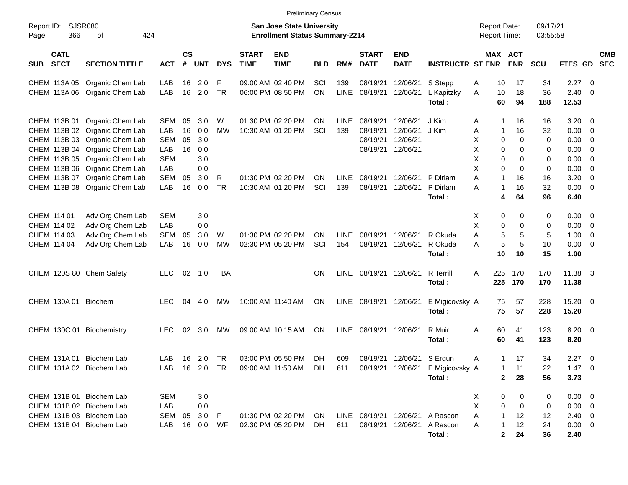|                                          |                               |            |                    |            |            |                             | <b>Preliminary Census</b>                                                 |            |             |                             |                           |                                                                              |                                            |                      |                      |             |                          |  |
|------------------------------------------|-------------------------------|------------|--------------------|------------|------------|-----------------------------|---------------------------------------------------------------------------|------------|-------------|-----------------------------|---------------------------|------------------------------------------------------------------------------|--------------------------------------------|----------------------|----------------------|-------------|--------------------------|--|
| Report ID:<br>366<br>Page:               | <b>SJSR080</b><br>424<br>οf   |            |                    |            |            |                             | <b>San Jose State University</b><br><b>Enrollment Status Summary-2214</b> |            |             |                             |                           |                                                                              | <b>Report Date:</b><br><b>Report Time:</b> |                      | 09/17/21<br>03:55:58 |             |                          |  |
| <b>CATL</b><br><b>SECT</b><br><b>SUB</b> | <b>SECTION TITTLE</b>         | <b>ACT</b> | $\mathsf{cs}$<br># | <b>UNT</b> | <b>DYS</b> | <b>START</b><br><b>TIME</b> | <b>END</b><br><b>TIME</b>                                                 | <b>BLD</b> | RM#         | <b>START</b><br><b>DATE</b> | <b>END</b><br><b>DATE</b> | <b>INSTRUCTR ST ENR</b>                                                      | <b>MAX ACT</b>                             | <b>ENR</b>           | <b>SCU</b>           | FTES GD     | <b>CMB</b><br><b>SEC</b> |  |
|                                          | CHEM 113A 05 Organic Chem Lab | LAB        | 16                 | 2.0        | F          |                             | 09:00 AM 02:40 PM                                                         | SCI        | 139         | 08/19/21                    | 12/06/21                  | S Stepp                                                                      | Α<br>10                                    | 17                   | 34                   | 2.27        | $\overline{\mathbf{0}}$  |  |
|                                          | CHEM 113A 06 Organic Chem Lab | LAB        | 16                 | 2.0        | <b>TR</b>  |                             | 06:00 PM 08:50 PM                                                         | ON         | LINE        | 08/19/21                    | 12/06/21                  | L Kapitzky                                                                   | Α<br>10                                    | 18                   | 36                   | 2.40        | 0                        |  |
|                                          |                               |            |                    |            |            |                             |                                                                           |            |             |                             |                           | Total:                                                                       | 60                                         | 94                   | 188                  | 12.53       |                          |  |
|                                          | CHEM 113B 01 Organic Chem Lab | <b>SEM</b> | 05                 | 3.0        | W          |                             | 01:30 PM 02:20 PM                                                         | ON         | <b>LINE</b> | 08/19/21                    | 12/06/21                  | J Kim                                                                        | A<br>-1                                    | 16                   | 16                   | 3.20        | $\overline{0}$           |  |
|                                          | CHEM 113B 02 Organic Chem Lab | LAB        | 16                 | 0.0        | МW         |                             | 10:30 AM 01:20 PM                                                         | SCI        | 139         | 08/19/21                    | 12/06/21                  | J Kim                                                                        | Α<br>1                                     | 16                   | 32                   | 0.00        | $\overline{0}$           |  |
|                                          | CHEM 113B 03 Organic Chem Lab | <b>SEM</b> | 05                 | 3.0        |            |                             |                                                                           |            |             | 08/19/21                    | 12/06/21                  |                                                                              | X<br>0                                     | 0                    | 0                    | 0.00        | $\mathbf{0}$             |  |
|                                          | CHEM 113B 04 Organic Chem Lab | LAB        | 16                 | 0.0        |            |                             |                                                                           |            |             | 08/19/21                    | 12/06/21                  |                                                                              | X<br>0                                     | 0                    | 0                    | 0.00        | 0                        |  |
|                                          | CHEM 113B 05 Organic Chem Lab | <b>SEM</b> |                    | 3.0        |            |                             |                                                                           |            |             |                             |                           |                                                                              | Х<br>0                                     | 0                    | 0                    | 0.00        | 0                        |  |
|                                          | CHEM 113B 06 Organic Chem Lab | LAB        |                    | 0.0        |            |                             |                                                                           |            |             |                             |                           |                                                                              | Χ<br>0                                     | 0                    | 0                    | 0.00        | $\mathbf{0}$             |  |
|                                          | CHEM 113B 07 Organic Chem Lab | <b>SEM</b> | 05                 | 3.0        | R          |                             | 01:30 PM 02:20 PM                                                         | ΟN         | <b>LINE</b> | 08/19/21                    | 12/06/21                  | P Dirlam                                                                     | A<br>1                                     | 16                   | 16                   | 3.20        | 0                        |  |
|                                          | CHEM 113B 08 Organic Chem Lab | LAB        | 16                 | 0.0        | <b>TR</b>  |                             | 10:30 AM 01:20 PM                                                         | SCI        | 139         | 08/19/21                    | 12/06/21                  | P Dirlam                                                                     | A<br>-1                                    | 16                   | 32                   | 0.00        | 0                        |  |
|                                          |                               |            |                    |            |            |                             |                                                                           |            |             |                             |                           | Total:                                                                       | 4                                          | 64                   | 96                   | 6.40        |                          |  |
| CHEM 114 01                              | Adv Org Chem Lab              | <b>SEM</b> |                    | 3.0        |            |                             |                                                                           |            |             |                             |                           |                                                                              | X<br>0                                     | 0                    | 0                    | 0.00        | - 0                      |  |
| CHEM 114 02                              | Adv Org Chem Lab              | LAB        |                    | 0.0        |            |                             |                                                                           |            |             |                             |                           |                                                                              | Х<br>0                                     | 0                    | 0                    | 0.00        | $\overline{0}$           |  |
| CHEM 114 03                              | Adv Org Chem Lab              | <b>SEM</b> | 05                 | 3.0        | W          |                             | 01:30 PM 02:20 PM                                                         | ON         | <b>LINE</b> | 08/19/21                    | 12/06/21                  | R Okuda                                                                      | A<br>5                                     | 5                    | 5                    | 1.00        | $\mathbf{0}$             |  |
| CHEM 114 04                              | Adv Org Chem Lab              | LAB        | 16                 | 0.0        | <b>MW</b>  |                             | 02:30 PM 05:20 PM                                                         | SCI        | 154         | 08/19/21                    | 12/06/21                  | R Okuda                                                                      | 5<br>A                                     | 5                    | 10                   | 0.00        | $\mathbf{0}$             |  |
|                                          |                               |            |                    |            |            |                             |                                                                           |            |             |                             |                           | Total:                                                                       | 10                                         | 10                   | 15                   | 1.00        |                          |  |
| CHEM 120S 80 Chem Safety                 |                               | <b>LEC</b> |                    | 02 1.0     | TBA        |                             |                                                                           | ΟN         |             | LINE 08/19/21               | 12/06/21                  | <b>R</b> Terrill                                                             | A<br>225                                   | 170                  | 170                  | 11.38       | - 3                      |  |
|                                          |                               |            |                    |            |            |                             |                                                                           |            |             |                             |                           | Total:                                                                       | 225                                        | 170                  | 170                  | 11.38       |                          |  |
| CHEM 130A 01 Biochem                     |                               | <b>LEC</b> | 04                 | 4.0        | МW         |                             | 10:00 AM 11:40 AM                                                         | ON         |             | LINE 08/19/21               | 12/06/21                  | E Migicovsky A                                                               | 75                                         | 57                   | 228                  | 15.20       | $\overline{\mathbf{0}}$  |  |
|                                          |                               |            |                    |            |            |                             |                                                                           |            |             |                             |                           | Total:                                                                       | 75                                         | 57                   | 228                  | 15.20       |                          |  |
| CHEM 130C 01 Biochemistry                |                               | <b>LEC</b> | 02                 | - 3.0      | МW         |                             | 09:00 AM 10:15 AM                                                         | ON         | LINE        | 08/19/21                    | 12/06/21                  | R Muir                                                                       | 60<br>A                                    | 41                   | 123                  | 8.20        | $\overline{\phantom{0}}$ |  |
|                                          |                               |            |                    |            |            |                             |                                                                           |            |             |                             |                           | Total:                                                                       | 60                                         | 41                   | 123                  | 8.20        |                          |  |
| CHEM 131A 01 Biochem Lab                 |                               | LAB        | 16                 | 2.0        | TR         |                             | 03:00 PM 05:50 PM                                                         | <b>DH</b>  | 609         | 08/19/21                    | 12/06/21 S Ergun          |                                                                              | A<br>1                                     | 17                   | 34                   | 2.27        | $\overline{\mathbf{0}}$  |  |
| CHEM 131A 02 Biochem Lab                 |                               | LAB        |                    |            |            |                             |                                                                           |            |             |                             |                           | 16 2.0 TR  09:00 AM  11:50 AM  DH  611  08/19/21  12/06/21  E  Migicovsky  A | $\mathbf{1}$                               | 11                   | 22                   | $1.47 \t0$  |                          |  |
|                                          |                               |            |                    |            |            |                             |                                                                           |            |             |                             |                           | Total:                                                                       | $\mathbf 2$                                | 28                   | 56                   | 3.73        |                          |  |
|                                          |                               |            |                    |            |            |                             |                                                                           |            |             |                             |                           |                                                                              |                                            |                      |                      |             |                          |  |
| CHEM 131B 01 Biochem Lab                 |                               | SEM        |                    | 3.0        |            |                             |                                                                           |            |             |                             |                           |                                                                              | 0<br>X                                     | 0                    | 0                    | $0.00 \t 0$ |                          |  |
| CHEM 131B 02 Biochem Lab                 |                               | LAB        |                    | 0.0        |            |                             |                                                                           |            |             |                             |                           |                                                                              | Χ<br>0                                     | 0                    | 0                    | $0.00 \t 0$ |                          |  |
| CHEM 131B 03 Biochem Lab                 |                               | <b>SEM</b> | 05                 | 3.0        | - F        |                             | 01:30 PM 02:20 PM                                                         | ON         |             |                             |                           | LINE 08/19/21 12/06/21 A Rascon                                              | A<br>$\mathbf 1$                           | 12                   | 12                   | $2.40 \ 0$  |                          |  |
| CHEM 131B 04 Biochem Lab                 |                               | LAB        | 16                 | 0.0        | WF         |                             | 02:30 PM 05:20 PM                                                         | DH         | 611         |                             |                           | 08/19/21 12/06/21 A Rascon                                                   | Α<br>-1                                    | 12                   | 24                   | $0.00 \t 0$ |                          |  |
|                                          |                               |            |                    |            |            |                             |                                                                           |            |             |                             |                           | Total:                                                                       |                                            | 2 <sub>2</sub><br>24 | 36                   | 2.40        |                          |  |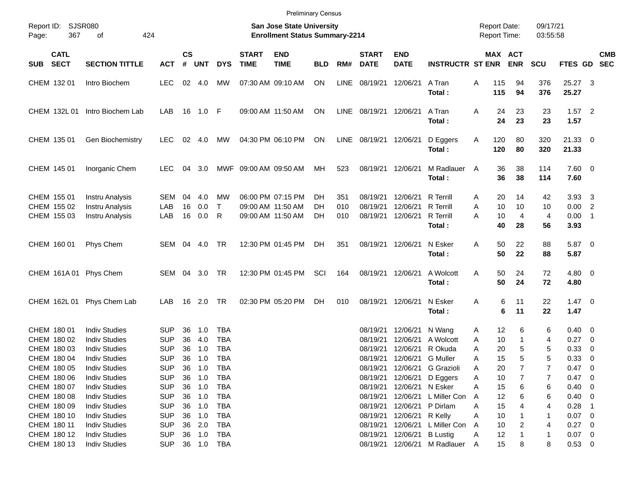| <b>SJSR080</b><br>09/17/21<br>Report ID:<br><b>San Jose State University</b><br><b>Report Date:</b><br>367<br>424<br><b>Enrollment Status Summary-2214</b><br><b>Report Time:</b><br>03:55:58<br>0f<br>Page:<br><b>CS</b><br><b>CATL</b><br><b>START</b><br><b>END</b><br><b>START</b><br><b>END</b><br><b>MAX ACT</b><br><b>CMB</b><br><b>SECT</b><br>#<br><b>DATE</b><br>FTES GD SEC<br><b>SECTION TITTLE</b><br>UNT<br><b>DYS</b><br><b>TIME</b><br><b>TIME</b><br><b>BLD</b><br>RM#<br><b>DATE</b><br><b>INSTRUCTR ST ENR</b><br><b>ENR</b><br><b>SCU</b><br><b>SUB</b><br><b>ACT</b><br><b>LEC</b><br>02 4.0<br>ON<br>LINE<br>376<br>25.27 3<br>CHEM 132 01<br>Intro Biochem<br>MW<br>07:30 AM 09:10 AM<br>08/19/21<br>12/06/21<br>A Tran<br>Α<br>115<br>94<br>376<br>25.27<br>Total:<br>115<br>94<br>CHEM 132L 01<br>Intro Biochem Lab<br>09:00 AM 11:50 AM<br>ON<br>LINE<br>A Tran<br>23<br>23<br>$1.57$ 2<br>LAB<br>16<br>1.0 F<br>08/19/21 12/06/21<br>A<br>24<br>24<br>23<br>23<br>1.57<br>Total:<br>CHEM 135 01<br>04:30 PM 06:10 PM<br>ON<br>LINE 08/19/21 12/06/21<br>D Eggers<br>120<br>80<br>320<br>$21.33$ 0<br>Gen Biochemistry<br><b>LEC</b><br>02<br>4.0<br>МW<br>Α<br>120<br>320<br>Total:<br>80<br>21.33<br>38<br>MWF 09:00 AM 09:50 AM<br>MH<br>08/19/21 12/06/21<br>M Radlauer<br>36<br>114<br>7.60 0<br>CHEM 145 01<br>Inorganic Chem<br><b>LEC</b><br>04<br>3.0<br>523<br>$\mathsf{A}$<br>36<br>38<br>Total:<br>114<br>7.60<br>CHEM 155 01<br>06:00 PM 07:15 PM<br><b>R</b> Terrill<br>20<br>$3.93 \quad 3$<br>Instru Analysis<br>SEM<br>04<br>4.0<br>МW<br>DH<br>351<br>08/19/21<br>12/06/21<br>14<br>42<br>A<br>CHEM 155 02<br>LAB<br>16<br>0.0<br>$\mathsf{T}$<br>DH<br>12/06/21<br><b>R</b> Terrill<br>A<br>10<br>10<br>0.00 2<br>Instru Analysis<br>09:00 AM 11:50 AM<br>010<br>08/19/21<br>10<br>LAB<br>16<br>0.0<br>R<br><b>R</b> Terrill<br>10<br>$\overline{4}$<br>$0.00$ 1<br>CHEM 155 03<br>Instru Analysis<br>09:00 AM 11:50 AM<br>DH<br>010<br>08/19/21<br>12/06/21<br>A<br>4<br>40<br>28<br>56<br>3.93<br>Total:<br>CHEM 160 01<br>Phys Chem<br><b>SEM</b><br>TR<br>12:30 PM 01:45 PM<br>08/19/21 12/06/21<br>N Esker<br>50<br>22<br>88<br>5.87 0<br>04<br>4.0<br>DH<br>351<br>A<br>50<br>Total:<br>22<br>88<br>5.87<br>CHEM 161A 01 Phys Chem<br><b>SEM</b><br>TR<br>12:30 PM 01:45 PM<br>SCI<br>08/19/21 12/06/21<br>A Wolcott<br>50<br>24<br>72<br>$4.80\ 0$<br>04<br>3.0<br>164<br>Α<br>50<br>Total:<br>24<br>72<br>4.80<br>TR<br>02:30 PM 05:20 PM<br>08/19/21<br>N Esker<br>6<br>11<br>22<br>$1.47 \quad 0$<br>CHEM 162L 01<br>Phys Chem Lab<br>LAB<br>16<br>2.0<br>DH<br>010<br>12/06/21<br>Α<br>6<br>11<br>22<br>Total:<br>1.47<br>CHEM 180 01<br><b>Indiv Studies</b><br>6<br>6<br>$0.40 \quad 0$<br>SUP<br>36<br>1.0<br><b>TBA</b><br>08/19/21<br>12/06/21<br>N Wang<br>12<br>A<br>CHEM 180 02<br><b>Indiv Studies</b><br><b>SUP</b><br>36<br>4.0<br><b>TBA</b><br>A Wolcott<br>10<br>0.27<br>08/19/21<br>12/06/21<br>1<br>$\overline{\phantom{0}}$<br>A<br>4<br>CHEM 180 03<br><b>Indiv Studies</b><br><b>SUP</b><br><b>TBA</b><br>R Okuda<br>20<br>5<br>0.33<br>36<br>1.0<br>08/19/21<br>12/06/21<br>A<br>5<br>0<br>5<br>5<br><b>SUP</b><br><b>TBA</b><br>15<br>0.33<br>$\overline{\mathbf{0}}$<br>CHEM 180 04<br><b>Indiv Studies</b><br>36<br>1.0<br>08/19/21<br>12/06/21 G Muller<br>Α<br>CHEM 180 05<br><b>Indiv Studies</b><br><b>SUP</b><br>36<br>1.0<br><b>TBA</b><br>08/19/21 12/06/21 G Grazioli<br>20<br>0.47<br>$\overline{\mathbf{0}}$<br>A<br><b>SUP</b><br>CHEM 180 06<br><b>Indiv Studies</b><br>36<br>1.0<br><b>TBA</b><br>08/19/21<br>12/06/21 D Eggers<br>10<br>$0.47 \ 0$<br>Α<br>7<br><b>SUP</b><br>1.0<br>CHEM 180 07<br><b>Indiv Studies</b><br>36<br>TBA<br>08/19/21<br>12/06/21 N Esker<br>15<br>6<br>0.40<br>Α<br>6<br>$\overline{\phantom{0}}$<br><b>SUP</b><br>CHEM 180 08<br><b>Indiv Studies</b><br>36<br>1.0<br>TBA<br>08/19/21<br>12/06/21 L Miller Con<br>12<br>6<br>$0.40 \quad 0$<br>Α<br>6<br><b>SUP</b><br>12/06/21 P Dirlam<br>CHEM 180 09<br><b>Indiv Studies</b><br>1.0<br>TBA<br>08/19/21<br>15<br>0.28<br>36<br>Α<br>4<br><b>SUP</b><br>12/06/21 R Kelly<br>CHEM 180 10<br><b>Indiv Studies</b><br>1.0<br>TBA<br>08/19/21<br>Α<br>10<br>$0.07 \quad 0$<br>36<br><b>SUP</b><br>2.0<br>12/06/21 L Miller Con<br>0.27<br>CHEM 180 11<br><b>Indiv Studies</b><br>36<br>TBA<br>08/19/21<br>10<br>$\overline{\mathbf{0}}$<br>Α<br>2<br>4<br><b>SUP</b><br>12/06/21 B Lustig<br>CHEM 180 12<br><b>Indiv Studies</b><br>36<br>1.0<br>TBA<br>08/19/21<br>12<br>$0.07 \quad 0$<br>Α<br>1<br>12/06/21 M Radlauer<br>15<br>$0.53$ 0<br>36 1.0 |             |                      |            |  |  |     | <b>Preliminary Census</b> |  |          |  |   |   |   |  |  |
|-------------------------------------------------------------------------------------------------------------------------------------------------------------------------------------------------------------------------------------------------------------------------------------------------------------------------------------------------------------------------------------------------------------------------------------------------------------------------------------------------------------------------------------------------------------------------------------------------------------------------------------------------------------------------------------------------------------------------------------------------------------------------------------------------------------------------------------------------------------------------------------------------------------------------------------------------------------------------------------------------------------------------------------------------------------------------------------------------------------------------------------------------------------------------------------------------------------------------------------------------------------------------------------------------------------------------------------------------------------------------------------------------------------------------------------------------------------------------------------------------------------------------------------------------------------------------------------------------------------------------------------------------------------------------------------------------------------------------------------------------------------------------------------------------------------------------------------------------------------------------------------------------------------------------------------------------------------------------------------------------------------------------------------------------------------------------------------------------------------------------------------------------------------------------------------------------------------------------------------------------------------------------------------------------------------------------------------------------------------------------------------------------------------------------------------------------------------------------------------------------------------------------------------------------------------------------------------------------------------------------------------------------------------------------------------------------------------------------------------------------------------------------------------------------------------------------------------------------------------------------------------------------------------------------------------------------------------------------------------------------------------------------------------------------------------------------------------------------------------------------------------------------------------------------------------------------------------------------------------------------------------------------------------------------------------------------------------------------------------------------------------------------------------------------------------------------------------------------------------------------------------------------------------------------------------------------------------------------------------------------------------------------------------------------------------------------------------------------------------------------------------------------------------------------------------------------------------------------------------------------------------------------------------------------------------------------------------------------------------------------------------------------------------------------------------------------------------------------------------------------------------------------------------------------------------------------------------------------------------------------------------------------------------------------------------------------------------------------------------------------------------------------------------------------------------------------------------------------------------------------------------------------------------------------------------------------------------------------------------------------------|-------------|----------------------|------------|--|--|-----|---------------------------|--|----------|--|---|---|---|--|--|
|                                                                                                                                                                                                                                                                                                                                                                                                                                                                                                                                                                                                                                                                                                                                                                                                                                                                                                                                                                                                                                                                                                                                                                                                                                                                                                                                                                                                                                                                                                                                                                                                                                                                                                                                                                                                                                                                                                                                                                                                                                                                                                                                                                                                                                                                                                                                                                                                                                                                                                                                                                                                                                                                                                                                                                                                                                                                                                                                                                                                                                                                                                                                                                                                                                                                                                                                                                                                                                                                                                                                                                                                                                                                                                                                                                                                                                                                                                                                                                                                                                                                                                                                                                                                                                                                                                                                                                                                                                                                                                                                                                                                                               |             |                      |            |  |  |     |                           |  |          |  |   |   |   |  |  |
|                                                                                                                                                                                                                                                                                                                                                                                                                                                                                                                                                                                                                                                                                                                                                                                                                                                                                                                                                                                                                                                                                                                                                                                                                                                                                                                                                                                                                                                                                                                                                                                                                                                                                                                                                                                                                                                                                                                                                                                                                                                                                                                                                                                                                                                                                                                                                                                                                                                                                                                                                                                                                                                                                                                                                                                                                                                                                                                                                                                                                                                                                                                                                                                                                                                                                                                                                                                                                                                                                                                                                                                                                                                                                                                                                                                                                                                                                                                                                                                                                                                                                                                                                                                                                                                                                                                                                                                                                                                                                                                                                                                                                               |             |                      |            |  |  |     |                           |  |          |  |   |   |   |  |  |
|                                                                                                                                                                                                                                                                                                                                                                                                                                                                                                                                                                                                                                                                                                                                                                                                                                                                                                                                                                                                                                                                                                                                                                                                                                                                                                                                                                                                                                                                                                                                                                                                                                                                                                                                                                                                                                                                                                                                                                                                                                                                                                                                                                                                                                                                                                                                                                                                                                                                                                                                                                                                                                                                                                                                                                                                                                                                                                                                                                                                                                                                                                                                                                                                                                                                                                                                                                                                                                                                                                                                                                                                                                                                                                                                                                                                                                                                                                                                                                                                                                                                                                                                                                                                                                                                                                                                                                                                                                                                                                                                                                                                                               |             |                      |            |  |  |     |                           |  |          |  |   |   |   |  |  |
|                                                                                                                                                                                                                                                                                                                                                                                                                                                                                                                                                                                                                                                                                                                                                                                                                                                                                                                                                                                                                                                                                                                                                                                                                                                                                                                                                                                                                                                                                                                                                                                                                                                                                                                                                                                                                                                                                                                                                                                                                                                                                                                                                                                                                                                                                                                                                                                                                                                                                                                                                                                                                                                                                                                                                                                                                                                                                                                                                                                                                                                                                                                                                                                                                                                                                                                                                                                                                                                                                                                                                                                                                                                                                                                                                                                                                                                                                                                                                                                                                                                                                                                                                                                                                                                                                                                                                                                                                                                                                                                                                                                                                               |             |                      |            |  |  |     |                           |  |          |  |   |   |   |  |  |
|                                                                                                                                                                                                                                                                                                                                                                                                                                                                                                                                                                                                                                                                                                                                                                                                                                                                                                                                                                                                                                                                                                                                                                                                                                                                                                                                                                                                                                                                                                                                                                                                                                                                                                                                                                                                                                                                                                                                                                                                                                                                                                                                                                                                                                                                                                                                                                                                                                                                                                                                                                                                                                                                                                                                                                                                                                                                                                                                                                                                                                                                                                                                                                                                                                                                                                                                                                                                                                                                                                                                                                                                                                                                                                                                                                                                                                                                                                                                                                                                                                                                                                                                                                                                                                                                                                                                                                                                                                                                                                                                                                                                                               |             |                      |            |  |  |     |                           |  |          |  |   |   |   |  |  |
|                                                                                                                                                                                                                                                                                                                                                                                                                                                                                                                                                                                                                                                                                                                                                                                                                                                                                                                                                                                                                                                                                                                                                                                                                                                                                                                                                                                                                                                                                                                                                                                                                                                                                                                                                                                                                                                                                                                                                                                                                                                                                                                                                                                                                                                                                                                                                                                                                                                                                                                                                                                                                                                                                                                                                                                                                                                                                                                                                                                                                                                                                                                                                                                                                                                                                                                                                                                                                                                                                                                                                                                                                                                                                                                                                                                                                                                                                                                                                                                                                                                                                                                                                                                                                                                                                                                                                                                                                                                                                                                                                                                                                               |             |                      |            |  |  |     |                           |  |          |  |   |   |   |  |  |
|                                                                                                                                                                                                                                                                                                                                                                                                                                                                                                                                                                                                                                                                                                                                                                                                                                                                                                                                                                                                                                                                                                                                                                                                                                                                                                                                                                                                                                                                                                                                                                                                                                                                                                                                                                                                                                                                                                                                                                                                                                                                                                                                                                                                                                                                                                                                                                                                                                                                                                                                                                                                                                                                                                                                                                                                                                                                                                                                                                                                                                                                                                                                                                                                                                                                                                                                                                                                                                                                                                                                                                                                                                                                                                                                                                                                                                                                                                                                                                                                                                                                                                                                                                                                                                                                                                                                                                                                                                                                                                                                                                                                                               |             |                      |            |  |  |     |                           |  |          |  |   |   |   |  |  |
|                                                                                                                                                                                                                                                                                                                                                                                                                                                                                                                                                                                                                                                                                                                                                                                                                                                                                                                                                                                                                                                                                                                                                                                                                                                                                                                                                                                                                                                                                                                                                                                                                                                                                                                                                                                                                                                                                                                                                                                                                                                                                                                                                                                                                                                                                                                                                                                                                                                                                                                                                                                                                                                                                                                                                                                                                                                                                                                                                                                                                                                                                                                                                                                                                                                                                                                                                                                                                                                                                                                                                                                                                                                                                                                                                                                                                                                                                                                                                                                                                                                                                                                                                                                                                                                                                                                                                                                                                                                                                                                                                                                                                               |             |                      |            |  |  |     |                           |  |          |  |   |   |   |  |  |
|                                                                                                                                                                                                                                                                                                                                                                                                                                                                                                                                                                                                                                                                                                                                                                                                                                                                                                                                                                                                                                                                                                                                                                                                                                                                                                                                                                                                                                                                                                                                                                                                                                                                                                                                                                                                                                                                                                                                                                                                                                                                                                                                                                                                                                                                                                                                                                                                                                                                                                                                                                                                                                                                                                                                                                                                                                                                                                                                                                                                                                                                                                                                                                                                                                                                                                                                                                                                                                                                                                                                                                                                                                                                                                                                                                                                                                                                                                                                                                                                                                                                                                                                                                                                                                                                                                                                                                                                                                                                                                                                                                                                                               |             |                      |            |  |  |     |                           |  |          |  |   |   |   |  |  |
|                                                                                                                                                                                                                                                                                                                                                                                                                                                                                                                                                                                                                                                                                                                                                                                                                                                                                                                                                                                                                                                                                                                                                                                                                                                                                                                                                                                                                                                                                                                                                                                                                                                                                                                                                                                                                                                                                                                                                                                                                                                                                                                                                                                                                                                                                                                                                                                                                                                                                                                                                                                                                                                                                                                                                                                                                                                                                                                                                                                                                                                                                                                                                                                                                                                                                                                                                                                                                                                                                                                                                                                                                                                                                                                                                                                                                                                                                                                                                                                                                                                                                                                                                                                                                                                                                                                                                                                                                                                                                                                                                                                                                               |             |                      |            |  |  |     |                           |  |          |  |   |   |   |  |  |
|                                                                                                                                                                                                                                                                                                                                                                                                                                                                                                                                                                                                                                                                                                                                                                                                                                                                                                                                                                                                                                                                                                                                                                                                                                                                                                                                                                                                                                                                                                                                                                                                                                                                                                                                                                                                                                                                                                                                                                                                                                                                                                                                                                                                                                                                                                                                                                                                                                                                                                                                                                                                                                                                                                                                                                                                                                                                                                                                                                                                                                                                                                                                                                                                                                                                                                                                                                                                                                                                                                                                                                                                                                                                                                                                                                                                                                                                                                                                                                                                                                                                                                                                                                                                                                                                                                                                                                                                                                                                                                                                                                                                                               |             |                      |            |  |  |     |                           |  |          |  |   |   |   |  |  |
|                                                                                                                                                                                                                                                                                                                                                                                                                                                                                                                                                                                                                                                                                                                                                                                                                                                                                                                                                                                                                                                                                                                                                                                                                                                                                                                                                                                                                                                                                                                                                                                                                                                                                                                                                                                                                                                                                                                                                                                                                                                                                                                                                                                                                                                                                                                                                                                                                                                                                                                                                                                                                                                                                                                                                                                                                                                                                                                                                                                                                                                                                                                                                                                                                                                                                                                                                                                                                                                                                                                                                                                                                                                                                                                                                                                                                                                                                                                                                                                                                                                                                                                                                                                                                                                                                                                                                                                                                                                                                                                                                                                                                               |             |                      |            |  |  |     |                           |  |          |  |   |   |   |  |  |
|                                                                                                                                                                                                                                                                                                                                                                                                                                                                                                                                                                                                                                                                                                                                                                                                                                                                                                                                                                                                                                                                                                                                                                                                                                                                                                                                                                                                                                                                                                                                                                                                                                                                                                                                                                                                                                                                                                                                                                                                                                                                                                                                                                                                                                                                                                                                                                                                                                                                                                                                                                                                                                                                                                                                                                                                                                                                                                                                                                                                                                                                                                                                                                                                                                                                                                                                                                                                                                                                                                                                                                                                                                                                                                                                                                                                                                                                                                                                                                                                                                                                                                                                                                                                                                                                                                                                                                                                                                                                                                                                                                                                                               |             |                      |            |  |  |     |                           |  |          |  |   |   |   |  |  |
|                                                                                                                                                                                                                                                                                                                                                                                                                                                                                                                                                                                                                                                                                                                                                                                                                                                                                                                                                                                                                                                                                                                                                                                                                                                                                                                                                                                                                                                                                                                                                                                                                                                                                                                                                                                                                                                                                                                                                                                                                                                                                                                                                                                                                                                                                                                                                                                                                                                                                                                                                                                                                                                                                                                                                                                                                                                                                                                                                                                                                                                                                                                                                                                                                                                                                                                                                                                                                                                                                                                                                                                                                                                                                                                                                                                                                                                                                                                                                                                                                                                                                                                                                                                                                                                                                                                                                                                                                                                                                                                                                                                                                               | CHEM 180 13 | <b>Indiv Studies</b> | <b>SUP</b> |  |  | TBA |                           |  | 08/19/21 |  | A | 8 | 8 |  |  |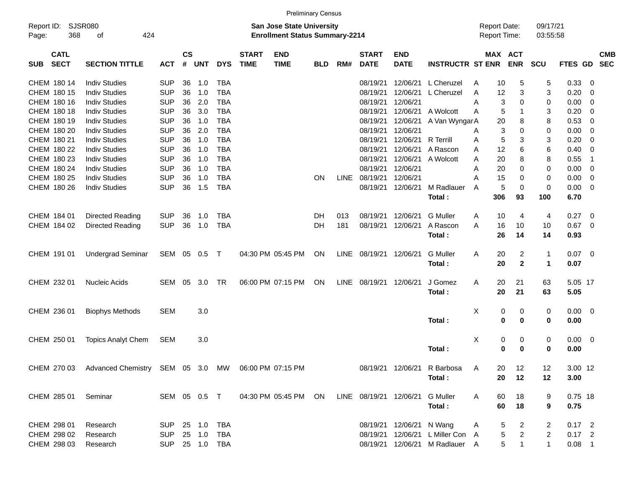|                                          |                                                                       |                |                    |            |            |                             | <b>Preliminary Census</b>                                                 |            |             |                             |                                 |                                  |                                     |               |                       |                      |           |                |                          |
|------------------------------------------|-----------------------------------------------------------------------|----------------|--------------------|------------|------------|-----------------------------|---------------------------------------------------------------------------|------------|-------------|-----------------------------|---------------------------------|----------------------------------|-------------------------------------|---------------|-----------------------|----------------------|-----------|----------------|--------------------------|
| Report ID:<br>368<br>Page:               | <b>SJSR080</b><br>424<br>of                                           |                |                    |            |            |                             | <b>San Jose State University</b><br><b>Enrollment Status Summary-2214</b> |            |             |                             |                                 |                                  | <b>Report Date:</b><br>Report Time: |               |                       | 09/17/21<br>03:55:58 |           |                |                          |
| <b>CATL</b><br><b>SECT</b><br><b>SUB</b> | <b>SECTION TITTLE</b>                                                 | <b>ACT</b>     | $\mathsf{cs}$<br># | <b>UNT</b> | <b>DYS</b> | <b>START</b><br><b>TIME</b> | <b>END</b><br><b>TIME</b>                                                 | <b>BLD</b> | RM#         | <b>START</b><br><b>DATE</b> | <b>END</b><br><b>DATE</b>       | <b>INSTRUCTR ST ENR</b>          |                                     |               | MAX ACT<br><b>ENR</b> | SCU                  | FTES GD   |                | <b>CMB</b><br><b>SEC</b> |
| CHEM 180 14                              | <b>Indiv Studies</b>                                                  | <b>SUP</b>     | 36                 | 1.0        | <b>TBA</b> |                             |                                                                           |            |             | 08/19/21                    | 12/06/21                        | L Cheruzel                       | A                                   | 10            | 5                     | 5                    | 0.33      | 0              |                          |
| CHEM 180 15                              | <b>Indiv Studies</b>                                                  | <b>SUP</b>     | 36                 | 1.0        | <b>TBA</b> |                             |                                                                           |            |             | 08/19/21                    | 12/06/21                        | L Cheruzel                       | A                                   | 12            | 3                     | 3                    | 0.20      | 0              |                          |
| CHEM 180 16                              | <b>Indiv Studies</b>                                                  | <b>SUP</b>     | 36                 | 2.0        | <b>TBA</b> |                             |                                                                           |            |             | 08/19/21                    | 12/06/21                        |                                  | A                                   | 3             | 0                     | 0                    | 0.00      | 0              |                          |
| CHEM 180 18                              | <b>Indiv Studies</b>                                                  | <b>SUP</b>     | 36                 | 3.0        | <b>TBA</b> |                             |                                                                           |            |             | 08/19/21                    | 12/06/21                        | A Wolcott                        | A                                   | 5             | $\mathbf{1}$          | 3                    | 0.20      | 0              |                          |
| CHEM 180 19                              | <b>Indiv Studies</b>                                                  | <b>SUP</b>     | 36                 | 1.0        | <b>TBA</b> |                             |                                                                           |            |             | 08/19/21                    | 12/06/21                        | A Van WyngarA                    |                                     | 20            | 8                     | 8                    | 0.53      | 0              |                          |
| CHEM 180 20                              | <b>Indiv Studies</b>                                                  | <b>SUP</b>     | 36                 | 2.0        | <b>TBA</b> |                             |                                                                           |            |             | 08/19/21                    | 12/06/21                        |                                  | A                                   | 3             | 0                     | 0                    | 0.00      | 0              |                          |
| CHEM 180 21                              | <b>Indiv Studies</b>                                                  | <b>SUP</b>     | 36                 | 1.0        | <b>TBA</b> |                             |                                                                           |            |             | 08/19/21                    | 12/06/21                        | <b>R</b> Terrill                 | A                                   | 5             | 3                     | 3                    | 0.20      | 0              |                          |
| CHEM 180 22                              | <b>Indiv Studies</b>                                                  | <b>SUP</b>     | 36                 | 1.0        | <b>TBA</b> |                             |                                                                           |            |             | 08/19/21                    | 12/06/21                        | A Rascon                         | A                                   | 12            | 6                     | 6                    | 0.40      | 0              |                          |
| CHEM 180 23                              | <b>Indiv Studies</b>                                                  | <b>SUP</b>     | 36                 | 1.0        | <b>TBA</b> |                             |                                                                           |            |             | 08/19/21                    | 12/06/21                        | A Wolcott                        | A                                   | 20            | 8                     | 8                    | 0.55      | $\overline{1}$ |                          |
| CHEM 180 24                              | <b>Indiv Studies</b>                                                  | <b>SUP</b>     | 36                 | 1.0        | <b>TBA</b> |                             |                                                                           |            |             | 08/19/21                    | 12/06/21                        |                                  | A                                   | 20            | 0                     | 0                    | 0.00      | 0              |                          |
| CHEM 180 25                              | <b>Indiv Studies</b>                                                  | <b>SUP</b>     | 36                 | 1.0        | <b>TBA</b> |                             |                                                                           | <b>ON</b>  | <b>LINE</b> | 08/19/21                    | 12/06/21                        |                                  | Α                                   | 15            | 0                     | 0                    | 0.00      | 0              |                          |
| CHEM 180 26                              | <b>Indiv Studies</b>                                                  | <b>SUP</b>     | 36                 | 1.5        | <b>TBA</b> |                             |                                                                           |            |             | 08/19/21                    | 12/06/21                        | M Radlauer                       | A                                   | 5             | $\mathbf 0$           | 0                    | 0.00      | $\mathbf 0$    |                          |
|                                          |                                                                       |                |                    |            |            |                             |                                                                           |            |             |                             |                                 | Total:                           |                                     | 306           | 93                    | 100                  | 6.70      |                |                          |
|                                          |                                                                       |                |                    |            |            |                             |                                                                           |            |             |                             |                                 |                                  |                                     |               |                       |                      |           |                |                          |
| CHEM 184 01                              | Directed Reading                                                      | <b>SUP</b>     | 36                 | 1.0        | <b>TBA</b> |                             |                                                                           | DH         | 013         | 08/19/21                    | 12/06/21                        | <b>G</b> Muller                  | Α                                   | 10            | 4                     | 4                    | 0.27      | 0              |                          |
| CHEM 184 02                              | Directed Reading                                                      | <b>SUP</b>     | 36                 | 1.0        | <b>TBA</b> |                             |                                                                           | DH         | 181         | 08/19/21                    | 12/06/21                        | A Rascon                         | A                                   | 16            | 10                    | 10                   | 0.67      | 0              |                          |
|                                          |                                                                       |                |                    |            |            |                             |                                                                           |            |             |                             |                                 | Total:                           |                                     | 26            | 14                    | 14                   | 0.93      |                |                          |
|                                          |                                                                       |                |                    |            |            |                             |                                                                           |            |             |                             |                                 |                                  |                                     |               |                       |                      |           |                |                          |
| CHEM 191 01                              | <b>Undergrad Seminar</b>                                              | SEM 05 0.5     |                    |            | $\top$     |                             | 04:30 PM 05:45 PM                                                         | ON         |             | LINE 08/19/21 12/06/21      |                                 | <b>G</b> Muller                  | Α                                   | 20            | $\overline{c}$        | 1                    | 0.07      | 0              |                          |
|                                          |                                                                       |                |                    |            |            |                             |                                                                           |            |             |                             |                                 | Total:                           |                                     | 20            | $\mathbf{2}$          | $\blacktriangleleft$ | 0.07      |                |                          |
|                                          |                                                                       |                |                    |            |            |                             |                                                                           |            |             |                             |                                 |                                  |                                     |               |                       |                      |           |                |                          |
| CHEM 232 01                              | <b>Nucleic Acids</b>                                                  | SEM            | 05                 | 3.0        | TR         |                             | 06:00 PM 07:15 PM                                                         | <b>ON</b>  |             | LINE 08/19/21 12/06/21      |                                 | J Gomez                          | Α                                   | 20            | 21                    | 63                   | 5.05 17   |                |                          |
|                                          |                                                                       |                |                    |            |            |                             |                                                                           |            |             |                             |                                 | Total:                           |                                     | 20            | 21                    | 63                   | 5.05      |                |                          |
| CHEM 236 01                              |                                                                       | <b>SEM</b>     |                    |            |            |                             |                                                                           |            |             |                             |                                 |                                  | Χ                                   |               |                       | 0                    | 0.00      |                |                          |
|                                          | <b>Biophys Methods</b>                                                |                |                    | 3.0        |            |                             |                                                                           |            |             |                             |                                 | Total:                           |                                     | 0<br>$\bf{0}$ | 0<br>0                | 0                    | 0.00      | 0              |                          |
|                                          |                                                                       |                |                    |            |            |                             |                                                                           |            |             |                             |                                 |                                  |                                     |               |                       |                      |           |                |                          |
| CHEM 250 01                              | <b>Topics Analyt Chem</b>                                             | <b>SEM</b>     |                    | 3.0        |            |                             |                                                                           |            |             |                             |                                 |                                  | Χ                                   | 0             | $\pmb{0}$             | 0                    | 0.00      | 0              |                          |
|                                          |                                                                       |                |                    |            |            |                             |                                                                           |            |             |                             |                                 | Total:                           |                                     | 0             | 0                     | 0                    | 0.00      |                |                          |
|                                          |                                                                       |                |                    |            |            |                             |                                                                           |            |             |                             |                                 |                                  |                                     |               |                       |                      |           |                |                          |
|                                          | CHEM 270 03  Advanced Chemistry  SEM  05  3.0  MW  06:00 PM  07:15 PM |                |                    |            |            |                             |                                                                           |            |             |                             |                                 | 08/19/21 12/06/21 R Barbosa      | A                                   | 20            | 12                    | 12                   | 3.00 12   |                |                          |
|                                          |                                                                       |                |                    |            |            |                             |                                                                           |            |             |                             |                                 | Total:                           |                                     | 20            | 12                    | 12                   | 3.00      |                |                          |
|                                          |                                                                       |                |                    |            |            |                             |                                                                           |            |             |                             |                                 |                                  |                                     |               |                       |                      |           |                |                          |
| CHEM 285 01                              | Seminar                                                               | SEM 05 0.5 T   |                    |            |            |                             | 04:30 PM 05:45 PM ON                                                      |            |             |                             | LINE 08/19/21 12/06/21 G Muller |                                  | $\mathsf{A}$                        | 60            | 18                    | 9                    | $0.75$ 18 |                |                          |
|                                          |                                                                       |                |                    |            |            |                             |                                                                           |            |             |                             |                                 | Total:                           |                                     | 60            | 18                    | 9                    | 0.75      |                |                          |
|                                          |                                                                       |                |                    |            |            |                             |                                                                           |            |             |                             |                                 |                                  |                                     |               |                       |                      |           |                |                          |
| CHEM 298 01                              | Research                                                              | <b>SUP</b>     |                    | 25 1.0     | TBA        |                             |                                                                           |            |             |                             | 08/19/21 12/06/21 N Wang        |                                  | A                                   | 5             | $\mathbf{2}$          | 2                    | $0.17$ 2  |                |                          |
| CHEM 298 02                              | Research                                                              | <b>SUP</b>     |                    | 25 1.0     | TBA        |                             |                                                                           |            |             |                             |                                 | 08/19/21 12/06/21 L Miller Con A |                                     | $\,$ 5 $\,$   | $\overline{a}$        | $\overline{2}$       | $0.17$ 2  |                |                          |
| CHEM 298 03                              | Research                                                              | SUP 25 1.0 TBA |                    |            |            |                             |                                                                           |            |             |                             |                                 | 08/19/21 12/06/21 M Radlauer A   |                                     | 5             | $\mathbf{1}$          | $\mathbf{1}$         | $0.08$ 1  |                |                          |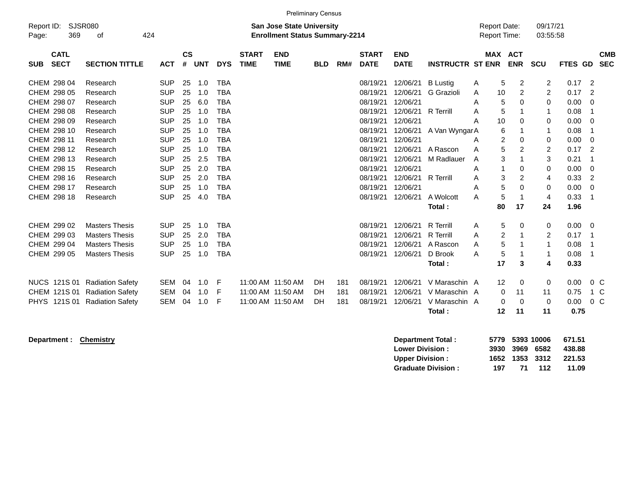|                                          |                             |            |                    |            |            |                             |                                                                           | <b>Preliminary Census</b> |     |                             |                           |                         |                                            |                   |                       |                      |         |                          |
|------------------------------------------|-----------------------------|------------|--------------------|------------|------------|-----------------------------|---------------------------------------------------------------------------|---------------------------|-----|-----------------------------|---------------------------|-------------------------|--------------------------------------------|-------------------|-----------------------|----------------------|---------|--------------------------|
| Report ID:<br>369<br>Page:               | <b>SJSR080</b><br>424<br>оf |            |                    |            |            |                             | <b>San Jose State University</b><br><b>Enrollment Status Summary-2214</b> |                           |     |                             |                           |                         | <b>Report Date:</b><br><b>Report Time:</b> |                   |                       | 09/17/21<br>03:55:58 |         |                          |
|                                          |                             |            |                    |            |            |                             |                                                                           |                           |     |                             |                           |                         |                                            |                   |                       |                      |         |                          |
| <b>CATL</b><br><b>SECT</b><br><b>SUB</b> | <b>SECTION TITTLE</b>       | <b>ACT</b> | $\mathsf{cs}$<br># | <b>UNT</b> | <b>DYS</b> | <b>START</b><br><b>TIME</b> | <b>END</b><br><b>TIME</b>                                                 | <b>BLD</b>                | RM# | <b>START</b><br><b>DATE</b> | <b>END</b><br><b>DATE</b> | <b>INSTRUCTR ST ENR</b> |                                            |                   | MAX ACT<br><b>ENR</b> | <b>SCU</b>           | FTES GD | <b>CMB</b><br><b>SEC</b> |
| CHEM 298 04                              | Research                    | <b>SUP</b> | 25                 | 1.0        | <b>TBA</b> |                             |                                                                           |                           |     | 08/19/21                    | 12/06/21                  | <b>B</b> Lustig         | A                                          | 5                 | $\overline{c}$        | 2                    | 0.17    | -2                       |
| CHEM 298 05                              | Research                    | <b>SUP</b> | 25                 | 1.0        | <b>TBA</b> |                             |                                                                           |                           |     | 08/19/21                    | 12/06/21                  | G Grazioli              | A                                          | 10                | $\overline{c}$        | $\overline{c}$       | 0.17    | $\overline{2}$           |
| CHEM 298 07                              | Research                    | <b>SUP</b> | 25                 | 6.0        | <b>TBA</b> |                             |                                                                           |                           |     | 08/19/21                    | 12/06/21                  |                         | A                                          | 5                 | $\Omega$              | 0                    | 0.00    | $\Omega$                 |
| CHEM 298 08                              | Research                    | SUP        | 25                 | 1.0        | <b>TBA</b> |                             |                                                                           |                           |     | 08/19/21                    | 12/06/21                  | <b>R</b> Terrill        | A                                          | 5                 |                       | 1                    | 0.08    | -1                       |
| CHEM 298 09                              | Research                    | <b>SUP</b> | 25                 | 1.0        | <b>TBA</b> |                             |                                                                           |                           |     | 08/19/21                    | 12/06/21                  |                         | А                                          | 10                | 0                     | 0                    | 0.00    | 0                        |
| CHEM 298 10                              | Research                    | <b>SUP</b> | 25                 | 1.0        | <b>TBA</b> |                             |                                                                           |                           |     | 08/19/21                    | 12/06/21                  | A Van WyngarA           |                                            | 6                 | 1                     | 1                    | 0.08    | -1                       |
| CHEM 298 11                              | Research                    | <b>SUP</b> | 25                 | 1.0        | <b>TBA</b> |                             |                                                                           |                           |     | 08/19/21                    | 12/06/21                  |                         | Α                                          | $\overline{2}$    | $\mathbf 0$           | 0                    | 0.00    | 0                        |
| CHEM 298 12                              | Research                    | <b>SUP</b> | 25                 | 1.0        | <b>TBA</b> |                             |                                                                           |                           |     | 08/19/21                    | 12/06/21                  | A Rascon                | A                                          | 5                 | 2                     | $\overline{2}$       | 0.17    | -2                       |
| CHEM 298 13                              | Research                    | <b>SUP</b> | 25                 | 2.5        | <b>TBA</b> |                             |                                                                           |                           |     | 08/19/21                    | 12/06/21                  | M Radlauer              | A                                          | 3                 | 1                     | 3                    | 0.21    | -1                       |
| CHEM 298 15                              | Research                    | <b>SUP</b> | 25                 | 2.0        | <b>TBA</b> |                             |                                                                           |                           |     | 08/19/21                    | 12/06/21                  |                         | A                                          |                   | $\mathbf 0$           | 0                    | 0.00    | $\mathbf 0$              |
| CHEM 298 16                              | Research                    | <b>SUP</b> | 25                 | 2.0        | <b>TBA</b> |                             |                                                                           |                           |     | 08/19/21                    | 12/06/21                  | <b>R</b> Terrill        | Α                                          | 3                 | $\overline{2}$        | 4                    | 0.33    | $\overline{2}$           |
| CHEM 298 17                              | Research                    | <b>SUP</b> | 25                 | 1.0        | <b>TBA</b> |                             |                                                                           |                           |     | 08/19/21                    | 12/06/21                  |                         | Α                                          | 5                 | 0                     | 0                    | 0.00    | $\mathbf 0$              |
| CHEM 298 18                              | Research                    | <b>SUP</b> | 25                 | 4.0        | <b>TBA</b> |                             |                                                                           |                           |     | 08/19/21                    | 12/06/21                  | A Wolcott               | A                                          | 5                 | $\mathbf{1}$          | 4                    | 0.33    | - 1                      |
|                                          |                             |            |                    |            |            |                             |                                                                           |                           |     |                             |                           | Total:                  |                                            | 80                | 17                    | 24                   | 1.96    |                          |
| CHEM 299 02                              | <b>Masters Thesis</b>       | <b>SUP</b> | 25                 | 1.0        | <b>TBA</b> |                             |                                                                           |                           |     | 08/19/21                    | 12/06/21                  | <b>R</b> Terrill        | Α                                          | 5                 | 0                     | 0                    | 0.00    | - 0                      |
| CHEM 299 03                              | <b>Masters Thesis</b>       | <b>SUP</b> | 25                 | 2.0        | <b>TBA</b> |                             |                                                                           |                           |     | 08/19/21                    | 12/06/21                  | <b>R</b> Terrill        | A                                          | 2                 |                       | 2                    | 0.17    | - 1                      |
| CHEM 299 04                              | <b>Masters Thesis</b>       | <b>SUP</b> | 25                 | 1.0        | <b>TBA</b> |                             |                                                                           |                           |     | 08/19/21                    | 12/06/21                  | A Rascon                | A                                          | 5                 | -1                    | 1                    | 0.08    | $\overline{1}$           |
| CHEM 299 05                              | <b>Masters Thesis</b>       | <b>SUP</b> | 25                 | 1.0        | <b>TBA</b> |                             |                                                                           |                           |     | 08/19/21                    | 12/06/21                  | D Brook                 | A                                          | 5                 |                       | 1                    | 0.08    | - 1                      |
|                                          |                             |            |                    |            |            |                             |                                                                           |                           |     |                             |                           | Total:                  |                                            | 17                | 3                     | 4                    | 0.33    |                          |
| <b>NUCS 121S 01</b>                      | <b>Radiation Safety</b>     | <b>SEM</b> | 04                 | 1.0        | -F         |                             | 11:00 AM 11:50 AM                                                         | DH                        | 181 | 08/19/21                    | 12/06/21                  | V Maraschin A           |                                            | $12 \overline{ }$ | 0                     | 0                    | 0.00    | $0\,C$                   |
| CHEM 121S 01                             | <b>Radiation Safety</b>     | <b>SEM</b> | 04                 | 1.0        | F          |                             | 11:00 AM 11:50 AM                                                         | <b>DH</b>                 | 181 | 08/19/21                    | 12/06/21                  | V Maraschin A           |                                            | 0                 | 11                    | 11                   | 0.75    | 1 C                      |
| 121S 01<br><b>PHYS</b>                   | <b>Radiation Safety</b>     | <b>SEM</b> | 04                 | 1.0        | F          |                             | 11:00 AM 11:50 AM                                                         | DH                        | 181 | 08/19/21                    | 12/06/21                  | V Maraschin A           |                                            | $\Omega$          | $\Omega$              | $\Omega$             | 0.00    | 0 <sup>C</sup>           |
|                                          |                             |            |                    |            |            |                             |                                                                           |                           |     |                             |                           | Total:                  |                                            | $12 \,$           | 11                    | 11                   | 0.75    |                          |

**Department : Chemistry** 

| Department Total:         |     |     | 5779 5393 10006 | 671.51 |
|---------------------------|-----|-----|-----------------|--------|
| <b>Lower Division:</b>    |     |     | 3930 3969 6582  | 438.88 |
| <b>Upper Division:</b>    |     |     | 1652 1353 3312  | 221.53 |
| <b>Graduate Division:</b> | 197 | -71 | 112             | 11.09  |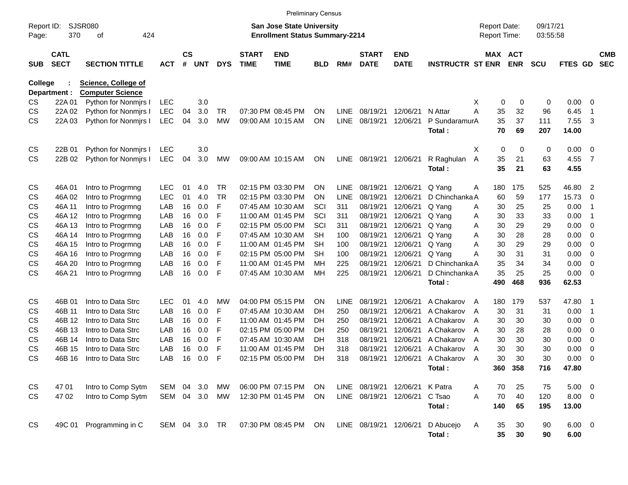|                     |                            |                            |               |                    |               |            |                             | <b>Preliminary Census</b>                                                 |           |             |                             |                           |                          |                                     |               |                      |               |                          |                          |
|---------------------|----------------------------|----------------------------|---------------|--------------------|---------------|------------|-----------------------------|---------------------------------------------------------------------------|-----------|-------------|-----------------------------|---------------------------|--------------------------|-------------------------------------|---------------|----------------------|---------------|--------------------------|--------------------------|
| Report ID:<br>Page: | 370                        | SJSR080<br>οf<br>424       |               |                    |               |            |                             | <b>San Jose State University</b><br><b>Enrollment Status Summary-2214</b> |           |             |                             |                           |                          | <b>Report Date:</b><br>Report Time: |               | 09/17/21<br>03:55:58 |               |                          |                          |
| <b>SUB</b>          | <b>CATL</b><br><b>SECT</b> | <b>SECTION TITTLE</b>      | <b>ACT</b>    | $\mathsf{cs}$<br># | <b>UNT</b>    | <b>DYS</b> | <b>START</b><br><b>TIME</b> | <b>END</b><br><b>TIME</b>                                                 | BLD       | RM#         | <b>START</b><br><b>DATE</b> | <b>END</b><br><b>DATE</b> | <b>INSTRUCTR ST ENR</b>  | MAX ACT                             | <b>ENR</b>    | <b>SCU</b>           | FTES GD       |                          | <b>CMB</b><br><b>SEC</b> |
| <b>College</b>      |                            | <b>Science, College of</b> |               |                    |               |            |                             |                                                                           |           |             |                             |                           |                          |                                     |               |                      |               |                          |                          |
|                     | Department :               | <b>Computer Science</b>    |               |                    |               |            |                             |                                                                           |           |             |                             |                           |                          |                                     |               |                      |               |                          |                          |
| CS.                 | 22A 01                     | Python for Nonmirs I       | <b>LEC</b>    |                    | 3.0           |            |                             |                                                                           |           |             |                             |                           |                          | 0<br>х                              | 0             | 0                    | 0.00          | - 0                      |                          |
| CS                  | 22A 02                     | Python for Nonmirs I       | <b>LEC</b>    | 04                 | 3.0           | TR         |                             | 07:30 PM 08:45 PM                                                         | ΟN        | LINE        | 08/19/21                    | 12/06/21                  | N Attar                  | Α<br>35                             | 32            | 96                   | 6.45          | -1                       |                          |
| CS                  | 22A 03                     | Python for Nonmirs I       | <b>LEC</b>    | 04                 | 3.0           | <b>MW</b>  |                             | 09:00 AM 10:15 AM                                                         | ON        | <b>LINE</b> | 08/19/21                    | 12/06/21                  | P SundaramurA<br>Total:  | 35<br>70                            | 37<br>69      | 111<br>207           | 7.55<br>14.00 | 3                        |                          |
| CS                  | 22B 01                     | Python for Nonmirs I       | LEC           |                    | 3.0           |            |                             |                                                                           |           |             |                             |                           |                          | 0<br>X                              | 0             | 0                    | 0.00          | $\overline{\phantom{0}}$ |                          |
| <b>CS</b>           | 22B 02                     | Python for Nonmirs I       | <b>LEC</b>    | 04                 | 3.0           | MW         |                             | 09:00 AM 10:15 AM                                                         | ON        | <b>LINE</b> | 08/19/21                    | 12/06/21                  | R Raghulan               | 35<br>Α                             | 21            | 63                   | 4.55          | $\overline{7}$           |                          |
|                     |                            |                            |               |                    |               |            |                             |                                                                           |           |             |                             |                           | Total:                   | 35                                  | 21            | 63                   | 4.55          |                          |                          |
| CS                  | 46A01                      | Intro to Progrmng          | <b>LEC</b>    | 01                 | 4.0           | <b>TR</b>  |                             | 02:15 PM 03:30 PM                                                         | ΟN        | <b>LINE</b> | 08/19/21                    | 12/06/21                  | Q Yang                   | 180<br>A                            | 175           | 525                  | 46.80         | $\overline{2}$           |                          |
| CS                  | 46A 02                     | Intro to Progrmng          | <b>LEC</b>    | 01                 | 4.0           | <b>TR</b>  |                             | 02:15 PM 03:30 PM                                                         | ΟN        | LINE        | 08/19/21                    | 12/06/21                  | D Chinchanka A           | 60                                  | 59            | 177                  | 15.73         | $\overline{0}$           |                          |
| CS                  | 46A 11                     | Intro to Progrmng          | LAB           | 16                 | 0.0           | F          |                             | 07:45 AM 10:30 AM                                                         | SCI       | 311         | 08/19/21                    | 12/06/21                  | Q Yang                   | 30<br>Α                             | 25            | 25                   | 0.00          | -1                       |                          |
| CS                  | 46A 12                     | Intro to Progrmng          | LAB           | 16                 | 0.0           | F          |                             | 11:00 AM 01:45 PM                                                         | SCI       | 311         | 08/19/21                    | 12/06/21                  | Q Yang                   | 30<br>Α                             | 33            | 33                   | 0.00          | -1                       |                          |
| CS                  | 46A 13                     | Intro to Progrmng          | LAB           | 16                 | 0.0           | F          |                             | 02:15 PM 05:00 PM                                                         | SCI       | 311         | 08/19/21                    | 12/06/21                  | Q Yang                   | 30<br>Α                             | 29            | 29                   | 0.00          | $\overline{\mathbf{0}}$  |                          |
| CS                  | 46A 14                     | Intro to Progrmng          | LAB           | 16                 | 0.0           | F          |                             | 07:45 AM 10:30 AM                                                         | SН        | 100         | 08/19/21                    | 12/06/21                  | Q Yang                   | 30<br>Α                             | 28            | 28                   | 0.00          | $\overline{\mathbf{0}}$  |                          |
| CS                  | 46A 15                     | Intro to Progrmng          | LAB           | 16                 | 0.0           | F          |                             | 11:00 AM 01:45 PM                                                         | SН        | 100         | 08/19/21                    | 12/06/21                  | Q Yang                   | Α<br>30                             | 29            | 29                   | 0.00          | $\overline{\mathbf{0}}$  |                          |
| CS                  | 46A 16                     | Intro to Progrmng          | LAB           | 16                 | 0.0           | F          |                             | 02:15 PM 05:00 PM                                                         | SН        | 100         | 08/19/21                    | 12/06/21                  | Q Yang                   | Α<br>30                             | 31            | 31                   | 0.00          | 0                        |                          |
| CS                  | 46A 20                     | Intro to Progrmng          | LAB           | 16                 | 0.0           | F          |                             | 11:00 AM 01:45 PM                                                         | МH        | 225         | 08/19/21                    | 12/06/21                  | D Chinchanka A           | 35                                  | 34            | 34                   | 0.00          | 0                        |                          |
| <b>CS</b>           | 46A 21                     | Intro to Progrmng          | LAB           | 16                 | 0.0           | F          |                             | 07:45 AM 10:30 AM                                                         | МH        | 225         | 08/19/21                    | 12/06/21                  | D Chinchanka A<br>Total: | 35<br>490                           | 25<br>468     | 25<br>936            | 0.00<br>62.53 | - 0                      |                          |
|                     |                            |                            |               |                    |               |            |                             |                                                                           |           |             |                             |                           |                          |                                     |               |                      |               |                          |                          |
| CS                  | 46B 01                     | Intro to Data Strc         | <b>LEC</b>    | 01                 | 4.0           | МW         |                             | 04:00 PM 05:15 PM                                                         | ΟN        | LINE        | 08/19/21                    | 12/06/21                  | A Chakarov               | 180<br>$\overline{A}$               | 179           | 537                  | 47.80         | - 1                      |                          |
| CS                  | 46B 11                     | Intro to Data Strc         | LAB           | 16                 | 0.0           | F          |                             | 07:45 AM 10:30 AM                                                         | DH        | 250         | 08/19/21                    | 12/06/21                  | A Chakarov               | 30<br>A                             | 31            | 31                   | 0.00          | -1                       |                          |
| CS                  | 46B 12                     | Intro to Data Strc         | LAB           | 16                 | 0.0           | F          |                             | 11:00 AM 01:45 PM                                                         | DH        | 250         | 08/19/21                    | 12/06/21                  | A Chakarov               | 30<br>A                             | 30            | 30                   | 0.00          | $\overline{\mathbf{0}}$  |                          |
| CS                  | 46B 13                     | Intro to Data Strc         | LAB           | 16                 | 0.0           | F          |                             | 02:15 PM 05:00 PM                                                         | DH        | 250         | 08/19/21                    | 12/06/21                  | A Chakarov               | 30<br>A                             | 28            | 28                   | 0.00          | 0                        |                          |
| CS                  | 46B 14                     | Intro to Data Strc         | LAB           | 16                 | 0.0           | F          |                             | 07:45 AM 10:30 AM                                                         | DH        | 318         | 08/19/21                    | 12/06/21                  | A Chakarov               | 30<br>A                             | 30            | 30                   | 0.00          | 0                        |                          |
| <b>CS</b>           | 46B 15                     | Intro to Data Strc         | LAB           | 16                 | 0.0           | F          |                             | 11:00 AM 01:45 PM                                                         | DH        | 318         | 08/19/21                    | 12/06/21                  | A Chakarov               | 30<br>A                             | 30            | 30                   | 0.00          | 0                        |                          |
| CS                  | 46B 16                     | Intro to Data Strc         | LAB           | 16                 | 0.0           | F          |                             | 02:15 PM 05:00 PM                                                         | DH        | 318         | 08/19/21                    | 12/06/21                  | A Chakarov<br>Total:     | 30<br>A                             | 30<br>360 358 | 30<br>716            | 0.00<br>47.80 | - 0                      |                          |
|                     |                            |                            |               |                    |               |            |                             |                                                                           |           |             |                             |                           |                          |                                     |               |                      |               |                          |                          |
| CS                  | 4701                       | Intro to Comp Sytm         | SEM 04 3.0    |                    |               | МW         |                             | 06:00 PM 07:15 PM                                                         | <b>ON</b> |             | LINE 08/19/21 12/06/21      |                           | K Patra                  | 70<br>A                             | 25            | 75                   | $5.00 \t 0$   |                          |                          |
| <b>CS</b>           | 47 02                      | Intro to Comp Sytm         |               |                    | SEM 04 3.0 MW |            |                             | 12:30 PM 01:45 PM                                                         | ON        |             | LINE 08/19/21 12/06/21      |                           | C Tsao                   | 70<br>A                             | 40            | 120                  | $8.00 \t 0$   |                          |                          |
|                     |                            |                            |               |                    |               |            |                             |                                                                           |           |             |                             |                           | Total:                   | 140                                 | 65            | 195                  | 13.00         |                          |                          |
| <b>CS</b>           | 49C 01                     | Programming in C           | SEM 04 3.0 TR |                    |               |            |                             | 07:30 PM 08:45 PM                                                         | ON        |             | LINE 08/19/21 12/06/21      |                           | D Abucejo                | Α<br>35                             | 30            | 90                   | $6.00 \t 0$   |                          |                          |
|                     |                            |                            |               |                    |               |            |                             |                                                                           |           |             |                             |                           | Total:                   | 35                                  | 30            | 90                   | 6.00          |                          |                          |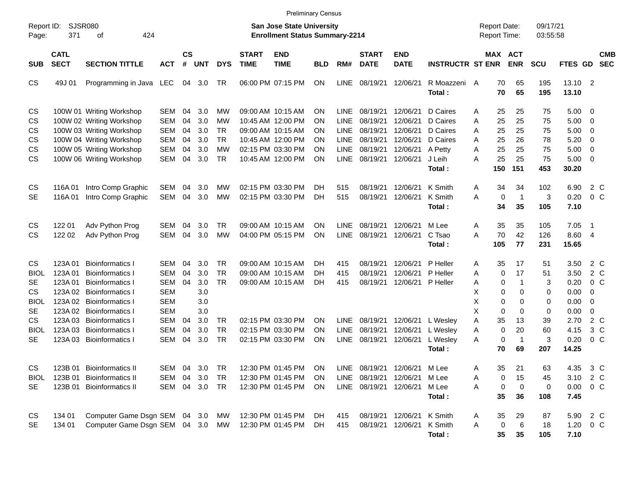|                                                                                                                   |                                                                                            |                                                                                                                                                                                                                                                 |                                                                                                                            |                                  |                                                             |                                                              |                             | <b>Preliminary Census</b>                                                                                                  |                                    |                                                                         |                                                                      |                                                                      |                                                                                |                                           |                                                             |                                                                             |                                                      |                                                                               |                                                                                  |                          |
|-------------------------------------------------------------------------------------------------------------------|--------------------------------------------------------------------------------------------|-------------------------------------------------------------------------------------------------------------------------------------------------------------------------------------------------------------------------------------------------|----------------------------------------------------------------------------------------------------------------------------|----------------------------------|-------------------------------------------------------------|--------------------------------------------------------------|-----------------------------|----------------------------------------------------------------------------------------------------------------------------|------------------------------------|-------------------------------------------------------------------------|----------------------------------------------------------------------|----------------------------------------------------------------------|--------------------------------------------------------------------------------|-------------------------------------------|-------------------------------------------------------------|-----------------------------------------------------------------------------|------------------------------------------------------|-------------------------------------------------------------------------------|----------------------------------------------------------------------------------|--------------------------|
| Page:                                                                                                             | SJSR080<br>Report ID:<br>371<br>424<br>οf                                                  |                                                                                                                                                                                                                                                 |                                                                                                                            |                                  |                                                             |                                                              |                             | <b>San Jose State University</b><br><b>Enrollment Status Summary-2214</b>                                                  |                                    |                                                                         |                                                                      |                                                                      |                                                                                | <b>Report Date:</b><br>Report Time:       |                                                             |                                                                             | 09/17/21<br>03:55:58                                 |                                                                               |                                                                                  |                          |
| SUB                                                                                                               | <b>CATL</b><br><b>SECT</b>                                                                 | <b>SECTION TITTLE</b>                                                                                                                                                                                                                           | <b>ACT</b>                                                                                                                 | <b>CS</b><br>#                   | <b>UNT</b>                                                  | <b>DYS</b>                                                   | <b>START</b><br><b>TIME</b> | <b>END</b><br><b>TIME</b>                                                                                                  | <b>BLD</b>                         | RM#                                                                     | <b>START</b><br><b>DATE</b>                                          | <b>END</b><br><b>DATE</b>                                            | <b>INSTRUCTR ST ENR</b>                                                        |                                           |                                                             | <b>MAX ACT</b><br><b>ENR</b>                                                | <b>SCU</b>                                           | FTES GD                                                                       |                                                                                  | <b>CMB</b><br><b>SEC</b> |
| CS                                                                                                                | 49J 01                                                                                     | Programming in Java LEC                                                                                                                                                                                                                         |                                                                                                                            |                                  | 04 3.0                                                      | TR                                                           |                             | 06:00 PM 07:15 PM                                                                                                          | ON                                 | <b>LINE</b>                                                             | 08/19/21                                                             | 12/06/21                                                             | R Moazzeni<br>Total:                                                           | A                                         | 70<br>70                                                    | 65<br>65                                                                    | 195<br>195                                           | 13.10 2<br>13.10                                                              |                                                                                  |                          |
| CS<br>CS<br>CS<br>CS<br>CS                                                                                        |                                                                                            | 100W 01 Writing Workshop<br>100W 02 Writing Workshop<br>100W 03 Writing Workshop<br>100W 04 Writing Workshop<br>100W 05 Writing Workshop                                                                                                        | <b>SEM</b><br><b>SEM</b><br><b>SEM</b><br><b>SEM</b><br><b>SEM</b>                                                         | 04<br>04<br>04<br>04<br>04       | 3.0<br>3.0<br>3.0<br>3.0<br>3.0                             | MW<br><b>MW</b><br><b>TR</b><br><b>TR</b><br><b>MW</b>       |                             | 09:00 AM 10:15 AM<br>10:45 AM 12:00 PM<br>09:00 AM 10:15 AM<br>10:45 AM 12:00 PM<br>02:15 PM 03:30 PM                      | ΟN<br>ΟN<br>ΟN<br>ΟN<br>ΟN         | <b>LINE</b><br><b>LINE</b><br><b>LINE</b><br><b>LINE</b><br><b>LINE</b> | 08/19/21<br>08/19/21<br>08/19/21<br>08/19/21<br>08/19/21             | 12/06/21<br>12/06/21<br>12/06/21<br>12/06/21<br>12/06/21             | D Caires<br>D Caires<br>D Caires<br>D Caires<br>A Petty                        | A<br>Α<br>Α<br>Α<br>A                     | 25<br>25<br>25<br>25<br>25                                  | 25<br>25<br>25<br>26<br>25                                                  | 75<br>75<br>75<br>78<br>75                           | 5.00<br>5.00<br>5.00<br>5.20<br>5.00                                          | 0<br>0<br>0<br>0<br>$\mathbf 0$                                                  |                          |
| <b>CS</b>                                                                                                         |                                                                                            | 100W 06 Writing Workshop                                                                                                                                                                                                                        | <b>SEM</b>                                                                                                                 | 04                               | 3.0                                                         | <b>TR</b>                                                    |                             | 10:45 AM 12:00 PM                                                                                                          | ΟN                                 | <b>LINE</b>                                                             | 08/19/21                                                             | 12/06/21                                                             | J Leih<br>Total:                                                               | A                                         | 25<br>150                                                   | 25<br>151                                                                   | 75<br>453                                            | 5.00<br>30.20                                                                 | 0                                                                                |                          |
| <b>CS</b><br><b>SE</b>                                                                                            | 116A01<br>116A01                                                                           | Intro Comp Graphic<br>Intro Comp Graphic                                                                                                                                                                                                        | <b>SEM</b><br><b>SEM</b>                                                                                                   | 04<br>04                         | 3.0<br>3.0                                                  | MW<br><b>MW</b>                                              |                             | 02:15 PM 03:30 PM<br>02:15 PM 03:30 PM                                                                                     | DH<br>DH                           | 515<br>515                                                              | 08/19/21<br>08/19/21                                                 | 12/06/21<br>12/06/21                                                 | K Smith<br>K Smith<br>Total:                                                   | A<br>Α                                    | 34<br>0<br>34                                               | 34<br>$\overline{1}$<br>35                                                  | 102<br>3<br>105                                      | 6.90<br>0.20<br>7.10                                                          | 2 C<br>0 <sup>o</sup>                                                            |                          |
| <b>CS</b><br><b>CS</b>                                                                                            | 122 01<br>122 02                                                                           | Adv Python Prog<br>Adv Python Prog                                                                                                                                                                                                              | <b>SEM</b><br><b>SEM</b>                                                                                                   | 04<br>04                         | 3.0<br>3.0                                                  | TR.<br><b>MW</b>                                             |                             | 09:00 AM 10:15 AM<br>04:00 PM 05:15 PM                                                                                     | ΟN<br>ΟN                           | <b>LINE</b><br><b>LINE</b>                                              | 08/19/21<br>08/19/21                                                 | 12/06/21<br>12/06/21                                                 | M Lee<br>C Tsao<br>Total:                                                      | A<br>A                                    | 35<br>70<br>105                                             | 35<br>42<br>77                                                              | 105<br>126<br>231                                    | 7.05<br>8.60<br>15.65                                                         | -1<br>-4                                                                         |                          |
| <b>CS</b><br><b>BIOL</b><br><b>SE</b><br><b>CS</b><br><b>BIOL</b><br><b>SE</b><br><b>CS</b><br><b>BIOL</b><br>SE. | 123A01<br>123A01<br>123A01<br>123A 02<br>123A 02<br>123A 02<br>123A03<br>123A03<br>123A 03 | <b>Bioinformatics I</b><br><b>Bioinformatics I</b><br><b>Bioinformatics I</b><br><b>Bioinformatics I</b><br><b>Bioinformatics I</b><br><b>Bioinformatics I</b><br><b>Bioinformatics I</b><br><b>Bioinformatics I</b><br><b>Bioinformatics I</b> | <b>SEM</b><br><b>SEM</b><br><b>SEM</b><br><b>SEM</b><br><b>SEM</b><br><b>SEM</b><br><b>SEM</b><br><b>SEM</b><br><b>SEM</b> | 04<br>04<br>04<br>04<br>04<br>04 | 3.0<br>3.0<br>3.0<br>3.0<br>3.0<br>3.0<br>3.0<br>3.0<br>3.0 | TR<br><b>TR</b><br><b>TR</b><br>TR<br><b>TR</b><br><b>TR</b> |                             | 09:00 AM 10:15 AM<br>09:00 AM 10:15 AM<br>09:00 AM 10:15 AM<br>02:15 PM 03:30 PM<br>02:15 PM 03:30 PM<br>02:15 PM 03:30 PM | DH.<br>DH.<br>DH<br>ON<br>ΟN<br>ON | 415<br>415<br>415<br>LINE<br><b>LINE</b><br><b>LINE</b>                 | 08/19/21<br>08/19/21<br>08/19/21<br>08/19/21<br>08/19/21<br>08/19/21 | 12/06/21<br>12/06/21<br>12/06/21<br>12/06/21<br>12/06/21<br>12/06/21 | P Heller<br>P Heller<br>P Heller<br>L Wesley<br>L Wesley<br>L Wesley<br>Total: | A<br>Α<br>Α<br>X<br>X<br>X<br>Α<br>Α<br>Α | 35<br>0<br>0<br>0<br>0<br>$\mathbf 0$<br>35<br>0<br>0<br>70 | 17<br>17<br>$\mathbf{1}$<br>0<br>0<br>0<br>13<br>20<br>$\overline{1}$<br>69 | 51<br>51<br>3<br>0<br>0<br>0<br>39<br>60<br>3<br>207 | 3.50<br>3.50<br>0.20<br>0.00<br>0.00<br>0.00<br>2.70<br>4.15<br>0.20<br>14.25 | 2 C<br>2 C<br>$0\,C$<br>0<br>0<br>$\mathbf 0$<br>2 C<br>$3\,C$<br>0 <sup>o</sup> |                          |
| <b>BIOL</b><br>SE                                                                                                 |                                                                                            | CS 123B 01 Bioinformatics II<br>123B 01 Bioinformatics II<br>123B 01 Bioinformatics II                                                                                                                                                          | <b>SEM</b><br>SEM                                                                                                          |                                  | 04 3.0<br>04 3.0 TR                                         | TR                                                           |                             | SEM 04 3.0 TR 12:30 PM 01:45 PM ON LINE 08/19/21 12/06/21<br>12:30 PM 01:45 PM<br>12:30 PM 01:45 PM                        | 0N<br>ON                           |                                                                         | LINE 08/19/21 12/06/21<br>LINE 08/19/21 12/06/21                     |                                                                      | M Lee<br>M Lee<br>M Lee<br>Total:                                              | Α<br>A<br>Α                               | 35<br>0<br>0<br>35                                          | 21<br>15<br>0<br>36                                                         | 63<br>45<br>0<br>108                                 | 4.35 3 C<br>3.10 2 C<br>0.00<br>7.45                                          | $0\,C$                                                                           |                          |
| CS<br>SE.                                                                                                         | 134 01<br>134 01                                                                           | Computer Game Dsgn SEM 04 3.0<br>Computer Game Dsgn SEM 04 3.0 MW                                                                                                                                                                               |                                                                                                                            |                                  |                                                             | MW                                                           |                             | 12:30 PM 01:45 PM<br>12:30 PM 01:45 PM                                                                                     | DH.<br>DH.                         | 415<br>415                                                              | 08/19/21 12/06/21<br>08/19/21 12/06/21                               |                                                                      | K Smith<br>K Smith<br>Total:                                                   | A<br>Α                                    | 35<br>$\pmb{0}$<br>35                                       | 29<br>$\,6$<br>35                                                           | 87<br>18<br>105                                      | 5.90 2 C<br>$1.20 \t 0 C$<br>7.10                                             |                                                                                  |                          |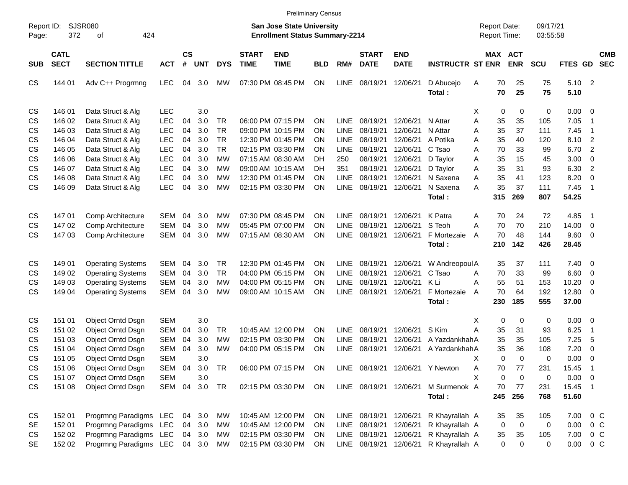|                     |                            |                          |            |                |            |            |                             |                                                                    | <b>Preliminary Census</b> |             |                             |                           |                                 |                                     |                       |             |                      |              |                            |                          |
|---------------------|----------------------------|--------------------------|------------|----------------|------------|------------|-----------------------------|--------------------------------------------------------------------|---------------------------|-------------|-----------------------------|---------------------------|---------------------------------|-------------------------------------|-----------------------|-------------|----------------------|--------------|----------------------------|--------------------------|
| Report ID:<br>Page: | 372                        | SJSR080<br>424<br>οf     |            |                |            |            |                             | San Jose State University<br><b>Enrollment Status Summary-2214</b> |                           |             |                             |                           |                                 | <b>Report Date:</b><br>Report Time: |                       |             | 09/17/21<br>03:55:58 |              |                            |                          |
| <b>SUB</b>          | <b>CATL</b><br><b>SECT</b> | <b>SECTION TITTLE</b>    | <b>ACT</b> | <b>CS</b><br># | <b>UNT</b> | <b>DYS</b> | <b>START</b><br><b>TIME</b> | <b>END</b><br><b>TIME</b>                                          | <b>BLD</b>                | RM#         | <b>START</b><br><b>DATE</b> | <b>END</b><br><b>DATE</b> | <b>INSTRUCTR ST ENR</b>         |                                     | MAX ACT<br><b>ENR</b> |             | <b>SCU</b>           | FTES GD      |                            | <b>CMB</b><br><b>SEC</b> |
| <b>CS</b>           | 144 01                     | Adv C++ Progrmng         | <b>LEC</b> | 04             | 3.0        | MW         |                             | 07:30 PM 08:45 PM                                                  | ON                        | <b>LINE</b> | 08/19/21                    | 12/06/21                  | D Abucejo<br>Total:             | Α                                   | 70<br>70              | 25<br>25    | 75<br>75             | 5.10<br>5.10 | $\overline{\phantom{0}}$   |                          |
|                     |                            |                          |            |                |            |            |                             |                                                                    |                           |             |                             |                           |                                 |                                     |                       |             |                      |              |                            |                          |
| CS                  | 146 01                     | Data Struct & Alg        | <b>LEC</b> |                | 3.0        |            |                             |                                                                    |                           |             |                             |                           |                                 | X                                   | 0                     | 0           | 0                    | 0.00         | $\overline{\mathbf{0}}$    |                          |
| CS.                 | 146 02                     | Data Struct & Alg        | <b>LEC</b> | 04             | 3.0        | <b>TR</b>  |                             | 06:00 PM 07:15 PM                                                  | ON                        | LINE        | 08/19/21                    | 12/06/21                  | N Attar                         | Α                                   | 35                    | 35          | 105                  | 7.05         | -1                         |                          |
| CS                  | 146 03                     | Data Struct & Alg        | <b>LEC</b> | 04             | 3.0        | <b>TR</b>  |                             | 09:00 PM 10:15 PM                                                  | ON                        | <b>LINE</b> | 08/19/21                    | 12/06/21                  | N Attar                         | Α                                   | 35                    | 37          | 111                  | 7.45         | -1                         |                          |
| CS                  | 146 04                     | Data Struct & Alg        | <b>LEC</b> | 04             | 3.0        | <b>TR</b>  |                             | 12:30 PM 01:45 PM                                                  | ON                        | <b>LINE</b> | 08/19/21                    | 12/06/21                  | A Potika                        | Α                                   | 35                    | 40          | 120                  | 8.10         | $\overline{c}$             |                          |
| <b>CS</b>           | 146 05                     | Data Struct & Alg        | <b>LEC</b> | 04             | 3.0        | <b>TR</b>  |                             | 02:15 PM 03:30 PM                                                  | ON                        | <b>LINE</b> | 08/19/21                    | 12/06/21                  | C Tsao                          | Α                                   | 70                    | 33          | 99                   | 6.70         | $\overline{2}$             |                          |
| <b>CS</b>           | 146 06                     | Data Struct & Alg        | <b>LEC</b> | 04             | 3.0        | <b>MW</b>  |                             | 07:15 AM 08:30 AM                                                  | DH                        | 250         | 08/19/21                    | 12/06/21                  | D Taylor                        | Α                                   | 35                    | 15          | 45                   | 3.00         | $\mathbf 0$                |                          |
| <b>CS</b>           | 146 07                     | Data Struct & Alg        | <b>LEC</b> | 04             | 3.0        | MW         |                             | 09:00 AM 10:15 AM                                                  | DH                        | 351         | 08/19/21                    | 12/06/21                  | D Taylor                        | Α                                   | 35                    | 31          | 93                   | 6.30         | $\overline{2}$             |                          |
| CS                  | 146 08                     | Data Struct & Alg        | <b>LEC</b> | 04             | 3.0        | MW         |                             | 12:30 PM 01:45 PM                                                  | ON                        | <b>LINE</b> | 08/19/21                    | 12/06/21                  | N Saxena                        | Α                                   | 35                    | 41          | 123                  | 8.20         | $\mathbf 0$                |                          |
| CS                  | 146 09                     | Data Struct & Alg        | <b>LEC</b> | 04             | 3.0        | MW         |                             | 02:15 PM 03:30 PM                                                  | ΟN                        | LINE        | 08/19/21                    | 12/06/21                  | N Saxena                        | A                                   | 35                    | 37          | 111                  | 7.45         | -1                         |                          |
|                     |                            |                          |            |                |            |            |                             |                                                                    |                           |             |                             |                           | Total:                          | 315                                 |                       | 269         | 807                  | 54.25        |                            |                          |
| CS.                 | 14701                      | <b>Comp Architecture</b> | <b>SEM</b> | 04             | 3.0        | MW         |                             | 07:30 PM 08:45 PM                                                  | ON                        | LINE        | 08/19/21                    | 12/06/21                  | K Patra                         | Α                                   | 70                    | 24          | 72                   | 4.85         | -1                         |                          |
| CS.                 | 147 02                     | Comp Architecture        | <b>SEM</b> | 04             | 3.0        | МW         |                             | 05:45 PM 07:00 PM                                                  | ON                        | LINE        | 08/19/21                    | 12/06/21                  | S Teoh                          | А                                   | 70                    | 70          | 210                  | 14.00        | $\overline{0}$             |                          |
| CS                  | 14703                      | Comp Architecture        | <b>SEM</b> | 04             | 3.0        | MW         |                             | 07:15 AM 08:30 AM                                                  | ΟN                        | <b>LINE</b> | 08/19/21 12/06/21           |                           | F Mortezaie                     | A                                   | 70                    | 48          | 144                  | 9.60         | $\overline{\mathbf{0}}$    |                          |
|                     |                            |                          |            |                |            |            |                             |                                                                    |                           |             |                             |                           | Total:                          | 210                                 |                       | 142         | 426                  | 28.45        |                            |                          |
| CS                  | 149 01                     | <b>Operating Systems</b> | <b>SEM</b> | 04             | 3.0        | <b>TR</b>  |                             | 12:30 PM 01:45 PM                                                  | ΟN                        | LINE        | 08/19/21                    | 12/06/21                  | W Andreopoul A                  |                                     | 35                    | 37          | 111                  | 7.40         | $\overline{\mathbf{0}}$    |                          |
| CS                  | 149 02                     | <b>Operating Systems</b> | <b>SEM</b> | 04             | 3.0        | <b>TR</b>  |                             | 04:00 PM 05:15 PM                                                  | ON                        | <b>LINE</b> | 08/19/21                    | 12/06/21                  | C Tsao                          | Α                                   | 70                    | 33          | 99                   | 6.60         | $\overline{\mathbf{0}}$    |                          |
| CS                  | 149 03                     | <b>Operating Systems</b> | <b>SEM</b> | 04             | 3.0        | <b>MW</b>  |                             | 04:00 PM 05:15 PM                                                  | ON                        | LINE        | 08/19/21                    | 12/06/21                  | K Li                            | Α                                   | 55                    | 51          | 153                  | 10.20        | 0                          |                          |
| CS                  | 149 04                     | <b>Operating Systems</b> | <b>SEM</b> | 04             | 3.0        | МW         |                             | 09:00 AM 10:15 AM                                                  | ΟN                        | <b>LINE</b> | 08/19/21 12/06/21           |                           | F Mortezaie                     | A                                   | 70                    | 64          | 192                  | 12.80        | $\overline{0}$             |                          |
|                     |                            |                          |            |                |            |            |                             |                                                                    |                           |             |                             |                           | Total:                          | 230                                 |                       | 185         | 555                  | 37.00        |                            |                          |
|                     |                            |                          |            |                |            |            |                             |                                                                    |                           |             |                             |                           |                                 |                                     |                       |             |                      |              |                            |                          |
| CS                  | 151 01                     | Object Orntd Dsgn        | <b>SEM</b> |                | 3.0        |            |                             |                                                                    |                           |             |                             |                           |                                 | Χ                                   | 0                     | 0           | 0                    | 0.00         | $\overline{\mathbf{0}}$    |                          |
| CS                  | 151 02                     | Object Orntd Dsgn        | <b>SEM</b> | 04             | 3.0        | TR.        |                             | 10:45 AM 12:00 PM                                                  | ON                        | LINE        | 08/19/21                    | 12/06/21                  | S Kim                           | A                                   | 35                    | 31          | 93                   | 6.25         | -1                         |                          |
| CS                  | 151 03                     | Object Orntd Dsgn        | <b>SEM</b> | 04             | 3.0        | МW         |                             | 02:15 PM 03:30 PM                                                  | ΟN                        | LINE        | 08/19/21                    | 12/06/21                  | A YazdankhahA                   |                                     | 35                    | 35          | 105                  | 7.25         | 5                          |                          |
| CS                  | 151 04                     | Object Orntd Dsgn        | <b>SEM</b> | 04             | 3.0        | МW         |                             | 04:00 PM 05:15 PM                                                  | ON                        | LINE        | 08/19/21                    | 12/06/21                  | A YazdankhahA                   |                                     | 35                    | 36          | 108                  | 7.20         | 0                          |                          |
| CS                  | 151 05                     | Object Orntd Dsgn        | <b>SEM</b> |                | 3.0        |            |                             |                                                                    |                           |             |                             |                           |                                 | Χ                                   | 0                     | $\Omega$    | 0                    | 0.00         | $\overline{0}$             |                          |
| CS                  | 151 06                     | Object Orntd Dsgn        | SEM        | 04             | 3.0        | TR         |                             | 06:00 PM 07:15 PM ON                                               |                           |             |                             |                           | LINE 08/19/21 12/06/21 Y Newton | Α                                   | 70                    | 77          | 231                  | 15.45        | $\overline{\phantom{0}}$ 1 |                          |
| CS                  | 151 07                     | Object Orntd Dsgn        | <b>SEM</b> |                | 3.0        |            |                             |                                                                    |                           |             |                             |                           |                                 | X                                   | $\mathbf 0$           | $\mathbf 0$ | 0                    | $0.00 \t 0$  |                            |                          |
| CS                  | 151 08                     | Object Orntd Dsgn        | SEM        | 04             | 3.0        | TR         |                             | 02:15 PM 03:30 PM                                                  | ON                        |             | LINE 08/19/21 12/06/21      |                           | M Surmenok A                    |                                     | 70                    | 77          | 231                  | 15.45 1      |                            |                          |
|                     |                            |                          |            |                |            |            |                             |                                                                    |                           |             |                             |                           | Total:                          |                                     | 245                   | 256         | 768                  | 51.60        |                            |                          |
| CS                  | 152 01                     | Progrmng Paradigms LEC   |            |                | 04 3.0     | МW         |                             | 10:45 AM 12:00 PM                                                  | <b>ON</b>                 |             | LINE 08/19/21 12/06/21      |                           | R Khayrallah A                  |                                     | 35                    | 35          | 105                  | 7.00         | 0 <sup>o</sup>             |                          |
| SE                  | 152 01                     | Progrmng Paradigms LEC   |            |                | 04 3.0     | МW         |                             | 10:45 AM 12:00 PM                                                  | <b>ON</b>                 | LINE        | 08/19/21 12/06/21           |                           | R Khayrallah A                  |                                     | 0                     | $\mathbf 0$ | 0                    | 0.00         | $0\,C$                     |                          |
| CS                  | 152 02                     | Progrmng Paradigms LEC   |            |                | 04 3.0     | МW         |                             | 02:15 PM 03:30 PM                                                  | <b>ON</b>                 | LINE        | 08/19/21 12/06/21           |                           | R Khayrallah A                  |                                     | 35                    | 35          | 105                  | 7.00         | $0\,C$                     |                          |
| SE                  | 152 02                     | Progrmng Paradigms LEC   |            |                | 04 3.0     | МW         |                             | 02:15 PM 03:30 PM                                                  | ON                        |             | LINE 08/19/21 12/06/21      |                           | R Khayrallah A                  |                                     | 0                     | 0           | 0                    | 0.00         | $0\,C$                     |                          |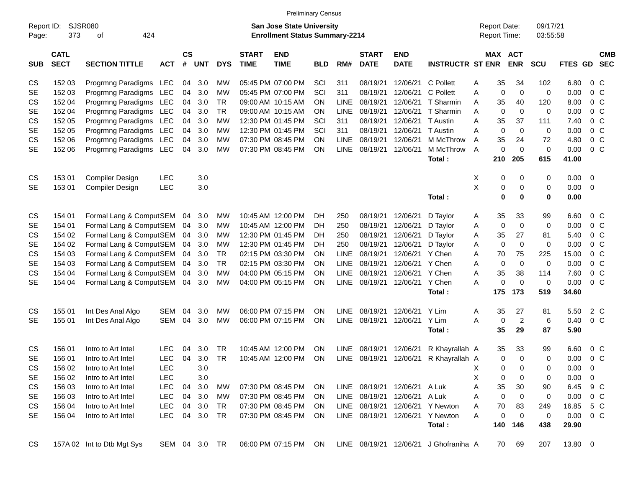|                     |                            |                             |               |                    |            |            |                             |                                                                           | <b>Preliminary Census</b> |             |                             |                              |                         |   |                                     |                       |                      |             |                         |            |
|---------------------|----------------------------|-----------------------------|---------------|--------------------|------------|------------|-----------------------------|---------------------------------------------------------------------------|---------------------------|-------------|-----------------------------|------------------------------|-------------------------|---|-------------------------------------|-----------------------|----------------------|-------------|-------------------------|------------|
| Report ID:<br>Page: | 373                        | <b>SJSR080</b><br>424<br>οf |               |                    |            |            |                             | <b>San Jose State University</b><br><b>Enrollment Status Summary-2214</b> |                           |             |                             |                              |                         |   | <b>Report Date:</b><br>Report Time: |                       | 09/17/21<br>03:55:58 |             |                         |            |
| <b>SUB</b>          | <b>CATL</b><br><b>SECT</b> | <b>SECTION TITTLE</b>       | <b>ACT</b>    | $\mathsf{cs}$<br># | <b>UNT</b> | <b>DYS</b> | <b>START</b><br><b>TIME</b> | <b>END</b><br><b>TIME</b>                                                 | <b>BLD</b>                | RM#         | <b>START</b><br><b>DATE</b> | <b>END</b><br><b>DATE</b>    | <b>INSTRUCTR ST ENR</b> |   |                                     | MAX ACT<br><b>ENR</b> | <b>SCU</b>           | FTES GD SEC |                         | <b>CMB</b> |
|                     |                            |                             |               |                    |            |            |                             |                                                                           |                           |             |                             |                              |                         |   |                                     |                       |                      |             |                         |            |
| CS                  | 152 03                     | Progrmng Paradigms LEC      |               | 04                 | 3.0        | MW         |                             | 05:45 PM 07:00 PM                                                         | SCI                       | 311         | 08/19/21                    | 12/06/21                     | C Pollett               | A | 35                                  | 34                    | 102                  | 6.80        | $0\,C$                  |            |
| <b>SE</b>           | 152 03                     | Progrmng Paradigms LEC      |               | 04                 | 3.0        | MW         |                             | 05:45 PM 07:00 PM                                                         | SCI                       | 311         | 08/19/21                    | 12/06/21                     | C Pollett               | Α | 0                                   | $\mathbf 0$           | $\mathbf 0$          | 0.00        | 0 <sup>C</sup>          |            |
| CS                  | 152 04                     | Progrmng Paradigms LEC      |               | 04                 | 3.0        | <b>TR</b>  |                             | 09:00 AM 10:15 AM                                                         | ON                        | <b>LINE</b> | 08/19/21                    | 12/06/21                     | T Sharmin               | Α | 35                                  | 40                    | 120                  | 8.00        | 0 <sup>C</sup>          |            |
| <b>SE</b>           | 152 04                     | Progrmng Paradigms LEC      |               | 04                 | 3.0        | <b>TR</b>  |                             | 09:00 AM 10:15 AM                                                         | ΟN                        | <b>LINE</b> | 08/19/21                    | 12/06/21                     | T Sharmin               | Α | 0                                   | 0                     | 0                    | 0.00        | 0 <sup>C</sup>          |            |
| CS                  | 152 05                     | Progrmng Paradigms LEC      |               | 04                 | 3.0        | <b>MW</b>  |                             | 12:30 PM 01:45 PM                                                         | SCI                       | 311         | 08/19/21                    | 12/06/21                     | T Austin                | Α | 35                                  | 37                    | 111                  | 7.40        | $0\,C$                  |            |
| <b>SE</b>           | 152 05                     | Progrmng Paradigms LEC      |               | 04                 | 3.0        | MW         |                             | 12:30 PM 01:45 PM                                                         | SCI                       | 311         | 08/19/21                    | 12/06/21                     | T Austin                | A | $\pmb{0}$                           | $\mathbf 0$           | $\pmb{0}$            | 0.00        | $0\,C$                  |            |
| CS                  | 152 06                     | Progrmng Paradigms LEC      |               | 04                 | 3.0        | MW         |                             | 07:30 PM 08:45 PM                                                         | ON                        | <b>LINE</b> | 08/19/21                    | 12/06/21                     | M McThrow               | Α | 35                                  | 24                    | 72                   | 4.80        | 0 <sup>C</sup>          |            |
| <b>SE</b>           | 152 06                     | Progrmng Paradigms LEC      |               | 04                 | 3.0        | <b>MW</b>  |                             | 07:30 PM 08:45 PM                                                         | ON                        | LINE        | 08/19/21                    | 12/06/21                     | M McThrow               | A | $\pmb{0}$                           | $\mathbf 0$           | $\pmb{0}$            | 0.00        | 0 <sup>C</sup>          |            |
|                     |                            |                             |               |                    |            |            |                             |                                                                           |                           |             |                             |                              | Total:                  |   | 210                                 | 205                   | 615                  | 41.00       |                         |            |
| CS                  | 153 01                     | Compiler Design             | LEC           |                    | 3.0        |            |                             |                                                                           |                           |             |                             |                              |                         | х | 0                                   | 0                     | 0                    | 0.00        | $\overline{\mathbf{0}}$ |            |
| <b>SE</b>           | 153 01                     | Compiler Design             | <b>LEC</b>    |                    | 3.0        |            |                             |                                                                           |                           |             |                             |                              |                         | X | 0                                   | 0                     | 0                    | 0.00        | $\overline{\mathbf{0}}$ |            |
|                     |                            |                             |               |                    |            |            |                             |                                                                           |                           |             |                             |                              | Total:                  |   | $\mathbf 0$                         | $\bf{0}$              | $\mathbf 0$          | 0.00        |                         |            |
|                     |                            |                             |               |                    |            |            |                             |                                                                           |                           |             |                             |                              |                         |   |                                     |                       |                      |             |                         |            |
| CS                  | 154 01                     | Formal Lang & ComputSEM     |               | 04                 | 3.0        | MW         |                             | 10:45 AM 12:00 PM                                                         | DH.                       | 250         | 08/19/21                    | 12/06/21                     | D Taylor                | A | 35                                  | 33                    | 99                   | 6.60        | 0 <sup>C</sup>          |            |
| <b>SE</b>           | 154 01                     | Formal Lang & ComputSEM     |               | 04                 | 3.0        | MW         |                             | 10:45 AM 12:00 PM                                                         | DH.                       | 250         | 08/19/21                    | 12/06/21                     | D Taylor                | Α | 0                                   | $\mathbf 0$           | 0                    | 0.00        | 0 <sup>C</sup>          |            |
| CS                  | 154 02                     | Formal Lang & ComputSEM     |               | 04                 | 3.0        | MW         |                             | 12:30 PM 01:45 PM                                                         | DH                        | 250         | 08/19/21                    | 12/06/21                     | D Taylor                | A | 35                                  | 27                    | 81                   | 5.40        | 0 <sup>C</sup>          |            |
| <b>SE</b>           | 154 02                     | Formal Lang & ComputSEM     |               | 04                 | 3.0        | MW         |                             | 12:30 PM 01:45 PM                                                         | DH.                       | 250         | 08/19/21                    | 12/06/21                     | D Taylor                | Α | $\pmb{0}$                           | $\mathbf 0$           | 0                    | 0.00        | 0 <sup>C</sup>          |            |
| CS                  | 154 03                     | Formal Lang & ComputSEM     |               | 04                 | 3.0        | <b>TR</b>  |                             | 02:15 PM 03:30 PM                                                         | ΟN                        | <b>LINE</b> | 08/19/21                    | 12/06/21                     | Y Chen                  | Α | 70                                  | 75                    | 225                  | 15.00       | 0 <sup>C</sup>          |            |
| <b>SE</b>           | 154 03                     | Formal Lang & ComputSEM     |               | 04                 | 3.0        | <b>TR</b>  |                             | 02:15 PM 03:30 PM                                                         | ON                        | <b>LINE</b> | 08/19/21                    | 12/06/21                     | Y Chen                  | Α | 0                                   | $\mathbf 0$           | $\pmb{0}$            | 0.00        | $0\,C$                  |            |
| CS                  | 154 04                     | Formal Lang & ComputSEM     |               | 04                 | 3.0        | <b>MW</b>  |                             | 04:00 PM 05:15 PM                                                         | ON                        | <b>LINE</b> | 08/19/21                    | 12/06/21                     | Y Chen                  | Α | 35                                  | 38                    | 114                  | 7.60        | 0 <sup>C</sup>          |            |
| <b>SE</b>           | 154 04                     | Formal Lang & ComputSEM     |               | 04                 | 3.0        | <b>MW</b>  |                             | 04:00 PM 05:15 PM                                                         | ON                        | LINE        | 08/19/21                    | 12/06/21                     | Y Chen                  | A | $\pmb{0}$                           | $\mathbf 0$           | $\pmb{0}$            | 0.00        | 0 <sup>C</sup>          |            |
|                     |                            |                             |               |                    |            |            |                             |                                                                           |                           |             |                             |                              | Total:                  |   | 175                                 | 173                   | 519                  | 34.60       |                         |            |
| CS                  | 155 01                     | Int Des Anal Algo           | SEM           | 04                 | 3.0        | MW         |                             | 06:00 PM 07:15 PM                                                         | ΟN                        | LINE        | 08/19/21                    | 12/06/21                     | Y Lim                   | A | 35                                  | 27                    | 81                   | 5.50        | 2 C                     |            |
| <b>SE</b>           | 155 01                     | Int Des Anal Algo           | SEM           | 04                 | 3.0        | <b>MW</b>  |                             | 06:00 PM 07:15 PM                                                         | ON                        |             | LINE 08/19/21               | 12/06/21                     | Y Lim                   | A | 0                                   | $\overline{2}$        | 6                    | 0.40        | 0 <sup>C</sup>          |            |
|                     |                            |                             |               |                    |            |            |                             |                                                                           |                           |             |                             |                              | Total:                  |   | 35                                  | 29                    | 87                   | 5.90        |                         |            |
|                     |                            |                             |               |                    |            |            |                             |                                                                           |                           |             |                             |                              |                         |   |                                     |                       |                      |             |                         |            |
| CS                  | 156 01                     | Intro to Art Intel          | LEC           | 04                 | 3.0        | <b>TR</b>  |                             | 10:45 AM 12:00 PM                                                         | ΟN                        | LINE        | 08/19/21                    | 12/06/21                     | R Khayrallah A          |   | 35                                  | 33                    | 99                   | 6.60        | $0\,C$                  |            |
| <b>SE</b>           | 156 01                     | Intro to Art Intel          | <b>LEC</b>    | 04                 | 3.0        | <b>TR</b>  |                             | 10:45 AM 12:00 PM                                                         | ΟN                        | LINE        | 08/19/21 12/06/21           |                              | R Khayrallah A          |   | 0                                   | $\mathbf 0$           | 0                    | 0.00        | $0\,C$                  |            |
| CS                  | 156 02                     | Intro to Art Intel          | LEC           |                    | 3.0        |            |                             |                                                                           |                           |             |                             |                              |                         | X | $\mathbf 0$                         | $\mathbf 0$           | 0                    | 0.00        | $\overline{0}$          |            |
| <b>SE</b>           | 156 02                     | Intro to Art Intel          | <b>LEC</b>    |                    | 3.0        |            |                             |                                                                           |                           |             |                             |                              |                         | Χ | 0                                   | 0                     | 0                    | 0.00        | 0                       |            |
| CS                  | 156 03                     | Intro to Art Intel          | <b>LEC</b>    | 04                 | 3.0        | МW         |                             | 07:30 PM 08:45 PM                                                         | <b>ON</b>                 |             |                             | LINE 08/19/21 12/06/21 A Luk |                         | Α | 35                                  | 30                    | 90                   | 6.45 9 C    |                         |            |
| <b>SE</b>           | 156 03                     | Intro to Art Intel          | <b>LEC</b>    | 04                 | 3.0        | МW         |                             | 07:30 PM 08:45 PM                                                         | <b>ON</b>                 |             |                             | LINE 08/19/21 12/06/21       | A Luk                   | Α | 0                                   | 0                     | 0                    | 0.00        | $0\,C$                  |            |
| CS                  | 156 04                     | Intro to Art Intel          | <b>LEC</b>    | 04                 | 3.0        | TR         |                             | 07:30 PM 08:45 PM                                                         | <b>ON</b>                 |             | LINE 08/19/21 12/06/21      |                              | Y Newton                | Α | 70                                  | 83                    | 249                  | 16.85       | 5 C                     |            |
| SE                  | 156 04                     | Intro to Art Intel          | <b>LEC</b>    |                    | 04 3.0     | <b>TR</b>  |                             | 07:30 PM 08:45 PM                                                         | ON                        |             | LINE 08/19/21 12/06/21      |                              | Y Newton                | Α | 0                                   | 0                     | 0                    | 0.00        | $0\,C$                  |            |
|                     |                            |                             |               |                    |            |            |                             |                                                                           |                           |             |                             |                              | Total:                  |   | 140                                 | 146                   | 438                  | 29.90       |                         |            |
| CS                  |                            | 157A 02 Int to Dtb Mgt Sys  | SEM 04 3.0 TR |                    |            |            |                             | 06:00 PM 07:15 PM                                                         | -ON                       |             | LINE 08/19/21 12/06/21      |                              | J Ghofraniha A          |   | 70                                  | 69                    | 207                  | 13.80 0     |                         |            |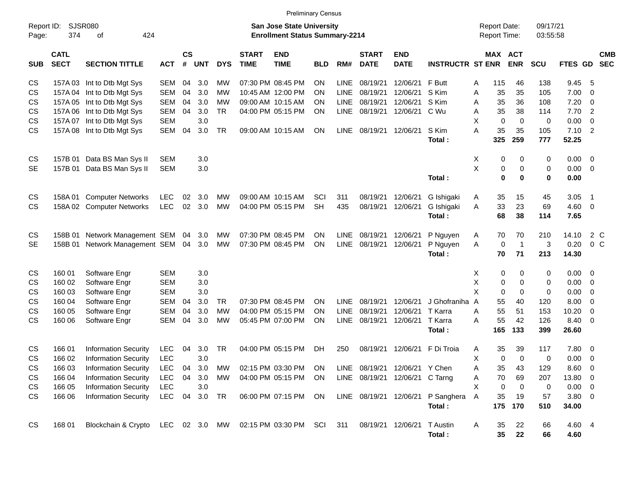|                     |                                                                                                                 |                                   |            |                         |            |            |                             | <b>Preliminary Census</b> |            |             |                             |                                |                                     |                  |                       |              |                |                         |                          |
|---------------------|-----------------------------------------------------------------------------------------------------------------|-----------------------------------|------------|-------------------------|------------|------------|-----------------------------|---------------------------|------------|-------------|-----------------------------|--------------------------------|-------------------------------------|------------------|-----------------------|--------------|----------------|-------------------------|--------------------------|
| Report ID:<br>Page: | <b>SJSR080</b><br><b>San Jose State University</b><br>374<br>424<br><b>Enrollment Status Summary-2214</b><br>οf |                                   |            |                         |            |            |                             |                           |            |             |                             |                                | <b>Report Date:</b><br>Report Time: |                  | 09/17/21<br>03:55:58  |              |                |                         |                          |
| <b>SUB</b>          | <b>CATL</b><br><b>SECT</b>                                                                                      | <b>SECTION TITTLE</b>             | <b>ACT</b> | <b>CS</b><br>$\pmb{\#}$ | <b>UNT</b> | <b>DYS</b> | <b>START</b><br><b>TIME</b> | <b>END</b><br><b>TIME</b> | <b>BLD</b> | RM#         | <b>START</b><br><b>DATE</b> | <b>END</b><br><b>DATE</b>      | <b>INSTRUCTR ST ENR</b>             |                  | MAX ACT<br><b>ENR</b> | SCU          | FTES GD        |                         | <b>CMB</b><br><b>SEC</b> |
| CS                  |                                                                                                                 | 157A 03 Int to Dtb Mgt Sys        | <b>SEM</b> | 04                      | 3.0        | МW         |                             | 07:30 PM 08:45 PM         | ΟN         | <b>LINE</b> | 08/19/21                    | 12/06/21                       | F Butt                              | A<br>115         | 46                    | 138          | 9.45           | 5                       |                          |
| <b>CS</b>           |                                                                                                                 | 157A 04 Int to Dtb Mgt Sys        | <b>SEM</b> | 04                      | 3.0        | <b>MW</b>  |                             | 10:45 AM 12:00 PM         | ΟN         | <b>LINE</b> | 08/19/21                    | 12/06/21                       | S Kim                               | 35<br>A          | 35                    | 105          | 7.00           | 0                       |                          |
| CS                  |                                                                                                                 | 157A 05 Int to Dtb Mgt Sys        | <b>SEM</b> | 04                      | 3.0        | МW         |                             | 09:00 AM 10:15 AM         | ΟN         | <b>LINE</b> | 08/19/21                    | 12/06/21                       | S Kim                               | 35<br>Α          | 36                    | 108          | 7.20           | 0                       |                          |
| CS                  |                                                                                                                 | 157A 06 Int to Dtb Mgt Sys        | SEM        | 04                      | 3.0        | <b>TR</b>  |                             | 04:00 PM 05:15 PM         | ON         | <b>LINE</b> | 08/19/21                    | 12/06/21                       | C Wu                                | 35<br>A          | 38                    | 114          | 7.70           | $\overline{2}$          |                          |
| CS                  | 157A 07                                                                                                         | Int to Dtb Mgt Sys                | <b>SEM</b> |                         | 3.0        |            |                             |                           |            |             |                             |                                |                                     | X<br>$\mathbf 0$ | $\mathbf 0$           | 0            | 0.00           | 0                       |                          |
| <b>CS</b>           |                                                                                                                 | 157A 08 Int to Dtb Mgt Sys        | <b>SEM</b> | 04                      | 3.0        | TR         |                             | 09:00 AM 10:15 AM         | ON         | <b>LINE</b> | 08/19/21                    | 12/06/21                       | S Kim                               | A<br>35          | 35                    | 105          | 7.10           | $\overline{2}$          |                          |
|                     |                                                                                                                 |                                   |            |                         |            |            |                             |                           |            |             |                             |                                | Total:                              | 325              | 259                   | 777          | 52.25          |                         |                          |
| <b>CS</b>           |                                                                                                                 | 157B 01 Data BS Man Sys II        | SEM        |                         | 3.0        |            |                             |                           |            |             |                             |                                |                                     | Χ                | 0<br>0                | 0            | 0.00           | $\overline{\mathbf{0}}$ |                          |
| SE                  | 157B 01                                                                                                         | Data BS Man Sys II                | <b>SEM</b> |                         | 3.0        |            |                             |                           |            |             |                             |                                |                                     | Χ                | 0<br>0                | 0            | 0.00           | $\overline{0}$          |                          |
|                     |                                                                                                                 |                                   |            |                         |            |            |                             |                           |            |             |                             |                                | Total:                              |                  | $\bf{0}$<br>$\bf{0}$  | $\bf{0}$     | 0.00           |                         |                          |
| <b>CS</b>           |                                                                                                                 | 158A 01 Computer Networks         | <b>LEC</b> | 02                      | 3.0        | MW         |                             | 09:00 AM 10:15 AM         | SCI        | 311         | 08/19/21                    | 12/06/21                       | G Ishigaki                          | 35<br>A          | 15                    | 45           | 3.05           | -1                      |                          |
| <b>CS</b>           |                                                                                                                 | 158A 02 Computer Networks         | <b>LEC</b> | 02                      | 3.0        | <b>MW</b>  |                             | 04:00 PM 05:15 PM         | <b>SH</b>  | 435         | 08/19/21                    | 12/06/21                       | G Ishigaki                          | 33<br>A          | 23                    | 69           | 4.60           | $\overline{\mathbf{0}}$ |                          |
|                     |                                                                                                                 |                                   |            |                         |            |            |                             |                           |            |             |                             |                                | Total:                              | 68               | 38                    | 114          | 7.65           |                         |                          |
| CS                  | 158B 01                                                                                                         | Network Management SEM 04         |            |                         | 3.0        | MW         |                             | 07:30 PM 08:45 PM         | ON         | <b>LINE</b> | 08/19/21                    | 12/06/21                       | P Nguyen                            | 70<br>A          | 70                    | 210          | 14.10          | 2 C                     |                          |
| SE                  | 158B 01                                                                                                         | Network Management SEM 04         |            |                         | 3.0        | <b>MW</b>  |                             | 07:30 PM 08:45 PM         | ON         | <b>LINE</b> | 08/19/21                    | 12/06/21                       | P Nguyen                            | $\mathbf 0$<br>A | $\overline{1}$        | $\mathbf{3}$ | 0.20           | 0 <sup>o</sup>          |                          |
|                     |                                                                                                                 |                                   |            |                         |            |            |                             |                           |            |             |                             |                                | Total:                              | 70               | 71                    | 213          | 14.30          |                         |                          |
| <b>CS</b>           | 160 01                                                                                                          | Software Engr                     | <b>SEM</b> |                         | 3.0        |            |                             |                           |            |             |                             |                                |                                     | х                | 0<br>0                | 0            | 0.00           | 0                       |                          |
| CS                  | 160 02                                                                                                          | Software Engr                     | <b>SEM</b> |                         | 3.0        |            |                             |                           |            |             |                             |                                |                                     | X                | 0<br>0                | 0            | 0.00           | $\mathbf 0$             |                          |
| CS                  | 160 03                                                                                                          | Software Engr                     | <b>SEM</b> |                         | 3.0        |            |                             |                           |            |             |                             |                                |                                     | X                | 0<br>0                | $\mathbf 0$  | 0.00           | $\mathbf 0$             |                          |
| CS                  | 160 04                                                                                                          | Software Engr                     | <b>SEM</b> | 04                      | 3.0        | <b>TR</b>  |                             | 07:30 PM 08:45 PM         | ON         | <b>LINE</b> | 08/19/21                    | 12/06/21                       | J Ghofraniha A                      | 55               | 40                    | 120          | 8.00           | $\mathbf 0$             |                          |
| CS                  | 160 05                                                                                                          | Software Engr                     | <b>SEM</b> | 04                      | 3.0        | <b>MW</b>  |                             | 04:00 PM 05:15 PM         | ON         | <b>LINE</b> | 08/19/21                    | 12/06/21                       | T Karra                             | 55<br>Α          | 51                    | 153          | 10.20          | 0                       |                          |
| CS                  | 160 06                                                                                                          | Software Engr                     | <b>SEM</b> | 04                      | 3.0        | <b>MW</b>  |                             | 05:45 PM 07:00 PM         | ΟN         | <b>LINE</b> | 08/19/21                    | 12/06/21                       | T Karra                             | 55<br>A          | 42                    | 126          | 8.40           | 0                       |                          |
|                     |                                                                                                                 |                                   |            |                         |            |            |                             |                           |            |             |                             |                                | Total:                              | 165              | 133                   | 399          | 26.60          |                         |                          |
| <b>CS</b>           | 166 01                                                                                                          | <b>Information Security</b>       | LEC        | 04                      | 3.0        | TR         |                             | 04:00 PM 05:15 PM         | DH         | 250         | 08/19/21                    | 12/06/21                       | F Di Troia                          | 35<br>A          | 39                    | 117          | 7.80           | $\overline{\mathbf{0}}$ |                          |
| <b>CS</b>           | 166 02                                                                                                          | <b>Information Security</b>       | <b>LEC</b> |                         | 3.0        |            |                             |                           |            |             |                             |                                |                                     | X                | 0<br>$\Omega$         | 0            | 0.00           | 0                       |                          |
| CS                  | 166 03                                                                                                          | <b>Information Security</b>       | <b>LEC</b> | 04                      | 3.0        | МW         |                             | 02:15 PM 03:30 PM         | <b>ON</b>  |             |                             | LINE 08/19/21 12/06/21 Y Chen  |                                     | 35<br>Α          | 43                    | 129          | 8.60 0         |                         |                          |
| CS                  | 166 04                                                                                                          | <b>Information Security</b>       | LEC        | 04                      | 3.0        | МW         |                             | 04:00 PM 05:15 PM         | <b>ON</b>  |             |                             | LINE 08/19/21 12/06/21 C Tarng |                                     | 70<br>Α          | 69                    | 207          | 13.80 0        |                         |                          |
| CS                  | 166 05                                                                                                          | <b>Information Security</b>       | LEC        |                         | 3.0        |            |                             |                           |            |             |                             |                                |                                     | X<br>0           | 0                     | 0            | $0.00 \t 0$    |                         |                          |
| <b>CS</b>           | 166 06                                                                                                          | <b>Information Security</b>       | LEC        | 04                      | 3.0        | TR         |                             | 06:00 PM 07:15 PM         | ON         |             |                             |                                | LINE 08/19/21 12/06/21 P Sanghera   | 35<br>A          | 19                    | 57           | $3.80\ 0$      |                         |                          |
|                     |                                                                                                                 |                                   |            |                         |            |            |                             |                           |            |             |                             |                                | Total:                              | 175              | 170                   | 510          | 34.00          |                         |                          |
| CS                  | 168 01                                                                                                          | Blockchain & Crypto LEC 02 3.0 MW |            |                         |            |            |                             | 02:15 PM 03:30 PM SCI     |            | 311         |                             | 08/19/21 12/06/21 TAustin      | Total:                              | A<br>35<br>35    | 22<br>22              | 66<br>66     | 4.60 4<br>4.60 |                         |                          |
|                     |                                                                                                                 |                                   |            |                         |            |            |                             |                           |            |             |                             |                                |                                     |                  |                       |              |                |                         |                          |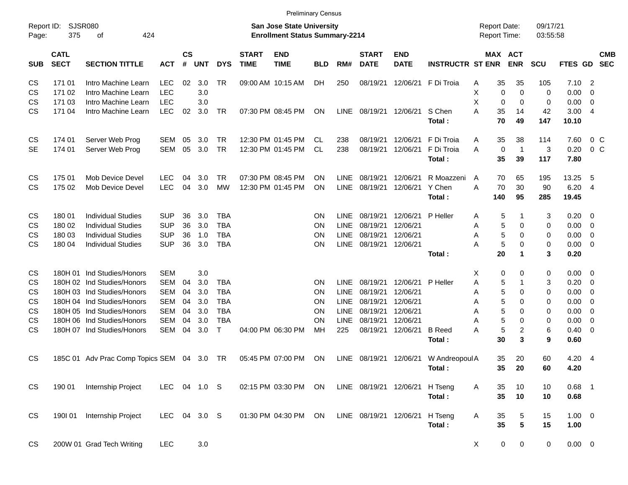| <b>Preliminary Census</b> |  |
|---------------------------|--|
|---------------------------|--|

| SJSR080<br>Report ID:<br>375<br>424<br>Page:<br>οf |                            |                                     | <b>San Jose State University</b><br><b>Enrollment Status Summary-2214</b> |                    |                  |            |                             |                           |            |             |                             | <b>Report Date:</b><br><b>Report Time:</b> |                         | 09/17/21<br>03:55:58 |             |                       |            |                |                          |                          |
|----------------------------------------------------|----------------------------|-------------------------------------|---------------------------------------------------------------------------|--------------------|------------------|------------|-----------------------------|---------------------------|------------|-------------|-----------------------------|--------------------------------------------|-------------------------|----------------------|-------------|-----------------------|------------|----------------|--------------------------|--------------------------|
| <b>SUB</b>                                         | <b>CATL</b><br><b>SECT</b> | <b>SECTION TITTLE</b>               | <b>ACT</b>                                                                | $\mathsf{cs}$<br># | <b>UNT</b>       | <b>DYS</b> | <b>START</b><br><b>TIME</b> | <b>END</b><br><b>TIME</b> | <b>BLD</b> | RM#         | <b>START</b><br><b>DATE</b> | <b>END</b><br><b>DATE</b>                  | <b>INSTRUCTR ST ENR</b> |                      |             | MAX ACT<br><b>ENR</b> | <b>SCU</b> | FTES GD        |                          | <b>CMB</b><br><b>SEC</b> |
| CS                                                 | 171 01                     | Intro Machine Learn                 | <b>LEC</b>                                                                | 02                 | 3.0              | TR         |                             | 09:00 AM 10:15 AM         | DH         | 250         |                             | 08/19/21 12/06/21                          | F Di Troia              | Α                    | 35          | 35                    | 105        | 7.10           | $\overline{\phantom{0}}$ |                          |
| CS                                                 | 171 02                     | Intro Machine Learn                 | <b>LEC</b>                                                                |                    | 3.0              |            |                             |                           |            |             |                             |                                            |                         | X                    | 0           | $\mathbf 0$           | 0          | 0.00           | $\overline{\phantom{0}}$ |                          |
| CS                                                 | 171 03                     | Intro Machine Learn                 | <b>LEC</b>                                                                |                    | 3.0              |            |                             |                           |            |             |                             |                                            |                         | X                    | 0           | $\mathbf 0$           | 0          | 0.00           | $\overline{\phantom{0}}$ |                          |
| CS                                                 | 171 04                     | Intro Machine Learn                 | <b>LEC</b>                                                                | 02                 | 3.0              | TR         |                             | 07:30 PM 08:45 PM         | ON         | LINE        | 08/19/21 12/06/21           |                                            | S Chen<br>Total:        | A                    | 35<br>70    | 14<br>49              | 42<br>147  | 3.004<br>10.10 |                          |                          |
| CS                                                 | 174 01                     | Server Web Prog                     | SEM                                                                       | 05                 | 3.0              | TR         |                             | 12:30 PM 01:45 PM         | CL.        | 238         | 08/19/21                    | 12/06/21                                   | F Di Troia              | A                    | 35          | 38                    | 114        | 7.60           |                          | 0 C                      |
| <b>SE</b>                                          | 174 01                     | Server Web Prog                     | SEM                                                                       | 05                 | 3.0              | TR         |                             | 12:30 PM 01:45 PM         | CL         | 238         | 08/19/21                    | 12/06/21                                   | F Di Troia              | A                    | 0           | $\overline{1}$        | 3          | 0.20           |                          | 0 <sup>o</sup>           |
|                                                    |                            |                                     |                                                                           |                    |                  |            |                             |                           |            |             |                             |                                            | Total:                  |                      | 35          | 39                    | 117        | 7.80           |                          |                          |
| <b>CS</b>                                          | 175 01                     | Mob Device Devel                    | <b>LEC</b>                                                                | 04                 | 3.0              | TR.        |                             | 07:30 PM 08:45 PM         | <b>ON</b>  | LINE.       | 08/19/21                    | 12/06/21                                   | R Moazzeni              | A                    | 70          | 65                    | 195        | 13.25          | 5                        |                          |
| CS                                                 | 175 02                     | Mob Device Devel                    | <b>LEC</b>                                                                | 04                 | 3.0              | <b>MW</b>  |                             | 12:30 PM 01:45 PM         | ON         | <b>LINE</b> | 08/19/21                    | 12/06/21                                   | Y Chen                  | A                    | 70          | 30                    | 90         | 6.20           | $\overline{4}$           |                          |
|                                                    |                            |                                     |                                                                           |                    |                  |            |                             |                           |            |             |                             |                                            | Total:                  |                      | 140         | 95                    | 285        | 19.45          |                          |                          |
| CS                                                 | 180 01                     | <b>Individual Studies</b>           | <b>SUP</b>                                                                | 36                 | 3.0              | <b>TBA</b> |                             |                           | <b>ON</b>  | <b>LINE</b> | 08/19/21                    | 12/06/21                                   | P Heller                | A                    | 5           |                       | 3          | $0.20 \ 0$     |                          |                          |
| CS                                                 | 180 02                     | <b>Individual Studies</b>           | <b>SUP</b>                                                                | 36                 | 3.0              | <b>TBA</b> |                             |                           | <b>ON</b>  | <b>LINE</b> | 08/19/21                    | 12/06/21                                   |                         | Α                    | 5           | $\mathbf 0$           | 0          | $0.00 \t 0$    |                          |                          |
| CS                                                 | 180 03                     | <b>Individual Studies</b>           | <b>SUP</b>                                                                | 36                 | 1.0              | <b>TBA</b> |                             |                           | <b>ON</b>  | <b>LINE</b> | 08/19/21                    | 12/06/21                                   |                         | Α                    | 5           | 0                     | 0          | $0.00 \t 0$    |                          |                          |
| <b>CS</b>                                          | 180 04                     | <b>Individual Studies</b>           | <b>SUP</b>                                                                | 36                 | 3.0              | <b>TBA</b> |                             |                           | <b>ON</b>  | <b>LINE</b> | 08/19/21 12/06/21           |                                            |                         | A                    | 5           | 0                     | 0          | $0.00 \t 0$    |                          |                          |
|                                                    |                            |                                     |                                                                           |                    |                  |            |                             |                           |            |             |                             |                                            | Total:                  |                      | 20          | 1                     | 3          | 0.20           |                          |                          |
| <b>CS</b>                                          |                            | 180H 01 Ind Studies/Honors          | <b>SEM</b>                                                                |                    | 3.0              |            |                             |                           |            |             |                             |                                            |                         | Χ                    | 0           | 0                     | 0          | $0.00 \t 0$    |                          |                          |
| CS                                                 |                            | 180H 02 Ind Studies/Honors          | SEM                                                                       | 04                 | 3.0              | <b>TBA</b> |                             |                           | ON         | <b>LINE</b> | 08/19/21                    | 12/06/21                                   | P Heller                | Α                    | 5           |                       | 3          | 0.20           | $\overline{\phantom{0}}$ |                          |
| CS                                                 |                            | 180H 03 Ind Studies/Honors          | SEM                                                                       | 04                 | 3.0              | <b>TBA</b> |                             |                           | <b>ON</b>  | <b>LINE</b> | 08/19/21                    | 12/06/21                                   |                         | Α                    | 5           | 0                     | 0          | 0.00           | $\overline{\phantom{0}}$ |                          |
| CS                                                 |                            | 180H 04 Ind Studies/Honors          | SEM                                                                       | 04                 | 3.0              | <b>TBA</b> |                             |                           | <b>ON</b>  | <b>LINE</b> | 08/19/21                    | 12/06/21                                   |                         | Α                    | 5           | 0                     | 0          | 0.00           | $\overline{\phantom{0}}$ |                          |
| CS                                                 |                            | 180H 05 Ind Studies/Honors          | SEM                                                                       | 04                 | 3.0              | <b>TBA</b> |                             |                           | <b>ON</b>  | <b>LINE</b> | 08/19/21                    | 12/06/21                                   |                         | Α                    | 5           | $\mathbf 0$           | 0          | $0.00 \t 0$    |                          |                          |
| CS                                                 |                            | 180H 06 Ind Studies/Honors          | <b>SEM</b>                                                                | 04                 | 3.0              | <b>TBA</b> |                             |                           | ON         | <b>LINE</b> | 08/19/21                    | 12/06/21                                   |                         | Α                    | 5           | 0                     | 0          | 0.00           | $\overline{\phantom{0}}$ |                          |
| CS                                                 |                            | 180H 07 Ind Studies/Honors          | <b>SEM</b>                                                                | 04                 | 3.0              | T          |                             | 04:00 PM 06:30 PM         | МH         | 225         | 08/19/21                    | 12/06/21                                   | <b>B</b> Reed           | A                    | $\mathbf 5$ | $\overline{c}$        | 6          | 0.40           | $\overline{\phantom{0}}$ |                          |
|                                                    |                            |                                     |                                                                           |                    |                  |            |                             |                           |            |             |                             |                                            | Total:                  |                      | 30          | 3                     | 9          | 0.60           |                          |                          |
| <b>CS</b>                                          |                            | 185C 01 Adv Prac Comp Topics SEM 04 |                                                                           |                    | 3.0              | TR.        |                             | 05:45 PM 07:00 PM         | <b>ON</b>  | <b>LINE</b> | 08/19/21                    | 12/06/21                                   | W Andreopoul A          |                      | 35          | 20                    | 60         | 4.20           | - 4                      |                          |
|                                                    |                            |                                     |                                                                           |                    |                  |            |                             |                           |            |             |                             |                                            | Total:                  |                      | 35          | 20                    | 60         | 4.20           |                          |                          |
| <b>CS</b>                                          | 190 01                     | Internship Project                  | <b>LEC</b>                                                                | 04                 | 1.0 <sub>S</sub> |            |                             | 02:15 PM 03:30 PM         | ON.        |             | LINE 08/19/21 12/06/21      |                                            | H Tseng                 | A                    | 35          | 10                    | 10         | 0.68           | - 1                      |                          |
|                                                    |                            |                                     |                                                                           |                    |                  |            |                             |                           |            |             |                             |                                            | Total:                  |                      | 35          | 10                    | 10         | 0.68           |                          |                          |
| <b>CS</b>                                          | 190101                     | Internship Project                  | LEC                                                                       |                    | 04 3.0 S         |            |                             | 01:30 PM 04:30 PM         | ON         |             | LINE 08/19/21 12/06/21      |                                            | H Tseng                 | A                    | 35          | 5                     | 15         | $1.00 \t 0$    |                          |                          |
|                                                    |                            |                                     |                                                                           |                    |                  |            |                             |                           |            |             |                             |                                            | Total:                  |                      | 35          | 5                     | 15         | 1.00           |                          |                          |
| <b>CS</b>                                          |                            | 200W 01 Grad Tech Writing           | <b>LEC</b>                                                                |                    | 3.0              |            |                             |                           |            |             |                             |                                            |                         | X                    | 0           | 0                     | 0          | $0.00 \t 0$    |                          |                          |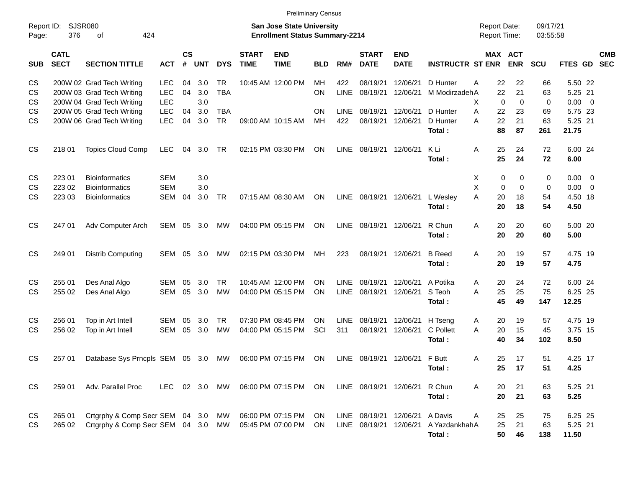| <b>Preliminary Census</b>    |                            |                                                                                     |                                        |                   |                   |                         |                             |                                                                           |                 |                            |                                            |                           |                                             |                                   |                              |                    |                                        |                          |
|------------------------------|----------------------------|-------------------------------------------------------------------------------------|----------------------------------------|-------------------|-------------------|-------------------------|-----------------------------|---------------------------------------------------------------------------|-----------------|----------------------------|--------------------------------------------|---------------------------|---------------------------------------------|-----------------------------------|------------------------------|--------------------|----------------------------------------|--------------------------|
| Report ID:<br>Page:          | <b>SJSR080</b><br>376      | 424<br>of                                                                           |                                        |                   |                   |                         |                             | <b>San Jose State University</b><br><b>Enrollment Status Summary-2214</b> |                 |                            | <b>Report Date:</b><br><b>Report Time:</b> |                           |                                             | 09/17/21<br>03:55:58              |                              |                    |                                        |                          |
| <b>SUB</b>                   | <b>CATL</b><br><b>SECT</b> | <b>SECTION TITTLE</b>                                                               | <b>ACT</b>                             | <b>CS</b><br>$\#$ | <b>UNT</b>        | <b>DYS</b>              | <b>START</b><br><b>TIME</b> | <b>END</b><br><b>TIME</b>                                                 | <b>BLD</b>      | RM#                        | <b>START</b><br><b>DATE</b>                | <b>END</b><br><b>DATE</b> | <b>INSTRUCTR ST ENR</b>                     | MAX ACT                           | <b>ENR</b>                   | SCU                | FTES GD                                | <b>CMB</b><br><b>SEC</b> |
| CS<br><b>CS</b><br><b>CS</b> |                            | 200W 02 Grad Tech Writing<br>200W 03 Grad Tech Writing<br>200W 04 Grad Tech Writing | <b>LEC</b><br><b>LEC</b><br><b>LEC</b> | 04<br>04          | 3.0<br>3.0<br>3.0 | <b>TR</b><br><b>TBA</b> |                             | 10:45 AM 12:00 PM                                                         | МH<br>ON        | 422<br><b>LINE</b>         | 08/19/21<br>08/19/21                       | 12/06/21<br>12/06/21      | D Hunter<br>M ModirzadehA                   | 22<br>Α<br>22<br>X<br>$\mathbf 0$ | 22<br>21<br>$\mathbf 0$      | 66<br>63<br>0      | 5.50 22<br>5.25 21<br>$0.00 \t 0$      |                          |
| CS<br>CS                     |                            | 200W 05 Grad Tech Writing<br>200W 06 Grad Tech Writing                              | <b>LEC</b><br><b>LEC</b>               | 04<br>04          | 3.0<br>3.0        | <b>TBA</b><br><b>TR</b> |                             | 09:00 AM 10:15 AM                                                         | <b>ON</b><br>MН | <b>LINE</b><br>422         | 08/19/21<br>08/19/21                       | 12/06/21<br>12/06/21      | D Hunter<br>D Hunter<br>Total:              | A<br>22<br>22<br>Α<br>88          | 23<br>21<br>87               | 69<br>63<br>261    | 5.75 23<br>5.25 21<br>21.75            |                          |
| <b>CS</b>                    | 218 01                     | <b>Topics Cloud Comp</b>                                                            | <b>LEC</b>                             | 04                | 3.0               | TR                      |                             | 02:15 PM 03:30 PM                                                         | ON              | <b>LINE</b>                | 08/19/21                                   | 12/06/21                  | K Li<br>Total:                              | 25<br>Α<br>25                     | 24<br>24                     | 72<br>72           | 6.00 24<br>6.00                        |                          |
| <b>CS</b><br>CS<br><b>CS</b> | 223 01<br>223 02<br>223 03 | <b>Bioinformatics</b><br><b>Bioinformatics</b><br><b>Bioinformatics</b>             | <b>SEM</b><br><b>SEM</b><br><b>SEM</b> | 04                | 3.0<br>3.0<br>3.0 | <b>TR</b>               |                             | 07:15 AM 08:30 AM                                                         | ON              | LINE                       | 08/19/21                                   | 12/06/21                  | L Wesley<br>Total:                          | Χ<br>0<br>X<br>0<br>A<br>20<br>20 | 0<br>$\mathbf 0$<br>18<br>18 | 0<br>0<br>54<br>54 | $0.00 \t 0$<br>0.00<br>4.50 18<br>4.50 | $\overline{\phantom{0}}$ |
| <b>CS</b>                    | 247 01                     | Adv Computer Arch                                                                   | SEM                                    | 05                | 3.0               | MW                      |                             | 04:00 PM 05:15 PM                                                         | ON              | LINE                       | 08/19/21                                   | 12/06/21                  | R Chun<br>Total:                            | 20<br>A<br>20                     | 20<br>20                     | 60<br>60           | 5.00 20<br>5.00                        |                          |
| <b>CS</b>                    | 249 01                     | <b>Distrib Computing</b>                                                            | <b>SEM</b>                             | 05                | 3.0               | MW                      |                             | 02:15 PM 03:30 PM                                                         | MН              | 223                        | 08/19/21                                   | 12/06/21                  | <b>B</b> Reed<br>Total:                     | 20<br>A<br>20                     | 19<br>19                     | 57<br>57           | 4.75 19<br>4.75                        |                          |
| CS<br>СS                     | 255 01<br>255 02           | Des Anal Algo<br>Des Anal Algo                                                      | <b>SEM</b><br><b>SEM</b>               | 05<br>05          | 3.0<br>3.0        | <b>TR</b><br><b>MW</b>  |                             | 10:45 AM 12:00 PM<br>04:00 PM 05:15 PM                                    | ΟN<br>ΟN        | <b>LINE</b><br><b>LINE</b> | 08/19/21<br>08/19/21                       | 12/06/21<br>12/06/21      | A Potika<br>S Teoh<br>Total:                | 20<br>A<br>25<br>A<br>45          | 24<br>25<br>49               | 72<br>75<br>147    | 6.00 24<br>6.25 25<br>12.25            |                          |
| <b>CS</b><br>СS              | 256 01<br>256 02           | Top in Art Intell<br>Top in Art Intell                                              | <b>SEM</b><br><b>SEM</b>               | 05<br>05          | 3.0<br>3.0        | <b>TR</b><br><b>MW</b>  |                             | 07:30 PM 08:45 PM<br>04:00 PM 05:15 PM                                    | ON<br>SCI       | <b>LINE</b><br>311         | 08/19/21<br>08/19/21                       | 12/06/21<br>12/06/21      | H Tseng<br>C Pollett<br>Total:              | 20<br>Α<br>20<br>A<br>40          | 19<br>15<br>34               | 57<br>45<br>102    | 4.75 19<br>3.75 15<br>8.50             |                          |
| <b>CS</b>                    | 257 01                     | Database Sys Prncpls SEM 05 3.0                                                     |                                        |                   |                   | MW                      |                             | 06:00 PM 07:15 PM                                                         | ON              | LINE                       | 08/19/21                                   | 12/06/21 F Butt           | Total:                                      | 25<br>Α<br>25                     | 17<br>17                     | 51<br>51           | 4.25 17<br>4.25                        |                          |
| <b>CS</b>                    | 259 01                     | Adv. Parallel Proc                                                                  | <b>LEC</b>                             |                   | 02 3.0            | MW                      |                             | 06:00 PM 07:15 PM                                                         | <b>ON</b>       |                            | LINE 08/19/21 12/06/21                     |                           | R Chun<br>Total:                            | A<br>20<br>20                     | 21<br>21                     | 63<br>63           | 5.25 21<br>5.25                        |                          |
| CS<br><b>CS</b>              | 265 01<br>265 02           | Crtgrphy & Comp Secr SEM 04 3.0<br>Crtgrphy & Comp Secr SEM 04 3.0 MW               |                                        |                   |                   | МW                      | 05:45 PM 07:00 PM           | 06:00 PM 07:15 PM                                                         | ON<br><b>ON</b> |                            | LINE 08/19/21<br>LINE 08/19/21             | 12/06/21                  | A Davis<br>12/06/21 A YazdankhahA<br>Total: | Α<br>25<br>25<br>50               | 25<br>21<br>46               | 75<br>63<br>138    | 6.25 25<br>5.25 21<br>11.50            |                          |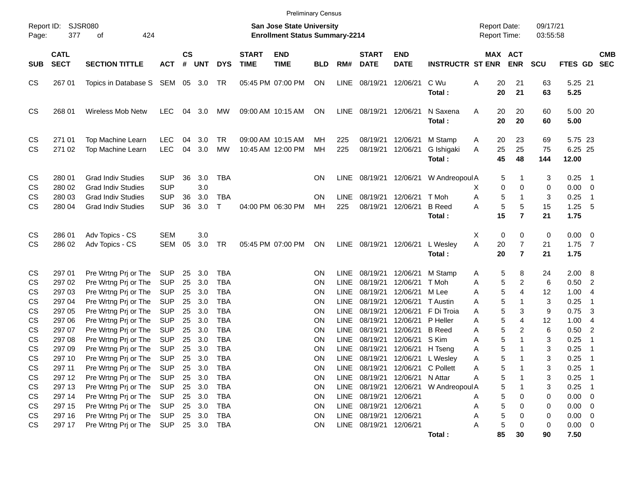|                                     |                                      |                                                                                                                  |                                                      |                      |                             |                                                      |                             | <b>Preliminary Census</b>                                                 |                                    |                                                          |                                                       |                                           |                                                  |                                            |                                  |                      |                                     |                                                                  |
|-------------------------------------|--------------------------------------|------------------------------------------------------------------------------------------------------------------|------------------------------------------------------|----------------------|-----------------------------|------------------------------------------------------|-----------------------------|---------------------------------------------------------------------------|------------------------------------|----------------------------------------------------------|-------------------------------------------------------|-------------------------------------------|--------------------------------------------------|--------------------------------------------|----------------------------------|----------------------|-------------------------------------|------------------------------------------------------------------|
| Report ID:<br>Page:                 | 377                                  | <b>SJSR080</b><br>424<br>οf                                                                                      |                                                      |                      |                             |                                                      |                             | <b>San Jose State University</b><br><b>Enrollment Status Summary-2214</b> |                                    |                                                          |                                                       |                                           |                                                  | <b>Report Date:</b><br><b>Report Time:</b> |                                  | 09/17/21<br>03:55:58 |                                     |                                                                  |
| <b>SUB</b>                          | <b>CATL</b><br><b>SECT</b>           | <b>SECTION TITTLE</b>                                                                                            | <b>ACT</b>                                           | $\mathsf{cs}$<br>#   | UNT                         | <b>DYS</b>                                           | <b>START</b><br><b>TIME</b> | <b>END</b><br><b>TIME</b>                                                 | <b>BLD</b>                         | RM#                                                      | <b>START</b><br><b>DATE</b>                           | <b>END</b><br><b>DATE</b>                 | <b>INSTRUCTR ST ENR</b>                          |                                            | <b>MAX ACT</b><br><b>ENR</b>     | <b>SCU</b>           | <b>FTES GD</b>                      | <b>CMB</b><br><b>SEC</b>                                         |
| CS                                  | 267 01                               | Topics in Database S SEM                                                                                         |                                                      | 05                   | 3.0                         | TR                                                   |                             | 05:45 PM 07:00 PM                                                         | ON                                 | LINE                                                     | 08/19/21                                              | 12/06/21                                  | C Wu<br>Total:                                   | 20<br>Α<br>20                              | 21<br>21                         | 63<br>63             | 5.25 21<br>5.25                     |                                                                  |
| CS                                  | 268 01                               | <b>Wireless Mob Netw</b>                                                                                         | <b>LEC</b>                                           | 04                   | 3.0                         | МW                                                   |                             | 09:00 AM 10:15 AM                                                         | ON                                 | LINE                                                     | 08/19/21                                              | 12/06/21                                  | N Saxena<br>Total:                               | 20<br>A<br>20                              | 20<br>20                         | 60<br>60             | 5.00 20<br>5.00                     |                                                                  |
| CS<br><b>CS</b>                     | 271 01<br>271 02                     | <b>Top Machine Learn</b><br><b>Top Machine Learn</b>                                                             | <b>LEC</b><br><b>LEC</b>                             | 04<br>04             | 3.0<br>3.0                  | <b>TR</b><br><b>MW</b>                               |                             | 09:00 AM 10:15 AM<br>10:45 AM 12:00 PM                                    | MН<br>MH                           | 225<br>225                                               | 08/19/21<br>08/19/21                                  | 12/06/21<br>12/06/21                      | M Stamp<br>G Ishigaki<br>Total:                  | 20<br>A<br>25<br>A<br>45                   | 23<br>25<br>48                   | 69<br>75<br>144      | 5.75 23<br>6.25 25<br>12.00         |                                                                  |
| CS<br>CS<br><b>CS</b><br><b>CS</b>  | 280 01<br>280 02<br>280 03<br>280 04 | <b>Grad Indiv Studies</b><br><b>Grad Indiv Studies</b><br><b>Grad Indiv Studies</b><br><b>Grad Indiv Studies</b> | <b>SUP</b><br><b>SUP</b><br><b>SUP</b><br><b>SUP</b> | 36<br>36<br>36       | 3.0<br>3.0<br>3.0<br>3.0    | <b>TBA</b><br><b>TBA</b><br>$\top$                   |                             | 04:00 PM 06:30 PM                                                         | ON.<br>ON<br>MH                    | LINE<br><b>LINE</b><br>225                               | 08/19/21<br>08/19/21<br>08/19/21                      | 12/06/21<br>12/06/21<br>12/06/21          | W Andreopoul A<br>T Moh<br><b>B</b> Reed         | 5<br>0<br>X<br>5<br>Α<br>5<br>А            | 1<br>0<br>$\mathbf{1}$<br>5      | 3<br>0<br>3<br>15    | 0.25<br>0.00<br>0.25<br>1.25        | - 1<br>$\overline{\mathbf{0}}$<br>$\overline{\mathbf{1}}$<br>- 5 |
| CS                                  | 286 01                               | Adv Topics - CS                                                                                                  | <b>SEM</b>                                           |                      | 3.0                         |                                                      |                             |                                                                           |                                    |                                                          |                                                       |                                           | Total:                                           | 15<br>0<br>Х                               | $\overline{7}$<br>0              | 21<br>0              | 1.75<br>$0.00 \t 0$                 |                                                                  |
| <b>CS</b>                           | 286 02                               | Adv Topics - CS                                                                                                  | SEM                                                  | 05                   | 3.0                         | <b>TR</b>                                            |                             | 05:45 PM 07:00 PM                                                         | ON                                 | LINE                                                     | 08/19/21                                              | 12/06/21                                  | L Wesley<br>Total:                               | A<br>20<br>20                              | $\overline{7}$<br>$\overline{7}$ | 21<br>21             | $1.75$ 7<br>1.75                    |                                                                  |
| CS<br>CS<br>CS                      | 297 01<br>297 02<br>297 03           | Pre Wrtng Prj or The<br>Pre Wrtng Prj or The<br>Pre Wrtng Prj or The                                             | SUP<br><b>SUP</b><br><b>SUP</b>                      | 25<br>25<br>25       | 3.0<br>3.0<br>3.0           | <b>TBA</b><br><b>TBA</b><br><b>TBA</b>               |                             |                                                                           | ΟN<br>ΟN<br>ΟN                     | <b>LINE</b><br><b>LINE</b><br><b>LINE</b>                | 08/19/21<br>08/19/21<br>08/19/21                      | 12/06/21<br>12/06/21<br>12/06/21          | M Stamp<br>T Moh<br>M Lee                        | 5<br>Α<br>5<br>Α<br>5<br>Α                 | 8<br>$\overline{2}$<br>4         | 24<br>6<br>12        | 2.00 8<br>0.50<br>1.00              | $\overline{2}$<br>$\overline{4}$                                 |
| <b>CS</b><br>CS<br>CS<br><b>CS</b>  | 297 04<br>297 05<br>297 06<br>297 07 | Pre Wrtng Prj or The<br>Pre Wrtng Prj or The<br>Pre Wrtng Prj or The<br>Pre Wrtng Prj or The                     | <b>SUP</b><br><b>SUP</b><br><b>SUP</b><br><b>SUP</b> | 25<br>25<br>25<br>25 | 3.0<br>3.0<br>3.0<br>3.0    | <b>TBA</b><br><b>TBA</b><br><b>TBA</b><br><b>TBA</b> |                             |                                                                           | ΟN<br>ΟN<br>ΟN<br>ΟN               | <b>LINE</b><br><b>LINE</b><br><b>LINE</b><br><b>LINE</b> | 08/19/21<br>08/19/21<br>08/19/21<br>08/19/21          | 12/06/21<br>12/06/21 P Heller<br>12/06/21 | T Austin<br>12/06/21 F Di Troia<br><b>B</b> Reed | 5<br>Α<br>5<br>Α<br>5<br>Α<br>5<br>Α       | 1<br>3<br>4<br>2                 | 3<br>9<br>12<br>6    | 0.25<br>0.75<br>1.00<br>0.50        | $\overline{\mathbf{1}}$<br>3<br>-4<br>$\overline{2}$             |
| <b>CS</b><br><b>CS</b><br><b>CS</b> | 297 08<br>297 09<br>297 10           | Pre Wrtng Prj or The<br>Pre Wrtng Prj or The<br>Pre Wrtng Prj or The                                             | <b>SUP</b><br><b>SUP</b><br>SUP                      | 25<br>25<br>25       | 3.0<br>3.0<br>3.0           | <b>TBA</b><br><b>TBA</b><br><b>TBA</b>               |                             |                                                                           | ΟN<br>ΟN<br>ΟN                     | <b>LINE</b><br><b>LINE</b><br><b>LINE</b>                | 08/19/21<br>08/19/21<br>08/19/21                      | 12/06/21 S Kim<br>12/06/21 H Tseng        | 12/06/21 L Wesley                                | 5<br>Α<br>5<br>Α<br>5<br>Α                 | $\mathbf{1}$<br>1<br>1           | 3<br>3<br>3          | 0.25<br>0.25<br>0.25                | $\overline{\mathbf{1}}$<br>- 1<br>- 1                            |
| CS<br>CS<br>CS                      | 297 11<br>297 12<br>297 13           | Pre Wrtng Prj or The<br>Pre Wrtng Prj or The<br>Pre Wrtng Prj or The                                             | <b>SUP</b><br><b>SUP</b><br><b>SUP</b>               | 25<br>25<br>25       | 3.0<br>3.0<br>3.0           | <b>TBA</b><br><b>TBA</b><br><b>TBA</b>               |                             |                                                                           | ON<br>ON<br>ON                     | LINE<br>LINE<br>LINE                                     | 08/19/21<br>08/19/21<br>08/19/21                      | 12/06/21 N Attar<br>12/06/21              | 12/06/21 C Pollett<br>W Andreopoul A             | 5<br>A<br>5<br>Α<br>5                      |                                  | 3<br>3<br>3          | 0.25<br>0.25<br>0.25                | $\overline{\phantom{0}}$ 1<br>- 1<br>- 1                         |
| CS<br>CS<br>CS<br>CS                | 297 14<br>297 15<br>297 16<br>297 17 | Pre Wrtng Prj or The<br>Pre Wrtng Prj or The<br>Pre Wrtng Prj or The<br>Pre Wrtng Prj or The                     | <b>SUP</b><br><b>SUP</b><br><b>SUP</b><br><b>SUP</b> | 25<br>25<br>25       | 3.0<br>3.0<br>3.0<br>25 3.0 | <b>TBA</b><br><b>TBA</b><br><b>TBA</b><br>TBA        |                             |                                                                           | ON<br><b>ON</b><br>ON<br><b>ON</b> | LINE<br>LINE<br>LINE<br>LINE                             | 08/19/21<br>08/19/21<br>08/19/21<br>08/19/21 12/06/21 | 12/06/21<br>12/06/21<br>12/06/21          |                                                  | 5<br>Α<br>5<br>Α<br>5<br>А<br>5<br>Α       | 0<br>0<br>0<br>0                 | 0<br>0<br>0<br>0     | 0.00<br>0.00<br>0.00<br>$0.00 \t 0$ | $\overline{0}$<br>$\overline{0}$<br>$\overline{0}$               |
|                                     |                                      |                                                                                                                  |                                                      |                      |                             |                                                      |                             |                                                                           |                                    |                                                          |                                                       |                                           | Total:                                           | 85                                         | 30                               | 90                   | 7.50                                |                                                                  |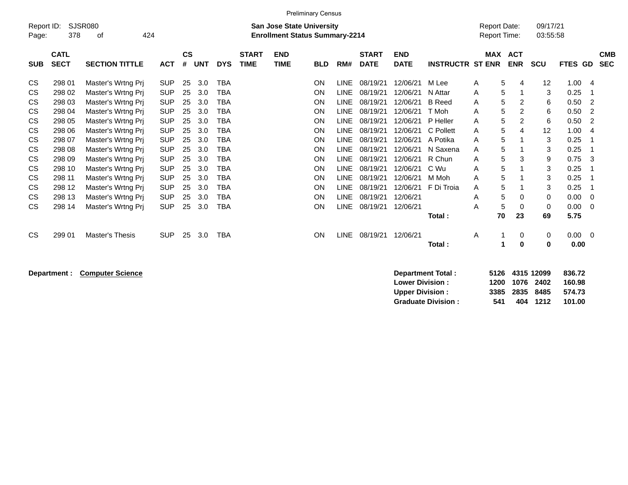|                     |                            |                                                                                                          |            |                |            |            |                             |                           | <b>Preliminary Census</b> |             |                             |                           |                         |            |                          |                      |         |                          |
|---------------------|----------------------------|----------------------------------------------------------------------------------------------------------|------------|----------------|------------|------------|-----------------------------|---------------------------|---------------------------|-------------|-----------------------------|---------------------------|-------------------------|------------|--------------------------|----------------------|---------|--------------------------|
| Report ID:<br>Page: | 378                        | <b>SJSR080</b><br><b>San Jose State University</b><br>424<br><b>Enrollment Status Summary-2214</b><br>οf |            |                |            |            |                             |                           |                           |             |                             |                           |                         |            |                          | 09/17/21<br>03:55:58 |         |                          |
| <b>SUB</b>          | <b>CATL</b><br><b>SECT</b> | <b>SECTION TITTLE</b>                                                                                    | <b>ACT</b> | <b>CS</b><br># | <b>UNT</b> | <b>DYS</b> | <b>START</b><br><b>TIME</b> | <b>END</b><br><b>TIME</b> | <b>BLD</b>                | RM#         | <b>START</b><br><b>DATE</b> | <b>END</b><br><b>DATE</b> | <b>INSTRUCTR ST ENR</b> | <b>MAX</b> | <b>ACT</b><br><b>ENR</b> | <b>SCU</b>           | FTES GD | <b>CMB</b><br><b>SEC</b> |
| <b>CS</b>           | 298 01                     | Master's Wrtng Pri                                                                                       | <b>SUP</b> | 25             | 3.0        | <b>TBA</b> |                             |                           | ON                        | <b>LINE</b> | 08/19/21                    | 12/06/21                  | M Lee                   | A          | 5<br>4                   | 12                   | 1.00    | 4                        |
| <b>CS</b>           | 298 02                     | Master's Wrtng Prj                                                                                       | <b>SUP</b> | 25             | 3.0        | TBA        |                             |                           | <b>ON</b>                 | <b>LINE</b> | 08/19/21                    | 12/06/21                  | N Attar                 | A          | 5                        | 3                    | 0.25    |                          |
| CS                  | 298 03                     | Master's Wrtng Pri                                                                                       | <b>SUP</b> | 25             | 3.0        | TBA        |                             |                           | ON                        | LINE        | 08/19/21                    | 12/06/21                  | <b>B</b> Reed           | Α          | 5<br>2                   | 6                    | 0.50    | 2                        |
| CS                  | 298 04                     | Master's Wrtng Prj                                                                                       | <b>SUP</b> | 25             | 3.0        | TBA        |                             |                           | <b>ON</b>                 | <b>LINE</b> | 08/19/21                    | 12/06/21                  | T Moh                   | A          | 5<br>2                   | 6                    | 0.50    | $\overline{2}$           |
| CS                  | 298 05                     | Master's Wrtng Prj                                                                                       | <b>SUP</b> | 25             | 3.0        | TBA        |                             |                           | <b>ON</b>                 | <b>LINE</b> | 08/19/21                    | 12/06/21                  | P Heller                | A          | 5<br>2                   | 6                    | 0.50    | 2                        |
| <b>CS</b>           | 298 06                     | Master's Wrtng Prj                                                                                       | <b>SUP</b> | 25             | 3.0        | <b>TBA</b> |                             |                           | <b>ON</b>                 | <b>LINE</b> | 08/19/21                    | 12/06/21                  | C Pollett               | A          | 5<br>4                   | 12                   | 1.00    | 4                        |
| CS                  | 298 07                     | Master's Wrtng Prj                                                                                       | <b>SUP</b> | 25             | 3.0        | <b>TBA</b> |                             |                           | <b>ON</b>                 | <b>LINE</b> | 08/19/21                    | 12/06/21                  | A Potika                | A          | 5                        | 3                    | 0.25    |                          |
| CS                  | 298 08                     | Master's Wrtng Prj                                                                                       | <b>SUP</b> | 25             | 3.0        | TBA        |                             |                           | <b>ON</b>                 | <b>LINE</b> | 08/19/21                    | 12/06/21                  | N Saxena                | A          | 5                        | 3                    | 0.25    |                          |
| CS                  | 298 09                     | Master's Wrtng Prj                                                                                       | <b>SUP</b> | 25             | 3.0        | <b>TBA</b> |                             |                           | <b>ON</b>                 | <b>LINE</b> | 08/19/21                    | 12/06/21                  | R Chun                  | A          | 5<br>3                   | 9                    | 0.75    | 3                        |
| <b>CS</b>           | 298 10                     | Master's Wrtng Prj                                                                                       | <b>SUP</b> | 25             | 3.0        | TBA        |                             |                           | ON                        | <b>LINE</b> | 08/19/21                    | 12/06/21                  | C Wu                    | A          | 5                        | 3                    | 0.25    |                          |
| CS                  | 298 11                     | Master's Wrtng Prj                                                                                       | <b>SUP</b> | 25             | 3.0        | TBA        |                             |                           | <b>ON</b>                 | <b>LINE</b> | 08/19/21                    | 12/06/21                  | M Moh                   | A          | 5                        | 3                    | 0.25    |                          |
| CS                  | 298 12                     | Master's Wrtng Prj                                                                                       | <b>SUP</b> | 25             | 3.0        | TBA        |                             |                           | ON                        | <b>LINE</b> | 08/19/21                    | 12/06/21                  | F Di Troia              | Α          | 5                        | 3                    | 0.25    |                          |
| CS                  | 298 13                     | Master's Wrtng Prj                                                                                       | <b>SUP</b> | 25             | 3.0        | TBA        |                             |                           | <b>ON</b>                 | <b>LINE</b> | 08/19/21                    | 12/06/21                  |                         | A          | 5<br>0                   | 0                    | 0.00    | $\Omega$                 |
| <b>CS</b>           | 298 14                     | Master's Wrtng Prj                                                                                       | <b>SUP</b> | 25             | 3.0        | <b>TBA</b> |                             |                           | <b>ON</b>                 | <b>LINE</b> | 08/19/21                    | 12/06/21                  |                         | A          | 5<br>$\mathbf 0$         | 0                    | 0.00    | $\Omega$                 |
|                     |                            |                                                                                                          |            |                |            |            |                             |                           |                           |             |                             |                           | Total:                  | 70         | 23                       | 69                   | 5.75    |                          |
| <b>CS</b>           | 299 01                     | <b>Master's Thesis</b>                                                                                   | <b>SUP</b> | 25             | 3.0        | <b>TBA</b> |                             |                           | <b>ON</b>                 | <b>LINE</b> | 08/19/21                    | 12/06/21                  |                         | A          | 0                        | 0                    | 0.00    | $\overline{0}$           |
|                     |                            |                                                                                                          |            |                |            |            |                             |                           |                           |             |                             |                           | Total:                  |            | 0                        | 0                    | 0.00    |                          |

**Department : Computer Science <b>Department : 5126 4316 12099 836.7236 4315 12099 836.7236 12099 836.7236 12099 836.72** 

|     |  | 836.72                                                          |
|-----|--|-----------------------------------------------------------------|
|     |  | 160.98                                                          |
|     |  | 574.73                                                          |
| 541 |  | 101.00                                                          |
|     |  | 5126 4315 12099<br>1200 1076 2402<br>3385 2835 8485<br>404 1212 |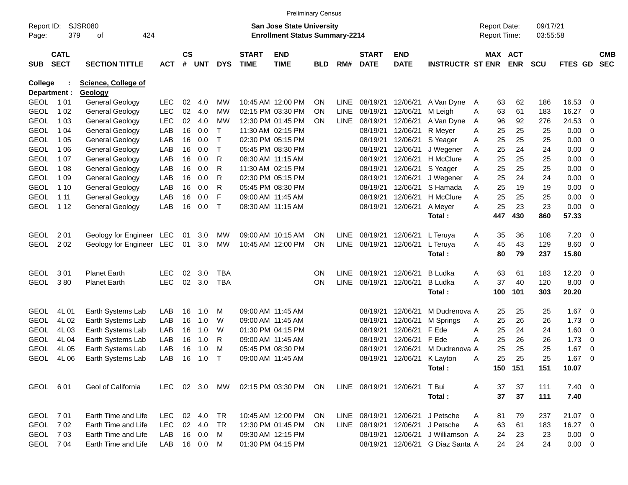|                     |                            |                            |               |               |        |              |                             | <b>Preliminary Census</b>                                                 |            |             |                             |                           |                                  |   |                                     |            |                      |             |                          |                          |
|---------------------|----------------------------|----------------------------|---------------|---------------|--------|--------------|-----------------------------|---------------------------------------------------------------------------|------------|-------------|-----------------------------|---------------------------|----------------------------------|---|-------------------------------------|------------|----------------------|-------------|--------------------------|--------------------------|
| Report ID:<br>Page: | 379                        | SJSR080<br>424<br>οf       |               |               |        |              |                             | <b>San Jose State University</b><br><b>Enrollment Status Summary-2214</b> |            |             |                             |                           |                                  |   | <b>Report Date:</b><br>Report Time: |            | 09/17/21<br>03:55:58 |             |                          |                          |
| <b>SUB</b>          | <b>CATL</b><br><b>SECT</b> | <b>SECTION TITTLE</b>      | <b>ACT</b>    | $\mathsf{cs}$ | # UNT  | <b>DYS</b>   | <b>START</b><br><b>TIME</b> | <b>END</b><br><b>TIME</b>                                                 | <b>BLD</b> | RM#         | <b>START</b><br><b>DATE</b> | <b>END</b><br><b>DATE</b> | <b>INSTRUCTR ST ENR</b>          |   | MAX ACT                             | <b>ENR</b> | <b>SCU</b>           | FTES GD     |                          | <b>CMB</b><br><b>SEC</b> |
| <b>College</b>      |                            | <b>Science, College of</b> |               |               |        |              |                             |                                                                           |            |             |                             |                           |                                  |   |                                     |            |                      |             |                          |                          |
| Department :        |                            | Geology                    |               |               |        |              |                             |                                                                           |            |             |                             |                           |                                  |   |                                     |            |                      |             |                          |                          |
| <b>GEOL</b>         | 1 01                       | General Geology            | <b>LEC</b>    | 02            | 4.0    | <b>MW</b>    |                             | 10:45 AM 12:00 PM                                                         | <b>ON</b>  | <b>LINE</b> | 08/19/21                    | 12/06/21                  | A Van Dyne                       | A | 63                                  | 62         | 186                  | 16.53       | 0                        |                          |
| <b>GEOL</b>         | 1 0 2                      | <b>General Geology</b>     | <b>LEC</b>    | 02            | 4.0    | МW           |                             | 02:15 PM 03:30 PM                                                         | <b>ON</b>  | <b>LINE</b> | 08/19/21                    | 12/06/21                  | M Leigh                          | Α | 63                                  | 61         | 183                  | 16.27       | 0                        |                          |
| <b>GEOL</b>         | 1 0 3                      | General Geology            | <b>LEC</b>    | 02            | 4.0    | МW           |                             | 12:30 PM 01:45 PM                                                         | <b>ON</b>  | <b>LINE</b> | 08/19/21                    | 12/06/21                  | A Van Dyne                       | A | 96                                  | 92         | 276                  | 24.53       | 0                        |                          |
| <b>GEOL</b>         | 1 0 4                      | General Geology            | LAB           | 16            | 0.0    | Т            |                             | 11:30 AM 02:15 PM                                                         |            |             | 08/19/21                    | 12/06/21                  | R Meyer                          | Α | 25                                  | 25         | 25                   | 0.00        | - 0                      |                          |
| <b>GEOL</b>         | 1 0 5                      | General Geology            | LAB           | 16            | 0.0    | $\mathsf{T}$ |                             | 02:30 PM 05:15 PM                                                         |            |             | 08/19/21                    | 12/06/21                  | S Yeager                         | Α | 25                                  | 25         | 25                   | 0.00        | - 0                      |                          |
| <b>GEOL</b>         | 1 0 6                      | General Geology            | LAB           | 16            | 0.0    | т            |                             | 05:45 PM 08:30 PM                                                         |            |             | 08/19/21                    | 12/06/21                  | J Wegener                        | Α | 25                                  | 24         | 24                   | 0.00        | - 0                      |                          |
| <b>GEOL</b>         | 1 0 7                      | General Geology            | LAB           | 16            | 0.0    | R            |                             | 08:30 AM 11:15 AM                                                         |            |             | 08/19/21                    | 12/06/21                  | H McClure                        | A | 25                                  | 25         | 25                   | 0.00        | - 0                      |                          |
| <b>GEOL</b>         | 1 0 8                      | <b>General Geology</b>     | LAB           | 16            | 0.0    | R            |                             | 11:30 AM 02:15 PM                                                         |            |             | 08/19/21                    | 12/06/21                  | S Yeager                         | Α | 25                                  | 25         | 25                   | 0.00        | 0                        |                          |
| <b>GEOL</b>         | 1 0 9                      | <b>General Geology</b>     | LAB           | 16            | 0.0    | R            |                             | 02:30 PM 05:15 PM                                                         |            |             | 08/19/21                    | 12/06/21                  | J Wegener                        | Α | 25                                  | 24         | 24                   | 0.00        | - 0                      |                          |
| <b>GEOL</b>         | 1 1 0                      | General Geology            | LAB           | 16            | 0.0    | R            |                             | 05:45 PM 08:30 PM                                                         |            |             | 08/19/21                    | 12/06/21                  | S Hamada                         | A | 25                                  | 19         | 19                   | 0.00        | - 0                      |                          |
| <b>GEOL</b>         | 1 1 1                      | <b>General Geology</b>     | LAB           | 16            | 0.0    | F            |                             | 09:00 AM 11:45 AM                                                         |            |             | 08/19/21                    | 12/06/21                  | H McClure                        | A | 25                                  | 25         | 25                   | 0.00        | - 0                      |                          |
| <b>GEOL</b>         | 1 1 2                      | General Geology            | LAB           | 16            | 0.0    | $\mathsf{T}$ |                             | 08:30 AM 11:15 AM                                                         |            |             | 08/19/21                    | 12/06/21                  | A Meyer                          | A | 25                                  | 23         | 23                   | 0.00        | - 0                      |                          |
|                     |                            |                            |               |               |        |              |                             |                                                                           |            |             |                             |                           | Total:                           |   | 447                                 | 430        | 860                  | 57.33       |                          |                          |
| <b>GEOL</b>         | 2 0 1                      | Geology for Engineer LEC   |               | 01            | 3.0    | МW           |                             | 09:00 AM 10:15 AM                                                         | ON         | <b>LINE</b> | 08/19/21                    | 12/06/21                  | L Teruya                         | A | 35                                  | 36         | 108                  | 7.20        | $\overline{\mathbf{0}}$  |                          |
| <b>GEOL</b>         | 202                        | Geology for Engineer       | LEC           | 01            | 3.0    | MW           |                             | 10:45 AM 12:00 PM                                                         | ON         | <b>LINE</b> | 08/19/21                    | 12/06/21                  | L Teruya                         | A | 45                                  | 43         | 129                  | 8.60        | - 0                      |                          |
|                     |                            |                            |               |               |        |              |                             |                                                                           |            |             |                             |                           | Total:                           |   | 80                                  | 79         | 237                  | 15.80       |                          |                          |
|                     |                            |                            |               |               |        |              |                             |                                                                           |            |             |                             |                           |                                  |   |                                     |            |                      |             |                          |                          |
| <b>GEOL</b>         | 3 0 1                      | <b>Planet Earth</b>        | LEC           | 02            | 3.0    | <b>TBA</b>   |                             |                                                                           | ON         | LINE        | 08/19/21                    | 12/06/21                  | <b>B</b> Ludka                   | A | 63                                  | 61         | 183                  | 12.20       | - 0                      |                          |
| <b>GEOL</b>         | 380                        | <b>Planet Earth</b>        | <b>LEC</b>    | 02            | 3.0    | <b>TBA</b>   |                             |                                                                           | ON         | <b>LINE</b> | 08/19/21                    | 12/06/21                  | <b>B</b> Ludka                   | A | 37                                  | 40         | 120                  | 8.00        | - 0                      |                          |
|                     |                            |                            |               |               |        |              |                             |                                                                           |            |             |                             |                           | Total:                           |   | 100                                 | 101        | 303                  | 20.20       |                          |                          |
| <b>GEOL</b>         | 4L01                       | Earth Systems Lab          | LAB           | 16            | 1.0    | м            |                             | 09:00 AM 11:45 AM                                                         |            |             | 08/19/21                    | 12/06/21                  | M Dudrenova A                    |   | 25                                  | 25         | 25                   | 1.67        | $\overline{\phantom{0}}$ |                          |
| <b>GEOL</b>         | 4L02                       | Earth Systems Lab          | LAB           | 16            | 1.0    | W            |                             | 09:00 AM 11:45 AM                                                         |            |             | 08/19/21                    | 12/06/21                  | M Springs                        | Α | 25                                  | 26         | 26                   | 1.73        | - 0                      |                          |
| <b>GEOL</b>         | 4L03                       | Earth Systems Lab          | LAB           | 16            | 1.0    | W            |                             | 01:30 PM 04:15 PM                                                         |            |             | 08/19/21                    | 12/06/21                  | F Ede                            | A | 25                                  | 24         | 24                   | 1.60        | - 0                      |                          |
| <b>GEOL</b>         | 4L04                       | Earth Systems Lab          | LAB           | 16            | 1.0    | R            |                             | 09:00 AM 11:45 AM                                                         |            |             | 08/19/21                    | 12/06/21                  | F Ede                            | А | 25                                  | 26         | 26                   | 1.73        | - 0                      |                          |
| <b>GEOL</b>         | 4L05                       | Earth Systems Lab          | LAB           | 16            | 1.0    | м            |                             | 05:45 PM 08:30 PM                                                         |            |             | 08/19/21                    | 12/06/21                  | M Dudrenova A                    |   | 25                                  | 25         | 25                   | 1.67        | - 0                      |                          |
| <b>GEOL</b>         | 4L06                       | Earth Systems Lab          | LAB           | 16            | 1.0    | $\mathsf{T}$ |                             | 09:00 AM 11:45 AM                                                         |            |             | 08/19/21                    |                           | 12/06/21 K Layton                | Α | 25                                  | 25         | 25                   | 1.67        | - 0                      |                          |
|                     |                            |                            |               |               |        |              |                             |                                                                           |            |             |                             |                           | Total:                           |   |                                     | 150 151    | 151                  | 10.07       |                          |                          |
| GEOL 601            |                            | Geol of California         | LEC 02 3.0 MW |               |        |              |                             | 02:15 PM 03:30 PM                                                         | <b>ON</b>  |             | LINE 08/19/21 12/06/21      |                           | T Bui                            | A | 37                                  | 37         | 111                  | $7.40 \ 0$  |                          |                          |
|                     |                            |                            |               |               |        |              |                             |                                                                           |            |             |                             |                           | Total:                           |   | 37                                  | 37         | 111                  | 7.40        |                          |                          |
|                     |                            |                            |               |               |        |              |                             |                                                                           |            |             |                             |                           |                                  |   |                                     |            |                      |             |                          |                          |
| GEOL 701            |                            | Earth Time and Life        | LEC.          |               | 02 4.0 | TR           |                             | 10:45 AM 12:00 PM                                                         | <b>ON</b>  |             | LINE 08/19/21 12/06/21      |                           | J Petsche                        | A | 81                                  | 79         | 237                  | 21.07 0     |                          |                          |
| GEOL 702            |                            | Earth Time and Life        | LEC.          |               | 02 4.0 | TR           |                             | 12:30 PM 01:45 PM                                                         | <b>ON</b>  |             | LINE 08/19/21               | 12/06/21                  | J Petsche                        | Α | 63                                  | 61         | 183                  | 16.27 0     |                          |                          |
| GEOL 703            |                            | Earth Time and Life        | LAB           |               | 16 0.0 | M            |                             | 09:30 AM 12:15 PM                                                         |            |             | 08/19/21                    | 12/06/21                  | J Williamson A                   |   | 24                                  | 23         | 23                   | $0.00 \t 0$ |                          |                          |
| GEOL 704            |                            | Earth Time and Life        | LAB           |               | 16 0.0 | M            |                             | 01:30 PM 04:15 PM                                                         |            |             |                             |                           | 08/19/21 12/06/21 G Diaz Santa A |   | 24                                  | 24         | 24                   | $0.00 \t 0$ |                          |                          |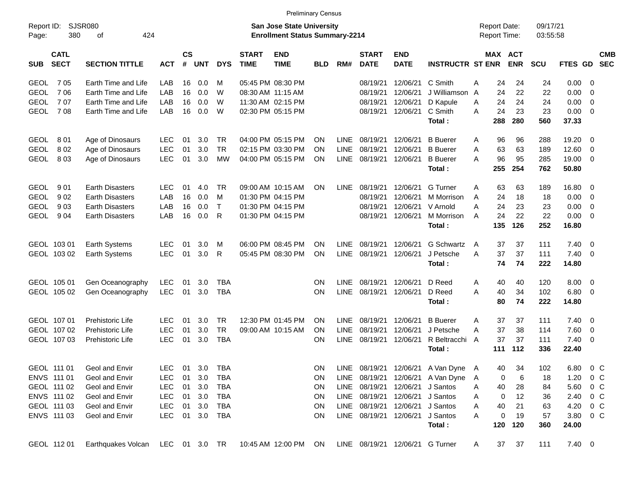|                     |                            |                                  |            |                    |        |              |                             | <b>Preliminary Census</b>                                                 |            |             |                             |                                 |                                   |                                            |                       |                      |                |                          |            |
|---------------------|----------------------------|----------------------------------|------------|--------------------|--------|--------------|-----------------------------|---------------------------------------------------------------------------|------------|-------------|-----------------------------|---------------------------------|-----------------------------------|--------------------------------------------|-----------------------|----------------------|----------------|--------------------------|------------|
| Report ID:<br>Page: | 380                        | <b>SJSR080</b><br>424<br>0f      |            |                    |        |              |                             | <b>San Jose State University</b><br><b>Enrollment Status Summary-2214</b> |            |             |                             |                                 |                                   | <b>Report Date:</b><br><b>Report Time:</b> |                       | 09/17/21<br>03:55:58 |                |                          |            |
| <b>SUB</b>          | <b>CATL</b><br><b>SECT</b> | <b>SECTION TITTLE</b>            | <b>ACT</b> | $\mathsf{cs}$<br># | UNT    | <b>DYS</b>   | <b>START</b><br><b>TIME</b> | <b>END</b><br><b>TIME</b>                                                 | <b>BLD</b> | RM#         | <b>START</b><br><b>DATE</b> | <b>END</b><br><b>DATE</b>       | <b>INSTRUCTR ST ENR</b>           |                                            | MAX ACT<br><b>ENR</b> | <b>SCU</b>           | FTES GD SEC    |                          | <b>CMB</b> |
| <b>GEOL</b>         | 705                        | Earth Time and Life              | LAB        | 16                 | 0.0    | м            |                             | 05:45 PM 08:30 PM                                                         |            |             | 08/19/21                    | 12/06/21                        | C Smith                           | 24<br>Α                                    | 24                    | 24                   | $0.00 \t 0$    |                          |            |
| <b>GEOL</b>         | 706                        | Earth Time and Life              | LAB        | 16                 | 0.0    | W            |                             | 08:30 AM 11:15 AM                                                         |            |             | 08/19/21                    | 12/06/21                        | J Williamson                      | 24<br>A                                    | 22                    | 22                   | 0.00           | $\overline{\phantom{0}}$ |            |
| <b>GEOL</b>         | 707                        | Earth Time and Life              | LAB        | 16                 | 0.0    | W            |                             | 11:30 AM 02:15 PM                                                         |            |             | 08/19/21                    | 12/06/21                        | D Kapule                          | 24<br>A                                    | 24                    | 24                   | 0.00           | $\overline{\mathbf{0}}$  |            |
| <b>GEOL</b>         | 708                        | Earth Time and Life              | LAB        | 16                 | 0.0    | W            |                             | 02:30 PM 05:15 PM                                                         |            |             | 08/19/21                    | 12/06/21                        | C Smith                           | A<br>24                                    | 23                    | 23                   | $0.00 \t 0$    |                          |            |
|                     |                            |                                  |            |                    |        |              |                             |                                                                           |            |             |                             |                                 | Total:                            | 288                                        | 280                   | 560                  | 37.33          |                          |            |
| <b>GEOL</b>         | 801                        | Age of Dinosaurs                 | LEC        | 01                 | 3.0    | <b>TR</b>    |                             | 04:00 PM 05:15 PM                                                         | ON         | <b>LINE</b> | 08/19/21                    | 12/06/21                        | <b>B</b> Buerer                   | 96<br>A                                    | 96                    | 288                  | 19.20          | $\overline{\phantom{0}}$ |            |
| <b>GEOL</b>         | 802                        | Age of Dinosaurs                 | <b>LEC</b> | 01                 | 3.0    | <b>TR</b>    |                             | 02:15 PM 03:30 PM                                                         | ON         | <b>LINE</b> | 08/19/21                    | 12/06/21                        | <b>B</b> Buerer                   | 63<br>A                                    | 63                    | 189                  | 12.60          | $\overline{\phantom{0}}$ |            |
| <b>GEOL</b>         | 803                        | Age of Dinosaurs                 | <b>LEC</b> | 01                 | 3.0    | <b>MW</b>    |                             | 04:00 PM 05:15 PM                                                         | ΟN         | <b>LINE</b> | 08/19/21                    | 12/06/21                        | <b>B</b> Buerer                   | 96<br>A                                    | 95                    | 285                  | 19.00 0        |                          |            |
|                     |                            |                                  |            |                    |        |              |                             |                                                                           |            |             |                             |                                 | Total:                            | 255                                        | 254                   | 762                  | 50.80          |                          |            |
| <b>GEOL</b>         | 901                        | <b>Earth Disasters</b>           | <b>LEC</b> | 01                 | 4.0    | <b>TR</b>    |                             | 09:00 AM 10:15 AM                                                         | ON         | LINE        | 08/19/21                    | 12/06/21                        | G Turner                          | 63<br>A                                    | 63                    | 189                  | 16.80 0        |                          |            |
| <b>GEOL</b>         | 902                        | <b>Earth Disasters</b>           | LAB        | 16                 | 0.0    | M            |                             | 01:30 PM 04:15 PM                                                         |            |             | 08/19/21                    | 12/06/21                        | M Morrison                        | 24<br>A                                    | 18                    | 18                   | $0.00 \t 0$    |                          |            |
| <b>GEOL</b>         | 903                        | <b>Earth Disasters</b>           | LAB        | 16                 | 0.0    | $\mathsf{T}$ |                             | 01:30 PM 04:15 PM                                                         |            |             | 08/19/21                    | 12/06/21                        | V Arnold                          | 24<br>A                                    | 23                    | 23                   | 0.00           | $\overline{\mathbf{0}}$  |            |
| <b>GEOL</b>         | 904                        | <b>Earth Disasters</b>           | LAB        | 16                 | 0.0    | $\mathsf{R}$ |                             | 01:30 PM 04:15 PM                                                         |            |             | 08/19/21                    | 12/06/21                        | M Morrison                        | 24<br>A                                    | 22                    | 22                   | $0.00 \t 0$    |                          |            |
|                     |                            |                                  |            |                    |        |              |                             |                                                                           |            |             |                             |                                 | Total:                            | 135                                        | 126                   | 252                  | 16.80          |                          |            |
|                     | GEOL 103 01                | <b>Earth Systems</b>             | <b>LEC</b> | 01                 | 3.0    | м            |                             | 06:00 PM 08:45 PM                                                         | ON         | <b>LINE</b> | 08/19/21                    | 12/06/21                        | <b>G Schwartz</b>                 | 37<br>A                                    | 37                    | 111                  | 7.40           | $\overline{\phantom{0}}$ |            |
|                     | GEOL 103 02                | <b>Earth Systems</b>             | LEC        | 01                 | 3.0    | R            |                             | 05:45 PM 08:30 PM                                                         | ON         | LINE        | 08/19/21                    | 12/06/21                        | J Petsche                         | 37<br>Α                                    | 37                    | 111                  | $7.40 \quad 0$ |                          |            |
|                     |                            |                                  |            |                    |        |              |                             |                                                                           |            |             |                             |                                 | Total:                            | 74                                         | 74                    | 222                  | 14.80          |                          |            |
|                     | GEOL 105 01                | Gen Oceanography                 | LEC        | 01                 | 3.0    | TBA          |                             |                                                                           | ON         | <b>LINE</b> | 08/19/21                    | 12/06/21                        | D Reed                            | 40<br>A                                    | 40                    | 120                  | $8.00 \t 0$    |                          |            |
|                     | GEOL 105 02                | Gen Oceanography                 | <b>LEC</b> | 01                 | 3.0    | <b>TBA</b>   |                             |                                                                           | ON         | <b>LINE</b> | 08/19/21                    | 12/06/21                        | D Reed                            | 40<br>A                                    | 34                    | 102                  | $6.80$ 0       |                          |            |
|                     |                            |                                  |            |                    |        |              |                             |                                                                           |            |             |                             |                                 | Total:                            | 80                                         | 74                    | 222                  | 14.80          |                          |            |
|                     | GEOL 107 01                | Prehistoric Life                 | LEC        | 01                 | 3.0    | TR.          |                             | 12:30 PM 01:45 PM                                                         | ON         | LINE        | 08/19/21                    | 12/06/21                        | <b>B</b> Buerer                   | 37<br>A                                    | 37                    | 111                  | 7.40           | $\overline{\phantom{0}}$ |            |
|                     | GEOL 107 02                | Prehistoric Life                 | <b>LEC</b> | 01                 | 3.0    | <b>TR</b>    |                             | 09:00 AM 10:15 AM                                                         | ΟN         | <b>LINE</b> | 08/19/21                    | 12/06/21                        | J Petsche                         | 37<br>A                                    | 38                    | 114                  | 7.60           | $\overline{\phantom{0}}$ |            |
|                     | GEOL 107 03                | Prehistoric Life                 | <b>LEC</b> | 01                 | 3.0    | <b>TBA</b>   |                             |                                                                           | ΟN         | <b>LINE</b> | 08/19/21                    | 12/06/21                        | R Beltracchi                      | 37<br>A                                    | 37                    | 111                  | $7.40 \quad 0$ |                          |            |
|                     |                            |                                  |            |                    |        |              |                             |                                                                           |            |             |                             |                                 | Total:                            | 111                                        | 112                   | 336                  | 22.40          |                          |            |
|                     | GEOL 111 01                | Geol and Envir                   | <b>LEC</b> | 01                 | 3.0    | <b>TBA</b>   |                             |                                                                           | ON         |             |                             |                                 | LINE 08/19/21 12/06/21 A Van Dyne | A<br>40                                    | 34                    | 102                  | 6.80           | $0\,$ C                  |            |
|                     | ENVS 111 01                | Geol and Envir                   | <b>LEC</b> | 01                 | 3.0    | <b>TBA</b>   |                             |                                                                           | <b>ON</b>  | LINE        |                             |                                 | 08/19/21 12/06/21 A Van Dyne      | Α                                          | 0<br>6                | 18                   | 1.20           | $0\,$ C                  |            |
|                     | GEOL 111 02                | Geol and Envir                   | <b>LEC</b> | 01                 | 3.0    | TBA          |                             |                                                                           | <b>ON</b>  |             | LINE 08/19/21               | 12/06/21                        | J Santos                          | 40<br>Α                                    | 28                    | 84                   | 5.60 0 C       |                          |            |
|                     | ENVS 111 02                | Geol and Envir                   | <b>LEC</b> | 01                 | 3.0    | TBA          |                             |                                                                           | <b>ON</b>  |             | LINE 08/19/21               | 12/06/21                        | J Santos                          | Α                                          | 12<br>0               | 36                   | 2.40           | $0\,$ C                  |            |
|                     | GEOL 111 03                | Geol and Envir                   | <b>LEC</b> | 01                 | 3.0    | TBA          |                             |                                                                           | <b>ON</b>  |             | LINE 08/19/21               | 12/06/21                        | J Santos                          | Α<br>40                                    | 21                    | 63                   | 4.20           | $0\,$ C                  |            |
|                     | ENVS 111 03                | Geol and Envir                   | <b>LEC</b> |                    | 01 3.0 | TBA          |                             |                                                                           | <b>ON</b>  |             |                             | LINE 08/19/21 12/06/21          | J Santos                          | Α                                          | 0<br>19               | 57                   | 3.80 0 C       |                          |            |
|                     |                            |                                  |            |                    |        |              |                             |                                                                           |            |             |                             |                                 | Total:                            | 120                                        | 120                   | 360                  | 24.00          |                          |            |
|                     | GEOL 112 01                | Earthquakes Volcan LEC 01 3.0 TR |            |                    |        |              |                             | 10:45 AM 12:00 PM ON                                                      |            |             |                             | LINE 08/19/21 12/06/21 G Turner |                                   | 37<br>A                                    | 37                    | 111                  | $7.40 \ 0$     |                          |            |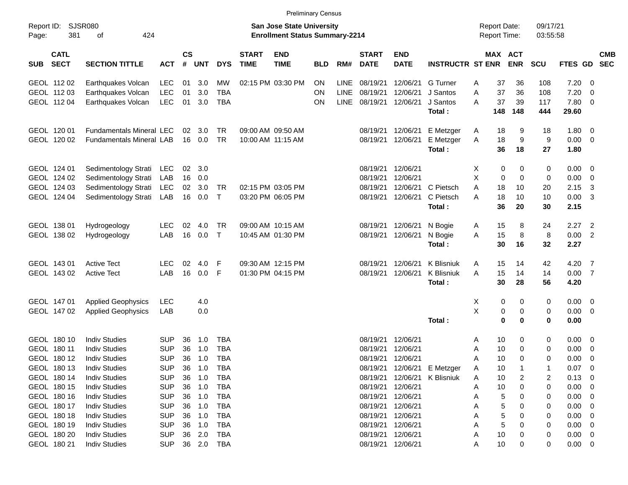|                     |                            |                                 |            |                    |            |              |                             | <b>Preliminary Census</b>                                                 |            |             |                             |                           |                         |   |                                     |             |                      |         |                          |                          |
|---------------------|----------------------------|---------------------------------|------------|--------------------|------------|--------------|-----------------------------|---------------------------------------------------------------------------|------------|-------------|-----------------------------|---------------------------|-------------------------|---|-------------------------------------|-------------|----------------------|---------|--------------------------|--------------------------|
| Report ID:<br>Page: | 381                        | <b>SJSR080</b><br>424<br>of     |            |                    |            |              |                             | <b>San Jose State University</b><br><b>Enrollment Status Summary-2214</b> |            |             |                             |                           |                         |   | <b>Report Date:</b><br>Report Time: |             | 09/17/21<br>03:55:58 |         |                          |                          |
| <b>SUB</b>          | <b>CATL</b><br><b>SECT</b> | <b>SECTION TITTLE</b>           | <b>ACT</b> | $\mathsf{cs}$<br># | <b>UNT</b> | <b>DYS</b>   | <b>START</b><br><b>TIME</b> | <b>END</b><br><b>TIME</b>                                                 | <b>BLD</b> | RM#         | <b>START</b><br><b>DATE</b> | <b>END</b><br><b>DATE</b> | <b>INSTRUCTR ST ENR</b> |   | MAX ACT                             | <b>ENR</b>  | SCU                  | FTES GD |                          | <b>CMB</b><br><b>SEC</b> |
|                     | GEOL 11202                 | Earthquakes Volcan              | <b>LEC</b> | 01                 | 3.0        | <b>MW</b>    |                             | 02:15 PM 03:30 PM                                                         | <b>ON</b>  | <b>LINE</b> | 08/19/21                    | 12/06/21                  | <b>G</b> Turner         | Α | 37                                  | 36          | 108                  | 7.20    | - 0                      |                          |
|                     | GEOL 11203                 | Earthquakes Volcan              | <b>LEC</b> | 01                 | 3.0        | <b>TBA</b>   |                             |                                                                           | <b>ON</b>  | <b>LINE</b> | 08/19/21                    | 12/06/21                  | J Santos                | A | 37                                  | 36          | 108                  | 7.20    | 0                        |                          |
|                     | GEOL 112 04                | Earthquakes Volcan              | <b>LEC</b> | 01                 | 3.0        | <b>TBA</b>   |                             |                                                                           | <b>ON</b>  | <b>LINE</b> | 08/19/21                    | 12/06/21                  | J Santos                | A | 37                                  | 39          | 117                  | 7.80    | - 0                      |                          |
|                     |                            |                                 |            |                    |            |              |                             |                                                                           |            |             |                             |                           | Total:                  |   | 148                                 | 148         | 444                  | 29.60   |                          |                          |
|                     | GEOL 120 01                | <b>Fundamentals Mineral LEC</b> |            | 02                 | 3.0        | TR.          |                             | 09:00 AM 09:50 AM                                                         |            |             | 08/19/21                    | 12/06/21                  | E Metzger               | A | 18                                  | 9           | 18                   | 1.80    | - 0                      |                          |
|                     | GEOL 120 02                | <b>Fundamentals Mineral LAB</b> |            | 16                 | 0.0        | <b>TR</b>    |                             | 10:00 AM 11:15 AM                                                         |            |             | 08/19/21                    | 12/06/21                  | E Metzger               | Α | 18                                  | 9           | 9                    | 0.00    | $\overline{0}$           |                          |
|                     |                            |                                 |            |                    |            |              |                             |                                                                           |            |             |                             |                           | Total:                  |   | 36                                  | 18          | 27                   | 1.80    |                          |                          |
|                     | GEOL 124 01                | Sedimentology Strati            | <b>LEC</b> | 02                 | 3.0        |              |                             |                                                                           |            |             | 08/19/21                    | 12/06/21                  |                         | X | 0                                   | 0           | 0                    | 0.00    | 0                        |                          |
|                     | GEOL 124 02                | Sedimentology Strati            | LAB        | 16                 | 0.0        |              |                             |                                                                           |            |             | 08/19/21                    | 12/06/21                  |                         | X | 0                                   | $\mathbf 0$ | 0                    | 0.00    | $\overline{0}$           |                          |
|                     | GEOL 124 03                | Sedimentology Strati            | <b>LEC</b> | 02                 | 3.0        | TR           |                             | 02:15 PM 03:05 PM                                                         |            |             | 08/19/21                    | 12/06/21                  | C Pietsch               | A | 18                                  | 10          | 20                   | 2.15    | -3                       |                          |
|                     | GEOL 124 04                | Sedimentology Strati            | LAB        | 16                 | 0.0        | $\mathsf{T}$ |                             | 03:20 PM 06:05 PM                                                         |            |             | 08/19/21                    | 12/06/21                  | C Pietsch               | A | 18                                  | 10          | 10                   | 0.00    | -3                       |                          |
|                     |                            |                                 |            |                    |            |              |                             |                                                                           |            |             |                             |                           | Total:                  |   | 36                                  | 20          | 30                   | 2.15    |                          |                          |
|                     | GEOL 138 01                | Hydrogeology                    | <b>LEC</b> | 02                 | 4.0        | <b>TR</b>    |                             | 09:00 AM 10:15 AM                                                         |            |             | 08/19/21                    | 12/06/21                  | N Bogie                 | Α | 15                                  | 8           | 24                   | 2.27    | $\overline{2}$           |                          |
|                     | GEOL 138 02                | Hydrogeology                    | LAB        | 16                 | 0.0        | $\mathsf{T}$ |                             | 10:45 AM 01:30 PM                                                         |            |             | 08/19/21                    | 12/06/21                  | N Bogie                 | A | 15                                  | 8           | 8                    | 0.00    | $\overline{2}$           |                          |
|                     |                            |                                 |            |                    |            |              |                             |                                                                           |            |             |                             |                           | Total:                  |   | 30                                  | 16          | 32                   | 2.27    |                          |                          |
|                     | GEOL 143 01                | <b>Active Tect</b>              | <b>LEC</b> | 02                 | 4.0        | F            |                             | 09:30 AM 12:15 PM                                                         |            |             | 08/19/21                    | 12/06/21                  | <b>K</b> Blisniuk       | A | 15                                  | 14          | 42                   | 4.20    | - 7                      |                          |
|                     | GEOL 143 02                | <b>Active Tect</b>              | LAB        | 16                 | 0.0        | F            |                             | 01:30 PM 04:15 PM                                                         |            |             | 08/19/21                    | 12/06/21                  | <b>K</b> Blisniuk       | A | 15                                  | 14          | 14                   | 0.00    | $\overline{7}$           |                          |
|                     |                            |                                 |            |                    |            |              |                             |                                                                           |            |             |                             |                           | Total:                  |   | 30                                  | 28          | 56                   | 4.20    |                          |                          |
|                     | GEOL 147 01                | <b>Applied Geophysics</b>       | <b>LEC</b> |                    | 4.0        |              |                             |                                                                           |            |             |                             |                           |                         | X | 0                                   | 0           | 0                    | 0.00    | 0                        |                          |
|                     | GEOL 147 02                | <b>Applied Geophysics</b>       | LAB        |                    | 0.0        |              |                             |                                                                           |            |             |                             |                           |                         | X | 0                                   | 0           | 0                    | 0.00    | $\overline{0}$           |                          |
|                     |                            |                                 |            |                    |            |              |                             |                                                                           |            |             |                             |                           | Total:                  |   | 0                                   | $\mathbf 0$ | 0                    | 0.00    |                          |                          |
|                     | GEOL 180 10                | <b>Indiv Studies</b>            | <b>SUP</b> | 36                 | 1.0        | <b>TBA</b>   |                             |                                                                           |            |             | 08/19/21                    | 12/06/21                  |                         | A | 10                                  | 0           | 0                    | 0.00    | 0                        |                          |
|                     | GEOL 180 11                | <b>Indiv Studies</b>            | <b>SUP</b> | 36                 | 1.0        | <b>TBA</b>   |                             |                                                                           |            |             | 08/19/21                    | 12/06/21                  |                         | A | 10                                  | 0           | 0                    | 0.00    | 0                        |                          |
|                     | GEOL 180 12                | <b>Indiv Studies</b>            | <b>SUP</b> | 36                 | 1.0        | <b>TBA</b>   |                             |                                                                           |            |             | 08/19/21                    | 12/06/21                  |                         | A | 10                                  | $\mathbf 0$ | 0                    | 0.00    | $\mathbf 0$              |                          |
|                     | GEOL 180 13                | <b>Indiv Studies</b>            | <b>SUP</b> | 36                 | 1.0        | TBA          |                             |                                                                           |            |             | 08/19/21                    |                           | 12/06/21 E Metzger      | A | 10                                  | $\mathbf 1$ | 1                    | 0.07    | $\overline{\phantom{0}}$ |                          |
|                     | GEOL 180 14                | <b>Indiv Studies</b>            | <b>SUP</b> | 36                 | 1.0        | <b>TBA</b>   |                             |                                                                           |            |             | 08/19/21                    | 12/06/21                  | K Blisniuk              | A | 10                                  | 2           | 2                    | 0.13    | 0                        |                          |
|                     | GEOL 180 15                | <b>Indiv Studies</b>            | <b>SUP</b> |                    | 36 1.0     | <b>TBA</b>   |                             |                                                                           |            |             | 08/19/21                    | 12/06/21                  |                         | A | 10                                  | 0           | 0                    | 0.00    | 0                        |                          |
|                     | GEOL 180 16                | <b>Indiv Studies</b>            | <b>SUP</b> |                    | 36 1.0     | <b>TBA</b>   |                             |                                                                           |            |             | 08/19/21                    | 12/06/21                  |                         | Α | 5                                   | 0           | 0                    | 0.00    | 0                        |                          |
|                     | GEOL 180 17                | <b>Indiv Studies</b>            | <b>SUP</b> | 36                 | 1.0        | <b>TBA</b>   |                             |                                                                           |            |             | 08/19/21                    | 12/06/21                  |                         |   | 5                                   | 0           | 0                    | 0.00    | 0                        |                          |
|                     | GEOL 180 18                | <b>Indiv Studies</b>            | <b>SUP</b> | 36                 | 1.0        | <b>TBA</b>   |                             |                                                                           |            |             | 08/19/21                    | 12/06/21                  |                         |   | 5                                   | 0           | 0                    | 0.00    | 0                        |                          |
|                     | GEOL 180 19                | <b>Indiv Studies</b>            | <b>SUP</b> | 36                 | 1.0        | <b>TBA</b>   |                             |                                                                           |            |             | 08/19/21                    | 12/06/21                  |                         | Α | 5                                   | 0           | 0                    | 0.00    | 0                        |                          |
|                     | GEOL 180 20                | <b>Indiv Studies</b>            | <b>SUP</b> |                    | 36 2.0     | TBA          |                             |                                                                           |            |             | 08/19/21                    | 12/06/21                  |                         | A | 10                                  | 0           | 0                    | 0.00    | - 0                      |                          |
|                     | GEOL 180 21                | <b>Indiv Studies</b>            | <b>SUP</b> |                    | 36 2.0     | <b>TBA</b>   |                             |                                                                           |            |             | 08/19/21                    | 12/06/21                  |                         | Α | 10                                  | 0           | 0                    | 0.00    | $\overline{\phantom{0}}$ |                          |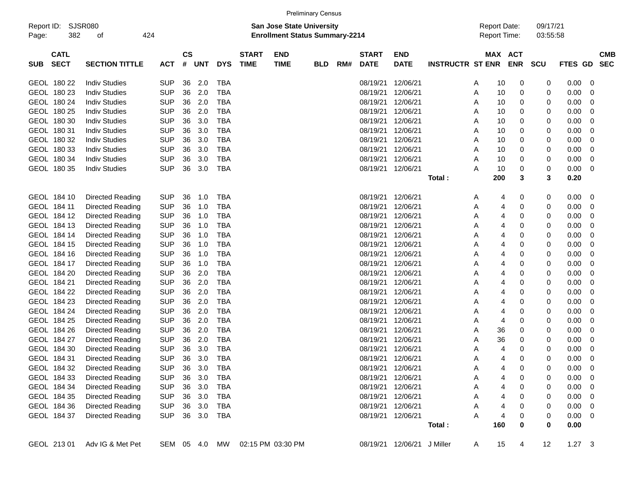|                     |                            |                       |            |                    |               |            |                             |                                                                           | <b>Preliminary Census</b> |     |                             |                            |                         |                                     |                       |                      |                |                          |                          |
|---------------------|----------------------------|-----------------------|------------|--------------------|---------------|------------|-----------------------------|---------------------------------------------------------------------------|---------------------------|-----|-----------------------------|----------------------------|-------------------------|-------------------------------------|-----------------------|----------------------|----------------|--------------------------|--------------------------|
| Report ID:<br>Page: | 382                        | <b>SJSR080</b><br>οf  | 424        |                    |               |            |                             | <b>San Jose State University</b><br><b>Enrollment Status Summary-2214</b> |                           |     |                             |                            |                         | <b>Report Date:</b><br>Report Time: |                       | 09/17/21<br>03:55:58 |                |                          |                          |
| <b>SUB</b>          | <b>CATL</b><br><b>SECT</b> | <b>SECTION TITTLE</b> | <b>ACT</b> | $\mathsf{cs}$<br># | <b>UNT</b>    | <b>DYS</b> | <b>START</b><br><b>TIME</b> | <b>END</b><br><b>TIME</b>                                                 | <b>BLD</b>                | RM# | <b>START</b><br><b>DATE</b> | <b>END</b><br><b>DATE</b>  | <b>INSTRUCTR ST ENR</b> |                                     | MAX ACT<br><b>ENR</b> | <b>SCU</b>           | <b>FTES GD</b> |                          | <b>CMB</b><br><b>SEC</b> |
|                     | GEOL 180 22                | <b>Indiv Studies</b>  | <b>SUP</b> | 36                 | 2.0           | <b>TBA</b> |                             |                                                                           |                           |     | 08/19/21                    | 12/06/21                   |                         | 10<br>Α                             | 0                     | 0                    | 0.00           | 0                        |                          |
|                     | GEOL 180 23                | <b>Indiv Studies</b>  | <b>SUP</b> | 36                 | 2.0           | <b>TBA</b> |                             |                                                                           |                           |     | 08/19/21                    | 12/06/21                   |                         | 10<br>Α                             | 0                     | 0                    | 0.00           | 0                        |                          |
|                     | GEOL 180 24                | <b>Indiv Studies</b>  | <b>SUP</b> | 36                 | 2.0           | <b>TBA</b> |                             |                                                                           |                           |     | 08/19/21                    | 12/06/21                   |                         | 10<br>Α                             | 0                     | 0                    | 0.00           | 0                        |                          |
|                     | GEOL 180 25                | <b>Indiv Studies</b>  | <b>SUP</b> | 36                 | 2.0           | <b>TBA</b> |                             |                                                                           |                           |     | 08/19/21                    | 12/06/21                   |                         | 10<br>Α                             | 0                     | 0                    | 0.00           | 0                        |                          |
|                     | GEOL 180 30                | <b>Indiv Studies</b>  | <b>SUP</b> | 36                 | 3.0           | <b>TBA</b> |                             |                                                                           |                           |     | 08/19/21                    | 12/06/21                   |                         | 10<br>Α                             | 0                     | 0                    | 0.00           | 0                        |                          |
|                     | GEOL 180 31                | <b>Indiv Studies</b>  | <b>SUP</b> | 36                 | 3.0           | <b>TBA</b> |                             |                                                                           |                           |     | 08/19/21                    | 12/06/21                   |                         | 10<br>Α                             | 0                     | 0                    | 0.00           | 0                        |                          |
|                     | GEOL 180 32                | <b>Indiv Studies</b>  | <b>SUP</b> | 36                 | 3.0           | <b>TBA</b> |                             |                                                                           |                           |     | 08/19/21                    | 12/06/21                   |                         | 10<br>Α                             | 0                     | 0                    | 0.00           | 0                        |                          |
|                     | GEOL 180 33                | <b>Indiv Studies</b>  | <b>SUP</b> | 36                 | 3.0           | <b>TBA</b> |                             |                                                                           |                           |     | 08/19/21                    | 12/06/21                   |                         | Α<br>10                             | 0                     | 0                    | 0.00           | 0                        |                          |
|                     | GEOL 180 34                | <b>Indiv Studies</b>  | <b>SUP</b> | 36                 | 3.0           | <b>TBA</b> |                             |                                                                           |                           |     | 08/19/21                    | 12/06/21                   |                         | Α<br>10                             | 0                     | 0                    | 0.00           | 0                        |                          |
|                     | GEOL 180 35                | <b>Indiv Studies</b>  | <b>SUP</b> | 36                 | 3.0           | <b>TBA</b> |                             |                                                                           |                           |     | 08/19/21                    | 12/06/21                   |                         | Α<br>10                             | 0                     | 0                    | 0.00           | 0                        |                          |
|                     |                            |                       |            |                    |               |            |                             |                                                                           |                           |     |                             |                            | Total:                  | 200                                 | 3                     | 3                    | 0.20           |                          |                          |
|                     |                            |                       |            |                    |               |            |                             |                                                                           |                           |     |                             |                            |                         |                                     |                       |                      |                |                          |                          |
|                     | GEOL 184 10                | Directed Reading      | <b>SUP</b> | 36                 | 1.0           | <b>TBA</b> |                             |                                                                           |                           |     | 08/19/21                    | 12/06/21                   |                         | Α                                   | 0<br>4                | 0                    | 0.00           | 0                        |                          |
|                     | GEOL 184 11                | Directed Reading      | <b>SUP</b> | 36                 | 1.0           | <b>TBA</b> |                             |                                                                           |                           |     | 08/19/21                    | 12/06/21                   |                         | Α                                   | 4<br>0                | 0                    | 0.00           | 0                        |                          |
|                     | GEOL 184 12                | Directed Reading      | <b>SUP</b> | 36                 | 1.0           | <b>TBA</b> |                             |                                                                           |                           |     | 08/19/21                    | 12/06/21                   |                         | Α                                   | 4<br>0                | 0                    | 0.00           | 0                        |                          |
|                     | GEOL 184 13                | Directed Reading      | <b>SUP</b> | 36                 | 1.0           | <b>TBA</b> |                             |                                                                           |                           |     | 08/19/21                    | 12/06/21                   |                         | Α                                   | 4<br>0                | 0                    | 0.00           | 0                        |                          |
|                     | GEOL 184 14                | Directed Reading      | <b>SUP</b> | 36                 | 1.0           | <b>TBA</b> |                             |                                                                           |                           |     | 08/19/21                    | 12/06/21                   |                         | Α                                   | 4<br>0                | 0                    | 0.00           | 0                        |                          |
|                     | GEOL 184 15                | Directed Reading      | <b>SUP</b> | 36                 | 1.0           | <b>TBA</b> |                             |                                                                           |                           |     | 08/19/21                    | 12/06/21                   |                         | Α                                   | 4<br>0                | 0                    | 0.00           | 0                        |                          |
|                     | GEOL 184 16                | Directed Reading      | <b>SUP</b> | 36                 | 1.0           | <b>TBA</b> |                             |                                                                           |                           |     | 08/19/21                    | 12/06/21                   |                         | Α                                   | 4<br>0                | 0                    | 0.00           | 0                        |                          |
|                     | GEOL 184 17                | Directed Reading      | <b>SUP</b> | 36                 | 1.0           | <b>TBA</b> |                             |                                                                           |                           |     | 08/19/21                    | 12/06/21                   |                         | Α                                   | 4<br>0                | 0                    | 0.00           | 0                        |                          |
|                     | GEOL 184 20                | Directed Reading      | <b>SUP</b> | 36                 | 2.0           | <b>TBA</b> |                             |                                                                           |                           |     | 08/19/21                    | 12/06/21                   |                         | Α                                   | 4<br>0                | 0                    | 0.00           | 0                        |                          |
|                     | GEOL 184 21                | Directed Reading      | <b>SUP</b> | 36                 | 2.0           | <b>TBA</b> |                             |                                                                           |                           |     | 08/19/21                    | 12/06/21                   |                         | Α                                   | 4<br>0                | 0                    | 0.00           | 0                        |                          |
|                     | GEOL 184 22                | Directed Reading      | <b>SUP</b> | 36                 | 2.0           | <b>TBA</b> |                             |                                                                           |                           |     | 08/19/21                    | 12/06/21                   |                         | Α                                   | 4<br>0                | 0                    | 0.00           | 0                        |                          |
|                     | GEOL 184 23                | Directed Reading      | <b>SUP</b> | 36                 | 2.0           | <b>TBA</b> |                             |                                                                           |                           |     | 08/19/21                    | 12/06/21                   |                         | Α                                   | 4<br>0                | 0                    | 0.00           | 0                        |                          |
|                     | GEOL 184 24                | Directed Reading      | <b>SUP</b> | 36                 | 2.0           | <b>TBA</b> |                             |                                                                           |                           |     | 08/19/21                    | 12/06/21                   |                         | 4<br>Α                              | 0                     | 0                    | 0.00           | 0                        |                          |
|                     | GEOL 184 25                | Directed Reading      | <b>SUP</b> | 36                 | 2.0           | <b>TBA</b> |                             |                                                                           |                           |     | 08/19/21                    | 12/06/21                   |                         | 4<br>Α                              | 0                     | 0                    | 0.00           | 0                        |                          |
|                     | GEOL 184 26                | Directed Reading      | <b>SUP</b> | 36                 | 2.0           | <b>TBA</b> |                             |                                                                           |                           |     | 08/19/21                    | 12/06/21                   |                         | 36<br>Α                             | 0                     | 0                    | 0.00           | 0                        |                          |
|                     | GEOL 184 27                | Directed Reading      | <b>SUP</b> | 36                 | 2.0           | <b>TBA</b> |                             |                                                                           |                           |     | 08/19/21                    | 12/06/21                   |                         | 36<br>Α                             | 0                     | 0                    | 0.00           | 0                        |                          |
|                     | GEOL 184 30                | Directed Reading      | <b>SUP</b> | 36                 | 3.0           | <b>TBA</b> |                             |                                                                           |                           |     | 08/19/21                    | 12/06/21                   |                         | Α                                   | 0<br>4                | 0                    | 0.00           | 0                        |                          |
|                     | GEOL 184 31                | Directed Reading      | <b>SUP</b> | 36                 | 3.0           | <b>TBA</b> |                             |                                                                           |                           |     | 08/19/21                    | 12/06/21                   |                         | Α                                   | 0<br>4                | 0                    | 0.00           | $\mathbf 0$              |                          |
|                     | GEOL 184 32                | Directed Reading      | <b>SUP</b> | 36                 | 3.0           | TBA        |                             |                                                                           |                           |     |                             | 08/19/21 12/06/21          |                         | Α                                   | 0<br>4                | 0                    | 0.00           | $\overline{\phantom{0}}$ |                          |
|                     | GEOL 184 33                | Directed Reading      | <b>SUP</b> | 36                 | 3.0           | <b>TBA</b> |                             |                                                                           |                           |     |                             | 08/19/21 12/06/21          |                         | Α                                   | 4<br>0                | 0                    | 0.00           | 0                        |                          |
|                     | GEOL 184 34                | Directed Reading      | <b>SUP</b> |                    | 36 3.0        | <b>TBA</b> |                             |                                                                           |                           |     |                             | 08/19/21 12/06/21          |                         | Α                                   | 0<br>4                | 0                    | 0.00           | 0                        |                          |
|                     | GEOL 184 35                | Directed Reading      | <b>SUP</b> |                    | 36 3.0        | <b>TBA</b> |                             |                                                                           |                           |     |                             | 08/19/21 12/06/21          |                         | Α                                   | 0<br>4                | 0                    | 0.00           | 0                        |                          |
|                     | GEOL 184 36                | Directed Reading      | <b>SUP</b> |                    | 36 3.0        | <b>TBA</b> |                             |                                                                           |                           |     |                             | 08/19/21 12/06/21          |                         | Α                                   | 0<br>4                | 0                    | 0.00           | 0                        |                          |
|                     | GEOL 184 37                | Directed Reading      | <b>SUP</b> |                    | 36 3.0        | TBA        |                             |                                                                           |                           |     |                             | 08/19/21 12/06/21          |                         | Α                                   | 4<br>0                | 0                    | 0.00           | 0                        |                          |
|                     |                            |                       |            |                    |               |            |                             |                                                                           |                           |     |                             |                            | Total:                  | 160                                 | 0                     | $\bf{0}$             | 0.00           |                          |                          |
|                     |                            |                       |            |                    |               |            |                             |                                                                           |                           |     |                             |                            |                         |                                     |                       |                      |                |                          |                          |
|                     | GEOL 213 01                | Adv IG & Met Pet      |            |                    | SEM 05 4.0 MW |            |                             | 02:15 PM 03:30 PM                                                         |                           |     |                             | 08/19/21 12/06/21 J Miller |                         | 15<br>$\mathsf{A}$                  | 4                     | 12                   | $1.27 - 3$     |                          |                          |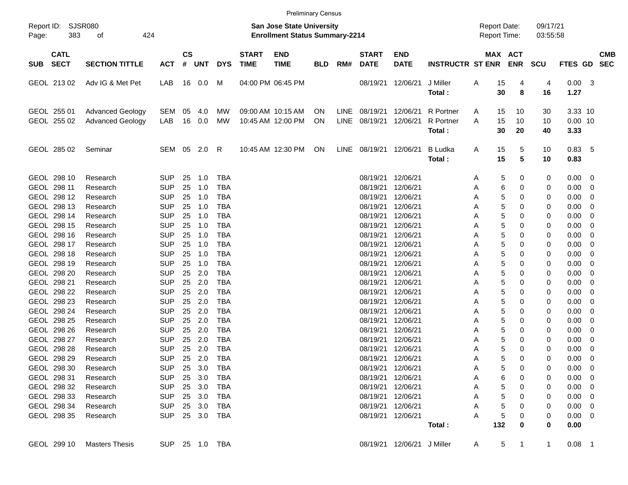|                     |                                                                                                                                                                                                 |                                                                                                                                                          |                                                                                                                                                                                    |                                                                            |                                                                                                     |                                                                                                                                                                                    |                                                                           | <b>Preliminary Census</b>              |                 |     |                                                                                                                                                                                                                         |                                                                                                                                                          |                                     |                                                                      |                                                                                                                                     |                                                                    |                                                                                                                                                     |                                                                 |                          |
|---------------------|-------------------------------------------------------------------------------------------------------------------------------------------------------------------------------------------------|----------------------------------------------------------------------------------------------------------------------------------------------------------|------------------------------------------------------------------------------------------------------------------------------------------------------------------------------------|----------------------------------------------------------------------------|-----------------------------------------------------------------------------------------------------|------------------------------------------------------------------------------------------------------------------------------------------------------------------------------------|---------------------------------------------------------------------------|----------------------------------------|-----------------|-----|-------------------------------------------------------------------------------------------------------------------------------------------------------------------------------------------------------------------------|----------------------------------------------------------------------------------------------------------------------------------------------------------|-------------------------------------|----------------------------------------------------------------------|-------------------------------------------------------------------------------------------------------------------------------------|--------------------------------------------------------------------|-----------------------------------------------------------------------------------------------------------------------------------------------------|-----------------------------------------------------------------|--------------------------|
| Report ID:<br>Page: | <b>SJSR080</b><br>383                                                                                                                                                                           | 424                                                                                                                                                      |                                                                                                                                                                                    |                                                                            |                                                                                                     |                                                                                                                                                                                    | <b>San Jose State University</b><br><b>Enrollment Status Summary-2214</b> |                                        |                 |     |                                                                                                                                                                                                                         |                                                                                                                                                          | <b>Report Date:</b><br>Report Time: |                                                                      | 09/17/21<br>03:55:58                                                                                                                |                                                                    |                                                                                                                                                     |                                                                 |                          |
| <b>SUB</b>          | <b>CATL</b><br><b>SECT</b>                                                                                                                                                                      | <b>SECTION TITTLE</b>                                                                                                                                    | <b>ACT</b>                                                                                                                                                                         | $\mathsf{cs}$<br>#                                                         | <b>UNT</b>                                                                                          | <b>DYS</b>                                                                                                                                                                         | <b>START</b><br><b>TIME</b>                                               | <b>END</b><br><b>TIME</b>              | <b>BLD</b>      | RM# | <b>START</b><br><b>DATE</b>                                                                                                                                                                                             | <b>END</b><br><b>DATE</b>                                                                                                                                | <b>INSTRUCTR ST ENR</b>             |                                                                      | MAX ACT<br><b>ENR</b>                                                                                                               | <b>SCU</b>                                                         | <b>FTES GD</b>                                                                                                                                      |                                                                 | <b>CMB</b><br><b>SEC</b> |
|                     | GEOL 213 02                                                                                                                                                                                     | Adv IG & Met Pet                                                                                                                                         | LAB                                                                                                                                                                                |                                                                            | 16  0.0                                                                                             | M                                                                                                                                                                                  |                                                                           | 04:00 PM 06:45 PM                      |                 |     | 08/19/21                                                                                                                                                                                                                | 12/06/21                                                                                                                                                 | J Miller<br>Total:                  | Α<br>15<br>30                                                        | 4<br>8                                                                                                                              | 4<br>16                                                            | 0.00<br>1.27                                                                                                                                        | - 3                                                             |                          |
|                     | GEOL 255 01<br>GEOL 255 02                                                                                                                                                                      | <b>Advanced Geology</b><br><b>Advanced Geology</b>                                                                                                       | SEM<br>LAB                                                                                                                                                                         | 05<br>16                                                                   | 4.0<br>0.0                                                                                          | МW<br>MW                                                                                                                                                                           |                                                                           | 09:00 AM 10:15 AM<br>10:45 AM 12:00 PM | <b>ON</b><br>ON |     | LINE 08/19/21<br>LINE 08/19/21                                                                                                                                                                                          | 12/06/21<br>12/06/21                                                                                                                                     | R Portner<br>R Portner<br>Total:    | 15<br>A<br>15<br>A<br>30                                             | 10<br>10<br>20                                                                                                                      | 30<br>10<br>40                                                     | 3.33 10<br>$0.00$ 10<br>3.33                                                                                                                        |                                                                 |                          |
|                     | GEOL 285 02                                                                                                                                                                                     | Seminar                                                                                                                                                  | SEM 05                                                                                                                                                                             |                                                                            | 2.0                                                                                                 | R                                                                                                                                                                                  |                                                                           | 10:45 AM 12:30 PM                      | ON              |     | LINE 08/19/21 12/06/21                                                                                                                                                                                                  |                                                                                                                                                          | <b>B</b> Ludka<br>Total:            | 15<br>A<br>15                                                        | 5<br>5                                                                                                                              | 10<br>10                                                           | 0.83<br>0.83                                                                                                                                        | - 5                                                             |                          |
|                     | GEOL 298 10<br>GEOL 298 11<br>GEOL 298 12<br>GEOL 298 13<br>GEOL 298 14<br>GEOL 298 15<br>GEOL 298 16<br>GEOL 298 17<br>GEOL 298 18<br>GEOL 298 19<br>GEOL 298 20<br>GEOL 298 21<br>GEOL 298 22 | Research<br>Research<br>Research<br>Research<br>Research<br>Research<br>Research<br>Research<br>Research<br>Research<br>Research<br>Research<br>Research | <b>SUP</b><br><b>SUP</b><br><b>SUP</b><br><b>SUP</b><br><b>SUP</b><br><b>SUP</b><br><b>SUP</b><br><b>SUP</b><br><b>SUP</b><br><b>SUP</b><br><b>SUP</b><br><b>SUP</b><br><b>SUP</b> | 25<br>25<br>25<br>25<br>25<br>25<br>25<br>25<br>25<br>25<br>25<br>25<br>25 | 1.0<br>1.0<br>1.0<br>1.0<br>1.0<br>1.0<br>1.0<br>1.0<br>1.0<br>1.0<br>2.0<br>2.0<br>2.0             | <b>TBA</b><br><b>TBA</b><br><b>TBA</b><br><b>TBA</b><br><b>TBA</b><br><b>TBA</b><br><b>TBA</b><br><b>TBA</b><br><b>TBA</b><br><b>TBA</b><br><b>TBA</b><br><b>TBA</b><br><b>TBA</b> |                                                                           |                                        |                 |     | 08/19/21<br>08/19/21<br>08/19/21<br>08/19/21<br>08/19/21<br>08/19/21<br>08/19/21<br>08/19/21<br>08/19/21<br>08/19/21<br>08/19/21<br>08/19/21<br>08/19/21                                                                | 12/06/21<br>12/06/21<br>12/06/21<br>12/06/21<br>12/06/21<br>12/06/21<br>12/06/21<br>12/06/21<br>12/06/21<br>12/06/21<br>12/06/21<br>12/06/21<br>12/06/21 |                                     | A<br>Α<br>Α<br>Α<br>Α<br>Α<br>Α<br>Α<br>Α<br>Α<br>Α<br>Α<br>Α        | 0<br>5<br>6<br>0<br>5<br>0<br>5<br>0<br>5<br>0<br>5<br>0<br>5<br>0<br>5<br>0<br>5<br>0<br>5<br>0<br>5<br>0<br>5<br>0<br>5<br>0      | 0<br>0<br>0<br>0<br>0<br>0<br>0<br>0<br>0<br>0<br>0<br>0<br>0      | 0.00<br>0.00<br>0.00<br>0.00<br>0.00<br>0.00<br>0.00<br>0.00<br>0.00<br>0.00<br>0.00<br>0.00<br>0.00                                                | - 0<br>0<br>0<br>0<br>0<br>0<br>0<br>0<br>0<br>0<br>0<br>0<br>0 |                          |
|                     | GEOL 298 23<br>GEOL 298 24<br>GEOL 298 25<br>GEOL 298 26<br>GEOL 298 27<br>GEOL 298 28<br>GEOL 298 29<br>GEOL 298 30<br>GEOL 298 31<br>GEOL 298 32<br>GEOL 298 33<br>GEOL 298 34<br>GEOL 298 35 | Research<br>Research<br>Research<br>Research<br>Research<br>Research<br>Research<br>Research<br>Research<br>Research<br>Research<br>Research<br>Research | <b>SUP</b><br><b>SUP</b><br><b>SUP</b><br><b>SUP</b><br><b>SUP</b><br><b>SUP</b><br><b>SUP</b><br><b>SUP</b><br><b>SUP</b><br><b>SUP</b><br><b>SUP</b><br><b>SUP</b><br><b>SUP</b> | 25<br>25<br>25<br>25<br>25<br>25<br>25                                     | 2.0<br>2.0<br>2.0<br>2.0<br>2.0<br>2.0<br>2.0<br>25 3.0 TBA<br>25 3.0<br>25 3.0<br>25 3.0<br>25 3.0 | <b>TBA</b><br><b>TBA</b><br><b>TBA</b><br><b>TBA</b><br><b>TBA</b><br><b>TBA</b><br><b>TBA</b><br>TBA<br>TBA<br>TBA<br>TBA<br>25 3.0 TBA                                           |                                                                           |                                        |                 |     | 08/19/21<br>08/19/21<br>08/19/21<br>08/19/21<br>08/19/21<br>08/19/21<br>08/19/21 12/06/21<br>08/19/21 12/06/21<br>08/19/21 12/06/21<br>08/19/21 12/06/21<br>08/19/21 12/06/21<br>08/19/21 12/06/21<br>08/19/21 12/06/21 | 12/06/21<br>12/06/21<br>12/06/21<br>12/06/21<br>12/06/21<br>12/06/21                                                                                     | Total:                              | Α<br>Α<br>Α<br>Α<br>Α<br>Α<br>A<br>A<br>A<br>A<br>Α<br>Α<br>A<br>132 | 5<br>0<br>5<br>0<br>5<br>0<br>5<br>0<br>5<br>0<br>5<br>0<br>5<br>0<br>0<br>5<br>6<br>0<br>5<br>0<br>5<br>0<br>5<br>0<br>5<br>0<br>0 | 0<br>0<br>0<br>0<br>0<br>0<br>0<br>0<br>0<br>0<br>0<br>0<br>0<br>0 | 0.00<br>0.00<br>0.00<br>0.00<br>0.00<br>0.00<br>0.00<br>$0.00 \t 0$<br>$0.00 \ 0$<br>$0.00 \t 0$<br>$0.00 \t 0$<br>$0.00 \ 0$<br>$0.00 \ 0$<br>0.00 | 0<br>0<br>0<br>0<br>0<br>0<br>0                                 |                          |
|                     | GEOL 299 10                                                                                                                                                                                     | <b>Masters Thesis</b>                                                                                                                                    |                                                                                                                                                                                    |                                                                            |                                                                                                     | SUP 25 1.0 TBA                                                                                                                                                                     |                                                                           |                                        |                 |     |                                                                                                                                                                                                                         | 08/19/21 12/06/21 J Miller                                                                                                                               |                                     | A                                                                    | 5<br>$\mathbf{1}$                                                                                                                   | $\mathbf{1}$                                                       | $0.08$ 1                                                                                                                                            |                                                                 |                          |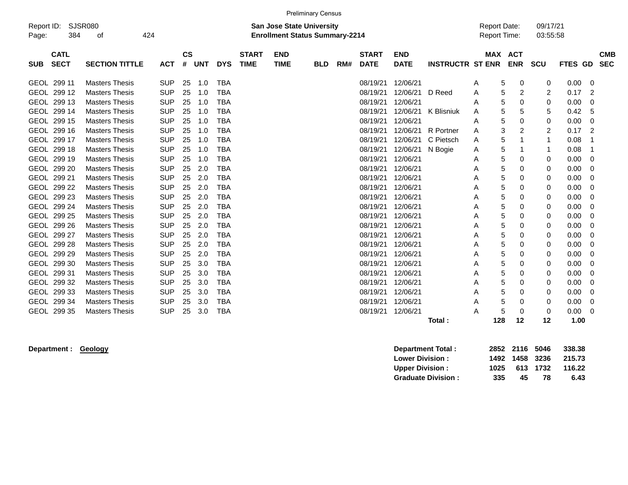|             |             |                                                    |            |               |            |            |              |                                       | <b>Preliminary Census</b> |     |              |             |                         |                     |                     |          |         |                |            |
|-------------|-------------|----------------------------------------------------|------------|---------------|------------|------------|--------------|---------------------------------------|---------------------------|-----|--------------|-------------|-------------------------|---------------------|---------------------|----------|---------|----------------|------------|
| Report ID:  |             | <b>SJSR080</b><br><b>San Jose State University</b> |            |               |            |            |              |                                       |                           |     |              |             |                         | <b>Report Date:</b> |                     | 09/17/21 |         |                |            |
| Page:       | 384         | 424<br>οf                                          |            |               |            |            |              | <b>Enrollment Status Summary-2214</b> |                           |     |              |             |                         | Report Time:        |                     | 03:55:58 |         |                |            |
|             | <b>CATL</b> |                                                    |            | $\mathsf{cs}$ |            |            | <b>START</b> | <b>END</b>                            |                           |     | <b>START</b> | <b>END</b>  |                         |                     | MAX ACT             |          |         |                | <b>CMB</b> |
| <b>SUB</b>  | <b>SECT</b> | <b>SECTION TITTLE</b>                              | <b>ACT</b> | #             | <b>UNT</b> | <b>DYS</b> | <b>TIME</b>  | <b>TIME</b>                           | <b>BLD</b>                | RM# | <b>DATE</b>  | <b>DATE</b> | <b>INSTRUCTR ST ENR</b> |                     | <b>ENR</b>          | SCU      | FTES GD |                | <b>SEC</b> |
|             | GEOL 299 11 | <b>Masters Thesis</b>                              | <b>SUP</b> | 25            | 1.0        | <b>TBA</b> |              |                                       |                           |     | 08/19/21     | 12/06/21    |                         | A                   | 5<br>0              | 0        | 0.00    | 0              |            |
|             | GEOL 299 12 | <b>Masters Thesis</b>                              | <b>SUP</b> | 25            | 1.0        | <b>TBA</b> |              |                                       |                           |     | 08/19/21     | 12/06/21    | D Reed                  | A                   | 5<br>$\overline{2}$ | 2        | 0.17    | 2              |            |
|             | GEOL 299 13 | <b>Masters Thesis</b>                              | <b>SUP</b> | 25            | 1.0        | <b>TBA</b> |              |                                       |                           |     | 08/19/21     | 12/06/21    |                         | Α                   | 5<br>0              | 0        | 0.00    | 0              |            |
|             | GEOL 299 14 | <b>Masters Thesis</b>                              | <b>SUP</b> | 25            | 1.0        | <b>TBA</b> |              |                                       |                           |     | 08/19/21     | 12/06/21    | K Blisniuk              | A                   | 5<br>5              | 5        | 0.42    | 5              |            |
|             | GEOL 299 15 | <b>Masters Thesis</b>                              | <b>SUP</b> | 25            | 1.0        | <b>TBA</b> |              |                                       |                           |     | 08/19/21     | 12/06/21    |                         | A                   | 5<br>0              | 0        | 0.00    | $\mathbf 0$    |            |
|             | GEOL 299 16 | <b>Masters Thesis</b>                              | <b>SUP</b> | 25            | 1.0        | <b>TBA</b> |              |                                       |                           |     | 08/19/21     | 12/06/21    | R Portner               | Α                   | 3<br>$\overline{c}$ | 2        | 0.17    | $\overline{2}$ |            |
|             | GEOL 299 17 | <b>Masters Thesis</b>                              | <b>SUP</b> | 25            | 1.0        | <b>TBA</b> |              |                                       |                           |     | 08/19/21     | 12/06/21    | C Pietsch               | A                   | 5<br>-1             | 1        | 0.08    | -1             |            |
|             | GEOL 299 18 | <b>Masters Thesis</b>                              | <b>SUP</b> | 25            | 1.0        | <b>TBA</b> |              |                                       |                           |     | 08/19/21     | 12/06/21    | N Bogie                 | Α                   | 5<br>$\mathbf 1$    | 1        | 0.08    | -1             |            |
|             | GEOL 299 19 | <b>Masters Thesis</b>                              | <b>SUP</b> | 25            | 1.0        | <b>TBA</b> |              |                                       |                           |     | 08/19/21     | 12/06/21    |                         | Α                   | 5<br>0              | 0        | 0.00    | $\mathbf 0$    |            |
|             | GEOL 299 20 | <b>Masters Thesis</b>                              | <b>SUP</b> | 25            | 2.0        | <b>TBA</b> |              |                                       |                           |     | 08/19/21     | 12/06/21    |                         | A                   | 5<br>0              | 0        | 0.00    | 0              |            |
|             | GEOL 299 21 | <b>Masters Thesis</b>                              | <b>SUP</b> | 25            | 2.0        | <b>TBA</b> |              |                                       |                           |     | 08/19/21     | 12/06/21    |                         | A                   | 5<br>0              | 0        | 0.00    | $\mathbf 0$    |            |
|             | GEOL 299 22 | <b>Masters Thesis</b>                              | <b>SUP</b> | 25            | 2.0        | <b>TBA</b> |              |                                       |                           |     | 08/19/21     | 12/06/21    |                         | A                   | 5<br>0              | 0        | 0.00    | 0              |            |
|             | GEOL 299 23 | <b>Masters Thesis</b>                              | <b>SUP</b> | 25            | 2.0        | <b>TBA</b> |              |                                       |                           |     | 08/19/21     | 12/06/21    |                         | A                   | 5<br>0              | 0        | 0.00    | 0              |            |
|             | GEOL 299 24 | <b>Masters Thesis</b>                              | <b>SUP</b> | 25            | 2.0        | <b>TBA</b> |              |                                       |                           |     | 08/19/21     | 12/06/21    |                         | Α                   | 5<br>0              | 0        | 0.00    | 0              |            |
|             | GEOL 299 25 | <b>Masters Thesis</b>                              | <b>SUP</b> | 25            | 2.0        | <b>TBA</b> |              |                                       |                           |     | 08/19/21     | 12/06/21    |                         | A                   | 5<br>0              | 0        | 0.00    | 0              |            |
|             | GEOL 299 26 | <b>Masters Thesis</b>                              | <b>SUP</b> | 25            | 2.0        | <b>TBA</b> |              |                                       |                           |     | 08/19/21     | 12/06/21    |                         | A                   | 5<br>0              | 0        | 0.00    | $\mathbf 0$    |            |
|             | GEOL 299 27 | <b>Masters Thesis</b>                              | <b>SUP</b> | 25            | 2.0        | <b>TBA</b> |              |                                       |                           |     | 08/19/21     | 12/06/21    |                         | Α                   | 5<br>0              | 0        | 0.00    | 0              |            |
|             | GEOL 299 28 | <b>Masters Thesis</b>                              | <b>SUP</b> | 25            | 2.0        | <b>TBA</b> |              |                                       |                           |     | 08/19/21     | 12/06/21    |                         | Α                   | 5<br>0              | 0        | 0.00    | $\mathbf 0$    |            |
|             | GEOL 299 29 | <b>Masters Thesis</b>                              | <b>SUP</b> | 25            | 2.0        | <b>TBA</b> |              |                                       |                           |     | 08/19/21     | 12/06/21    |                         | Α                   | 5<br>$\mathbf 0$    | 0        | 0.00    | $\mathbf 0$    |            |
|             | GEOL 299 30 | <b>Masters Thesis</b>                              | <b>SUP</b> | 25            | 3.0        | <b>TBA</b> |              |                                       |                           |     | 08/19/21     | 12/06/21    |                         | A                   | 5<br>0              | 0        | 0.00    | 0              |            |
|             | GEOL 299 31 | <b>Masters Thesis</b>                              | <b>SUP</b> | 25            | 3.0        | <b>TBA</b> |              |                                       |                           |     | 08/19/21     | 12/06/21    |                         | Α                   | 5<br>0              | 0        | 0.00    | 0              |            |
|             | GEOL 299 32 | <b>Masters Thesis</b>                              | <b>SUP</b> | 25            | 3.0        | <b>TBA</b> |              |                                       |                           |     | 08/19/21     | 12/06/21    |                         | A                   | 5<br>0              | 0        | 0.00    | 0              |            |
|             | GEOL 299 33 | <b>Masters Thesis</b>                              | <b>SUP</b> | 25            | 3.0        | <b>TBA</b> |              |                                       |                           |     | 08/19/21     | 12/06/21    |                         | A                   | 5<br>$\Omega$       | 0        | 0.00    | 0              |            |
|             | GEOL 299 34 | <b>Masters Thesis</b>                              | <b>SUP</b> | 25            | 3.0        | <b>TBA</b> |              |                                       |                           |     | 08/19/21     | 12/06/21    |                         | Α                   | 5<br>0              | 0        | 0.00    | 0              |            |
| <b>GEOL</b> | 299 35      | <b>Masters Thesis</b>                              | <b>SUP</b> | 25            | 3.0        | <b>TBA</b> |              |                                       |                           |     | 08/19/21     | 12/06/21    |                         | Α                   | 5<br>0              | 0        | 0.00    | 0              |            |
|             |             |                                                    |            |               |            |            |              |                                       |                           |     |              |             | Total:                  | 128                 | 12                  | 12       | 1.00    |                |            |

**Department : Geology Department Total : 2852 2116 5046 338.38 Lower Division : 1492 1458 3236 215.73 Upper Division : 1025 613 1732 116.22 Graduate Division : 335 45 78 6.43**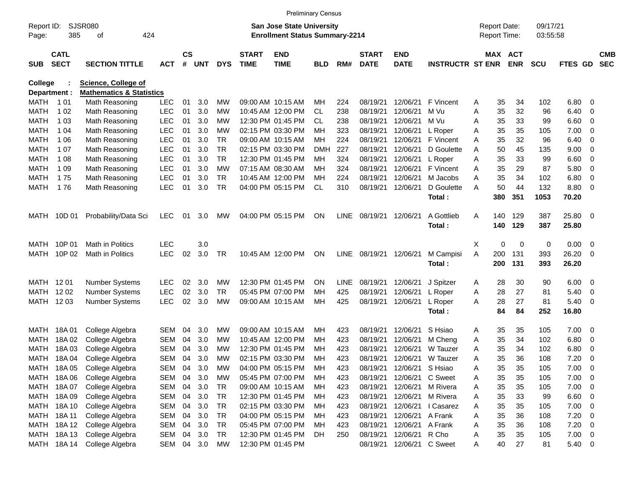|                |                      |                                                            |            |               |            |                 |              | <b>Preliminary Census</b>              |            |             |              |                      |                         |   |          |                     |            |                |                          |            |
|----------------|----------------------|------------------------------------------------------------|------------|---------------|------------|-----------------|--------------|----------------------------------------|------------|-------------|--------------|----------------------|-------------------------|---|----------|---------------------|------------|----------------|--------------------------|------------|
| Report ID:     |                      | SJSR080                                                    |            |               |            |                 |              | San Jose State University              |            |             |              |                      |                         |   |          | <b>Report Date:</b> | 09/17/21   |                |                          |            |
| Page:          | 385                  | 424<br>оf                                                  |            |               |            |                 |              | <b>Enrollment Status Summary-2214</b>  |            |             |              |                      |                         |   |          | Report Time:        | 03:55:58   |                |                          |            |
|                | <b>CATL</b>          |                                                            |            | $\mathsf{cs}$ |            |                 | <b>START</b> | <b>END</b>                             |            |             | <b>START</b> | <b>END</b>           |                         |   |          | MAX ACT             |            |                |                          | <b>CMB</b> |
| <b>SUB</b>     | <b>SECT</b>          | <b>SECTION TITTLE</b>                                      | <b>ACT</b> | #             | <b>UNT</b> | <b>DYS</b>      | <b>TIME</b>  | <b>TIME</b>                            | <b>BLD</b> | RM#         | <b>DATE</b>  | <b>DATE</b>          | <b>INSTRUCTR ST ENR</b> |   |          | <b>ENR</b>          | <b>SCU</b> | <b>FTES GD</b> |                          | <b>SEC</b> |
|                |                      |                                                            |            |               |            |                 |              |                                        |            |             |              |                      |                         |   |          |                     |            |                |                          |            |
| <b>College</b> |                      | Science, College of<br><b>Mathematics &amp; Statistics</b> |            |               |            |                 |              |                                        |            |             |              |                      |                         |   |          |                     |            |                |                          |            |
| MATH           | Department :<br>1 01 | Math Reasoning                                             | <b>LEC</b> | 01            | 3.0        | МW              |              | 09:00 AM 10:15 AM                      | MН         | 224         | 08/19/21     | 12/06/21             | F Vincent               | A | 35       | 34                  | 102        | 6.80           | $\overline{\mathbf{0}}$  |            |
| <b>MATH</b>    | 1 0 2                | Math Reasoning                                             | <b>LEC</b> | 01            | 3.0        | МW              |              | 10:45 AM 12:00 PM                      | <b>CL</b>  | 238         | 08/19/21     | 12/06/21             | M Vu                    | Α | 35       | 32                  | 96         | 6.40           | 0                        |            |
| MATH           | 1 0 3                |                                                            | <b>LEC</b> | 01            | 3.0        | МW              |              | 12:30 PM 01:45 PM                      | CL         | 238         | 08/19/21     | 12/06/21             | M Vu                    | Α | 35       | 33                  | 99         | 6.60           |                          |            |
| <b>MATH</b>    | 1 04                 | Math Reasoning                                             | LEC        | 01            | 3.0        | МW              |              | 02:15 PM 03:30 PM                      | <b>MH</b>  | 323         | 08/19/21     | 12/06/21             | L Roper                 | A | 35       | 35                  | 105        | 7.00           | $\mathbf 0$<br>0         |            |
| MATH           | 1 0 6                | Math Reasoning                                             | LEC        | 01            | 3.0        | <b>TR</b>       |              | 09:00 AM 10:15 AM                      | MН         | 224         | 08/19/21     | 12/06/21             | F Vincent               | A | 35       | 32                  | 96         | 6.40           | 0                        |            |
| MATH           | 1 0 7                | Math Reasoning                                             | <b>LEC</b> | 01            | 3.0        | <b>TR</b>       |              | 02:15 PM 03:30 PM                      | <b>DMH</b> | 227         | 08/19/21     | 12/06/21             | D Goulette              | A | 50       | 45                  | 135        | 9.00           |                          |            |
| <b>MATH</b>    |                      | Math Reasoning                                             | LEC        |               | 3.0        | <b>TR</b>       |              | 12:30 PM 01:45 PM                      |            |             |              |                      |                         |   |          |                     |            |                | 0                        |            |
|                | 1 08                 | Math Reasoning                                             |            | 01            | 3.0        |                 |              |                                        | MН         | 324         | 08/19/21     | 12/06/21<br>12/06/21 | L Roper<br>F Vincent    | Α | 35       | 33                  | 99         | 6.60           | 0                        |            |
| MATH           | 1 0 9                | Math Reasoning                                             | <b>LEC</b> | 01            | 3.0        | МW<br><b>TR</b> |              | 07:15 AM 08:30 AM                      | MН         | 324         | 08/19/21     | 12/06/21             |                         | Α | 35<br>35 | 29<br>34            | 87         | 5.80           | $\mathbf 0$              |            |
| MATH           | 175                  | Math Reasoning                                             | <b>LEC</b> | 01            |            | <b>TR</b>       |              | 10:45 AM 12:00 PM<br>04:00 PM 05:15 PM | MН         | 224         | 08/19/21     |                      | M Jacobs                | Α | 50       |                     | 102        | 6.80           | $\mathbf 0$              |            |
| <b>MATH</b>    | 176                  | Math Reasoning                                             | <b>LEC</b> | 01            | 3.0        |                 |              |                                        | <b>CL</b>  | 310         | 08/19/21     | 12/06/21             | D Goulette              | A | 380      | 44                  | 132        | 8.80           | $\overline{\mathbf{0}}$  |            |
|                |                      |                                                            |            |               |            |                 |              |                                        |            |             |              |                      | Total:                  |   |          | 351                 | 1053       | 70.20          |                          |            |
| MATH           | 10D 01               | Probability/Data Sci                                       | <b>LEC</b> | 01            | 3.0        | MW              |              | 04:00 PM 05:15 PM                      | <b>ON</b>  | <b>LINE</b> | 08/19/21     | 12/06/21             | A Gottlieb              | A | 140      | 129                 | 387        | 25.80          | $\overline{\mathbf{0}}$  |            |
|                |                      |                                                            |            |               |            |                 |              |                                        |            |             |              |                      | Total:                  |   | 140      | 129                 | 387        | 25.80          |                          |            |
|                |                      |                                                            |            |               |            |                 |              |                                        |            |             |              |                      |                         |   |          |                     |            |                |                          |            |
| MATH           | 10P 01               | <b>Math in Politics</b>                                    | <b>LEC</b> |               | 3.0        |                 |              |                                        |            |             |              |                      |                         | X | 0        |                     |            | 0.00           | $\overline{\mathbf{0}}$  |            |
|                |                      |                                                            | LEC        |               | 3.0        |                 |              |                                        |            |             |              |                      |                         |   | 200      | 0                   | 0          |                |                          |            |
| MATH           | 10P 02               | Math in Politics                                           |            | 02            |            | <b>TR</b>       |              | 10:45 AM 12:00 PM                      | <b>ON</b>  | <b>LINE</b> |              | 08/19/21 12/06/21    | M Campisi               | A | 200      | 131<br>131          | 393        | 26.20<br>26.20 | $\overline{\mathbf{0}}$  |            |
|                |                      |                                                            |            |               |            |                 |              |                                        |            |             |              |                      | Total:                  |   |          |                     | 393        |                |                          |            |
| MATH 1201      |                      | Number Systems                                             | <b>LEC</b> | 02            | 3.0        | MW              |              | 12:30 PM 01:45 PM                      | <b>ON</b>  | <b>LINE</b> | 08/19/21     | 12/06/21             | J Spitzer               | Α | 28       | 30                  | 90         | 6.00           | $\overline{\mathbf{0}}$  |            |
| MATH           | 12 02                | Number Systems                                             | <b>LEC</b> | 02            | 3.0        | <b>TR</b>       |              | 05:45 PM 07:00 PM                      | MН         | 425         | 08/19/21     | 12/06/21             | L Roper                 | A | 28       | 27                  | 81         | 5.40           | 0                        |            |
| MATH 12 03     |                      | <b>Number Systems</b>                                      | <b>LEC</b> | 02            | 3.0        | МW              |              | 09:00 AM 10:15 AM                      | MН         | 425         | 08/19/21     | 12/06/21             | L Roper                 | A | 28       | 27                  | 81         | 5.40           | $\overline{\mathbf{0}}$  |            |
|                |                      |                                                            |            |               |            |                 |              |                                        |            |             |              |                      | Total:                  |   | 84       | 84                  | 252        | 16.80          |                          |            |
|                |                      |                                                            |            |               |            |                 |              |                                        |            |             |              |                      |                         |   |          |                     |            |                |                          |            |
| MATH           | 18A 01               | College Algebra                                            | <b>SEM</b> | 04            | 3.0        | MW              |              | 09:00 AM 10:15 AM                      | MН         | 423         | 08/19/21     | 12/06/21             | S Hsiao                 | Α | 35       | 35                  | 105        | 7.00           | 0                        |            |
| MATH           | 18A 02               | College Algebra                                            | <b>SEM</b> | 04            | 3.0        | МW              |              | 10:45 AM 12:00 PM                      | MН         | 423         | 08/19/21     | 12/06/21             | M Cheng                 | Α | 35       | 34                  | 102        | 6.80           | 0                        |            |
| <b>MATH</b>    | 18A03                | College Algebra                                            | <b>SEM</b> | 04            | 3.0        | МW              |              | 12:30 PM 01:45 PM                      | MН         | 423         | 08/19/21     | 12/06/21             | W Tauzer                | Α | 35       | 34                  | 102        | 6.80           | 0                        |            |
| MATH           | 18A 04               | College Algebra                                            | <b>SEM</b> | 04            | 3.0        | MW              |              | 02:15 PM 03:30 PM                      | <b>MH</b>  | 423         | 08/19/21     | 12/06/21             | W Tauzer                | A | 35       | 36                  | 108        | 7.20           | 0                        |            |
|                | MATH 18A 05          | College Algebra                                            | SEM        | 04            | 3.0        | <b>MW</b>       |              | 04:00 PM 05:15 PM                      | МH         | 423         | 08/19/21     |                      | S Hsiao                 | A | 35       | 35                  | 105        | 7.00           | $\overline{\phantom{0}}$ |            |
|                | MATH 18A 06          | College Algebra                                            | <b>SEM</b> | 04            | 3.0        | <b>MW</b>       |              | 05:45 PM 07:00 PM                      | МH         |             | 08/19/21     | 12/06/21<br>12/06/21 | C Sweet                 |   |          | 35                  |            | 7.00           | $\overline{\phantom{0}}$ |            |
|                | MATH 18A07           |                                                            | SEM        | 04            | 3.0        | <b>TR</b>       |              | 09:00 AM 10:15 AM                      | МH         | 423         |              | 12/06/21             | M Rivera                | A | 35       |                     | 105        |                | $\overline{\phantom{0}}$ |            |
|                |                      | College Algebra                                            |            |               | 3.0        |                 |              |                                        |            | 423         | 08/19/21     |                      |                         | Α | 35       | 35                  | 105        | 7.00<br>6.60 0 |                          |            |
|                | MATH 18A 09          | College Algebra                                            | <b>SEM</b> | 04            |            | <b>TR</b>       |              | 12:30 PM 01:45 PM                      | МH         | 423         | 08/19/21     | 12/06/21             | M Rivera                | Α | 35       | 33                  | 99         |                |                          |            |
|                | MATH 18A 10          | College Algebra                                            | <b>SEM</b> | 04            | 3.0        | <b>TR</b>       |              | 02:15 PM 03:30 PM                      | МH         | 423         | 08/19/21     | 12/06/21             | I Casarez               | Α | 35       | 35                  | 105        | $7.00 \t 0$    |                          |            |
|                | MATH 18A 11          | College Algebra                                            | <b>SEM</b> | 04            | 3.0        | <b>TR</b>       |              | 04:00 PM 05:15 PM                      | МH         | 423         | 08/19/21     | 12/06/21             | A Frank                 | Α | 35       | 36                  | 108        | $7.20 \t 0$    |                          |            |
|                | MATH 18A12           | College Algebra                                            | <b>SEM</b> | 04            | 3.0        | <b>TR</b>       |              | 05:45 PM 07:00 PM                      | МH         | 423         | 08/19/21     | 12/06/21             | A Frank                 | Α | 35       | 36                  | 108        | $7.20 \t 0$    |                          |            |
|                | MATH 18A13           | College Algebra                                            | SEM        | 04            | 3.0        | <b>TR</b>       |              | 12:30 PM 01:45 PM                      | DH         | 250         | 08/19/21     | 12/06/21             | R Cho                   | Α | 35       | 35                  | 105        | $7.00 \t 0$    |                          |            |
|                | MATH 18A 14          | College Algebra                                            | SEM 04 3.0 |               |            | MW              |              | 12:30 PM 01:45 PM                      |            |             | 08/19/21     | 12/06/21 C Sweet     |                         | A | 40       | 27                  | 81         | 5.40 0         |                          |            |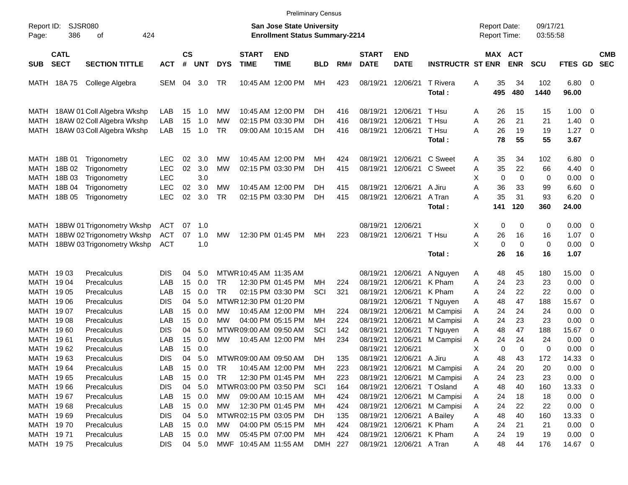|                                                                            |                                                |                                                                                        |                                                              |                                  |                                        |                                    |                                                  | <b>Preliminary Census</b>                                                        |                                    |                                        |                                                          |                                                          |                                                                                            |                            |                                            |                                  |                                    |                                                                  |                                                                  |                          |
|----------------------------------------------------------------------------|------------------------------------------------|----------------------------------------------------------------------------------------|--------------------------------------------------------------|----------------------------------|----------------------------------------|------------------------------------|--------------------------------------------------|----------------------------------------------------------------------------------|------------------------------------|----------------------------------------|----------------------------------------------------------|----------------------------------------------------------|--------------------------------------------------------------------------------------------|----------------------------|--------------------------------------------|----------------------------------|------------------------------------|------------------------------------------------------------------|------------------------------------------------------------------|--------------------------|
| Report ID:<br>Page:                                                        | 386                                            | SJSR080<br>424<br>οf                                                                   |                                                              |                                  |                                        |                                    |                                                  | <b>San Jose State University</b><br><b>Enrollment Status Summary-2214</b>        |                                    |                                        |                                                          |                                                          |                                                                                            |                            | <b>Report Date:</b><br><b>Report Time:</b> |                                  | 09/17/21<br>03:55:58               |                                                                  |                                                                  |                          |
| <b>SUB</b>                                                                 | <b>CATL</b><br><b>SECT</b>                     | <b>SECTION TITTLE</b>                                                                  | <b>ACT</b>                                                   | $\mathsf{cs}$<br>#               | <b>UNT</b>                             | <b>DYS</b>                         | <b>START</b><br><b>TIME</b>                      | <b>END</b><br><b>TIME</b>                                                        | BLD                                | RM#                                    | <b>START</b><br><b>DATE</b>                              | <b>END</b><br><b>DATE</b>                                | <b>INSTRUCTR ST ENR</b>                                                                    |                            | MAX ACT                                    | <b>ENR</b>                       | <b>SCU</b>                         | FTES GD                                                          |                                                                  | <b>CMB</b><br><b>SEC</b> |
| MATH                                                                       | 18A 75                                         | College Algebra                                                                        | SEM                                                          | 04                               | 3.0                                    | TR                                 |                                                  | 10:45 AM 12:00 PM                                                                | MН                                 | 423                                    | 08/19/21                                                 | 12/06/21                                                 | T Rivera<br>Total:                                                                         | Α                          | 35<br>495                                  | 34<br>480                        | 102<br>1440                        | 6.80<br>96.00                                                    | $\overline{\mathbf{0}}$                                          |                          |
| MATH<br>MATH<br>MATH                                                       |                                                | 18AW 01 Coll Algebra Wkshp<br>18AW 02 Coll Algebra Wkshp<br>18AW 03 Coll Algebra Wkshp | LAB<br>LAB<br>LAB                                            | 15<br>15<br>15                   | 1.0<br>1.0<br>1.0                      | МW<br>МW<br><b>TR</b>              |                                                  | 10:45 AM 12:00 PM<br>02:15 PM 03:30 PM<br>09:00 AM 10:15 AM                      | DH<br>DH<br>DH.                    | 416<br>416<br>416                      | 08/19/21<br>08/19/21<br>08/19/21                         | 12/06/21<br>12/06/21<br>12/06/21                         | T Hsu<br>T Hsu<br>T Hsu<br>Total:                                                          | A<br>Α<br>Α                | 26<br>26<br>26<br>78                       | 15<br>21<br>19<br>55             | 15<br>21<br>19<br>55               | 1.00<br>1.40<br>1.27<br>3.67                                     | - 0<br>$\mathbf 0$<br>$\mathbf 0$                                |                          |
| MATH<br>MATH<br><b>MATH</b><br><b>MATH</b><br>MATH                         | 18B 01<br>18B 02<br>18B 03<br>18B 04<br>18B 05 | Trigonometry<br>Trigonometry<br>Trigonometry<br>Trigonometry<br>Trigonometry           | LEC.<br><b>LEC</b><br><b>LEC</b><br><b>LEC</b><br><b>LEC</b> | 02<br>02<br>02<br>02             | 3.0<br>3.0<br>3.0<br>3.0<br>3.0        | МW<br><b>MW</b><br>МW<br><b>TR</b> |                                                  | 10:45 AM 12:00 PM<br>02:15 PM 03:30 PM<br>10:45 AM 12:00 PM<br>02:15 PM 03:30 PM | MН<br>DH<br>DH.<br>DH.             | 424<br>415<br>415<br>415               | 08/19/21<br>08/19/21<br>08/19/21<br>08/19/21             | 12/06/21<br>12/06/21<br>12/06/21<br>12/06/21             | C Sweet<br>C Sweet<br>A Jiru<br>A Tran<br>Total:                                           | A<br>A<br>X<br>Α<br>Α      | 35<br>35<br>$\mathbf 0$<br>36<br>35<br>141 | 34<br>22<br>0<br>33<br>31<br>120 | 102<br>66<br>0<br>99<br>93<br>360  | 6.80<br>4.40<br>0.00<br>6.60<br>6.20<br>24.00                    | - 0<br>0<br>$\overline{0}$<br>$\overline{0}$<br>$\overline{0}$   |                          |
| MATH<br>MATH<br>MATH                                                       |                                                | 18BW 01 Trigonometry Wkshp<br>18BW 02 Trigonometry Wkshp<br>18BW 03 Trigonometry Wkshp | ACT<br><b>ACT</b><br><b>ACT</b>                              | 07<br>07                         | 1.0<br>1.0<br>1.0                      | <b>MW</b>                          |                                                  | 12:30 PM 01:45 PM                                                                | MН                                 | 223                                    | 08/19/21<br>08/19/21                                     | 12/06/21<br>12/06/21                                     | T Hsu<br>Total:                                                                            | X<br>A<br>X                | 0<br>26<br>0<br>26                         | 0<br>16<br>$\mathbf 0$<br>16     | 0<br>16<br>0<br>16                 | 0.00<br>1.07<br>0.00<br>1.07                                     | 0<br>0<br>$\overline{0}$                                         |                          |
| <b>MATH</b><br>MATH<br>MATH<br>MATH<br>MATH                                | 19 03<br>1904<br>19 05<br>19 06<br>1907        | Precalculus<br>Precalculus<br>Precalculus<br>Precalculus<br>Precalculus                | <b>DIS</b><br>LAB<br>LAB<br><b>DIS</b><br>LAB                | 04<br>15<br>15<br>04<br>15       | 5.0<br>0.0<br>0.0<br>5.0<br>0.0        | <b>TR</b><br><b>TR</b><br>MW       | MTWR 10:45 AM 11:35 AM<br>MTWR 12:30 PM 01:20 PM | 12:30 PM 01:45 PM<br>02:15 PM 03:30 PM<br>10:45 AM 12:00 PM                      | MН<br>SCI<br>MН                    | 224<br>321<br>224                      | 08/19/21<br>08/19/21<br>08/19/21<br>08/19/21<br>08/19/21 | 12/06/21<br>12/06/21<br>12/06/21<br>12/06/21<br>12/06/21 | A Nguyen<br>K Pham<br>K Pham<br>T Nguyen<br>M Campisi                                      | A<br>A<br>A<br>Α<br>A      | 48<br>24<br>24<br>48<br>24                 | 45<br>23<br>22<br>47<br>24       | 180<br>23<br>22<br>188<br>24       | 15.00<br>0.00<br>0.00<br>15.67<br>0.00                           | 0<br>$\mathbf 0$<br>$\overline{0}$<br>$\mathbf 0$<br>$\mathbf 0$ |                          |
| MATH<br>MATH<br>MATH<br>MATH<br>MATH                                       | 19 08<br>1960<br>1961<br>1962<br>1963          | Precalculus<br>Precalculus<br>Precalculus<br>Precalculus<br>Precalculus                | LAB<br><b>DIS</b><br>LAB<br>LAB<br><b>DIS</b>                | 15<br>04<br>15<br>15<br>04       | 0.0<br>5.0<br>0.0<br>0.0<br>5.0        | MW<br>MW                           | MTWR 09:00 AM 09:50 AM<br>MTWR 09:00 AM 09:50 AM | 04:00 PM 05:15 PM<br>10:45 AM 12:00 PM                                           | MН<br>SCI<br>MН<br>DH.             | 224<br>142<br>234<br>135               | 08/19/21<br>08/19/21<br>08/19/21<br>08/19/21<br>08/19/21 | 12/06/21<br>12/06/21<br>12/06/21<br>12/06/21<br>12/06/21 | M Campisi<br>T Nguyen<br>M Campisi<br>A Jiru                                               | A<br>A<br>Α<br>X<br>A      | 24<br>48<br>24<br>$\mathbf 0$<br>48        | 23<br>47<br>24<br>0<br>43        | 23<br>188<br>24<br>0<br>172        | 0.00<br>15.67<br>0.00<br>0.00<br>14.33                           | $\overline{0}$<br>0<br>0<br>0<br>$\mathbf 0$                     |                          |
| MATH 1964<br>MATH 1965<br>MATH 1966<br>MATH 1967<br>MATH 1968<br>MATH 1969 |                                                | Precalculus<br>Precalculus<br>Precalculus<br>Precalculus<br>Precalculus<br>Precalculus | LAB<br>LAB<br><b>DIS</b><br>LAB<br>LAB<br><b>DIS</b>         | 15<br>15<br>04<br>15<br>15<br>04 | 0.0<br>0.0<br>5.0<br>0.0<br>0.0<br>5.0 | TR<br><b>TR</b><br>МW<br>МW        | MTWR03:00 PM 03:50 PM<br>MTWR02:15 PM 03:05 PM   | 10:45 AM 12:00 PM<br>12:30 PM 01:45 PM<br>09:00 AM 10:15 AM<br>12:30 PM 01:45 PM | МH<br>МH<br>SCI<br>MН<br>МH<br>DH. | 223<br>223<br>164<br>424<br>424<br>135 | 08/19/21<br>08/19/21<br>08/19/21<br>08/19/21<br>08/19/21 | 12/06/21<br>12/06/21<br>12/06/21<br>12/06/21<br>12/06/21 | 08/19/21 12/06/21 M Campisi<br>M Campisi<br>T Osland<br>M Campisi<br>M Campisi<br>A Bailey | A<br>A<br>A<br>A<br>A<br>A | 24<br>24<br>48<br>24<br>24<br>48           | 20<br>23<br>40<br>18<br>22<br>40 | 20<br>23<br>160<br>18<br>22<br>160 | 0.00<br>0.00<br>13.33 0<br>$0.00 \t 0$<br>$0.00 \t 0$<br>13.33 0 | $\overline{\mathbf{0}}$<br>$\overline{\mathbf{0}}$               |                          |
| MATH 1970<br>MATH 1971<br>MATH 1975                                        |                                                | Precalculus<br>Precalculus<br>Precalculus                                              | LAB<br>LAB<br><b>DIS</b>                                     | 15<br>15                         | 0.0<br>0.0<br>04 5.0                   | МW<br>МW                           | MWF 10:45 AM 11:55 AM                            | 04:00 PM 05:15 PM<br>05:45 PM 07:00 PM                                           | МH<br>МH<br>DMH 227                | 424<br>424                             | 08/19/21<br>08/19/21                                     | 12/06/21<br>12/06/21<br>08/19/21 12/06/21 A Tran         | K Pham<br>K Pham                                                                           | A<br>A<br>A                | 24<br>24<br>48                             | 21<br>19<br>44                   | 21<br>19<br>176                    | $0.00 \t 0$<br>$0.00 \t 0$<br>14.67 0                            |                                                                  |                          |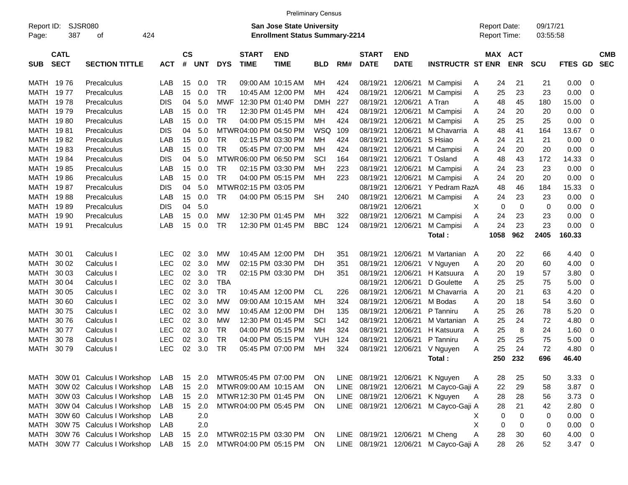|            |             |                                 |            |                  |            |            |                        |                                       | <b>Preliminary Census</b> |      |                   |                                |                                       |                     |      |             |            |            |             |            |
|------------|-------------|---------------------------------|------------|------------------|------------|------------|------------------------|---------------------------------------|---------------------------|------|-------------------|--------------------------------|---------------------------------------|---------------------|------|-------------|------------|------------|-------------|------------|
| Report ID: |             | <b>SJSR080</b>                  |            |                  |            |            |                        | <b>San Jose State University</b>      |                           |      |                   |                                |                                       | <b>Report Date:</b> |      |             | 09/17/21   |            |             |            |
| Page:      | 387         | 424<br>οf                       |            |                  |            |            |                        | <b>Enrollment Status Summary-2214</b> |                           |      |                   |                                |                                       | Report Time:        |      |             | 03:55:58   |            |             |            |
|            |             |                                 |            |                  |            |            |                        |                                       |                           |      |                   |                                |                                       |                     |      |             |            |            |             |            |
|            | <b>CATL</b> |                                 |            | <b>CS</b>        |            |            | <b>START</b>           | <b>END</b>                            |                           |      | <b>START</b>      | <b>END</b>                     |                                       |                     |      | MAX ACT     |            |            |             | <b>CMB</b> |
| <b>SUB</b> | <b>SECT</b> | <b>SECTION TITTLE</b>           | <b>ACT</b> | #                | <b>UNT</b> | <b>DYS</b> | <b>TIME</b>            | <b>TIME</b>                           | <b>BLD</b>                | RM#  | <b>DATE</b>       | <b>DATE</b>                    | <b>INSTRUCTR ST ENR</b>               |                     |      | <b>ENR</b>  | <b>SCU</b> | FTES GD    |             | <b>SEC</b> |
| MATH       | 1976        | Precalculus                     | LAB        | 15               | 0.0        | TR.        |                        | 09:00 AM 10:15 AM                     | МH                        | 424  | 08/19/21          | 12/06/21                       | M Campisi                             | A                   | 24   | 21          | 21         | 0.00       | 0           |            |
| MATH       | 19 77       | Precalculus                     | LAB        | 15               | 0.0        | <b>TR</b>  |                        | 10:45 AM 12:00 PM                     | MН                        | 424  | 08/19/21          | 12/06/21                       | M Campisi                             | A                   | 25   | 23          | 23         | 0.00       | 0           |            |
| MATH       | 1978        | Precalculus                     | <b>DIS</b> | 04               | 5.0        | MWF        |                        | 12:30 PM 01:40 PM                     | DMH                       | 227  | 08/19/21          | 12/06/21                       | A Tran                                | A                   | 48   | 45          | 180        | 15.00      | 0           |            |
| MATH       | 19 79       | Precalculus                     | LAB        | 15               | 0.0        | TR.        |                        | 12:30 PM 01:45 PM                     | MН                        | 424  | 08/19/21          | 12/06/21                       | M Campisi                             | A                   | 24   | 20          | 20         | 0.00       | 0           |            |
| MATH       | 1980        | Precalculus                     | LAB        | 15               | 0.0        | <b>TR</b>  |                        | 04:00 PM 05:15 PM                     | MН                        | 424  | 08/19/21          | 12/06/21                       | M Campisi                             | Α                   | 25   | 25          | 25         | 0.00       | 0           |            |
| MATH       | 1981        | Precalculus                     | <b>DIS</b> | 04               | 5.0        |            | MTWR 04:00 PM 04:50 PM |                                       | WSQ                       | 109  | 08/19/21          | 12/06/21                       | M Chavarria                           | A                   | 48   | 41          | 164        | 13.67      | 0           |            |
| MATH       | 1982        | Precalculus                     | LAB        | 15               | 0.0        | TR.        |                        | 02:15 PM 03:30 PM                     | MН                        | 424  | 08/19/21          | 12/06/21                       | S Hsiao                               | A                   | 24   | 21          | 21         | 0.00       | $\mathbf 0$ |            |
| MATH       | 1983        | Precalculus                     | LAB        | 15               | 0.0        | <b>TR</b>  |                        | 05:45 PM 07:00 PM                     | MН                        | 424  | 08/19/21          | 12/06/21                       | M Campisi                             | A                   | 24   | 20          | 20         | 0.00       | 0           |            |
| MATH       | 19 84       | Precalculus                     | <b>DIS</b> | 04               | 5.0        |            | MTWR06:00 PM 06:50 PM  |                                       | SCI                       | 164  | 08/19/21          | 12/06/21                       | T Osland                              | A                   | 48   | 43          | 172        | 14.33      | 0           |            |
| MATH       | 1985        | Precalculus                     | LAB        | 15               | 0.0        | TR         |                        | 02:15 PM 03:30 PM                     | MН                        | 223  | 08/19/21          | 12/06/21                       | M Campisi                             | A                   | 24   | 23          | 23         | 0.00       | 0           |            |
| MATH       | 1986        | Precalculus                     | LAB        | 15               | 0.0        | TR         |                        | 04:00 PM 05:15 PM                     | MН                        | 223  | 08/19/21          | 12/06/21                       | M Campisi                             | Α                   | 24   | 20          | 20         | 0.00       | 0           |            |
| MATH       | 19 87       | Precalculus                     | <b>DIS</b> | 04               | 5.0        |            | MTWR 02:15 PM 03:05 PM |                                       |                           |      | 08/19/21          | 12/06/21                       | Y Pedram RazA                         |                     | 48   | 46          | 184        | 15.33      | 0           |            |
| MATH       | 1988        | Precalculus                     | LAB        | 15               | 0.0        | TR.        |                        | 04:00 PM 05:15 PM                     | <b>SH</b>                 | 240  | 08/19/21          | 12/06/21                       | M Campisi                             | Α                   | 24   | 23          | 23         | 0.00       | 0           |            |
| MATH       | 1989        | Precalculus                     | <b>DIS</b> | 04               | 5.0        |            |                        |                                       |                           |      | 08/19/21          | 12/06/21                       |                                       | Χ                   | 0    | $\mathbf 0$ | 0          | 0.00       | $\mathbf 0$ |            |
| MATH       | 19 90       | Precalculus                     | LAB        | 15               | 0.0        | MW         |                        | 12:30 PM 01:45 PM                     | MН                        | 322  | 08/19/21          | 12/06/21                       | M Campisi                             | Α                   | 24   | 23          | 23         | 0.00       | $\mathbf 0$ |            |
| MATH       | 19 91       | Precalculus                     | LAB        | 15               | 0.0        | <b>TR</b>  |                        | 12:30 PM 01:45 PM                     | <b>BBC</b>                | 124  | 08/19/21          | 12/06/21                       | M Campisi                             | A                   | 24   | 23          | 23         | 0.00       | 0           |            |
|            |             |                                 |            |                  |            |            |                        |                                       |                           |      |                   |                                | Total:                                |                     | 1058 | 962         | 2405       | 160.33     |             |            |
|            |             |                                 |            |                  |            |            |                        |                                       |                           |      |                   |                                |                                       |                     |      |             |            |            |             |            |
| MATH       | 30 01       | Calculus I                      | <b>LEC</b> | 02               | 3.0        | MW         |                        | 10:45 AM 12:00 PM                     | DH                        | 351  | 08/19/21          | 12/06/21                       | M Vartanian                           | A                   | 20   | 22          | 66         | 4.40       | 0           |            |
| MATH       | 30 02       | Calculus I                      | <b>LEC</b> | 02               | 3.0        | MW         |                        | 02:15 PM 03:30 PM                     | DН                        | 351  | 08/19/21          | 12/06/21                       | V Nguyen                              | A                   | 20   | 20          | 60         | 4.00       | 0           |            |
| MATH       | 30 03       | Calculus I                      | <b>LEC</b> | 02               | 3.0        | TR         |                        | 02:15 PM 03:30 PM                     | DH                        | 351  | 08/19/21          | 12/06/21                       | H Katsuura                            | A                   | 20   | 19          | 57         | 3.80       | 0           |            |
| MATH       | 30 04       | Calculus I                      | <b>LEC</b> | 02               | 3.0        | <b>TBA</b> |                        |                                       |                           |      | 08/19/21          | 12/06/21                       | D Goulette                            | A                   | 25   | 25          | 75         | 5.00       | 0           |            |
| MATH       | 30 05       | Calculus I                      | <b>LEC</b> | 02               | 3.0        | TR.        |                        | 10:45 AM 12:00 PM                     | CL.                       | 226  | 08/19/21          | 12/06/21                       | M Chavarria                           | A                   | 20   | 21          | 63         | 4.20       | 0           |            |
| MATH       | 30 60       | Calculus I                      | <b>LEC</b> | 02               | 3.0        | МW         |                        | 09:00 AM 10:15 AM                     | MН                        | 324  | 08/19/21          | 12/06/21                       | M Bodas                               | A                   | 20   | 18          | 54         | 3.60       | 0           |            |
| MATH       | 3075        | Calculus I                      | <b>LEC</b> | 02               | 3.0        | МW         |                        | 10:45 AM 12:00 PM                     | DН                        | 135  | 08/19/21          | 12/06/21                       | P Tanniru                             | A                   | 25   | 26          | 78         | 5.20       | 0           |            |
| MATH       | 3076        | Calculus I                      | <b>LEC</b> | 02               | 3.0        | МW         |                        | 12:30 PM 01:45 PM                     | SCI                       | 142  | 08/19/21          | 12/06/21                       | M Vartanian                           | A                   | 25   | 24          | 72         | 4.80       | 0           |            |
| MATH       | 3077        | Calculus I                      | <b>LEC</b> | 02               | 3.0        | TR.        |                        | 04:00 PM 05:15 PM                     | MН                        | 324  | 08/19/21          | 12/06/21                       | H Katsuura                            | A                   | 25   | 8           | 24         | 1.60       | 0           |            |
| MATH       | 3078        | Calculus I                      | <b>LEC</b> | 02               | 3.0        | <b>TR</b>  |                        | 04:00 PM 05:15 PM                     | YUH                       | 124  | 08/19/21          | 12/06/21                       | P Tanniru                             | A                   | 25   | 25          | 75         | 5.00       | 0           |            |
| MATH       | 3079        | Calculus                        | <b>LEC</b> | 02               | 3.0        | <b>TR</b>  |                        | 05:45 PM 07:00 PM                     | МH                        | 324  | 08/19/21          | 12/06/21                       | V Nguyen                              | A                   | 25   | 24          | 72         | 4.80       | 0           |            |
|            |             |                                 |            |                  |            |            |                        |                                       |                           |      |                   |                                | Total :                               |                     | 250  | 232         | 696        | 46.40      |             |            |
|            |             |                                 |            |                  |            |            |                        |                                       |                           |      |                   |                                |                                       |                     |      |             |            |            |             |            |
|            |             | MATH 30W 01 Calculus I Workshop | LAB        |                  | 15 2.0     |            | MTWR 05:45 PM 07:00 PM |                                       | <b>ON</b>                 | LINE | 08/19/21 12/06/21 |                                | K Nguyen                              | A                   | 28   | 25          | 50         | 3.33       | - 0         |            |
| MATH       |             | 30W 02 Calculus I Workshop      | LAB        |                  | 15 2.0     |            | MTWR 09:00 AM 10:15 AM |                                       | ON.                       | LINE | 08/19/21          | 12/06/21                       | M Cayco-Gaji A                        |                     | 22   | 29          | 58         | $3.87$ 0   |             |            |
| MATH       |             | 30W 03 Calculus I Workshop      | LAB        |                  | 15 2.0     |            | MTWR 12:30 PM 01:45 PM |                                       | ON.                       | LINE | 08/19/21          | 12/06/21                       | K Nguyen                              | A                   | 28   | 28          | 56         | 3.73       | - 0         |            |
| MATH       |             | 30W 04 Calculus I Workshop      | LAB        | 15 <sup>15</sup> | 2.0        |            | MTWR04:00 PM 05:45 PM  |                                       | ON                        | LINE | 08/19/21          | 12/06/21                       | M Cayco-Gaji A                        |                     | 28   | 21          | 42         | 2.80       | 0           |            |
| MATH       |             | 30W 60 Calculus I Workshop      | LAB        |                  | 2.0        |            |                        |                                       |                           |      |                   |                                |                                       | X                   | 0    | 0           | 0          | 0.00       | 0           |            |
| MATH       |             | 30W 75 Calculus I Workshop      | LAB        |                  | 2.0        |            |                        |                                       |                           |      |                   |                                |                                       | X                   | 0    | 0           | 0          | 0.00       | 0           |            |
| MATH       |             | 30W 76 Calculus I Workshop      | LAB        | 15               | 2.0        |            | MTWR02:15 PM 03:30 PM  |                                       | ON.                       |      |                   | LINE 08/19/21 12/06/21 M Cheng |                                       | A                   | 28   | 30          | 60         | 4.00       | - 0         |            |
| MATH       |             | 30W 77 Calculus I Workshop      | LAB        |                  | 15 2.0     |            | MTWR04:00 PM 05:15 PM  |                                       | ON                        |      |                   |                                | LINE 08/19/21 12/06/21 M Cayco-Gaji A |                     | 28   | 26          | 52         | $3.47 \ 0$ |             |            |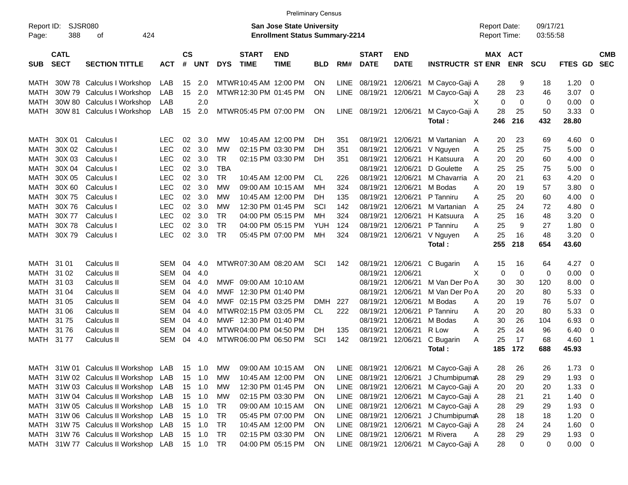|                     |                            |                                      |            |                  |                |            |                             |                                                                    | <b>Preliminary Census</b> |             |                             |                           |                         |                                     |            |                      |                |                          |                          |
|---------------------|----------------------------|--------------------------------------|------------|------------------|----------------|------------|-----------------------------|--------------------------------------------------------------------|---------------------------|-------------|-----------------------------|---------------------------|-------------------------|-------------------------------------|------------|----------------------|----------------|--------------------------|--------------------------|
| Report ID:<br>Page: | 388                        | <b>SJSR080</b><br>424<br>οf          |            |                  |                |            |                             | San Jose State University<br><b>Enrollment Status Summary-2214</b> |                           |             |                             |                           |                         | <b>Report Date:</b><br>Report Time: |            | 09/17/21<br>03:55:58 |                |                          |                          |
| <b>SUB</b>          | <b>CATL</b><br><b>SECT</b> | <b>SECTION TITTLE</b>                | <b>ACT</b> | <b>CS</b><br>#   | UNT            | <b>DYS</b> | <b>START</b><br><b>TIME</b> | <b>END</b><br><b>TIME</b>                                          | <b>BLD</b>                | RM#         | <b>START</b><br><b>DATE</b> | <b>END</b><br><b>DATE</b> | <b>INSTRUCTR ST ENR</b> | MAX ACT                             | <b>ENR</b> | <b>SCU</b>           | <b>FTES GD</b> |                          | <b>CMB</b><br><b>SEC</b> |
| MATH                |                            | 30W 78 Calculus I Workshop           | LAB        | 15               | 2.0            |            | MTWR 10:45 AM 12:00 PM      |                                                                    | ON                        | <b>LINE</b> | 08/19/21                    | 12/06/21                  | M Cayco-Gaji A          | 28                                  | 9          | 18                   | 1.20           | - 0                      |                          |
| <b>MATH</b>         |                            | 30W 79 Calculus I Workshop           | LAB        | 15 <sub>1</sub>  | 2.0            |            | MTWR 12:30 PM 01:45 PM      |                                                                    | ON                        | LINE        | 08/19/21                    | 12/06/21                  | M Cayco-Gaji A          | 28                                  | 23         | 46                   | 3.07           | - 0                      |                          |
| <b>MATH</b>         |                            | 30W 80 Calculus I Workshop           | LAB        |                  | 2.0            |            |                             |                                                                    |                           |             |                             |                           |                         | $\mathbf 0$<br>х                    | 0          | $\mathbf 0$          | 0.00           | 0                        |                          |
| MATH                |                            | 30W 81 Calculus I Workshop           | LAB        | 15 <sup>15</sup> | 2.0            |            | MTWR 05:45 PM 07:00 PM      |                                                                    | ON                        | LINE        | 08/19/21 12/06/21           |                           | M Cayco-Gaji A          | 28                                  | 25         | 50                   | 3.33           | $\overline{0}$           |                          |
|                     |                            |                                      |            |                  |                |            |                             |                                                                    |                           |             |                             |                           | Total:                  | 246                                 | 216        | 432                  | 28.80          |                          |                          |
|                     |                            |                                      |            |                  |                |            |                             |                                                                    |                           |             |                             |                           |                         |                                     |            |                      |                |                          |                          |
| MATH                | 30X 01                     | Calculus I                           | <b>LEC</b> | 02               | 3.0            | МW         |                             | 10:45 AM 12:00 PM                                                  | DH.                       | 351         | 08/19/21                    | 12/06/21                  | M Vartanian             | 20<br>A                             | 23         | 69                   | 4.60           | 0                        |                          |
| <b>MATH</b>         | 30X 02                     | Calculus I                           | <b>LEC</b> | 02               | 3.0            | МW         |                             | 02:15 PM 03:30 PM                                                  | DH                        | 351         | 08/19/21                    | 12/06/21                  | V Nguyen                | 25<br>Α                             | 25         | 75                   | 5.00           | 0                        |                          |
| <b>MATH</b>         | 30X 03                     | Calculus I                           | <b>LEC</b> | 02               | 3.0            | <b>TR</b>  |                             | 02:15 PM 03:30 PM                                                  | DH                        | 351         | 08/19/21                    | 12/06/21                  | H Katsuura              | 20<br>Α                             | 20         | 60                   | 4.00           | 0                        |                          |
| <b>MATH</b>         | 30X 04                     | Calculus I                           | <b>LEC</b> | 02 <sub>o</sub>  | 3.0            | <b>TBA</b> |                             |                                                                    |                           |             | 08/19/21                    | 12/06/21                  | D Goulette              | 25<br>A                             | 25         | 75                   | 5.00           | 0                        |                          |
| <b>MATH</b>         | 30X 05                     | Calculus I                           | <b>LEC</b> |                  | $02 \quad 3.0$ | <b>TR</b>  |                             | 10:45 AM 12:00 PM                                                  | <b>CL</b>                 | 226         | 08/19/21                    | 12/06/21                  | M Chavarria             | 20<br>A                             | 21         | 63                   | 4.20           | 0                        |                          |
| <b>MATH</b>         | 30X 60                     | Calculus I                           | <b>LEC</b> | 02 <sub>2</sub>  | 3.0            | МW         |                             | 09:00 AM 10:15 AM                                                  | <b>MH</b>                 | 324         | 08/19/21                    | 12/06/21                  | M Bodas                 | 20<br>A                             | 19         | 57                   | 3.80           | 0                        |                          |
| <b>MATH</b>         | 30X75                      | Calculus I                           | <b>LEC</b> | 02               | 3.0            | МW         |                             | 10:45 AM 12:00 PM                                                  | <b>DH</b>                 | 135         | 08/19/21                    | 12/06/21                  | P Tanniru               | 25<br>A                             | 20         | 60                   | 4.00           | 0                        |                          |
| <b>MATH</b>         | 30X76                      | Calculus I                           | <b>LEC</b> | 02               | 3.0            | МW         |                             | 12:30 PM 01:45 PM                                                  | SCI                       | 142         | 08/19/21                    | 12/06/21                  | M Vartanian             | 25<br>A                             | 24         | 72                   | 4.80           | 0                        |                          |
| <b>MATH</b>         | 30X77                      | Calculus I                           | <b>LEC</b> | 02               | 3.0            | <b>TR</b>  |                             | 04:00 PM 05:15 PM                                                  | <b>MH</b>                 | 324         | 08/19/21                    | 12/06/21                  | H Katsuura              | 25<br>A                             | 16         | 48                   | 3.20           | 0                        |                          |
| <b>MATH</b>         | 30X78                      | Calculus I                           | <b>LEC</b> | 02               | 3.0            | <b>TR</b>  |                             | 04:00 PM 05:15 PM                                                  | <b>YUH</b>                | 124         | 08/19/21                    | 12/06/21                  | P Tanniru               | 25<br>A                             | 9          | 27                   | 1.80           | 0                        |                          |
| <b>MATH</b>         | 30X79                      | Calculus I                           | <b>LEC</b> | 02               | 3.0            | <b>TR</b>  |                             | 05:45 PM 07:00 PM                                                  | MH                        | 324         | 08/19/21                    | 12/06/21                  | V Nguyen                | 25<br>A                             | 16         | 48                   | 3.20           | $\overline{0}$           |                          |
|                     |                            |                                      |            |                  |                |            |                             |                                                                    |                           |             |                             |                           | Total:                  | 255                                 | 218        | 654                  | 43.60          |                          |                          |
| MATH                | 31 01                      | Calculus II                          | SEM        | 04               | 4.0            |            | MTWR 07:30 AM 08:20 AM      |                                                                    | SCI                       | 142         | 08/19/21                    | 12/06/21                  | C Bugarin               | 15<br>A                             | 16         | 64                   | 4.27           | - 0                      |                          |
| MATH                | 31 02                      | Calculus II                          | SEM        | 04               | 4.0            |            |                             |                                                                    |                           |             | 08/19/21                    | 12/06/21                  |                         | X<br>$\mathbf 0$                    | 0          | 0                    | 0.00           | 0                        |                          |
| MATH                | 31 03                      | Calculus II                          | SEM        | 04               | 4.0            | <b>MWF</b> | 09:00 AM 10:10 AM           |                                                                    |                           |             | 08/19/21                    | 12/06/21                  | M Van Der Po A          | 30                                  | 30         | 120                  | 8.00           | 0                        |                          |
| MATH                | 31 04                      | Calculus II                          | SEM        | 04               | 4.0            | <b>MWF</b> | 12:30 PM 01:40 PM           |                                                                    |                           |             | 08/19/21                    | 12/06/21                  | M Van Der Po A          | 20                                  | 20         | 80                   | 5.33           | 0                        |                          |
| MATH                | 31 05                      | Calculus II                          | SEM        | 04               | 4.0            | MWF        | 02:15 PM 03:25 PM           |                                                                    | <b>DMH</b>                | 227         | 08/19/21                    | 12/06/21                  | M Bodas                 | 20<br>A                             | 19         | 76                   | 5.07           | 0                        |                          |
| MATH                | 31 06                      | Calculus II                          | SEM        | 04               | 4.0            |            | MTWR 02:15 PM 03:05 PM      |                                                                    | <b>CL</b>                 | 222         | 08/19/21                    | 12/06/21                  | P Tanniru               | 20<br>Α                             | 20         | 80                   | 5.33           | 0                        |                          |
| MATH                | 3175                       | Calculus II                          | SEM        | 04               | 4.0            |            | MWF 12:30 PM 01:40 PM       |                                                                    |                           |             | 08/19/21                    | 12/06/21                  | M Bodas                 | 30<br>A                             | 26         | 104                  | 6.93           | 0                        |                          |
| MATH                | 3176                       | Calculus II                          | SEM        | 04               | 4.0            |            | MTWR 04:00 PM 04:50 PM      |                                                                    | DH                        | 135         | 08/19/21                    | 12/06/21                  | R Low                   | 25<br>A                             | 24         | 96                   | 6.40           | 0                        |                          |
|                     | MATH 3177                  | Calculus II                          | SEM        | 04               | 4.0            |            | MTWR 06:00 PM 06:50 PM      |                                                                    | SCI                       | 142         | 08/19/21                    | 12/06/21                  | C Bugarin               | 25<br>A                             | 17         | 68                   | 4.60           | - 1                      |                          |
|                     |                            |                                      |            |                  |                |            |                             |                                                                    |                           |             |                             |                           | Total:                  | 185                                 | 172        | 688                  | 45.93          |                          |                          |
|                     |                            |                                      |            |                  |                |            |                             |                                                                    |                           |             |                             |                           |                         |                                     |            |                      |                |                          |                          |
|                     |                            | MATH 31W 01 Calculus II Workshop LAB |            |                  | 15 1.0         | <b>MW</b>  |                             | 09:00 AM 10:15 AM                                                  | <b>ON</b>                 | <b>LINE</b> | 08/19/21 12/06/21           |                           | M Cayco-Gaji A          | 28                                  | 26         | 26                   | 1.73           | 0                        |                          |
|                     |                            | MATH 31W 02 Calculus II Workshop LAB |            |                  | 15 1.0         | MW         |                             | 10:45 AM 12:00 PM                                                  | ON                        | LINE        | 08/19/21 12/06/21           |                           | J ChumbipumaA           | 28                                  | 29         | 29                   | 1.93           | $\overline{\phantom{0}}$ |                          |
|                     |                            | MATH 31W 03 Calculus II Workshop LAB |            |                  | 15 1.0         | MW         |                             | 12:30 PM 01:45 PM                                                  | ON                        | LINE        | 08/19/21 12/06/21           |                           | M Cayco-Gaji A          | 20                                  | 20         | 20                   | 1.33           | - 0                      |                          |
|                     |                            | MATH 31W 04 Calculus II Workshop LAB |            |                  | 15 1.0         | MW         |                             | 02:15 PM 03:30 PM                                                  | ON                        | LINE        | 08/19/21 12/06/21           |                           | M Cayco-Gaji A          | 28                                  | 21         | 21                   | 1.40           | 0                        |                          |
|                     |                            | MATH 31W 05 Calculus II Workshop LAB |            |                  | 15 1.0         | TR         |                             | 09:00 AM 10:15 AM                                                  | ON                        | LINE        | 08/19/21                    | 12/06/21                  | M Cayco-Gaji A          | 28                                  | 29         | 29                   | 1.93           | 0                        |                          |
|                     |                            | MATH 31W 06 Calculus II Workshop LAB |            |                  | 15 1.0         | TR         |                             | 05:45 PM 07:00 PM                                                  | ON                        | LINE        | 08/19/21                    | 12/06/21                  | J ChumbipumaA           | 28                                  | 18         | 18                   | 1.20           | 0                        |                          |
|                     |                            | MATH 31W 75 Calculus II Workshop LAB |            |                  | 15 1.0         | TR         |                             | 10:45 AM 12:00 PM                                                  | ON                        | LINE        | 08/19/21                    | 12/06/21                  | M Cayco-Gaji A          | 28                                  | 24         | 24                   | 1.60           | $\overline{\mathbf{0}}$  |                          |
|                     |                            | MATH 31W 76 Calculus II Workshop LAB |            |                  | 15 1.0         | TR         |                             | 02:15 PM 03:30 PM                                                  | ON                        | LINE        | 08/19/21                    | 12/06/21                  | M Rivera                | 28<br>A                             | 29         | 29                   | $1.93 \ 0$     |                          |                          |
|                     |                            | MATH 31W 77 Calculus II Workshop LAB |            |                  | 15 1.0         | TR         |                             | 04:00 PM 05:15 PM                                                  | ON                        |             | LINE 08/19/21               | 12/06/21                  | M Cayco-Gaji A          | 28                                  | 0          | 0                    | $0.00 \t 0$    |                          |                          |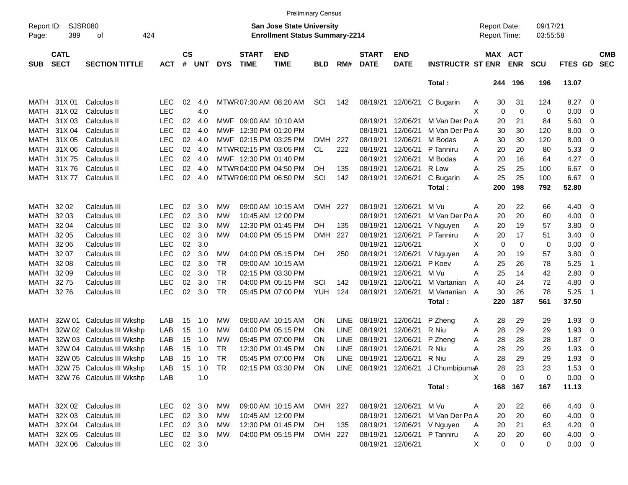|                     |                            |                                |            |                    |            |            |                             | <b>Preliminary Census</b>                                                 |            |             |                             |                           |                                                           |                                     |             |                      |             |                          |                          |
|---------------------|----------------------------|--------------------------------|------------|--------------------|------------|------------|-----------------------------|---------------------------------------------------------------------------|------------|-------------|-----------------------------|---------------------------|-----------------------------------------------------------|-------------------------------------|-------------|----------------------|-------------|--------------------------|--------------------------|
| Report ID:<br>Page: | SJSR080<br>389             | 424<br>оf                      |            |                    |            |            |                             | <b>San Jose State University</b><br><b>Enrollment Status Summary-2214</b> |            |             |                             |                           |                                                           | <b>Report Date:</b><br>Report Time: |             | 09/17/21<br>03:55:58 |             |                          |                          |
| <b>SUB</b>          | <b>CATL</b><br><b>SECT</b> | <b>SECTION TITTLE</b>          | <b>ACT</b> | $\mathsf{cs}$<br># | <b>UNT</b> | <b>DYS</b> | <b>START</b><br><b>TIME</b> | <b>END</b><br><b>TIME</b>                                                 | <b>BLD</b> | RM#         | <b>START</b><br><b>DATE</b> | <b>END</b><br><b>DATE</b> | <b>INSTRUCTR ST ENR</b>                                   | MAX ACT                             | <b>ENR</b>  | <b>SCU</b>           | FTES GD     |                          | <b>CMB</b><br><b>SEC</b> |
|                     |                            |                                |            |                    |            |            |                             |                                                                           |            |             |                             |                           | Total:                                                    | 244                                 | 196         | 196                  | 13.07       |                          |                          |
| MATH                | 31X 01                     | Calculus II                    | <b>LEC</b> | 02                 | 4.0        |            | MTWR 07:30 AM 08:20 AM      |                                                                           | SCI        | 142         | 08/19/21                    | 12/06/21                  | C Bugarin<br>A                                            | 30                                  | 31          | 124                  | 8.27        | - 0                      |                          |
| MATH                | 31X 02                     | Calculus II                    | <b>LEC</b> |                    | 4.0        |            |                             |                                                                           |            |             |                             |                           | X                                                         | 0                                   | $\mathbf 0$ | 0                    | 0.00        | - 0                      |                          |
| MATH                | 31X 03                     | Calculus II                    | <b>LEC</b> | 02                 | 4.0        |            | MWF 09:00 AM 10:10 AM       |                                                                           |            |             | 08/19/21                    | 12/06/21                  | M Van Der Po A                                            | 20                                  | 21          | 84                   | 5.60        | - 0                      |                          |
| <b>MATH</b>         | 31X 04                     | Calculus II                    | <b>LEC</b> | 02                 | 4.0        |            | MWF 12:30 PM 01:20 PM       |                                                                           |            |             | 08/19/21                    | 12/06/21                  | M Van Der Po A                                            | 30                                  | 30          | 120                  | 8.00        | - 0                      |                          |
| MATH                | 31X 05                     | Calculus II                    | <b>LEC</b> | 02                 | 4.0        |            | MWF 02:15 PM 03:25 PM       |                                                                           | <b>DMH</b> | 227         | 08/19/21                    | 12/06/21                  | M Bodas<br>A                                              | 30                                  | 30          | 120                  | 8.00        | - 0                      |                          |
| MATH                | 31X 06                     | Calculus II                    | <b>LEC</b> | 02                 | 4.0        |            | MTWR 02:15 PM 03:05 PM      |                                                                           | CL         | 222         | 08/19/21                    | 12/06/21                  | P Tanniru<br>Α                                            | 20                                  | 20          | 80                   | 5.33        | - 0                      |                          |
| <b>MATH</b>         | 31X75                      | Calculus II                    | <b>LEC</b> | 02                 | 4.0        |            | MWF 12:30 PM 01:40 PM       |                                                                           |            |             | 08/19/21                    | 12/06/21                  | M Bodas<br>A                                              | 20                                  | 16          | 64                   | 4.27        | - 0                      |                          |
| <b>MATH</b>         | 31X76                      | Calculus II                    | <b>LEC</b> | 02                 | 4.0        |            | MTWR 04:00 PM 04:50 PM      |                                                                           | DH.        | 135         | 08/19/21                    | 12/06/21                  | R Low<br>A                                                | 25                                  | 25          | 100                  | 6.67        | $\overline{0}$           |                          |
| MATH                | 31X 77                     | Calculus II                    | <b>LEC</b> | 02                 | 4.0        |            | MTWR06:00 PM 06:50 PM       |                                                                           | SCI        | 142         | 08/19/21                    | 12/06/21                  | C Bugarin<br>A                                            | 25                                  | 25          | 100                  | 6.67        | $\overline{\mathbf{0}}$  |                          |
|                     |                            |                                |            |                    |            |            |                             |                                                                           |            |             |                             |                           | Total:                                                    | 200                                 | 198         | 792                  | 52.80       |                          |                          |
| MATH                | 32 02                      | Calculus III                   | <b>LEC</b> | 02                 | 3.0        | MW         |                             | 09:00 AM 10:15 AM                                                         | <b>DMH</b> | 227         | 08/19/21                    | 12/06/21                  | M Vu<br>Α                                                 | 20                                  | 22          | 66                   | 4.40        | $\overline{\phantom{0}}$ |                          |
| MATH                | 32 03                      | Calculus III                   | <b>LEC</b> | 02                 | 3.0        | MW         |                             | 10:45 AM 12:00 PM                                                         |            |             | 08/19/21                    | 12/06/21                  | M Van Der Po A                                            | 20                                  | 20          | 60                   | 4.00        | - 0                      |                          |
| MATH                | 32 04                      | Calculus III                   | <b>LEC</b> | 02                 | 3.0        | MW         |                             | 12:30 PM 01:45 PM                                                         | DH.        | 135         | 08/19/21                    | 12/06/21                  | V Nguyen<br>Α                                             | 20                                  | 19          | 57                   | 3.80        | $\overline{\mathbf{0}}$  |                          |
| MATH                | 32 05                      | Calculus III                   | <b>LEC</b> | 02                 | 3.0        | MW         |                             | 04:00 PM 05:15 PM                                                         | <b>DMH</b> | 227         | 08/19/21                    | 12/06/21                  | P Tanniru<br>Α                                            | 20                                  | 17          | 51                   | 3.40        | - 0                      |                          |
| <b>MATH</b>         | 32 06                      | Calculus III                   | <b>LEC</b> | 02                 | 3.0        |            |                             |                                                                           |            |             | 08/19/21                    | 12/06/21                  | X                                                         | 0                                   | 0           | 0                    | 0.00        | - 0                      |                          |
| MATH                | 32 07                      | Calculus III                   | <b>LEC</b> | 02                 | 3.0        | MW         |                             | 04:00 PM 05:15 PM                                                         | DH.        | 250         | 08/19/21                    | 12/06/21                  | V Nguyen<br>Α                                             | 20                                  | 19          | 57                   | 3.80        | - 0                      |                          |
| MATH                | 32 08                      | Calculus III                   | <b>LEC</b> | 02                 | 3.0        | <b>TR</b>  |                             | 09:00 AM 10:15 AM                                                         |            |             | 08/19/21                    | 12/06/21                  | P Koev<br>Α                                               | 25                                  | 26          | 78                   | 5.25        | -1                       |                          |
| MATH                | 32 09                      | Calculus III                   | <b>LEC</b> | 02                 | 3.0        | <b>TR</b>  |                             | 02:15 PM 03:30 PM                                                         |            |             | 08/19/21                    | 12/06/21                  | M Vu<br>Α                                                 | 25                                  | 14          | 42                   | 2.80        | $\overline{0}$           |                          |
| MATH                | 3275                       | Calculus III                   | <b>LEC</b> | 02                 | 3.0        | <b>TR</b>  |                             | 04:00 PM 05:15 PM                                                         | SCI        | 142         | 08/19/21                    | 12/06/21                  | M Vartanian<br>A                                          | 40                                  | 24          | 72                   | 4.80        | $\overline{0}$           |                          |
| MATH                | 3276                       | Calculus III                   | <b>LEC</b> | 02                 | 3.0        | <b>TR</b>  |                             | 05:45 PM 07:00 PM                                                         | YUH        | 124         | 08/19/21                    | 12/06/21                  | M Vartanian<br>A                                          | 30                                  | 26          | 78                   | 5.25        | $\overline{1}$           |                          |
|                     |                            |                                |            |                    |            |            |                             |                                                                           |            |             |                             |                           | Total:                                                    | 220                                 | 187         | 561                  | 37.50       |                          |                          |
| MATH                |                            | 32W 01 Calculus III Wkshp      | LAB        | 15                 | 1.0        | MW         |                             | 09:00 AM 10:15 AM                                                         | ON         | <b>LINE</b> | 08/19/21                    | 12/06/21                  | P Zheng<br>A                                              | 28                                  | 29          | 29                   | 1.93        | $\overline{\phantom{0}}$ |                          |
| MATH                |                            | 32W 02 Calculus III Wkshp      | LAB        | 15                 | 1.0        | МW         |                             | 04:00 PM 05:15 PM                                                         | ON         | <b>LINE</b> | 08/19/21                    | 12/06/21                  | R Niu<br>A                                                | 28                                  | 29          | 29                   | 1.93        | $\mathbf 0$              |                          |
| MATH                |                            | 32W 03 Calculus III Wkshp      | LAB        | 15                 | 1.0        | MW         |                             | 05:45 PM 07:00 PM                                                         | ON         | <b>LINE</b> | 08/19/21                    | 12/06/21                  | P Zheng<br>Α                                              | 28                                  | 28          | 28                   | 1.87        | $\overline{\mathbf{0}}$  |                          |
| MATH                |                            | 32W 04 Calculus III Wkshp      | LAB        | 15                 | 1.0        | <b>TR</b>  |                             | 12:30 PM 01:45 PM                                                         | ΟN         | <b>LINE</b> | 08/19/21                    | 12/06/21                  | R Niu<br>Α                                                | 28                                  | 29          | 29                   | 1.93        | $\mathbf 0$              |                          |
| MATH                |                            | 32W 05 Calculus III Wkshp      | LAB        | 15                 | 1.0        | <b>TR</b>  |                             | 05:45 PM 07:00 PM                                                         | ΟN         | <b>LINE</b> | 08/19/21                    | 12/06/21                  | R Niu<br>A                                                | 28                                  | 29          | 29                   | 1.93        | - 0                      |                          |
|                     |                            | MATH 32W 75 Calculus III Wkshp | LAB        |                    |            |            |                             |                                                                           |            |             |                             |                           | 02:15 PM 03:30 PM ON LINE 08/19/21 12/06/21 J ChumbipumaA | 28                                  | 23          | 23                   | $1.53 \t 0$ |                          |                          |
|                     |                            | MATH 32W 76 Calculus III Wkshp | LAB        |                    | 1.0        |            |                             |                                                                           |            |             |                             |                           | X                                                         | 0                                   | $\mathbf 0$ | 0                    | $0.00 \t 0$ |                          |                          |
|                     |                            |                                |            |                    |            |            |                             |                                                                           |            |             |                             |                           | Total:                                                    | 168                                 | 167         | 167                  | 11.13       |                          |                          |
|                     |                            | MATH 32X 02 Calculus III       | <b>LEC</b> |                    | 02 3.0     | МW         |                             | 09:00 AM 10:15 AM                                                         | DMH 227    |             |                             | 08/19/21 12/06/21 M Vu    | A                                                         | 20                                  | 22          | 66                   | 4.40 0      |                          |                          |
|                     | MATH 32X 03                | Calculus III                   | <b>LEC</b> |                    | 02 3.0     | МW         |                             | 10:45 AM 12:00 PM                                                         |            |             |                             |                           | 08/19/21 12/06/21 M Van Der Po A                          | 20                                  | 20          | 60                   | $4.00 \ 0$  |                          |                          |
|                     |                            | MATH 32X 04 Calculus III       | <b>LEC</b> |                    | 02 3.0     | МW         |                             | 12:30 PM 01:45 PM                                                         | DH         | 135         |                             |                           | 08/19/21 12/06/21 V Nguyen<br>Α                           | 20                                  | 21          | 63                   | $4.20 \ 0$  |                          |                          |
|                     |                            | MATH 32X 05 Calculus III       | <b>LEC</b> |                    | 02 3.0     | MW         |                             | 04:00 PM 05:15 PM                                                         | DMH 227    |             |                             | 08/19/21 12/06/21         | P Tanniru<br>Α                                            | 20                                  | 20          | 60                   | 4.00 0      |                          |                          |
|                     |                            | MATH 32X 06 Calculus III       | <b>LEC</b> |                    | 02 3.0     |            |                             |                                                                           |            |             |                             | 08/19/21 12/06/21         | X                                                         | 0                                   | 0           | 0                    | $0.00 \t 0$ |                          |                          |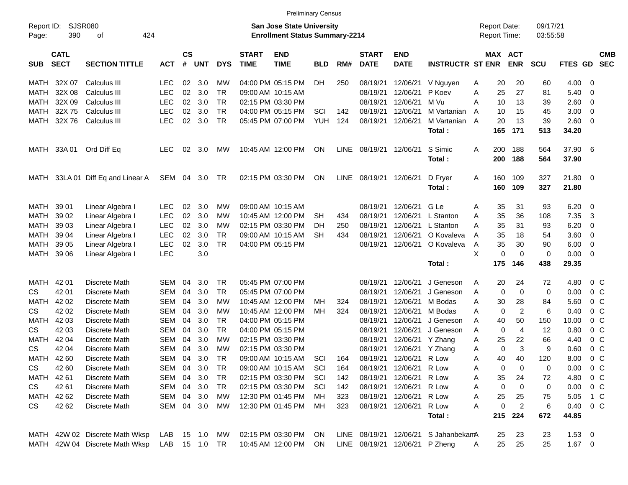| <b>Preliminary Census</b><br><b>Report Date:</b> |                            |                                |               |                |            |            |                             |                                                                    |            |             |                             |                           |                         |   |            |                              |                      |                |                |                          |
|--------------------------------------------------|----------------------------|--------------------------------|---------------|----------------|------------|------------|-----------------------------|--------------------------------------------------------------------|------------|-------------|-----------------------------|---------------------------|-------------------------|---|------------|------------------------------|----------------------|----------------|----------------|--------------------------|
| Report ID:<br>Page:                              | 390                        | <b>SJSR080</b><br>424<br>οf    |               |                |            |            |                             | San Jose State University<br><b>Enrollment Status Summary-2214</b> |            |             |                             |                           |                         |   |            | <b>Report Time:</b>          | 09/17/21<br>03:55:58 |                |                |                          |
| <b>SUB</b>                                       | <b>CATL</b><br><b>SECT</b> | <b>SECTION TITTLE</b>          | <b>ACT</b>    | <b>CS</b><br># | <b>UNT</b> | <b>DYS</b> | <b>START</b><br><b>TIME</b> | <b>END</b><br><b>TIME</b>                                          | <b>BLD</b> | RM#         | <b>START</b><br><b>DATE</b> | <b>END</b><br><b>DATE</b> | <b>INSTRUCTR ST ENR</b> |   |            | <b>MAX ACT</b><br><b>ENR</b> | <b>SCU</b>           | FTES GD        |                | <b>CMB</b><br><b>SEC</b> |
| MATH                                             | 32X 07                     | Calculus III                   | <b>LEC</b>    | 02             | 3.0        | МW         |                             | 04:00 PM 05:15 PM                                                  | DH.        | 250         | 08/19/21                    | 12/06/21                  | V Nguyen                | A | 20         | 20                           | 60                   | 4.00           | 0              |                          |
| MATH                                             | 32X 08                     | Calculus III                   | <b>LEC</b>    | 02             | 3.0        | <b>TR</b>  |                             | 09:00 AM 10:15 AM                                                  |            |             | 08/19/21                    | 12/06/21                  | P Koev                  | Α | 25         | 27                           | 81                   | 5.40           | 0              |                          |
| MATH                                             | 32X 09                     | Calculus III                   | <b>LEC</b>    | 02             | 3.0        | <b>TR</b>  |                             | 02:15 PM 03:30 PM                                                  |            |             | 08/19/21                    | 12/06/21                  | M Vu                    | A | 10         | 13                           | 39                   | 2.60           | 0              |                          |
| MATH                                             | 32X 75                     | Calculus III                   | <b>LEC</b>    | 02             | 3.0        | <b>TR</b>  |                             | 04:00 PM 05:15 PM                                                  | SCI        | 142         | 08/19/21                    | 12/06/21                  | M Vartanian             | A | 10         | 15                           | 45                   | 3.00           | 0              |                          |
| <b>MATH</b>                                      | 32X76                      | <b>Calculus III</b>            | <b>LEC</b>    | 02             | 3.0        | TR         |                             | 05:45 PM 07:00 PM                                                  | <b>YUH</b> | 124         | 08/19/21                    | 12/06/21                  | M Vartanian A           |   | 20         | 13                           | 39                   | 2.60           | 0              |                          |
|                                                  |                            |                                |               |                |            |            |                             |                                                                    |            |             |                             |                           | Total:                  |   | 165        | 171                          | 513                  | 34.20          |                |                          |
| MATH                                             | 33A 01                     | Ord Diff Eq                    | <b>LEC</b>    | 02             | 3.0        | MW         |                             | 10:45 AM 12:00 PM                                                  | ON         | <b>LINE</b> | 08/19/21                    | 12/06/21                  | S Simic<br>Total:       | A | 200<br>200 | 188<br>188                   | 564<br>564           | 37.90<br>37.90 | 6              |                          |
| MATH                                             |                            | 33LA 01 Diff Eq and Linear A   | SEM           |                | 04 3.0     | TR         |                             | 02:15 PM 03:30 PM                                                  | ON         | <b>LINE</b> | 08/19/21                    | 12/06/21                  | D Fryer<br>Total:       | A | 160<br>160 | 109<br>109                   | 327<br>327           | 21.80<br>21.80 | - 0            |                          |
|                                                  |                            |                                |               |                |            |            |                             |                                                                    |            |             |                             |                           |                         |   |            |                              |                      |                |                |                          |
| MATH                                             | 39 01                      | Linear Algebra I               | LEC           | 02             | 3.0        | МW         |                             | 09:00 AM 10:15 AM                                                  |            |             | 08/19/21                    | 12/06/21                  | G Le                    | A | 35         | 31                           | 93                   | 6.20           | 0              |                          |
| MATH                                             | 39 02                      | Linear Algebra I               | <b>LEC</b>    | 02             | 3.0        | МW         |                             | 10:45 AM 12:00 PM                                                  | SH         | 434         | 08/19/21                    | 12/06/21                  | L Stanton               | Α | 35         | 36                           | 108                  | 7.35           | 3              |                          |
| MATH                                             | 39 03                      | Linear Algebra I               | <b>LEC</b>    | 02             | 3.0        | МW         |                             | 02:15 PM 03:30 PM                                                  | DН         | 250         | 08/19/21                    | 12/06/21                  | L Stanton               | A | 35         | 31                           | 93                   | 6.20           | 0              |                          |
| MATH                                             | 39 04                      | Linear Algebra I               | <b>LEC</b>    | 02             | 3.0        | TR         |                             | 09:00 AM 10:15 AM                                                  | SH         | 434         | 08/19/21                    | 12/06/21                  | O Kovaleva              | A | 35         | 18                           | 54                   | 3.60           | 0              |                          |
| MATH                                             | 39 05                      | Linear Algebra I               | <b>LEC</b>    | 02             | 3.0        | <b>TR</b>  |                             | 04:00 PM 05:15 PM                                                  |            |             | 08/19/21                    | 12/06/21                  | O Kovaleva              | Α | 35         | 30                           | 90                   | 6.00           | 0              |                          |
| MATH                                             | 39 06                      | Linear Algebra I               | <b>LEC</b>    |                | 3.0        |            |                             |                                                                    |            |             |                             |                           |                         | X | 0          | $\Omega$                     | 0                    | 0.00           | 0              |                          |
|                                                  |                            |                                |               |                |            |            |                             |                                                                    |            |             |                             |                           | Total:                  |   | 175        | 146                          | 438                  | 29.35          |                |                          |
| MATH                                             | 42 01                      | Discrete Math                  | <b>SEM</b>    | 04             | 3.0        | <b>TR</b>  |                             | 05:45 PM 07:00 PM                                                  |            |             | 08/19/21                    | 12/06/21                  | J Geneson               | A | 20         | 24                           | 72                   | 4.80           | 0 <sup>o</sup> |                          |
| CS                                               | 42 01                      | Discrete Math                  | <b>SEM</b>    | 04             | 3.0        | <b>TR</b>  |                             | 05:45 PM 07:00 PM                                                  |            |             | 08/19/21                    | 12/06/21                  | J Geneson               | Α | 0          | $\mathbf 0$                  | 0                    | 0.00           | 0 <sup>o</sup> |                          |
| MATH                                             | 42 02                      | Discrete Math                  | <b>SEM</b>    | 04             | 3.0        | МW         |                             | 10:45 AM 12:00 PM                                                  | MН         | 324         | 08/19/21                    | 12/06/21                  | M Bodas                 | Α | 30         | 28                           | 84                   | 5.60           | 0 <sup>o</sup> |                          |
| CS                                               | 42 02                      | Discrete Math                  | <b>SEM</b>    | 04             | 3.0        | МW         |                             | 10:45 AM 12:00 PM                                                  | MН         | 324         | 08/19/21                    | 12/06/21                  | M Bodas                 | A | 0          | $\overline{2}$               | 6                    | 0.40           | 0 <sup>o</sup> |                          |
| MATH                                             | 42 03                      | Discrete Math                  | <b>SEM</b>    | 04             | 3.0        | TR.        |                             | 04:00 PM 05:15 PM                                                  |            |             | 08/19/21                    | 12/06/21                  | J Geneson               | Α | 40         | 50                           | 150                  | 10.00          | 0 <sup>o</sup> |                          |
| CS                                               | 42 03                      | Discrete Math                  | <b>SEM</b>    | 04             | 3.0        | <b>TR</b>  |                             | 04:00 PM 05:15 PM                                                  |            |             | 08/19/21                    | 12/06/21                  | J Geneson               | Α | 0          | $\overline{4}$               | 12                   | 0.80           | 0 <sup>o</sup> |                          |
| MATH                                             | 42 04                      | Discrete Math                  | <b>SEM</b>    | 04             | 3.0        | МW         |                             | 02:15 PM 03:30 PM                                                  |            |             | 08/19/21                    | 12/06/21                  | Y Zhang                 | A | 25         | 22                           | 66                   | 4.40           | 0 <sup>o</sup> |                          |
| CS                                               | 42 04                      | Discrete Math                  | <b>SEM</b>    | 04             | 3.0        | МW         |                             | 02:15 PM 03:30 PM                                                  |            |             | 08/19/21                    | 12/06/21                  | Y Zhang                 | Α | 0          | 3                            | 9                    | 0.60           | 0 <sup>o</sup> |                          |
| MATH                                             | 42 60                      | Discrete Math                  | <b>SEM</b>    | 04             | 3.0        | TR         |                             | 09:00 AM 10:15 AM                                                  | SCI        | 164         | 08/19/21                    | 12/06/21                  | R Low                   | A | 40         | 40                           | 120                  | 8.00           | 0 <sup>o</sup> |                          |
| CS                                               | 42 60                      | Discrete Math                  | SEM           | 04             | 3.0        | <b>TR</b>  |                             | 09:00 AM 10:15 AM                                                  | SCI        | 164         |                             | 08/19/21 12/06/21         | R Low                   | Α | 0          | 0                            | 0                    | 0.00           | 0 <sup>o</sup> |                          |
| MATH                                             | 42 61                      | Discrete Math                  | <b>SEM</b>    | 04             | 3.0        | TR         |                             | 02:15 PM 03:30 PM                                                  | SCI        | 142         |                             | 08/19/21 12/06/21         | R Low                   | Α | 35         | 24                           | 72                   | 4.80           | 0 <sup>o</sup> |                          |
| CS                                               | 42 61                      | Discrete Math                  | <b>SEM</b>    |                | 04 3.0     | TR         |                             | 02:15 PM 03:30 PM                                                  | SCI        | 142         | 08/19/21 12/06/21           |                           | R Low                   | A | 0          | $\boldsymbol{0}$             | 0                    | 0.00           | $0\,C$         |                          |
| MATH                                             | 42 62                      | Discrete Math                  | <b>SEM</b>    |                | 04 3.0     | МW         |                             | 12:30 PM 01:45 PM                                                  | MH.        | 323         | 08/19/21                    | 12/06/21                  | R Low                   | Α | 25         | 25                           | 75                   | 5.05           | 1 C            |                          |
| CS                                               | 42 62                      | Discrete Math                  | <b>SEM</b>    |                | 04 3.0     | МW         |                             | 12:30 PM 01:45 PM                                                  | MH.        | 323         | 08/19/21                    | 12/06/21                  | R Low                   | Α | 0          | $\overline{c}$               | 6                    | 0.40           | $0\,C$         |                          |
|                                                  |                            |                                |               |                |            |            |                             |                                                                    |            |             |                             |                           | Total:                  |   | 215        | 224                          | 672                  | 44.85          |                |                          |
|                                                  |                            | MATH 42W 02 Discrete Math Wksp | LAB           |                | 15 1.0     | МW         |                             | 02:15 PM 03:30 PM                                                  | <b>ON</b>  |             | LINE 08/19/21 12/06/21      |                           | S JahanbekamA           |   | 25         | 23                           | 23                   | $1.53 \t 0$    |                |                          |
| MATH                                             |                            | 42W 04 Discrete Math Wksp      | LAB 15 1.0 TR |                |            |            |                             | 10:45 AM 12:00 PM                                                  | ON         |             | LINE 08/19/21 12/06/21      |                           | P Zheng                 | A | 25         | 25                           | 25                   | $1.67$ 0       |                |                          |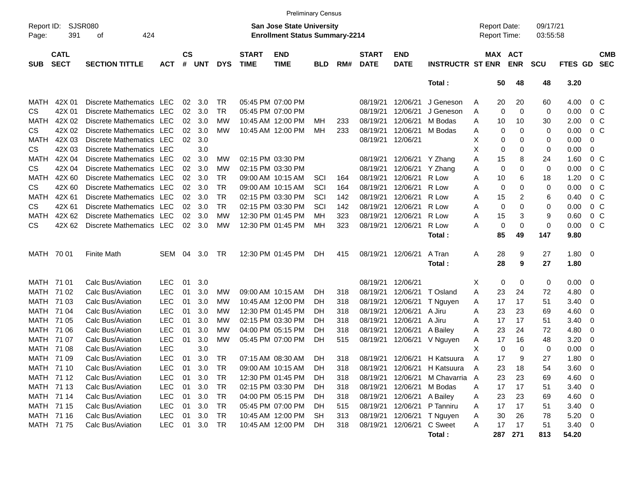|                     |                            |                          |            |                    |                |            |                             | <b>Preliminary Census</b>                                                 |            |     |                             |                           |                              |                                     |     |                       |                      |            |                         |                          |
|---------------------|----------------------------|--------------------------|------------|--------------------|----------------|------------|-----------------------------|---------------------------------------------------------------------------|------------|-----|-----------------------------|---------------------------|------------------------------|-------------------------------------|-----|-----------------------|----------------------|------------|-------------------------|--------------------------|
| Report ID:<br>Page: | 391                        | SJSR080<br>424<br>оf     |            |                    |                |            |                             | <b>San Jose State University</b><br><b>Enrollment Status Summary-2214</b> |            |     |                             |                           |                              | <b>Report Date:</b><br>Report Time: |     |                       | 09/17/21<br>03:55:58 |            |                         |                          |
| <b>SUB</b>          | <b>CATL</b><br><b>SECT</b> | <b>SECTION TITTLE</b>    | <b>ACT</b> | $\mathsf{cs}$<br># | <b>UNT</b>     | <b>DYS</b> | <b>START</b><br><b>TIME</b> | <b>END</b><br><b>TIME</b>                                                 | <b>BLD</b> | RM# | <b>START</b><br><b>DATE</b> | <b>END</b><br><b>DATE</b> | <b>INSTRUCTR ST ENR</b>      |                                     |     | MAX ACT<br><b>ENR</b> | <b>SCU</b>           | FTES GD    |                         | <b>CMB</b><br><b>SEC</b> |
|                     |                            |                          |            |                    |                |            |                             |                                                                           |            |     |                             |                           | Total:                       |                                     | 50  | 48                    | 48                   | 3.20       |                         |                          |
| MATH                | 42X 01                     | Discrete Mathematics LEC |            | 02                 | 3.0            | TR         |                             | 05:45 PM 07:00 PM                                                         |            |     | 08/19/21                    | 12/06/21                  | J Geneson                    | Α                                   | 20  | 20                    | 60                   | 4.00       | $0\,$ C                 |                          |
| <b>CS</b>           | 42X 01                     | Discrete Mathematics LEC |            | 02 <sub>o</sub>    | 3.0            | <b>TR</b>  |                             | 05:45 PM 07:00 PM                                                         |            |     | 08/19/21                    | 12/06/21                  | J Geneson                    | Α                                   | 0   | 0                     | 0                    | 0.00       | $0\,$ C                 |                          |
| <b>MATH</b>         | 42X 02                     | Discrete Mathematics LEC |            | 02                 | 3.0            | МW         |                             | 10:45 AM 12:00 PM                                                         | MН         | 233 | 08/19/21                    | 12/06/21                  | M Bodas                      | Α                                   | 10  | 10                    | 30                   | 2.00       | $0\,$ C                 |                          |
| <b>CS</b>           | 42X 02                     | Discrete Mathematics LEC |            | 02                 | 3.0            | МW         |                             | 10:45 AM 12:00 PM                                                         | MН         | 233 | 08/19/21                    | 12/06/21                  | M Bodas                      | A                                   | 0   | 0                     | 0                    | 0.00       | 0 <sup>C</sup>          |                          |
| <b>MATH</b>         | 42X 03                     | Discrete Mathematics LEC |            | 02                 | 3.0            |            |                             |                                                                           |            |     | 08/19/21                    | 12/06/21                  |                              | х                                   | 0   | 0                     | 0                    | 0.00       | 0                       |                          |
| <b>CS</b>           | 42X 03                     | Discrete Mathematics LEC |            |                    | 3.0            |            |                             |                                                                           |            |     |                             |                           |                              | X                                   | 0   | 0                     | 0                    | 0.00       | 0                       |                          |
| <b>MATH</b>         | 42X 04                     | Discrete Mathematics LEC |            | 02                 | 3.0            | МW         |                             | 02:15 PM 03:30 PM                                                         |            |     | 08/19/21                    | 12/06/21                  | Y Zhang                      | A                                   | 15  | 8                     | 24                   | 1.60       | $0\,$ C                 |                          |
| <b>CS</b>           | 42X 04                     | Discrete Mathematics LEC |            | 02                 | 3.0            | <b>MW</b>  |                             | 02:15 PM 03:30 PM                                                         |            |     | 08/19/21                    | 12/06/21                  | Y Zhang                      | A                                   | 0   | 0                     | 0                    | 0.00       | 0 <sup>o</sup>          |                          |
| <b>MATH</b>         | 42X 60                     | Discrete Mathematics LEC |            | 02                 | 3.0            | TR.        |                             | 09:00 AM 10:15 AM                                                         | SCI        | 164 | 08/19/21                    | 12/06/21                  | R Low                        | Α                                   | 10  | 6                     | 18                   | 1.20       | $0\,$ C                 |                          |
| <b>CS</b>           | 42X 60                     | Discrete Mathematics LEC |            | 02                 | 3.0            | TR.        |                             | 09:00 AM 10:15 AM                                                         | SCI        | 164 | 08/19/21                    | 12/06/21                  | R Low                        | Α                                   | 0   | 0                     | 0                    | 0.00       | 0 <sup>o</sup>          |                          |
| <b>MATH</b>         | 42X 61                     | Discrete Mathematics LEC |            | 02                 | 3.0            | TR.        |                             | 02:15 PM 03:30 PM                                                         | SCI        | 142 | 08/19/21                    | 12/06/21                  | R Low                        | Α                                   | 15  | 2                     | 6                    | 0.40       | 0 <sup>o</sup>          |                          |
| <b>CS</b>           | 42X 61                     | Discrete Mathematics LEC |            | 02                 | 3.0            | <b>TR</b>  |                             | 02:15 PM 03:30 PM                                                         | SCI        | 142 | 08/19/21                    | 12/06/21                  | R Low                        | Α                                   | 0   | 0                     | 0                    | 0.00       | 0 <sup>o</sup>          |                          |
| <b>MATH</b>         | 42X 62                     | Discrete Mathematics LEC |            | 02                 | 3.0            | МW         |                             | 12:30 PM 01:45 PM                                                         | MН         | 323 | 08/19/21                    | 12/06/21                  | R Low                        | Α                                   | 15  | 3                     | 9                    | 0.60       | 0 <sup>o</sup>          |                          |
| <b>CS</b>           | 42X 62                     | Discrete Mathematics LEC |            |                    | $02 \quad 3.0$ | МW         |                             | 12:30 PM 01:45 PM                                                         | MН         | 323 | 08/19/21                    | 12/06/21                  | R Low                        | A                                   | 0   | 0                     | 0                    | 0.00       | $0\,C$                  |                          |
|                     |                            |                          |            |                    |                |            |                             |                                                                           |            |     |                             |                           | Total:                       |                                     | 85  | 49                    | 147                  | 9.80       |                         |                          |
| MATH 70 01          |                            | <b>Finite Math</b>       | SEM        | 04                 | 3.0            | TR         |                             | 12:30 PM 01:45 PM                                                         | DH.        | 415 | 08/19/21                    | 12/06/21                  | A Tran                       | Α                                   | 28  | 9                     | 27                   | 1.80       | $\overline{\mathbf{0}}$ |                          |
|                     |                            |                          |            |                    |                |            |                             |                                                                           |            |     |                             |                           | Total:                       |                                     | 28  | 9                     | 27                   | 1.80       |                         |                          |
| MATH 71 01          |                            | Calc Bus/Aviation        | <b>LEC</b> | 01                 | 3.0            |            |                             |                                                                           |            |     | 08/19/21                    | 12/06/21                  |                              | X                                   | 0   | 0                     | 0                    | 0.00       | $\overline{\mathbf{0}}$ |                          |
| MATH 71 02          |                            | Calc Bus/Aviation        | <b>LEC</b> | 01                 | 3.0            | МW         |                             | 09:00 AM 10:15 AM                                                         | DH         | 318 | 08/19/21                    | 12/06/21                  | T Osland                     | Α                                   | 23  | 24                    | 72                   | 4.80       | $\overline{0}$          |                          |
| MATH                | 71 03                      | Calc Bus/Aviation        | <b>LEC</b> | 01                 | 3.0            | МW         |                             | 10:45 AM 12:00 PM                                                         | DH         | 318 | 08/19/21                    | 12/06/21                  | T Nguyen                     | A                                   | 17  | 17                    | 51                   | 3.40       | 0                       |                          |
| MATH                | 71 04                      | Calc Bus/Aviation        | <b>LEC</b> | 01                 | 3.0            | МW         |                             | 12:30 PM 01:45 PM                                                         | DH         | 318 | 08/19/21                    | 12/06/21                  | A Jiru                       | Α                                   | 23  | 23                    | 69                   | 4.60       | 0                       |                          |
| MATH                | 71 05                      | Calc Bus/Aviation        | <b>LEC</b> | 01                 | 3.0            | <b>MW</b>  |                             | 02:15 PM 03:30 PM                                                         | DH         | 318 | 08/19/21                    | 12/06/21                  | A Jiru                       | Α                                   | 17  | 17                    | 51                   | 3.40       | 0                       |                          |
| MATH                | 71 06                      | Calc Bus/Aviation        | <b>LEC</b> | 01                 | 3.0            | <b>MW</b>  |                             | 04:00 PM 05:15 PM                                                         | DH         | 318 | 08/19/21                    | 12/06/21                  | A Bailey                     | A                                   | 23  | 24                    | 72                   | 4.80       | 0                       |                          |
| MATH                | 71 07                      | Calc Bus/Aviation        | <b>LEC</b> | 01                 | 3.0            | <b>MW</b>  |                             | 05:45 PM 07:00 PM                                                         | DH         | 515 | 08/19/21                    | 12/06/21                  | V Nguyen                     | A                                   | 17  | 16                    | 48                   | 3.20       | 0                       |                          |
| MATH                | 71 08                      | Calc Bus/Aviation        | <b>LEC</b> |                    | 3.0            |            |                             |                                                                           |            |     |                             |                           |                              | X                                   | 0   | $\Omega$              | 0                    | 0.00       | $\overline{0}$          |                          |
| MATH 71 09          |                            | Calc Bus/Aviation        | <b>LEC</b> | 01                 | 3.0            | TR         |                             | 07:15 AM 08:30 AM                                                         | DH         | 318 |                             |                           | 08/19/21 12/06/21 H Katsuura | A                                   | 17  | 9                     | 27                   | 1.80       | 0                       |                          |
| MATH 71 10          |                            | Calc Bus/Aviation        | LEC        |                    | 01 3.0         | <b>TR</b>  |                             | 09:00 AM 10:15 AM                                                         | DH         | 318 |                             |                           | 08/19/21 12/06/21 H Katsuura | A                                   | 23  | 18                    | 54                   | 3.60       | $\mathbf 0$             |                          |
| MATH 71 12          |                            | Calc Bus/Aviation        | <b>LEC</b> | 01                 | 3.0            | <b>TR</b>  |                             | 12:30 PM 01:45 PM                                                         | DH         | 318 | 08/19/21                    | 12/06/21                  | M Chavarria A                |                                     | 23  | 23                    | 69                   | 4.60       | 0                       |                          |
| MATH 71 13          |                            | Calc Bus/Aviation        | <b>LEC</b> | 01                 | 3.0            | <b>TR</b>  |                             | 02:15 PM 03:30 PM                                                         | DH.        | 318 | 08/19/21                    | 12/06/21                  | M Bodas                      | A                                   | 17  | 17                    | 51                   | 3.40       | 0                       |                          |
| MATH 71 14          |                            | Calc Bus/Aviation        | <b>LEC</b> | 01                 | 3.0            | <b>TR</b>  |                             | 04:00 PM 05:15 PM                                                         | DH         | 318 | 08/19/21                    | 12/06/21                  | A Bailey                     | Α                                   | 23  | 23                    | 69                   | 4.60       | 0                       |                          |
| MATH 71 15          |                            | Calc Bus/Aviation        | <b>LEC</b> | 01                 | 3.0            | <b>TR</b>  |                             | 05:45 PM 07:00 PM                                                         | DH.        | 515 | 08/19/21                    | 12/06/21                  | P Tanniru                    | Α                                   | 17  | 17                    | 51                   | 3.40       | $\mathbf 0$             |                          |
| MATH 71 16          |                            | Calc Bus/Aviation        | <b>LEC</b> | 01                 | 3.0            | <b>TR</b>  |                             | 10:45 AM 12:00 PM                                                         | SH         | 313 | 08/19/21                    | 12/06/21                  | T Nguyen                     | Α                                   | 30  | 26                    | 78                   | 5.20       | $\mathbf 0$             |                          |
| MATH 71 75          |                            | Calc Bus/Aviation        | <b>LEC</b> | 01                 | 3.0            | <b>TR</b>  |                             | 10:45 AM 12:00 PM                                                         | DH         | 318 | 08/19/21                    | 12/06/21                  | C Sweet                      | A                                   | 17  | 17                    | 51                   | $3.40 \ 0$ |                         |                          |
|                     |                            |                          |            |                    |                |            |                             |                                                                           |            |     |                             |                           | Total:                       |                                     | 287 | 271                   | 813                  | 54.20      |                         |                          |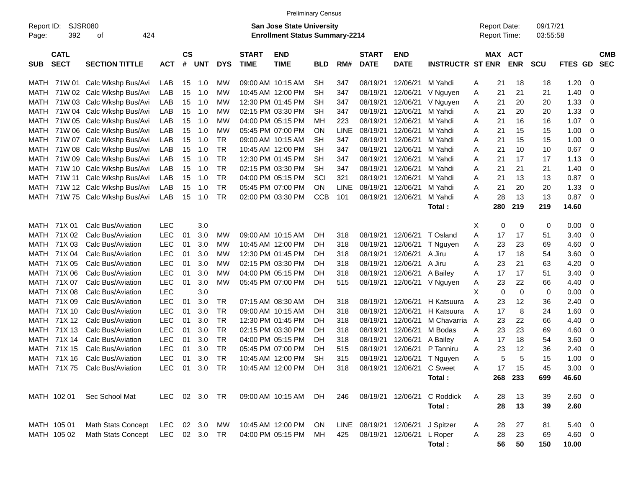|                     |                            |                               |               |                    |            |            |                             | <b>Preliminary Census</b>                                          |            |             |                                  |                           |                         |   |                                            |            |                      |            |     |                          |
|---------------------|----------------------------|-------------------------------|---------------|--------------------|------------|------------|-----------------------------|--------------------------------------------------------------------|------------|-------------|----------------------------------|---------------------------|-------------------------|---|--------------------------------------------|------------|----------------------|------------|-----|--------------------------|
| Report ID:<br>Page: | 392                        | <b>SJSR080</b><br>424<br>οf   |               |                    |            |            |                             | San Jose State University<br><b>Enrollment Status Summary-2214</b> |            |             |                                  |                           |                         |   | <b>Report Date:</b><br><b>Report Time:</b> |            | 09/17/21<br>03:55:58 |            |     |                          |
| <b>SUB</b>          | <b>CATL</b><br><b>SECT</b> | <b>SECTION TITTLE</b>         | <b>ACT</b>    | $\mathsf{cs}$<br># | <b>UNT</b> | <b>DYS</b> | <b>START</b><br><b>TIME</b> | <b>END</b><br><b>TIME</b>                                          | <b>BLD</b> | RM#         | <b>START</b><br><b>DATE</b>      | <b>END</b><br><b>DATE</b> | <b>INSTRUCTR ST ENR</b> |   | MAX ACT                                    | <b>ENR</b> | <b>SCU</b>           | FTES GD    |     | <b>CMB</b><br><b>SEC</b> |
| MATH                |                            | 71W 01 Calc Wkshp Bus/Avi     | LAB           | 15                 | 1.0        | МW         |                             | 09:00 AM 10:15 AM                                                  | <b>SH</b>  | 347         | 08/19/21                         | 12/06/21                  | M Yahdi                 | A | 21                                         | 18         | 18                   | 1.20       | -0  |                          |
| MATH                |                            | 71W 02 Calc Wkshp Bus/Avi     | LAB           | 15                 | 1.0        | МW         |                             | 10:45 AM 12:00 PM                                                  | <b>SH</b>  | 347         | 08/19/21                         | 12/06/21                  | V Nguyen                | A | 21                                         | 21         | 21                   | 1.40       | 0   |                          |
| MATH                |                            | 71W 03 Calc Wkshp Bus/Avi     | LAB           | 15                 | 1.0        | МW         |                             | 12:30 PM 01:45 PM                                                  | SН         | 347         | 08/19/21                         | 12/06/21                  | V Nguyen                | A | 21                                         | 20         | 20                   | 1.33       | 0   |                          |
| MATH                |                            | 71W 04 Calc Wkshp Bus/Avi     | LAB           | 15                 | 1.0        | МW         |                             | 02:15 PM 03:30 PM                                                  | <b>SH</b>  | 347         | 08/19/21                         | 12/06/21                  | M Yahdi                 | A | 21                                         | 20         | 20                   | 1.33       | 0   |                          |
| MATH                |                            | 71W 05 Calc Wkshp Bus/Avi     | LAB           | 15                 | 1.0        | МW         |                             | 04:00 PM 05:15 PM                                                  | мн         | 223         | 08/19/21                         | 12/06/21                  | M Yahdi                 | A | 21                                         | 16         | 16                   | 1.07       | - 0 |                          |
| MATH                |                            | 71W 06 Calc Wkshp Bus/Avi     | LAB           | 15                 | 1.0        | МW         |                             | 05:45 PM 07:00 PM                                                  | <b>ON</b>  | <b>LINE</b> | 08/19/21                         | 12/06/21                  | M Yahdi                 | A | 21                                         | 15         | 15                   | 1.00       | 0   |                          |
| MATH                |                            | 71W 07 Calc Wkshp Bus/Avi     | LAB           | 15                 | 1.0        | TR         |                             | 09:00 AM 10:15 AM                                                  | SН         | 347         | 08/19/21                         | 12/06/21                  | M Yahdi                 | A | 21                                         | 15         | 15                   | 1.00       | 0   |                          |
| MATH                |                            | 71W 08 Calc Wkshp Bus/Avi     | LAB           | 15                 | 1.0        | TR         |                             | 10:45 AM 12:00 PM                                                  | <b>SH</b>  | 347         | 08/19/21                         | 12/06/21                  | M Yahdi                 | A | 21                                         | 10         | 10                   | 0.67       | - 0 |                          |
| MATH                |                            | 71W 09 Calc Wkshp Bus/Avi     | LAB           | 15                 | 1.0        | <b>TR</b>  |                             | 12:30 PM 01:45 PM                                                  | SН         | 347         | 08/19/21                         | 12/06/21                  | M Yahdi                 | A | 21                                         | 17         | 17                   | 1.13       | 0   |                          |
| MATH                |                            | 71W 10 Calc Wkshp Bus/Avi     | LAB           | 15                 | 1.0        | TR         |                             | 02:15 PM 03:30 PM                                                  | SН         | 347         | 08/19/21                         | 12/06/21                  | M Yahdi                 | A | 21                                         | 21         | 21                   | 1.40       | 0   |                          |
| MATH                |                            | 71W 11 Calc Wkshp Bus/Avi     | LAB           | 15                 | 1.0        | TR         |                             | 04:00 PM 05:15 PM                                                  | SCI        | 321         | 08/19/21                         | 12/06/21                  | M Yahdi                 | A | 21                                         | 13         | 13                   | 0.87       | - 0 |                          |
| MATH                |                            | 71W 12 Calc Wkshp Bus/Avi     | LAB           | 15                 | 1.0        | <b>TR</b>  |                             | 05:45 PM 07:00 PM                                                  | <b>ON</b>  | LINE        | 08/19/21                         | 12/06/21                  | M Yahdi                 | A | 21                                         | 20         | 20                   | 1.33       | 0   |                          |
| MATH                |                            | 71W 75 Calc Wkshp Bus/Avi     | LAB           | 15                 | 1.0        | TR         |                             | 02:00 PM 03:30 PM                                                  | <b>CCB</b> | 101         | 08/19/21                         | 12/06/21                  | M Yahdi                 | A | 28                                         | 13         | 13                   | 0.87       | - 0 |                          |
|                     |                            |                               |               |                    |            |            |                             |                                                                    |            |             |                                  |                           | Total:                  |   | 280                                        | 219        | 219                  | 14.60      |     |                          |
|                     |                            |                               |               |                    |            |            |                             |                                                                    |            |             |                                  |                           |                         |   |                                            |            |                      |            |     |                          |
| MATH                | 71X 01                     | Calc Bus/Aviation             | <b>LEC</b>    |                    | 3.0        |            |                             |                                                                    |            |             |                                  |                           |                         | Х | 0                                          | 0          | 0                    | 0.00       | - 0 |                          |
| MATH                | 71X 02                     | Calc Bus/Aviation             | <b>LEC</b>    | 01                 | 3.0        | МW         |                             | 09:00 AM 10:15 AM                                                  | DН         | 318         | 08/19/21                         | 12/06/21                  | T Osland                | Α | 17                                         | 17         | 51                   | 3.40       | 0   |                          |
| MATH                | 71X 03                     | Calc Bus/Aviation             | <b>LEC</b>    | 01                 | 3.0        | МW         |                             | 10:45 AM 12:00 PM                                                  | DН         | 318         | 08/19/21                         | 12/06/21                  | T Nguyen                | A | 23                                         | 23         | 69                   | 4.60       | 0   |                          |
| MATH                | 71X 04                     | Calc Bus/Aviation             | <b>LEC</b>    | 01                 | 3.0        | МW         |                             | 12:30 PM 01:45 PM                                                  | DН         | 318         | 08/19/21                         | 12/06/21                  | A Jiru                  | A | 17                                         | 18         | 54                   | 3.60       | 0   |                          |
| MATH                | 71X 05                     | Calc Bus/Aviation             | <b>LEC</b>    | 01                 | 3.0        | МW         |                             | 02:15 PM 03:30 PM                                                  | DН         | 318         | 08/19/21                         | 12/06/21                  | A Jiru                  | A | 23                                         | 21         | 63                   | 4.20       | 0   |                          |
| MATH                | 71X 06                     | Calc Bus/Aviation             | <b>LEC</b>    | 01                 | 3.0        | МW         |                             | 04:00 PM 05:15 PM                                                  | DН         | 318         | 08/19/21                         | 12/06/21                  | A Bailey                | A | 17                                         | 17         | 51                   | 3.40       | 0   |                          |
| MATH                | 71X 07                     | Calc Bus/Aviation             | <b>LEC</b>    | 01                 | 3.0        | МW         |                             | 05:45 PM 07:00 PM                                                  | DH         | 515         | 08/19/21                         | 12/06/21                  | V Nguyen                | A | 23                                         | 22         | 66                   | 4.40       | 0   |                          |
| MATH                | 71X 08                     | Calc Bus/Aviation             | <b>LEC</b>    |                    | 3.0        |            |                             |                                                                    |            |             |                                  |                           |                         | X | 0                                          | 0          | 0                    | 0.00       | 0   |                          |
| MATH                | 71X 09                     | Calc Bus/Aviation             | <b>LEC</b>    | 01                 | 3.0        | TR         | 07:15 AM 08:30 AM           |                                                                    | DН         | 318         | 08/19/21                         | 12/06/21                  | H Katsuura              | A | 23                                         | 12         | 36                   | 2.40       | 0   |                          |
| MATH                | 71X 10                     | Calc Bus/Aviation             | <b>LEC</b>    | 01                 | 3.0        | <b>TR</b>  |                             | 09:00 AM 10:15 AM                                                  | DН         | 318         | 08/19/21                         | 12/06/21                  | H Katsuura              | A | 17                                         | 8          | 24                   | 1.60       | 0   |                          |
| MATH                | 71X 12                     | Calc Bus/Aviation             | <b>LEC</b>    | 01                 | 3.0        | <b>TR</b>  |                             | 12:30 PM 01:45 PM                                                  | DН         | 318         | 08/19/21                         | 12/06/21                  | M Chavarria             | A | 23                                         | 22         | 66                   | 4.40       | 0   |                          |
| MATH                | 71X 13                     | Calc Bus/Aviation             | <b>LEC</b>    | 01                 | 3.0        | TR         |                             | 02:15 PM 03:30 PM                                                  | DН         | 318         | 08/19/21                         | 12/06/21                  | M Bodas                 | A | 23                                         | 23         | 69                   | 4.60       | 0   |                          |
| MATH                | 71X 14                     | Calc Bus/Aviation             | <b>LEC</b>    | 01                 | 3.0        | <b>TR</b>  |                             | 04:00 PM 05:15 PM                                                  | DН         | 318         | 08/19/21                         | 12/06/21                  | A Bailey                | A | 17                                         | 18         | 54                   | 3.60       | 0   |                          |
| MATH                | 71X 15                     | Calc Bus/Aviation             | <b>LEC</b>    | 01                 | 3.0        | <b>TR</b>  |                             | 05:45 PM 07:00 PM                                                  | DН         | 515         | 08/19/21                         | 12/06/21                  | P Tanniru               | A | 23                                         | 12         | 36                   | 2.40       | 0   |                          |
|                     | MATH 71X 16                | Calc Bus/Aviation             | <b>LEC</b>    | 01                 | 3.0        | TR         |                             | 10:45 AM 12:00 PM                                                  | <b>SH</b>  | 315         | 08/19/21                         | 12/06/21                  | T Nguyen                | A | 5                                          | 5          | 15                   | 1.00       | 0   |                          |
|                     |                            | MATH 71X 75 Calc Bus/Aviation | LEC 01 3.0 TR |                    |            |            |                             | 10:45 AM_12:00 PM DH                                               |            |             | 318 08/19/21 12/06/21 C Sweet    |                           |                         | A | 17                                         | 15         | 45                   | $3.00 \ 0$ |     |                          |
|                     |                            |                               |               |                    |            |            |                             |                                                                    |            |             |                                  |                           | Total:                  |   |                                            | 268 233    | 699                  | 46.60      |     |                          |
|                     | MATH 102 01                | Sec School Mat                | LEC 02 3.0 TR |                    |            |            |                             | 09:00 AM 10:15 AM DH                                               |            | 246         | 08/19/21 12/06/21                |                           | C Roddick               | A | 28                                         | 13         | 39                   | 2.60 0     |     |                          |
|                     |                            |                               |               |                    |            |            |                             |                                                                    |            |             |                                  |                           | Total:                  |   | 28                                         | 13         | 39                   | 2.60       |     |                          |
|                     |                            |                               |               |                    |            |            |                             |                                                                    |            |             |                                  |                           |                         |   |                                            |            |                      |            |     |                          |
|                     | MATH 105 01                | <b>Math Stats Concept</b>     | LEC 02 3.0 MW |                    |            |            |                             | 10:45 AM 12:00 PM ON                                               |            |             | LINE 08/19/21 12/06/21 J Spitzer |                           |                         | A | 28                                         | 27         | 81                   | $5.40\ 0$  |     |                          |
|                     | MATH 105 02                | <b>Math Stats Concept</b>     | LEC 02 3.0 TR |                    |            |            |                             | 04:00 PM 05:15 PM                                                  | MH         | 425         |                                  | 08/19/21 12/06/21 L Roper |                         | A | 28                                         | 23         | 69                   | 4.60 0     |     |                          |
|                     |                            |                               |               |                    |            |            |                             |                                                                    |            |             |                                  |                           | Total:                  |   | 56                                         | 50         | 150                  | 10.00      |     |                          |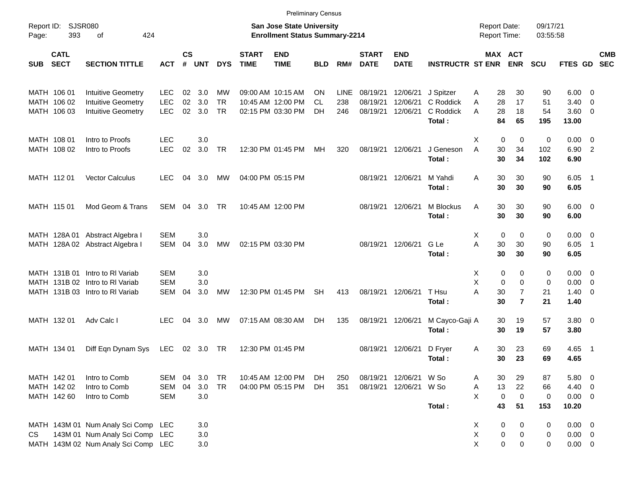|            |                            |                                                                   |                          |                |            |                        |                             |                                                                           | <b>Preliminary Census</b> |             |                             |                           |                                  |                                            |                                  |                      |                            |                          |            |
|------------|----------------------------|-------------------------------------------------------------------|--------------------------|----------------|------------|------------------------|-----------------------------|---------------------------------------------------------------------------|---------------------------|-------------|-----------------------------|---------------------------|----------------------------------|--------------------------------------------|----------------------------------|----------------------|----------------------------|--------------------------|------------|
| Page:      | Report ID: SJSR080<br>393  | 424<br>of                                                         |                          |                |            |                        |                             | <b>San Jose State University</b><br><b>Enrollment Status Summary-2214</b> |                           |             |                             |                           |                                  | <b>Report Date:</b><br><b>Report Time:</b> |                                  | 09/17/21<br>03:55:58 |                            |                          |            |
| <b>SUB</b> | <b>CATL</b><br><b>SECT</b> | <b>SECTION TITTLE</b>                                             | <b>ACT</b>               | <b>CS</b><br># | <b>UNT</b> | <b>DYS</b>             | <b>START</b><br><b>TIME</b> | <b>END</b><br><b>TIME</b>                                                 | <b>BLD</b>                | RM#         | <b>START</b><br><b>DATE</b> | <b>END</b><br><b>DATE</b> | <b>INSTRUCTR ST ENR</b>          | MAX ACT                                    | <b>ENR</b>                       | <b>SCU</b>           | FTES GD SEC                |                          | <b>CMB</b> |
|            | MATH 106 01                | <b>Intuitive Geometry</b>                                         | <b>LEC</b>               | 02             | 3.0        | MW                     |                             | 09:00 AM 10:15 AM                                                         | <b>ON</b>                 | <b>LINE</b> | 08/19/21                    | 12/06/21                  | J Spitzer                        | 28<br>A                                    | 30                               | 90                   | 6.00                       | $\overline{\phantom{0}}$ |            |
|            | MATH 106 02<br>MATH 106 03 | Intuitive Geometry<br><b>Intuitive Geometry</b>                   | <b>LEC</b><br><b>LEC</b> | 02<br>02       | 3.0<br>3.0 | <b>TR</b><br><b>TR</b> |                             | 10:45 AM 12:00 PM<br>02:15 PM 03:30 PM                                    | CL.<br>DH                 | 238<br>246  | 08/19/21<br>08/19/21        | 12/06/21<br>12/06/21      | C Roddick<br>C Roddick<br>Total: | 28<br>A<br>A<br>28<br>84                   | 17<br>18<br>65                   | 51<br>54<br>195      | 3.40<br>3.60 0<br>13.00    | - 0                      |            |
|            | MATH 108 01                | Intro to Proofs                                                   | <b>LEC</b>               |                | 3.0        |                        |                             |                                                                           |                           |             |                             |                           |                                  | Χ<br>0                                     | $\mathbf 0$                      | 0                    | 0.00                       | $\overline{\phantom{0}}$ |            |
|            | MATH 108 02                | Intro to Proofs                                                   | <b>LEC</b>               | 02             | 3.0        | <b>TR</b>              |                             | 12:30 PM 01:45 PM                                                         | МH                        | 320         | 08/19/21 12/06/21           |                           | J Geneson<br>Total:              | 30<br>A<br>30                              | 34<br>34                         | 102<br>102           | 6.90<br>6.90               | $\overline{\phantom{0}}$ |            |
|            | MATH 112 01                | <b>Vector Calculus</b>                                            | <b>LEC</b>               | 04             | 3.0        | MW                     |                             | 04:00 PM 05:15 PM                                                         |                           |             | 08/19/21 12/06/21           |                           | M Yahdi<br>Total:                | 30<br>Α<br>30                              | 30<br>30                         | 90<br>90             | 6.05<br>6.05               | $\overline{\phantom{1}}$ |            |
|            | MATH 115 01                | Mod Geom & Trans                                                  | SEM                      | 04             | 3.0        | TR.                    |                             | 10:45 AM 12:00 PM                                                         |                           |             | 08/19/21 12/06/21           |                           | M Blockus<br>Total:              | 30<br>Α<br>30                              | 30<br>30                         | 90<br>90             | $6.00 \quad 0$<br>6.00     |                          |            |
|            |                            | MATH 128A 01 Abstract Algebra I                                   | <b>SEM</b>               |                | 3.0        |                        |                             |                                                                           |                           |             |                             |                           |                                  | 0<br>Χ                                     | $\mathbf 0$                      | 0                    | $0.00 \t 0$                |                          |            |
|            |                            | MATH 128A 02 Abstract Algebra I                                   | SEM                      | 04             | 3.0        | MW                     |                             | 02:15 PM 03:30 PM                                                         |                           |             | 08/19/21 12/06/21           |                           | G Le<br>Total:                   | A<br>30<br>30                              | 30<br>30                         | 90<br>90             | 6.05<br>6.05               | $\overline{1}$           |            |
|            |                            | MATH 131B 01 Intro to RI Variab                                   | <b>SEM</b>               |                | 3.0        |                        |                             |                                                                           |                           |             |                             |                           |                                  | X<br>0                                     | 0                                | 0                    | $0.00 \t 0$                |                          |            |
|            |                            | MATH 131B 02 Intro to RI Variab                                   | <b>SEM</b>               |                | 3.0        |                        |                             |                                                                           |                           |             |                             |                           |                                  | X<br>$\mathbf 0$                           | $\mathbf 0$                      | 0                    | 0.00                       | $\overline{\mathbf{0}}$  |            |
|            |                            | MATH 131B 03 Intro to RI Variab                                   | <b>SEM</b>               | 04             | 3.0        | MW                     |                             | 12:30 PM 01:45 PM                                                         | <b>SH</b>                 | 413         | 08/19/21 12/06/21           |                           | T Hsu<br>Total:                  | A<br>30<br>30                              | $\overline{7}$<br>$\overline{7}$ | 21<br>21             | 1.40<br>1.40               | $\overline{\phantom{0}}$ |            |
|            | MATH 132 01                | Adv Calc I                                                        | <b>LEC</b>               | 04             | 3.0        | МW                     |                             | 07:15 AM 08:30 AM                                                         | DH.                       | 135         | 08/19/21 12/06/21           |                           | M Cayco-Gaji A<br>Total:         | 30<br>30                                   | 19<br>19                         | 57<br>57             | $3.80\ 0$<br>3.80          |                          |            |
|            | MATH 134 01                | Diff Eqn Dynam Sys                                                | <b>LEC</b>               |                | 02 3.0 TR  |                        |                             | 12:30 PM 01:45 PM                                                         |                           |             | 08/19/21 12/06/21           |                           | D Fryer<br>Total:                | 30<br>A<br>30                              | 23<br>23                         | 69<br>69             | 4.65 1<br>4.65             |                          |            |
|            | MATH 142 01                | Intro to Comb                                                     | SEM                      | 04             | 3.0        | <b>TR</b>              |                             | 10:45 AM 12:00 PM                                                         | DH.                       | 250         |                             | 08/19/21 12/06/21         | W So                             | 30<br>A                                    | 29                               | 87                   | 5.80                       | $\overline{\phantom{0}}$ |            |
|            | MATH 142 02                | Intro to Comb                                                     | SEM                      | 04             | 3.0        | <b>TR</b>              |                             | 04:00 PM 05:15 PM                                                         | DH.                       | 351         |                             | 08/19/21 12/06/21         | W So                             | 13<br>Α                                    | 22                               | 66                   | 4.40                       | $\overline{\phantom{0}}$ |            |
|            | MATH 142 60                | Intro to Comb                                                     | <b>SEM</b>               |                | 3.0        |                        |                             |                                                                           |                           |             |                             |                           | Total:                           | X<br>$\pmb{0}$<br>43                       | $\mathbf 0$<br>51                | 0<br>153             | $0.00 \t 0$<br>10.20       |                          |            |
|            |                            |                                                                   |                          |                |            |                        |                             |                                                                           |                           |             |                             |                           |                                  |                                            |                                  |                      |                            |                          |            |
|            |                            | MATH 143M 01 Num Analy Sci Comp<br>143M 01 Num Analy Sci Comp LEC | LEC                      |                | 3.0<br>3.0 |                        |                             |                                                                           |                           |             |                             |                           |                                  | 0<br>X<br>X<br>$\pmb{0}$                   | 0<br>0                           | 0                    | $0.00 \t 0$<br>$0.00 \t 0$ |                          |            |
| CS         |                            | MATH 143M 02 Num Analy Sci Comp LEC                               |                          |                | 3.0        |                        |                             |                                                                           |                           |             |                             |                           |                                  | X<br>$\pmb{0}$                             | 0                                | 0<br>0               | $0.00 \t 0$                |                          |            |
|            |                            |                                                                   |                          |                |            |                        |                             |                                                                           |                           |             |                             |                           |                                  |                                            |                                  |                      |                            |                          |            |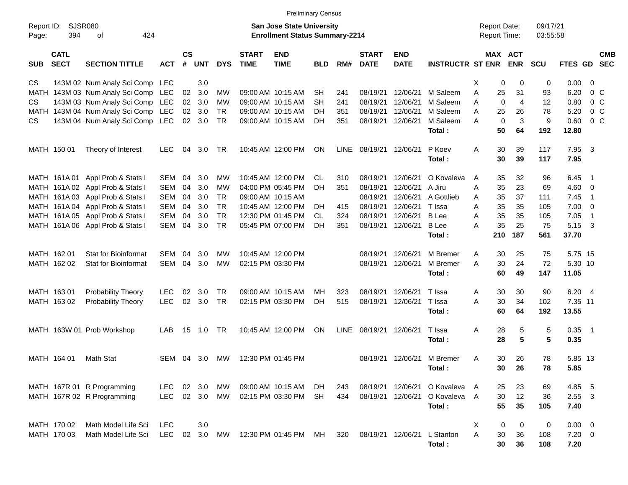|                     |                            |                                  |            |                    |            |            |                             | <b>Preliminary Census</b>                                                 |            |             |                             |                           |                         |    |                                            |                       |                      |              |                          |                          |
|---------------------|----------------------------|----------------------------------|------------|--------------------|------------|------------|-----------------------------|---------------------------------------------------------------------------|------------|-------------|-----------------------------|---------------------------|-------------------------|----|--------------------------------------------|-----------------------|----------------------|--------------|--------------------------|--------------------------|
| Report ID:<br>Page: | SJSR080<br>394             | of<br>424                        |            |                    |            |            |                             | <b>San Jose State University</b><br><b>Enrollment Status Summary-2214</b> |            |             |                             |                           |                         |    | <b>Report Date:</b><br><b>Report Time:</b> |                       | 09/17/21<br>03:55:58 |              |                          |                          |
| <b>SUB</b>          | <b>CATL</b><br><b>SECT</b> | <b>SECTION TITTLE</b>            | <b>ACT</b> | $\mathsf{cs}$<br># | <b>UNT</b> | <b>DYS</b> | <b>START</b><br><b>TIME</b> | <b>END</b><br><b>TIME</b>                                                 | <b>BLD</b> | RM#         | <b>START</b><br><b>DATE</b> | <b>END</b><br><b>DATE</b> | <b>INSTRUCTR ST ENR</b> |    |                                            | MAX ACT<br><b>ENR</b> | <b>SCU</b>           | FTES GD      |                          | <b>CMB</b><br><b>SEC</b> |
| CS                  |                            | 143M 02 Num Analy Sci Comp LEC   |            |                    | 3.0        |            |                             |                                                                           |            |             |                             |                           |                         | X. | 0                                          | 0                     | 0                    | 0.00         | 0                        |                          |
| MATH                |                            | 143M 03 Num Analy Sci Comp LEC   |            | 02                 | 3.0        | MW         |                             | 09:00 AM 10:15 AM                                                         | <b>SH</b>  | 241         | 08/19/21                    | 12/06/21                  | M Saleem                | Α  | 25                                         | 31                    | 93                   | 6.20         | $0\,C$                   |                          |
| CS.                 |                            | 143M 03 Num Analy Sci Comp LEC   |            | 02                 | 3.0        | MW         |                             | 09:00 AM 10:15 AM                                                         | SH         | 241         | 08/19/21                    | 12/06/21                  | M Saleem                | Α  | 0                                          | $\overline{4}$        | 12                   | 0.80         | 0 <sup>o</sup>           |                          |
| MATH                |                            | 143M 04 Num Analy Sci Comp LEC   |            | 02                 | 3.0        | <b>TR</b>  |                             | 09:00 AM 10:15 AM                                                         | DH.        | 351         | 08/19/21                    | 12/06/21                  | M Saleem                | Α  | 25                                         | 26                    | 78                   | 5.20         | 0 <sup>o</sup>           |                          |
| CS.                 |                            | 143M 04 Num Analy Sci Comp LEC   |            | 02 <sub>o</sub>    | 3.0        | <b>TR</b>  |                             | 09:00 AM 10:15 AM                                                         | DH         | 351         | 08/19/21                    | 12/06/21                  | M Saleem                | A  | 0                                          | 3                     | 9                    | 0.60         | 0 <sup>o</sup>           |                          |
|                     |                            |                                  |            |                    |            |            |                             |                                                                           |            |             |                             |                           | Total:                  |    | 50                                         | 64                    | 192                  | 12.80        |                          |                          |
|                     | MATH 150 01                | Theory of Interest               | LEC.       | 04                 | 3.0        | TR         |                             | 10:45 AM 12:00 PM                                                         | ON         | <b>LINE</b> | 08/19/21                    | 12/06/21                  | P Koev<br>Total:        | Α  | 30<br>30                                   | 39<br>39              | 117<br>117           | 7.95<br>7.95 | -3                       |                          |
|                     | MATH 161A01                | Appl Prob & Stats I              | <b>SEM</b> | 04                 | 3.0        | MW         |                             | 10:45 AM 12:00 PM                                                         | CL         | 310         | 08/19/21                    | 12/06/21                  | O Kovaleva              | A  | 35                                         | 32                    | 96                   | 6.45         | - 1                      |                          |
|                     |                            | MATH 161A 02 Appl Prob & Stats I | <b>SEM</b> | 04                 | 3.0        | <b>MW</b>  |                             | 04:00 PM 05:45 PM                                                         | DН         | 351         | 08/19/21                    | 12/06/21                  | A Jiru                  | Α  | 35                                         | 23                    | 69                   | 4.60         | 0                        |                          |
|                     |                            | MATH 161A 03 Appl Prob & Stats I | <b>SEM</b> | 04                 | 3.0        | <b>TR</b>  |                             | 09:00 AM 10:15 AM                                                         |            |             | 08/19/21                    | 12/06/21                  | A Gottlieb              | Α  | 35                                         | 37                    | 111                  | 7.45         | $\overline{1}$           |                          |
|                     |                            | MATH 161A 04 Appl Prob & Stats I | <b>SEM</b> | 04                 | 3.0        | <b>TR</b>  |                             | 10:45 AM 12:00 PM                                                         | DH         | 415         | 08/19/21                    | 12/06/21                  | T Issa                  | Α  | 35                                         | 35                    | 105                  | 7.00         | $\mathbf 0$              |                          |
|                     |                            | MATH 161A 05 Appl Prob & Stats I | <b>SEM</b> | 04                 | 3.0        | <b>TR</b>  |                             | 12:30 PM 01:45 PM                                                         | CL.        | 324         | 08/19/21                    | 12/06/21                  | <b>B</b> Lee            | Α  | 35                                         | 35                    | 105                  | 7.05         | $\overline{1}$           |                          |
|                     |                            | MATH 161A 06 Appl Prob & Stats I | <b>SEM</b> | 04                 | 3.0        | <b>TR</b>  |                             | 05:45 PM 07:00 PM                                                         | DН         | 351         | 08/19/21                    | 12/06/21                  | <b>B</b> Lee            | Α  | 35                                         | 25                    | 75                   | 5.15         | 3                        |                          |
|                     |                            |                                  |            |                    |            |            |                             |                                                                           |            |             |                             |                           | Total:                  |    | 210                                        | 187                   | 561                  | 37.70        |                          |                          |
|                     | MATH 162 01                | Stat for Bioinformat             | <b>SEM</b> | 04                 | 3.0        | МW         |                             | 10:45 AM 12:00 PM                                                         |            |             | 08/19/21                    | 12/06/21                  | M Bremer                | A  | 30                                         | 25                    | 75                   | 5.75 15      |                          |                          |
|                     | MATH 162 02                | <b>Stat for Bioinformat</b>      | <b>SEM</b> | 04                 | 3.0        | <b>MW</b>  |                             | 02:15 PM 03:30 PM                                                         |            |             | 08/19/21                    | 12/06/21                  | M Bremer                | A  | 30                                         | 24                    | 72                   | 5.30 10      |                          |                          |
|                     |                            |                                  |            |                    |            |            |                             |                                                                           |            |             |                             |                           | Total:                  |    | 60                                         | 49                    | 147                  | 11.05        |                          |                          |
|                     | MATH 163 01                | Probability Theory               | LEC        | 02                 | 3.0        | TR         |                             | 09:00 AM 10:15 AM                                                         | мн         | 323         | 08/19/21                    | 12/06/21                  | T Issa                  | Α  | 30                                         | 30                    | 90                   | 6.20         | $\overline{4}$           |                          |
|                     | MATH 163 02                | Probability Theory               | <b>LEC</b> | 02                 | 3.0        | <b>TR</b>  |                             | 02:15 PM 03:30 PM                                                         | DH         | 515         | 08/19/21                    | 12/06/21                  | T Issa                  | Α  | 30                                         | 34                    | 102                  | 7.35 11      |                          |                          |
|                     |                            |                                  |            |                    |            |            |                             |                                                                           |            |             |                             |                           | Total:                  |    | 60                                         | 64                    | 192                  | 13.55        |                          |                          |
|                     |                            | MATH 163W 01 Prob Workshop       | LAB        | 15                 | 1.0        | TR         |                             | 10:45 AM 12:00 PM                                                         | ON         | <b>LINE</b> | 08/19/21                    | 12/06/21                  | T Issa                  | Α  | 28                                         | 5                     | 5                    | 0.35         | $\overline{\phantom{1}}$ |                          |
|                     |                            |                                  |            |                    |            |            |                             |                                                                           |            |             |                             |                           | Total:                  |    | 28                                         | 5                     | 5                    | 0.35         |                          |                          |
|                     | MATH 164 01                | <b>Math Stat</b>                 | SEM        |                    | 04 3.0     | <b>MW</b>  |                             | 12:30 PM 01:45 PM                                                         |            |             | 08/19/21                    | 12/06/21                  | M Bremer                | A  | 30                                         | 26                    | 78                   | 5.85 13      |                          |                          |
|                     |                            |                                  |            |                    |            |            |                             |                                                                           |            |             |                             |                           | Total:                  |    | 30                                         | 26                    | 78                   | 5.85         |                          |                          |
|                     |                            | MATH 167R 01 R Programming       | LEC        |                    | 02 3.0     | МW         |                             | 09:00 AM 10:15 AM                                                         | DH.        | 243         | 08/19/21 12/06/21           |                           | O Kovaleva A            |    | 25                                         | 23                    | 69                   | 4.85 5       |                          |                          |
|                     |                            | MATH 167R 02 R Programming       | <b>LEC</b> |                    | 02 3.0     | MW         |                             | 02:15 PM 03:30 PM                                                         | <b>SH</b>  | 434         | 08/19/21                    | 12/06/21                  | O Kovaleva A            |    | 30                                         | 12                    | 36                   | $2.55 \t3$   |                          |                          |
|                     |                            |                                  |            |                    |            |            |                             |                                                                           |            |             |                             |                           | Total:                  |    | 55                                         | 35                    | 105                  | 7.40         |                          |                          |
|                     | MATH 170 02                | Math Model Life Sci              | LEC        |                    | 3.0        |            |                             |                                                                           |            |             |                             |                           |                         | X  | 0                                          | 0                     | 0                    | $0.00 \t 0$  |                          |                          |
|                     | MATH 170 03                | Math Model Life Sci              | <b>LEC</b> | 02                 | 3.0        | MW         |                             | 12:30 PM 01:45 PM                                                         | МH         | 320         | 08/19/21 12/06/21           |                           | L Stanton               | A  | $30\,$                                     | 36                    | 108                  | $7.20 \t 0$  |                          |                          |
|                     |                            |                                  |            |                    |            |            |                             |                                                                           |            |             |                             |                           | Total:                  |    | 30                                         | 36                    | 108                  | 7.20         |                          |                          |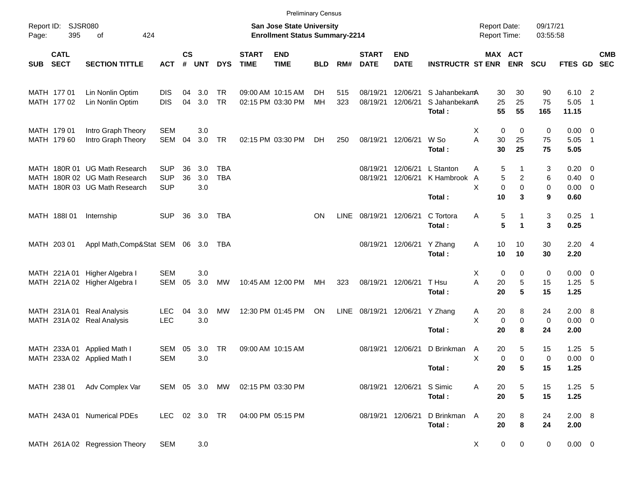|            |                            |                                                                |                          |                    |            |            |                             | <b>Preliminary Census</b>                                                 |            |      |                             |                           |                             |                                     |                               |                      |                               |                          |                          |
|------------|----------------------------|----------------------------------------------------------------|--------------------------|--------------------|------------|------------|-----------------------------|---------------------------------------------------------------------------|------------|------|-----------------------------|---------------------------|-----------------------------|-------------------------------------|-------------------------------|----------------------|-------------------------------|--------------------------|--------------------------|
| Page:      | Report ID: SJSR080<br>395  | 424<br>οf                                                      |                          |                    |            |            |                             | <b>San Jose State University</b><br><b>Enrollment Status Summary-2214</b> |            |      |                             |                           |                             | <b>Report Date:</b><br>Report Time: |                               | 09/17/21<br>03:55:58 |                               |                          |                          |
| <b>SUB</b> | <b>CATL</b><br><b>SECT</b> | <b>SECTION TITTLE</b>                                          | <b>ACT</b>               | $\mathsf{cs}$<br># | <b>UNT</b> | <b>DYS</b> | <b>START</b><br><b>TIME</b> | <b>END</b><br><b>TIME</b>                                                 | <b>BLD</b> | RM#  | <b>START</b><br><b>DATE</b> | <b>END</b><br><b>DATE</b> | <b>INSTRUCTR ST ENR ENR</b> |                                     | MAX ACT                       | <b>SCU</b>           | <b>FTES GD</b>                |                          | <b>CMB</b><br><b>SEC</b> |
|            | MATH 177 01                | Lin Nonlin Optim                                               | <b>DIS</b>               | 04                 | 3.0        | <b>TR</b>  |                             | 09:00 AM 10:15 AM                                                         | DH         | 515  | 08/19/21                    | 12/06/21                  | S JahanbekamA               | 30                                  | 30                            | 90                   | $6.10$ 2                      |                          |                          |
|            | MATH 177 02                | Lin Nonlin Optim                                               | <b>DIS</b>               | 04                 | 3.0        | <b>TR</b>  |                             | 02:15 PM 03:30 PM                                                         | MH         | 323  | 08/19/21                    | 12/06/21                  | S JahanbekamA<br>Total:     | 25<br>55                            | 25<br>55                      | 75<br>165            | 5.05<br>11.15                 | $\overline{1}$           |                          |
|            | MATH 179 01                | Intro Graph Theory                                             | <b>SEM</b>               |                    | 3.0        |            |                             |                                                                           |            |      |                             |                           |                             | $\mathbf 0$<br>Χ                    | $\mathbf 0$                   | 0                    | $0.00 \t 0$                   |                          |                          |
|            | MATH 179 60                | Intro Graph Theory                                             | SEM                      | 04                 | 3.0        | <b>TR</b>  |                             | 02:15 PM 03:30 PM                                                         | DH         | 250  | 08/19/21 12/06/21           |                           | W So<br>Total:              | A<br>30<br>30                       | 25<br>25                      | 75<br>75             | 5.05<br>5.05                  | $\overline{\phantom{1}}$ |                          |
|            |                            | MATH 180R 01 UG Math Research                                  | <b>SUP</b>               | 36                 | 3.0        | <b>TBA</b> |                             |                                                                           |            |      | 08/19/21                    | 12/06/21                  | L Stanton                   | 5<br>Α                              |                               | 3                    | $0.20 \ 0$                    |                          |                          |
|            |                            | MATH 180R 02 UG Math Research<br>MATH 180R 03 UG Math Research | <b>SUP</b><br><b>SUP</b> | 36                 | 3.0<br>3.0 | <b>TBA</b> |                             |                                                                           |            |      | 08/19/21 12/06/21           |                           | K Hambrook                  | 5<br>A<br>X<br>$\mathbf 0$          | $\overline{c}$<br>$\mathbf 0$ | 6<br>$\mathbf 0$     | $0.40 \quad 0$<br>$0.00 \t 0$ |                          |                          |
|            |                            |                                                                |                          |                    |            |            |                             |                                                                           |            |      |                             |                           | Total:                      | 10                                  | 3                             | 9                    | 0.60                          |                          |                          |
|            | MATH 188101                | Internship                                                     | <b>SUP</b>               | 36                 | 3.0        | TBA        |                             |                                                                           | <b>ON</b>  | LINE | 08/19/21 12/06/21           |                           | C Tortora<br>Total:         | 5<br>Α<br>5                         | 1                             | 3<br>3               | $0.25$ 1<br>0.25              |                          |                          |
|            | MATH 203 01                | Appl Math, Comp&Stat SEM 06 3.0                                |                          |                    |            | TBA        |                             |                                                                           |            |      | 08/19/21 12/06/21           |                           | Y Zhang<br>Total:           | Α<br>10<br>10                       | 10<br>10                      | 30<br>30             | $2.20 \quad 4$<br>2.20        |                          |                          |
|            |                            | MATH 221A 01 Higher Algebra I                                  | <b>SEM</b>               |                    | 3.0        |            |                             |                                                                           |            |      |                             |                           |                             | Χ<br>0                              | 0                             | 0                    | $0.00 \t 0$                   |                          |                          |
|            |                            | MATH 221A 02 Higher Algebra I                                  | SEM                      | 05                 | 3.0        | <b>MW</b>  |                             | 10:45 AM 12:00 PM                                                         | МH         | 323  | 08/19/21 12/06/21           |                           | T Hsu<br>Total:             | A<br>20<br>20                       | 5<br>5                        | 15<br>15             | $1.25$ 5<br>1.25              |                          |                          |
|            |                            | MATH 231A 01 Real Analysis                                     | <b>LEC</b>               | 04                 | 3.0        | MW         |                             | 12:30 PM 01:45 PM                                                         | ON         | LINE | 08/19/21 12/06/21           |                           | Y Zhang                     | 20<br>A                             | 8                             | 24                   | 2.00 8                        |                          |                          |
|            |                            | MATH 231A 02 Real Analysis                                     | LEC                      |                    | 3.0        |            |                             |                                                                           |            |      |                             |                           | Total:                      | X<br>0<br>20                        | $\mathbf 0$<br>8              | 0<br>24              | $0.00 \t 0$<br>2.00           |                          |                          |
|            | MATH 233A 01               | <b>Applied Math I</b>                                          | <b>SEM</b>               | 05                 | 3.0        | <b>TR</b>  |                             | 09:00 AM 10:15 AM                                                         |            |      | 08/19/21 12/06/21           |                           | D Brinkman                  | 20<br>A                             | 5                             | 15                   | 1.25                          | - 5                      |                          |
|            |                            | MATH 233A 02 Applied Math I                                    | <b>SEM</b>               |                    | 3.0        |            |                             |                                                                           |            |      |                             |                           | Total:                      | Х<br>0<br>20                        | 0<br>5                        | 0<br>15              | $0.00 \t 0$<br>1.25           |                          |                          |
|            |                            |                                                                |                          |                    |            |            |                             |                                                                           |            |      |                             |                           |                             |                                     |                               |                      |                               |                          |                          |
|            | MATH 238 01                | Adv Complex Var                                                | SEM 05 3.0 MW            |                    |            |            | 02:15 PM 03:30 PM           |                                                                           |            |      |                             | 08/19/21 12/06/21         | S Simic<br>Total:           | Α<br>20<br>20                       | 5<br>$5\phantom{a}$           | 15<br>15             | $1.25 - 5$<br>1.25            |                          |                          |
|            |                            | MATH 243A 01 Numerical PDEs                                    | LEC 02 3.0 TR            |                    |            |            |                             | 04:00 PM 05:15 PM                                                         |            |      | 08/19/21 12/06/21           |                           | D Brinkman A<br>Total:      | 20<br>20                            | 8<br>8                        | 24<br>24             | 2.00 8<br>2.00                |                          |                          |
|            |                            | MATH 261A 02 Regression Theory                                 | <b>SEM</b>               |                    | 3.0        |            |                             |                                                                           |            |      |                             |                           |                             | $\pmb{0}$<br>X                      | 0                             | 0                    | $0.00 \t 0$                   |                          |                          |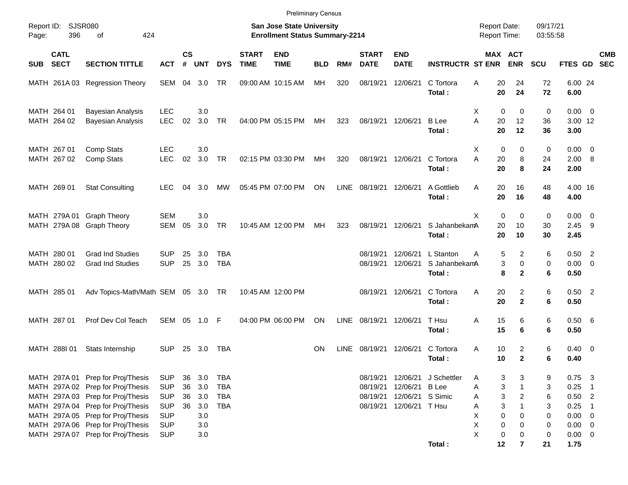|            |                            |                                                                                                                                                                                                                            |                                                                                  |                      |                                        |                                               |                             | <b>Preliminary Census</b>                                          |            |             |                                  |                                                      |                                      |                                     |                                                                                                |                            |                                                                |                                                     |            |
|------------|----------------------------|----------------------------------------------------------------------------------------------------------------------------------------------------------------------------------------------------------------------------|----------------------------------------------------------------------------------|----------------------|----------------------------------------|-----------------------------------------------|-----------------------------|--------------------------------------------------------------------|------------|-------------|----------------------------------|------------------------------------------------------|--------------------------------------|-------------------------------------|------------------------------------------------------------------------------------------------|----------------------------|----------------------------------------------------------------|-----------------------------------------------------|------------|
| Page:      | Report ID: SJSR080<br>396  | 424<br>of                                                                                                                                                                                                                  |                                                                                  |                      |                                        |                                               |                             | San Jose State University<br><b>Enrollment Status Summary-2214</b> |            |             |                                  |                                                      |                                      | <b>Report Date:</b><br>Report Time: |                                                                                                | 09/17/21<br>03:55:58       |                                                                |                                                     |            |
| <b>SUB</b> | <b>CATL</b><br><b>SECT</b> | <b>SECTION TITTLE</b>                                                                                                                                                                                                      | <b>ACT</b>                                                                       | $\mathsf{cs}$<br>#   | <b>UNT</b>                             | <b>DYS</b>                                    | <b>START</b><br><b>TIME</b> | <b>END</b><br><b>TIME</b>                                          | <b>BLD</b> | RM#         | <b>START</b><br><b>DATE</b>      | <b>END</b><br><b>DATE</b>                            | <b>INSTRUCTR ST ENR</b>              |                                     | MAX ACT<br><b>ENR</b>                                                                          | <b>SCU</b>                 | FTES GD SEC                                                    |                                                     | <b>CMB</b> |
|            |                            | MATH 261A 03 Regression Theory                                                                                                                                                                                             | SEM                                                                              |                      | 04 3.0                                 | TR                                            |                             | 09:00 AM 10:15 AM                                                  | MH         | 320         | 08/19/21                         | 12/06/21                                             | C Tortora<br>Total:                  | 20<br>Α<br>20                       | 24<br>24                                                                                       | 72<br>72                   | 6.00 24<br>6.00                                                |                                                     |            |
|            | MATH 264 01<br>MATH 264 02 | <b>Bayesian Analysis</b><br><b>Bayesian Analysis</b>                                                                                                                                                                       | <b>LEC</b><br><b>LEC</b>                                                         | 02                   | 3.0<br>3.0                             | <b>TR</b>                                     |                             | 04:00 PM 05:15 PM                                                  | МH         | 323         | 08/19/21                         | 12/06/21                                             | <b>B</b> Lee<br>Total:               | $\mathbf 0$<br>X<br>A<br>20<br>20   | 0<br>12<br>12                                                                                  | 0<br>36<br>36              | $0.00 \t 0$<br>3.00 12<br>3.00                                 |                                                     |            |
|            | MATH 267 01<br>MATH 267 02 | Comp Stats<br>Comp Stats                                                                                                                                                                                                   | <b>LEC</b><br><b>LEC</b>                                                         | 02                   | 3.0<br>3.0                             | <b>TR</b>                                     |                             | 02:15 PM 03:30 PM                                                  | МH         | 320         | 08/19/21                         | 12/06/21                                             | C Tortora<br>Total:                  | X<br>0<br>A<br>20<br>20             | 0<br>8<br>8                                                                                    | 0<br>24<br>24              | $0.00 \t 0$<br>2.00 8<br>2.00                                  |                                                     |            |
|            | MATH 269 01                | <b>Stat Consulting</b>                                                                                                                                                                                                     | <b>LEC</b>                                                                       | 04                   | 3.0                                    | МW                                            |                             | 05:45 PM 07:00 PM                                                  | ON         | <b>LINE</b> | 08/19/21                         | 12/06/21                                             | A Gottlieb<br>Total:                 | 20<br>A<br>20                       | 16<br>16                                                                                       | 48<br>48                   | 4.00 16<br>4.00                                                |                                                     |            |
|            |                            | MATH 279A 01 Graph Theory<br>MATH 279A 08 Graph Theory                                                                                                                                                                     | <b>SEM</b><br><b>SEM</b>                                                         | 05                   | 3.0<br>3.0                             | <b>TR</b>                                     |                             | 10:45 AM 12:00 PM                                                  | MН         | 323         | 08/19/21                         | 12/06/21                                             | S JahanbekamA<br>Total:              | X<br>$\mathbf 0$<br>20<br>20        | 0<br>10<br>10                                                                                  | 0<br>30<br>30              | $0.00 \t 0$<br>2.45<br>2.45                                    | - 9                                                 |            |
|            | MATH 280 01<br>MATH 280 02 | <b>Grad Ind Studies</b><br><b>Grad Ind Studies</b>                                                                                                                                                                         | <b>SUP</b><br><b>SUP</b>                                                         | 25<br>25             | 3.0<br>3.0                             | TBA<br><b>TBA</b>                             |                             |                                                                    |            |             | 08/19/21<br>08/19/21             | 12/06/21<br>12/06/21                                 | L Stanton<br>S JahanbekamA<br>Total: | Α<br>8                              | 5<br>$\overline{2}$<br>3<br>0<br>$\mathbf{2}$                                                  | 6<br>0<br>6                | $0.50$ 2<br>$0.00 \t 0$<br>0.50                                |                                                     |            |
|            | MATH 285 01                | Adv Topics-Math/Math SEM 05 3.0 TR                                                                                                                                                                                         |                                                                                  |                      |                                        |                                               |                             | 10:45 AM 12:00 PM                                                  |            |             | 08/19/21                         | 12/06/21                                             | C Tortora<br>Total:                  | 20<br>Α<br>20                       | $\overline{2}$<br>$\mathbf{2}$                                                                 | 6<br>6                     | $0.50$ 2<br>0.50                                               |                                                     |            |
|            | MATH 287 01                | Prof Dev Col Teach                                                                                                                                                                                                         | SEM                                                                              |                      | 05 1.0 F                               |                                               |                             | 04:00 PM 06:00 PM                                                  | ON         | LINE        | 08/19/21                         | 12/06/21                                             | T Hsu<br>Total:                      | 15<br>Α<br>15                       | 6<br>6                                                                                         | 6<br>6                     | 0.50 6<br>0.50                                                 |                                                     |            |
|            | MATH 288101                | Stats Internship                                                                                                                                                                                                           | <b>SUP</b>                                                                       | 25                   | 3.0                                    | TBA                                           |                             |                                                                    | <b>ON</b>  | <b>LINE</b> | 08/19/21                         | 12/06/21                                             | C Tortora<br>Total:                  | 10<br>Α<br>10                       | $\overline{2}$<br>$\overline{2}$                                                               | 6<br>6                     | $0.40 \quad 0$<br>0.40                                         |                                                     |            |
|            |                            | MATH 297A 01 Prep for Proj/Thesis<br>MATH 297A 02 Prep for Proj/Thesis<br>MATH 297A 03 Prep for Proj/Thesis<br>MATH 297A 04 Prep for Proj/Thesis<br>MATH 297A 05 Prep for Proj/Thesis<br>MATH 297A 06 Prep for Proj/Thesis | <b>SUP</b><br><b>SUP</b><br><b>SUP</b><br><b>SUP</b><br><b>SUP</b><br><b>SUP</b> | 36<br>36<br>36<br>36 | 3.0<br>3.0<br>3.0<br>3.0<br>3.0<br>3.0 | TBA<br><b>TBA</b><br><b>TBA</b><br><b>TBA</b> |                             |                                                                    |            |             | 08/19/21<br>08/19/21<br>08/19/21 | 12/06/21 B Lee<br>12/06/21 S Simic<br>12/06/21 T Hsu | 08/19/21 12/06/21 J Schettler        | Α<br>Α<br>Α<br>Α<br>х<br>X<br>0     | 3<br>3<br>3<br>$\mathbf{1}$<br>3<br>$\overline{c}$<br>3<br>$\mathbf{1}$<br>$\pmb{0}$<br>0<br>0 | 9<br>3<br>6<br>3<br>0<br>0 | 0.75<br>0.25<br>$0.50$ 2<br>0.25<br>$0.00 \t 0$<br>$0.00 \t 0$ | $\overline{\phantom{a}}$ 3<br>- 1<br>$\overline{1}$ |            |
|            |                            | MATH 297A 07 Prep for Proj/Thesis                                                                                                                                                                                          | <b>SUP</b>                                                                       |                      | 3.0                                    |                                               |                             |                                                                    |            |             |                                  |                                                      | Total:                               | X<br>$\pmb{0}$<br>12                | 0<br>$\overline{7}$                                                                            | 0<br>21                    | $0.00 \t 0$<br>1.75                                            |                                                     |            |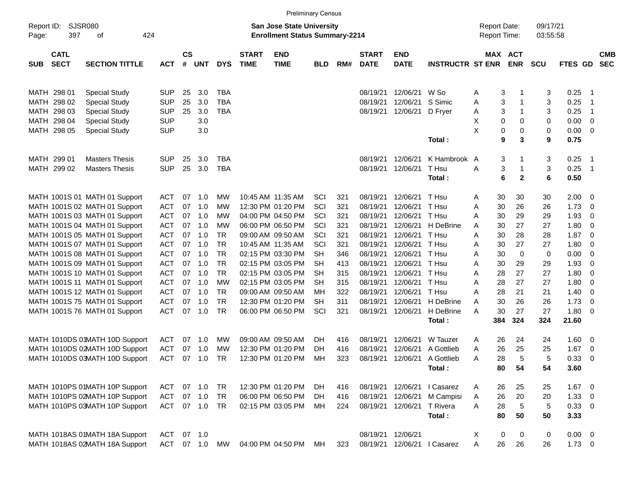|                     |                            |                                |            |                    |            |            |                             |                                                                    | <b>Preliminary Census</b> |     |                             |                           |                         |                                     |              |                      |             |                            |                          |
|---------------------|----------------------------|--------------------------------|------------|--------------------|------------|------------|-----------------------------|--------------------------------------------------------------------|---------------------------|-----|-----------------------------|---------------------------|-------------------------|-------------------------------------|--------------|----------------------|-------------|----------------------------|--------------------------|
| Report ID:<br>Page: | <b>SJSR080</b><br>397      | of                             | 424        |                    |            |            |                             | San Jose State University<br><b>Enrollment Status Summary-2214</b> |                           |     |                             |                           |                         | <b>Report Date:</b><br>Report Time: |              | 09/17/21<br>03:55:58 |             |                            |                          |
| <b>SUB</b>          | <b>CATL</b><br><b>SECT</b> | <b>SECTION TITTLE</b>          | <b>ACT</b> | $\mathsf{cs}$<br># | <b>UNT</b> | <b>DYS</b> | <b>START</b><br><b>TIME</b> | <b>END</b><br><b>TIME</b>                                          | <b>BLD</b>                | RM# | <b>START</b><br><b>DATE</b> | <b>END</b><br><b>DATE</b> | <b>INSTRUCTR ST ENR</b> | MAX ACT                             | <b>ENR</b>   | <b>SCU</b>           | FTES GD     |                            | <b>CMB</b><br><b>SEC</b> |
|                     | MATH 298 01                | <b>Special Study</b>           | <b>SUP</b> | 25                 | 3.0        | <b>TBA</b> |                             |                                                                    |                           |     | 08/19/21                    | 12/06/21                  | W So                    | 3<br>Α                              |              | 3                    | 0.25        | $\overline{\phantom{1}}$   |                          |
|                     | MATH 298 02                | <b>Special Study</b>           | <b>SUP</b> | 25                 | 3.0        | <b>TBA</b> |                             |                                                                    |                           |     | 08/19/21                    | 12/06/21                  | S Simic                 | 3<br>Α                              | 1            | 3                    | 0.25        | - 1                        |                          |
|                     | MATH 298 03                | <b>Special Study</b>           | <b>SUP</b> | 25                 | 3.0        | <b>TBA</b> |                             |                                                                    |                           |     | 08/19/21                    | 12/06/21                  | D Fryer                 | 3<br>Α                              | 1            | 3                    | 0.25        | $\overline{\phantom{1}}$   |                          |
|                     | MATH 298 04                | <b>Special Study</b>           | <b>SUP</b> |                    | 3.0        |            |                             |                                                                    |                           |     |                             |                           |                         | х<br>0                              | 0            | 0                    | 0.00        | $\overline{\phantom{0}}$   |                          |
|                     | MATH 298 05                | <b>Special Study</b>           | <b>SUP</b> |                    | 3.0        |            |                             |                                                                    |                           |     |                             |                           |                         | X<br>0                              | 0            | 0                    | $0.00 \t 0$ |                            |                          |
|                     |                            |                                |            |                    |            |            |                             |                                                                    |                           |     |                             |                           | Total:                  | 9                                   | 3            | 9                    | 0.75        |                            |                          |
|                     | MATH 299 01                | <b>Masters Thesis</b>          | <b>SUP</b> | 25                 | 3.0        | TBA        |                             |                                                                    |                           |     | 08/19/21                    | 12/06/21                  | K Hambrook A            | 3                                   | 1            | 3                    | 0.25        | $\overline{\phantom{1}}$   |                          |
|                     | MATH 299 02                | <b>Masters Thesis</b>          | <b>SUP</b> | 25                 | 3.0        | <b>TBA</b> |                             |                                                                    |                           |     | 08/19/21                    | 12/06/21                  | T Hsu                   | 3<br>Α                              | 1            | 3                    | 0.25        | $\overline{\phantom{0}}$ 1 |                          |
|                     |                            |                                |            |                    |            |            |                             |                                                                    |                           |     |                             |                           | Total:                  | 6                                   | $\mathbf{2}$ | 6                    | 0.50        |                            |                          |
|                     |                            | MATH 1001S 01 MATH 01 Support  | <b>ACT</b> | 07                 | 1.0        | MW         |                             | 10:45 AM 11:35 AM                                                  | SCI                       | 321 | 08/19/21                    | 12/06/21                  | T Hsu                   | 30<br>Α                             | 30           | 30                   | 2.00        | $\overline{\phantom{0}}$   |                          |
|                     |                            | MATH 1001S 02 MATH 01 Support  | <b>ACT</b> | 07                 | 1.0        | MW         |                             | 12:30 PM 01:20 PM                                                  | SCI                       | 321 | 08/19/21                    | 12/06/21                  | T Hsu                   | 30<br>Α                             | 26           | 26                   | 1.73        | $\overline{\mathbf{0}}$    |                          |
|                     |                            | MATH 1001S 03 MATH 01 Support  | <b>ACT</b> | 07                 | 1.0        | MW         |                             | 04:00 PM 04:50 PM                                                  | SCI                       | 321 | 08/19/21                    | 12/06/21                  | T Hsu                   | 30<br>Α                             | 29           | 29                   | 1.93        | - 0                        |                          |
|                     |                            | MATH 1001S 04 MATH 01 Support  | <b>ACT</b> | 07                 | 1.0        | MW         |                             | 06:00 PM 06:50 PM                                                  | SCI                       | 321 | 08/19/21                    | 12/06/21                  | H DeBrine               | 30<br>Α                             | 27           | 27                   | 1.80        | - 0                        |                          |
|                     |                            | MATH 1001S 05 MATH 01 Support  | <b>ACT</b> | 07                 | 1.0        | <b>TR</b>  |                             | 09:00 AM 09:50 AM                                                  | SCI                       | 321 | 08/19/21                    | 12/06/21                  | T Hsu                   | 30<br>Α                             | 28           | 28                   | 1.87        | $\overline{\mathbf{0}}$    |                          |
|                     |                            | MATH 1001S 07 MATH 01 Support  | <b>ACT</b> | 07                 | 1.0        | <b>TR</b>  |                             | 10:45 AM 11:35 AM                                                  | SCI                       | 321 | 08/19/21                    | 12/06/21                  | T Hsu                   | 30<br>A                             | 27           | 27                   | 1.80        | - 0                        |                          |
|                     |                            | MATH 1001S 08 MATH 01 Support  | <b>ACT</b> | 07                 | 1.0        | <b>TR</b>  |                             | 02:15 PM 03:30 PM                                                  | <b>SH</b>                 | 346 | 08/19/21                    | 12/06/21                  | T Hsu                   | 30<br>Α                             | $\mathbf 0$  | 0                    | 0.00        | - 0                        |                          |
|                     |                            | MATH 1001S 09 MATH 01 Support  | <b>ACT</b> | 07                 | 1.0        | <b>TR</b>  |                             | 02:15 PM 03:05 PM                                                  | <b>SH</b>                 | 413 | 08/19/21                    | 12/06/21                  | T Hsu                   | 30<br>Α                             | 29           | 29                   | 1.93        | - 0                        |                          |
|                     |                            | MATH 1001S 10 MATH 01 Support  | <b>ACT</b> | 07                 | 1.0        | <b>TR</b>  |                             | 02:15 PM 03:05 PM                                                  | <b>SH</b>                 | 315 | 08/19/21                    | 12/06/21                  | T Hsu                   | 28<br>Α                             | 27           | 27                   | 1.80        | - 0                        |                          |
|                     |                            | MATH 1001S 11 MATH 01 Support  | <b>ACT</b> | 07                 | 1.0        | МW         |                             | 02:15 PM 03:05 PM                                                  | <b>SH</b>                 | 315 | 08/19/21                    | 12/06/21                  | T Hsu                   | 28<br>Α                             | 27           | 27                   | 1.80        | - 0                        |                          |
|                     |                            | MATH 1001S 12 MATH 01 Support  | <b>ACT</b> | 07                 | 1.0        | <b>TR</b>  |                             | 09:00 AM 09:50 AM                                                  | MН                        | 322 | 08/19/21                    | 12/06/21                  | T Hsu                   | 28<br>Α                             | 21           | 21                   | 1.40        | $\overline{\mathbf{0}}$    |                          |
|                     |                            | MATH 1001S 75 MATH 01 Support  | <b>ACT</b> | 07                 | 1.0        | <b>TR</b>  |                             | 12:30 PM 01:20 PM                                                  | <b>SH</b>                 | 311 | 08/19/21                    | 12/06/21                  | H DeBrine               | 30<br>Α                             | 26           | 26                   | 1.73        | $\overline{\mathbf{0}}$    |                          |
|                     |                            | MATH 1001S 76 MATH 01 Support  | <b>ACT</b> | 07                 | 1.0        | <b>TR</b>  |                             | 06:00 PM 06:50 PM                                                  | SCI                       | 321 | 08/19/21                    | 12/06/21                  | H DeBrine               | 30<br>Α                             | 27           | 27                   | 1.80 0      |                            |                          |
|                     |                            |                                |            |                    |            |            |                             |                                                                    |                           |     |                             |                           | Total:                  | 384                                 | 324          | 324                  | 21.60       |                            |                          |
|                     |                            | MATH 1010DS 01MATH 10D Support | <b>ACT</b> | 07                 | 1.0        | MW         |                             | 09:00 AM 09:50 AM                                                  | DH.                       | 416 | 08/19/21                    | 12/06/21                  | W Tauzer                | 26<br>Α                             | 24           | 24                   | 1.60        | $\overline{\phantom{0}}$   |                          |
|                     |                            | MATH 1010DS 02MATH 10D Support | <b>ACT</b> | 07                 | 1.0        | MW         |                             | 12:30 PM 01:20 PM                                                  | DH.                       | 416 | 08/19/21                    | 12/06/21                  | A Gottlieb              | 26<br>Α                             | 25           | 25                   | 1.67        | $\overline{\mathbf{0}}$    |                          |
|                     |                            | MATH 1010DS 03MATH 10D Support | <b>ACT</b> | 07                 | 1.0        | <b>TR</b>  |                             | 12:30 PM 01:20 PM                                                  | MH                        | 323 | 08/19/21                    | 12/06/21                  | A Gottlieb              | 28<br>A                             | 5            | 5                    | 0.33        | - 0                        |                          |
|                     |                            |                                |            |                    |            |            |                             |                                                                    |                           |     |                             |                           | Total:                  | 80                                  | 54           | 54                   | 3.60        |                            |                          |
|                     |                            | MATH 1010PS 01MATH 10P Support | <b>ACT</b> |                    | 07 1.0     | <b>TR</b>  |                             | 12:30 PM 01:20 PM                                                  | DH.                       | 416 | 08/19/21                    | 12/06/21                  | I Casarez               | 26<br>A                             | 25           | 25                   | $1.67$ 0    |                            |                          |
|                     |                            | MATH 1010PS 02MATH 10P Support | <b>ACT</b> |                    | 07 1.0     | <b>TR</b>  |                             | 06:00 PM 06:50 PM                                                  | DH.                       | 416 | 08/19/21                    | 12/06/21                  | M Campisi               | 26<br>A                             | 20           | 20                   | $1.33 \ 0$  |                            |                          |
|                     |                            | MATH 1010PS 03MATH 10P Support | <b>ACT</b> |                    | 07 1.0     | <b>TR</b>  |                             | 02:15 PM 03:05 PM                                                  | MН                        | 224 | 08/19/21                    | 12/06/21                  | T Rivera                | 28<br>A                             | $\,$ 5 $\,$  | $\sqrt{5}$           | 0.33 0      |                            |                          |
|                     |                            |                                |            |                    |            |            |                             |                                                                    |                           |     |                             |                           | Total:                  | 80                                  | 50           | 50                   | 3.33        |                            |                          |
|                     |                            | MATH 1018AS 01MATH 18A Support | <b>ACT</b> | 07                 | 1.0        |            |                             |                                                                    |                           |     | 08/19/21 12/06/21           |                           |                         | X<br>0                              | 0            | 0                    | $0.00 \t 0$ |                            |                          |
|                     |                            | MATH 1018AS 02MATH 18A Support | ACT        |                    | 07 1.0     | MW         |                             | 04:00 PM 04:50 PM                                                  | MН                        | 323 |                             | 08/19/21 12/06/21         | I Casarez               | 26<br>A                             | 26           | 26                   | $1.73 \t 0$ |                            |                          |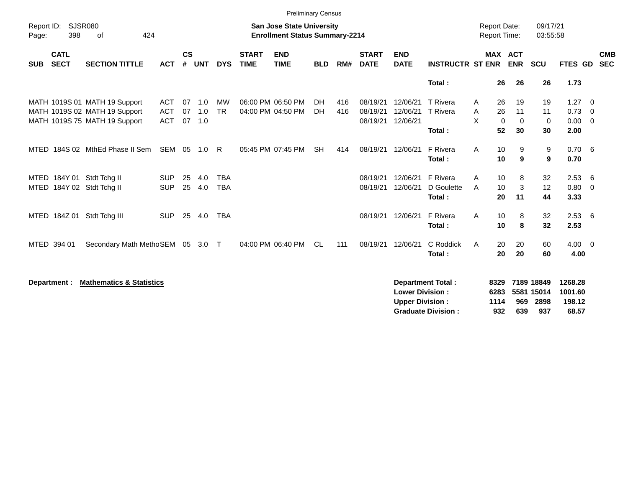|                                                        |                                                                                                 |                                        |                    |                                  |                                       |                             | <b>Preliminary Census</b>              |                 |                                            |                                  |                                                  |                                                       |                             |                                                             |                                         |                                                      |                                |
|--------------------------------------------------------|-------------------------------------------------------------------------------------------------|----------------------------------------|--------------------|----------------------------------|---------------------------------------|-----------------------------|----------------------------------------|-----------------|--------------------------------------------|----------------------------------|--------------------------------------------------|-------------------------------------------------------|-----------------------------|-------------------------------------------------------------|-----------------------------------------|------------------------------------------------------|--------------------------------|
| Report ID:<br>398<br>Page:                             | <b>SJSR080</b><br>424<br>of                                                                     |                                        |                    | <b>San Jose State University</b> | <b>Enrollment Status Summary-2214</b> |                             |                                        |                 | <b>Report Date:</b><br><b>Report Time:</b> |                                  | 09/17/21<br>03:55:58                             |                                                       |                             |                                                             |                                         |                                                      |                                |
| <b>CATL</b><br><b>SECT</b><br><b>SUB</b>               | <b>SECTION TITTLE</b>                                                                           | <b>ACT</b>                             | $\mathsf{cs}$<br># | <b>UNT</b>                       | <b>DYS</b>                            | <b>START</b><br><b>TIME</b> | <b>END</b><br><b>TIME</b>              | <b>BLD</b>      | RM#                                        | <b>START</b><br><b>DATE</b>      | <b>END</b><br><b>DATE</b>                        | <b>INSTRUCTR ST ENR</b>                               |                             | <b>MAX ACT</b><br><b>ENR</b>                                | <b>SCU</b>                              | <b>FTES GD</b>                                       | <b>CMB</b><br><b>SEC</b>       |
|                                                        |                                                                                                 |                                        |                    |                                  |                                       |                             |                                        |                 |                                            |                                  |                                                  | Total:                                                |                             | 26<br>26                                                    | 26                                      | 1.73                                                 |                                |
|                                                        | MATH 1019S 01 MATH 19 Support<br>MATH 1019S 02 MATH 19 Support<br>MATH 1019S 75 MATH 19 Support | <b>ACT</b><br><b>ACT</b><br><b>ACT</b> | 07<br>07<br>07     | 1.0<br>1.0<br>1.0                | <b>MW</b><br><b>TR</b>                |                             | 06:00 PM 06:50 PM<br>04:00 PM 04:50 PM | <b>DH</b><br>DH | 416<br>416                                 | 08/19/21<br>08/19/21<br>08/19/21 | 12/06/21<br>12/06/21<br>12/06/21                 | <b>T</b> Rivera<br><b>T</b> Rivera<br>Total:          | A<br>A<br>X                 | 26<br>19<br>26<br>11<br>$\mathbf 0$<br>$\Omega$<br>52<br>30 | 19<br>11<br>0<br>30                     | $1.27 \t 0$<br>$0.73 \quad 0$<br>$0.00 \t 0$<br>2.00 |                                |
|                                                        | MTED 184S 02 MthEd Phase II Sem                                                                 | SEM 05                                 |                    | 1.0                              | R.                                    |                             | 05:45 PM 07:45 PM                      | <b>SH</b>       | 414                                        | 08/19/21                         | 12/06/21                                         | F Rivera<br>Total:                                    | A                           | 10<br>9<br>9<br>10                                          | 9<br>9                                  | 0.706<br>0.70                                        |                                |
| MTED 184Y 01 Stdt Tchg II<br>MTED 184Y 02 Stdt Tchg II |                                                                                                 | <b>SUP</b><br><b>SUP</b>               | 25<br>25           | 4.0<br>4.0                       | <b>TBA</b><br><b>TBA</b>              |                             |                                        |                 |                                            | 08/19/21<br>08/19/21             | 12/06/21<br>12/06/21                             | F Rivera<br>D Goulette<br>Total:                      | A<br>A                      | 10<br>8<br>3<br>10<br>20<br>11                              | 32<br>12<br>44                          | 2.53<br>0.80<br>3.33                                 | - 6<br>$\overline{\mathbf{0}}$ |
| MTED 184Z 01 Stdt Tchg III                             |                                                                                                 | <b>SUP</b>                             | 25                 | 4.0                              | <b>TBA</b>                            |                             |                                        |                 |                                            | 08/19/21                         | 12/06/21                                         | F Rivera<br>Total:                                    | A                           | 10<br>8<br>8<br>10                                          | 32<br>32                                | 2.536<br>2.53                                        |                                |
| MTED 394 01                                            | Secondary Math MethoSEM 05 3.0                                                                  |                                        |                    |                                  | $\top$                                |                             | 04:00 PM 06:40 PM                      | CL.             | 111                                        | 08/19/21 12/06/21                |                                                  | C Roddick<br>Total:                                   | A                           | 20<br>20<br>20<br>20                                        | 60<br>60                                | $4.00 \ 0$<br>4.00                                   |                                |
| Department :                                           | <b>Mathematics &amp; Statistics</b>                                                             |                                        |                    |                                  |                                       |                             |                                        |                 |                                            |                                  | <b>Lower Division:</b><br><b>Upper Division:</b> | <b>Department Total:</b><br><b>Graduate Division:</b> | 8329<br>6283<br>1114<br>932 | 969<br>639                                                  | 7189 18849<br>5581 15014<br>2898<br>937 | 1268.28<br>1001.60<br>198.12<br>68.57                |                                |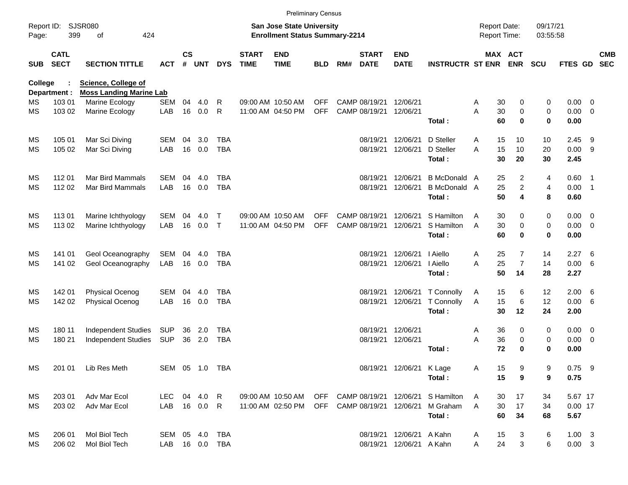|            |                            |                                  |                   |                    |               |                |                             |                                                                           | <b>Preliminary Census</b> |     |                                         |                           |                                                         |                                     |                                     |                      |                            |     |                          |
|------------|----------------------------|----------------------------------|-------------------|--------------------|---------------|----------------|-----------------------------|---------------------------------------------------------------------------|---------------------------|-----|-----------------------------------------|---------------------------|---------------------------------------------------------|-------------------------------------|-------------------------------------|----------------------|----------------------------|-----|--------------------------|
| Page:      | Report ID: SJSR080<br>399  | 424<br>οf                        |                   |                    |               |                |                             | <b>San Jose State University</b><br><b>Enrollment Status Summary-2214</b> |                           |     |                                         |                           |                                                         | <b>Report Date:</b><br>Report Time: |                                     | 09/17/21<br>03:55:58 |                            |     |                          |
| <b>SUB</b> | <b>CATL</b><br><b>SECT</b> | <b>SECTION TITTLE</b>            | <b>ACT</b>        | $\mathsf{cs}$<br># | <b>UNT</b>    | <b>DYS</b>     | <b>START</b><br><b>TIME</b> | <b>END</b><br><b>TIME</b>                                                 | <b>BLD</b>                | RM# | <b>START</b><br><b>DATE</b>             | <b>END</b><br><b>DATE</b> | <b>INSTRUCTR ST ENR ENR</b>                             |                                     | <b>MAX ACT</b>                      | <b>SCU</b>           | FTES GD                    |     | <b>CMB</b><br><b>SEC</b> |
| College    |                            | <b>Science, College of</b>       |                   |                    |               |                |                             |                                                                           |                           |     |                                         |                           |                                                         |                                     |                                     |                      |                            |     |                          |
|            | Department :               | <b>Moss Landing Marine Lab</b>   |                   | 04                 |               |                |                             |                                                                           |                           |     |                                         | 12/06/21                  |                                                         |                                     |                                     |                      |                            |     |                          |
| МS<br>МS   | 103 01<br>103 02           | Marine Ecology<br>Marine Ecology | <b>SEM</b><br>LAB |                    | 4.0<br>16 0.0 | R<br>R         |                             | 09:00 AM 10:50 AM<br>11:00 AM 04:50 PM                                    | <b>OFF</b><br><b>OFF</b>  |     | CAMP 08/19/21<br>CAMP 08/19/21 12/06/21 |                           |                                                         | Α<br>A                              | 30<br>0<br>30<br>$\mathbf 0$        | 0<br>0               | $0.00 \t 0$<br>$0.00 \t 0$ |     |                          |
|            |                            |                                  |                   |                    |               |                |                             |                                                                           |                           |     |                                         |                           | Total:                                                  |                                     | 60<br>$\bf{0}$                      | 0                    | 0.00                       |     |                          |
| МS         | 105 01                     | Mar Sci Diving                   | SEM               | 04                 | 3.0           | <b>TBA</b>     |                             |                                                                           |                           |     | 08/19/21                                | 12/06/21                  | D Steller                                               | A                                   | 15<br>10                            | 10                   | 2.45                       | - 9 |                          |
| MS         | 105 02                     | Mar Sci Diving                   | LAB               |                    | 16 0.0        | <b>TBA</b>     |                             |                                                                           |                           |     |                                         | 08/19/21 12/06/21         | D Steller<br>Total:                                     | 15<br>A                             | 10<br>30<br>20                      | 20<br>30             | 0.009<br>2.45              |     |                          |
| МS         | 112 01                     | <b>Mar Bird Mammals</b>          | SEM               | 04                 | 4.0           | TBA            |                             |                                                                           |                           |     | 08/19/21                                | 12/06/21                  | <b>B</b> McDonald A                                     |                                     | 2<br>25                             | 4                    | $0.60$ 1                   |     |                          |
| MS         | 112 02                     | Mar Bird Mammals                 | LAB               |                    | 16 0.0        | <b>TBA</b>     |                             |                                                                           |                           |     |                                         | 08/19/21 12/06/21         | B McDonald A<br>Total:                                  |                                     | $\overline{a}$<br>25<br>50<br>4     | 4<br>8               | $0.00$ 1<br>0.60           |     |                          |
| МS         | 113 01                     | Marine Ichthyology               | <b>SEM</b>        | 04                 | 4.0           | Т              |                             | 09:00 AM 10:50 AM                                                         | <b>OFF</b>                |     | CAMP 08/19/21                           | 12/06/21                  | S Hamilton                                              | A                                   | 30<br>0                             | 0                    | $0.00 \t 0$                |     |                          |
| MS         | 113 02                     | Marine Ichthyology               | LAB               | 16                 | 0.0           | $\mathsf{T}$   |                             | 11:00 AM 04:50 PM                                                         | <b>OFF</b>                |     | CAMP 08/19/21 12/06/21                  |                           | S Hamilton<br>Total:                                    | A                                   | $\mathbf 0$<br>30<br>$\bf{0}$<br>60 | 0<br>0               | $0.00 \t 0$<br>0.00        |     |                          |
|            |                            |                                  |                   |                    |               |                |                             |                                                                           |                           |     |                                         |                           |                                                         |                                     |                                     |                      |                            |     |                          |
| МS         | 141 01                     | Geol Oceanography                | SEM               | 04                 | 4.0           | TBA            |                             |                                                                           |                           |     | 08/19/21                                | 12/06/21                  | I Aiello                                                | A                                   | 7<br>25                             | 14                   | 2.27                       | 6   |                          |
| MS         | 141 02                     | Geol Oceanography                | LAB               |                    | 16 0.0        | <b>TBA</b>     |                             |                                                                           |                           |     |                                         | 08/19/21 12/06/21         | I Aiello<br>Total:                                      | A                                   | 25<br>$\overline{7}$<br>50<br>14    | 14<br>28             | $0.00\ 6$<br>2.27          |     |                          |
| МS         | 142 01                     | Physical Ocenog                  | <b>SEM</b>        | 04                 | 4.0           | TBA            |                             |                                                                           |                           |     | 08/19/21                                | 12/06/21                  | T Connolly                                              | A                                   | 15<br>6                             | 12                   | $2.00\quad 6$              |     |                          |
| MS         | 142 02                     | Physical Ocenog                  | LAB               |                    | 16 0.0        | <b>TBA</b>     |                             |                                                                           |                           |     |                                         | 08/19/21 12/06/21         | T Connolly                                              | A                                   | 15<br>6                             | 12                   | 0.00 6                     |     |                          |
|            |                            |                                  |                   |                    |               |                |                             |                                                                           |                           |     |                                         |                           | Total:                                                  |                                     | 12<br>30                            | 24                   | 2.00                       |     |                          |
| МS         | 180 11                     | <b>Independent Studies</b>       | SUP               | 36                 | 2.0           | TBA            |                             |                                                                           |                           |     |                                         | 08/19/21 12/06/21         |                                                         | Α                                   | 36<br>0                             | 0                    | $0.00 \t 0$                |     |                          |
| MS         | 180 21                     | Independent Studies              | <b>SUP</b>        | 36                 | 2.0           | <b>TBA</b>     |                             |                                                                           |                           |     |                                         | 08/19/21 12/06/21         |                                                         | A                                   | 36<br>$\mathbf 0$                   | 0                    | $0.00 \t 0$                |     |                          |
|            |                            |                                  |                   |                    |               |                |                             |                                                                           |                           |     |                                         |                           | Total:                                                  |                                     | 72<br>0                             | 0                    | 0.00                       |     |                          |
| ΜS         |                            | 201 01 Lib Res Meth              |                   |                    |               | SEM 05 1.0 TBA |                             |                                                                           |                           |     |                                         | 08/19/21 12/06/21 K Lage  |                                                         | Α<br>15                             | 9                                   | 9                    | $0.75$ 9                   |     |                          |
|            |                            |                                  |                   |                    |               |                |                             |                                                                           |                           |     |                                         |                           | Total:                                                  | 15                                  | 9                                   | 9                    | 0.75                       |     |                          |
| МS         | 203 01                     | Adv Mar Ecol                     | LEC 04 4.0 R      |                    |               |                |                             |                                                                           |                           |     |                                         |                           | 09:00 AM 10:50 AM OFF CAMP 08/19/21 12/06/21 S Hamilton | 30<br>A                             | 17                                  | 34                   | 5.67 17                    |     |                          |
| МS         | 203 02                     | Adv Mar Ecol                     | LAB 16 0.0 R      |                    |               |                |                             | 11:00 AM 02:50 PM OFF CAMP 08/19/21 12/06/21                              |                           |     |                                         |                           | M Graham                                                | 30<br>A                             | 17                                  | 34                   | $0.00$ 17                  |     |                          |
|            |                            |                                  |                   |                    |               |                |                             |                                                                           |                           |     |                                         |                           | Total:                                                  |                                     | 60<br>34                            | 68                   | 5.67                       |     |                          |
| МS         | 206 01                     | Mol Biol Tech                    | SEM 05 4.0        |                    |               | <b>TBA</b>     |                             |                                                                           |                           |     |                                         | 08/19/21 12/06/21 A Kahn  |                                                         | 15<br>A                             | 3                                   | 6                    | $1.00 \quad 3$             |     |                          |
| МS         | 206 02                     | Mol Biol Tech                    |                   |                    |               | LAB 16 0.0 TBA |                             |                                                                           |                           |     |                                         | 08/19/21 12/06/21 A Kahn  |                                                         | A                                   | $\mathbf{3}$<br>24                  | 6                    | $0.00 \quad 3$             |     |                          |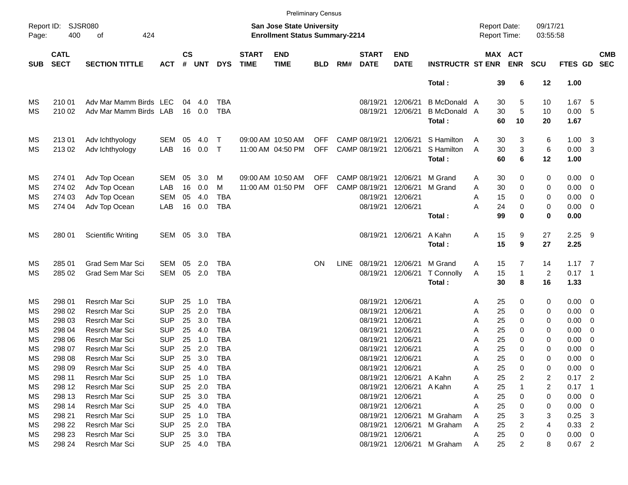|            |                            |                           |            |                |            |            |                             |                                                                    | <b>Preliminary Census</b> |             |                             |                           |                            |                                     |                              |                      |             |                            |                          |
|------------|----------------------------|---------------------------|------------|----------------|------------|------------|-----------------------------|--------------------------------------------------------------------|---------------------------|-------------|-----------------------------|---------------------------|----------------------------|-------------------------------------|------------------------------|----------------------|-------------|----------------------------|--------------------------|
| Page:      | Report ID: SJSR080<br>400  | of<br>424                 |            |                |            |            |                             | San Jose State University<br><b>Enrollment Status Summary-2214</b> |                           |             |                             |                           |                            | <b>Report Date:</b><br>Report Time: |                              | 09/17/21<br>03:55:58 |             |                            |                          |
| <b>SUB</b> | <b>CATL</b><br><b>SECT</b> | <b>SECTION TITTLE</b>     | <b>ACT</b> | <b>CS</b><br># | <b>UNT</b> | <b>DYS</b> | <b>START</b><br><b>TIME</b> | <b>END</b><br><b>TIME</b>                                          | <b>BLD</b>                | RM#         | <b>START</b><br><b>DATE</b> | <b>END</b><br><b>DATE</b> | <b>INSTRUCTR ST ENR</b>    |                                     | <b>MAX ACT</b><br><b>ENR</b> | <b>SCU</b>           | FTES GD     |                            | <b>CMB</b><br><b>SEC</b> |
|            |                            |                           |            |                |            |            |                             |                                                                    |                           |             |                             |                           | Total:                     |                                     | 39<br>6                      | 12                   | 1.00        |                            |                          |
| MS         | 210 01                     | Adv Mar Mamm Birds LEC    |            | 04             | 4.0        | TBA        |                             |                                                                    |                           |             | 08/19/21                    | 12/06/21                  | <b>B</b> McDonald A        |                                     | 30<br>5                      | 10                   | 1.67        | - 5                        |                          |
| MS         | 210 02                     | Adv Mar Mamm Birds LAB    |            |                | 16 0.0     | <b>TBA</b> |                             |                                                                    |                           |             | 08/19/21                    | 12/06/21                  | B McDonald A               |                                     | 30<br>5                      | 10                   | 0.00        | 5                          |                          |
|            |                            |                           |            |                |            |            |                             |                                                                    |                           |             |                             |                           | Total:                     | 60                                  | 10                           | 20                   | 1.67        |                            |                          |
| MS         | 213 01                     | Adv Ichthyology           | <b>SEM</b> | 05             | 4.0        | Т          |                             | 09:00 AM 10:50 AM                                                  | <b>OFF</b>                |             | CAMP 08/19/21               | 12/06/21                  | S Hamilton                 | A                                   | 30<br>3                      | 6                    | 1.00        | $\overline{\mathbf{3}}$    |                          |
| MS         | 21302                      | Adv Ichthyology           | LAB        | 16             | 0.0        | $\top$     |                             | 11:00 AM 04:50 PM                                                  | <b>OFF</b>                |             | CAMP 08/19/21               | 12/06/21                  | S Hamilton                 | A                                   | 3<br>30                      | 6                    | 0.00        | $\overline{\mathbf{3}}$    |                          |
|            |                            |                           |            |                |            |            |                             |                                                                    |                           |             |                             |                           | Total:                     | 60                                  | 6                            | 12                   | 1.00        |                            |                          |
| МS         | 274 01                     | Adv Top Ocean             | <b>SEM</b> | 05             | 3.0        | M          |                             | 09:00 AM 10:50 AM                                                  | <b>OFF</b>                |             | CAMP 08/19/21               | 12/06/21                  | M Grand                    | 30<br>Α                             | 0                            | 0                    | 0.00        | $\overline{\mathbf{0}}$    |                          |
| МS         | 274 02                     | Adv Top Ocean             | LAB        | 16             | 0.0        | м          |                             | 11:00 AM 01:50 PM                                                  | <b>OFF</b>                |             | CAMP 08/19/21               | 12/06/21                  | M Grand                    | 30<br>Α                             | 0                            | 0                    | 0.00        | $\overline{\mathbf{0}}$    |                          |
| МS         | 274 03                     | Adv Top Ocean             | <b>SEM</b> | 05             | 4.0        | <b>TBA</b> |                             |                                                                    |                           |             | 08/19/21                    | 12/06/21                  |                            | 15<br>Α                             | 0                            | 0                    | 0.00        | 0                          |                          |
| ΜS         | 274 04                     | Adv Top Ocean             | LAB        | 16             | 0.0        | <b>TBA</b> |                             |                                                                    |                           |             |                             | 08/19/21 12/06/21         |                            | 24<br>Α                             | 0                            | 0                    | 0.00        | $\overline{\mathbf{0}}$    |                          |
|            |                            |                           |            |                |            |            |                             |                                                                    |                           |             |                             |                           | Total:                     | 99                                  | 0                            | 0                    | 0.00        |                            |                          |
| MS         | 280 01                     | <b>Scientific Writing</b> | SEM        | 05             | 3.0        | TBA        |                             |                                                                    |                           |             |                             | 08/19/21 12/06/21         | A Kahn                     | Α                                   | 15<br>9                      | 27                   | 2.25        | - 9                        |                          |
|            |                            |                           |            |                |            |            |                             |                                                                    |                           |             |                             |                           | Total:                     |                                     | 15<br>9                      | 27                   | 2.25        |                            |                          |
| МS         | 285 01                     | <b>Grad Sem Mar Sci</b>   | SEM        | 05             | 2.0        | TBA        |                             |                                                                    | <b>ON</b>                 | <b>LINE</b> | 08/19/21                    | 12/06/21                  | M Grand                    | 15<br>A                             | 7                            | 14                   | $1.17 \t 7$ |                            |                          |
| MS         | 285 02                     | Grad Sem Mar Sci          | SEM        | 05             | 2.0        | <b>TBA</b> |                             |                                                                    |                           |             | 08/19/21                    | 12/06/21                  | T Connolly                 | Α                                   | 15<br>$\mathbf{1}$           | $\overline{2}$       | $0.17$ 1    |                            |                          |
|            |                            |                           |            |                |            |            |                             |                                                                    |                           |             |                             |                           | Total:                     |                                     | 30<br>8                      | 16                   | 1.33        |                            |                          |
| МS         | 298 01                     | <b>Resrch Mar Sci</b>     | <b>SUP</b> | 25             | 1.0        | TBA        |                             |                                                                    |                           |             | 08/19/21                    | 12/06/21                  |                            | 25<br>A                             | 0                            | 0                    | 0.00        | $\overline{\phantom{0}}$   |                          |
| МS         | 298 02                     | Resrch Mar Sci            | <b>SUP</b> | 25             | 2.0        | <b>TBA</b> |                             |                                                                    |                           |             | 08/19/21                    | 12/06/21                  |                            | 25<br>Α                             | 0                            | 0                    | 0.00        | $\overline{\mathbf{0}}$    |                          |
| МS         | 298 03                     | Resrch Mar Sci            | <b>SUP</b> | 25             | 3.0        | <b>TBA</b> |                             |                                                                    |                           |             | 08/19/21                    | 12/06/21                  |                            | 25<br>Α                             | 0                            | 0                    | 0.00        | 0                          |                          |
| МS         | 298 04                     | Resrch Mar Sci            | <b>SUP</b> | 25             | 4.0        | <b>TBA</b> |                             |                                                                    |                           |             | 08/19/21                    | 12/06/21                  |                            | 25<br>Α                             | 0                            | 0                    | 0.00        | 0                          |                          |
| МS         | 298 06                     | Resrch Mar Sci            | <b>SUP</b> | 25             | 1.0        | <b>TBA</b> |                             |                                                                    |                           |             | 08/19/21                    | 12/06/21                  |                            | 25<br>A                             | 0                            | 0                    | 0.00        | 0                          |                          |
| ΜS         | 298 07                     | Resrch Mar Sci            | <b>SUP</b> | 25             | 2.0        | <b>TBA</b> |                             |                                                                    |                           |             | 08/19/21                    | 12/06/21                  |                            | 25<br>Α                             | 0                            | 0                    | 0.00        | 0                          |                          |
| MS         | 298 08                     | <b>Resrch Mar Sci</b>     | <b>SUP</b> | 25             | 3.0        | <b>TBA</b> |                             |                                                                    |                           |             | 08/19/21 12/06/21           |                           |                            | Α                                   | 25<br>$\Omega$               | 0                    | 0.00        | $\overline{0}$             |                          |
| МS         | 298 09                     | Resrch Mar Sci            | <b>SUP</b> |                | 25 4.0     | TBA        |                             |                                                                    |                           |             |                             | 08/19/21 12/06/21         |                            | 25<br>A                             | 0                            | 0                    | 0.00        | $\overline{\phantom{0}}$   |                          |
| MS         | 298 11                     | Resrch Mar Sci            | <b>SUP</b> |                | 25 1.0     | TBA        |                             |                                                                    |                           |             |                             | 08/19/21 12/06/21         | A Kahn                     | 25<br>A                             | 2                            | 2                    | $0.17$ 2    |                            |                          |
| МS         | 298 12                     | Resrch Mar Sci            | <b>SUP</b> |                | 25 2.0     | TBA        |                             |                                                                    |                           |             |                             | 08/19/21 12/06/21         | A Kahn                     | 25<br>A                             |                              | 2                    | 0.17        | $\overline{\phantom{0}}$ 1 |                          |
| МS         | 298 13                     | Resrch Mar Sci            | <b>SUP</b> |                | 25 3.0     | TBA        |                             |                                                                    |                           |             | 08/19/21 12/06/21           |                           |                            | 25<br>A                             | 0                            | 0                    | 0.00        | $\overline{\mathbf{0}}$    |                          |
| MS         | 298 14                     | Resrch Mar Sci            | <b>SUP</b> |                | 25 4.0     | TBA        |                             |                                                                    |                           |             |                             | 08/19/21 12/06/21         |                            | 25<br>Α                             | 0                            | 0                    | 0.00        | $\overline{0}$             |                          |
| МS         | 298 21                     | Resrch Mar Sci            | <b>SUP</b> |                | 25 1.0     | TBA        |                             |                                                                    |                           |             |                             | 08/19/21 12/06/21         | M Graham                   | 25<br>A                             | 3                            | 3                    | 0.25        | -3                         |                          |
| МS         | 298 22                     | Resrch Mar Sci            | <b>SUP</b> |                | 25 2.0     | TBA        |                             |                                                                    |                           |             | 08/19/21                    | 12/06/21                  | M Graham                   | 25<br>A                             | 2                            | 4                    | 0.33        | $\overline{2}$             |                          |
| МS         | 298 23                     | Resrch Mar Sci            | <b>SUP</b> |                | 25 3.0     | TBA        |                             |                                                                    |                           |             | 08/19/21 12/06/21           |                           |                            | 25<br>A                             | 0                            | 0                    | $0.00 \t 0$ |                            |                          |
| ΜS         | 298 24                     | Resrch Mar Sci            | <b>SUP</b> |                |            | 25 4.0 TBA |                             |                                                                    |                           |             |                             |                           | 08/19/21 12/06/21 M Graham | 25<br>A                             | 2                            | 8                    | $0.67$ 2    |                            |                          |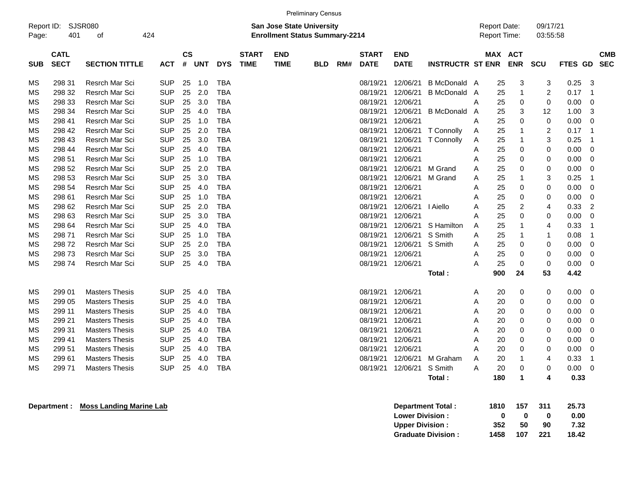|                                                                                                                                                                                                                      |             |                       |            |    |            |            |             |             | <b>Preliminary Census</b> |     |                   |             |                         |   |                                            |                      |                      |             |                         |  |
|----------------------------------------------------------------------------------------------------------------------------------------------------------------------------------------------------------------------|-------------|-----------------------|------------|----|------------|------------|-------------|-------------|---------------------------|-----|-------------------|-------------|-------------------------|---|--------------------------------------------|----------------------|----------------------|-------------|-------------------------|--|
| SJSR080<br>San Jose State University<br>Report ID:<br>424<br>401<br><b>Enrollment Status Summary-2214</b><br>Page:<br>οf<br>$\mathsf{cs}$<br><b>CATL</b><br><b>END</b><br><b>START</b><br><b>START</b><br><b>END</b> |             |                       |            |    |            |            |             |             |                           |     |                   |             |                         |   | <b>Report Date:</b><br><b>Report Time:</b> |                      | 09/17/21<br>03:55:58 |             |                         |  |
| <b>SUB</b>                                                                                                                                                                                                           | <b>SECT</b> | <b>SECTION TITTLE</b> | ACT        | #  | <b>UNT</b> | <b>DYS</b> | <b>TIME</b> | <b>TIME</b> | <b>BLD</b>                | RM# | <b>DATE</b>       | <b>DATE</b> | <b>INSTRUCTR ST ENR</b> |   | MAX ACT                                    | <b>ENR</b>           | SCU                  | FTES GD SEC | <b>CMB</b>              |  |
| ΜS                                                                                                                                                                                                                   | 298 31      | Resrch Mar Sci        | <b>SUP</b> | 25 | 1.0        | <b>TBA</b> |             |             |                           |     | 08/19/21          | 12/06/21    | <b>B</b> McDonald       | A | 25                                         | 3                    | 3                    | 0.25        | 3                       |  |
| ΜS                                                                                                                                                                                                                   | 298 32      | Resrch Mar Sci        | <b>SUP</b> | 25 | 2.0        | <b>TBA</b> |             |             |                           |     | 08/19/21          | 12/06/21    | <b>B</b> McDonald       | A | 25                                         | $\mathbf{1}$         | 2                    | 0.17        | $\mathbf 1$             |  |
| ΜS                                                                                                                                                                                                                   | 298 33      | Resrch Mar Sci        | <b>SUP</b> | 25 | 3.0        | <b>TBA</b> |             |             |                           |     | 08/19/21          | 12/06/21    |                         | Α | 25                                         | 0                    | 0                    | 0.00        | $\mathbf 0$             |  |
| ΜS                                                                                                                                                                                                                   | 298 34      | Resrch Mar Sci        | <b>SUP</b> | 25 | 4.0        | <b>TBA</b> |             |             |                           |     | 08/19/21          | 12/06/21    | <b>B</b> McDonald       | A | 25                                         | 3                    | 12                   | 1.00        | 3                       |  |
| ΜS                                                                                                                                                                                                                   | 298 41      | Resrch Mar Sci        | <b>SUP</b> | 25 | 1.0        | <b>TBA</b> |             |             |                           |     | 08/19/21          | 12/06/21    |                         | Α | 25                                         | 0                    | 0                    | 0.00        | 0                       |  |
| ΜS                                                                                                                                                                                                                   | 298 42      | Resrch Mar Sci        | <b>SUP</b> | 25 | 2.0        | <b>TBA</b> |             |             |                           |     | 08/19/21          | 12/06/21    | <b>T</b> Connolly       | Α | 25                                         | 1                    | $\overline{2}$       | 0.17        | $\overline{1}$          |  |
| ΜS                                                                                                                                                                                                                   | 298 43      | Resrch Mar Sci        | <b>SUP</b> | 25 | 3.0        | <b>TBA</b> |             |             |                           |     | 08/19/21          | 12/06/21    | T Connolly              | Α | 25                                         | 1                    | 3                    | 0.25        | -1                      |  |
| ΜS                                                                                                                                                                                                                   | 298 44      | Resrch Mar Sci        | <b>SUP</b> | 25 | 4.0        | <b>TBA</b> |             |             |                           |     | 08/19/21          | 12/06/21    |                         | Α | 25                                         | 0                    | 0                    | 0.00        | 0                       |  |
| ΜS                                                                                                                                                                                                                   | 298 51      | Resrch Mar Sci        | <b>SUP</b> | 25 | 1.0        | <b>TBA</b> |             |             |                           |     | 08/19/21          | 12/06/21    |                         | A | 25                                         | 0                    | 0                    | 0.00        | 0                       |  |
| ΜS                                                                                                                                                                                                                   | 298 52      | Resrch Mar Sci        | <b>SUP</b> | 25 | 2.0        | <b>TBA</b> |             |             |                           |     | 08/19/21          | 12/06/21    | M Grand                 | Α | 25                                         | 0                    | 0                    | 0.00        | 0                       |  |
| ΜS                                                                                                                                                                                                                   | 298 53      | Resrch Mar Sci        | <b>SUP</b> | 25 | 3.0        | <b>TBA</b> |             |             |                           |     | 08/19/21          | 12/06/21    | M Grand                 | Α | 25                                         | 1                    | 3                    | 0.25        | $\mathbf 1$             |  |
| ΜS                                                                                                                                                                                                                   | 298 54      | Resrch Mar Sci        | <b>SUP</b> | 25 | 4.0        | <b>TBA</b> |             |             |                           |     | 08/19/21          | 12/06/21    |                         | Α | 25                                         | 0                    | 0                    | 0.00        | 0                       |  |
| ΜS                                                                                                                                                                                                                   | 298 61      | Resrch Mar Sci        | <b>SUP</b> | 25 | 1.0        | <b>TBA</b> |             |             |                           |     | 08/19/21          | 12/06/21    |                         | Α | 25                                         | 0                    | 0                    | 0.00        | 0                       |  |
| ΜS                                                                                                                                                                                                                   | 298 62      | Resrch Mar Sci        | <b>SUP</b> | 25 | 2.0        | TBA        |             |             |                           |     | 08/19/21          | 12/06/21    | I Aiello                | Α | 25                                         | 2                    | 4                    | 0.33        | $\overline{2}$          |  |
| ΜS                                                                                                                                                                                                                   | 298 63      | Resrch Mar Sci        | <b>SUP</b> | 25 | 3.0        | <b>TBA</b> |             |             |                           |     | 08/19/21          | 12/06/21    |                         | Α | 25                                         | 0                    | 0                    | 0.00        | 0                       |  |
| ΜS                                                                                                                                                                                                                   | 298 64      | Resrch Mar Sci        | <b>SUP</b> | 25 | 4.0        | <b>TBA</b> |             |             |                           |     | 08/19/21          | 12/06/21    | S Hamilton              | Α | 25                                         | 1                    | 4                    | 0.33        | $\overline{\mathbf{1}}$ |  |
| ΜS                                                                                                                                                                                                                   | 298 71      | Resrch Mar Sci        | <b>SUP</b> | 25 | 1.0        | <b>TBA</b> |             |             |                           |     | 08/19/21          | 12/06/21    | S Smith                 | Α | 25                                         | 1                    | -1                   | 0.08        | $\mathbf 1$             |  |
| ΜS                                                                                                                                                                                                                   | 29872       | Resrch Mar Sci        | <b>SUP</b> | 25 | 2.0        | <b>TBA</b> |             |             |                           |     | 08/19/21          | 12/06/21    | S Smith                 | A | 25                                         | 0                    | 0                    | 0.00        | $\mathbf 0$             |  |
| ΜS                                                                                                                                                                                                                   | 29873       | Resrch Mar Sci        | <b>SUP</b> | 25 | 3.0        | <b>TBA</b> |             |             |                           |     | 08/19/21          | 12/06/21    |                         | Α | 25                                         | 0                    | 0                    | 0.00        | 0                       |  |
| ΜS                                                                                                                                                                                                                   | 298 74      | Resrch Mar Sci        | <b>SUP</b> | 25 | 4.0        | <b>TBA</b> |             |             |                           |     | 08/19/21 12/06/21 |             |                         | Α | 25                                         | $\mathbf 0$          | 0                    | 0.00        | 0                       |  |
|                                                                                                                                                                                                                      |             |                       |            |    |            |            |             |             |                           |     |                   |             | Total:                  |   | 900                                        | 24                   | 53                   | 4.42        |                         |  |
| ΜS                                                                                                                                                                                                                   | 299 01      | <b>Masters Thesis</b> | <b>SUP</b> | 25 | 4.0        | <b>TBA</b> |             |             |                           |     | 08/19/21          | 12/06/21    |                         | Α | 20                                         | 0                    | 0                    | 0.00        | 0                       |  |
| ΜS                                                                                                                                                                                                                   | 299 05      | <b>Masters Thesis</b> | <b>SUP</b> | 25 | 4.0        | <b>TBA</b> |             |             |                           |     | 08/19/21          | 12/06/21    |                         | Α | 20                                         | 0                    | 0                    | 0.00        | 0                       |  |
| ΜS                                                                                                                                                                                                                   | 299 11      | <b>Masters Thesis</b> | <b>SUP</b> | 25 | 4.0        | <b>TBA</b> |             |             |                           |     | 08/19/21          | 12/06/21    |                         | Α | 20                                         | 0                    | 0                    | 0.00        | 0                       |  |
| ΜS                                                                                                                                                                                                                   | 299 21      | <b>Masters Thesis</b> | <b>SUP</b> | 25 | 4.0        | <b>TBA</b> |             |             |                           |     | 08/19/21 12/06/21 |             |                         | Α | 20                                         | 0                    | 0                    | 0.00        | 0                       |  |
| ΜS                                                                                                                                                                                                                   | 299 31      | <b>Masters Thesis</b> | <b>SUP</b> | 25 | 4.0        | <b>TBA</b> |             |             |                           |     | 08/19/21          | 12/06/21    |                         | Α | 20                                         | 0                    | 0                    | 0.00        | 0                       |  |
| ΜS                                                                                                                                                                                                                   | 299 41      | <b>Masters Thesis</b> | <b>SUP</b> | 25 | 4.0        | <b>TBA</b> |             |             |                           |     | 08/19/21          | 12/06/21    |                         | A | 20                                         | 0                    | 0                    | 0.00        | 0                       |  |
| ΜS                                                                                                                                                                                                                   | 299 51      | <b>Masters Thesis</b> | <b>SUP</b> | 25 | 4.0        | <b>TBA</b> |             |             |                           |     | 08/19/21          | 12/06/21    |                         | Α | 20                                         | 0                    | 0                    | 0.00        | $\mathbf 0$             |  |
| ΜS                                                                                                                                                                                                                   | 299 61      | <b>Masters Thesis</b> | <b>SUP</b> | 25 | 4.0        | <b>TBA</b> |             |             |                           |     | 08/19/21          | 12/06/21    | M Graham                | Α | 20                                         | 1                    | 4                    | 0.33        | -1                      |  |
| ΜS                                                                                                                                                                                                                   | 29971       | <b>Masters Thesis</b> | <b>SUP</b> | 25 | 4.0        | <b>TBA</b> |             |             |                           |     | 08/19/21          | 12/06/21    | S Smith                 | A | 20                                         | 0                    | 0                    | 0.00        | 0                       |  |
|                                                                                                                                                                                                                      |             |                       |            |    |            |            |             |             |                           |     |                   |             | Total:                  |   | 180                                        | $\blacktriangleleft$ | 4                    | 0.33        |                         |  |

**Department : Moss Landing Marine Lab** 

| Department Total:         | 1810 | 157 | 311  | 25.73 |
|---------------------------|------|-----|------|-------|
| <b>Lower Division:</b>    | o    | 0   | o    | 0.00  |
| <b>Upper Division:</b>    | 352  | 50  | 90   | 7.32  |
| <b>Graduate Division:</b> | 1458 | 107 | -221 | 18.42 |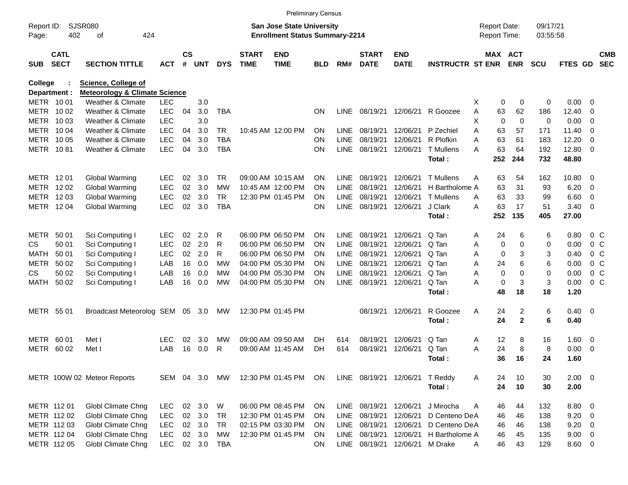|                     |                            |                                          |            |                    |            |            |                             |                                                                    | <b>Preliminary Census</b> |             |                             |                           |                            |                                     |              |                      |                |                         |                          |
|---------------------|----------------------------|------------------------------------------|------------|--------------------|------------|------------|-----------------------------|--------------------------------------------------------------------|---------------------------|-------------|-----------------------------|---------------------------|----------------------------|-------------------------------------|--------------|----------------------|----------------|-------------------------|--------------------------|
| Report ID:<br>Page: | <b>SJSR080</b><br>402      | 424<br>оf                                |            |                    |            |            |                             | San Jose State University<br><b>Enrollment Status Summary-2214</b> |                           |             |                             |                           |                            | <b>Report Date:</b><br>Report Time: |              | 09/17/21<br>03:55:58 |                |                         |                          |
| <b>SUB</b>          | <b>CATL</b><br><b>SECT</b> | <b>SECTION TITTLE</b>                    | <b>ACT</b> | $\mathsf{cs}$<br># | <b>UNT</b> | <b>DYS</b> | <b>START</b><br><b>TIME</b> | <b>END</b><br><b>TIME</b>                                          | BLD                       | RM#         | <b>START</b><br><b>DATE</b> | <b>END</b><br><b>DATE</b> | <b>INSTRUCTR ST ENR</b>    | MAX ACT                             | <b>ENR</b>   | <b>SCU</b>           | FTES GD        |                         | <b>CMB</b><br><b>SEC</b> |
| <b>College</b>      |                            | <b>Science, College of</b>               |            |                    |            |            |                             |                                                                    |                           |             |                             |                           |                            |                                     |              |                      |                |                         |                          |
|                     | Department :               | <b>Meteorology &amp; Climate Science</b> |            |                    |            |            |                             |                                                                    |                           |             |                             |                           |                            |                                     |              |                      |                |                         |                          |
|                     | METR 1001                  | <b>Weather &amp; Climate</b>             | <b>LEC</b> |                    | 3.0        |            |                             |                                                                    |                           |             |                             |                           |                            | X<br>0                              | 0            | 0                    | 0.00           | 0                       |                          |
|                     | METR 1002                  | <b>Weather &amp; Climate</b>             | <b>LEC</b> | 04                 | 3.0        | <b>TBA</b> |                             |                                                                    | <b>ON</b>                 | <b>LINE</b> | 08/19/21 12/06/21           |                           | R Goozee                   | 63<br>Α                             | 62           | 186                  | 12.40          | 0                       |                          |
|                     | METR 1003                  | <b>Weather &amp; Climate</b>             | <b>LEC</b> |                    | 3.0        |            |                             |                                                                    |                           |             |                             |                           |                            | X<br>$\mathbf 0$                    | 0            | $\mathbf 0$          | 0.00           | 0                       |                          |
| METR                | 10 04                      | <b>Weather &amp; Climate</b>             | <b>LEC</b> | 04                 | 3.0        | TR         |                             | 10:45 AM 12:00 PM                                                  | <b>ON</b>                 | LINE        | 08/19/21                    | 12/06/21                  | P Zechiel                  | 63<br>Α                             | 57           | 171                  | 11.40          | 0                       |                          |
|                     | METR 1005                  | <b>Weather &amp; Climate</b>             | <b>LEC</b> | 04                 | 3.0        | <b>TBA</b> |                             |                                                                    | ON                        | <b>LINE</b> | 08/19/21                    | 12/06/21                  | R Plofkin                  | 63<br>Α                             | 61           | 183                  | 12.20          | 0                       |                          |
|                     | METR 1081                  | <b>Weather &amp; Climate</b>             | <b>LEC</b> | 04                 | 3.0        | <b>TBA</b> |                             |                                                                    | ΟN                        | <b>LINE</b> | 08/19/21                    | 12/06/21                  | <b>T</b> Mullens<br>Total: | 63<br>А<br>252                      | 64<br>244    | 192<br>732           | 12.80<br>48.80 | $\overline{0}$          |                          |
|                     | METR 1201                  | <b>Global Warming</b>                    | <b>LEC</b> | 02                 | 3.0        | TR         |                             | 09:00 AM 10:15 AM                                                  | ON                        | LINE        | 08/19/21                    | 12/06/21                  | <b>T</b> Mullens           | 63<br>Α                             | 54           | 162                  | 10.80          | 0                       |                          |
|                     | METR 1202                  | Global Warming                           | <b>LEC</b> | 02                 | 3.0        | МW         |                             | 10:45 AM 12:00 PM                                                  | ON                        | LINE        | 08/19/21                    | 12/06/21                  | H Bartholome A             | 63                                  | 31           | 93                   | 6.20           | 0                       |                          |
|                     | METR 1203                  | Global Warming                           | <b>LEC</b> | 02                 | 3.0        | <b>TR</b>  |                             | 12:30 PM 01:45 PM                                                  | ΟN                        | <b>LINE</b> | 08/19/21                    | 12/06/21                  | <b>T</b> Mullens           | 63<br>Α                             | 33           | 99                   | 6.60           | 0                       |                          |
|                     | METR 1204                  | Global Warming                           | <b>LEC</b> | 02                 | 3.0        | <b>TBA</b> |                             |                                                                    | ΟN                        | <b>LINE</b> | 08/19/21                    | 12/06/21                  | J Clark                    | 63<br>А                             | 17           | 51                   | 3.40           | $\overline{0}$          |                          |
|                     |                            |                                          |            |                    |            |            |                             |                                                                    |                           |             |                             |                           | Total:                     | 252                                 | 135          | 405                  | 27.00          |                         |                          |
| METR                | 50 01                      | Sci Computing I                          | <b>LEC</b> | 02                 | 2.0        | R          |                             | 06:00 PM 06:50 PM                                                  | ON                        | LINE        | 08/19/21                    | 12/06/21                  | Q Tan                      | 24<br>Α                             | 6            | 6                    | 0.80           | $0\,$ C                 |                          |
| <b>CS</b>           | 50 01                      | Sci Computing I                          | <b>LEC</b> | 02                 | 2.0        | R          |                             | 06:00 PM 06:50 PM                                                  | ON                        | <b>LINE</b> | 08/19/21                    | 12/06/21                  | Q Tan                      | 0<br>Α                              | $\Omega$     | 0                    | 0.00           | 0 <sup>o</sup>          |                          |
| MATH                | 50 01                      | Sci Computing I                          | <b>LEC</b> | 02                 | 2.0        | R          |                             | 06:00 PM 06:50 PM                                                  | ON                        | <b>LINE</b> | 08/19/21                    | 12/06/21                  | Q Tan                      | Α<br>0                              | 3            | 3                    | 0.40           | 0 <sup>o</sup>          |                          |
| <b>METR</b>         | 50 02                      | Sci Computing I                          | LAB        | 16                 | 0.0        | <b>MW</b>  |                             | 04:00 PM 05:30 PM                                                  | ON                        | <b>LINE</b> | 08/19/21                    | 12/06/21                  | Q Tan                      | A<br>24                             | 6            | 6                    | 0.00           | 0 <sup>o</sup>          |                          |
| <b>CS</b>           | 50 02                      | Sci Computing I                          | LAB        | 16                 | 0.0        | МW         |                             | 04:00 PM 05:30 PM                                                  | ON                        | <b>LINE</b> | 08/19/21                    | 12/06/21                  | Q Tan                      | 0<br>Α                              | $\Omega$     | $\mathbf 0$          | 0.00           | 0 <sup>o</sup>          |                          |
| MATH                | 50 02                      | Sci Computing I                          | LAB        | 16                 | 0.0        | МW         |                             | 04:00 PM 05:30 PM                                                  | ΟN                        | <b>LINE</b> | 08/19/21                    | 12/06/21                  | Q Tan                      | $\mathbf 0$<br>Α                    | 3            | 3                    | 0.00           | 0 <sup>o</sup>          |                          |
|                     |                            |                                          |            |                    |            |            |                             |                                                                    |                           |             |                             |                           | Total:                     | 48                                  | 18           | 18                   | 1.20           |                         |                          |
|                     | METR 55 01                 | Broadcast Meteorolog SEM                 |            |                    | 05 3.0     | MW         |                             | 12:30 PM 01:45 PM                                                  |                           |             | 08/19/21 12/06/21           |                           | R Goozee                   | Α<br>24                             | 2            | 6                    | 0.40           | $\overline{\mathbf{0}}$ |                          |
|                     |                            |                                          |            |                    |            |            |                             |                                                                    |                           |             |                             |                           | Total:                     | 24                                  | $\mathbf{2}$ | 6                    | 0.40           |                         |                          |
|                     | METR 60 01                 | Met I                                    | LEC        | 02                 | 3.0        | МW         |                             | 09:00 AM 09:50 AM                                                  | DH.                       | 614         | 08/19/21                    | 12/06/21                  | Q Tan                      | 12<br>Α                             | 8            | 16                   | 1.60           | 0                       |                          |
| METR                | 60 02                      | Met I                                    | LAB        | 16                 | 0.0        | R          |                             | 09:00 AM 11:45 AM                                                  | DH                        | 614         | 08/19/21                    | 12/06/21                  | Q Tan                      | 24<br>Α                             | 8            | 8                    | 0.00           | 0                       |                          |
|                     |                            |                                          |            |                    |            |            |                             |                                                                    |                           |             |                             |                           | Total :                    | 36                                  | 16           | 24                   | 1.60           |                         |                          |
|                     |                            | METR 100W 02 Meteor Reports              | SEM 04 3.0 |                    |            | MW         |                             | 12:30 PM 01:45 PM                                                  | ON                        |             | LINE 08/19/21 12/06/21      |                           | T Reddy                    | A<br>24                             | 10           | 30                   | $2.00 \t 0$    |                         |                          |
|                     |                            |                                          |            |                    |            |            |                             |                                                                    |                           |             |                             |                           | Total:                     | 24                                  | 10           | 30                   | 2.00           |                         |                          |
|                     | METR 112 01                | Globl Climate Chng                       | <b>LEC</b> |                    | 02 3.0     | W          |                             | 06:00 PM 08:45 PM                                                  | <b>ON</b>                 | LINE        | 08/19/21 12/06/21           |                           | J Mirocha                  | 46<br>A                             | 44           | 132                  | 8.80 0         |                         |                          |
|                     | METR 112 02                | Globl Climate Chng                       | <b>LEC</b> |                    | 02 3.0     | <b>TR</b>  |                             | 12:30 PM 01:45 PM                                                  | <b>ON</b>                 | LINE        | 08/19/21                    | 12/06/21                  | D Centeno DeA              | 46                                  | 46           | 138                  | 9.20           | 0                       |                          |
|                     | METR 112 03                | Globl Climate Chng                       | <b>LEC</b> |                    | 02 3.0     | <b>TR</b>  |                             | 02:15 PM 03:30 PM                                                  | <b>ON</b>                 | LINE        | 08/19/21 12/06/21           |                           | D Centeno DeA              | 46                                  | 46           | 138                  | 9.20           | 0                       |                          |
|                     | METR 112 04                | Globl Climate Chng                       | <b>LEC</b> |                    | 02 3.0     | <b>MW</b>  |                             | 12:30 PM 01:45 PM                                                  | ON                        | <b>LINE</b> | 08/19/21 12/06/21           |                           | H Bartholome A             | 46                                  | 45           | 135                  | $9.00 \t 0$    |                         |                          |
|                     | METR 112 05                | Globl Climate Chng                       | <b>LEC</b> |                    | 02 3.0 TBA |            |                             |                                                                    | ON                        |             | LINE 08/19/21 12/06/21      |                           | M Drake                    | 46<br>A                             | 43           | 129                  | 8.60 0         |                         |                          |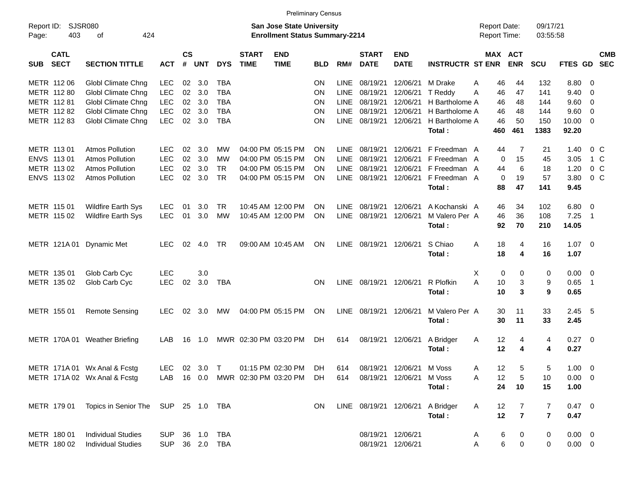|                     |                            |                                     |            |                    |            |                |                             |                                                                           | <b>Preliminary Census</b> |             |                             |                              |                                  |                                     |                |                      |                |                            |            |
|---------------------|----------------------------|-------------------------------------|------------|--------------------|------------|----------------|-----------------------------|---------------------------------------------------------------------------|---------------------------|-------------|-----------------------------|------------------------------|----------------------------------|-------------------------------------|----------------|----------------------|----------------|----------------------------|------------|
| Report ID:<br>Page: | 403                        | <b>SJSR080</b><br>424<br>οf         |            |                    |            |                |                             | <b>San Jose State University</b><br><b>Enrollment Status Summary-2214</b> |                           |             |                             |                              |                                  | <b>Report Date:</b><br>Report Time: |                | 09/17/21<br>03:55:58 |                |                            |            |
| <b>SUB</b>          | <b>CATL</b><br><b>SECT</b> | <b>SECTION TITTLE</b>               | <b>ACT</b> | $\mathsf{cs}$<br># | <b>UNT</b> | <b>DYS</b>     | <b>START</b><br><b>TIME</b> | <b>END</b><br><b>TIME</b>                                                 | <b>BLD</b>                | RM#         | <b>START</b><br><b>DATE</b> | <b>END</b><br><b>DATE</b>    | <b>INSTRUCTR ST ENR</b>          | MAX ACT                             | <b>ENR</b>     | <b>SCU</b>           | FTES GD SEC    |                            | <b>CMB</b> |
|                     | METR 112 06                | Globl Climate Chng                  | LEC        | 02                 | 3.0        | <b>TBA</b>     |                             |                                                                           | ON                        | LINE        | 08/19/21                    | 12/06/21                     | M Drake                          | 46<br>Α                             | 44             | 132                  | 8.80           | - 0                        |            |
|                     | METR 112 80                | Globl Climate Chng                  | <b>LEC</b> | 02                 | 3.0        | <b>TBA</b>     |                             |                                                                           | ON                        | <b>LINE</b> | 08/19/21                    | 12/06/21                     | T Reddy                          | Α<br>46                             | 47             | 141                  | 9.40           | $\mathbf 0$                |            |
|                     | METR 112 81                | Globl Climate Chng                  | <b>LEC</b> | 02                 | 3.0        | <b>TBA</b>     |                             |                                                                           | ON                        | <b>LINE</b> | 08/19/21                    | 12/06/21                     | H Bartholome A                   | 46                                  | 48             | 144                  | 9.60           | $\overline{0}$             |            |
|                     | METR 112 82                | Globl Climate Chng                  | <b>LEC</b> | 02                 | 3.0        | <b>TBA</b>     |                             |                                                                           | ON                        | <b>LINE</b> | 08/19/21                    | 12/06/21                     | H Bartholome A                   | 46                                  | 48             | 144                  | 9.60           | $\mathbf 0$                |            |
|                     | METR 112 83                | Globl Climate Chng                  | <b>LEC</b> | 02                 | 3.0        | <b>TBA</b>     |                             |                                                                           | ON                        | <b>LINE</b> | 08/19/21                    | 12/06/21                     | H Bartholome A                   | 46                                  | 50             | 150                  | 10.00          | $\overline{0}$             |            |
|                     |                            |                                     |            |                    |            |                |                             |                                                                           |                           |             |                             |                              | Total:                           | 460                                 | 461            | 1383                 | 92.20          |                            |            |
|                     | METR 113 01                | <b>Atmos Pollution</b>              | <b>LEC</b> | 02                 | 3.0        | MW             |                             | 04:00 PM 05:15 PM                                                         | ON                        | <b>LINE</b> | 08/19/21                    | 12/06/21                     | F Freedman A                     | 44                                  | 7              | 21                   | 1.40           | $0\,$ C                    |            |
|                     | ENVS 113 01                | <b>Atmos Pollution</b>              | <b>LEC</b> | 02                 | 3.0        | <b>MW</b>      |                             | 04:00 PM 05:15 PM                                                         | ON                        | <b>LINE</b> | 08/19/21                    | 12/06/21                     | F Freedman A                     | 0                                   | 15             | 45                   | 3.05           | 1 C                        |            |
|                     | METR 113 02                | <b>Atmos Pollution</b>              | <b>LEC</b> | 02                 | 3.0        | <b>TR</b>      |                             | 04:00 PM 05:15 PM                                                         | ΟN                        | <b>LINE</b> | 08/19/21                    | 12/06/21                     | F Freedman A                     | 44                                  | 6              | 18                   | 1.20           | 0 <sup>o</sup>             |            |
|                     | ENVS 113 02                | <b>Atmos Pollution</b>              | <b>LEC</b> | 02                 | 3.0        | <b>TR</b>      |                             | 04:00 PM 05:15 PM                                                         | ON                        | <b>LINE</b> | 08/19/21                    | 12/06/21                     | F Freedman A                     | 0                                   | 19             | 57                   | 3.80           | $0\,C$                     |            |
|                     |                            |                                     |            |                    |            |                |                             |                                                                           |                           |             |                             |                              | Total:                           | 88                                  | 47             | 141                  | 9.45           |                            |            |
|                     | METR 115 01                | Wildfire Earth Sys                  | <b>LEC</b> | 01                 | 3.0        | TR             |                             | 10:45 AM 12:00 PM                                                         | ΟN                        | LINE        | 08/19/21                    | 12/06/21                     | A Kochanski A                    | 46                                  | 34             | 102                  | 6.80           | $\overline{\mathbf{0}}$    |            |
|                     | METR 115 02                | <b>Wildfire Earth Sys</b>           | <b>LEC</b> | 01                 | 3.0        | <b>MW</b>      |                             | 10:45 AM 12:00 PM                                                         | ON                        | LINE        | 08/19/21                    | 12/06/21                     | M Valero Per A                   | 46                                  | 36             | 108                  | 7.25           | $\overline{\phantom{1}}$   |            |
|                     |                            |                                     |            |                    |            |                |                             |                                                                           |                           |             |                             |                              | Total:                           | 92                                  | 70             | 210                  | 14.05          |                            |            |
|                     |                            | METR 121A 01 Dynamic Met            | <b>LEC</b> | 02                 | 4.0        | TR             |                             | 09:00 AM 10:45 AM                                                         | ON                        | <b>LINE</b> | 08/19/21                    | 12/06/21                     | S Chiao                          | Α<br>18                             | 4              | 16                   | $1.07 \t 0$    |                            |            |
|                     |                            |                                     |            |                    |            |                |                             |                                                                           |                           |             |                             |                              | Total:                           | 18                                  | 4              | 16                   | 1.07           |                            |            |
|                     | METR 135 01                | Glob Carb Cyc                       | <b>LEC</b> |                    | 3.0        |                |                             |                                                                           |                           |             |                             |                              |                                  | Х<br>0                              | 0              | 0                    | 0.00           | $\overline{\phantom{0}}$   |            |
|                     | METR 135 02                | Glob Carb Cyc                       | <b>LEC</b> | 02                 | 3.0        | <b>TBA</b>     |                             |                                                                           | <b>ON</b>                 | LINE        | 08/19/21 12/06/21           |                              | R Plofkin                        | Α<br>10                             | 3              | 9                    | 0.65           | $\overline{\phantom{0}}$ 1 |            |
|                     |                            |                                     |            |                    |            |                |                             |                                                                           |                           |             |                             |                              | Total:                           | 10                                  | 3              | 9                    | 0.65           |                            |            |
|                     | METR 155 01                | <b>Remote Sensing</b>               | <b>LEC</b> | 02                 | 3.0        | МW             |                             | 04:00 PM 05:15 PM                                                         | ON                        | <b>LINE</b> | 08/19/21                    | 12/06/21                     | M Valero Per A                   | 30                                  | 11             | 33                   | $2.45$ 5       |                            |            |
|                     |                            |                                     |            |                    |            |                |                             |                                                                           |                           |             |                             |                              | Total:                           | 30                                  | 11             | 33                   | 2.45           |                            |            |
|                     |                            | METR 170A 01 Weather Briefing       | LAB        | 16                 | 1.0        |                | MWR 02:30 PM 03:20 PM       |                                                                           | DH.                       | 614         | 08/19/21                    | 12/06/21                     | A Bridger                        | 12<br>A                             | 4              | 4                    | $0.27 \ 0$     |                            |            |
|                     |                            |                                     |            |                    |            |                |                             |                                                                           |                           |             |                             |                              | Total:                           | 12                                  | 4              | 4                    | 0.27           |                            |            |
|                     |                            | METR 171A 01 Wx Anal & Fcstg        |            |                    |            | LEC 02 3.0 T   |                             | 01:15 PM 02:30 PM DH                                                      |                           |             |                             | 614 08/19/21 12/06/21 M Voss |                                  | 12<br>Α                             | $5\phantom{1}$ | 5                    | $1.00 \t 0$    |                            |            |
|                     |                            | METR 171A 02 Wx Anal & Fcstg        | LAB        |                    |            |                |                             | 16  0.0  MWR  02:30 PM  03:20 PM                                          | DH.                       | 614         |                             | 08/19/21 12/06/21            | M Voss                           | 12<br>Α                             | 5              | 10                   | $0.00 \t 0$    |                            |            |
|                     |                            |                                     |            |                    |            |                |                             |                                                                           |                           |             |                             |                              | Total :                          | 24                                  | 10             | 15                   | 1.00           |                            |            |
|                     | METR 179 01                | Topics in Senior The SUP 25 1.0 TBA |            |                    |            |                |                             |                                                                           | ON.                       |             |                             |                              | LINE 08/19/21 12/06/21 A Bridger | 12<br>A                             | $\overline{7}$ | 7                    | $0.47 \ 0$     |                            |            |
|                     |                            |                                     |            |                    |            |                |                             |                                                                           |                           |             |                             |                              | Total:                           | 12                                  | $\overline{7}$ | $\overline{7}$       | 0.47           |                            |            |
|                     | METR 180 01                | <b>Individual Studies</b>           | <b>SUP</b> |                    |            |                |                             |                                                                           |                           |             |                             | 08/19/21 12/06/21            |                                  | 6<br>A                              | $\bf{0}$       | $\bf{0}$             | $0.00 \quad 0$ |                            |            |
|                     | METR 180 02                | <b>Individual Studies</b>           |            |                    |            | SUP 36 2.0 TBA |                             |                                                                           |                           |             |                             | 08/19/21 12/06/21            |                                  | $\,6$<br>Α                          | 0              | 0                    | $0.00 \t 0$    |                            |            |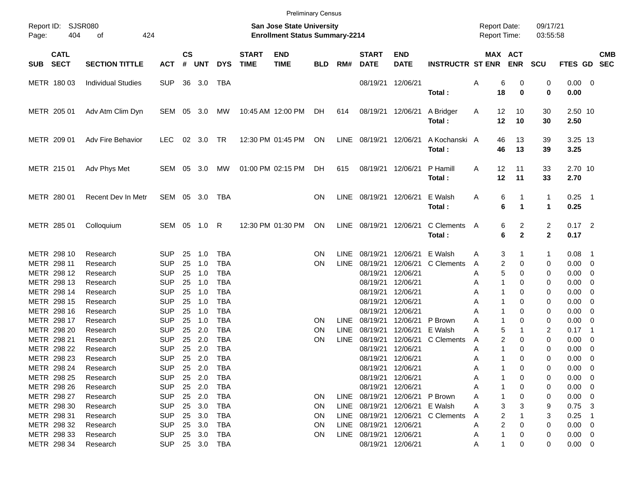|       |                            |                           |            |                    |            |            |                             | <b>Preliminary Census</b>                                                 |            |             |                             |                           |                         |                                     |          |                       |                                |                     |                          |            |
|-------|----------------------------|---------------------------|------------|--------------------|------------|------------|-----------------------------|---------------------------------------------------------------------------|------------|-------------|-----------------------------|---------------------------|-------------------------|-------------------------------------|----------|-----------------------|--------------------------------|---------------------|--------------------------|------------|
| Page: | Report ID: SJSR080<br>404  | of<br>424                 |            |                    |            |            |                             | <b>San Jose State University</b><br><b>Enrollment Status Summary-2214</b> |            |             |                             |                           |                         | <b>Report Date:</b><br>Report Time: |          |                       | 09/17/21<br>03:55:58           |                     |                          |            |
| SUB   | <b>CATL</b><br><b>SECT</b> | <b>SECTION TITTLE</b>     | <b>ACT</b> | $\mathsf{cs}$<br># | <b>UNT</b> | <b>DYS</b> | <b>START</b><br><b>TIME</b> | <b>END</b><br><b>TIME</b>                                                 | <b>BLD</b> | RM#         | <b>START</b><br><b>DATE</b> | <b>END</b><br><b>DATE</b> | <b>INSTRUCTR ST ENR</b> |                                     |          | MAX ACT<br><b>ENR</b> | <b>SCU</b>                     | FTES GD SEC         |                          | <b>CMB</b> |
|       | METR 180 03                | <b>Individual Studies</b> | <b>SUP</b> |                    | 36 3.0     | TBA        |                             |                                                                           |            |             | 08/19/21 12/06/21           |                           | Total:                  | Α                                   | 6<br>18  | 0<br>$\bf{0}$         | 0<br>0                         | $0.00 \t 0$<br>0.00 |                          |            |
|       | METR 205 01                | Adv Atm Clim Dyn          | SEM        | 05                 | 3.0        | MW         |                             | 10:45 AM 12:00 PM                                                         | DH         | 614         | 08/19/21 12/06/21           |                           | A Bridger<br>Total:     | A                                   | 12<br>12 | 10<br>10              | 30<br>30                       | 2.50 10<br>2.50     |                          |            |
|       | METR 209 01                | Adv Fire Behavior         | LEC.       | 02                 | 3.0        | TR         |                             | 12:30 PM 01:45 PM                                                         | ON         | LINE        | 08/19/21 12/06/21           |                           | A Kochanski A<br>Total: |                                     | 46<br>46 | 13<br>13              | 39<br>39                       | 3.25 13<br>3.25     |                          |            |
|       | METR 215 01                | Adv Phys Met              | SEM        | 05                 | 3.0        | МW         |                             | 01:00 PM 02:15 PM                                                         | DH.        | 615         | 08/19/21 12/06/21           |                           | P Hamill<br>Total:      | A                                   | 12<br>12 | 11<br>11              | 33<br>33                       | 2.70 10<br>2.70     |                          |            |
|       | METR 280 01                | Recent Dev In Metr        | SEM        |                    | 05 3.0     | TBA        |                             |                                                                           | <b>ON</b>  | LINE        | 08/19/21 12/06/21           |                           | E Walsh<br>Total:       | Α                                   | 6<br>6   | $\mathbf{1}$<br>1     | $\mathbf{1}$<br>$\mathbf{1}$   | $0.25$ 1<br>0.25    |                          |            |
|       | METR 285 01                | Colloquium                | SEM 05     |                    | 1.0        | R          |                             | 12:30 PM 01:30 PM                                                         | ON         | LINE        | 08/19/21 12/06/21           |                           | C Clements<br>Total:    | A                                   | 6<br>6   | 2<br>$\mathbf{2}$     | $\overline{c}$<br>$\mathbf{2}$ | $0.17$ 2<br>0.17    |                          |            |
|       | METR 298 10                | Research                  | <b>SUP</b> | 25                 | 1.0        | <b>TBA</b> |                             |                                                                           | <b>ON</b>  | LINE        | 08/19/21                    | 12/06/21                  | E Walsh                 | A                                   | 3        | 1                     | $\mathbf{1}$                   | 0.08                | $\overline{\phantom{1}}$ |            |
|       | METR 298 11                | Research                  | <b>SUP</b> | 25                 | 1.0        | <b>TBA</b> |                             |                                                                           | <b>ON</b>  | <b>LINE</b> | 08/19/21                    | 12/06/21                  | C Clements              | A                                   | 2        | 0                     | 0                              | 0.00                | $\overline{\phantom{0}}$ |            |
|       | METR 298 12                | Research                  | <b>SUP</b> | 25                 | 1.0        | <b>TBA</b> |                             |                                                                           |            |             | 08/19/21                    | 12/06/21                  |                         | A                                   | 5        | 0                     | 0                              | 0.00                | - 0                      |            |
|       | METR 298 13                | Research                  | <b>SUP</b> | 25                 | 1.0        | <b>TBA</b> |                             |                                                                           |            |             | 08/19/21                    | 12/06/21                  |                         | A                                   |          | 0                     | 0                              | 0.00                | 0                        |            |
|       | METR 298 14                | Research                  | <b>SUP</b> | 25                 | 1.0        | <b>TBA</b> |                             |                                                                           |            |             | 08/19/21                    | 12/06/21                  |                         | A                                   |          | 0                     | 0                              | 0.00                | 0                        |            |
|       | METR 298 15                | Research                  | <b>SUP</b> | 25                 | 1.0        | <b>TBA</b> |                             |                                                                           |            |             | 08/19/21                    | 12/06/21                  |                         | A                                   |          | 0                     | 0                              | 0.00                | 0                        |            |
|       | METR 298 16                | Research                  | <b>SUP</b> | 25                 | 1.0        | <b>TBA</b> |                             |                                                                           |            |             | 08/19/21                    | 12/06/21                  |                         | A                                   | -1       | 0                     | 0                              | 0.00                | 0                        |            |
|       | METR 298 17                | Research                  | <b>SUP</b> | 25                 | 1.0        | <b>TBA</b> |                             |                                                                           | <b>ON</b>  | LINE        | 08/19/21                    | 12/06/21                  | P Brown                 | А                                   | 1        | 0                     | 0                              | 0.00                | - 0                      |            |
|       | METR 298 20                | Research                  | <b>SUP</b> | 25                 | 2.0        | <b>TBA</b> |                             |                                                                           | ON         | <b>LINE</b> | 08/19/21                    | 12/06/21                  | E Walsh                 | A                                   | 5        | 1                     | 2                              | 0.17                | $\overline{1}$           |            |
|       | METR 298 21                | Research                  | <b>SUP</b> | 25                 | 2.0        | <b>TBA</b> |                             |                                                                           | <b>ON</b>  | LINE        | 08/19/21                    | 12/06/21                  | C Clements              | A                                   | 2        | 0                     | 0                              | 0.00                | 0                        |            |
|       | METR 298 22                | Research                  | <b>SUP</b> | 25                 | 2.0        | <b>TBA</b> |                             |                                                                           |            |             | 08/19/21                    | 12/06/21                  |                         | A                                   |          | 0                     | 0                              | 0.00                | 0                        |            |
|       | METR 298 23                | Research                  | <b>SUP</b> | 25                 | 2.0        | <b>TBA</b> |                             |                                                                           |            |             | 08/19/21 12/06/21           |                           |                         | A                                   |          | 0                     | 0                              | 0.00                | - 0                      |            |
|       | METR 298 24                | Research                  | <b>SUP</b> |                    | 25 2.0     | TBA        |                             |                                                                           |            |             | 08/19/21 12/06/21           |                           |                         | A                                   |          | 0                     | 0                              | $0.00 \t 0$         |                          |            |
|       | METR 298 25                | Research                  | <b>SUP</b> |                    | 25 2.0     | <b>TBA</b> |                             |                                                                           |            |             | 08/19/21 12/06/21           |                           |                         | A                                   |          | 0                     | 0                              | $0.00 \ 0$          |                          |            |
|       | METR 298 26                | Research                  | <b>SUP</b> |                    | 25 2.0     | TBA        |                             |                                                                           |            |             | 08/19/21 12/06/21           |                           |                         | Α                                   |          | 0                     | 0                              | $0.00 \t 0$         |                          |            |
|       | METR 298 27                | Research                  | <b>SUP</b> |                    | 25 2.0     | TBA        |                             |                                                                           | <b>ON</b>  |             | LINE 08/19/21 12/06/21      |                           | P Brown                 | Α                                   |          | 0                     | 0                              | $0.00 \t 0$         |                          |            |
|       | METR 298 30                | Research                  | <b>SUP</b> |                    | 25 3.0     | TBA        |                             |                                                                           | <b>ON</b>  | LINE        |                             | 08/19/21 12/06/21         | E Walsh                 | Α                                   | 3        | 3                     | 9                              | $0.75$ 3            |                          |            |
|       | METR 298 31                | Research                  | <b>SUP</b> |                    | 25 3.0     | TBA        |                             |                                                                           | <b>ON</b>  | LINE        | 08/19/21 12/06/21           |                           | C Clements              | A                                   | 2        |                       | 3                              | $0.25$ 1            |                          |            |
|       | METR 298 32                | Research                  | <b>SUP</b> |                    | 25 3.0     | TBA        |                             |                                                                           | <b>ON</b>  | LINE        | 08/19/21 12/06/21           |                           |                         | Α                                   | 2        | 0                     | 0                              | $0.00 \t 0$         |                          |            |
|       | METR 298 33                | Research                  | <b>SUP</b> |                    | 25 3.0     | TBA        |                             |                                                                           | ON.        |             | LINE 08/19/21 12/06/21      |                           |                         | Α                                   |          | 0                     | 0                              | $0.00 \t 0$         |                          |            |
|       | METR 298 34                | Research                  | <b>SUP</b> |                    | 25 3.0     | TBA        |                             |                                                                           |            |             | 08/19/21 12/06/21           |                           |                         | A                                   | 1        | 0                     | 0                              | $0.00 \t 0$         |                          |            |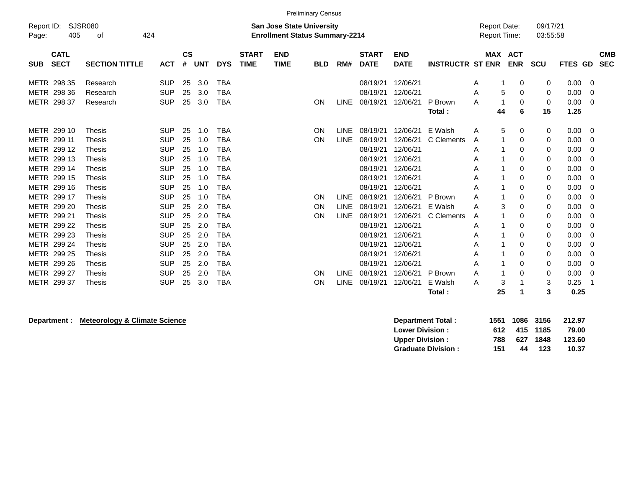|            |             |                       |            |                        |      |            |              |                                       | <b>Preliminary Census</b> |             |              |             |                         |                     |            |            |         |            |
|------------|-------------|-----------------------|------------|------------------------|------|------------|--------------|---------------------------------------|---------------------------|-------------|--------------|-------------|-------------------------|---------------------|------------|------------|---------|------------|
| Report ID: |             | SJSR080               |            |                        |      |            |              | <b>San Jose State University</b>      |                           |             |              |             |                         | <b>Report Date:</b> |            | 09/17/21   |         |            |
| Page:      | 405         | 424<br>οf             |            |                        |      |            |              | <b>Enrollment Status Summary-2214</b> |                           |             |              |             |                         | <b>Report Time:</b> |            | 03:55:58   |         |            |
|            | <b>CATL</b> |                       |            | $\mathbf{c}\mathbf{s}$ |      |            | <b>START</b> | <b>END</b>                            |                           |             | <b>START</b> | <b>END</b>  |                         |                     | MAX ACT    |            |         | <b>CMB</b> |
| <b>SUB</b> | <b>SECT</b> | <b>SECTION TITTLE</b> | <b>ACT</b> | #                      | UNT  | <b>DYS</b> | <b>TIME</b>  | <b>TIME</b>                           | <b>BLD</b>                | RM#         | <b>DATE</b>  | <b>DATE</b> | <b>INSTRUCTR ST ENR</b> |                     | <b>ENR</b> | <b>SCU</b> | FTES GD | <b>SEC</b> |
|            | METR 298 35 | Research              | <b>SUP</b> | 25                     | 3.0  | <b>TBA</b> |              |                                       |                           |             | 08/19/21     | 12/06/21    |                         | A                   | 0          | 0          | 0.00    | 0          |
|            | METR 298 36 | Research              | <b>SUP</b> | 25                     | 3.0  | TBA        |              |                                       |                           |             | 08/19/21     | 12/06/21    |                         | A                   | 5<br>0     | 0          | 0.00    | 0          |
|            | METR 298 37 | Research              | <b>SUP</b> | 25                     | 3.0  | <b>TBA</b> |              |                                       | ON                        | <b>LINE</b> | 08/19/21     | 12/06/21    | P Brown                 | A                   | 0          | 0          | 0.00    | 0          |
|            |             |                       |            |                        |      |            |              |                                       |                           |             |              |             | Total:                  | 44                  | 6          | 15         | 1.25    |            |
|            | METR 299 10 | <b>Thesis</b>         | <b>SUP</b> | 25                     | 1.0  | <b>TBA</b> |              |                                       | ON                        | <b>LINE</b> | 08/19/21     | 12/06/21    | E Walsh                 | A                   | 5<br>0     | 0          | 0.00    | 0          |
|            | METR 299 11 | Thesis                | <b>SUP</b> | 25                     | 1.0  | TBA        |              |                                       | <b>ON</b>                 | LINE        | 08/19/21     | 12/06/21    | C Clements              | A                   | 0          | 0          | 0.00    | 0          |
|            | METR 299 12 | <b>Thesis</b>         | <b>SUP</b> | 25                     | 1.0  | TBA        |              |                                       |                           |             | 08/19/21     | 12/06/21    |                         | A                   | 0          | 0          | 0.00    | 0          |
|            | METR 299 13 | <b>Thesis</b>         | <b>SUP</b> | 25                     | 1.0  | <b>TBA</b> |              |                                       |                           |             | 08/19/21     | 12/06/21    |                         | Α                   | 0          | 0          | 0.00    | 0          |
|            | METR 299 14 | <b>Thesis</b>         | <b>SUP</b> | 25                     | 1.0  | TBA        |              |                                       |                           |             | 08/19/21     | 12/06/21    |                         | Α                   | 0          | 0          | 0.00    | 0          |
|            | METR 299 15 | <b>Thesis</b>         | <b>SUP</b> | 25                     | 1.0  | TBA        |              |                                       |                           |             | 08/19/21     | 12/06/21    |                         | Α                   | 0          | 0          | 0.00    | 0          |
|            | METR 299 16 | <b>Thesis</b>         | <b>SUP</b> | 25                     | 1.0  | TBA        |              |                                       |                           |             | 08/19/21     | 12/06/21    |                         | Α                   | 0          | 0          | 0.00    | 0          |
|            | METR 299 17 | <b>Thesis</b>         | <b>SUP</b> | 25                     | 1.0  | <b>TBA</b> |              |                                       | ON                        | <b>LINE</b> | 08/19/21     | 12/06/21    | P Brown                 | A                   | 0          | 0          | 0.00    | 0          |
|            | METR 299 20 | <b>Thesis</b>         | <b>SUP</b> | 25                     | 2.0  | TBA        |              |                                       | ON                        | <b>LINE</b> | 08/19/21     | 12/06/21    | E Walsh                 | A                   | 3<br>0     | 0          | 0.00    | 0          |
|            | METR 299 21 | <b>Thesis</b>         | <b>SUP</b> | 25                     | 2.0  | TBA        |              |                                       | <b>ON</b>                 | <b>LINE</b> | 08/19/21     | 12/06/21    | C Clements              | A                   | 0          | 0          | 0.00    | 0          |
|            | METR 299 22 | <b>Thesis</b>         | <b>SUP</b> | 25                     | 2.0  | TBA        |              |                                       |                           |             | 08/19/21     | 12/06/21    |                         | Α                   | 0          | 0          | 0.00    | 0          |
|            | METR 299 23 | <b>Thesis</b>         | <b>SUP</b> | 25                     | 2.0  | TBA        |              |                                       |                           |             | 08/19/21     | 12/06/21    |                         | Α                   | 0          | 0          | 0.00    | 0          |
|            | METR 299 24 | <b>Thesis</b>         | <b>SUP</b> | 25                     | 2.0  | TBA        |              |                                       |                           |             | 08/19/21     | 12/06/21    |                         | Α                   | 0          | 0          | 0.00    | 0          |
|            | METR 299 25 | <b>Thesis</b>         | <b>SUP</b> | 25                     | 2.0  | TBA        |              |                                       |                           |             | 08/19/21     | 12/06/21    |                         | Α                   | 0          | 0          | 0.00    | 0          |
|            | METR 299 26 | <b>Thesis</b>         | <b>SUP</b> | 25                     | 2.0  | TBA        |              |                                       |                           |             | 08/19/21     | 12/06/21    |                         | Α                   | $\Omega$   | 0          | 0.00    | 0          |
|            | METR 299 27 | <b>Thesis</b>         | <b>SUP</b> | 25                     | -2.0 | TBA        |              |                                       | ON                        | <b>LINE</b> | 08/19/21     | 12/06/21    | P Brown                 | A                   | 0          | 0          | 0.00    | 0          |
|            | METR 299 37 | <b>Thesis</b>         | <b>SUP</b> | 25                     | 3.0  | TBA        |              |                                       | ON                        | LINE        | 08/19/21     | 12/06/21    | E Walsh                 | A                   | 3          | 3          | 0.25    |            |
|            |             |                       |            |                        |      |            |              |                                       |                           |             |              |             | Total:                  | 25                  |            | 3          | 0.25    |            |

## **Department : Meteorology & Climate Science**

| <b>Department Total:</b>  |      | 1551 1086 3156 |          | 212.97 |
|---------------------------|------|----------------|----------|--------|
| <b>Lower Division:</b>    | 612. |                | 415 1185 | 79.00  |
| <b>Upper Division:</b>    | 788  | 627            | 1848     | 123.60 |
| <b>Graduate Division:</b> | 151  | 44             | 123      | 10.37  |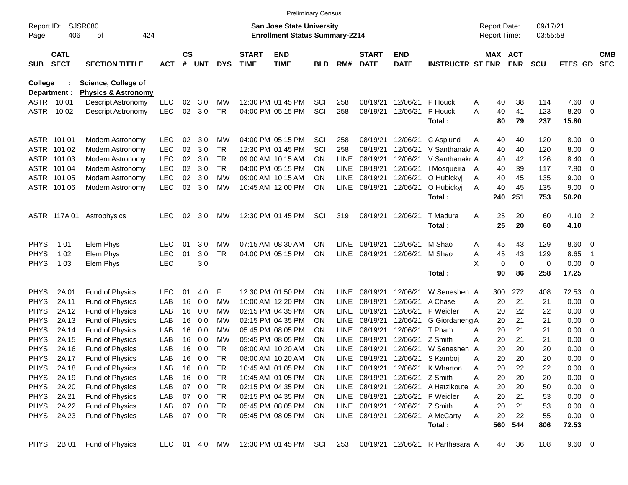|                            |                            |                                                              |            |                    |            |                 |                             | <b>Preliminary Census</b>                                          |                 |                            |                             |                           |                         |                                     |            |                      |                |                          |                          |
|----------------------------|----------------------------|--------------------------------------------------------------|------------|--------------------|------------|-----------------|-----------------------------|--------------------------------------------------------------------|-----------------|----------------------------|-----------------------------|---------------------------|-------------------------|-------------------------------------|------------|----------------------|----------------|--------------------------|--------------------------|
| Report ID:<br>Page:        | 406                        | SJSR080<br>424<br>оf                                         |            |                    |            |                 |                             | San Jose State University<br><b>Enrollment Status Summary-2214</b> |                 |                            |                             |                           |                         | <b>Report Date:</b><br>Report Time: |            | 09/17/21<br>03:55:58 |                |                          |                          |
| <b>SUB</b>                 | <b>CATL</b><br><b>SECT</b> | <b>SECTION TITTLE</b>                                        | <b>ACT</b> | $\mathsf{cs}$<br># | <b>UNT</b> | <b>DYS</b>      | <b>START</b><br><b>TIME</b> | <b>END</b><br><b>TIME</b>                                          | <b>BLD</b>      | RM#                        | <b>START</b><br><b>DATE</b> | <b>END</b><br><b>DATE</b> | <b>INSTRUCTR ST ENR</b> | MAX ACT                             | <b>ENR</b> | <b>SCU</b>           | <b>FTES GD</b> |                          | <b>CMB</b><br><b>SEC</b> |
| College                    | Department :               | <b>Science, College of</b><br><b>Physics &amp; Astronomy</b> |            |                    |            |                 |                             |                                                                    |                 |                            |                             |                           |                         |                                     |            |                      |                |                          |                          |
|                            | ASTR 1001                  | Descript Astronomy                                           | <b>LEC</b> | 02                 | 3.0        | МW              |                             | 12:30 PM 01:45 PM                                                  | SCI             | 258                        | 08/19/21                    | 12/06/21                  | P Houck                 | 40<br>Α                             | 38         | 114                  | 7.60           | - 0                      |                          |
| ASTR                       | 10 02                      | Descript Astronomy                                           | <b>LEC</b> | 02                 | 3.0        | <b>TR</b>       |                             | 04:00 PM 05:15 PM                                                  | SCI             | 258                        | 08/19/21                    | 12/06/21                  | P Houck                 | A<br>40                             | 41         | 123                  | 8.20           | - 0                      |                          |
|                            |                            |                                                              |            |                    |            |                 |                             |                                                                    |                 |                            |                             |                           | Total:                  | 80                                  | 79         | 237                  | 15.80          |                          |                          |
|                            | ASTR 101 01                | Modern Astronomy                                             | <b>LEC</b> | 02                 | 3.0        | МW              |                             | 04:00 PM 05:15 PM                                                  | SCI             | 258                        | 08/19/21                    | 12/06/21                  | C Asplund               | 40<br>Α                             | 40         | 120                  | 8.00           | $\overline{\mathbf{0}}$  |                          |
|                            | ASTR 101 02                | Modern Astronomy                                             | <b>LEC</b> | 02                 | 3.0        | <b>TR</b>       |                             | 12:30 PM 01:45 PM                                                  | SCI             | 258                        | 08/19/21                    | 12/06/21                  | V Santhanakr A          | 40                                  | 40         | 120                  | 8.00           | 0                        |                          |
|                            | ASTR 101 03                | Modern Astronomy                                             | <b>LEC</b> | 02                 | 3.0        | <b>TR</b>       |                             | 09:00 AM 10:15 AM                                                  | <b>ON</b>       | <b>LINE</b>                | 08/19/21                    | 12/06/21                  | V Santhanakr A          | 40                                  | 42         | 126                  | 8.40           | 0                        |                          |
|                            | ASTR 101 04                | Modern Astronomy                                             | <b>LEC</b> | 02                 | 3.0        | <b>TR</b>       |                             | 04:00 PM 05:15 PM                                                  | <b>ON</b>       | <b>LINE</b>                | 08/19/21                    | 12/06/21                  | I Mosqueira A           | 40                                  | 39         | 117                  | 7.80           | 0                        |                          |
|                            | ASTR 101 05                | Modern Astronomy                                             | <b>LEC</b> | 02                 | 3.0        | <b>MW</b>       |                             | 09:00 AM 10:15 AM                                                  | OΝ              | <b>LINE</b>                | 08/19/21                    | 12/06/21                  | O Hubickyj              | 40<br>Α                             | 45         | 135                  | 9.00           | 0                        |                          |
|                            | ASTR 101 06                | Modern Astronomy                                             | <b>LEC</b> | 02                 | 3.0        | МW              |                             | 10:45 AM 12:00 PM                                                  | ON              | LINE                       | 08/19/21                    | 12/06/21                  | O Hubickyj              | 40<br>Α                             | 45         | 135                  | 9.00           | $\overline{\mathbf{0}}$  |                          |
|                            |                            |                                                              |            |                    |            |                 |                             |                                                                    |                 |                            |                             |                           | Total:                  | 240                                 | 251        | 753                  | 50.20          |                          |                          |
|                            | ASTR 117A01                | Astrophysics I                                               | <b>LEC</b> | 02                 | 3.0        | MW              |                             | 12:30 PM 01:45 PM                                                  | SCI             | 319                        | 08/19/21                    | 12/06/21                  | T Madura                | Α<br>25                             | 20         | 60                   | 4.10 2         |                          |                          |
|                            |                            |                                                              |            |                    |            |                 |                             |                                                                    |                 |                            |                             |                           | Total:                  | 25                                  | 20         | 60                   | 4.10           |                          |                          |
| <b>PHYS</b>                | 1 0 1                      | Elem Phys                                                    | <b>LEC</b> | 01                 | 3.0        | МW              |                             | 07:15 AM 08:30 AM                                                  | <b>ON</b>       | LINE                       | 08/19/21                    | 12/06/21                  | M Shao                  | 45<br>A                             | 43         | 129                  | 8.60           | $\overline{\mathbf{0}}$  |                          |
| <b>PHYS</b>                | 1 0 2                      | Elem Phys                                                    | <b>LEC</b> | 01                 | 3.0        | <b>TR</b>       |                             | 04:00 PM 05:15 PM                                                  | ON              | LINE                       | 08/19/21                    | 12/06/21                  | M Shao                  | 45<br>Α                             | 43         | 129                  | 8.65           | -1                       |                          |
| <b>PHYS</b>                | 1 03                       | Elem Phys                                                    | LEC        |                    | 3.0        |                 |                             |                                                                    |                 |                            |                             |                           |                         | X<br>0                              | 0          | 0                    | 0.00           | $\overline{\phantom{0}}$ |                          |
|                            |                            |                                                              |            |                    |            |                 |                             |                                                                    |                 |                            |                             |                           | Total:                  | 90                                  | 86         | 258                  | 17.25          |                          |                          |
| <b>PHYS</b>                | 2A 01                      | Fund of Physics                                              | <b>LEC</b> | 01                 | 4.0        | F               |                             | 12:30 PM 01:50 PM                                                  | <b>ON</b>       | LINE                       | 08/19/21                    | 12/06/21                  | W Seneshen A            | 300                                 | 272        | 408                  | 72.53          | $\overline{0}$           |                          |
| <b>PHYS</b>                | 2A 11                      | Fund of Physics                                              | LAB        | 16                 | 0.0        | МW              |                             | 10:00 AM 12:20 PM                                                  | <b>ON</b>       | <b>LINE</b>                | 08/19/21                    | 12/06/21                  | A Chase                 | 20<br>A                             | 21         | 21                   | 0.00           | 0                        |                          |
| <b>PHYS</b>                | 2A 12                      | <b>Fund of Physics</b>                                       | LAB        | 16                 | 0.0        | МW              |                             | 02:15 PM 04:35 PM                                                  | <b>ON</b>       | <b>LINE</b>                | 08/19/21                    | 12/06/21                  | P Weidler               | 20<br>A                             | 22         | 22                   | 0.00           | 0                        |                          |
| <b>PHYS</b>                | 2A 13                      | <b>Fund of Physics</b>                                       | LAB        | 16                 | 0.0        | МW              |                             | 02:15 PM 04:35 PM                                                  | OΝ              | <b>LINE</b>                | 08/19/21                    | 12/06/21                  | G Giordaneng A          | 20                                  | 21         | 21                   | 0.00           | 0                        |                          |
| <b>PHYS</b>                | 2A 14                      | <b>Fund of Physics</b>                                       | LAB        | 16                 | 0.0        | МW              |                             | 05:45 PM 08:05 PM                                                  | OΝ              | <b>LINE</b>                | 08/19/21                    | 12/06/21                  | T Pham<br>Z Smith       | 20<br>Α                             | 21         | 21                   | 0.00           | 0                        |                          |
| <b>PHYS</b><br><b>PHYS</b> | 2A 15<br>2A 16             | Fund of Physics<br>Fund of Physics                           | LAB<br>LAB | 16<br>16           | 0.0<br>0.0 | МW<br><b>TR</b> |                             | 05:45 PM 08:05 PM<br>08:00 AM 10:20 AM                             | <b>ON</b><br>OΝ | <b>LINE</b><br><b>LINE</b> | 08/19/21<br>08/19/21        | 12/06/21<br>12/06/21      | W Seneshen A            | 20<br>A<br>20                       | 21<br>20   | 21<br>20             | 0.00<br>0.00   | 0<br>0                   |                          |
| <b>PHYS</b>                | 2A 17                      | <b>Fund of Physics</b>                                       | LAB        | 16                 | 0.0        | <b>TR</b>       |                             | 08:00 AM 10:20 AM                                                  | ON              | <b>LINE</b>                | 08/19/21                    | 12/06/21                  | S Kamboj                | 20<br>Α                             | 20         | 20                   | 0.00           | 0                        |                          |
| <b>PHYS</b>                | 2A 18                      | Fund of Physics                                              | LAB        | 16                 | 0.0        | TR              |                             | 10:45 AM 01:05 PM                                                  | ON              | LINE                       |                             | 08/19/21 12/06/21         | K Wharton               | 20<br>Α                             | 22         | 22                   | 0.00           | $\overline{\mathbf{0}}$  |                          |
| <b>PHYS</b>                | 2A 19                      | Fund of Physics                                              | LAB        | 16                 | 0.0        | <b>TR</b>       |                             | 10:45 AM 01:05 PM                                                  | <b>ON</b>       | <b>LINE</b>                | 08/19/21                    | 12/06/21 Z Smith          |                         | 20<br>Α                             | 20         | 20                   | 0.00           | $\overline{\phantom{0}}$ |                          |
| <b>PHYS</b>                | 2A 20                      | Fund of Physics                                              | LAB        | 07                 | 0.0        | <b>TR</b>       |                             | 02:15 PM 04:35 PM                                                  | ON.             | LINE                       |                             | 08/19/21 12/06/21         | A Hatzikoute A          | 20                                  | 20         | 50                   | 0.00           | $\overline{\mathbf{0}}$  |                          |
| <b>PHYS</b>                | 2A 21                      | Fund of Physics                                              | LAB        | 07                 | 0.0        | <b>TR</b>       |                             | 02:15 PM 04:35 PM                                                  | ON.             | LINE                       |                             | 08/19/21 12/06/21         | P Weidler               | 20<br>Α                             | 21         | 53                   | 0.00           | $\overline{\phantom{0}}$ |                          |
| <b>PHYS</b>                | 2A 22                      | Fund of Physics                                              | LAB        | 07                 | 0.0        | <b>TR</b>       |                             | 05:45 PM 08:05 PM                                                  | ON.             | <b>LINE</b>                | 08/19/21                    | 12/06/21 Z Smith          |                         | 20<br>Α                             | 21         | 53                   | 0.00           | $\overline{\phantom{0}}$ |                          |
| <b>PHYS</b>                | 2A 23                      | Fund of Physics                                              | LAB        | 07                 | 0.0        | TR              |                             | 05:45 PM 08:05 PM                                                  | ON              | LINE                       | 08/19/21                    | 12/06/21                  | A McCarty               | 20<br>A                             | 22         | 55                   | $0.00 \t 0$    |                          |                          |
|                            |                            |                                                              |            |                    |            |                 |                             |                                                                    |                 |                            |                             |                           | Total:                  | 560                                 | 544        | 806                  | 72.53          |                          |                          |
| <b>PHYS</b>                | 2B 01                      | Fund of Physics                                              | LEC        |                    |            |                 |                             | 12:30 PM 01:45 PM                                                  | SCI             | 253                        |                             | 08/19/21 12/06/21         | R Parthasara A          | 40                                  | 36         | 108                  | 9.60 0         |                          |                          |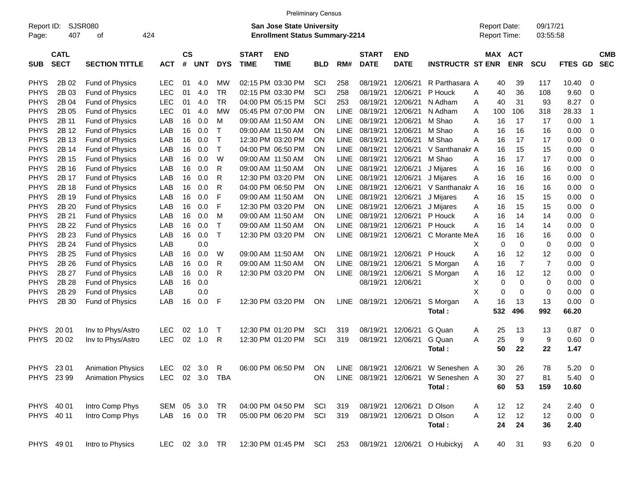|                     |                            |                          |            |                         |            |              |                             | <b>Preliminary Census</b>                                                 |            |             |                             |                           |                              |   |                                     |                       |                      |                          |                          |                          |
|---------------------|----------------------------|--------------------------|------------|-------------------------|------------|--------------|-----------------------------|---------------------------------------------------------------------------|------------|-------------|-----------------------------|---------------------------|------------------------------|---|-------------------------------------|-----------------------|----------------------|--------------------------|--------------------------|--------------------------|
| Report ID:<br>Page: | 407                        | SJSR080<br>424<br>οf     |            |                         |            |              |                             | <b>San Jose State University</b><br><b>Enrollment Status Summary-2214</b> |            |             |                             |                           |                              |   | <b>Report Date:</b><br>Report Time: |                       | 09/17/21<br>03:55:58 |                          |                          |                          |
| <b>SUB</b>          | <b>CATL</b><br><b>SECT</b> | <b>SECTION TITTLE</b>    | <b>ACT</b> | <b>CS</b><br>$\pmb{\#}$ | <b>UNT</b> | <b>DYS</b>   | <b>START</b><br><b>TIME</b> | <b>END</b><br><b>TIME</b>                                                 | <b>BLD</b> | RM#         | <b>START</b><br><b>DATE</b> | <b>END</b><br><b>DATE</b> | <b>INSTRUCTR ST ENR</b>      |   |                                     | MAX ACT<br><b>ENR</b> | SCU                  | <b>FTES</b><br><b>GD</b> |                          | <b>CMB</b><br><b>SEC</b> |
| <b>PHYS</b>         | 2B 02                      | Fund of Physics          | <b>LEC</b> | 01                      | 4.0        | MW           |                             | 02:15 PM 03:30 PM                                                         | SCI        | 258         | 08/19/21                    | 12/06/21                  | R Parthasara A               |   | 40                                  | 39                    | 117                  | 10.40                    | 0                        |                          |
| <b>PHYS</b>         | 2B 03                      | Fund of Physics          | <b>LEC</b> | 01                      | 4.0        | <b>TR</b>    |                             | 02:15 PM 03:30 PM                                                         | SCI        | 258         | 08/19/21                    | 12/06/21                  | P Houck                      | A | 40                                  | 36                    | 108                  | 9.60                     | $\mathbf 0$              |                          |
| <b>PHYS</b>         | 2B 04                      | Fund of Physics          | <b>LEC</b> | 01                      | 4.0        | <b>TR</b>    |                             | 04:00 PM 05:15 PM                                                         | SCI        | 253         | 08/19/21                    | 12/06/21                  | N Adham                      | A | 40                                  | 31                    | 93                   | 8.27                     | $\mathbf 0$              |                          |
| <b>PHYS</b>         | 2B 05                      | Fund of Physics          | <b>LEC</b> | 01                      | 4.0        | <b>MW</b>    |                             | 05:45 PM 07:00 PM                                                         | <b>ON</b>  | <b>LINE</b> | 08/19/21                    | 12/06/21                  | N Adham                      | A | 100                                 | 106                   | 318                  | 28.33                    | $\overline{1}$           |                          |
| <b>PHYS</b>         | 2B 11                      | Fund of Physics          | LAB        | 16                      | 0.0        | M            |                             | 09:00 AM 11:50 AM                                                         | <b>ON</b>  | <b>LINE</b> | 08/19/21                    | 12/06/21                  | M Shao                       | A | 16                                  | 17                    | 17                   | 0.00                     | $\overline{1}$           |                          |
| <b>PHYS</b>         | 2B 12                      | Fund of Physics          | LAB        | 16                      | 0.0        | т            |                             | 09:00 AM 11:50 AM                                                         | <b>ON</b>  | <b>LINE</b> | 08/19/21                    | 12/06/21                  | M Shao                       | A | 16                                  | 16                    | 16                   | 0.00                     | $\mathbf 0$              |                          |
| <b>PHYS</b>         | 2B 13                      | Fund of Physics          | LAB        | 16                      | 0.0        | $\top$       |                             | 12:30 PM 03:20 PM                                                         | <b>ON</b>  | <b>LINE</b> | 08/19/21                    | 12/06/21                  | M Shao                       | A | 16                                  | 17                    | 17                   | 0.00                     | $\mathbf 0$              |                          |
| <b>PHYS</b>         | 2B 14                      | Fund of Physics          | LAB        | 16                      | 0.0        | $\mathsf{T}$ |                             | 04:00 PM 06:50 PM                                                         | <b>ON</b>  | <b>LINE</b> | 08/19/21                    | 12/06/21                  | V Santhanakr A               |   | 16                                  | 15                    | 15                   | 0.00                     | 0                        |                          |
| <b>PHYS</b>         | 2B 15                      | Fund of Physics          | LAB        | 16                      | 0.0        | W            |                             | 09:00 AM 11:50 AM                                                         | <b>ON</b>  | <b>LINE</b> | 08/19/21                    | 12/06/21                  | M Shao                       | A | 16                                  | 17                    | 17                   | 0.00                     | 0                        |                          |
| <b>PHYS</b>         | 2B 16                      | Fund of Physics          | LAB        | 16                      | 0.0        | R            |                             | 09:00 AM 11:50 AM                                                         | <b>ON</b>  | <b>LINE</b> | 08/19/21                    | 12/06/21                  | J Mijares                    | A | 16                                  | 16                    | 16                   | 0.00                     | 0                        |                          |
| <b>PHYS</b>         | 2B 17                      | Fund of Physics          | LAB        | 16                      | 0.0        | R            |                             | 12:30 PM 03:20 PM                                                         | <b>ON</b>  | <b>LINE</b> | 08/19/21                    | 12/06/21                  | J Mijares                    | A | 16                                  | 16                    | 16                   | 0.00                     | $\mathbf 0$              |                          |
| <b>PHYS</b>         | 2B 18                      | Fund of Physics          | LAB        | 16                      | 0.0        | R            |                             | 04:00 PM 06:50 PM                                                         | ON         | <b>LINE</b> | 08/19/21                    | 12/06/21                  | V Santhanakr A               |   | 16                                  | 16                    | 16                   | 0.00                     | 0                        |                          |
| <b>PHYS</b>         | 2B 19                      | Fund of Physics          | LAB        | 16                      | 0.0        | F            |                             | 09:00 AM 11:50 AM                                                         | <b>ON</b>  | <b>LINE</b> | 08/19/21                    | 12/06/21                  | J Mijares                    | A | 16                                  | 15                    | 15                   | 0.00                     | 0                        |                          |
| <b>PHYS</b>         | 2B 20                      | Fund of Physics          | LAB        | 16                      | 0.0        | F            |                             | 12:30 PM 03:20 PM                                                         | <b>ON</b>  | <b>LINE</b> | 08/19/21                    | 12/06/21                  | J Mijares                    | Α | 16                                  | 15                    | 15                   | 0.00                     | $\mathbf 0$              |                          |
| <b>PHYS</b>         | 2B 21                      | Fund of Physics          | LAB        | 16                      | 0.0        | M            |                             | 09:00 AM 11:50 AM                                                         | <b>ON</b>  | <b>LINE</b> | 08/19/21                    | 12/06/21                  | P Houck                      | A | 16                                  | 14                    | 14                   | 0.00                     | $\mathbf 0$              |                          |
| <b>PHYS</b>         | 2B 22                      | Fund of Physics          | LAB        | 16                      | 0.0        | T            |                             | 09:00 AM 11:50 AM                                                         | <b>ON</b>  | <b>LINE</b> | 08/19/21                    | 12/06/21                  | P Houck                      | A | 16                                  | 14                    | 14                   | 0.00                     | $\mathbf 0$              |                          |
| <b>PHYS</b>         | 2B 23                      | Fund of Physics          | LAB        | 16                      | 0.0        | $\mathsf{T}$ |                             | 12:30 PM 03:20 PM                                                         | ON         | <b>LINE</b> | 08/19/21                    | 12/06/21                  | C Morante MeA                |   | 16                                  | 16                    | 16                   | 0.00                     | 0                        |                          |
| <b>PHYS</b>         | 2B 24                      | Fund of Physics          | LAB        |                         | 0.0        |              |                             |                                                                           |            |             |                             |                           |                              | X | 0                                   | $\mathbf 0$           | 0                    | 0.00                     | $\mathbf 0$              |                          |
| <b>PHYS</b>         | 2B 25                      | Fund of Physics          | LAB        | 16                      | 0.0        | W            |                             | 09:00 AM 11:50 AM                                                         | <b>ON</b>  | <b>LINE</b> | 08/19/21                    | 12/06/21                  | P Houck                      | A | 16                                  | 12                    | 12                   | 0.00                     | $\mathbf 0$              |                          |
| <b>PHYS</b>         | 2B 26                      | Fund of Physics          | LAB        | 16                      | 0.0        | R            |                             | 09:00 AM 11:50 AM                                                         | <b>ON</b>  | <b>LINE</b> | 08/19/21                    | 12/06/21                  | S Morgan                     | A | 16                                  | $\overline{7}$        | $\overline{7}$       | 0.00                     | $\mathbf 0$              |                          |
| <b>PHYS</b>         | 2B 27                      | Fund of Physics          | LAB        | 16                      | 0.0        | R            |                             | 12:30 PM 03:20 PM                                                         | ON         | <b>LINE</b> | 08/19/21                    | 12/06/21                  | S Morgan                     | Α | 16                                  | 12                    | 12                   | 0.00                     | 0                        |                          |
| <b>PHYS</b>         | 2B 28                      | Fund of Physics          | LAB        | 16                      | 0.0        |              |                             |                                                                           |            |             | 08/19/21                    | 12/06/21                  |                              | X | 0                                   | $\mathbf 0$           | 0                    | 0.00                     | $\mathbf 0$              |                          |
| <b>PHYS</b>         | 2B 29                      | Fund of Physics          | LAB        |                         | 0.0        |              |                             |                                                                           |            |             |                             |                           |                              | X | 0                                   | $\mathbf 0$           | 0                    | 0.00                     | $\mathbf 0$              |                          |
| <b>PHYS</b>         | 2B 30                      | Fund of Physics          | LAB        | 16                      | 0.0        | F            |                             | 12:30 PM 03:20 PM                                                         | <b>ON</b>  | <b>LINE</b> | 08/19/21                    | 12/06/21                  | S Morgan                     | A | 16                                  | 13                    | 13                   | 0.00                     | $\mathbf 0$              |                          |
|                     |                            |                          |            |                         |            |              |                             |                                                                           |            |             |                             |                           | Total:                       |   | 532                                 | 496                   | 992                  | 66.20                    |                          |                          |
| <b>PHYS</b>         | 20 01                      | Inv to Phys/Astro        | <b>LEC</b> | 02                      | 1.0        | $\top$       |                             | 12:30 PM 01:20 PM                                                         | SCI        | 319         | 08/19/21                    | 12/06/21                  | G Quan                       | A | 25                                  | 13                    | 13                   | 0.87                     | 0                        |                          |
| <b>PHYS</b>         | 20 02                      | Inv to Phys/Astro        | <b>LEC</b> | 02                      | 1.0        | R            |                             | 12:30 PM 01:20 PM                                                         | SCI        | 319         | 08/19/21                    | 12/06/21                  | G Quan                       | A | 25                                  | 9                     | 9                    | 0.60                     | $\mathbf 0$              |                          |
|                     |                            |                          |            |                         |            |              |                             |                                                                           |            |             |                             |                           | Total:                       |   | 50                                  | 22                    | 22                   | 1.47                     |                          |                          |
| PHYS 23 01          |                            | <b>Animation Physics</b> | <b>LEC</b> | 02                      | 3.0        | $\mathsf{R}$ |                             | 06:00 PM 06:50 PM                                                         | ON         |             | LINE 08/19/21 12/06/21      |                           | W Seneshen A                 |   | 30                                  | 26                    | 78                   | 5.20                     | $\overline{\mathbf{0}}$  |                          |
|                     | PHYS 23 99                 | <b>Animation Physics</b> | <b>LEC</b> |                         | 02 3.0     | TBA          |                             |                                                                           | <b>ON</b>  |             | LINE 08/19/21 12/06/21      |                           | W Seneshen A                 |   | 30                                  | 27                    | 81                   | 5.40                     | $\overline{\phantom{0}}$ |                          |
|                     |                            |                          |            |                         |            |              |                             |                                                                           |            |             |                             |                           | Total:                       |   | 60                                  | 53                    | 159                  | 10.60                    |                          |                          |
| PHYS 40 01          |                            | Intro Comp Phys          | SEM 05 3.0 |                         |            | TR           |                             | 04:00 PM 04:50 PM                                                         | SCI        | 319         |                             | 08/19/21 12/06/21         | D Olson                      | A | $12 \,$                             | 12                    | 24                   | $2.40 \ 0$               |                          |                          |
| PHYS 40 11          |                            | Intro Comp Phys          | LAB 16 0.0 |                         |            | TR           |                             | 05:00 PM 06:20 PM                                                         | SCI        | 319         |                             | 08/19/21 12/06/21         | D Olson                      | Α | 12                                  | 12                    | 12                   | $0.00 \t 0$              |                          |                          |
|                     |                            |                          |            |                         |            |              |                             |                                                                           |            |             |                             |                           | Total:                       |   | 24                                  | 24                    | 36                   | 2.40                     |                          |                          |
| PHYS 49 01          |                            | Intro to Physics         | LEC        |                         | 02 3.0 TR  |              |                             | 12:30 PM 01:45 PM SCI                                                     |            | 253         |                             |                           | 08/19/21 12/06/21 O Hubickyj | A | 40                                  | 31                    | 93                   | $6.20 \t 0$              |                          |                          |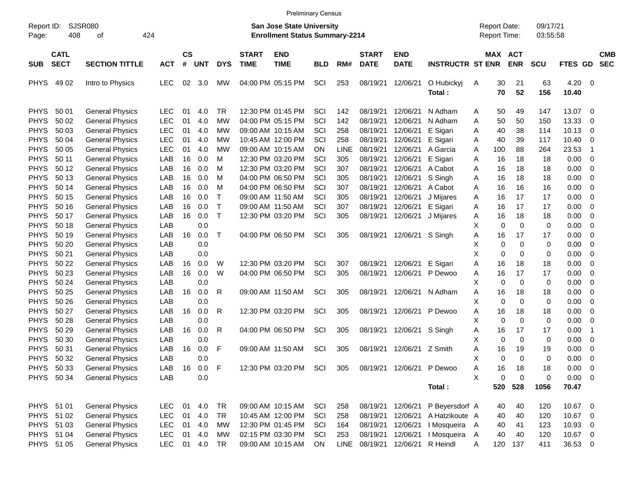|                     |                            |                        |            |                    |            |              |                             | <b>Preliminary Census</b>                                                 |            |      |                             |                           |                         |        |                                     |                    |                      |                     |                          |
|---------------------|----------------------------|------------------------|------------|--------------------|------------|--------------|-----------------------------|---------------------------------------------------------------------------|------------|------|-----------------------------|---------------------------|-------------------------|--------|-------------------------------------|--------------------|----------------------|---------------------|--------------------------|
| Report ID:<br>Page: | SJSR080<br>408             | 424<br>оf              |            |                    |            |              |                             | <b>San Jose State University</b><br><b>Enrollment Status Summary-2214</b> |            |      |                             |                           |                         |        | <b>Report Date:</b><br>Report Time: |                    | 09/17/21<br>03:55:58 |                     |                          |
| <b>SUB</b>          | <b>CATL</b><br><b>SECT</b> | <b>SECTION TITTLE</b>  | <b>ACT</b> | $\mathsf{cs}$<br># | <b>UNT</b> | <b>DYS</b>   | <b>START</b><br><b>TIME</b> | <b>END</b><br><b>TIME</b>                                                 | <b>BLD</b> | RM#  | <b>START</b><br><b>DATE</b> | <b>END</b><br><b>DATE</b> | <b>INSTRUCTR ST ENR</b> |        | MAX ACT                             | <b>ENR</b>         | <b>SCU</b>           | FTES GD             | <b>CMB</b><br><b>SEC</b> |
| <b>PHYS</b>         | 49 02                      | Intro to Physics       | <b>LEC</b> | 02                 | 3.0        | МW           |                             | 04:00 PM 05:15 PM                                                         | SCI        | 253  | 08/19/21                    | 12/06/21                  | O Hubickyj<br>Total:    | A      | 30<br>70                            | 21<br>52           | 63<br>156            | 4.20<br>10.40       | - 0                      |
| <b>PHYS</b>         | 50 01                      | <b>General Physics</b> | <b>LEC</b> | 01                 | 4.0        | <b>TR</b>    |                             | 12:30 PM 01:45 PM                                                         | SCI        | 142  | 08/19/21                    | 12/06/21                  | N Adham                 | A      | 50                                  | 49                 | 147                  | 13.07               | - 0                      |
| <b>PHYS</b>         | 50 02                      | <b>General Physics</b> | <b>LEC</b> | 01                 | 4.0        | МW           |                             | 04:00 PM 05:15 PM                                                         | SCI        | 142  | 08/19/21                    | 12/06/21                  | N Adham                 | A      | 50                                  | 50                 | 150                  | 13.33               | $\mathbf 0$              |
| <b>PHYS</b>         | 50 03                      | <b>General Physics</b> | <b>LEC</b> | 01                 | 4.0        | МW           |                             | 09:00 AM 10:15 AM                                                         | SCI        | 258  | 08/19/21                    | 12/06/21                  | E Sigari                | A      | 40                                  | 38                 | 114                  | 10.13               | $\mathbf 0$              |
| <b>PHYS</b>         | 50 04                      | <b>General Physics</b> | <b>LEC</b> | 01                 | 4.0        | МW           |                             | 10:45 AM 12:00 PM                                                         | SCI        | 258  | 08/19/21                    | 12/06/21                  | E Sigari                | A      | 40                                  | 39                 | 117                  | 10.40               | $\overline{0}$           |
| <b>PHYS</b>         | 50 05                      | <b>General Physics</b> | <b>LEC</b> | 01                 | 4.0        | МW           |                             | 09:00 AM 10:15 AM                                                         | <b>ON</b>  | LINE | 08/19/21                    | 12/06/21                  | A Garcia                | A      | 100                                 | 88                 | 264                  | 23.53               | -1                       |
| <b>PHYS</b>         | 50 11                      | <b>General Physics</b> | LAB        | 16                 | 0.0        | M            |                             | 12:30 PM 03:20 PM                                                         | SCI        | 305  | 08/19/21                    | 12/06/21                  | E Sigari                | A      | 16                                  | 18                 | 18                   | 0.00                | $\overline{0}$           |
| <b>PHYS</b>         | 50 12                      | <b>General Physics</b> | LAB        | 16                 | 0.0        | M            |                             | 12:30 PM 03:20 PM                                                         | SCI        | 307  | 08/19/21                    | 12/06/21                  | A Cabot                 | A      | 16                                  | 18                 | 18                   | 0.00                | $\overline{0}$           |
| <b>PHYS</b>         | 50 13                      | <b>General Physics</b> | LAB        | 16                 | 0.0        | M            |                             | 04:00 PM 06:50 PM                                                         | SCI        | 305  | 08/19/21                    | 12/06/21                  | S Singh                 | A      | 16                                  | 18                 | 18                   | 0.00                | $\overline{0}$           |
| <b>PHYS</b>         | 50 14                      | <b>General Physics</b> | LAB        | 16                 | 0.0        | M            |                             | 04:00 PM 06:50 PM                                                         | SCI        | 307  | 08/19/21                    | 12/06/21                  | A Cabot                 | A      | 16                                  | 16                 | 16                   | 0.00                | $\mathbf 0$              |
| <b>PHYS</b>         | 50 15                      | <b>General Physics</b> | LAB        | 16                 | 0.0        | Т            |                             | 09:00 AM 11:50 AM                                                         | SCI        | 305  | 08/19/21                    | 12/06/21                  | J Mijares               | A      | 16                                  | 17                 | 17                   | 0.00                | $\overline{0}$           |
| <b>PHYS</b>         | 50 16                      | <b>General Physics</b> | LAB        | 16                 | 0.0        | $\mathsf{T}$ |                             | 09:00 AM 11:50 AM                                                         | SCI        | 307  | 08/19/21                    | 12/06/21                  | E Sigari                | A      | 16                                  | 17                 | 17                   | 0.00                | $\overline{0}$           |
| <b>PHYS</b>         | 50 17                      | <b>General Physics</b> | LAB        | 16                 | 0.0        | $\mathsf{T}$ |                             | 12:30 PM 03:20 PM                                                         | SCI        | 305  | 08/19/21                    | 12/06/21                  | J Mijares               | A      | 16                                  | 18                 | 18                   | 0.00                | $\mathbf 0$              |
| <b>PHYS</b>         | 50 18                      | <b>General Physics</b> | LAB        |                    | 0.0        |              |                             |                                                                           |            |      |                             |                           |                         | X      | 0                                   | $\mathbf 0$        | 0                    | 0.00                | $\overline{0}$           |
| <b>PHYS</b>         | 50 19                      | <b>General Physics</b> | LAB        | 16                 | 0.0        | Τ            |                             | 04:00 PM 06:50 PM                                                         | SCI        | 305  | 08/19/21                    | 12/06/21                  | S Singh                 | A      | 16                                  | 17                 | 17                   | 0.00                | $\overline{0}$           |
| <b>PHYS</b>         | 50 20                      | <b>General Physics</b> | LAB        |                    | 0.0        |              |                             |                                                                           |            |      |                             |                           |                         | X      | 0                                   | 0                  | 0                    | 0.00                | $\mathbf 0$              |
| <b>PHYS</b>         | 50 21                      | <b>General Physics</b> | LAB        |                    | 0.0        |              |                             |                                                                           |            |      |                             |                           |                         | X      | 0                                   | 0                  | 0                    | 0.00                | $\overline{0}$           |
| <b>PHYS</b>         | 50 22                      | <b>General Physics</b> | LAB        | 16                 | 0.0        | W            |                             | 12:30 PM 03:20 PM                                                         | SCI        | 307  | 08/19/21 12/06/21           |                           | E Sigari                | Α      | 16                                  | 18                 | 18                   | 0.00                | $\overline{0}$           |
| <b>PHYS</b>         | 50 23                      | <b>General Physics</b> | LAB        | 16                 | 0.0        | W            |                             | 04:00 PM 06:50 PM                                                         | SCI        | 305  | 08/19/21                    | 12/06/21                  | P Dewoo                 | A      | 16                                  | 17                 | 17                   | 0.00                | $\mathbf 0$              |
| <b>PHYS</b>         | 50 24                      | <b>General Physics</b> | LAB        |                    | 0.0        |              |                             |                                                                           |            |      |                             |                           |                         | X      | 0                                   | $\mathbf 0$        | 0                    | 0.00                | $\mathbf 0$              |
| <b>PHYS</b>         | 50 25                      | <b>General Physics</b> | LAB        | 16                 | 0.0        | R            |                             | 09:00 AM 11:50 AM                                                         | SCI        | 305  | 08/19/21                    | 12/06/21                  | N Adham                 | A      | 16                                  | 18                 | 18                   | 0.00                | $\overline{0}$           |
| <b>PHYS</b>         | 50 26                      | <b>General Physics</b> | LAB        |                    | 0.0        |              |                             |                                                                           |            |      |                             |                           |                         | X      | 0                                   | $\mathbf 0$        | 0                    | 0.00                | $\mathbf 0$              |
| <b>PHYS</b>         | 50 27                      | <b>General Physics</b> | LAB        | 16                 | 0.0        | R            |                             | 12:30 PM 03:20 PM                                                         | SCI        | 305  | 08/19/21                    | 12/06/21                  | P Dewoo                 | A      | 16                                  | 18                 | 18                   | 0.00                | $\mathbf 0$              |
| <b>PHYS</b>         | 50 28                      | <b>General Physics</b> | LAB        |                    | 0.0        |              |                             |                                                                           |            |      |                             |                           |                         | X      | 0                                   | $\mathbf 0$        | 0                    | 0.00                | $\overline{0}$           |
| <b>PHYS</b>         | 50 29                      | <b>General Physics</b> | LAB        | 16                 | 0.0        | R            |                             | 04:00 PM 06:50 PM                                                         | SCI        | 305  | 08/19/21                    | 12/06/21                  | S Singh                 | A      | 16                                  | 17                 | 17                   | 0.00                | $\overline{\mathbf{1}}$  |
| <b>PHYS</b>         | 50 30                      | <b>General Physics</b> | LAB        |                    | 0.0        |              |                             |                                                                           |            |      |                             |                           |                         | X      | 0                                   | $\mathbf 0$        | 0                    | 0.00                | $\mathbf 0$              |
| <b>PHYS</b>         | 50 31                      | <b>General Physics</b> | LAB        | 16                 | 0.0        | F            |                             | 09:00 AM 11:50 AM                                                         | SCI        | 305  | 08/19/21                    | 12/06/21                  | Z Smith                 | Α      | 16                                  | 19                 | 19                   | 0.00                | 0                        |
| <b>PHYS</b>         | 50 32                      | <b>General Physics</b> | LAB        |                    | 0.0        |              |                             |                                                                           |            |      |                             |                           |                         | X      | $\Omega$                            | $\Omega$           | $\Omega$             | 0.00                | $\mathbf 0$              |
|                     | PHYS 50 33                 | <b>General Physics</b> | LAB        | 16                 | 0.0        | $\mathsf{F}$ |                             | 12:30 PM 03:20 PM                                                         | SCI        | 305  |                             | 08/19/21 12/06/21         | P Dewoo                 | Α<br>X | 16                                  | 18                 | 18                   | 0.00<br>$0.00 \t 0$ | $\overline{\mathbf{0}}$  |
|                     | PHYS 50 34                 | <b>General Physics</b> | LAB        |                    | 0.0        |              |                             |                                                                           |            |      |                             |                           |                         |        | 0                                   | $\mathbf 0$<br>528 | $\mathbf 0$<br>1056  | 70.47               |                          |
|                     |                            |                        |            |                    |            |              |                             |                                                                           |            |      |                             |                           | Total:                  |        | 520                                 |                    |                      |                     |                          |
| PHYS 51 01          |                            | <b>General Physics</b> | <b>LEC</b> | 01                 | 4.0        | <b>TR</b>    |                             | 09:00 AM 10:15 AM                                                         | SCI        | 258  | 08/19/21 12/06/21           |                           | P Beyersdorf A          |        | 40                                  | 40                 | 120                  | 10.67               | $\overline{\phantom{0}}$ |
| PHYS 51 02          |                            | <b>General Physics</b> | <b>LEC</b> | 01                 | 4.0        | <b>TR</b>    |                             | 10:45 AM 12:00 PM                                                         | SCI        | 258  | 08/19/21                    | 12/06/21                  | A Hatzikoute A          |        | 40                                  | 40                 | 120                  | 10.67 0             |                          |
|                     | PHYS 51 03                 | <b>General Physics</b> | <b>LEC</b> | 01                 | 4.0        | MW           |                             | 12:30 PM 01:45 PM                                                         | SCI        | 164  | 08/19/21 12/06/21           |                           | I Mosqueira A           |        | 40                                  | 41                 | 123                  | 10.93 0             |                          |
|                     | PHYS 51 04                 | <b>General Physics</b> | <b>LEC</b> | 01                 | 4.0        | МW           |                             | 02:15 PM 03:30 PM                                                         | SCI        | 253  | 08/19/21                    | 12/06/21                  | I Mosqueira             | A      | 40                                  | 40                 | 120                  | 10.67 0             |                          |
|                     | PHYS 51 05                 | <b>General Physics</b> | <b>LEC</b> |                    | 01 4.0     | TR           |                             | 09:00 AM 10:15 AM                                                         | ON         |      | LINE 08/19/21               | 12/06/21                  | R Heindl                | Α      | 120                                 | 137                | 411                  | 36.53 0             |                          |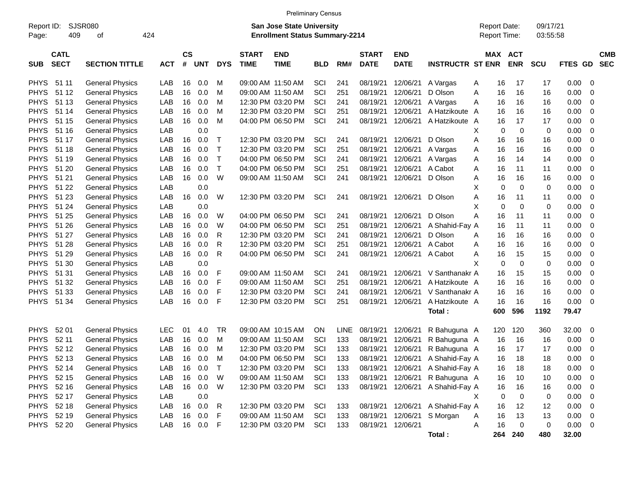|             |             |                        |            |           |            |              |              | <b>Preliminary Census</b>             |            |             |              |                   |                                  |   |                     |            |            |             |                          |            |
|-------------|-------------|------------------------|------------|-----------|------------|--------------|--------------|---------------------------------------|------------|-------------|--------------|-------------------|----------------------------------|---|---------------------|------------|------------|-------------|--------------------------|------------|
| Report ID:  |             | <b>SJSR080</b>         |            |           |            |              |              | <b>San Jose State University</b>      |            |             |              |                   |                                  |   | <b>Report Date:</b> |            | 09/17/21   |             |                          |            |
| Page:       | 409         | 424<br>οf              |            |           |            |              |              | <b>Enrollment Status Summary-2214</b> |            |             |              |                   |                                  |   | Report Time:        |            | 03:55:58   |             |                          |            |
|             | <b>CATL</b> |                        |            | <b>CS</b> |            |              | <b>START</b> | <b>END</b>                            |            |             | <b>START</b> | <b>END</b>        |                                  |   | <b>MAX ACT</b>      |            |            |             |                          | <b>CMB</b> |
| <b>SUB</b>  | <b>SECT</b> | <b>SECTION TITTLE</b>  | <b>ACT</b> | #         | <b>UNT</b> | <b>DYS</b>   | <b>TIME</b>  | <b>TIME</b>                           | <b>BLD</b> | RM#         | <b>DATE</b>  | <b>DATE</b>       | <b>INSTRUCTR ST ENR</b>          |   |                     | <b>ENR</b> | <b>SCU</b> | FTES GD     |                          | <b>SEC</b> |
|             |             |                        |            |           |            |              |              |                                       |            |             |              |                   |                                  |   |                     |            |            |             |                          |            |
| <b>PHYS</b> | 51 11       | <b>General Physics</b> | LAB        | 16        | 0.0        | м            |              | 09:00 AM 11:50 AM                     | SCI        | 241         | 08/19/21     | 12/06/21          | A Vargas                         | A | 16                  | 17         | 17         | 0.00        | - 0                      |            |
| <b>PHYS</b> | 51 12       | <b>General Physics</b> | LAB        | 16        | 0.0        | M            |              | 09:00 AM 11:50 AM                     | SCI        | 251         | 08/19/21     | 12/06/21          | D Olson                          | Α | 16                  | 16         | 16         | 0.00        | 0                        |            |
| <b>PHYS</b> | 51 13       | <b>General Physics</b> | LAB        | 16        | 0.0        | M            |              | 12:30 PM 03:20 PM                     | SCI        | 241         | 08/19/21     | 12/06/21          | A Vargas                         | Α | 16                  | 16         | 16         | 0.00        | 0                        |            |
| <b>PHYS</b> | 51 14       | <b>General Physics</b> | LAB        | 16        | 0.0        | M            |              | 12:30 PM 03:20 PM                     | SCI        | 251         | 08/19/21     | 12/06/21          | A Hatzikoute                     | A | 16                  | 16         | 16         | 0.00        | 0                        |            |
| <b>PHYS</b> | 51 15       | <b>General Physics</b> | LAB        | 16        | 0.0        | M            |              | 04:00 PM 06:50 PM                     | SCI        | 241         | 08/19/21     | 12/06/21          | A Hatzikoute                     | A | 16                  | 17         | 17         | 0.00        | 0                        |            |
| <b>PHYS</b> | 51 16       | <b>General Physics</b> | LAB        |           | 0.0        |              |              |                                       |            |             |              |                   |                                  | х | 0                   | 0          | 0          | 0.00        | 0                        |            |
| <b>PHYS</b> | 51 17       | <b>General Physics</b> | LAB        | 16        | 0.0        | $\mathsf{T}$ |              | 12:30 PM 03:20 PM                     | SCI        | 241         | 08/19/21     | 12/06/21          | D Olson                          | Α | 16                  | 16         | 16         | 0.00        | 0                        |            |
| <b>PHYS</b> | 51 18       | <b>General Physics</b> | LAB        | 16        | 0.0        | $\mathsf{T}$ |              | 12:30 PM 03:20 PM                     | SCI        | 251         | 08/19/21     | 12/06/21          | A Vargas                         | Α | 16                  | 16         | 16         | 0.00        | 0                        |            |
| <b>PHYS</b> | 51 19       | <b>General Physics</b> | LAB        | 16        | 0.0        | $\mathsf{T}$ |              | 04:00 PM 06:50 PM                     | SCI        | 241         | 08/19/21     | 12/06/21          | A Vargas                         | Α | 16                  | 14         | 14         | 0.00        | 0                        |            |
| <b>PHYS</b> | 51 20       | <b>General Physics</b> | LAB        | 16        | 0.0        | $\top$       |              | 04:00 PM 06:50 PM                     | SCI        | 251         | 08/19/21     | 12/06/21          | A Cabot                          | Α | 16                  | 11         | 11         | 0.00        | 0                        |            |
| <b>PHYS</b> | 51 21       | <b>General Physics</b> | LAB        | 16        | 0.0        | W            |              | 09:00 AM 11:50 AM                     | SCI        | 241         | 08/19/21     | 12/06/21          | D Olson                          | Α | 16                  | 16         | 16         | 0.00        | 0                        |            |
| <b>PHYS</b> | 51 22       | <b>General Physics</b> | LAB        |           | 0.0        |              |              |                                       |            |             |              |                   |                                  | Χ | $\mathbf 0$         | 0          | 0          | 0.00        | 0                        |            |
| <b>PHYS</b> | 51 23       | <b>General Physics</b> | LAB        | 16        | 0.0        | W            |              | 12:30 PM 03:20 PM                     | SCI        | 241         | 08/19/21     | 12/06/21          | D Olson                          | Α | 16                  | 11         | 11         | 0.00        | 0                        |            |
| <b>PHYS</b> | 51 24       | <b>General Physics</b> | LAB        |           | 0.0        |              |              |                                       |            |             |              |                   |                                  | Χ | 0                   | 0          | 0          | 0.00        | 0                        |            |
| <b>PHYS</b> | 51 25       | <b>General Physics</b> | LAB        | 16        | 0.0        | W            |              | 04:00 PM 06:50 PM                     | SCI        | 241         | 08/19/21     | 12/06/21          | D Olson                          | Α | 16                  | 11         | 11         | 0.00        | 0                        |            |
| <b>PHYS</b> | 51 26       | <b>General Physics</b> | LAB        | 16        | 0.0        | W            |              | 04:00 PM 06:50 PM                     | SCI        | 251         | 08/19/21     | 12/06/21          | A Shahid-Fay A                   |   | 16                  | 11         | 11         | 0.00        | $\mathbf 0$              |            |
| <b>PHYS</b> | 51 27       | <b>General Physics</b> | LAB        | 16        | 0.0        | R            |              | 12:30 PM 03:20 PM                     | SCI        | 241         | 08/19/21     | 12/06/21          | D Olson                          | Α | 16                  | 16         | 16         | 0.00        | 0                        |            |
| <b>PHYS</b> | 51 28       | <b>General Physics</b> | LAB        | 16        | 0.0        | R            |              | 12:30 PM 03:20 PM                     | SCI        | 251         | 08/19/21     | 12/06/21          | A Cabot                          | Α | 16                  | 16         | 16         | 0.00        | 0                        |            |
| <b>PHYS</b> | 51 29       | <b>General Physics</b> | LAB        | 16        | 0.0        | R            |              | 04:00 PM 06:50 PM                     | SCI        | 241         | 08/19/21     | 12/06/21          | A Cabot                          | Α | 16                  | 15         | 15         | 0.00        | 0                        |            |
| <b>PHYS</b> | 51 30       | <b>General Physics</b> | LAB        |           | 0.0        |              |              |                                       |            |             |              |                   |                                  | X | 0                   | 0          | 0          | 0.00        | 0                        |            |
| <b>PHYS</b> | 51 31       | <b>General Physics</b> | LAB        | 16        | 0.0        | F            |              | 09:00 AM 11:50 AM                     | SCI        | 241         | 08/19/21     | 12/06/21          | V Santhanakr A                   |   | 16                  | 15         | 15         | 0.00        | 0                        |            |
| <b>PHYS</b> | 51 32       | <b>General Physics</b> | LAB        | 16        | 0.0        | F            |              | 09:00 AM 11:50 AM                     | SCI        | 251         | 08/19/21     | 12/06/21          | A Hatzikoute A                   |   | 16                  | 16         | 16         | 0.00        | 0                        |            |
| <b>PHYS</b> | 51 33       | <b>General Physics</b> | LAB        | 16        | 0.0        | F            |              | 12:30 PM 03:20 PM                     | SCI        | 241         | 08/19/21     | 12/06/21          | V Santhanakr A                   |   | 16                  | 16         | 16         | 0.00        | 0                        |            |
| PHYS 51 34  |             | <b>General Physics</b> | LAB        | 16        | 0.0        | F            |              | 12:30 PM 03:20 PM                     | SCI        | 251         | 08/19/21     | 12/06/21          | A Hatzikoute A                   |   | 16                  | 16         | 16         | 0.00        | 0                        |            |
|             |             |                        |            |           |            |              |              |                                       |            |             |              |                   | Total:                           |   | 600                 | 596        | 1192       | 79.47       |                          |            |
|             |             |                        |            |           |            |              |              |                                       |            |             |              |                   |                                  |   |                     |            |            |             |                          |            |
| <b>PHYS</b> | 52 01       | <b>General Physics</b> | <b>LEC</b> | 01        | 4.0        | TR           |              | 09:00 AM 10:15 AM                     | ΟN         | <b>LINE</b> | 08/19/21     | 12/06/21          | R Bahuguna A                     |   | 120                 | 120        | 360        | 32.00       | - 0                      |            |
| <b>PHYS</b> | 52 11       | <b>General Physics</b> | LAB        | 16        | 0.0        | M            |              | 09:00 AM 11:50 AM                     | SCI        | 133         | 08/19/21     | 12/06/21          | R Bahuguna A                     |   | 16                  | 16         | 16         | 0.00        | 0                        |            |
| <b>PHYS</b> | 52 12       | <b>General Physics</b> | LAB        | 16        | 0.0        | M            |              | 12:30 PM 03:20 PM                     | SCI        | 133         | 08/19/21     | 12/06/21          | R Bahuguna A                     |   | 16                  | 17         | 17         | 0.00        | 0                        |            |
| PHYS 52 13  |             | <b>General Physics</b> | LAB        | 16        | 0.0        | M            |              | 04:00 PM 06:50 PM                     | SCI        | 133         |              | 08/19/21 12/06/21 | A Shahid-Fay A                   |   | 16                  | 18         | 18         | 0.00        | 0                        |            |
| PHYS 52 14  |             | <b>General Physics</b> | LAB        | 16        | 0.0        | $\top$       |              | 12:30 PM 03:20 PM                     | SCI        | 133         |              |                   | 08/19/21 12/06/21 A Shahid-Fay A |   | 16                  | 18         | 18         | 0.00        | $\overline{\mathbf{0}}$  |            |
| PHYS 52 15  |             | <b>General Physics</b> | LAB        | 16        | 0.0        | W            |              | 09:00 AM 11:50 AM                     | SCI        | 133         |              | 08/19/21 12/06/21 | R Bahuguna A                     |   | 16                  | 10         | 10         | 0.00        | $\overline{\phantom{0}}$ |            |
| PHYS 52 16  |             | <b>General Physics</b> | LAB        | 16        | 0.0        | W            |              | 12:30 PM 03:20 PM                     | SCI        | 133         |              | 08/19/21 12/06/21 | A Shahid-Fay A                   |   | 16                  | 16         | 16         | 0.00        | $\overline{\phantom{0}}$ |            |
| PHYS 52 17  |             | <b>General Physics</b> | LAB        |           | 0.0        |              |              |                                       |            |             |              |                   |                                  | Х | 0                   | 0          | 0          | 0.00        | $\overline{\mathbf{0}}$  |            |
| PHYS 52 18  |             | <b>General Physics</b> | LAB        | 16        | 0.0        | $\mathsf{R}$ |              | 12:30 PM 03:20 PM                     | SCI        | 133         |              |                   | 08/19/21 12/06/21 A Shahid-Fay A |   | 16                  | 12         | 12         | 0.00        | $\overline{\mathbf{0}}$  |            |
| PHYS 52 19  |             | <b>General Physics</b> | LAB        | 16        | 0.0        | F            |              | 09:00 AM 11:50 AM                     | SCI        | 133         |              | 08/19/21 12/06/21 | S Morgan                         | A | 16                  | 13         | 13         | 0.00        | $\overline{\phantom{0}}$ |            |
| PHYS 52 20  |             | <b>General Physics</b> | LAB        | 16        | 0.0 F      |              |              | 12:30 PM 03:20 PM                     | SCI        | 133         |              | 08/19/21 12/06/21 |                                  | Α | 16                  | 0          | 0          | $0.00 \t 0$ |                          |            |
|             |             |                        |            |           |            |              |              |                                       |            |             |              |                   | Total:                           |   | 264                 | 240        | 480        | 32.00       |                          |            |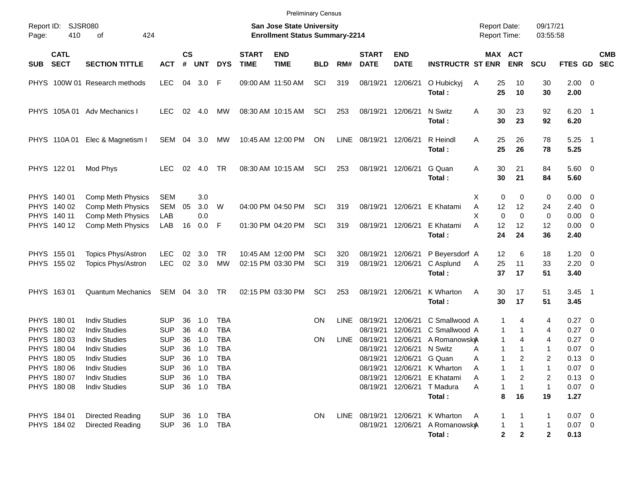|                                                           |                            |                               |            |                    |                                                                           |            |                             | <b>Preliminary Census</b> |            |             |                             |                           |                             |                                     |                       |                              |                     |                          |                          |
|-----------------------------------------------------------|----------------------------|-------------------------------|------------|--------------------|---------------------------------------------------------------------------|------------|-----------------------------|---------------------------|------------|-------------|-----------------------------|---------------------------|-----------------------------|-------------------------------------|-----------------------|------------------------------|---------------------|--------------------------|--------------------------|
| <b>SJSR080</b><br>Report ID:<br>Page:<br>410<br>οf<br>424 |                            |                               |            |                    | <b>San Jose State University</b><br><b>Enrollment Status Summary-2214</b> |            |                             |                           |            |             |                             |                           |                             | <b>Report Date:</b><br>Report Time: |                       | 09/17/21<br>03:55:58         |                     |                          |                          |
| <b>SUB</b>                                                | <b>CATL</b><br><b>SECT</b> | <b>SECTION TITTLE</b>         | <b>ACT</b> | $\mathsf{cs}$<br># | <b>UNT</b>                                                                | <b>DYS</b> | <b>START</b><br><b>TIME</b> | <b>END</b><br><b>TIME</b> | <b>BLD</b> | RM#         | <b>START</b><br><b>DATE</b> | <b>END</b><br><b>DATE</b> | <b>INSTRUCTR ST ENR</b>     |                                     | MAX ACT<br><b>ENR</b> | <b>SCU</b>                   | <b>FTES GD</b>      |                          | <b>CMB</b><br><b>SEC</b> |
|                                                           |                            | PHYS 100W 01 Research methods | LEC.       | 04                 | 3.0                                                                       | -F         |                             | 09:00 AM 11:50 AM         | SCI        | 319         | 08/19/21                    | 12/06/21                  | O Hubickyj<br>Total:        | A                                   | 25<br>10<br>25<br>10  | 30<br>30                     | $2.00 \t 0$<br>2.00 |                          |                          |
|                                                           |                            | PHYS 105A 01 Adv Mechanics I  | <b>LEC</b> |                    | $02 \quad 4.0$                                                            | MW         |                             | 08:30 AM 10:15 AM         | SCI        | 253         | 08/19/21 12/06/21           |                           | N Switz<br>Total:           | Α                                   | 30<br>23<br>30<br>23  | 92<br>92                     | $6.20$ 1<br>6.20    |                          |                          |
|                                                           | PHYS 110A01                | Elec & Magnetism I            | SEM 04     |                    | 3.0                                                                       | МW         |                             | 10:45 AM 12:00 PM         | ON         | LINE        | 08/19/21 12/06/21           |                           | R Heindl<br>Total:          | A                                   | 25<br>26<br>25<br>26  | 78<br>78                     | $5.25$ 1<br>5.25    |                          |                          |
|                                                           | PHYS 122 01                | Mod Phys                      | <b>LEC</b> | 02                 | 4.0                                                                       | TR         |                             | 08:30 AM 10:15 AM         | SCI        | 253         | 08/19/21 12/06/21           |                           | G Quan<br>Total:            | A                                   | 30<br>21<br>30<br>21  | 84<br>84                     | 5.60 0<br>5.60      |                          |                          |
|                                                           | PHYS 140 01                | Comp Meth Physics             | <b>SEM</b> |                    | 3.0                                                                       |            |                             |                           |            |             |                             |                           |                             | X                                   | 0                     | 0<br>0                       | $0.00 \t 0$         |                          |                          |
|                                                           | PHYS 140 02                | Comp Meth Physics             | <b>SEM</b> | 05                 | 3.0                                                                       | W          |                             | 04:00 PM 04:50 PM         | SCI        | 319         |                             | 08/19/21 12/06/21         | E Khatami                   | Α                                   | 12<br>12              | 24                           | 2.40                | $\overline{\phantom{0}}$ |                          |
|                                                           | PHYS 140 11                | Comp Meth Physics             | LAB        |                    | 0.0                                                                       |            |                             |                           |            |             |                             |                           |                             | X                                   | $\Omega$<br>$\Omega$  | 0                            | 0.00                | $\overline{\phantom{0}}$ |                          |
|                                                           | PHYS 140 12                | Comp Meth Physics             | LAB        | 16                 | 0.0                                                                       | F          |                             | 01:30 PM 04:20 PM         | SCI        | 319         | 08/19/21 12/06/21           |                           | E Khatami                   | A                                   | 12<br>12              | 12                           | $0.00 \t 0$         |                          |                          |
|                                                           |                            |                               |            |                    |                                                                           |            |                             |                           |            |             |                             |                           | Total:                      |                                     | 24<br>24              | 36                           | 2.40                |                          |                          |
|                                                           | PHYS 155 01                | Topics Phys/Astron            | <b>LEC</b> | 02                 | 3.0                                                                       | TR         |                             | 10:45 AM 12:00 PM         | SCI        | 320         | 08/19/21                    | 12/06/21                  | P Beyersdorf A              |                                     | 12<br>6               | 18                           | 1.20                | $\overline{\phantom{0}}$ |                          |
|                                                           | PHYS 155 02                | Topics Phys/Astron            | <b>LEC</b> | 02                 | 3.0                                                                       | <b>MW</b>  |                             | 02:15 PM 03:30 PM         | SCI        | 319         | 08/19/21                    | 12/06/21                  | C Asplund                   | Α                                   | 25<br>11              | 33                           | 2.20                | $\overline{\phantom{0}}$ |                          |
|                                                           |                            |                               |            |                    |                                                                           |            |                             |                           |            |             |                             |                           | Total:                      |                                     | 37<br>17              | 51                           | 3.40                |                          |                          |
|                                                           | PHYS 16301                 | <b>Quantum Mechanics</b>      | SEM 04     |                    | 3.0                                                                       | TR         |                             | 02:15 PM 03:30 PM         | SCI        | 253         | 08/19/21 12/06/21           |                           | K Wharton<br>Total:         | Α                                   | 30<br>17<br>30<br>17  | 51<br>51                     | $3.45$ 1<br>3.45    |                          |                          |
|                                                           | PHYS 180 01                | <b>Indiv Studies</b>          | <b>SUP</b> | 36                 | 1.0                                                                       | <b>TBA</b> |                             |                           | <b>ON</b>  | <b>LINE</b> | 08/19/21                    | 12/06/21                  | C Smallwood A               |                                     | 1<br>4                | 4                            | 0.27 0              |                          |                          |
|                                                           | PHYS 180 02                | <b>Indiv Studies</b>          | <b>SUP</b> | 36                 | 4.0                                                                       | <b>TBA</b> |                             |                           |            |             | 08/19/21                    | 12/06/21                  | C Smallwood A               |                                     | 1<br>1                | 4                            | 0.27                | $\overline{\phantom{0}}$ |                          |
|                                                           | PHYS 180 03                | <b>Indiv Studies</b>          | <b>SUP</b> | 36                 | 1.0                                                                       | <b>TBA</b> |                             |                           | <b>ON</b>  | <b>LINE</b> | 08/19/21                    | 12/06/21                  | A Romanowsky                |                                     | 1<br>4                | 4                            | 0.27                | $\overline{\mathbf{0}}$  |                          |
| <b>PHYS</b>                                               | 180 04                     | <b>Indiv Studies</b>          | <b>SUP</b> | 36                 | 1.0                                                                       | <b>TBA</b> |                             |                           |            |             | 08/19/21                    | 12/06/21                  | N Switz                     | A                                   | 1                     | 1                            | 0.07                | $\overline{\mathbf{0}}$  |                          |
|                                                           | PHYS 180 05                | <b>Indiv Studies</b>          | <b>SUP</b> | 36                 | 1.0                                                                       | <b>TBA</b> |                             |                           |            |             |                             | 08/19/21 12/06/21         | G Quan                      | A                                   | 2<br>1                | 2                            | 0.13                | $\overline{\phantom{0}}$ |                          |
|                                                           | PHYS 180 06                | <b>Indiv Studies</b>          | <b>SUP</b> |                    | 36 1.0                                                                    | TBA        |                             |                           |            |             |                             |                           | 08/19/21 12/06/21 K Wharton | A                                   |                       |                              | $0.07$ 0            |                          |                          |
|                                                           | PHYS 180 07                | <b>Indiv Studies</b>          | <b>SUP</b> |                    | 36 1.0                                                                    | TBA        |                             |                           |            |             |                             | 08/19/21 12/06/21         | E Khatami                   | Α                                   |                       | 2<br>2                       | $0.13 \ 0$          |                          |                          |
|                                                           | PHYS 180 08                | <b>Indiv Studies</b>          | <b>SUP</b> |                    | 36 1.0                                                                    | TBA        |                             |                           |            |             |                             | 08/19/21 12/06/21         | T Madura                    | Α                                   |                       | $\overline{1}$               | $0.07$ 0            |                          |                          |
|                                                           |                            |                               |            |                    |                                                                           |            |                             |                           |            |             |                             |                           | Total:                      |                                     | 8<br>16               | 19                           | 1.27                |                          |                          |
|                                                           | PHYS 184 01                | <b>Directed Reading</b>       | <b>SUP</b> |                    | 36 1.0                                                                    | TBA        |                             |                           | <b>ON</b>  |             | LINE 08/19/21 12/06/21      |                           | K Wharton                   | $\mathsf{A}$                        |                       | 1                            | $0.07$ 0            |                          |                          |
|                                                           | PHYS 184 02                | <b>Directed Reading</b>       | <b>SUP</b> |                    | 36 1.0 TBA                                                                |            |                             |                           |            |             |                             | 08/19/21 12/06/21         | A Romanowsky                |                                     |                       | $\mathbf{1}$                 | $0.07$ 0            |                          |                          |
|                                                           |                            |                               |            |                    |                                                                           |            |                             |                           |            |             |                             |                           | Total :                     |                                     | 2                     | $\mathbf{2}$<br>$\mathbf{2}$ | 0.13                |                          |                          |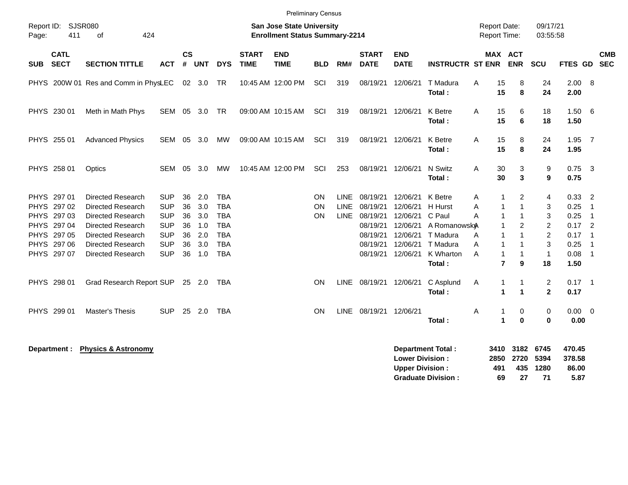| Page:                                     | Report ID: SJSR080<br>411  | 424<br>of                                                                 |                                        |                    |                   |                                        |                             | <b>San Jose State University</b><br><b>Enrollment Status Summary-2214</b> |                       |                                           |                                  |                                  |                                                  | <b>Report Date:</b><br>Report Time: |                                    | 09/17/21<br>03:55:58                  |                          |                                              |  |
|-------------------------------------------|----------------------------|---------------------------------------------------------------------------|----------------------------------------|--------------------|-------------------|----------------------------------------|-----------------------------|---------------------------------------------------------------------------|-----------------------|-------------------------------------------|----------------------------------|----------------------------------|--------------------------------------------------|-------------------------------------|------------------------------------|---------------------------------------|--------------------------|----------------------------------------------|--|
| <b>SUB</b>                                | <b>CATL</b><br><b>SECT</b> | <b>SECTION TITTLE</b>                                                     | <b>ACT</b>                             | $\mathsf{cs}$<br># | <b>UNT</b>        | <b>DYS</b>                             | <b>START</b><br><b>TIME</b> | <b>END</b><br><b>TIME</b>                                                 | <b>BLD</b>            | RM#                                       | <b>START</b><br><b>DATE</b>      | <b>END</b><br><b>DATE</b>        | <b>INSTRUCTR ST ENR ENR</b>                      |                                     | MAX ACT                            | <b>SCU</b>                            | FTES GD SEC              | <b>CMB</b>                                   |  |
|                                           |                            | PHYS 200W 01 Res and Comm in PhysLEC 02 3.0 TR                            |                                        |                    |                   |                                        |                             | 10:45 AM 12:00 PM                                                         | SCI                   | 319                                       | 08/19/21                         | 12/06/21                         | T Madura<br>Total:                               | A<br>15<br>15                       | 8<br>8                             | 24<br>24                              | $2.00 \ 8$<br>2.00       |                                              |  |
| PHYS 230 01                               |                            | Meth in Math Phys                                                         | SEM 05                                 |                    | 3.0               | TR                                     |                             | 09:00 AM 10:15 AM                                                         | SCI                   | 319                                       | 08/19/21                         | 12/06/21                         | K Betre<br>Total:                                | 15<br>A<br>15                       | 6<br>6                             | 18<br>18                              | 1.50 6<br>1.50           |                                              |  |
| PHYS 255 01                               |                            | <b>Advanced Physics</b>                                                   | SEM 05 3.0                             |                    |                   | MW                                     |                             | 09:00 AM 10:15 AM                                                         | SCI                   | 319                                       | 08/19/21                         | 12/06/21                         | K Betre<br>Total:                                | 15<br>A<br>15                       | 8<br>8                             | 24<br>24                              | $1.95$ 7<br>1.95         |                                              |  |
| PHYS 258 01                               |                            | Optics                                                                    | SEM 05                                 |                    | 3.0               | МW                                     |                             | 10:45 AM 12:00 PM                                                         | SCI                   | 253                                       | 08/19/21                         | 12/06/21                         | N Switz<br>Total:                                | A<br>30<br>30                       | 3<br>3                             | 9<br>9                                | $0.75$ 3<br>0.75         |                                              |  |
| PHYS 297 01<br>PHYS 297 02<br>PHYS 297 03 |                            | <b>Directed Research</b><br>Directed Research<br><b>Directed Research</b> | <b>SUP</b><br><b>SUP</b><br><b>SUP</b> | 36<br>36<br>36     | 2.0<br>3.0<br>3.0 | <b>TBA</b><br><b>TBA</b><br><b>TBA</b> |                             |                                                                           | ON<br>ON<br><b>ON</b> | <b>LINE</b><br><b>LINE</b><br><b>LINE</b> | 08/19/21<br>08/19/21<br>08/19/21 | 12/06/21<br>12/06/21<br>12/06/21 | K Betre<br>H Hurst<br>C Paul                     | Α<br>Α<br>1<br>A<br>$\mathbf 1$     | $\overline{2}$<br>1<br>$\mathbf 1$ | 4<br>3<br>3                           | $0.33$ 2<br>0.25<br>0.25 | -1<br>$\overline{1}$                         |  |
| PHYS 297 04<br>PHYS 297 05                |                            | <b>Directed Research</b><br><b>Directed Research</b>                      | <b>SUP</b><br><b>SUP</b>               | 36<br>36           | 1.0<br>2.0        | <b>TBA</b><br><b>TBA</b><br><b>TBA</b> |                             |                                                                           |                       |                                           | 08/19/21<br>08/19/21<br>08/19/21 | 12/06/21<br>12/06/21<br>12/06/21 | A Romanowsk <sub>A</sub><br>T Madura<br>T Madura | A<br>$\mathbf{1}$                   | $\overline{2}$                     | $\overline{2}$<br>$\overline{2}$<br>3 | $0.17$ 2<br>0.17         | $\overline{\phantom{0}}$ 1<br>$\overline{1}$ |  |
| PHYS 297 06<br>PHYS 297 07                |                            | <b>Directed Research</b><br>Directed Research                             | <b>SUP</b><br><b>SUP</b>               | 36<br>36           | 3.0<br>1.0        | <b>TBA</b>                             |                             |                                                                           |                       |                                           | 08/19/21                         | 12/06/21                         | K Wharton<br>Total:                              | A<br>$\mathbf{1}$<br>A              | 1<br>$\overline{7}$<br>9           | $\overline{1}$<br>18                  | 0.25<br>$0.08$ 1<br>1.50 |                                              |  |
| PHYS 298 01                               |                            | Grad Research Report SUP 25 2.0                                           |                                        |                    |                   | TBA                                    |                             |                                                                           | ON                    | LINE                                      | 08/19/21 12/06/21                |                                  | C Asplund<br>Total:                              | 1<br>Α                              | 1<br>$\mathbf 1$<br>$\mathbf 1$    | $\overline{2}$<br>$\overline{2}$      | $0.17$ 1<br>0.17         |                                              |  |
| PHYS 299 01                               |                            | Master's Thesis                                                           | <b>SUP</b>                             |                    | 25 2.0            | <b>TBA</b>                             |                             |                                                                           | <b>ON</b>             | LINE                                      | 08/19/21 12/06/21                |                                  | Total:                                           | Α<br>1<br>$\blacktriangleleft$      | 0<br>$\bf{0}$                      | 0<br>$\bf{0}$                         | $0.00 \t 0$<br>0.00      |                                              |  |

Department : Physics & Astronomy **Department Total : 3410 3182 6745 470.45**<br>Bower Division : 3250 2720 5394 378.58 **Lower Division : 2850 2720 5394 378.58 Upper Division : 491 435 1280 86.00<br>
Graduate Division : 69 27 71 5.87 Graduate Division : 69 27 71 5.87**